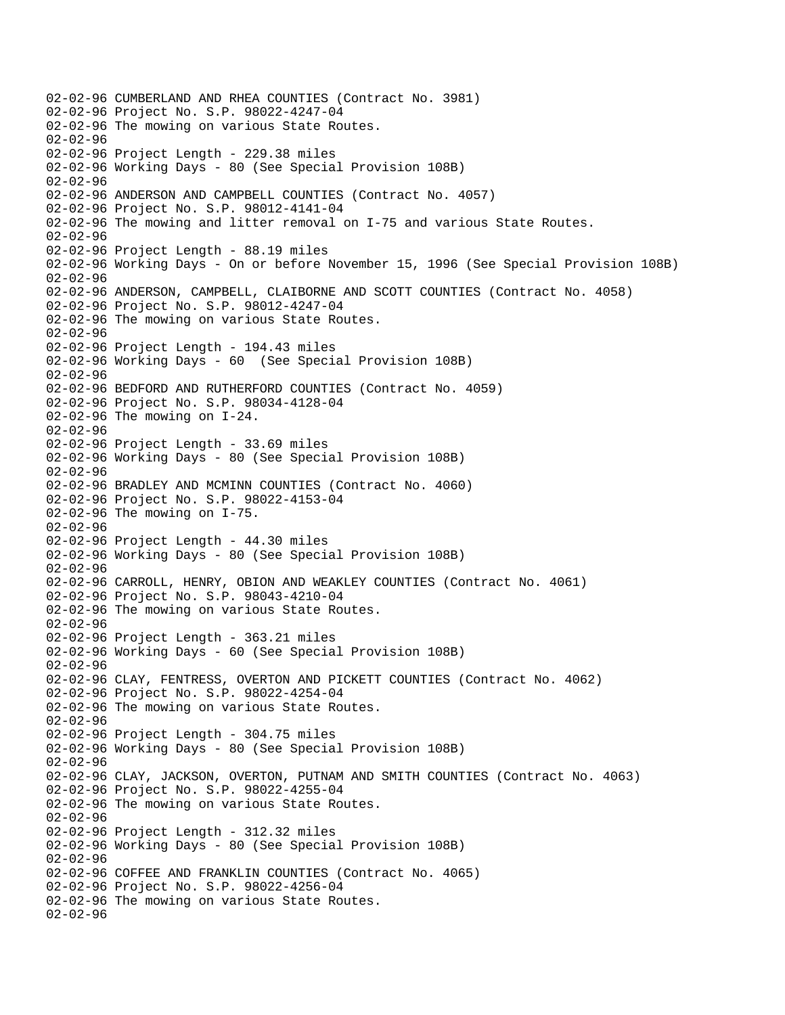02-02-96 CUMBERLAND AND RHEA COUNTIES (Contract No. 3981) 02-02-96 Project No. S.P. 98022-4247-04 02-02-96 The mowing on various State Routes. 02-02-96 02-02-96 Project Length - 229.38 miles 02-02-96 Working Days - 80 (See Special Provision 108B) 02-02-96 02-02-96 ANDERSON AND CAMPBELL COUNTIES (Contract No. 4057) 02-02-96 Project No. S.P. 98012-4141-04 02-02-96 The mowing and litter removal on I-75 and various State Routes. 02-02-96 02-02-96 Project Length - 88.19 miles 02-02-96 Working Days - On or before November 15, 1996 (See Special Provision 108B) 02-02-96 02-02-96 ANDERSON, CAMPBELL, CLAIBORNE AND SCOTT COUNTIES (Contract No. 4058) 02-02-96 Project No. S.P. 98012-4247-04 02-02-96 The mowing on various State Routes. 02-02-96 02-02-96 Project Length - 194.43 miles 02-02-96 Working Days - 60 (See Special Provision 108B) 02-02-96 02-02-96 BEDFORD AND RUTHERFORD COUNTIES (Contract No. 4059) 02-02-96 Project No. S.P. 98034-4128-04 02-02-96 The mowing on I-24. 02-02-96 02-02-96 Project Length - 33.69 miles 02-02-96 Working Days - 80 (See Special Provision 108B) 02-02-96 02-02-96 BRADLEY AND MCMINN COUNTIES (Contract No. 4060) 02-02-96 Project No. S.P. 98022-4153-04 02-02-96 The mowing on I-75. 02-02-96 02-02-96 Project Length - 44.30 miles 02-02-96 Working Days - 80 (See Special Provision 108B) 02-02-96 02-02-96 CARROLL, HENRY, OBION AND WEAKLEY COUNTIES (Contract No. 4061) 02-02-96 Project No. S.P. 98043-4210-04 02-02-96 The mowing on various State Routes. 02-02-96 02-02-96 Project Length - 363.21 miles 02-02-96 Working Days - 60 (See Special Provision 108B) 02-02-96 02-02-96 CLAY, FENTRESS, OVERTON AND PICKETT COUNTIES (Contract No. 4062) 02-02-96 Project No. S.P. 98022-4254-04 02-02-96 The mowing on various State Routes. 02-02-96 02-02-96 Project Length - 304.75 miles 02-02-96 Working Days - 80 (See Special Provision 108B) 02-02-96 02-02-96 CLAY, JACKSON, OVERTON, PUTNAM AND SMITH COUNTIES (Contract No. 4063) 02-02-96 Project No. S.P. 98022-4255-04 02-02-96 The mowing on various State Routes. 02-02-96 02-02-96 Project Length - 312.32 miles 02-02-96 Working Days - 80 (See Special Provision 108B) 02-02-96 02-02-96 COFFEE AND FRANKLIN COUNTIES (Contract No. 4065) 02-02-96 Project No. S.P. 98022-4256-04 02-02-96 The mowing on various State Routes. 02-02-96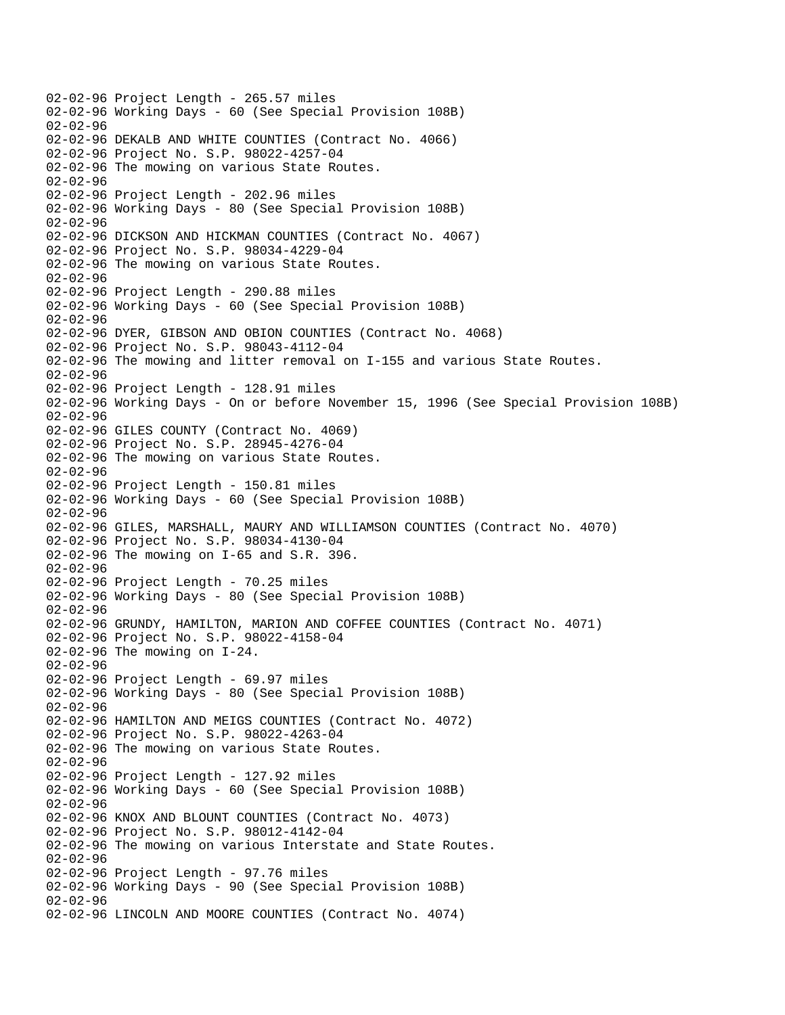02-02-96 Project Length - 265.57 miles 02-02-96 Working Days - 60 (See Special Provision 108B) 02-02-96 02-02-96 DEKALB AND WHITE COUNTIES (Contract No. 4066) 02-02-96 Project No. S.P. 98022-4257-04 02-02-96 The mowing on various State Routes. 02-02-96 02-02-96 Project Length - 202.96 miles 02-02-96 Working Days - 80 (See Special Provision 108B) 02-02-96 02-02-96 DICKSON AND HICKMAN COUNTIES (Contract No. 4067) 02-02-96 Project No. S.P. 98034-4229-04 02-02-96 The mowing on various State Routes. 02-02-96 02-02-96 Project Length - 290.88 miles 02-02-96 Working Days - 60 (See Special Provision 108B) 02-02-96 02-02-96 DYER, GIBSON AND OBION COUNTIES (Contract No. 4068) 02-02-96 Project No. S.P. 98043-4112-04 02-02-96 The mowing and litter removal on I-155 and various State Routes. 02-02-96 02-02-96 Project Length - 128.91 miles 02-02-96 Working Days - On or before November 15, 1996 (See Special Provision 108B) 02-02-96 02-02-96 GILES COUNTY (Contract No. 4069) 02-02-96 Project No. S.P. 28945-4276-04 02-02-96 The mowing on various State Routes. 02-02-96 02-02-96 Project Length - 150.81 miles 02-02-96 Working Days - 60 (See Special Provision 108B) 02-02-96 02-02-96 GILES, MARSHALL, MAURY AND WILLIAMSON COUNTIES (Contract No. 4070) 02-02-96 Project No. S.P. 98034-4130-04 02-02-96 The mowing on I-65 and S.R. 396. 02-02-96 02-02-96 Project Length - 70.25 miles 02-02-96 Working Days - 80 (See Special Provision 108B) 02-02-96 02-02-96 GRUNDY, HAMILTON, MARION AND COFFEE COUNTIES (Contract No. 4071) 02-02-96 Project No. S.P. 98022-4158-04 02-02-96 The mowing on I-24. 02-02-96 02-02-96 Project Length - 69.97 miles 02-02-96 Working Days - 80 (See Special Provision 108B) 02-02-96 02-02-96 HAMILTON AND MEIGS COUNTIES (Contract No. 4072) 02-02-96 Project No. S.P. 98022-4263-04 02-02-96 The mowing on various State Routes. 02-02-96 02-02-96 Project Length - 127.92 miles 02-02-96 Working Days - 60 (See Special Provision 108B) 02-02-96 02-02-96 KNOX AND BLOUNT COUNTIES (Contract No. 4073) 02-02-96 Project No. S.P. 98012-4142-04 02-02-96 The mowing on various Interstate and State Routes. 02-02-96 02-02-96 Project Length - 97.76 miles 02-02-96 Working Days - 90 (See Special Provision 108B) 02-02-96 02-02-96 LINCOLN AND MOORE COUNTIES (Contract No. 4074)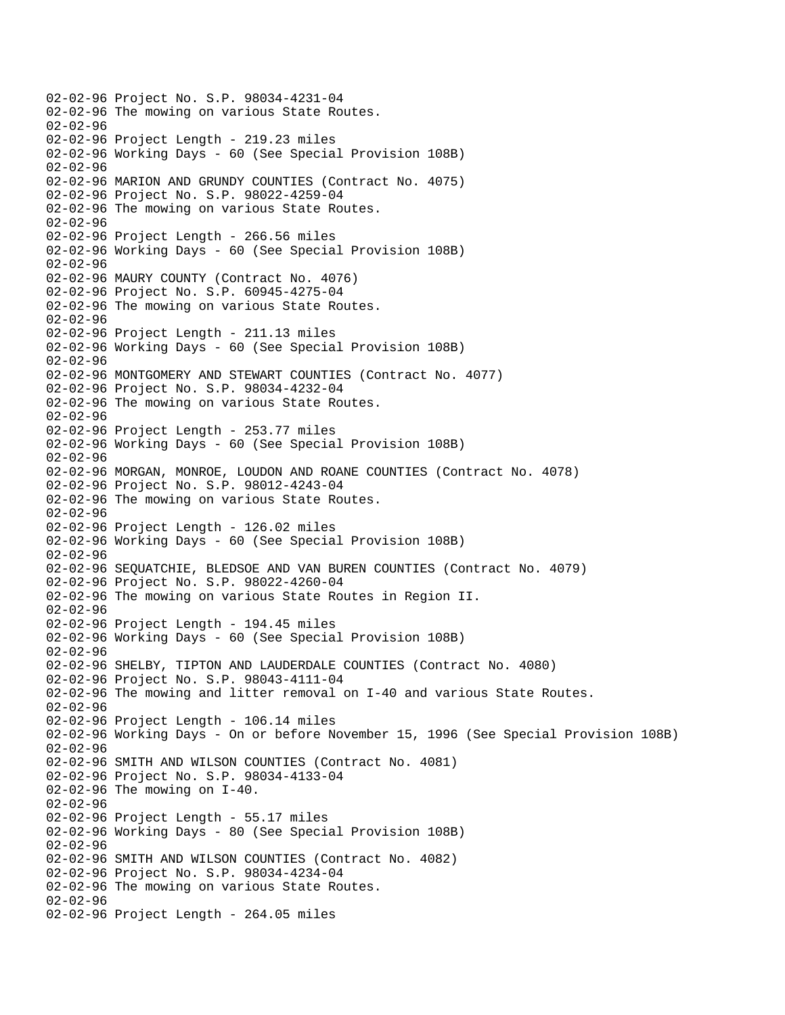02-02-96 Project No. S.P. 98034-4231-04 02-02-96 The mowing on various State Routes. 02-02-96 02-02-96 Project Length - 219.23 miles 02-02-96 Working Days - 60 (See Special Provision 108B) 02-02-96 02-02-96 MARION AND GRUNDY COUNTIES (Contract No. 4075) 02-02-96 Project No. S.P. 98022-4259-04 02-02-96 The mowing on various State Routes. 02-02-96 02-02-96 Project Length - 266.56 miles 02-02-96 Working Days - 60 (See Special Provision 108B)  $02 - 02 - 96$ 02-02-96 MAURY COUNTY (Contract No. 4076) 02-02-96 Project No. S.P. 60945-4275-04 02-02-96 The mowing on various State Routes. 02-02-96 02-02-96 Project Length - 211.13 miles 02-02-96 Working Days - 60 (See Special Provision 108B) 02-02-96 02-02-96 MONTGOMERY AND STEWART COUNTIES (Contract No. 4077) 02-02-96 Project No. S.P. 98034-4232-04 02-02-96 The mowing on various State Routes. 02-02-96 02-02-96 Project Length - 253.77 miles 02-02-96 Working Days - 60 (See Special Provision 108B) 02-02-96 02-02-96 MORGAN, MONROE, LOUDON AND ROANE COUNTIES (Contract No. 4078) 02-02-96 Project No. S.P. 98012-4243-04 02-02-96 The mowing on various State Routes. 02-02-96 02-02-96 Project Length - 126.02 miles 02-02-96 Working Days - 60 (See Special Provision 108B) 02-02-96 02-02-96 SEQUATCHIE, BLEDSOE AND VAN BUREN COUNTIES (Contract No. 4079) 02-02-96 Project No. S.P. 98022-4260-04 02-02-96 The mowing on various State Routes in Region II. 02-02-96 02-02-96 Project Length - 194.45 miles 02-02-96 Working Days - 60 (See Special Provision 108B) 02-02-96 02-02-96 SHELBY, TIPTON AND LAUDERDALE COUNTIES (Contract No. 4080) 02-02-96 Project No. S.P. 98043-4111-04 02-02-96 The mowing and litter removal on I-40 and various State Routes. 02-02-96 02-02-96 Project Length - 106.14 miles 02-02-96 Working Days - On or before November 15, 1996 (See Special Provision 108B) 02-02-96 02-02-96 SMITH AND WILSON COUNTIES (Contract No. 4081) 02-02-96 Project No. S.P. 98034-4133-04 02-02-96 The mowing on I-40. 02-02-96 02-02-96 Project Length - 55.17 miles 02-02-96 Working Days - 80 (See Special Provision 108B) 02-02-96 02-02-96 SMITH AND WILSON COUNTIES (Contract No. 4082) 02-02-96 Project No. S.P. 98034-4234-04 02-02-96 The mowing on various State Routes. 02-02-96 02-02-96 Project Length - 264.05 miles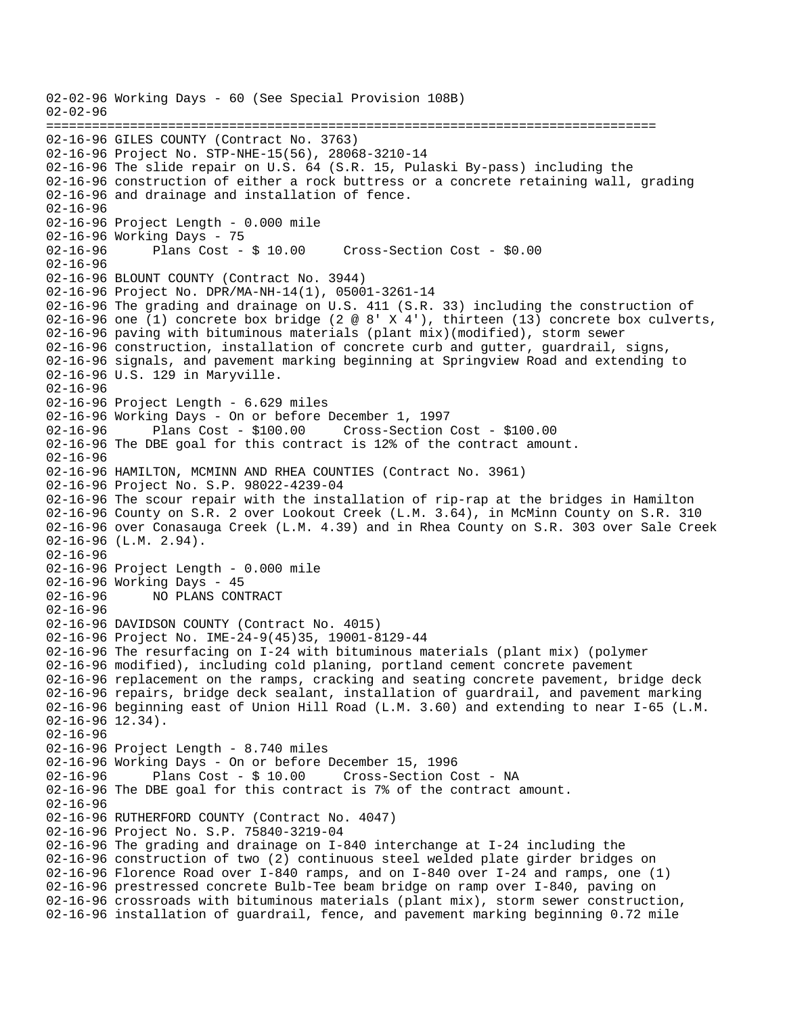02-02-96 Working Days - 60 (See Special Provision 108B) 02-02-96 ================================================================================ 02-16-96 GILES COUNTY (Contract No. 3763) 02-16-96 Project No. STP-NHE-15(56), 28068-3210-14 02-16-96 The slide repair on U.S. 64 (S.R. 15, Pulaski By-pass) including the 02-16-96 construction of either a rock buttress or a concrete retaining wall, grading 02-16-96 and drainage and installation of fence. 02-16-96 02-16-96 Project Length - 0.000 mile 02-16-96 Working Days - 75 02-16-96 Plans Cost - \$ 10.00 Cross-Section Cost - \$0.00  $02 - 16 - 96$ 02-16-96 BLOUNT COUNTY (Contract No. 3944) 02-16-96 Project No. DPR/MA-NH-14(1), 05001-3261-14 02-16-96 The grading and drainage on U.S. 411 (S.R. 33) including the construction of 02-16-96 one (1) concrete box bridge (2 @ 8' X 4'), thirteen (13) concrete box culverts, 02-16-96 paving with bituminous materials (plant mix)(modified), storm sewer 02-16-96 construction, installation of concrete curb and gutter, guardrail, signs, 02-16-96 signals, and pavement marking beginning at Springview Road and extending to 02-16-96 U.S. 129 in Maryville. 02-16-96 02-16-96 Project Length - 6.629 miles 02-16-96 Working Days - On or before December 1, 1997 02-16-96 Plans Cost - \$100.00 Cross-Section Cost - \$100.00 02-16-96 The DBE goal for this contract is 12% of the contract amount. 02-16-96 02-16-96 HAMILTON, MCMINN AND RHEA COUNTIES (Contract No. 3961) 02-16-96 Project No. S.P. 98022-4239-04 02-16-96 The scour repair with the installation of rip-rap at the bridges in Hamilton 02-16-96 County on S.R. 2 over Lookout Creek (L.M. 3.64), in McMinn County on S.R. 310 02-16-96 over Conasauga Creek (L.M. 4.39) and in Rhea County on S.R. 303 over Sale Creek 02-16-96 (L.M. 2.94). 02-16-96 02-16-96 Project Length - 0.000 mile 02-16-96 Working Days - 45 02-16-96 NO PLANS CONTRACT 02-16-96 02-16-96 DAVIDSON COUNTY (Contract No. 4015) 02-16-96 Project No. IME-24-9(45)35, 19001-8129-44 02-16-96 The resurfacing on I-24 with bituminous materials (plant mix) (polymer 02-16-96 modified), including cold planing, portland cement concrete pavement 02-16-96 replacement on the ramps, cracking and seating concrete pavement, bridge deck 02-16-96 repairs, bridge deck sealant, installation of guardrail, and pavement marking 02-16-96 beginning east of Union Hill Road (L.M. 3.60) and extending to near I-65 (L.M. 02-16-96 12.34). 02-16-96 02-16-96 Project Length - 8.740 miles 02-16-96 Working Days - On or before December 15, 1996<br>02-16-96 Plans Cost - \$ 10.00 Cross-Section C 02-16-96 Plans Cost - \$ 10.00 Cross-Section Cost - NA 02-16-96 The DBE goal for this contract is 7% of the contract amount. 02-16-96 02-16-96 RUTHERFORD COUNTY (Contract No. 4047) 02-16-96 Project No. S.P. 75840-3219-04 02-16-96 The grading and drainage on I-840 interchange at I-24 including the 02-16-96 construction of two (2) continuous steel welded plate girder bridges on 02-16-96 Florence Road over I-840 ramps, and on I-840 over I-24 and ramps, one (1) 02-16-96 prestressed concrete Bulb-Tee beam bridge on ramp over I-840, paving on 02-16-96 crossroads with bituminous materials (plant mix), storm sewer construction, 02-16-96 installation of guardrail, fence, and pavement marking beginning 0.72 mile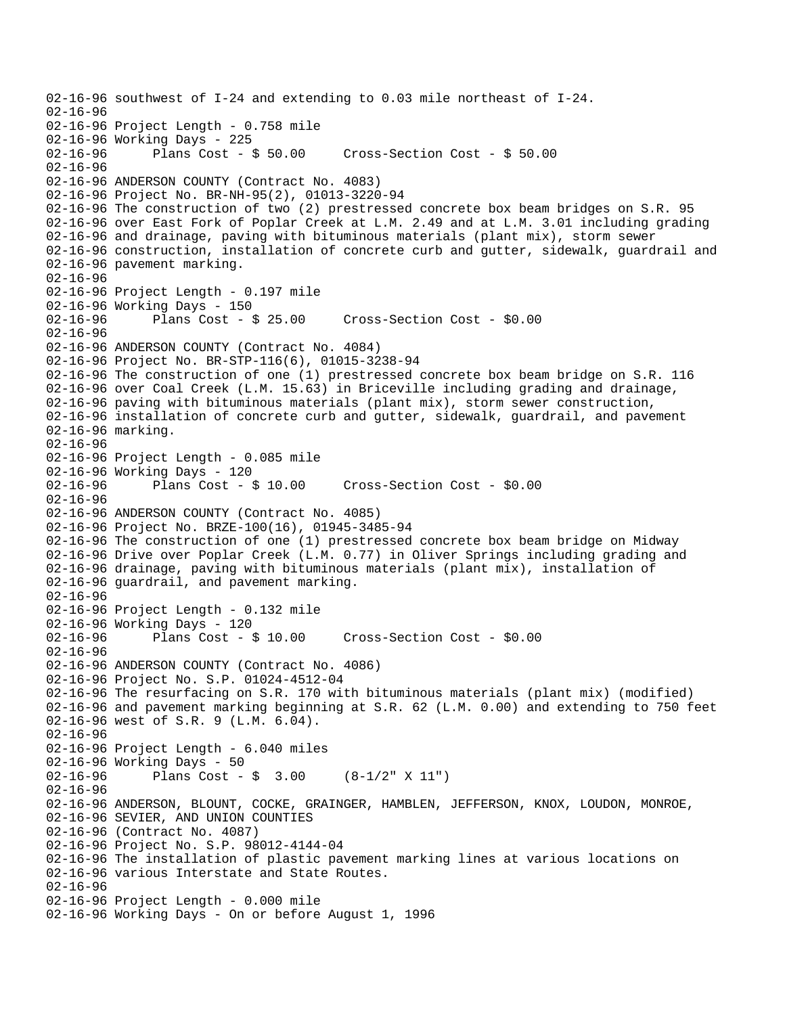```
02-16-96 southwest of I-24 and extending to 0.03 mile northeast of I-24. 
02-16-96 
02-16-96 Project Length - 0.758 mile 
02-16-96 Working Days - 225 
                                       Cross-Section Cost - $ 50.0002-16-96 
02-16-96 ANDERSON COUNTY (Contract No. 4083) 
02-16-96 Project No. BR-NH-95(2), 01013-3220-94 
02-16-96 The construction of two (2) prestressed concrete box beam bridges on S.R. 95 
02-16-96 over East Fork of Poplar Creek at L.M. 2.49 and at L.M. 3.01 including grading 
02-16-96 and drainage, paving with bituminous materials (plant mix), storm sewer 
02-16-96 construction, installation of concrete curb and gutter, sidewalk, guardrail and 
02-16-96 pavement marking. 
02-16-96 
02-16-96 Project Length - 0.197 mile 
02-16-96 Working Days - 150 
02-16-96 Plans Cost - $ 25.00 Cross-Section Cost - $0.00 
02-16-96 
02-16-96 ANDERSON COUNTY (Contract No. 4084) 
02-16-96 Project No. BR-STP-116(6), 01015-3238-94 
02-16-96 The construction of one (1) prestressed concrete box beam bridge on S.R. 116 
02-16-96 over Coal Creek (L.M. 15.63) in Briceville including grading and drainage, 
02-16-96 paving with bituminous materials (plant mix), storm sewer construction, 
02-16-96 installation of concrete curb and gutter, sidewalk, guardrail, and pavement 
02-16-96 marking. 
02-16-96 
02-16-96 Project Length - 0.085 mile 
02-16-96 Working Days - 120 
02-16-96 Plans Cost - $ 10.00 Cross-Section Cost - $0.00 
02-16-96 
02-16-96 ANDERSON COUNTY (Contract No. 4085) 
02-16-96 Project No. BRZE-100(16), 01945-3485-94 
02-16-96 The construction of one (1) prestressed concrete box beam bridge on Midway 
02-16-96 Drive over Poplar Creek (L.M. 0.77) in Oliver Springs including grading and 
02-16-96 drainage, paving with bituminous materials (plant mix), installation of 
02-16-96 guardrail, and pavement marking. 
02-16-96 
02-16-96 Project Length - 0.132 mile 
02-16-96 Working Days - 120 
02-16-96 Plans Cost - $ 10.00 Cross-Section Cost - $0.00 
02 - 16 - 9602-16-96 ANDERSON COUNTY (Contract No. 4086) 
02-16-96 Project No. S.P. 01024-4512-04 
02-16-96 The resurfacing on S.R. 170 with bituminous materials (plant mix) (modified) 
02-16-96 and pavement marking beginning at S.R. 62 (L.M. 0.00) and extending to 750 feet 
02-16-96 west of S.R. 9 (L.M. 6.04). 
02-16-96 
02-16-96 Project Length - 6.040 miles 
02-16-96 Working Days - 50 
02-16-96 Plans Cost - $ 3.00 (8-1/2" X 11") 
02-16-96 
02-16-96 ANDERSON, BLOUNT, COCKE, GRAINGER, HAMBLEN, JEFFERSON, KNOX, LOUDON, MONROE, 
02-16-96 SEVIER, AND UNION COUNTIES 
02-16-96 (Contract No. 4087) 
02-16-96 Project No. S.P. 98012-4144-04 
02-16-96 The installation of plastic pavement marking lines at various locations on 
02-16-96 various Interstate and State Routes. 
02-16-96 
02-16-96 Project Length - 0.000 mile 
02-16-96 Working Days - On or before August 1, 1996
```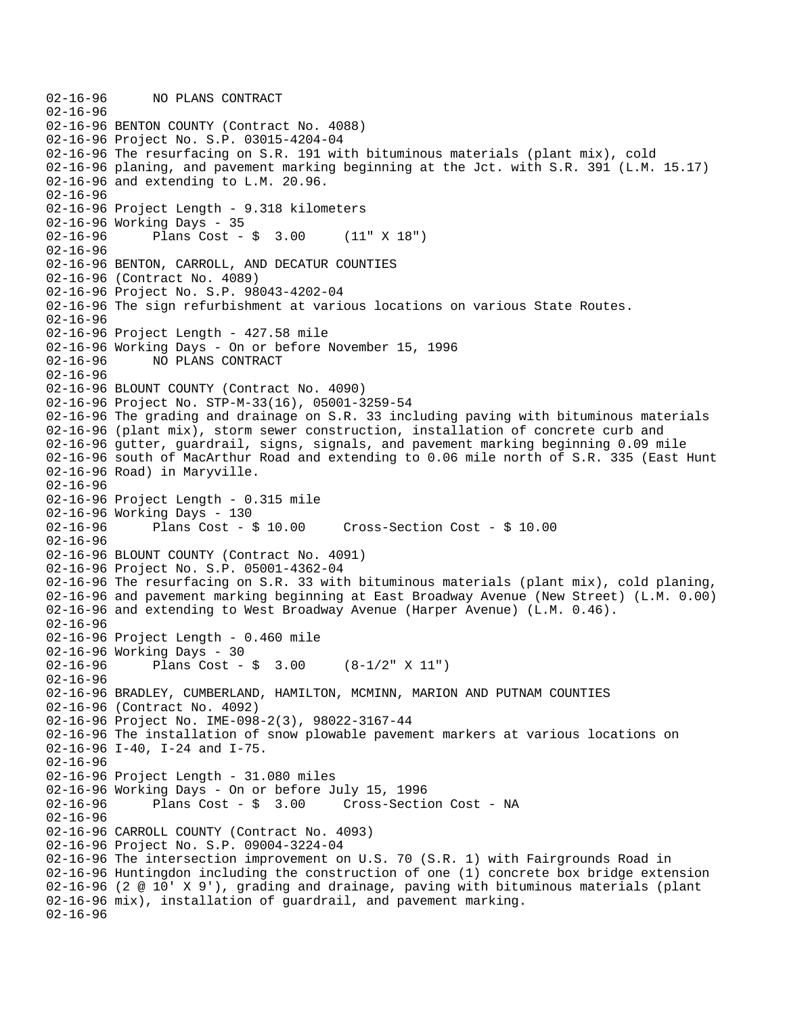```
02-16-96 NO PLANS CONTRACT 
02-16-96 
02-16-96 BENTON COUNTY (Contract No. 4088) 
02-16-96 Project No. S.P. 03015-4204-04 
02-16-96 The resurfacing on S.R. 191 with bituminous materials (plant mix), cold 
02-16-96 planing, and pavement marking beginning at the Jct. with S.R. 391 (L.M. 15.17) 
02-16-96 and extending to L.M. 20.96. 
02-16-96 
02-16-96 Project Length - 9.318 kilometers 
02-16-96 Working Days - 35 
02-16-96 Plans Cost - $ 3.00 (11" X 18") 
02-16-96 
02-16-96 BENTON, CARROLL, AND DECATUR COUNTIES 
02-16-96 (Contract No. 4089) 
02-16-96 Project No. S.P. 98043-4202-04 
02-16-96 The sign refurbishment at various locations on various State Routes. 
02-16-96 
02-16-96 Project Length - 427.58 mile 
02-16-96 Working Days - On or before November 15, 1996 
02-16-96 NO PLANS CONTRACT 
02-16-96 
02-16-96 BLOUNT COUNTY (Contract No. 4090) 
02-16-96 Project No. STP-M-33(16), 05001-3259-54 
02-16-96 The grading and drainage on S.R. 33 including paving with bituminous materials 
02-16-96 (plant mix), storm sewer construction, installation of concrete curb and 
02-16-96 gutter, guardrail, signs, signals, and pavement marking beginning 0.09 mile 
02-16-96 south of MacArthur Road and extending to 0.06 mile north of S.R. 335 (East Hunt 
02-16-96 Road) in Maryville. 
02-16-96 
02-16-96 Project Length - 0.315 mile 
02-16-96 Working Days - 130 
02-16-96 Plans Cost - $ 10.00 Cross-Section Cost - $ 10.00 
02-16-96 
02-16-96 BLOUNT COUNTY (Contract No. 4091) 
02-16-96 Project No. S.P. 05001-4362-04 
02-16-96 The resurfacing on S.R. 33 with bituminous materials (plant mix), cold planing, 
02-16-96 and pavement marking beginning at East Broadway Avenue (New Street) (L.M. 0.00) 
02-16-96 and extending to West Broadway Avenue (Harper Avenue) (L.M. 0.46). 
02-16-96 
02-16-96 Project Length - 0.460 mile 
02-16-96 Working Days - 30 
02-16-96 Plans Cost - $ 3.00 (8-1/2" X 11") 
02-16-96 
02-16-96 BRADLEY, CUMBERLAND, HAMILTON, MCMINN, MARION AND PUTNAM COUNTIES 
02-16-96 (Contract No. 4092) 
02-16-96 Project No. IME-098-2(3), 98022-3167-44 
02-16-96 The installation of snow plowable pavement markers at various locations on 
02-16-96 I-40, I-24 and I-75. 
02-16-96 
02-16-96 Project Length - 31.080 miles 
02-16-96 Working Days - On or before July 15, 1996 
02-16-96 Plans Cost - $ 3.00 Cross-Section Cost - NA 
02-16-96 
02-16-96 CARROLL COUNTY (Contract No. 4093) 
02-16-96 Project No. S.P. 09004-3224-04 
02-16-96 The intersection improvement on U.S. 70 (S.R. 1) with Fairgrounds Road in 
02-16-96 Huntingdon including the construction of one (1) concrete box bridge extension 
02-16-96 (2 @ 10' X 9'), grading and drainage, paving with bituminous materials (plant 
02-16-96 mix), installation of guardrail, and pavement marking. 
02-16-96
```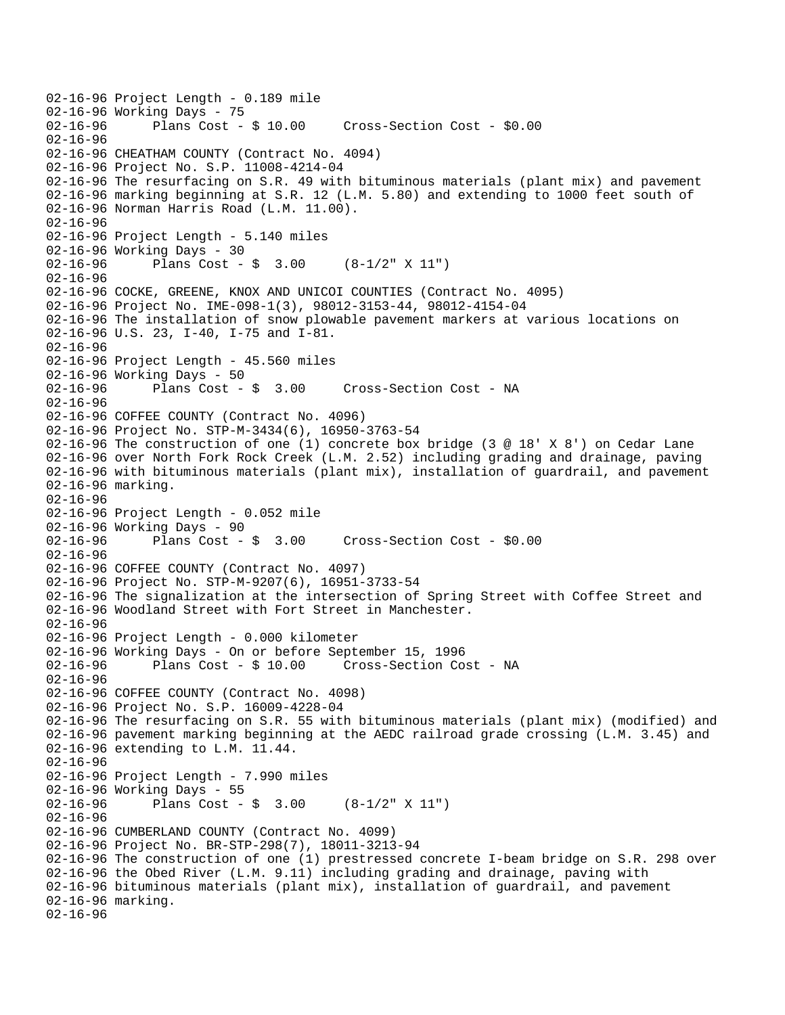```
02-16-96 Project Length - 0.189 mile 
02-16-96 Working Days - 75<br>02-16-96 Plans Cost - $ 10.00
                                        Cross-Section Cost - $0.00
02-16-96 
02-16-96 CHEATHAM COUNTY (Contract No. 4094) 
02-16-96 Project No. S.P. 11008-4214-04 
02-16-96 The resurfacing on S.R. 49 with bituminous materials (plant mix) and pavement 
02-16-96 marking beginning at S.R. 12 (L.M. 5.80) and extending to 1000 feet south of 
02-16-96 Norman Harris Road (L.M. 11.00). 
02-16-96 
02-16-96 Project Length - 5.140 miles 
02-16-96 Working Days - 30 
02-16-96 Plans Cost - $ 3.00 (8-1/2" X 11") 
02-16-96 
02-16-96 COCKE, GREENE, KNOX AND UNICOI COUNTIES (Contract No. 4095) 
02-16-96 Project No. IME-098-1(3), 98012-3153-44, 98012-4154-04 
02-16-96 The installation of snow plowable pavement markers at various locations on 
02-16-96 U.S. 23, I-40, I-75 and I-81. 
02-16-96 
02-16-96 Project Length - 45.560 miles 
02-16-96 Working Days - 50<br>02-16-96 Plans Cost - $ 3.00
02-16-96 Plans Cost - $ 3.00 Cross-Section Cost - NA 
02-16-96 
02-16-96 COFFEE COUNTY (Contract No. 4096) 
02-16-96 Project No. STP-M-3434(6), 16950-3763-54 
02-16-96 The construction of one (1) concrete box bridge (3 @ 18' X 8') on Cedar Lane 
02-16-96 over North Fork Rock Creek (L.M. 2.52) including grading and drainage, paving 
02-16-96 with bituminous materials (plant mix), installation of guardrail, and pavement 
02-16-96 marking. 
02-16-96 
02-16-96 Project Length - 0.052 mile 
02-16-96 Working Days - 90<br>02-16-96 Plans Cost - $ 3.00
                                        Cross-Section Cost - $0.00
02-16-96 
02-16-96 COFFEE COUNTY (Contract No. 4097) 
02-16-96 Project No. STP-M-9207(6), 16951-3733-54 
02-16-96 The signalization at the intersection of Spring Street with Coffee Street and 
02-16-96 Woodland Street with Fort Street in Manchester. 
02-16-96 
02-16-96 Project Length - 0.000 kilometer 
02-16-96 Working Days - On or before September 15, 1996 
02-16-96 Plans Cost - $ 10.00 Cross-Section Cost - NA 
02-16-96 
02-16-96 COFFEE COUNTY (Contract No. 4098) 
02-16-96 Project No. S.P. 16009-4228-04 
02-16-96 The resurfacing on S.R. 55 with bituminous materials (plant mix) (modified) and 
02-16-96 pavement marking beginning at the AEDC railroad grade crossing (L.M. 3.45) and 
02-16-96 extending to L.M. 11.44. 
02-16-96 
02-16-96 Project Length - 7.990 miles
02-16-96 Working Days - 55 
02-16-96 Plans Cost - $ 3.00 (8-1/2" X 11") 
02-16-96 
02-16-96 CUMBERLAND COUNTY (Contract No. 4099) 
02-16-96 Project No. BR-STP-298(7), 18011-3213-94 
02-16-96 The construction of one (1) prestressed concrete I-beam bridge on S.R. 298 over 
02-16-96 the Obed River (L.M. 9.11) including grading and drainage, paving with 
02-16-96 bituminous materials (plant mix), installation of guardrail, and pavement 
02-16-96 marking. 
02-16-96
```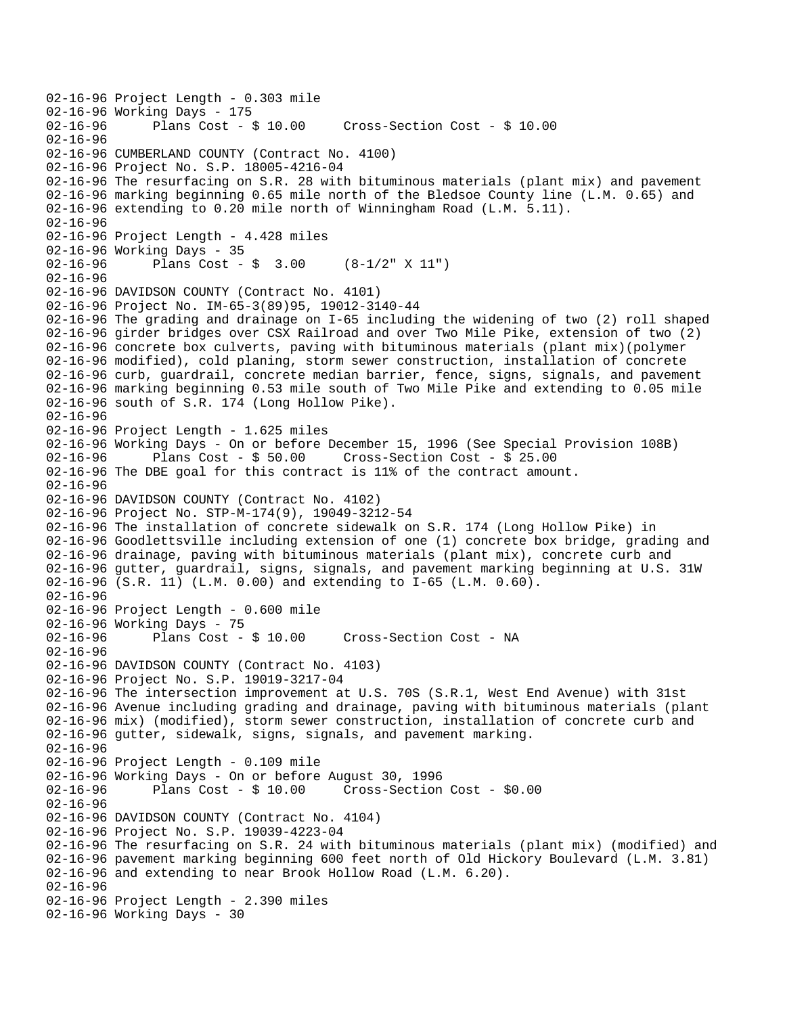02-16-96 Project Length - 0.303 mile 02-16-96 Working Days - 175 02-16-96 Plans Cost - \$ 10.00 Cross-Section Cost - \$ 10.00 02-16-96 02-16-96 CUMBERLAND COUNTY (Contract No. 4100) 02-16-96 Project No. S.P. 18005-4216-04 02-16-96 The resurfacing on S.R. 28 with bituminous materials (plant mix) and pavement 02-16-96 marking beginning 0.65 mile north of the Bledsoe County line (L.M. 0.65) and 02-16-96 extending to 0.20 mile north of Winningham Road (L.M. 5.11). 02-16-96 02-16-96 Project Length - 4.428 miles 02-16-96 Working Days - 35 02-16-96 Plans Cost - \$ 3.00 (8-1/2" X 11") 02-16-96 02-16-96 DAVIDSON COUNTY (Contract No. 4101) 02-16-96 Project No. IM-65-3(89)95, 19012-3140-44 02-16-96 The grading and drainage on I-65 including the widening of two (2) roll shaped 02-16-96 girder bridges over CSX Railroad and over Two Mile Pike, extension of two (2) 02-16-96 concrete box culverts, paving with bituminous materials (plant mix)(polymer 02-16-96 modified), cold planing, storm sewer construction, installation of concrete 02-16-96 curb, guardrail, concrete median barrier, fence, signs, signals, and pavement 02-16-96 marking beginning 0.53 mile south of Two Mile Pike and extending to 0.05 mile 02-16-96 south of S.R. 174 (Long Hollow Pike). 02-16-96 02-16-96 Project Length - 1.625 miles 02-16-96 Working Days - On or before December 15, 1996 (See Special Provision 108B) 02-16-96 Plans Cost - \$ 50.00 Cross-Section Cost - \$ 25.00 02-16-96 The DBE goal for this contract is 11% of the contract amount. 02-16-96 02-16-96 DAVIDSON COUNTY (Contract No. 4102) 02-16-96 Project No. STP-M-174(9), 19049-3212-54 02-16-96 The installation of concrete sidewalk on S.R. 174 (Long Hollow Pike) in 02-16-96 Goodlettsville including extension of one (1) concrete box bridge, grading and 02-16-96 drainage, paving with bituminous materials (plant mix), concrete curb and 02-16-96 gutter, guardrail, signs, signals, and pavement marking beginning at U.S. 31W 02-16-96 (S.R. 11) (L.M. 0.00) and extending to I-65 (L.M. 0.60). 02-16-96 02-16-96 Project Length - 0.600 mile 02-16-96 Working Days - 75 02-16-96 Plans Cost - \$ 10.00 Cross-Section Cost - NA  $02 - 16 - 96$ 02-16-96 DAVIDSON COUNTY (Contract No. 4103) 02-16-96 Project No. S.P. 19019-3217-04 02-16-96 The intersection improvement at U.S. 70S (S.R.1, West End Avenue) with 31st 02-16-96 Avenue including grading and drainage, paving with bituminous materials (plant 02-16-96 mix) (modified), storm sewer construction, installation of concrete curb and 02-16-96 gutter, sidewalk, signs, signals, and pavement marking. 02-16-96 02-16-96 Project Length - 0.109 mile 02-16-96 Working Days - On or before August 30, 1996 Plans  $Cost - $ 10.00$  Cross-Section Cost -  $$0.00$ 02-16-96 02-16-96 DAVIDSON COUNTY (Contract No. 4104) 02-16-96 Project No. S.P. 19039-4223-04 02-16-96 The resurfacing on S.R. 24 with bituminous materials (plant mix) (modified) and 02-16-96 pavement marking beginning 600 feet north of Old Hickory Boulevard (L.M. 3.81) 02-16-96 and extending to near Brook Hollow Road (L.M. 6.20). 02-16-96 02-16-96 Project Length - 2.390 miles 02-16-96 Working Days - 30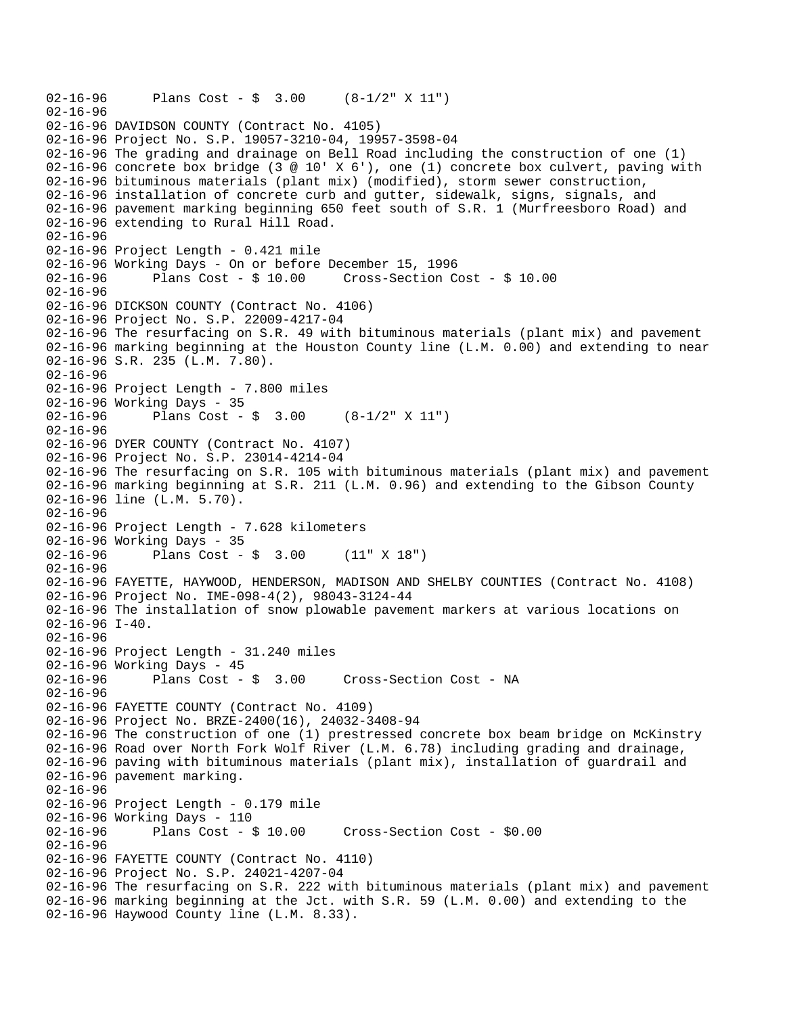```
02-16-96 Plans Cost - $ 3.00 (8-1/2" X 11") 
02-16-96 
02-16-96 DAVIDSON COUNTY (Contract No. 4105) 
02-16-96 Project No. S.P. 19057-3210-04, 19957-3598-04 
02-16-96 The grading and drainage on Bell Road including the construction of one (1) 
02-16-96 concrete box bridge (3 @ 10' X 6'), one (1) concrete box culvert, paving with
02-16-96 bituminous materials (plant mix) (modified), storm sewer construction, 
02-16-96 installation of concrete curb and gutter, sidewalk, signs, signals, and 
02-16-96 pavement marking beginning 650 feet south of S.R. 1 (Murfreesboro Road) and 
02-16-96 extending to Rural Hill Road. 
02-16-96 
02-16-96 Project Length - 0.421 mile 
02-16-96 Working Days - On or before December 15, 1996 
02-16-96 Plans Cost - $ 10.00 Cross-Section Cost - $ 10.00 
02-16-96 
02-16-96 DICKSON COUNTY (Contract No. 4106) 
02-16-96 Project No. S.P. 22009-4217-04 
02-16-96 The resurfacing on S.R. 49 with bituminous materials (plant mix) and pavement 
02-16-96 marking beginning at the Houston County line (L.M. 0.00) and extending to near 
02-16-96 S.R. 235 (L.M. 7.80). 
02-16-96 
02-16-96 Project Length - 7.800 miles 
02-16-96 Working Days - 35 
02-16-96 Plans Cost - $ 3.00 (8-1/2" X 11") 
02-16-96 
02-16-96 DYER COUNTY (Contract No. 4107) 
02-16-96 Project No. S.P. 23014-4214-04 
02-16-96 The resurfacing on S.R. 105 with bituminous materials (plant mix) and pavement 
02-16-96 marking beginning at S.R. 211 (L.M. 0.96) and extending to the Gibson County 
02-16-96 line (L.M. 5.70). 
02-16-96 
02-16-96 Project Length - 7.628 kilometers 
02-16-96 Working Days - 35 
02-16-96 Plans Cost - $ 3.00 (11" X 18") 
02-16-96 
02-16-96 FAYETTE, HAYWOOD, HENDERSON, MADISON AND SHELBY COUNTIES (Contract No. 4108) 
02-16-96 Project No. IME-098-4(2), 98043-3124-44 
02-16-96 The installation of snow plowable pavement markers at various locations on 
02-16-96 I-40. 
02-16-96 
02-16-96 Project Length - 31.240 miles 
02-16-96 Working Days - 45 
02-16-96 Plans Cost - $ 3.00 Cross-Section Cost - NA 
02-16-96 
02-16-96 FAYETTE COUNTY (Contract No. 4109) 
02-16-96 Project No. BRZE-2400(16), 24032-3408-94 
02-16-96 The construction of one (1) prestressed concrete box beam bridge on McKinstry 
02-16-96 Road over North Fork Wolf River (L.M. 6.78) including grading and drainage, 
02-16-96 paving with bituminous materials (plant mix), installation of guardrail and 
02-16-96 pavement marking. 
02-16-96 
02-16-96 Project Length - 0.179 mile 
02-16-96 Working Days - 110 
02-16-96 Plans Cost - $ 10.00 Cross-Section Cost - $0.00 
02-16-96 
02-16-96 FAYETTE COUNTY (Contract No. 4110) 
02-16-96 Project No. S.P. 24021-4207-04 
02-16-96 The resurfacing on S.R. 222 with bituminous materials (plant mix) and pavement 
02-16-96 marking beginning at the Jct. with S.R. 59 (L.M. 0.00) and extending to the 
02-16-96 Haywood County line (L.M. 8.33).
```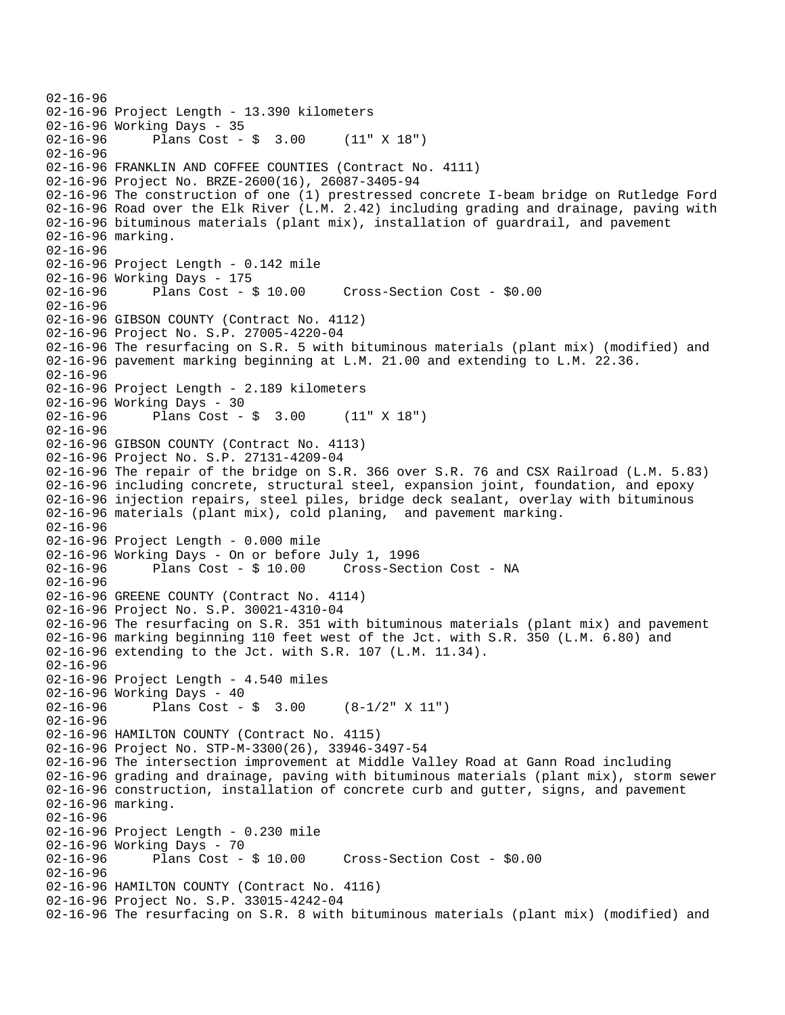```
02-16-96 
02-16-96 Project Length - 13.390 kilometers 
02-16-96 Working Days - 35 
02-16-96 Plans Cost - $ 3.00 (11" X 18") 
02-16-96 
02-16-96 FRANKLIN AND COFFEE COUNTIES (Contract No. 4111) 
02-16-96 Project No. BRZE-2600(16), 26087-3405-94 
02-16-96 The construction of one (1) prestressed concrete I-beam bridge on Rutledge Ford 
02-16-96 Road over the Elk River (L.M. 2.42) including grading and drainage, paving with 
02-16-96 bituminous materials (plant mix), installation of guardrail, and pavement 
02-16-96 marking. 
02-16-96 
02-16-96 Project Length - 0.142 mile 
02-16-96 Working Days - 175 
02-16-96 Plans Cost - $ 10.00 Cross-Section Cost - $0.00 
02 - 16 - 9602-16-96 GIBSON COUNTY (Contract No. 4112) 
02-16-96 Project No. S.P. 27005-4220-04 
02-16-96 The resurfacing on S.R. 5 with bituminous materials (plant mix) (modified) and 
02-16-96 pavement marking beginning at L.M. 21.00 and extending to L.M. 22.36. 
02-16-96 
02-16-96 Project Length - 2.189 kilometers 
02-16-96 Working Days - 30 
02-16-96 Plans Cost - $ 3.00 (11" X 18") 
02-16-96 
02-16-96 GIBSON COUNTY (Contract No. 4113) 
02-16-96 Project No. S.P. 27131-4209-04 
02-16-96 The repair of the bridge on S.R. 366 over S.R. 76 and CSX Railroad (L.M. 5.83) 
02-16-96 including concrete, structural steel, expansion joint, foundation, and epoxy 
02-16-96 injection repairs, steel piles, bridge deck sealant, overlay with bituminous 
02-16-96 materials (plant mix), cold planing, and pavement marking. 
02-16-96 
02-16-96 Project Length - 0.000 mile 
02-16-96 Working Days - On or before July 1, 1996 
                                      Cross-Section Cost - NA
02 - 16 - 9602-16-96 GREENE COUNTY (Contract No. 4114) 
02-16-96 Project No. S.P. 30021-4310-04 
02-16-96 The resurfacing on S.R. 351 with bituminous materials (plant mix) and pavement 
02-16-96 marking beginning 110 feet west of the Jct. with S.R. 350 (L.M. 6.80) and 
02-16-96 extending to the Jct. with S.R. 107 (L.M. 11.34). 
02-16-96 
02-16-96 Project Length - 4.540 miles 
02-16-96 Working Days - 40 
02-16-96 Plans Cost - $ 3.00 (8-1/2" \times 11")02-16-96 
02-16-96 HAMILTON COUNTY (Contract No. 4115) 
02-16-96 Project No. STP-M-3300(26), 33946-3497-54 
02-16-96 The intersection improvement at Middle Valley Road at Gann Road including 
02-16-96 grading and drainage, paving with bituminous materials (plant mix), storm sewer 
02-16-96 construction, installation of concrete curb and gutter, signs, and pavement 
02-16-96 marking. 
02-16-96 
02-16-96 Project Length - 0.230 mile 
02-16-96 Working Days - 70<br>02-16-96 Plans Cost - $ 10.00
02-16-96 Plans Cost - $ 10.00 Cross-Section Cost - $0.00 
02-16-96 
02-16-96 HAMILTON COUNTY (Contract No. 4116) 
02-16-96 Project No. S.P. 33015-4242-04 
02-16-96 The resurfacing on S.R. 8 with bituminous materials (plant mix) (modified) and
```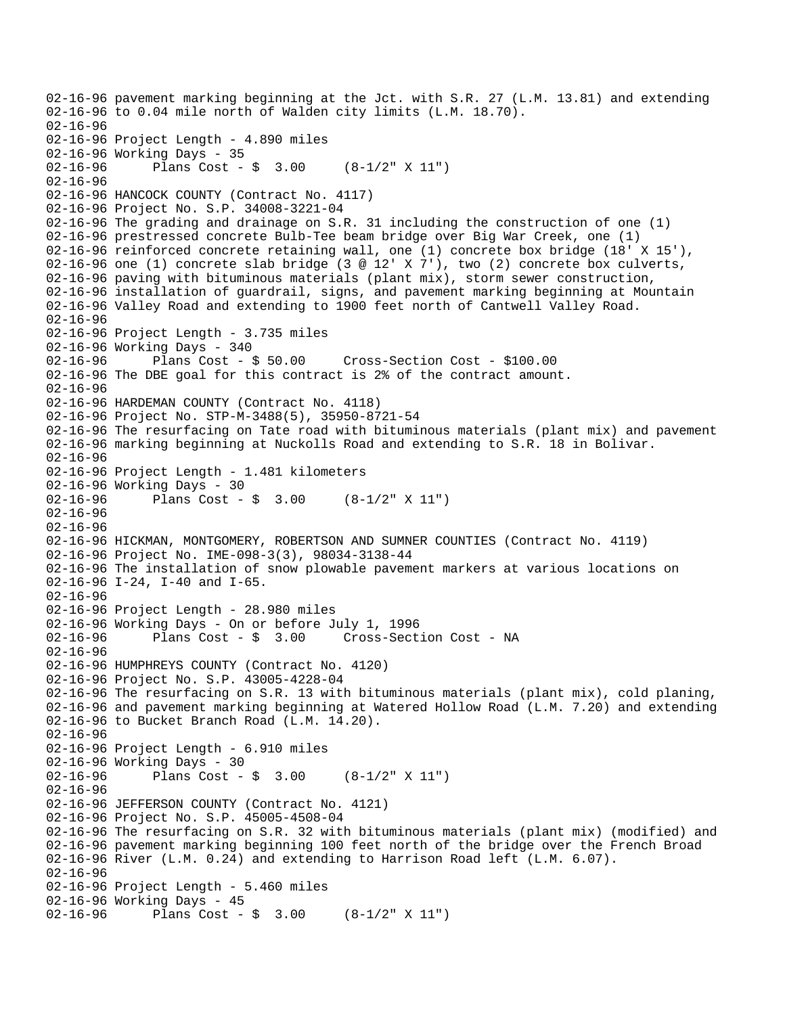```
02-16-96 pavement marking beginning at the Jct. with S.R. 27 (L.M. 13.81) and extending 
02-16-96 to 0.04 mile north of Walden city limits (L.M. 18.70). 
02-16-96 
02-16-96 Project Length - 4.890 miles 
02-16-96 Working Days - 35 
02-16-96 Plans Cost - $ 3.00 (8-1/2" X 11") 
02-16-96 
02-16-96 HANCOCK COUNTY (Contract No. 4117) 
02-16-96 Project No. S.P. 34008-3221-04 
02-16-96 The grading and drainage on S.R. 31 including the construction of one (1) 
02-16-96 prestressed concrete Bulb-Tee beam bridge over Big War Creek, one (1) 
02-16-96 reinforced concrete retaining wall, one (1) concrete box bridge (18' X 15'), 
02-16-96 one (1) concrete slab bridge (3 @ 12' X 7'), two (2) concrete box culverts,
02-16-96 paving with bituminous materials (plant mix), storm sewer construction, 
02-16-96 installation of guardrail, signs, and pavement marking beginning at Mountain 
02-16-96 Valley Road and extending to 1900 feet north of Cantwell Valley Road. 
02-16-96 
02-16-96 Project Length - 3.735 miles
02-16-96 Working Days - 340 
02-16-96 Plans Cost - $ 50.00 Cross-Section Cost - $100.00 
02-16-96 The DBE goal for this contract is 2% of the contract amount. 
02-16-96 
02-16-96 HARDEMAN COUNTY (Contract No. 4118) 
02-16-96 Project No. STP-M-3488(5), 35950-8721-54 
02-16-96 The resurfacing on Tate road with bituminous materials (plant mix) and pavement 
02-16-96 marking beginning at Nuckolls Road and extending to S.R. 18 in Bolivar. 
02-16-96 
02-16-96 Project Length - 1.481 kilometers 
02-16-96 Working Days - 30 
02-16-96 Plans Cost - $ 3.00 (8-1/2" X 11") 
02-16-96 
02-16-96 
02-16-96 HICKMAN, MONTGOMERY, ROBERTSON AND SUMNER COUNTIES (Contract No. 4119) 
02-16-96 Project No. IME-098-3(3), 98034-3138-44 
02-16-96 The installation of snow plowable pavement markers at various locations on 
02-16-96 I-24, I-40 and I-65. 
02-16-96 
02-16-96 Project Length - 28.980 miles 
02-16-96 Working Days - On or before July 1, 1996 
02-16-96 Plans Cost - $ 3.00 Cross-Section Cost - NA 
02 - 16 - 9602-16-96 HUMPHREYS COUNTY (Contract No. 4120) 
02-16-96 Project No. S.P. 43005-4228-04 
02-16-96 The resurfacing on S.R. 13 with bituminous materials (plant mix), cold planing, 
02-16-96 and pavement marking beginning at Watered Hollow Road (L.M. 7.20) and extending 
02-16-96 to Bucket Branch Road (L.M. 14.20). 
02-16-96 
02-16-96 Project Length - 6.910 miles 
02-16-96 Working Days - 30 
02-16-96 Plans Cost - $ 3.00 (8-1/2" X 11") 
02-16-96 
02-16-96 JEFFERSON COUNTY (Contract No. 4121) 
02-16-96 Project No. S.P. 45005-4508-04 
02-16-96 The resurfacing on S.R. 32 with bituminous materials (plant mix) (modified) and 
02-16-96 pavement marking beginning 100 feet north of the bridge over the French Broad 
02-16-96 River (L.M. 0.24) and extending to Harrison Road left (L.M. 6.07). 
02-16-96 
02-16-96 Project Length - 5.460 miles 
02-16-96 Working Days - 45 
02-16-96 Plans Cost - $ 3.00 (8-1/2" X 11")
```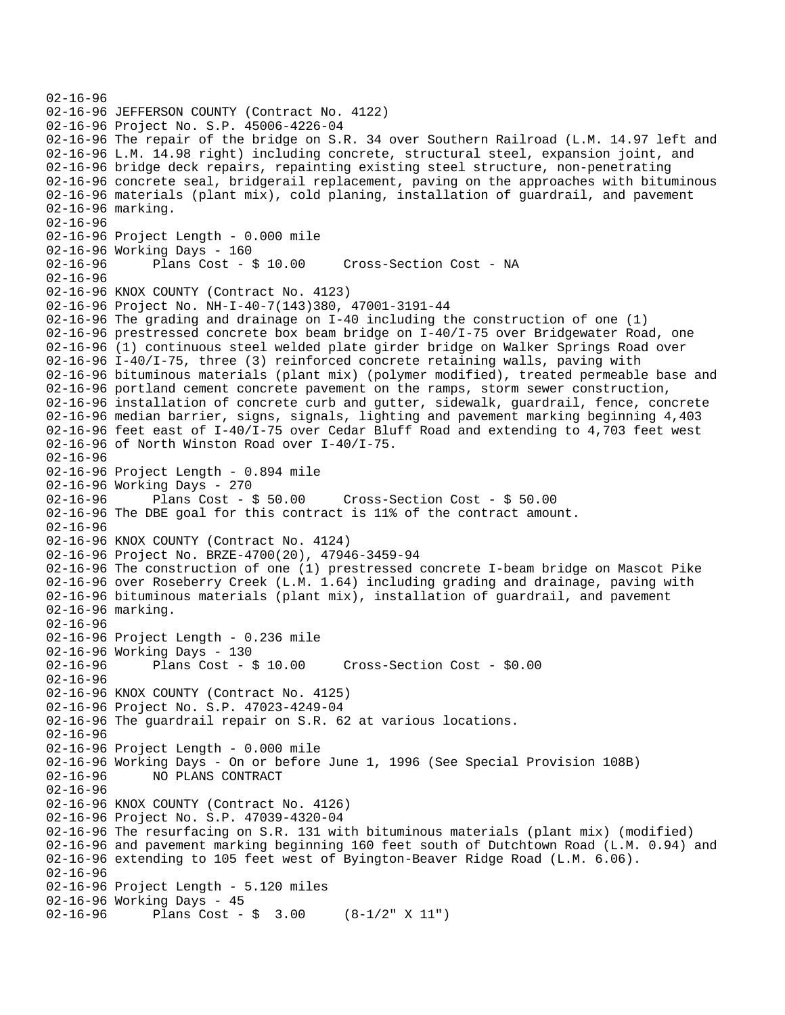02-16-96 02-16-96 JEFFERSON COUNTY (Contract No. 4122) 02-16-96 Project No. S.P. 45006-4226-04 02-16-96 The repair of the bridge on S.R. 34 over Southern Railroad (L.M. 14.97 left and 02-16-96 L.M. 14.98 right) including concrete, structural steel, expansion joint, and 02-16-96 bridge deck repairs, repainting existing steel structure, non-penetrating 02-16-96 concrete seal, bridgerail replacement, paving on the approaches with bituminous 02-16-96 materials (plant mix), cold planing, installation of guardrail, and pavement 02-16-96 marking. 02-16-96 02-16-96 Project Length - 0.000 mile 02-16-96 Working Days - 160 02-16-96 Plans Cost - \$ 10.00 Cross-Section Cost - NA 02-16-96 02-16-96 KNOX COUNTY (Contract No. 4123) 02-16-96 Project No. NH-I-40-7(143)380, 47001-3191-44 02-16-96 The grading and drainage on I-40 including the construction of one (1) 02-16-96 prestressed concrete box beam bridge on I-40/I-75 over Bridgewater Road, one 02-16-96 (1) continuous steel welded plate girder bridge on Walker Springs Road over 02-16-96 I-40/I-75, three (3) reinforced concrete retaining walls, paving with 02-16-96 bituminous materials (plant mix) (polymer modified), treated permeable base and 02-16-96 portland cement concrete pavement on the ramps, storm sewer construction, 02-16-96 installation of concrete curb and gutter, sidewalk, guardrail, fence, concrete 02-16-96 median barrier, signs, signals, lighting and pavement marking beginning 4,403 02-16-96 feet east of I-40/I-75 over Cedar Bluff Road and extending to 4,703 feet west 02-16-96 of North Winston Road over I-40/I-75. 02-16-96 02-16-96 Project Length - 0.894 mile 02-16-96 Working Days - 270<br>02-16-96 Plans Cost - \$ 50.00 02-16-96 Plans Cost - \$ 50.00 Cross-Section Cost - \$ 50.00 02-16-96 The DBE goal for this contract is 11% of the contract amount. 02-16-96 02-16-96 KNOX COUNTY (Contract No. 4124) 02-16-96 Project No. BRZE-4700(20), 47946-3459-94 02-16-96 The construction of one (1) prestressed concrete I-beam bridge on Mascot Pike 02-16-96 over Roseberry Creek (L.M. 1.64) including grading and drainage, paving with 02-16-96 bituminous materials (plant mix), installation of guardrail, and pavement 02-16-96 marking. 02-16-96 02-16-96 Project Length - 0.236 mile 02-16-96 Working Days - 130 02-16-96 Plans Cost - \$ 10.00 Cross-Section Cost - \$0.00 02-16-96 02-16-96 KNOX COUNTY (Contract No. 4125) 02-16-96 Project No. S.P. 47023-4249-04 02-16-96 The guardrail repair on S.R. 62 at various locations. 02-16-96 02-16-96 Project Length - 0.000 mile 02-16-96 Working Days - On or before June 1, 1996 (See Special Provision 108B) 02-16-96 NO PLANS CONTRACT 02-16-96 02-16-96 KNOX COUNTY (Contract No. 4126) 02-16-96 Project No. S.P. 47039-4320-04 02-16-96 The resurfacing on S.R. 131 with bituminous materials (plant mix) (modified) 02-16-96 and pavement marking beginning 160 feet south of Dutchtown Road (L.M. 0.94) and 02-16-96 extending to 105 feet west of Byington-Beaver Ridge Road (L.M. 6.06). 02-16-96 02-16-96 Project Length - 5.120 miles 02-16-96 Working Days - 45 02-16-96 Plans Cost - \$ 3.00 (8-1/2" X 11")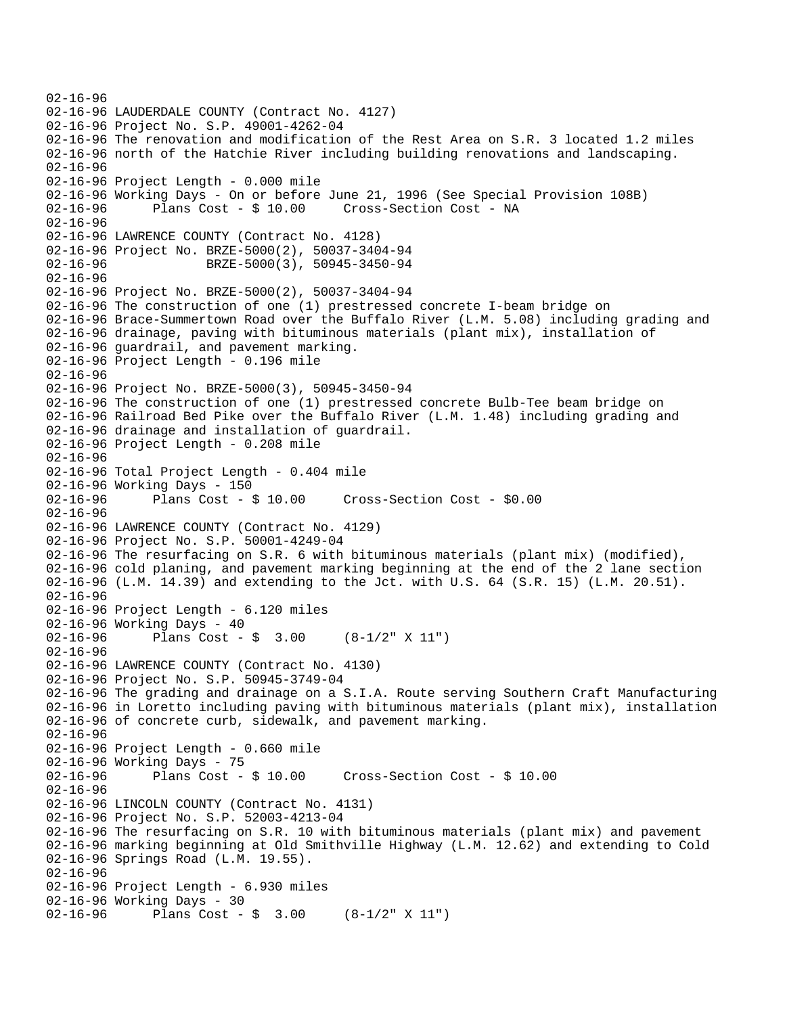```
02-16-96 
02-16-96 LAUDERDALE COUNTY (Contract No. 4127) 
02-16-96 Project No. S.P. 49001-4262-04 
02-16-96 The renovation and modification of the Rest Area on S.R. 3 located 1.2 miles 
02-16-96 north of the Hatchie River including building renovations and landscaping. 
02-16-96 
02-16-96 Project Length - 0.000 mile 
02-16-96 Working Days - On or before June 21, 1996 (See Special Provision 108B) 
02-16-96 Plans Cost - $ 10.00 Cross-Section Cost - NA 
02-16-96 
02-16-96 LAWRENCE COUNTY (Contract No. 4128) 
02-16-96 Project No. BRZE-5000(2), 50037-3404-94 
02-16-96 BRZE-5000(3), 50945-3450-94
02-16-96 
02-16-96 Project No. BRZE-5000(2), 50037-3404-94 
02-16-96 The construction of one (1) prestressed concrete I-beam bridge on 
02-16-96 Brace-Summertown Road over the Buffalo River (L.M. 5.08) including grading and 
02-16-96 drainage, paving with bituminous materials (plant mix), installation of 
02-16-96 guardrail, and pavement marking. 
02-16-96 Project Length - 0.196 mile 
02-16-96 
02-16-96 Project No. BRZE-5000(3), 50945-3450-94 
02-16-96 The construction of one (1) prestressed concrete Bulb-Tee beam bridge on 
02-16-96 Railroad Bed Pike over the Buffalo River (L.M. 1.48) including grading and 
02-16-96 drainage and installation of guardrail. 
02-16-96 Project Length - 0.208 mile 
02-16-96 
02-16-96 Total Project Length - 0.404 mile 
02-16-96 Working Days - 150<br>02-16-96 Plans Cost - $ 10.00
02-16-96 Plans Cost - $ 10.00 Cross-Section Cost - $0.00 
02-16-96 
02-16-96 LAWRENCE COUNTY (Contract No. 4129) 
02-16-96 Project No. S.P. 50001-4249-04 
02-16-96 The resurfacing on S.R. 6 with bituminous materials (plant mix) (modified), 
02-16-96 cold planing, and pavement marking beginning at the end of the 2 lane section 
02-16-96 (L.M. 14.39) and extending to the Jct. with U.S. 64 (S.R. 15) (L.M. 20.51). 
02-16-96 
02-16-96 Project Length - 6.120 miles 
02-16-96 Working Days - 40 
02-16-96 Plans Cost - $ 3.00 (8-1/2" X 11") 
02 - 16 - 9602-16-96 LAWRENCE COUNTY (Contract No. 4130) 
02-16-96 Project No. S.P. 50945-3749-04 
02-16-96 The grading and drainage on a S.I.A. Route serving Southern Craft Manufacturing 
02-16-96 in Loretto including paving with bituminous materials (plant mix), installation 
02-16-96 of concrete curb, sidewalk, and pavement marking. 
02-16-96 
02-16-96 Project Length - 0.660 mile 
02-16-96 Working Days - 75<br>02-16-96 Plans Cost - $ 10.00
02-16-96 Plans Cost - $ 10.00 Cross-Section Cost - $ 10.00 
02-16-96 
02-16-96 LINCOLN COUNTY (Contract No. 4131) 
02-16-96 Project No. S.P. 52003-4213-04 
02-16-96 The resurfacing on S.R. 10 with bituminous materials (plant mix) and pavement 
02-16-96 marking beginning at Old Smithville Highway (L.M. 12.62) and extending to Cold 
02-16-96 Springs Road (L.M. 19.55). 
02-16-96 
02-16-96 Project Length - 6.930 miles 
02-16-96 Working Days - 30 
02-16-96 Plans Cost - $ 3.00 (8-1/2" X 11")
```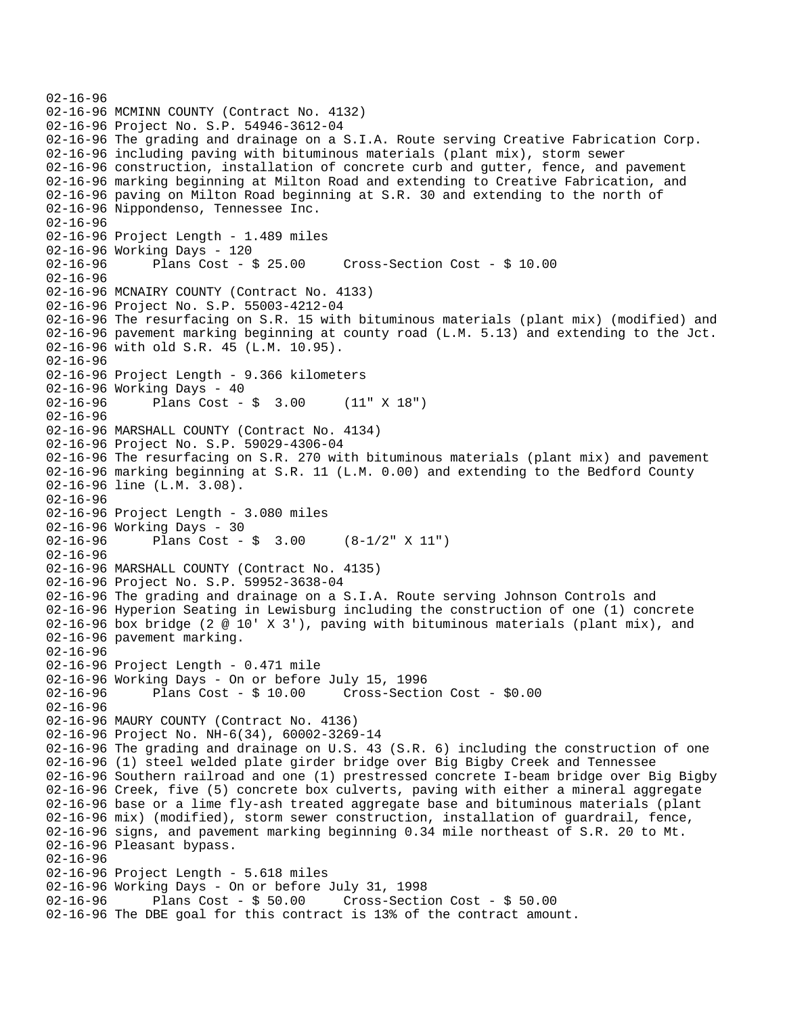```
02-16-96 
02-16-96 MCMINN COUNTY (Contract No. 4132) 
02-16-96 Project No. S.P. 54946-3612-04 
02-16-96 The grading and drainage on a S.I.A. Route serving Creative Fabrication Corp. 
02-16-96 including paving with bituminous materials (plant mix), storm sewer 
02-16-96 construction, installation of concrete curb and gutter, fence, and pavement 
02-16-96 marking beginning at Milton Road and extending to Creative Fabrication, and 
02-16-96 paving on Milton Road beginning at S.R. 30 and extending to the north of 
02-16-96 Nippondenso, Tennessee Inc. 
02-16-96 
02-16-96 Project Length - 1.489 miles 
02-16-96 Working Days - 120 
02-16-96 Plans Cost - $ 25.00 Cross-Section Cost - $ 10.00 
02-16-96 
02-16-96 MCNAIRY COUNTY (Contract No. 4133) 
02-16-96 Project No. S.P. 55003-4212-04 
02-16-96 The resurfacing on S.R. 15 with bituminous materials (plant mix) (modified) and 
02-16-96 pavement marking beginning at county road (L.M. 5.13) and extending to the Jct. 
02-16-96 with old S.R. 45 (L.M. 10.95). 
02-16-96 
02-16-96 Project Length - 9.366 kilometers 
02-16-96 Working Days - 40 
02-16-96 Plans Cost - $ 3.00 (11" X 18") 
02-16-96 
02-16-96 MARSHALL COUNTY (Contract No. 4134) 
02-16-96 Project No. S.P. 59029-4306-04 
02-16-96 The resurfacing on S.R. 270 with bituminous materials (plant mix) and pavement 
02-16-96 marking beginning at S.R. 11 (L.M. 0.00) and extending to the Bedford County 
02-16-96 line (L.M. 3.08). 
02-16-96 
02-16-96 Project Length - 3.080 miles 
02-16-96 Working Days - 30<br>02-16-96 Plans Cost -
              Plans Cost - \sin 3.00 (8-1/2" X 11")
02-16-96 
02-16-96 MARSHALL COUNTY (Contract No. 4135) 
02-16-96 Project No. S.P. 59952-3638-04 
02-16-96 The grading and drainage on a S.I.A. Route serving Johnson Controls and 
02-16-96 Hyperion Seating in Lewisburg including the construction of one (1) concrete 
02-16-96 box bridge (2 @ 10' X 3'), paving with bituminous materials (plant mix), and 
02-16-96 pavement marking. 
02-16-96 
02-16-96 Project Length - 0.471 mile 
02-16-96 Working Days - On or before July 15, 1996 
02-16-96 Plans Cost - $ 10.00 Cross-Section Cost - $0.00 
02-16-96 
02-16-96 MAURY COUNTY (Contract No. 4136) 
02-16-96 Project No. NH-6(34), 60002-3269-14 
02-16-96 The grading and drainage on U.S. 43 (S.R. 6) including the construction of one 
02-16-96 (1) steel welded plate girder bridge over Big Bigby Creek and Tennessee 
02-16-96 Southern railroad and one (1) prestressed concrete I-beam bridge over Big Bigby 
02-16-96 Creek, five (5) concrete box culverts, paving with either a mineral aggregate 
02-16-96 base or a lime fly-ash treated aggregate base and bituminous materials (plant 
02-16-96 mix) (modified), storm sewer construction, installation of guardrail, fence, 
02-16-96 signs, and pavement marking beginning 0.34 mile northeast of S.R. 20 to Mt. 
02-16-96 Pleasant bypass. 
02-16-96 
02-16-96 Project Length - 5.618 miles 
02-16-96 Working Days - On or before July 31, 1998 
                                      Cross-Section Cost - $ 50.0002-16-96 The DBE goal for this contract is 13% of the contract amount.
```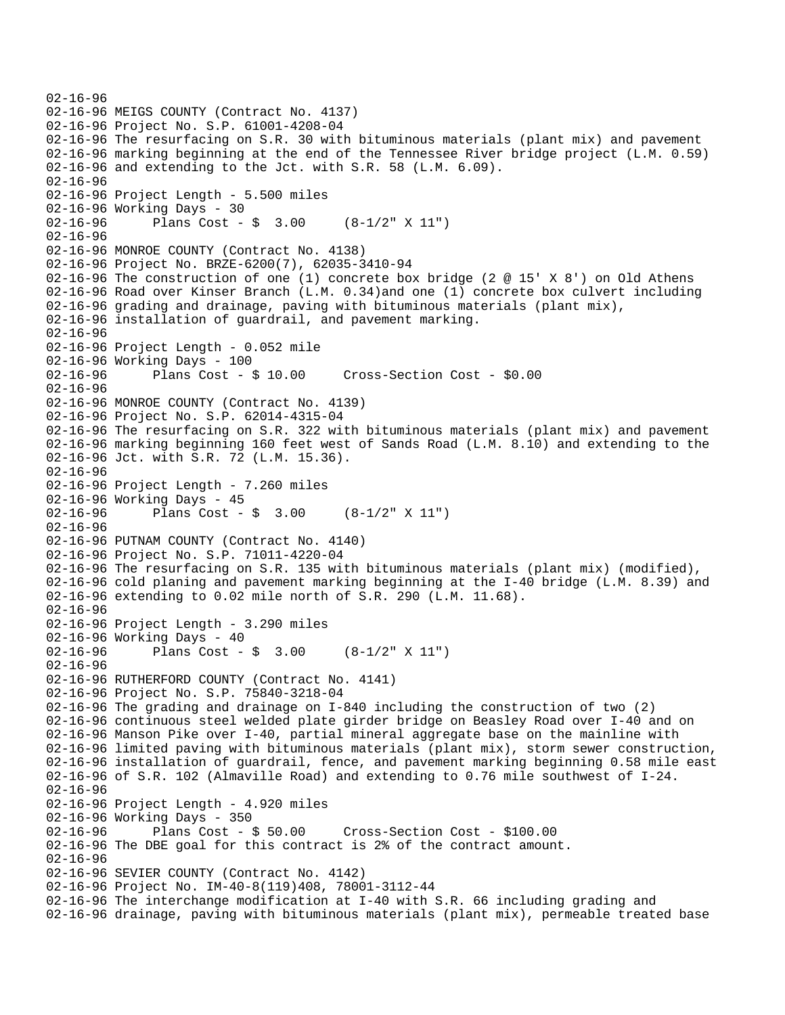```
02-16-96 
02-16-96 MEIGS COUNTY (Contract No. 4137) 
02-16-96 Project No. S.P. 61001-4208-04 
02-16-96 The resurfacing on S.R. 30 with bituminous materials (plant mix) and pavement 
02-16-96 marking beginning at the end of the Tennessee River bridge project (L.M. 0.59) 
02-16-96 and extending to the Jct. with S.R. 58 (L.M. 6.09). 
02-16-96 
02-16-96 Project Length - 5.500 miles 
02-16-96 Working Days - 30 
02-16-96 Plans Cost - $ 3.00 (8-1/2" \times 11")02-16-96 
02-16-96 MONROE COUNTY (Contract No. 4138) 
02-16-96 Project No. BRZE-6200(7), 62035-3410-94 
02-16-96 The construction of one (1) concrete box bridge (2 @ 15' X 8') on Old Athens 
02-16-96 Road over Kinser Branch (L.M. 0.34)and one (1) concrete box culvert including 
02-16-96 grading and drainage, paving with bituminous materials (plant mix), 
02-16-96 installation of guardrail, and pavement marking. 
02-16-96 
02-16-96 Project Length - 0.052 mile 
02-16-96 Working Days - 100 
02-16-96 Plans Cost - $ 10.00 Cross-Section Cost - $0.00 
02-16-96 
02-16-96 MONROE COUNTY (Contract No. 4139) 
02-16-96 Project No. S.P. 62014-4315-04 
02-16-96 The resurfacing on S.R. 322 with bituminous materials (plant mix) and pavement 
02-16-96 marking beginning 160 feet west of Sands Road (L.M. 8.10) and extending to the 
02-16-96 Jct. with S.R. 72 (L.M. 15.36). 
02-16-96 
02-16-96 Project Length - 7.260 miles 
02-16-96 Working Days - 45 
02-16-96 Plans Cost - $ 3.00 (8-1/2" X 11") 
02-16-96 
02-16-96 PUTNAM COUNTY (Contract No. 4140) 
02-16-96 Project No. S.P. 71011-4220-04 
02-16-96 The resurfacing on S.R. 135 with bituminous materials (plant mix) (modified), 
02-16-96 cold planing and pavement marking beginning at the I-40 bridge (L.M. 8.39) and 
02-16-96 extending to 0.02 mile north of S.R. 290 (L.M. 11.68). 
02-16-96 
02-16-96 Project Length - 3.290 miles 
02-16-96 Working Days - 40 
02-16-96 Plans Cost - $ 3.00 (8-1/2" \times 11")02-16-96 
02-16-96 RUTHERFORD COUNTY (Contract No. 4141) 
02-16-96 Project No. S.P. 75840-3218-04 
02-16-96 The grading and drainage on I-840 including the construction of two (2) 
02-16-96 continuous steel welded plate girder bridge on Beasley Road over I-40 and on 
02-16-96 Manson Pike over I-40, partial mineral aggregate base on the mainline with 
02-16-96 limited paving with bituminous materials (plant mix), storm sewer construction, 
02-16-96 installation of guardrail, fence, and pavement marking beginning 0.58 mile east 
02-16-96 of S.R. 102 (Almaville Road) and extending to 0.76 mile southwest of I-24. 
02-16-96 
02-16-96 Project Length - 4.920 miles 
02-16-96 Working Days - 350<br>02-16-96 Plans Cost - $ 50.00
02-16-96 Plans Cost - $ 50.00 Cross-Section Cost - $100.00 
02-16-96 The DBE goal for this contract is 2% of the contract amount. 
02-16-96 
02-16-96 SEVIER COUNTY (Contract No. 4142) 
02-16-96 Project No. IM-40-8(119)408, 78001-3112-44 
02-16-96 The interchange modification at I-40 with S.R. 66 including grading and 
02-16-96 drainage, paving with bituminous materials (plant mix), permeable treated base
```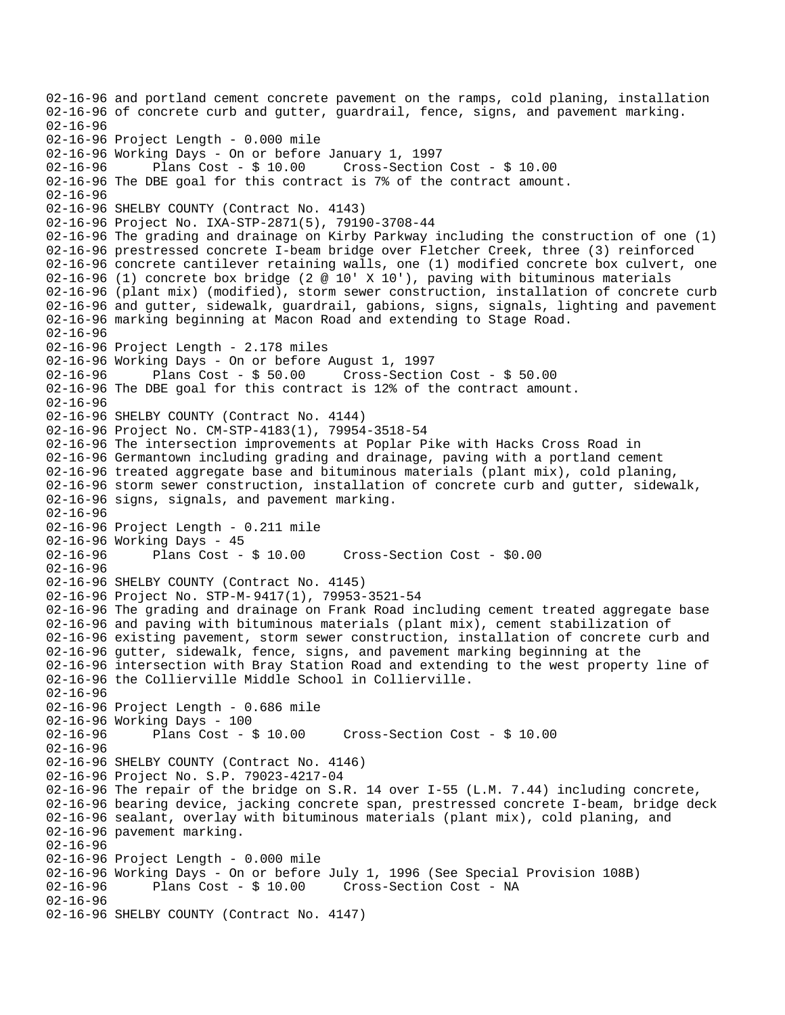```
02-16-96 and portland cement concrete pavement on the ramps, cold planing, installation 
02-16-96 of concrete curb and gutter, guardrail, fence, signs, and pavement marking. 
02-16-96 
02-16-96 Project Length - 0.000 mile 
02-16-96 Working Days - On or before January 1, 1997 
02-16-96 Plans Cost - $ 10.00 Cross-Section Cost - $ 10.00 
02-16-96 The DBE goal for this contract is 7% of the contract amount. 
02-16-96 
02-16-96 SHELBY COUNTY (Contract No. 4143) 
02-16-96 Project No. IXA-STP-2871(5), 79190-3708-44 
02-16-96 The grading and drainage on Kirby Parkway including the construction of one (1) 
02-16-96 prestressed concrete I-beam bridge over Fletcher Creek, three (3) reinforced 
02-16-96 concrete cantilever retaining walls, one (1) modified concrete box culvert, one 
02-16-96 (1) concrete box bridge (2 @ 10' X 10'), paving with bituminous materials 
02-16-96 (plant mix) (modified), storm sewer construction, installation of concrete curb 
02-16-96 and gutter, sidewalk, guardrail, gabions, signs, signals, lighting and pavement 
02-16-96 marking beginning at Macon Road and extending to Stage Road. 
02-16-96 
02-16-96 Project Length - 2.178 miles 
02-16-96 Working Days - On or before August 1, 1997 
02-16-96 Plans Cost - $ 50.00 Cross-Section Cost - $ 50.00 
02-16-96 The DBE goal for this contract is 12% of the contract amount. 
02-16-96 
02-16-96 SHELBY COUNTY (Contract No. 4144) 
02-16-96 Project No. CM-STP-4183(1), 79954-3518-54 
02-16-96 The intersection improvements at Poplar Pike with Hacks Cross Road in 
02-16-96 Germantown including grading and drainage, paving with a portland cement 
02-16-96 treated aggregate base and bituminous materials (plant mix), cold planing, 
02-16-96 storm sewer construction, installation of concrete curb and gutter, sidewalk, 
02-16-96 signs, signals, and pavement marking. 
02-16-96 
02-16-96 Project Length - 0.211 mile 
02-16-96 Working Days - 45 
02-16-96 Plans Cost - $ 10.00 Cross-Section Cost - $0.00 
02-16-96 
02-16-96 SHELBY COUNTY (Contract No. 4145) 
02-16-96 Project No. STP-M-9417(1), 79953-3521-54 
02-16-96 The grading and drainage on Frank Road including cement treated aggregate base 
02-16-96 and paving with bituminous materials (plant mix), cement stabilization of 
02-16-96 existing pavement, storm sewer construction, installation of concrete curb and 
02-16-96 gutter, sidewalk, fence, signs, and pavement marking beginning at the 
02-16-96 intersection with Bray Station Road and extending to the west property line of 
02-16-96 the Collierville Middle School in Collierville. 
02-16-96 
02-16-96 Project Length - 0.686 mile 
02-16-96 Working Days - 100 
02-16-96 Plans Cost - $ 10.00 Cross-Section Cost - $ 10.00 
02-16-96 
02-16-96 SHELBY COUNTY (Contract No. 4146) 
02-16-96 Project No. S.P. 79023-4217-04 
02-16-96 The repair of the bridge on S.R. 14 over I-55 (L.M. 7.44) including concrete, 
02-16-96 bearing device, jacking concrete span, prestressed concrete I-beam, bridge deck 
02-16-96 sealant, overlay with bituminous materials (plant mix), cold planing, and 
02-16-96 pavement marking. 
02-16-96 
02-16-96 Project Length - 0.000 mile 
02-16-96 Working Days - On or before July 1, 1996 (See Special Provision 108B)<br>02-16-96 Plans Cost - $ 10.00 Cross-Section Cost - NA
                                      Cross-Section Cost - NA
02 - 16 - 9602-16-96 SHELBY COUNTY (Contract No. 4147)
```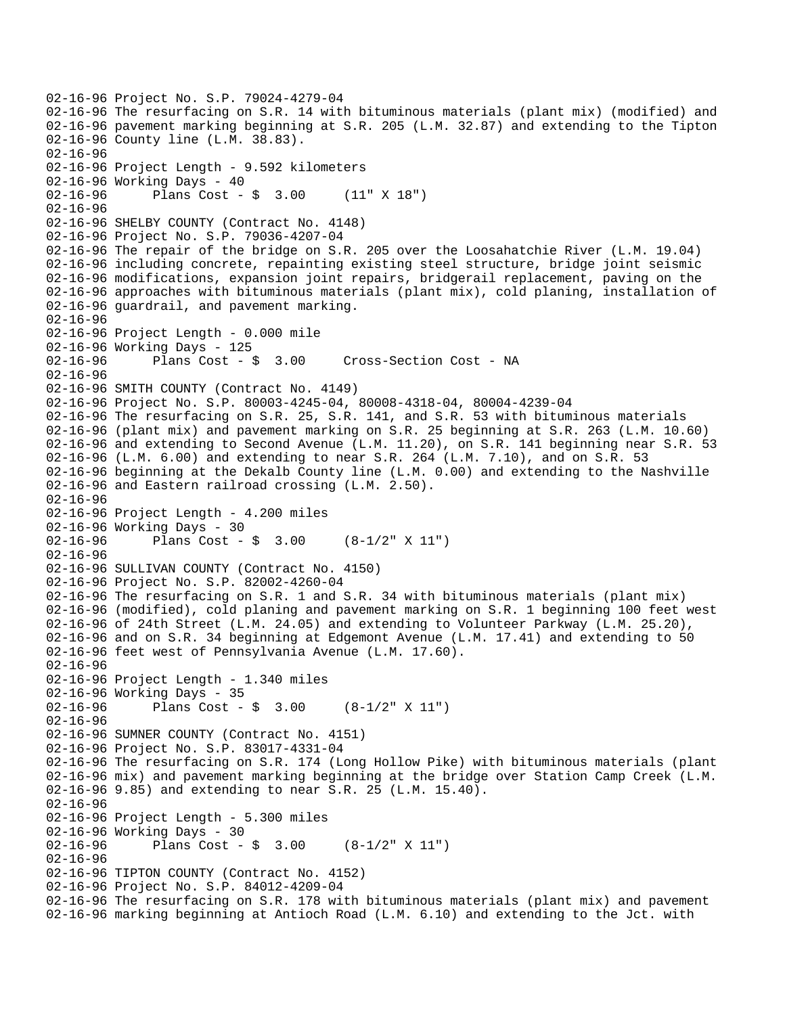```
02-16-96 Project No. S.P. 79024-4279-04 
02-16-96 The resurfacing on S.R. 14 with bituminous materials (plant mix) (modified) and 
02-16-96 pavement marking beginning at S.R. 205 (L.M. 32.87) and extending to the Tipton 
02-16-96 County line (L.M. 38.83). 
02-16-96 
02-16-96 Project Length - 9.592 kilometers 
02-16-96 Working Days - 40 
02-16-96 Plans Cost - $ 3.00 (11" X 18") 
02-16-96 
02-16-96 SHELBY COUNTY (Contract No. 4148) 
02-16-96 Project No. S.P. 79036-4207-04 
02-16-96 The repair of the bridge on S.R. 205 over the Loosahatchie River (L.M. 19.04) 
02-16-96 including concrete, repainting existing steel structure, bridge joint seismic 
02-16-96 modifications, expansion joint repairs, bridgerail replacement, paving on the 
02-16-96 approaches with bituminous materials (plant mix), cold planing, installation of 
02-16-96 guardrail, and pavement marking. 
02-16-96 
02-16-96 Project Length - 0.000 mile 
02-16-96 Working Days - 125 
02-16-96 Plans Cost - $ 3.00 Cross-Section Cost - NA 
02-16-96 
02-16-96 SMITH COUNTY (Contract No. 4149) 
02-16-96 Project No. S.P. 80003-4245-04, 80008-4318-04, 80004-4239-04 
02-16-96 The resurfacing on S.R. 25, S.R. 141, and S.R. 53 with bituminous materials 
02-16-96 (plant mix) and pavement marking on S.R. 25 beginning at S.R. 263 (L.M. 10.60) 
02-16-96 and extending to Second Avenue (L.M. 11.20), on S.R. 141 beginning near S.R. 53 
02-16-96 (L.M. 6.00) and extending to near S.R. 264 (L.M. 7.10), and on S.R. 53 
02-16-96 beginning at the Dekalb County line (L.M. 0.00) and extending to the Nashville 
02-16-96 and Eastern railroad crossing (L.M. 2.50). 
02-16-96 
02-16-96 Project Length - 4.200 miles 
02-16-96 Working Days - 30<br>02-16-96 Plans Cost -
              Plans Cost - \sin 3.00 (8-1/2" X 11")
02-16-96 
02-16-96 SULLIVAN COUNTY (Contract No. 4150) 
02-16-96 Project No. S.P. 82002-4260-04 
02-16-96 The resurfacing on S.R. 1 and S.R. 34 with bituminous materials (plant mix) 
02-16-96 (modified), cold planing and pavement marking on S.R. 1 beginning 100 feet west 
02-16-96 of 24th Street (L.M. 24.05) and extending to Volunteer Parkway (L.M. 25.20), 
02-16-96 and on S.R. 34 beginning at Edgemont Avenue (L.M. 17.41) and extending to 50 
02-16-96 feet west of Pennsylvania Avenue (L.M. 17.60). 
02-16-96 
02-16-96 Project Length - 1.340 miles 
02-16-96 Working Days - 35 
02-16-96 Plans Cost - $ 3.00 (8-1/2" X 11")
02-16-96 
02-16-96 SUMNER COUNTY (Contract No. 4151) 
02-16-96 Project No. S.P. 83017-4331-04 
02-16-96 The resurfacing on S.R. 174 (Long Hollow Pike) with bituminous materials (plant 
02-16-96 mix) and pavement marking beginning at the bridge over Station Camp Creek (L.M. 
02-16-96 9.85) and extending to near S.R. 25 (L.M. 15.40). 
02-16-96 
02-16-96 Project Length - 5.300 miles 
02-16-96 Working Days - 30<br>02-16-96 Plans Cost -
              Plans Cost - \sin 3.00 (8-1/2" X 11")
02-16-96 
02-16-96 TIPTON COUNTY (Contract No. 4152) 
02-16-96 Project No. S.P. 84012-4209-04 
02-16-96 The resurfacing on S.R. 178 with bituminous materials (plant mix) and pavement 
02-16-96 marking beginning at Antioch Road (L.M. 6.10) and extending to the Jct. with
```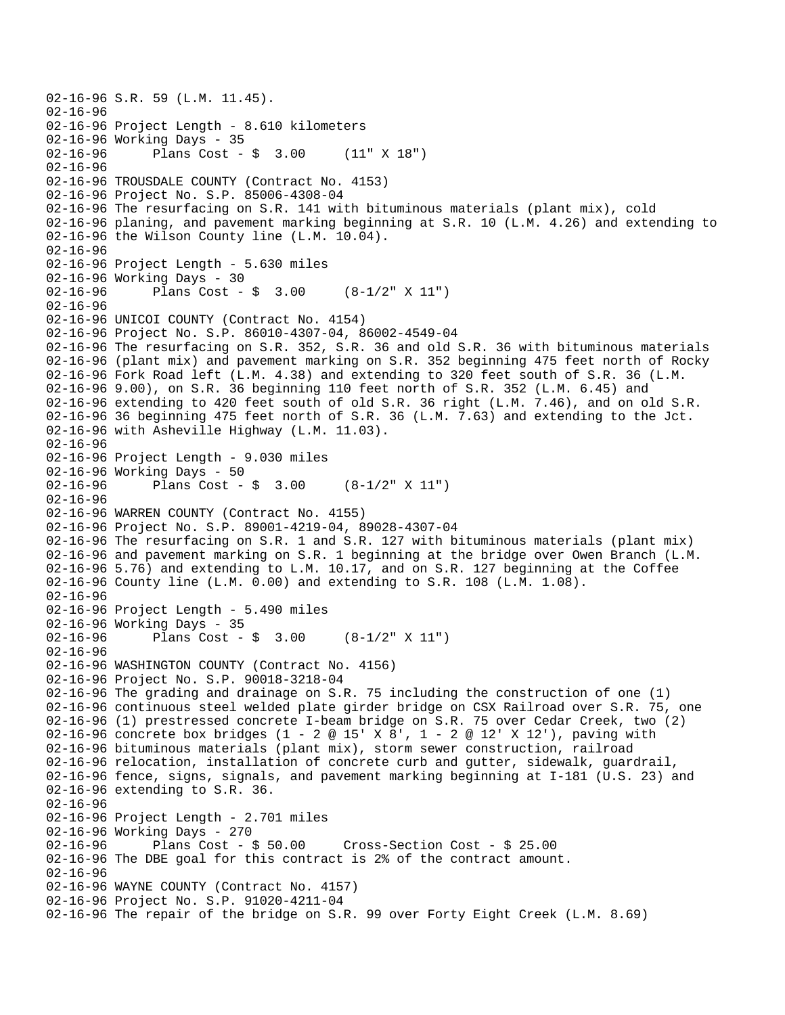```
02-16-96 S.R. 59 (L.M. 11.45). 
02-16-96 
02-16-96 Project Length - 8.610 kilometers 
02-16-96 Working Days - 35<br>02-16-96 Plans Cost -
              Plans Cost - $ 3.00 (11" X 18")02-16-96 
02-16-96 TROUSDALE COUNTY (Contract No. 4153) 
02-16-96 Project No. S.P. 85006-4308-04 
02-16-96 The resurfacing on S.R. 141 with bituminous materials (plant mix), cold 
02-16-96 planing, and pavement marking beginning at S.R. 10 (L.M. 4.26) and extending to 
02-16-96 the Wilson County line (L.M. 10.04). 
02-16-96 
02-16-96 Project Length - 5.630 miles 
02-16-96 Working Days - 30 
02-16-96 Plans Cost - $ 3.00 (8-1/2" X 11")
02 - 16 - 9602-16-96 UNICOI COUNTY (Contract No. 4154) 
02-16-96 Project No. S.P. 86010-4307-04, 86002-4549-04 
02-16-96 The resurfacing on S.R. 352, S.R. 36 and old S.R. 36 with bituminous materials 
02-16-96 (plant mix) and pavement marking on S.R. 352 beginning 475 feet north of Rocky 
02-16-96 Fork Road left (L.M. 4.38) and extending to 320 feet south of S.R. 36 (L.M. 
02-16-96 9.00), on S.R. 36 beginning 110 feet north of S.R. 352 (L.M. 6.45) and 
02-16-96 extending to 420 feet south of old S.R. 36 right (L.M. 7.46), and on old S.R. 
02-16-96 36 beginning 475 feet north of S.R. 36 (L.M. 7.63) and extending to the Jct. 
02-16-96 with Asheville Highway (L.M. 11.03). 
02-16-96 
02-16-96 Project Length - 9.030 miles 
02-16-96 Working Days - 50 
02-16-96 Plans Cost - $ 3.00 (8-1/2" X 11")
02-16-96 
02-16-96 WARREN COUNTY (Contract No. 4155) 
02-16-96 Project No. S.P. 89001-4219-04, 89028-4307-04 
02-16-96 The resurfacing on S.R. 1 and S.R. 127 with bituminous materials (plant mix) 
02-16-96 and pavement marking on S.R. 1 beginning at the bridge over Owen Branch (L.M. 
02-16-96 5.76) and extending to L.M. 10.17, and on S.R. 127 beginning at the Coffee 
02-16-96 County line (L.M. 0.00) and extending to S.R. 108 (L.M. 1.08). 
02-16-96 
02-16-96 Project Length - 5.490 miles 
02-16-96 Working Days - 35 
02-16-96 Plans Cost - $ 3.00 (8-1/2" X 11") 
02 - 16 - 9602-16-96 WASHINGTON COUNTY (Contract No. 4156) 
02-16-96 Project No. S.P. 90018-3218-04 
02-16-96 The grading and drainage on S.R. 75 including the construction of one (1) 
02-16-96 continuous steel welded plate girder bridge on CSX Railroad over S.R. 75, one 
02-16-96 (1) prestressed concrete I-beam bridge on S.R. 75 over Cedar Creek, two (2) 
02-16-96 concrete box bridges (1 - 2 @ 15' X 8', 1 - 2 @ 12' X 12'), paving with 
02-16-96 bituminous materials (plant mix), storm sewer construction, railroad 
02-16-96 relocation, installation of concrete curb and gutter, sidewalk, guardrail, 
02-16-96 fence, signs, signals, and pavement marking beginning at I-181 (U.S. 23) and 
02-16-96 extending to S.R. 36. 
02-16-96 
02-16-96 Project Length - 2.701 miles 
02-16-96 Working Days - 270<br>02-16-96 Plans Cost - $ 50.00
02-16-96 Plans Cost - $ 50.00 Cross-Section Cost - $ 25.00 
02-16-96 The DBE goal for this contract is 2% of the contract amount. 
02-16-96 
02-16-96 WAYNE COUNTY (Contract No. 4157) 
02-16-96 Project No. S.P. 91020-4211-04 
02-16-96 The repair of the bridge on S.R. 99 over Forty Eight Creek (L.M. 8.69)
```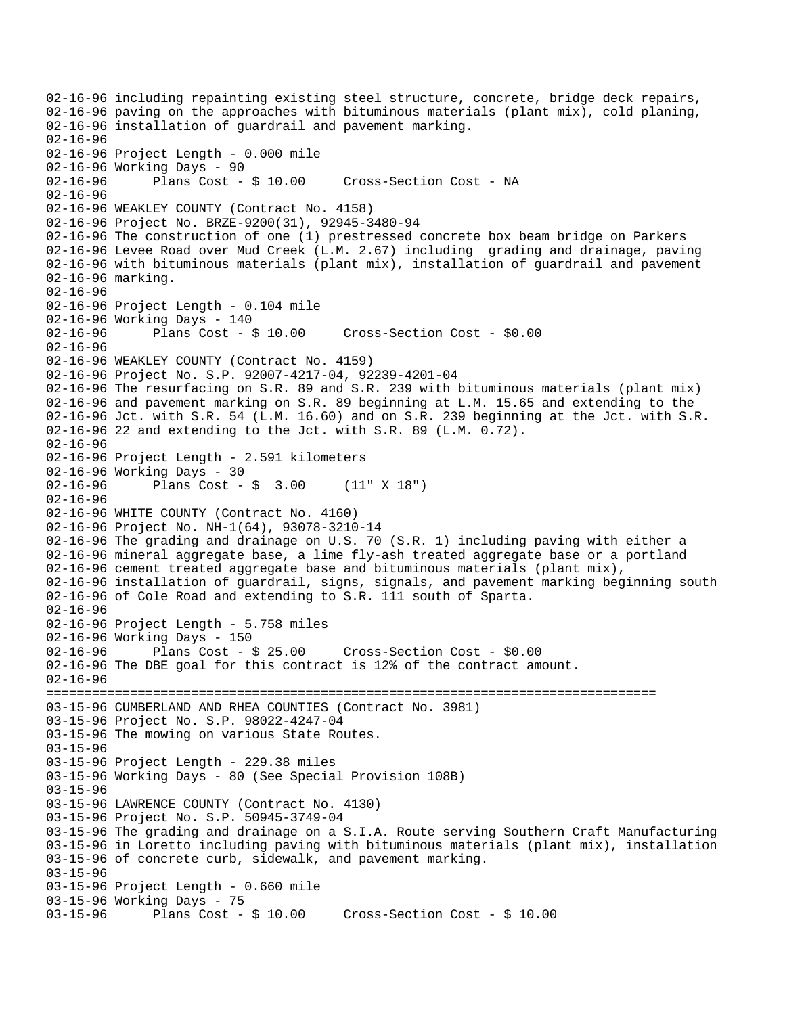```
02-16-96 including repainting existing steel structure, concrete, bridge deck repairs, 
02-16-96 paving on the approaches with bituminous materials (plant mix), cold planing, 
02-16-96 installation of guardrail and pavement marking. 
02-16-96 
02-16-96 Project Length - 0.000 mile 
02-16-96 Working Days - 90<br>02-16-96 Plans Cost - $ 10.00
02-16-96 Plans Cost - $ 10.00 Cross-Section Cost - NA 
02-16-96 
02-16-96 WEAKLEY COUNTY (Contract No. 4158) 
02-16-96 Project No. BRZE-9200(31), 92945-3480-94 
02-16-96 The construction of one (1) prestressed concrete box beam bridge on Parkers 
02-16-96 Levee Road over Mud Creek (L.M. 2.67) including grading and drainage, paving 
02-16-96 with bituminous materials (plant mix), installation of guardrail and pavement 
02-16-96 marking. 
02-16-96 
02-16-96 Project Length - 0.104 mile 
02-16-96 Working Days - 140 
02-16-96 Plans Cost - $ 10.00 Cross-Section Cost - $0.00 
02-16-96 
02-16-96 WEAKLEY COUNTY (Contract No. 4159) 
02-16-96 Project No. S.P. 92007-4217-04, 92239-4201-04 
02-16-96 The resurfacing on S.R. 89 and S.R. 239 with bituminous materials (plant mix) 
02-16-96 and pavement marking on S.R. 89 beginning at L.M. 15.65 and extending to the 
02-16-96 Jct. with S.R. 54 (L.M. 16.60) and on S.R. 239 beginning at the Jct. with S.R. 
02-16-96 22 and extending to the Jct. with S.R. 89 (L.M. 0.72). 
02 - 16 - 9602-16-96 Project Length - 2.591 kilometers 
02-16-96 Working Days - 30 
02-16-96 Plans Cost - $ 3.00 (11" X 18") 
02-16-96 
02-16-96 WHITE COUNTY (Contract No. 4160) 
02-16-96 Project No. NH-1(64), 93078-3210-14 
02-16-96 The grading and drainage on U.S. 70 (S.R. 1) including paving with either a 
02-16-96 mineral aggregate base, a lime fly-ash treated aggregate base or a portland 
02-16-96 cement treated aggregate base and bituminous materials (plant mix), 
02-16-96 installation of guardrail, signs, signals, and pavement marking beginning south 
02-16-96 of Cole Road and extending to S.R. 111 south of Sparta. 
02-16-96 
02-16-96 Project Length - 5.758 miles 
02-16-96 Working Days - 150 
02-16-96 Plans Cost - $ 25.00 Cross-Section Cost - $0.00 
02-16-96 The DBE goal for this contract is 12% of the contract amount. 
02-16-96 
================================================================================ 
03-15-96 CUMBERLAND AND RHEA COUNTIES (Contract No. 3981) 
03-15-96 Project No. S.P. 98022-4247-04 
03-15-96 The mowing on various State Routes. 
03-15-96 
03-15-96 Project Length - 229.38 miles 
03-15-96 Working Days - 80 (See Special Provision 108B) 
03-15-96 
03-15-96 LAWRENCE COUNTY (Contract No. 4130) 
03-15-96 Project No. S.P. 50945-3749-04 
03-15-96 The grading and drainage on a S.I.A. Route serving Southern Craft Manufacturing 
03-15-96 in Loretto including paving with bituminous materials (plant mix), installation 
03-15-96 of concrete curb, sidewalk, and pavement marking. 
03-15-96 
03-15-96 Project Length - 0.660 mile 
03-15-96 Working Days - 75 
03-15-96 Plans Cost - $ 10.00 Cross-Section Cost - $ 10.00
```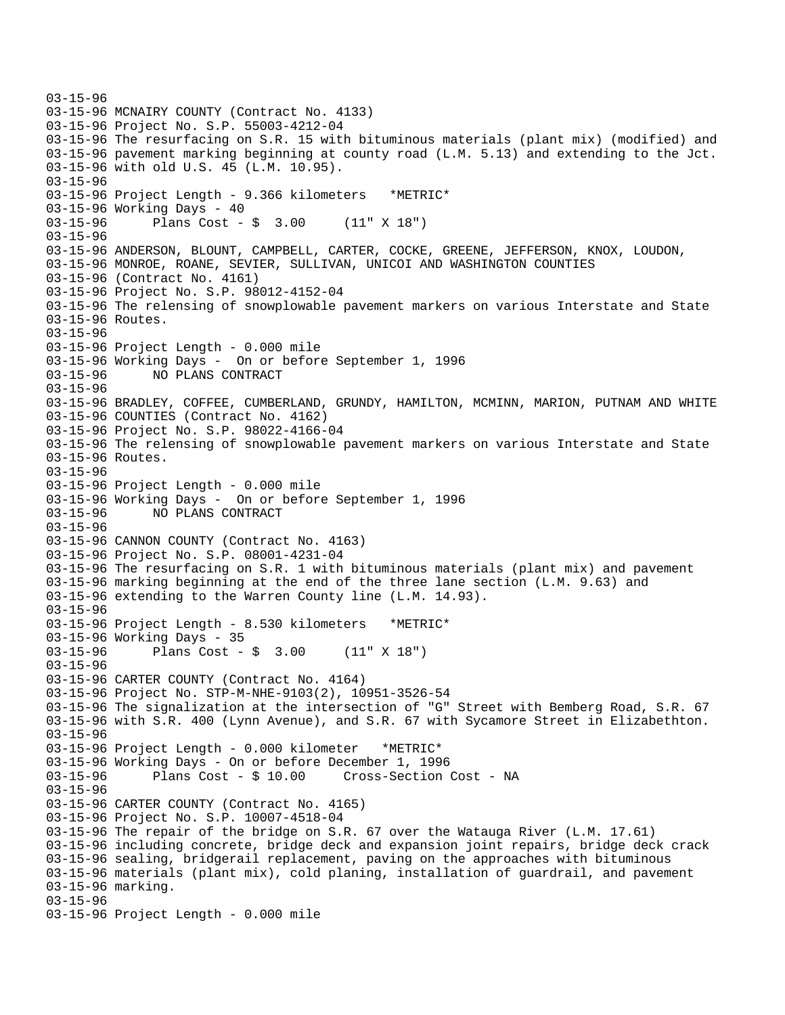```
03-15-96 
03-15-96 MCNAIRY COUNTY (Contract No. 4133) 
03-15-96 Project No. S.P. 55003-4212-04 
03-15-96 The resurfacing on S.R. 15 with bituminous materials (plant mix) (modified) and 
03-15-96 pavement marking beginning at county road (L.M. 5.13) and extending to the Jct. 
03-15-96 with old U.S. 45 (L.M. 10.95). 
03-15-96 
03-15-96 Project Length - 9.366 kilometers *METRIC* 
03-15-96 Working Days - 40 
03-15-96 Plans Cost - $ 3.00 (11" X 18") 
03-15-96 
03-15-96 ANDERSON, BLOUNT, CAMPBELL, CARTER, COCKE, GREENE, JEFFERSON, KNOX, LOUDON, 
03-15-96 MONROE, ROANE, SEVIER, SULLIVAN, UNICOI AND WASHINGTON COUNTIES 
03-15-96 (Contract No. 4161) 
03-15-96 Project No. S.P. 98012-4152-04 
03-15-96 The relensing of snowplowable pavement markers on various Interstate and State 
03-15-96 Routes. 
03-15-96 
03-15-96 Project Length - 0.000 mile 
03-15-96 Working Days - On or before September 1, 1996 
03-15-96 NO PLANS CONTRACT 
03-15-96 
03-15-96 BRADLEY, COFFEE, CUMBERLAND, GRUNDY, HAMILTON, MCMINN, MARION, PUTNAM AND WHITE 
03-15-96 COUNTIES (Contract No. 4162) 
03-15-96 Project No. S.P. 98022-4166-04 
03-15-96 The relensing of snowplowable pavement markers on various Interstate and State 
03-15-96 Routes. 
03-15-96 
03-15-96 Project Length - 0.000 mile 
03-15-96 Working Days - On or before September 1, 1996 
03-15-96 NO PLANS CONTRACT 
03-15-96 
03-15-96 CANNON COUNTY (Contract No. 4163) 
03-15-96 Project No. S.P. 08001-4231-04 
03-15-96 The resurfacing on S.R. 1 with bituminous materials (plant mix) and pavement 
03-15-96 marking beginning at the end of the three lane section (L.M. 9.63) and 
03-15-96 extending to the Warren County line (L.M. 14.93). 
03-15-96 
03-15-96 Project Length - 8.530 kilometers *METRIC* 
03-15-96 Working Days - 35 
03-15-96 Plans Cost - $ 3.00 (11" X 18") 
03-15-96 
03-15-96 CARTER COUNTY (Contract No. 4164) 
03-15-96 Project No. STP-M-NHE-9103(2), 10951-3526-54 
03-15-96 The signalization at the intersection of "G" Street with Bemberg Road, S.R. 67 
03-15-96 with S.R. 400 (Lynn Avenue), and S.R. 67 with Sycamore Street in Elizabethton. 
03-15-96 
03-15-96 Project Length - 0.000 kilometer *METRIC* 
03-15-96 Working Days - On or before December 1, 1996 
03-15-96 Plans Cost - $ 10.00 Cross-Section Cost - NA 
03-15-96 
03-15-96 CARTER COUNTY (Contract No. 4165) 
03-15-96 Project No. S.P. 10007-4518-04 
03-15-96 The repair of the bridge on S.R. 67 over the Watauga River (L.M. 17.61) 
03-15-96 including concrete, bridge deck and expansion joint repairs, bridge deck crack 
03-15-96 sealing, bridgerail replacement, paving on the approaches with bituminous 
03-15-96 materials (plant mix), cold planing, installation of guardrail, and pavement 
03-15-96 marking. 
03-15-96 
03-15-96 Project Length - 0.000 mile
```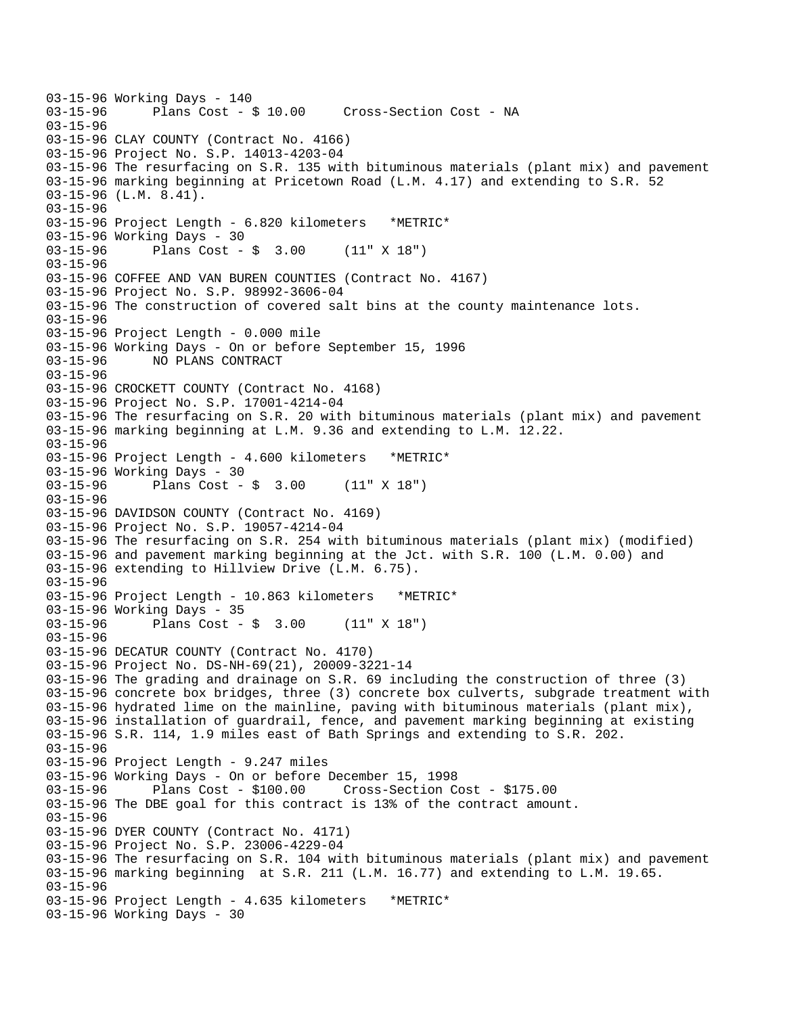```
03-15-96 Working Days - 140<br>03-15-96       Plans Cost - 8
              Plans Cost - $ 10.00 Cross-Section Cost - NA
03-15-96 
03-15-96 CLAY COUNTY (Contract No. 4166) 
03-15-96 Project No. S.P. 14013-4203-04 
03-15-96 The resurfacing on S.R. 135 with bituminous materials (plant mix) and pavement 
03-15-96 marking beginning at Pricetown Road (L.M. 4.17) and extending to S.R. 52 
03-15-96 (L.M. 8.41). 
03-15-96 
03-15-96 Project Length - 6.820 kilometers *METRIC* 
03-15-96 Working Days - 30 
03-15-96 Plans Cost - $ 3.00 (11" X 18") 
03-15-96 
03-15-96 COFFEE AND VAN BUREN COUNTIES (Contract No. 4167) 
03-15-96 Project No. S.P. 98992-3606-04 
03-15-96 The construction of covered salt bins at the county maintenance lots. 
03-15-96 
03-15-96 Project Length - 0.000 mile 
03-15-96 Working Days - On or before September 15, 1996 
03-15-96 NO PLANS CONTRACT 
03-15-96 
03-15-96 CROCKETT COUNTY (Contract No. 4168) 
03-15-96 Project No. S.P. 17001-4214-04 
03-15-96 The resurfacing on S.R. 20 with bituminous materials (plant mix) and pavement 
03-15-96 marking beginning at L.M. 9.36 and extending to L.M. 12.22. 
03-15-96 
03-15-96 Project Length - 4.600 kilometers *METRIC* 
03-15-96 Working Days - 30 
03-15-96 Plans Cost - $ 3.00 (11" X 18") 
03-15-96 
03-15-96 DAVIDSON COUNTY (Contract No. 4169) 
03-15-96 Project No. S.P. 19057-4214-04 
03-15-96 The resurfacing on S.R. 254 with bituminous materials (plant mix) (modified) 
03-15-96 and pavement marking beginning at the Jct. with S.R. 100 (L.M. 0.00) and 
03-15-96 extending to Hillview Drive (L.M. 6.75). 
03-15-96 
03-15-96 Project Length - 10.863 kilometers *METRIC* 
03-15-96 Working Days - 35 
03-15-96 Plans Cost - $ 3.00 (11" X 18") 
03-15-96 
03-15-96 DECATUR COUNTY (Contract No. 4170) 
03-15-96 Project No. DS-NH-69(21), 20009-3221-14 
03-15-96 The grading and drainage on S.R. 69 including the construction of three (3) 
03-15-96 concrete box bridges, three (3) concrete box culverts, subgrade treatment with 
03-15-96 hydrated lime on the mainline, paving with bituminous materials (plant mix), 
03-15-96 installation of guardrail, fence, and pavement marking beginning at existing 
03-15-96 S.R. 114, 1.9 miles east of Bath Springs and extending to S.R. 202. 
03-15-96 
03-15-96 Project Length - 9.247 miles 
03-15-96 Working Days - On or before December 15, 1998 
03-15-96 Plans Cost - $100.00 Cross-Section Cost - $175.00 
03-15-96 The DBE goal for this contract is 13% of the contract amount. 
03-15-96 
03-15-96 DYER COUNTY (Contract No. 4171) 
03-15-96 Project No. S.P. 23006-4229-04 
03-15-96 The resurfacing on S.R. 104 with bituminous materials (plant mix) and pavement 
03-15-96 marking beginning at S.R. 211 (L.M. 16.77) and extending to L.M. 19.65. 
03-15-96 
03-15-96 Project Length - 4.635 kilometers *METRIC* 
03-15-96 Working Days - 30
```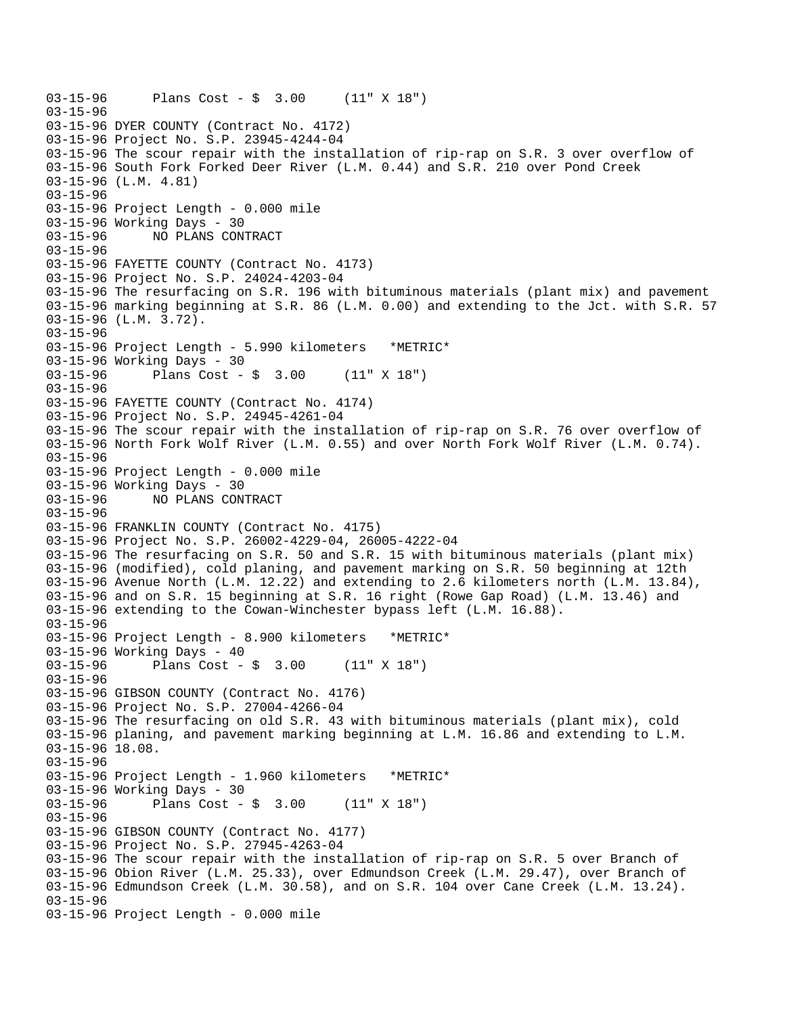```
03-15-96 Plans Cost - $ 3.00 (11" X 18") 
03-15-96 
03-15-96 DYER COUNTY (Contract No. 4172) 
03-15-96 Project No. S.P. 23945-4244-04 
03-15-96 The scour repair with the installation of rip-rap on S.R. 3 over overflow of 
03-15-96 South Fork Forked Deer River (L.M. 0.44) and S.R. 210 over Pond Creek 
03-15-96 (L.M. 4.81) 
03-15-96 
03-15-96 Project Length - 0.000 mile 
03-15-96 Working Days - 30 
03-15-96 NO PLANS CONTRACT 
03-15-96 
03-15-96 FAYETTE COUNTY (Contract No. 4173) 
03-15-96 Project No. S.P. 24024-4203-04 
03-15-96 The resurfacing on S.R. 196 with bituminous materials (plant mix) and pavement 
03-15-96 marking beginning at S.R. 86 (L.M. 0.00) and extending to the Jct. with S.R. 57 
03-15-96 (L.M. 3.72). 
03-15-96 
03-15-96 Project Length - 5.990 kilometers *METRIC* 
03-15-96 Working Days - 30 
03-15-96 Plans Cost - $ 3.00 (11" X 18") 
03-15-96 
03-15-96 FAYETTE COUNTY (Contract No. 4174) 
03-15-96 Project No. S.P. 24945-4261-04 
03-15-96 The scour repair with the installation of rip-rap on S.R. 76 over overflow of 
03-15-96 North Fork Wolf River (L.M. 0.55) and over North Fork Wolf River (L.M. 0.74). 
03-15-96 
03-15-96 Project Length - 0.000 mile 
03-15-96 Working Days - 30 
03-15-96 NO PLANS CONTRACT 
03-15-96 
03-15-96 FRANKLIN COUNTY (Contract No. 4175) 
03-15-96 Project No. S.P. 26002-4229-04, 26005-4222-04 
03-15-96 The resurfacing on S.R. 50 and S.R. 15 with bituminous materials (plant mix) 
03-15-96 (modified), cold planing, and pavement marking on S.R. 50 beginning at 12th 
03-15-96 Avenue North (L.M. 12.22) and extending to 2.6 kilometers north (L.M. 13.84), 
03-15-96 and on S.R. 15 beginning at S.R. 16 right (Rowe Gap Road) (L.M. 13.46) and 
03-15-96 extending to the Cowan-Winchester bypass left (L.M. 16.88). 
03-15-96 
03-15-96 Project Length - 8.900 kilometers *METRIC* 
03-15-96 Working Days - 40 
03-15-96 Plans Cost - $ 3.00 (11" X 18") 
03-15-96 
03-15-96 GIBSON COUNTY (Contract No. 4176) 
03-15-96 Project No. S.P. 27004-4266-04 
03-15-96 The resurfacing on old S.R. 43 with bituminous materials (plant mix), cold 
03-15-96 planing, and pavement marking beginning at L.M. 16.86 and extending to L.M. 
03-15-96 18.08. 
03-15-96 
03-15-96 Project Length - 1.960 kilometers *METRIC* 
03-15-96 Working Days - 30 
03-15-96 Plans Cost - $ 3.00 (11" X 18") 
03-15-96 
03-15-96 GIBSON COUNTY (Contract No. 4177) 
03-15-96 Project No. S.P. 27945-4263-04 
03-15-96 The scour repair with the installation of rip-rap on S.R. 5 over Branch of 
03-15-96 Obion River (L.M. 25.33), over Edmundson Creek (L.M. 29.47), over Branch of 
03-15-96 Edmundson Creek (L.M. 30.58), and on S.R. 104 over Cane Creek (L.M. 13.24). 
03-15-96 
03-15-96 Project Length - 0.000 mile
```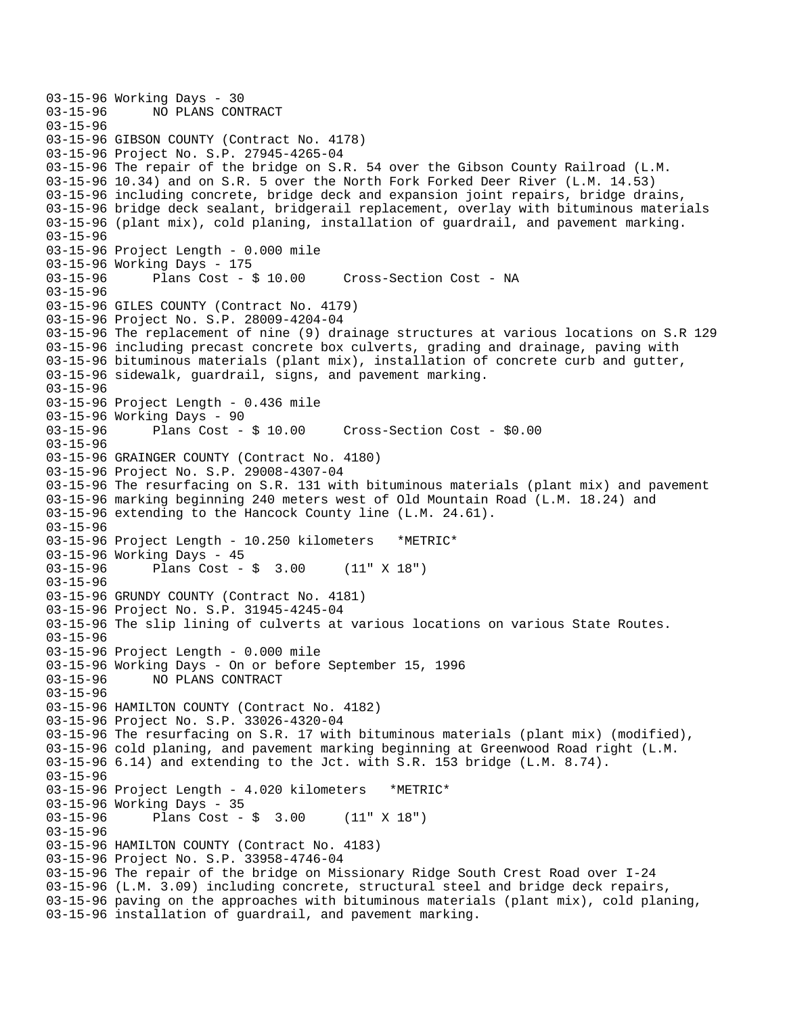```
03-15-96 Working Days - 30<br>03-15-96     NO PLANS CON
              03-15-96 NO PLANS CONTRACT 
03-15-96 
03-15-96 GIBSON COUNTY (Contract No. 4178) 
03-15-96 Project No. S.P. 27945-4265-04 
03-15-96 The repair of the bridge on S.R. 54 over the Gibson County Railroad (L.M. 
03-15-96 10.34) and on S.R. 5 over the North Fork Forked Deer River (L.M. 14.53) 
03-15-96 including concrete, bridge deck and expansion joint repairs, bridge drains, 
03-15-96 bridge deck sealant, bridgerail replacement, overlay with bituminous materials 
03-15-96 (plant mix), cold planing, installation of guardrail, and pavement marking. 
03-15-96 
03-15-96 Project Length - 0.000 mile 
03-15-96 Working Days - 175 
03-15-96 Plans Cost - $ 10.00 Cross-Section Cost - NA 
03-15-96 
03-15-96 GILES COUNTY (Contract No. 4179) 
03-15-96 Project No. S.P. 28009-4204-04 
03-15-96 The replacement of nine (9) drainage structures at various locations on S.R 129 
03-15-96 including precast concrete box culverts, grading and drainage, paving with 
03-15-96 bituminous materials (plant mix), installation of concrete curb and gutter, 
03-15-96 sidewalk, guardrail, signs, and pavement marking. 
03-15-96 
03-15-96 Project Length - 0.436 mile 
03-15-96 Working Days - 90<br>03-15-96 Plans Cost - $ 10.00
                                        Cross-Section Cost - $0.00
03-15-96 
03-15-96 GRAINGER COUNTY (Contract No. 4180) 
03-15-96 Project No. S.P. 29008-4307-04 
03-15-96 The resurfacing on S.R. 131 with bituminous materials (plant mix) and pavement 
03-15-96 marking beginning 240 meters west of Old Mountain Road (L.M. 18.24) and 
03-15-96 extending to the Hancock County line (L.M. 24.61). 
03-15-96 
03-15-96 Project Length - 10.250 kilometers *METRIC* 
03-15-96 Working Days - 45<br>03-15-96 Plans Cost -
              Plans Cost - $3.00 (11" X 18")
03-15-96 
03-15-96 GRUNDY COUNTY (Contract No. 4181) 
03-15-96 Project No. S.P. 31945-4245-04 
03-15-96 The slip lining of culverts at various locations on various State Routes. 
03-15-96 
03-15-96 Project Length - 0.000 mile 
03-15-96 Working Days - On or before September 15, 1996 
03-15-96 NO PLANS CONTRACT 
03-15-96 
03-15-96 HAMILTON COUNTY (Contract No. 4182) 
03-15-96 Project No. S.P. 33026-4320-04 
03-15-96 The resurfacing on S.R. 17 with bituminous materials (plant mix) (modified), 
03-15-96 cold planing, and pavement marking beginning at Greenwood Road right (L.M. 
03-15-96 6.14) and extending to the Jct. with S.R. 153 bridge (L.M. 8.74). 
03-15-96 
03-15-96 Project Length - 4.020 kilometers *METRIC* 
03-15-96 Working Days - 35 
03-15-96 Plans Cost - $ 3.00 (11" X 18") 
03-15-96 
03-15-96 HAMILTON COUNTY (Contract No. 4183) 
03-15-96 Project No. S.P. 33958-4746-04 
03-15-96 The repair of the bridge on Missionary Ridge South Crest Road over I-24 
03-15-96 (L.M. 3.09) including concrete, structural steel and bridge deck repairs, 
03-15-96 paving on the approaches with bituminous materials (plant mix), cold planing, 
03-15-96 installation of guardrail, and pavement marking.
```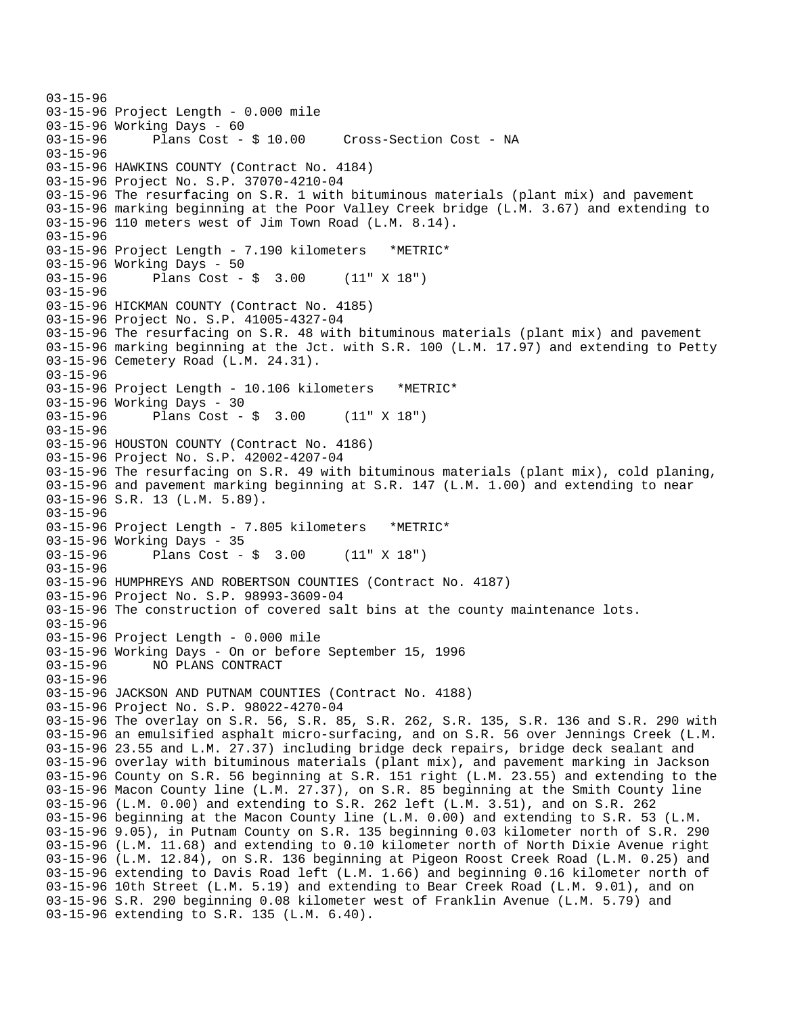03-15-96 03-15-96 Project Length - 0.000 mile 03-15-96 Working Days - 60 03-15-96 Plans Cost - \$ 10.00 Cross-Section Cost - NA 03-15-96 03-15-96 HAWKINS COUNTY (Contract No. 4184) 03-15-96 Project No. S.P. 37070-4210-04 03-15-96 The resurfacing on S.R. 1 with bituminous materials (plant mix) and pavement 03-15-96 marking beginning at the Poor Valley Creek bridge (L.M. 3.67) and extending to 03-15-96 110 meters west of Jim Town Road (L.M. 8.14). 03-15-96 03-15-96 Project Length - 7.190 kilometers \*METRIC\* 03-15-96 Working Days - 50 03-15-96 Plans Cost - \$ 3.00 (11" X 18") 03-15-96 03-15-96 HICKMAN COUNTY (Contract No. 4185) 03-15-96 Project No. S.P. 41005-4327-04 03-15-96 The resurfacing on S.R. 48 with bituminous materials (plant mix) and pavement 03-15-96 marking beginning at the Jct. with S.R. 100 (L.M. 17.97) and extending to Petty 03-15-96 Cemetery Road (L.M. 24.31). 03-15-96 03-15-96 Project Length - 10.106 kilometers \*METRIC\* 03-15-96 Working Days - 30 03-15-96 Plans Cost - \$ 3.00 (11" X 18") 03-15-96 03-15-96 HOUSTON COUNTY (Contract No. 4186) 03-15-96 Project No. S.P. 42002-4207-04 03-15-96 The resurfacing on S.R. 49 with bituminous materials (plant mix), cold planing, 03-15-96 and pavement marking beginning at S.R. 147 (L.M. 1.00) and extending to near 03-15-96 S.R. 13 (L.M. 5.89). 03-15-96 03-15-96 Project Length - 7.805 kilometers \*METRIC\* 03-15-96 Working Days - 35 03-15-96 Plans Cost - \$ 3.00 (11" X 18") 03-15-96 03-15-96 HUMPHREYS AND ROBERTSON COUNTIES (Contract No. 4187) 03-15-96 Project No. S.P. 98993-3609-04 03-15-96 The construction of covered salt bins at the county maintenance lots. 03-15-96 03-15-96 Project Length - 0.000 mile 03-15-96 Working Days - On or before September 15, 1996 03-15-96 NO PLANS CONTRACT 03-15-96 03-15-96 JACKSON AND PUTNAM COUNTIES (Contract No. 4188) 03-15-96 Project No. S.P. 98022-4270-04 03-15-96 The overlay on S.R. 56, S.R. 85, S.R. 262, S.R. 135, S.R. 136 and S.R. 290 with 03-15-96 an emulsified asphalt micro-surfacing, and on S.R. 56 over Jennings Creek (L.M. 03-15-96 23.55 and L.M. 27.37) including bridge deck repairs, bridge deck sealant and 03-15-96 overlay with bituminous materials (plant mix), and pavement marking in Jackson 03-15-96 County on S.R. 56 beginning at S.R. 151 right (L.M. 23.55) and extending to the 03-15-96 Macon County line (L.M. 27.37), on S.R. 85 beginning at the Smith County line 03-15-96 (L.M. 0.00) and extending to S.R. 262 left (L.M. 3.51), and on S.R. 262 03-15-96 beginning at the Macon County line (L.M. 0.00) and extending to S.R. 53 (L.M. 03-15-96 9.05), in Putnam County on S.R. 135 beginning 0.03 kilometer north of S.R. 290 03-15-96 (L.M. 11.68) and extending to 0.10 kilometer north of North Dixie Avenue right 03-15-96 (L.M. 12.84), on S.R. 136 beginning at Pigeon Roost Creek Road (L.M. 0.25) and 03-15-96 extending to Davis Road left (L.M. 1.66) and beginning 0.16 kilometer north of 03-15-96 10th Street (L.M. 5.19) and extending to Bear Creek Road (L.M. 9.01), and on 03-15-96 S.R. 290 beginning 0.08 kilometer west of Franklin Avenue (L.M. 5.79) and 03-15-96 extending to S.R. 135 (L.M. 6.40).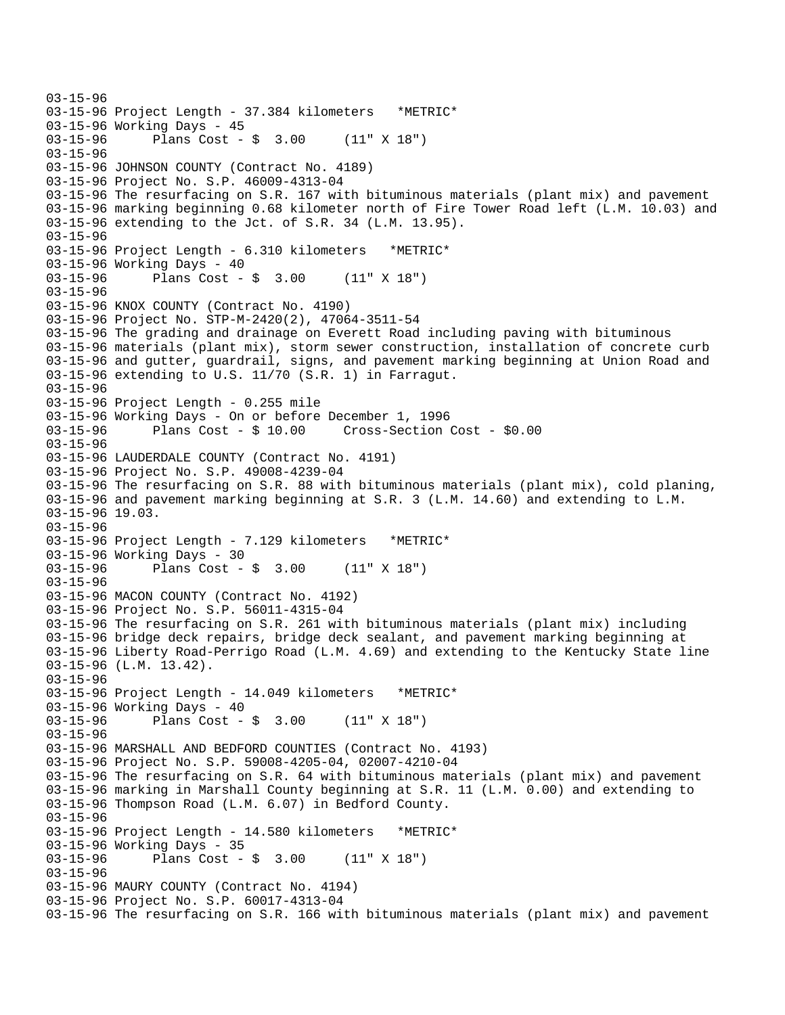03-15-96 03-15-96 Project Length - 37.384 kilometers \*METRIC\* 03-15-96 Working Days - 45 03-15-96 Plans Cost - \$ 3.00 (11" X 18") 03-15-96 03-15-96 JOHNSON COUNTY (Contract No. 4189) 03-15-96 Project No. S.P. 46009-4313-04 03-15-96 The resurfacing on S.R. 167 with bituminous materials (plant mix) and pavement 03-15-96 marking beginning 0.68 kilometer north of Fire Tower Road left (L.M. 10.03) and 03-15-96 extending to the Jct. of S.R. 34 (L.M. 13.95). 03-15-96 03-15-96 Project Length - 6.310 kilometers \*METRIC\* 03-15-96 Working Days - 40 03-15-96 Plans Cost - \$ 3.00 (11" X 18") 03-15-96 03-15-96 KNOX COUNTY (Contract No. 4190) 03-15-96 Project No. STP-M-2420(2), 47064-3511-54 03-15-96 The grading and drainage on Everett Road including paving with bituminous 03-15-96 materials (plant mix), storm sewer construction, installation of concrete curb 03-15-96 and gutter, guardrail, signs, and pavement marking beginning at Union Road and 03-15-96 extending to U.S. 11/70 (S.R. 1) in Farragut. 03-15-96 03-15-96 Project Length - 0.255 mile 03-15-96 Working Days - On or before December 1, 1996 Cross-Section Cost - \$0.00 03-15-96 03-15-96 LAUDERDALE COUNTY (Contract No. 4191) 03-15-96 Project No. S.P. 49008-4239-04 03-15-96 The resurfacing on S.R. 88 with bituminous materials (plant mix), cold planing, 03-15-96 and pavement marking beginning at S.R. 3 (L.M. 14.60) and extending to L.M. 03-15-96 19.03. 03-15-96 03-15-96 Project Length - 7.129 kilometers \*METRIC\* 03-15-96 Working Days - 30<br>03-15-96 Plans Cost -Plans  $Cost - $ 3.00 (11" X 18")$ 03-15-96 03-15-96 MACON COUNTY (Contract No. 4192) 03-15-96 Project No. S.P. 56011-4315-04 03-15-96 The resurfacing on S.R. 261 with bituminous materials (plant mix) including 03-15-96 bridge deck repairs, bridge deck sealant, and pavement marking beginning at 03-15-96 Liberty Road-Perrigo Road (L.M. 4.69) and extending to the Kentucky State line 03-15-96 (L.M. 13.42). 03-15-96 03-15-96 Project Length - 14.049 kilometers \*METRIC\* 03-15-96 Working Days - 40 03-15-96 Plans Cost - \$ 3.00 (11" X 18") 03-15-96 03-15-96 MARSHALL AND BEDFORD COUNTIES (Contract No. 4193) 03-15-96 Project No. S.P. 59008-4205-04, 02007-4210-04 03-15-96 The resurfacing on S.R. 64 with bituminous materials (plant mix) and pavement 03-15-96 marking in Marshall County beginning at S.R. 11 (L.M. 0.00) and extending to 03-15-96 Thompson Road (L.M. 6.07) in Bedford County. 03-15-96 03-15-96 Project Length - 14.580 kilometers \*METRIC\* 03-15-96 Working Days - 35 03-15-96 Plans Cost - \$ 3.00 (11" X 18") 03-15-96 03-15-96 MAURY COUNTY (Contract No. 4194) 03-15-96 Project No. S.P. 60017-4313-04 03-15-96 The resurfacing on S.R. 166 with bituminous materials (plant mix) and pavement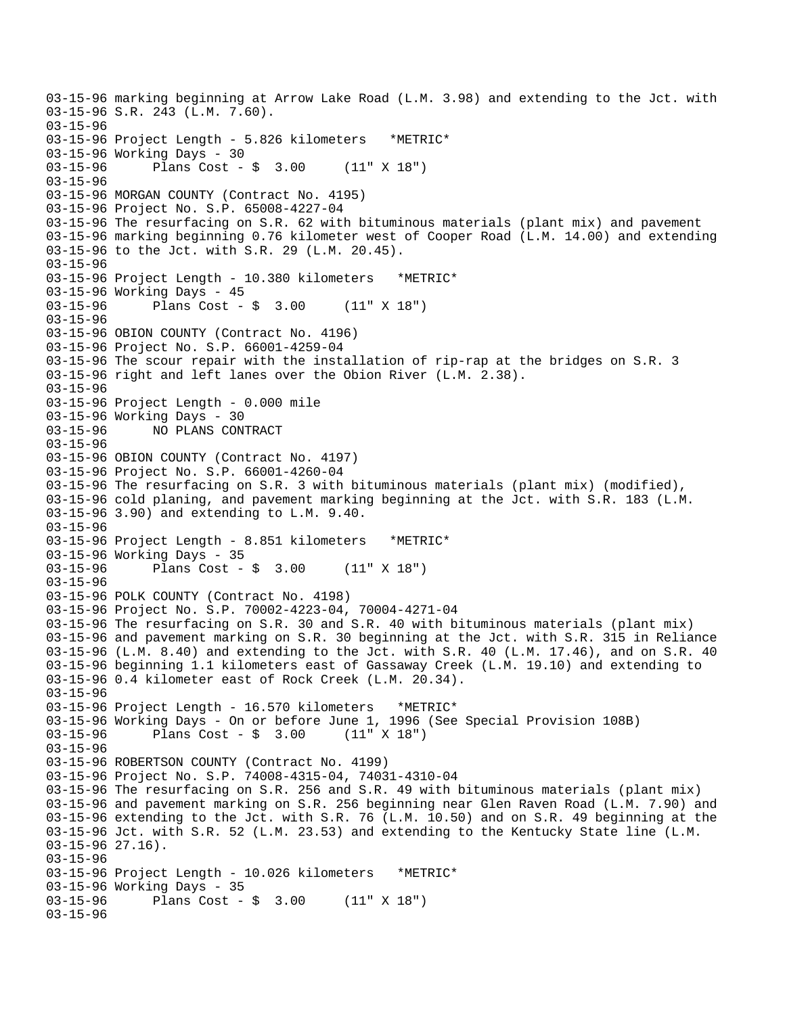03-15-96 marking beginning at Arrow Lake Road (L.M. 3.98) and extending to the Jct. with 03-15-96 S.R. 243 (L.M. 7.60). 03-15-96 03-15-96 Project Length - 5.826 kilometers \*METRIC\* 03-15-96 Working Days - 30 03-15-96 Plans Cost - \$ 3.00 (11" X 18") 03-15-96 03-15-96 MORGAN COUNTY (Contract No. 4195) 03-15-96 Project No. S.P. 65008-4227-04 03-15-96 The resurfacing on S.R. 62 with bituminous materials (plant mix) and pavement 03-15-96 marking beginning 0.76 kilometer west of Cooper Road (L.M. 14.00) and extending 03-15-96 to the Jct. with S.R. 29 (L.M. 20.45). 03-15-96 03-15-96 Project Length - 10.380 kilometers \*METRIC\* 03-15-96 Working Days - 45 03-15-96 Plans Cost - \$ 3.00 (11" X 18") 03-15-96 03-15-96 OBION COUNTY (Contract No. 4196) 03-15-96 Project No. S.P. 66001-4259-04 03-15-96 The scour repair with the installation of rip-rap at the bridges on S.R. 3 03-15-96 right and left lanes over the Obion River (L.M. 2.38). 03-15-96 03-15-96 Project Length - 0.000 mile 03-15-96 Working Days - 30<br>03-15-96 NO PLANS CON 03-15-96 NO PLANS CONTRACT 03-15-96 03-15-96 OBION COUNTY (Contract No. 4197) 03-15-96 Project No. S.P. 66001-4260-04 03-15-96 The resurfacing on S.R. 3 with bituminous materials (plant mix) (modified), 03-15-96 cold planing, and pavement marking beginning at the Jct. with S.R. 183 (L.M. 03-15-96 3.90) and extending to L.M. 9.40. 03-15-96 03-15-96 Project Length - 8.851 kilometers \*METRIC\* 03-15-96 Working Days - 35<br>03-15-96 Plans Cost -Plans Cost -  $$3.00$  (11" X 18") 03-15-96 03-15-96 POLK COUNTY (Contract No. 4198) 03-15-96 Project No. S.P. 70002-4223-04, 70004-4271-04 03-15-96 The resurfacing on S.R. 30 and S.R. 40 with bituminous materials (plant mix) 03-15-96 and pavement marking on S.R. 30 beginning at the Jct. with S.R. 315 in Reliance 03-15-96 (L.M. 8.40) and extending to the Jct. with S.R. 40 (L.M. 17.46), and on S.R. 40 03-15-96 beginning 1.1 kilometers east of Gassaway Creek (L.M. 19.10) and extending to 03-15-96 0.4 kilometer east of Rock Creek (L.M. 20.34). 03-15-96 03-15-96 Project Length - 16.570 kilometers \*METRIC\* 03-15-96 Working Days - On or before June 1, 1996 (See Special Provision 108B) 03-15-96 Plans Cost - \$ 3.00 (11" X 18") 03-15-96 03-15-96 ROBERTSON COUNTY (Contract No. 4199) 03-15-96 Project No. S.P. 74008-4315-04, 74031-4310-04 03-15-96 The resurfacing on S.R. 256 and S.R. 49 with bituminous materials (plant mix) 03-15-96 and pavement marking on S.R. 256 beginning near Glen Raven Road (L.M. 7.90) and 03-15-96 extending to the Jct. with S.R. 76 (L.M. 10.50) and on S.R. 49 beginning at the 03-15-96 Jct. with S.R. 52 (L.M. 23.53) and extending to the Kentucky State line (L.M. 03-15-96 27.16). 03-15-96 03-15-96 Project Length - 10.026 kilometers \*METRIC\* 03-15-96 Working Days - 35<br>03-15-96 Plans Cost -Plans  $Cost - $ 3.00 (11" X 18")$ 03-15-96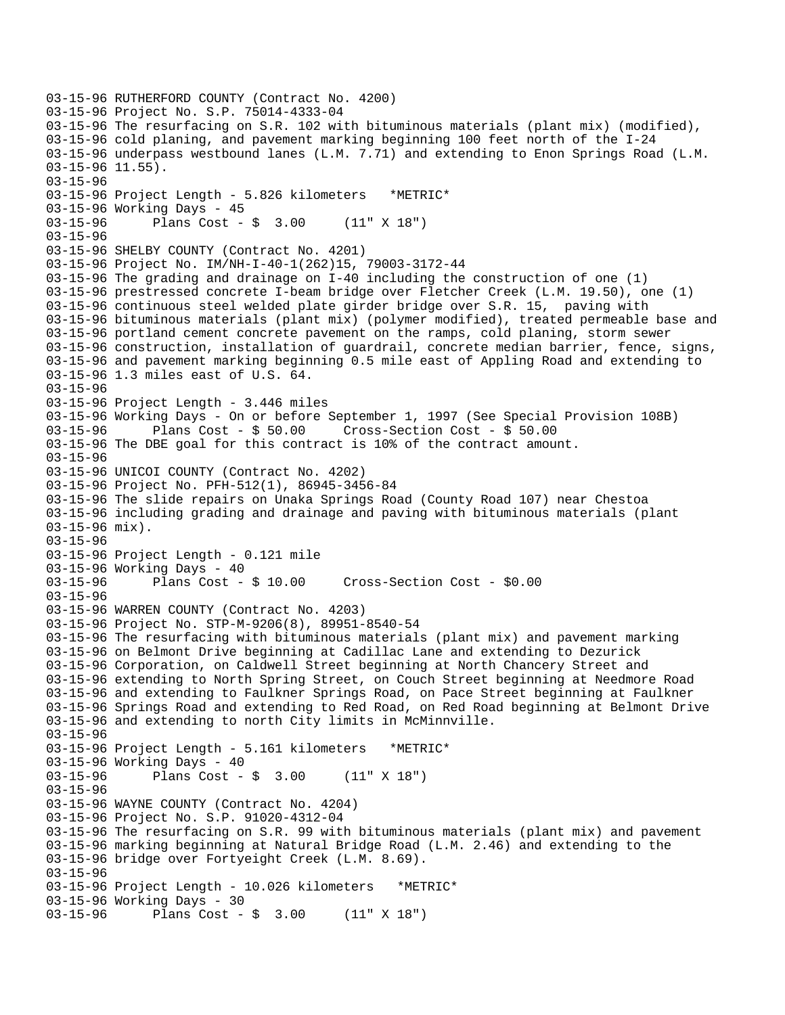```
03-15-96 RUTHERFORD COUNTY (Contract No. 4200) 
03-15-96 Project No. S.P. 75014-4333-04 
03-15-96 The resurfacing on S.R. 102 with bituminous materials (plant mix) (modified), 
03-15-96 cold planing, and pavement marking beginning 100 feet north of the I-24 
03-15-96 underpass westbound lanes (L.M. 7.71) and extending to Enon Springs Road (L.M. 
03-15-96 11.55). 
03-15-96 
03-15-96 Project Length - 5.826 kilometers *METRIC* 
03-15-96 Working Days - 45 
03-15-96 Plans Cost - $ 3.00 (11" X 18") 
03-15-96 
03-15-96 SHELBY COUNTY (Contract No. 4201) 
03-15-96 Project No. IM/NH-I-40-1(262)15, 79003-3172-44 
03-15-96 The grading and drainage on I-40 including the construction of one (1) 
03-15-96 prestressed concrete I-beam bridge over Fletcher Creek (L.M. 19.50), one (1) 
03-15-96 continuous steel welded plate girder bridge over S.R. 15, paving with 
03-15-96 bituminous materials (plant mix) (polymer modified), treated permeable base and 
03-15-96 portland cement concrete pavement on the ramps, cold planing, storm sewer 
03-15-96 construction, installation of guardrail, concrete median barrier, fence, signs, 
03-15-96 and pavement marking beginning 0.5 mile east of Appling Road and extending to 
03-15-96 1.3 miles east of U.S. 64. 
03-15-96 
03-15-96 Project Length - 3.446 miles
03-15-96 Working Days - On or before September 1, 1997 (See Special Provision 108B)<br>03-15-96     Plans Cost - $ 50.00   Cross-Section Cost - $ 50.00
              Plans Cost - $50.00 Cross-Section Cost - $50.0003-15-96 The DBE goal for this contract is 10% of the contract amount. 
03-15-96 
03-15-96 UNICOI COUNTY (Contract No. 4202) 
03-15-96 Project No. PFH-512(1), 86945-3456-84 
03-15-96 The slide repairs on Unaka Springs Road (County Road 107) near Chestoa 
03-15-96 including grading and drainage and paving with bituminous materials (plant 
03-15-96 mix). 
03-15-96 
03-15-96 Project Length - 0.121 mile 
03-15-96 Working Days - 40 
03-15-96 Plans Cost - $ 10.00 Cross-Section Cost - $0.00 
03-15-96 
03-15-96 WARREN COUNTY (Contract No. 4203) 
03-15-96 Project No. STP-M-9206(8), 89951-8540-54 
03-15-96 The resurfacing with bituminous materials (plant mix) and pavement marking 
03-15-96 on Belmont Drive beginning at Cadillac Lane and extending to Dezurick 
03-15-96 Corporation, on Caldwell Street beginning at North Chancery Street and 
03-15-96 extending to North Spring Street, on Couch Street beginning at Needmore Road 
03-15-96 and extending to Faulkner Springs Road, on Pace Street beginning at Faulkner 
03-15-96 Springs Road and extending to Red Road, on Red Road beginning at Belmont Drive 
03-15-96 and extending to north City limits in McMinnville. 
03-15-96 
03-15-96 Project Length - 5.161 kilometers *METRIC* 
03-15-96 Working Days - 40 
03-15-96 Plans Cost - $ 3.00 (11" X 18") 
03-15-96 
03-15-96 WAYNE COUNTY (Contract No. 4204) 
03-15-96 Project No. S.P. 91020-4312-04 
03-15-96 The resurfacing on S.R. 99 with bituminous materials (plant mix) and pavement 
03-15-96 marking beginning at Natural Bridge Road (L.M. 2.46) and extending to the 
03-15-96 bridge over Fortyeight Creek (L.M. 8.69). 
03-15-96 
03-15-96 Project Length - 10.026 kilometers *METRIC* 
03-15-96 Working Days - 30 
03-15-96 Plans Cost - $ 3.00 (11" X 18")
```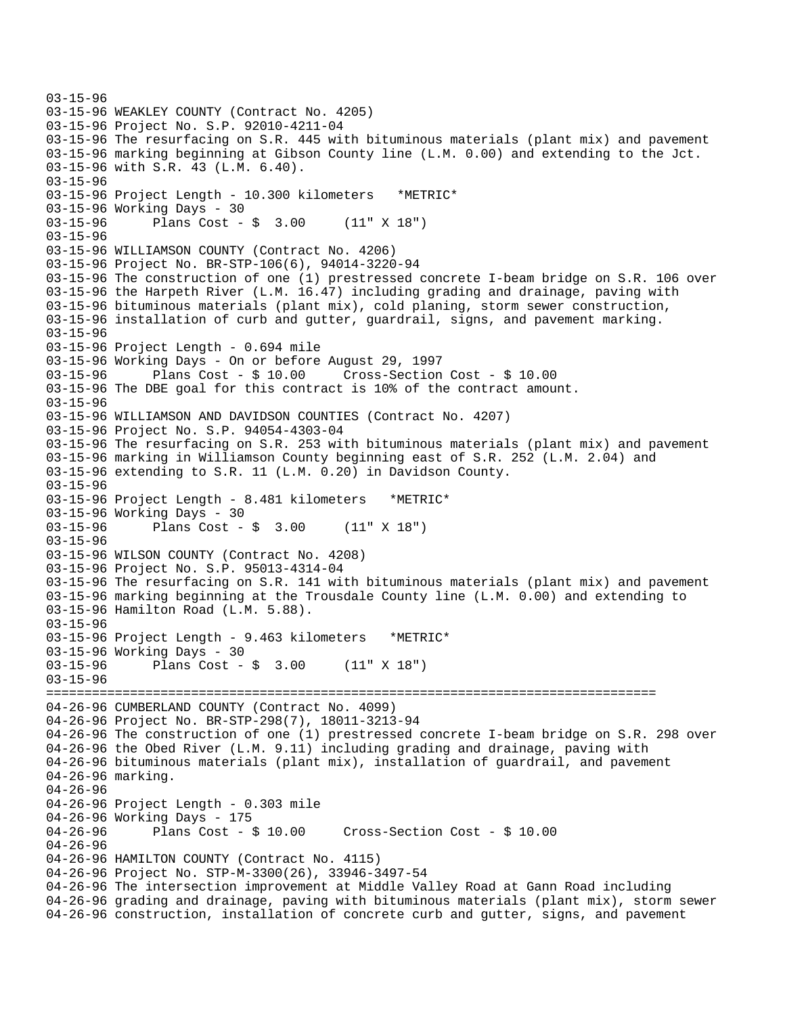```
03-15-96 
03-15-96 WEAKLEY COUNTY (Contract No. 4205) 
03-15-96 Project No. S.P. 92010-4211-04 
03-15-96 The resurfacing on S.R. 445 with bituminous materials (plant mix) and pavement 
03-15-96 marking beginning at Gibson County line (L.M. 0.00) and extending to the Jct. 
03-15-96 with S.R. 43 (L.M. 6.40). 
03-15-96 
03-15-96 Project Length - 10.300 kilometers *METRIC* 
03-15-96 Working Days - 30 
03-15-96 Plans Cost - $ 3.00 (11" X 18") 
03-15-96 
03-15-96 WILLIAMSON COUNTY (Contract No. 4206) 
03-15-96 Project No. BR-STP-106(6), 94014-3220-94 
03-15-96 The construction of one (1) prestressed concrete I-beam bridge on S.R. 106 over 
03-15-96 the Harpeth River (L.M. 16.47) including grading and drainage, paving with 
03-15-96 bituminous materials (plant mix), cold planing, storm sewer construction, 
03-15-96 installation of curb and gutter, guardrail, signs, and pavement marking. 
03-15-96 
03-15-96 Project Length - 0.694 mile 
03-15-96 Working Days - On or before August 29, 1997 
03-15-96 Plans Cost - $ 10.00 Cross-Section Cost - $ 10.00 
03-15-96 The DBE goal for this contract is 10% of the contract amount. 
03-15-96 
03-15-96 WILLIAMSON AND DAVIDSON COUNTIES (Contract No. 4207) 
03-15-96 Project No. S.P. 94054-4303-04 
03-15-96 The resurfacing on S.R. 253 with bituminous materials (plant mix) and pavement 
03-15-96 marking in Williamson County beginning east of S.R. 252 (L.M. 2.04) and 
03-15-96 extending to S.R. 11 (L.M. 0.20) in Davidson County. 
03-15-96 
03-15-96 Project Length - 8.481 kilometers *METRIC* 
03-15-96 Working Days - 30 
03-15-96 Plans Cost - $ 3.00 (11" X 18") 
03-15-96 
03-15-96 WILSON COUNTY (Contract No. 4208) 
03-15-96 Project No. S.P. 95013-4314-04 
03-15-96 The resurfacing on S.R. 141 with bituminous materials (plant mix) and pavement 
03-15-96 marking beginning at the Trousdale County line (L.M. 0.00) and extending to 
03-15-96 Hamilton Road (L.M. 5.88). 
03-15-96 
03-15-96 Project Length - 9.463 kilometers *METRIC* 
03-15-96 Working Days - 30 
03-15-96 Plans Cost - $ 3.00 (11" X 18") 
03-15-96 
================================================================================ 
04-26-96 CUMBERLAND COUNTY (Contract No. 4099) 
04-26-96 Project No. BR-STP-298(7), 18011-3213-94 
04-26-96 The construction of one (1) prestressed concrete I-beam bridge on S.R. 298 over 
04-26-96 the Obed River (L.M. 9.11) including grading and drainage, paving with 
04-26-96 bituminous materials (plant mix), installation of guardrail, and pavement 
04-26-96 marking. 
04-26-96 
04-26-96 Project Length - 0.303 mile 
04-26-96 Working Days - 175<br>04-26-96 Plans Cost - $ 10.00
04-26-96 Plans Cost - $ 10.00 Cross-Section Cost - $ 10.00 
04-26-96 
04-26-96 HAMILTON COUNTY (Contract No. 4115) 
04-26-96 Project No. STP-M-3300(26), 33946-3497-54 
04-26-96 The intersection improvement at Middle Valley Road at Gann Road including 
04-26-96 grading and drainage, paving with bituminous materials (plant mix), storm sewer 
04-26-96 construction, installation of concrete curb and gutter, signs, and pavement
```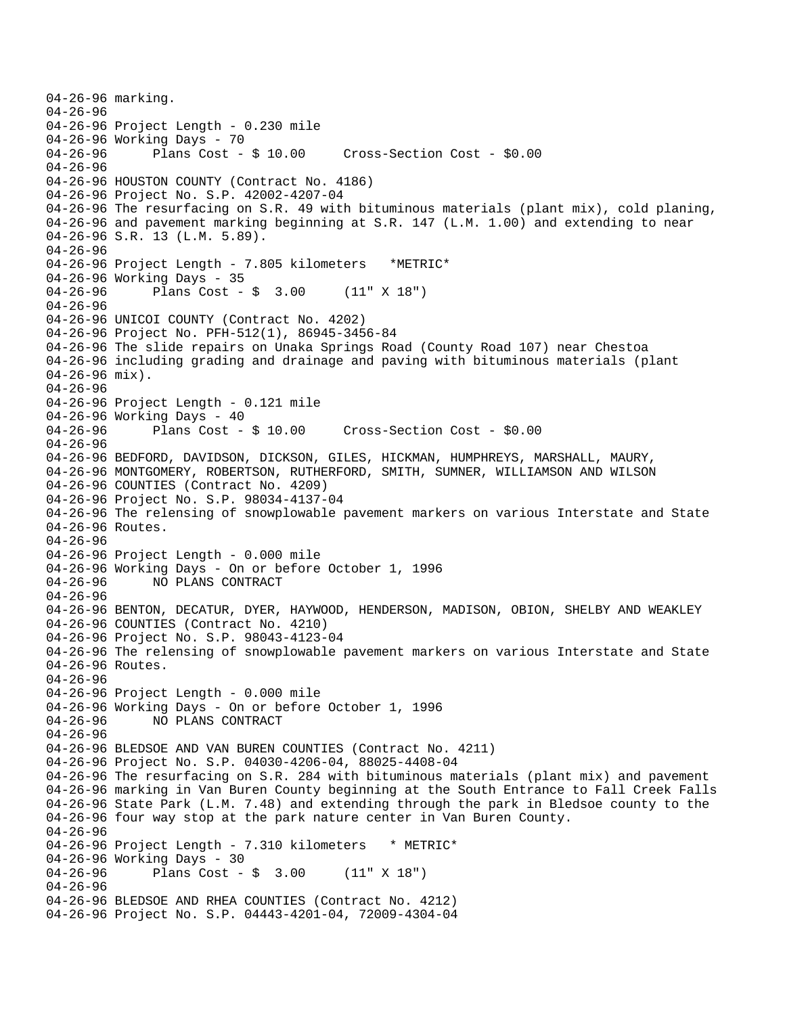```
04-26-96 marking. 
04-26-96 
04-26-96 Project Length - 0.230 mile 
04-26-96 Working Days - 70<br>04-26-96 Plans Cost - $ 10.00
                                        Cross-Section Cost - $0.00
04-26-96 
04-26-96 HOUSTON COUNTY (Contract No. 4186) 
04-26-96 Project No. S.P. 42002-4207-04 
04-26-96 The resurfacing on S.R. 49 with bituminous materials (plant mix), cold planing, 
04-26-96 and pavement marking beginning at S.R. 147 (L.M. 1.00) and extending to near 
04-26-96 S.R. 13 (L.M. 5.89). 
04-26-96 
04-26-96 Project Length - 7.805 kilometers *METRIC* 
04-26-96 Working Days - 35 
04-26-96 Plans Cost - $ 3.00 (11" X 18") 
04-26-96 
04-26-96 UNICOI COUNTY (Contract No. 4202) 
04-26-96 Project No. PFH-512(1), 86945-3456-84 
04-26-96 The slide repairs on Unaka Springs Road (County Road 107) near Chestoa 
04-26-96 including grading and drainage and paving with bituminous materials (plant 
04-26-96 mix). 
04-26-96 
04-26-96 Project Length - 0.121 mile 
04-26-96 Working Days - 40<br>04-26-96 Plans Cost - $ 10.00
                                        Cross-Section Cost - $0.00
04-26-96 
04-26-96 BEDFORD, DAVIDSON, DICKSON, GILES, HICKMAN, HUMPHREYS, MARSHALL, MAURY, 
04-26-96 MONTGOMERY, ROBERTSON, RUTHERFORD, SMITH, SUMNER, WILLIAMSON AND WILSON 
04-26-96 COUNTIES (Contract No. 4209) 
04-26-96 Project No. S.P. 98034-4137-04 
04-26-96 The relensing of snowplowable pavement markers on various Interstate and State 
04-26-96 Routes. 
04-26-96 
04-26-96 Project Length - 0.000 mile 
04-26-96 Working Days - On or before October 1, 1996 
04-26-96 NO PLANS CONTRACT 
04-26-96 
04-26-96 BENTON, DECATUR, DYER, HAYWOOD, HENDERSON, MADISON, OBION, SHELBY AND WEAKLEY 
04-26-96 COUNTIES (Contract No. 4210) 
04-26-96 Project No. S.P. 98043-4123-04 
04-26-96 The relensing of snowplowable pavement markers on various Interstate and State 
04-26-96 Routes. 
04-26-96 
04-26-96 Project Length - 0.000 mile 
04-26-96 Working Days - On or before October 1, 1996 
04-26-96 NO PLANS CONTRACT 
04-26-96 
04-26-96 BLEDSOE AND VAN BUREN COUNTIES (Contract No. 4211) 
04-26-96 Project No. S.P. 04030-4206-04, 88025-4408-04 
04-26-96 The resurfacing on S.R. 284 with bituminous materials (plant mix) and pavement 
04-26-96 marking in Van Buren County beginning at the South Entrance to Fall Creek Falls 
04-26-96 State Park (L.M. 7.48) and extending through the park in Bledsoe county to the 
04-26-96 four way stop at the park nature center in Van Buren County. 
04-26-96 
04-26-96 Project Length - 7.310 kilometers * METRIC*
04-26-96 Working Days - 30 
04-26-96 Plans Cost - $ 3.00 (11" X 18") 
04-26-96 
04-26-96 BLEDSOE AND RHEA COUNTIES (Contract No. 4212) 
04-26-96 Project No. S.P. 04443-4201-04, 72009-4304-04
```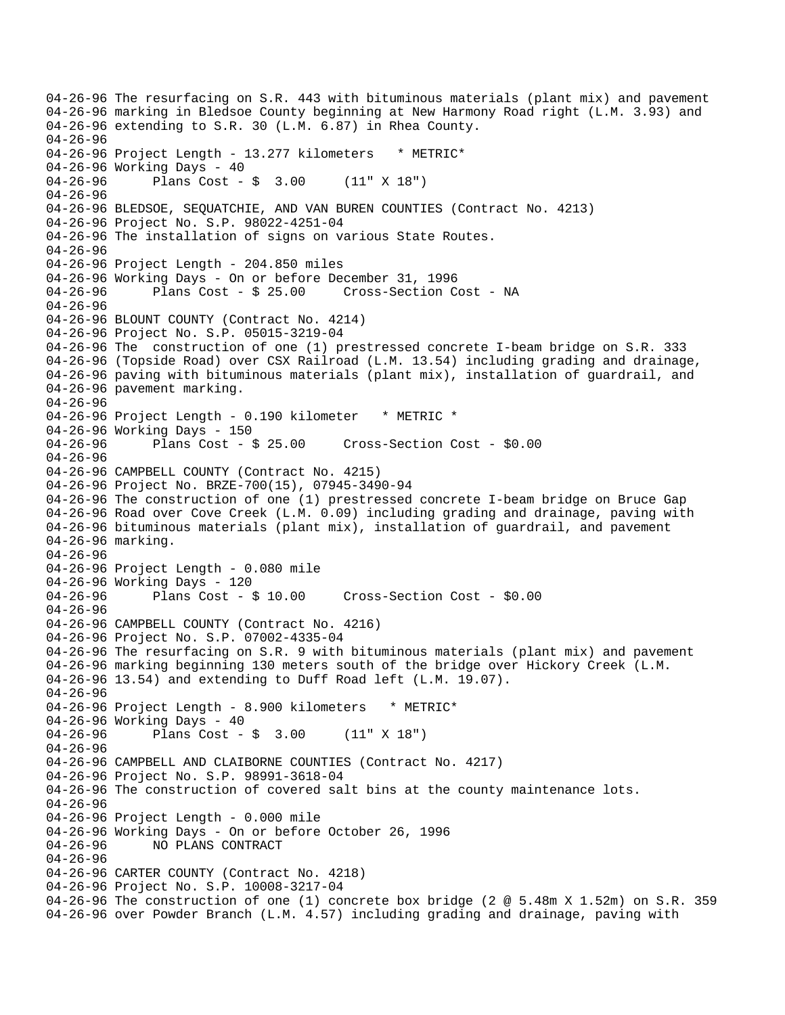04-26-96 The resurfacing on S.R. 443 with bituminous materials (plant mix) and pavement 04-26-96 marking in Bledsoe County beginning at New Harmony Road right (L.M. 3.93) and 04-26-96 extending to S.R. 30 (L.M. 6.87) in Rhea County. 04-26-96 04-26-96 Project Length - 13.277 kilometers \* METRIC\* 04-26-96 Working Days - 40 04-26-96 Plans Cost - \$ 3.00 (11" X 18") 04-26-96 04-26-96 BLEDSOE, SEQUATCHIE, AND VAN BUREN COUNTIES (Contract No. 4213) 04-26-96 Project No. S.P. 98022-4251-04 04-26-96 The installation of signs on various State Routes. 04-26-96 04-26-96 Project Length - 204.850 miles 04-26-96 Working Days - On or before December 31, 1996 04-26-96 Plans Cost - \$ 25.00 Cross-Section Cost - NA 04-26-96 04-26-96 BLOUNT COUNTY (Contract No. 4214) 04-26-96 Project No. S.P. 05015-3219-04 04-26-96 The construction of one (1) prestressed concrete I-beam bridge on S.R. 333 04-26-96 (Topside Road) over CSX Railroad (L.M. 13.54) including grading and drainage, 04-26-96 paving with bituminous materials (plant mix), installation of guardrail, and 04-26-96 pavement marking. 04-26-96 04-26-96 Project Length - 0.190 kilometer \* METRIC \* 04-26-96 Working Days - 150 04-26-96 Plans Cost - \$ 25.00 Cross-Section Cost - \$0.00 04-26-96 04-26-96 CAMPBELL COUNTY (Contract No. 4215) 04-26-96 Project No. BRZE-700(15), 07945-3490-94 04-26-96 The construction of one (1) prestressed concrete I-beam bridge on Bruce Gap 04-26-96 Road over Cove Creek (L.M. 0.09) including grading and drainage, paving with 04-26-96 bituminous materials (plant mix), installation of guardrail, and pavement 04-26-96 marking. 04-26-96 04-26-96 Project Length - 0.080 mile 04-26-96 Working Days - 120 04-26-96 Plans Cost - \$ 10.00 Cross-Section Cost - \$0.00 04-26-96 04-26-96 CAMPBELL COUNTY (Contract No. 4216) 04-26-96 Project No. S.P. 07002-4335-04 04-26-96 The resurfacing on S.R. 9 with bituminous materials (plant mix) and pavement 04-26-96 marking beginning 130 meters south of the bridge over Hickory Creek (L.M. 04-26-96 13.54) and extending to Duff Road left (L.M. 19.07). 04-26-96 04-26-96 Project Length - 8.900 kilometers \* METRIC\* 04-26-96 Working Days - 40 04-26-96 Plans Cost - \$ 3.00 (11" X 18") 04-26-96 04-26-96 CAMPBELL AND CLAIBORNE COUNTIES (Contract No. 4217) 04-26-96 Project No. S.P. 98991-3618-04 04-26-96 The construction of covered salt bins at the county maintenance lots. 04-26-96 04-26-96 Project Length - 0.000 mile 04-26-96 Working Days - On or before October 26, 1996<br>04-26-96 NO PLANS CONTRACT 04-26-96 NO PLANS CONTRACT 04-26-96 04-26-96 CARTER COUNTY (Contract No. 4218) 04-26-96 Project No. S.P. 10008-3217-04 04-26-96 The construction of one (1) concrete box bridge (2 @ 5.48m X 1.52m) on S.R. 359 04-26-96 over Powder Branch (L.M. 4.57) including grading and drainage, paving with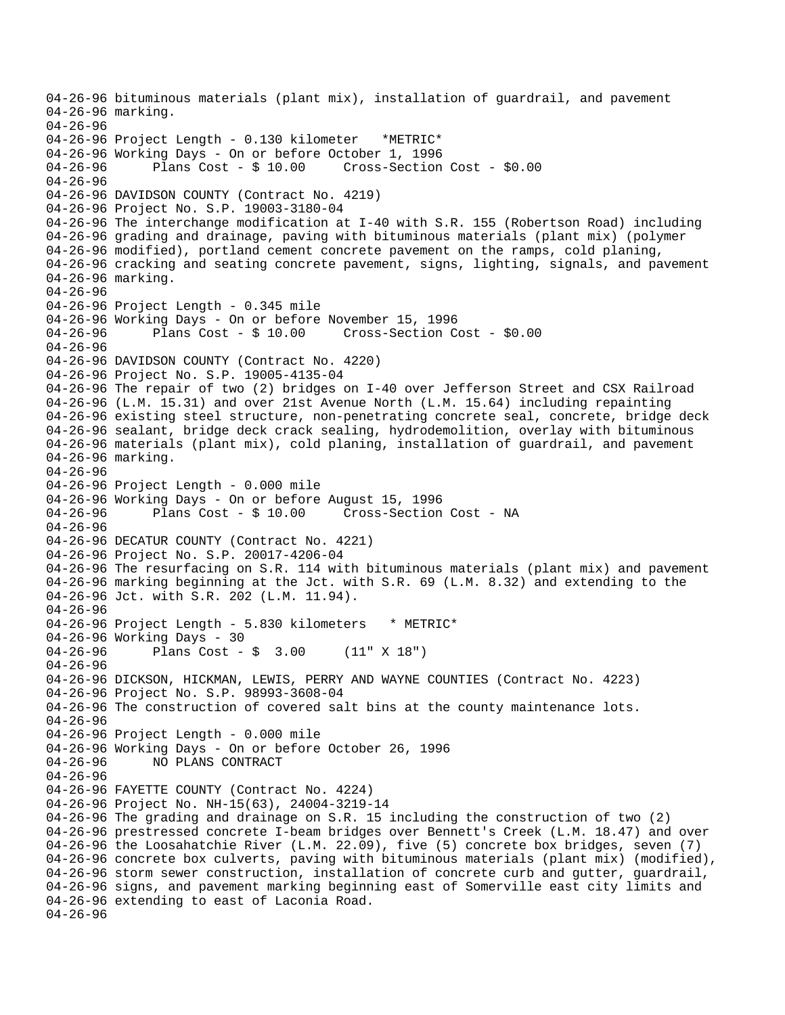```
04-26-96 bituminous materials (plant mix), installation of guardrail, and pavement 
04-26-96 marking. 
04-26-96 
04-26-96 Project Length - 0.130 kilometer *METRIC* 
04-26-96 Working Days - On or before October 1, 1996 
04-26-96 Plans Cost - $ 10.00 Cross-Section Cost - $0.00 
04-26-96 
04-26-96 DAVIDSON COUNTY (Contract No. 4219) 
04-26-96 Project No. S.P. 19003-3180-04 
04-26-96 The interchange modification at I-40 with S.R. 155 (Robertson Road) including 
04-26-96 grading and drainage, paving with bituminous materials (plant mix) (polymer 
04-26-96 modified), portland cement concrete pavement on the ramps, cold planing, 
04-26-96 cracking and seating concrete pavement, signs, lighting, signals, and pavement 
04-26-96 marking. 
04-26-96 
04-26-96 Project Length - 0.345 mile
04-26-96 Working Days - On or before November 15, 1996 
04-26-96 Plans Cost - $ 10.00 Cross-Section Cost - $0.00 
04-26-96 
04-26-96 DAVIDSON COUNTY (Contract No. 4220) 
04-26-96 Project No. S.P. 19005-4135-04 
04-26-96 The repair of two (2) bridges on I-40 over Jefferson Street and CSX Railroad 
04-26-96 (L.M. 15.31) and over 21st Avenue North (L.M. 15.64) including repainting 
04-26-96 existing steel structure, non-penetrating concrete seal, concrete, bridge deck 
04-26-96 sealant, bridge deck crack sealing, hydrodemolition, overlay with bituminous 
04-26-96 materials (plant mix), cold planing, installation of guardrail, and pavement 
04-26-96 marking. 
04-26-96 
04-26-96 Project Length - 0.000 mile 
04-26-96 Working Days - On or before August 15, 1996 
04-26-96 Plans Cost - $ 10.00 Cross-Section Cost - NA 
04-26-96 
04-26-96 DECATUR COUNTY (Contract No. 4221) 
04-26-96 Project No. S.P. 20017-4206-04 
04-26-96 The resurfacing on S.R. 114 with bituminous materials (plant mix) and pavement 
04-26-96 marking beginning at the Jct. with S.R. 69 (L.M. 8.32) and extending to the 
04-26-96 Jct. with S.R. 202 (L.M. 11.94). 
04-26-96 
04-26-96 Project Length - 5.830 kilometers * METRIC*
04-26-96 Working Days - 30 
04-26-96 Plans Cost - $ 3.00 (11" X 18") 
04-26-96 
04-26-96 DICKSON, HICKMAN, LEWIS, PERRY AND WAYNE COUNTIES (Contract No. 4223) 
04-26-96 Project No. S.P. 98993-3608-04 
04-26-96 The construction of covered salt bins at the county maintenance lots. 
04-26-96 
04-26-96 Project Length - 0.000 mile 
04-26-96 Working Days - On or before October 26, 1996<br>04-26-96       NO PLANS CONTRACT
              04-26-96 NO PLANS CONTRACT 
04-26-96 
04-26-96 FAYETTE COUNTY (Contract No. 4224) 
04-26-96 Project No. NH-15(63), 24004-3219-14 
04-26-96 The grading and drainage on S.R. 15 including the construction of two (2) 
04-26-96 prestressed concrete I-beam bridges over Bennett's Creek (L.M. 18.47) and over 
04-26-96 the Loosahatchie River (L.M. 22.09), five (5) concrete box bridges, seven (7) 
04-26-96 concrete box culverts, paving with bituminous materials (plant mix) (modified), 
04-26-96 storm sewer construction, installation of concrete curb and gutter, guardrail, 
04-26-96 signs, and pavement marking beginning east of Somerville east city limits and 
04-26-96 extending to east of Laconia Road. 
04-26-96
```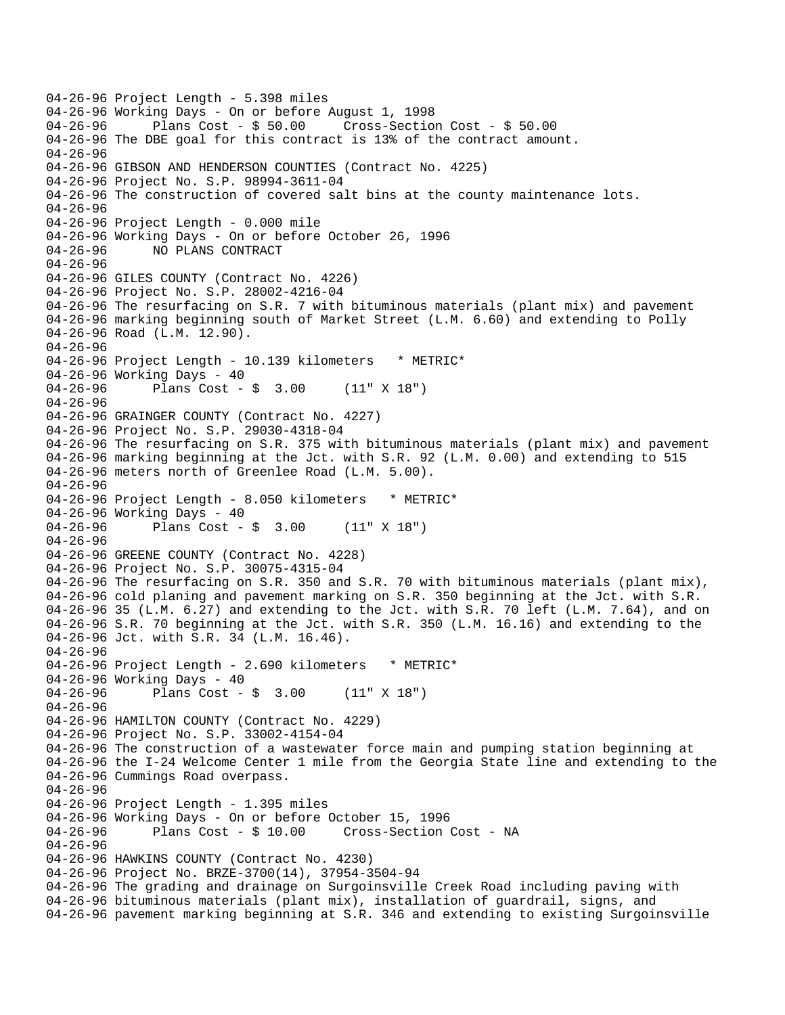04-26-96 Project Length - 5.398 miles 04-26-96 Working Days - On or before August 1, 1998 04-26-96 Plans Cost - \$ 50.00 Cross-Section Cost - \$ 50.00 04-26-96 The DBE goal for this contract is 13% of the contract amount. 04-26-96 04-26-96 GIBSON AND HENDERSON COUNTIES (Contract No. 4225) 04-26-96 Project No. S.P. 98994-3611-04 04-26-96 The construction of covered salt bins at the county maintenance lots. 04-26-96 04-26-96 Project Length - 0.000 mile 04-26-96 Working Days - On or before October 26, 1996 04-26-96 NO PLANS CONTRACT 04-26-96 04-26-96 GILES COUNTY (Contract No. 4226) 04-26-96 Project No. S.P. 28002-4216-04 04-26-96 The resurfacing on S.R. 7 with bituminous materials (plant mix) and pavement 04-26-96 marking beginning south of Market Street (L.M. 6.60) and extending to Polly 04-26-96 Road (L.M. 12.90). 04-26-96 04-26-96 Project Length - 10.139 kilometers \* METRIC\* 04-26-96 Working Days - 40 04-26-96 Plans Cost - \$ 3.00 (11" X 18") 04-26-96 04-26-96 GRAINGER COUNTY (Contract No. 4227) 04-26-96 Project No. S.P. 29030-4318-04 04-26-96 The resurfacing on S.R. 375 with bituminous materials (plant mix) and pavement 04-26-96 marking beginning at the Jct. with S.R. 92 (L.M. 0.00) and extending to 515 04-26-96 meters north of Greenlee Road (L.M. 5.00). 04-26-96 04-26-96 Project Length - 8.050 kilometers \* METRIC\* 04-26-96 Working Days - 40 04-26-96 Plans Cost - \$ 3.00 (11" X 18") 04-26-96 04-26-96 GREENE COUNTY (Contract No. 4228) 04-26-96 Project No. S.P. 30075-4315-04 04-26-96 The resurfacing on S.R. 350 and S.R. 70 with bituminous materials (plant mix), 04-26-96 cold planing and pavement marking on S.R. 350 beginning at the Jct. with S.R. 04-26-96 35 (L.M. 6.27) and extending to the Jct. with S.R. 70 left (L.M. 7.64), and on 04-26-96 S.R. 70 beginning at the Jct. with S.R. 350 (L.M. 16.16) and extending to the 04-26-96 Jct. with S.R. 34 (L.M. 16.46). 04-26-96 04-26-96 Project Length - 2.690 kilometers \* METRIC\* 04-26-96 Working Days - 40 04-26-96 Plans Cost - \$ 3.00 (11" X 18") 04-26-96 04-26-96 HAMILTON COUNTY (Contract No. 4229) 04-26-96 Project No. S.P. 33002-4154-04 04-26-96 The construction of a wastewater force main and pumping station beginning at 04-26-96 the I-24 Welcome Center 1 mile from the Georgia State line and extending to the 04-26-96 Cummings Road overpass. 04-26-96 04-26-96 Project Length - 1.395 miles 04-26-96 Working Days - On or before October 15, 1996 04-26-96 Plans Cost - \$ 10.00 Cross-Section Cost - NA 04-26-96 04-26-96 HAWKINS COUNTY (Contract No. 4230) 04-26-96 Project No. BRZE-3700(14), 37954-3504-94 04-26-96 The grading and drainage on Surgoinsville Creek Road including paving with 04-26-96 bituminous materials (plant mix), installation of guardrail, signs, and 04-26-96 pavement marking beginning at S.R. 346 and extending to existing Surgoinsville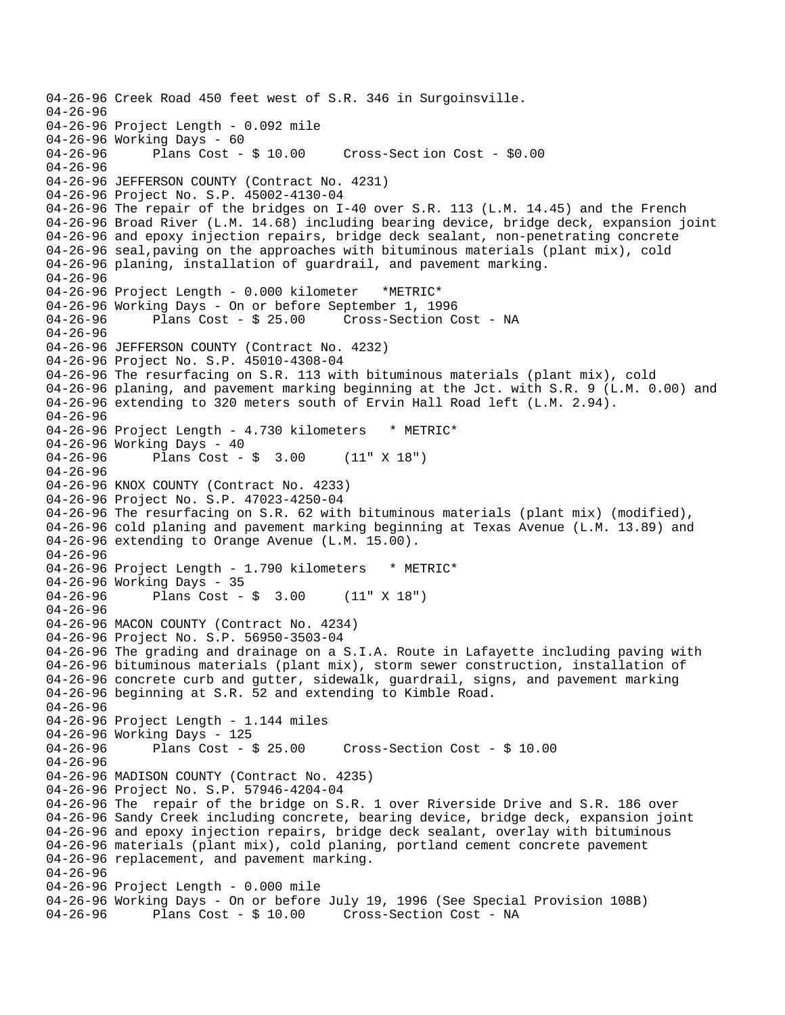04-26-96 Creek Road 450 feet west of S.R. 346 in Surgoinsville. 04-26-96 04-26-96 Project Length - 0.092 mile 04-26-96 Working Days - 60<br>04-26-96 Plans Cost - \$10.00 Cross-Section Cost - \$0.00 04-26-96 04-26-96 JEFFERSON COUNTY (Contract No. 4231) 04-26-96 Project No. S.P. 45002-4130-04 04-26-96 The repair of the bridges on I-40 over S.R. 113 (L.M. 14.45) and the French 04-26-96 Broad River (L.M. 14.68) including bearing device, bridge deck, expansion joint 04-26-96 and epoxy injection repairs, bridge deck sealant, non-penetrating concrete 04-26-96 seal,paving on the approaches with bituminous materials (plant mix), cold 04-26-96 planing, installation of guardrail, and pavement marking. 04-26-96 04-26-96 Project Length - 0.000 kilometer \*METRIC\* 04-26-96 Working Days - On or before September 1, 1996<br>04-26-96 Plans Cost - \$ 25.00 Cross-Section Co 04-26-96 Plans Cost - \$ 25.00 Cross-Section Cost - NA 04-26-96 04-26-96 JEFFERSON COUNTY (Contract No. 4232) 04-26-96 Project No. S.P. 45010-4308-04 04-26-96 The resurfacing on S.R. 113 with bituminous materials (plant mix), cold 04-26-96 planing, and pavement marking beginning at the Jct. with S.R. 9 (L.M. 0.00) and 04-26-96 extending to 320 meters south of Ervin Hall Road left (L.M. 2.94). 04-26-96 04-26-96 Project Length - 4.730 kilometers \* METRIC\* 04-26-96 Working Days - 40 04-26-96 Plans Cost - \$ 3.00 (11" X 18") 04-26-96 04-26-96 KNOX COUNTY (Contract No. 4233) 04-26-96 Project No. S.P. 47023-4250-04 04-26-96 The resurfacing on S.R. 62 with bituminous materials (plant mix) (modified), 04-26-96 cold planing and pavement marking beginning at Texas Avenue (L.M. 13.89) and 04-26-96 extending to Orange Avenue (L.M. 15.00). 04-26-96 04-26-96 Project Length - 1.790 kilometers \* METRIC\* 04-26-96 Working Days - 35 04-26-96 Plans Cost - \$ 3.00 (11" X 18") 04-26-96 04-26-96 MACON COUNTY (Contract No. 4234) 04-26-96 Project No. S.P. 56950-3503-04 04-26-96 The grading and drainage on a S.I.A. Route in Lafayette including paving with 04-26-96 bituminous materials (plant mix), storm sewer construction, installation of 04-26-96 concrete curb and gutter, sidewalk, guardrail, signs, and pavement marking 04-26-96 beginning at S.R. 52 and extending to Kimble Road. 04-26-96 04-26-96 Project Length - 1.144 miles 04-26-96 Working Days - 125<br>04-26-96 Plans Cost - \$ 25.00 04-26-96 Plans Cost - \$ 25.00 Cross-Section Cost - \$ 10.00 04-26-96 04-26-96 MADISON COUNTY (Contract No. 4235) 04-26-96 Project No. S.P. 57946-4204-04 04-26-96 The repair of the bridge on S.R. 1 over Riverside Drive and S.R. 186 over 04-26-96 Sandy Creek including concrete, bearing device, bridge deck, expansion joint 04-26-96 and epoxy injection repairs, bridge deck sealant, overlay with bituminous 04-26-96 materials (plant mix), cold planing, portland cement concrete pavement 04-26-96 replacement, and pavement marking. 04-26-96 04-26-96 Project Length - 0.000 mile 04-26-96 Working Days - On or before July 19, 1996 (See Special Provision 108B) 04-26-96 Plans Cost - \$ 10.00 Cross-Section Cost - NA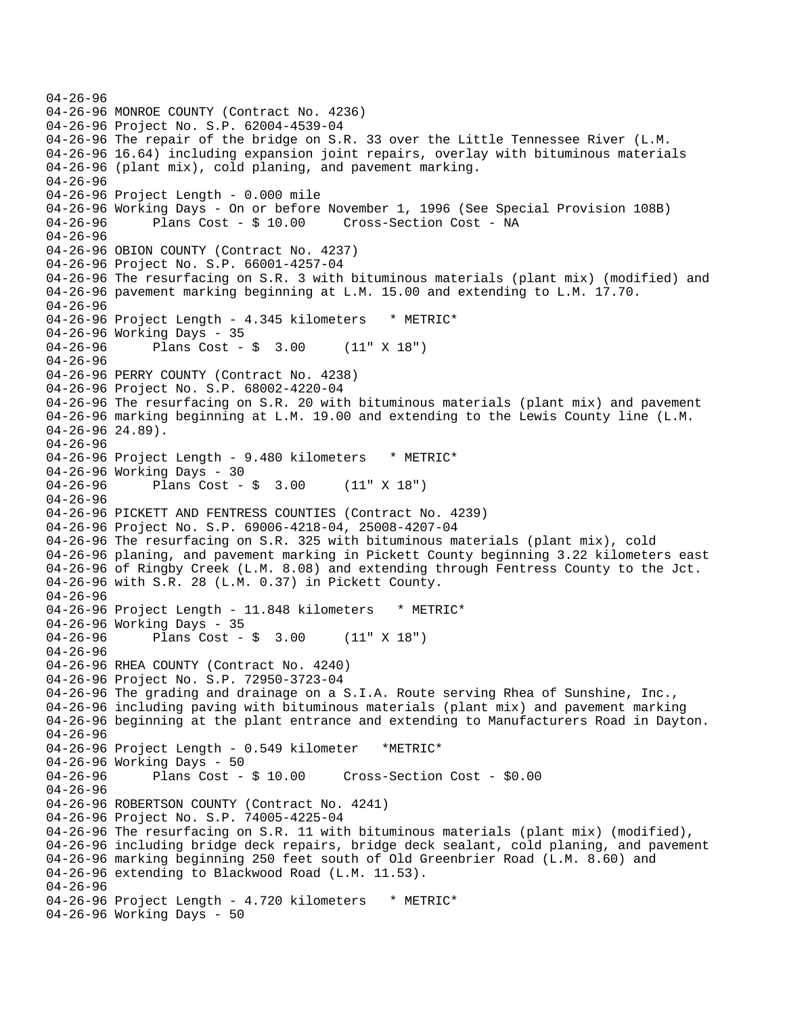```
04-26-96 
04-26-96 MONROE COUNTY (Contract No. 4236) 
04-26-96 Project No. S.P. 62004-4539-04 
04-26-96 The repair of the bridge on S.R. 33 over the Little Tennessee River (L.M. 
04-26-96 16.64) including expansion joint repairs, overlay with bituminous materials 
04-26-96 (plant mix), cold planing, and pavement marking. 
04-26-96 
04-26-96 Project Length - 0.000 mile 
04-26-96 Working Days - On or before November 1, 1996 (See Special Provision 108B) 
04-26-96 Plans Cost - $ 10.00 Cross-Section Cost - NA 
04-26-96 
04-26-96 OBION COUNTY (Contract No. 4237) 
04-26-96 Project No. S.P. 66001-4257-04 
04-26-96 The resurfacing on S.R. 3 with bituminous materials (plant mix) (modified) and 
04-26-96 pavement marking beginning at L.M. 15.00 and extending to L.M. 17.70. 
04-26-96 
04-26-96 Project Length - 4.345 kilometers * METRIC*
04-26-96 Working Days - 35 
04-26-96 Plans Cost - $ 3.00 (11" X 18") 
04-26-96 
04-26-96 PERRY COUNTY (Contract No. 4238) 
04-26-96 Project No. S.P. 68002-4220-04 
04-26-96 The resurfacing on S.R. 20 with bituminous materials (plant mix) and pavement 
04-26-96 marking beginning at L.M. 19.00 and extending to the Lewis County line (L.M. 
04-26-96 24.89). 
04-26-96 
04-26-96 Project Length - 9.480 kilometers * METRIC*
04-26-96 Working Days - 30 
04-26-96 Plans Cost - $ 3.00 (11" X 18") 
04-26-96 
04-26-96 PICKETT AND FENTRESS COUNTIES (Contract No. 4239) 
04-26-96 Project No. S.P. 69006-4218-04, 25008-4207-04 
04-26-96 The resurfacing on S.R. 325 with bituminous materials (plant mix), cold 
04-26-96 planing, and pavement marking in Pickett County beginning 3.22 kilometers east 
04-26-96 of Ringby Creek (L.M. 8.08) and extending through Fentress County to the Jct. 
04-26-96 with S.R. 28 (L.M. 0.37) in Pickett County. 
04-26-96 
04-26-96 Project Length - 11.848 kilometers * METRIC* 
04-26-96 Working Days - 35<br>04-26-96 Plans Cost -
              Plans Cost - $ 3.00 (11" X 18")04-26-96 
04-26-96 RHEA COUNTY (Contract No. 4240) 
04-26-96 Project No. S.P. 72950-3723-04 
04-26-96 The grading and drainage on a S.I.A. Route serving Rhea of Sunshine, Inc., 
04-26-96 including paving with bituminous materials (plant mix) and pavement marking 
04-26-96 beginning at the plant entrance and extending to Manufacturers Road in Dayton. 
04-26-96 
04-26-96 Project Length - 0.549 kilometer *METRIC* 
04-26-96 Working Days - 50<br>04-26-96 Plans Cost - $10.00
04-26-96 Plans Cost - $ 10.00 Cross-Section Cost - $0.00 
04-26-96 
04-26-96 ROBERTSON COUNTY (Contract No. 4241) 
04-26-96 Project No. S.P. 74005-4225-04 
04-26-96 The resurfacing on S.R. 11 with bituminous materials (plant mix) (modified), 
04-26-96 including bridge deck repairs, bridge deck sealant, cold planing, and pavement 
04-26-96 marking beginning 250 feet south of Old Greenbrier Road (L.M. 8.60) and 
04-26-96 extending to Blackwood Road (L.M. 11.53). 
04-26-96 
04-26-96 Project Length - 4.720 kilometers * METRIC*
04-26-96 Working Days - 50
```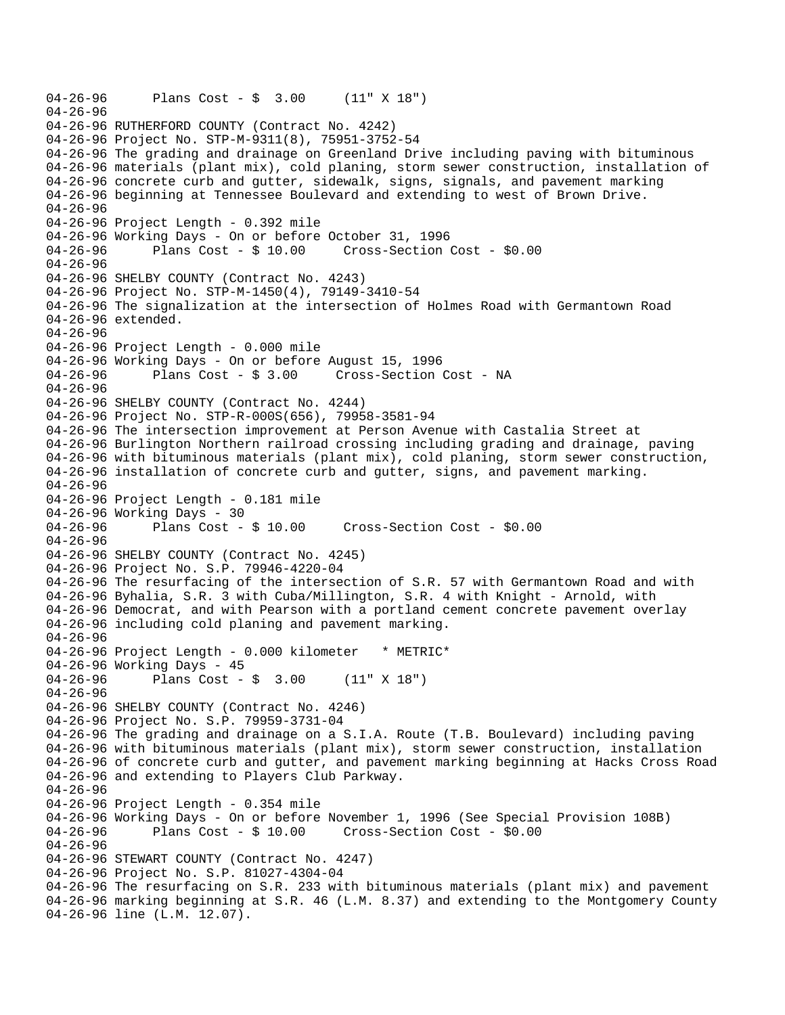```
04-26-96 Plans Cost - $ 3.00 (11" X 18") 
04-26-96 
04-26-96 RUTHERFORD COUNTY (Contract No. 4242) 
04-26-96 Project No. STP-M-9311(8), 75951-3752-54 
04-26-96 The grading and drainage on Greenland Drive including paving with bituminous 
04-26-96 materials (plant mix), cold planing, storm sewer construction, installation of 
04-26-96 concrete curb and gutter, sidewalk, signs, signals, and pavement marking 
04-26-96 beginning at Tennessee Boulevard and extending to west of Brown Drive. 
04-26-96 
04-26-96 Project Length - 0.392 mile 
04-26-96 Working Days - On or before October 31, 1996 
04-26-96 Plans Cost - $ 10.00 Cross-Section Cost - $0.00 
04-26-96 
04-26-96 SHELBY COUNTY (Contract No. 4243) 
04-26-96 Project No. STP-M-1450(4), 79149-3410-54 
04-26-96 The signalization at the intersection of Holmes Road with Germantown Road 
04-26-96 extended. 
04-26-96 
04-26-96 Project Length - 0.000 mile 
04-26-96 Working Days - On or before August 15, 1996 
04-26-96 Plans Cost - $ 3.00 Cross-Section Cost - NA 
04-26-96 
04-26-96 SHELBY COUNTY (Contract No. 4244) 
04-26-96 Project No. STP-R-000S(656), 79958-3581-94 
04-26-96 The intersection improvement at Person Avenue with Castalia Street at 
04-26-96 Burlington Northern railroad crossing including grading and drainage, paving 
04-26-96 with bituminous materials (plant mix), cold planing, storm sewer construction, 
04-26-96 installation of concrete curb and gutter, signs, and pavement marking. 
04-26-96 
04-26-96 Project Length - 0.181 mile 
04-26-96 Working Days - 30 
04-26-96 Plans Cost - $ 10.00 Cross-Section Cost - $0.00 
04-26-96 
04-26-96 SHELBY COUNTY (Contract No. 4245) 
04-26-96 Project No. S.P. 79946-4220-04 
04-26-96 The resurfacing of the intersection of S.R. 57 with Germantown Road and with 
04-26-96 Byhalia, S.R. 3 with Cuba/Millington, S.R. 4 with Knight - Arnold, with 
04-26-96 Democrat, and with Pearson with a portland cement concrete pavement overlay 
04-26-96 including cold planing and pavement marking. 
04-26-96 
04-26-96 Project Length - 0.000 kilometer * METRIC* 
04-26-96 Working Days - 45 
04-26-96 Plans Cost - $ 3.00 (11" X 18") 
04-26-96 
04-26-96 SHELBY COUNTY (Contract No. 4246) 
04-26-96 Project No. S.P. 79959-3731-04 
04-26-96 The grading and drainage on a S.I.A. Route (T.B. Boulevard) including paving 
04-26-96 with bituminous materials (plant mix), storm sewer construction, installation 
04-26-96 of concrete curb and gutter, and pavement marking beginning at Hacks Cross Road 
04-26-96 and extending to Players Club Parkway. 
04-26-96 
04-26-96 Project Length - 0.354 mile
04-26-96 Working Days - On or before November 1, 1996 (See Special Provision 108B) 
04-26-96 Plans Cost - $ 10.00 Cross-Section Cost - $0.00 
04-26-96 
04-26-96 STEWART COUNTY (Contract No. 4247) 
04-26-96 Project No. S.P. 81027-4304-04 
04-26-96 The resurfacing on S.R. 233 with bituminous materials (plant mix) and pavement 
04-26-96 marking beginning at S.R. 46 (L.M. 8.37) and extending to the Montgomery County 
04-26-96 line (L.M. 12.07).
```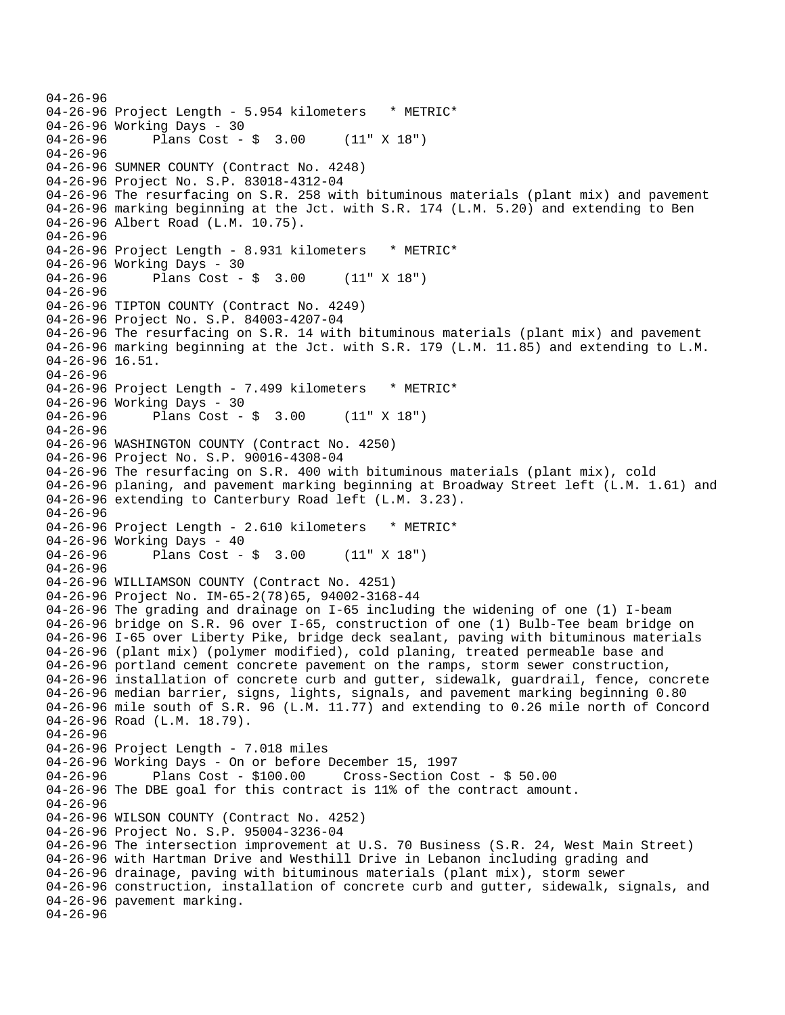```
04-26-96 
04-26-96 Project Length - 5.954 kilometers * METRIC*
04-26-96 Working Days - 30 
04-26-96 Plans Cost - $ 3.00 (11" X 18") 
04-26-96 
04-26-96 SUMNER COUNTY (Contract No. 4248) 
04-26-96 Project No. S.P. 83018-4312-04 
04-26-96 The resurfacing on S.R. 258 with bituminous materials (plant mix) and pavement 
04-26-96 marking beginning at the Jct. with S.R. 174 (L.M. 5.20) and extending to Ben 
04-26-96 Albert Road (L.M. 10.75). 
04-26-96 
04-26-96 Project Length - 8.931 kilometers * METRIC*
04-26-96 Working Days - 30 
04-26-96 Plans Cost - $ 3.00 (11" X 18") 
04-26-96 
04-26-96 TIPTON COUNTY (Contract No. 4249) 
04-26-96 Project No. S.P. 84003-4207-04 
04-26-96 The resurfacing on S.R. 14 with bituminous materials (plant mix) and pavement 
04-26-96 marking beginning at the Jct. with S.R. 179 (L.M. 11.85) and extending to L.M. 
04-26-96 16.51. 
04-26-96 
04-26-96 Project Length - 7.499 kilometers * METRIC*
04-26-96 Working Days - 30 
04-26-96 Plans Cost - $ 3.00 (11" X 18") 
04-26-96 
04-26-96 WASHINGTON COUNTY (Contract No. 4250) 
04-26-96 Project No. S.P. 90016-4308-04 
04-26-96 The resurfacing on S.R. 400 with bituminous materials (plant mix), cold 
04-26-96 planing, and pavement marking beginning at Broadway Street left (L.M. 1.61) and 
04-26-96 extending to Canterbury Road left (L.M. 3.23). 
04-26-96 
04-26-96 Project Length - 2.610 kilometers * METRIC*
04-26-96 Working Days - 40 
04-26-96 Plans Cost - $ 3.00 (11" X 18") 
04-26-96 
04-26-96 WILLIAMSON COUNTY (Contract No. 4251) 
04-26-96 Project No. IM-65-2(78)65, 94002-3168-44 
04-26-96 The grading and drainage on I-65 including the widening of one (1) I-beam 
04-26-96 bridge on S.R. 96 over I-65, construction of one (1) Bulb-Tee beam bridge on 
04-26-96 I-65 over Liberty Pike, bridge deck sealant, paving with bituminous materials 
04-26-96 (plant mix) (polymer modified), cold planing, treated permeable base and 
04-26-96 portland cement concrete pavement on the ramps, storm sewer construction, 
04-26-96 installation of concrete curb and gutter, sidewalk, guardrail, fence, concrete 
04-26-96 median barrier, signs, lights, signals, and pavement marking beginning 0.80 
04-26-96 mile south of S.R. 96 (L.M. 11.77) and extending to 0.26 mile north of Concord 
04-26-96 Road (L.M. 18.79). 
04-26-96 
04-26-96 Project Length - 7.018 miles 
04-26-96 Working Days - On or before December 15, 1997 
04-26-96 Plans Cost - $100.00 Cross-Section Cost - $ 50.00 
04-26-96 The DBE goal for this contract is 11% of the contract amount. 
04-26-96 
04-26-96 WILSON COUNTY (Contract No. 4252) 
04-26-96 Project No. S.P. 95004-3236-04 
04-26-96 The intersection improvement at U.S. 70 Business (S.R. 24, West Main Street) 
04-26-96 with Hartman Drive and Westhill Drive in Lebanon including grading and 
04-26-96 drainage, paving with bituminous materials (plant mix), storm sewer 
04-26-96 construction, installation of concrete curb and gutter, sidewalk, signals, and 
04-26-96 pavement marking. 
04-26-96
```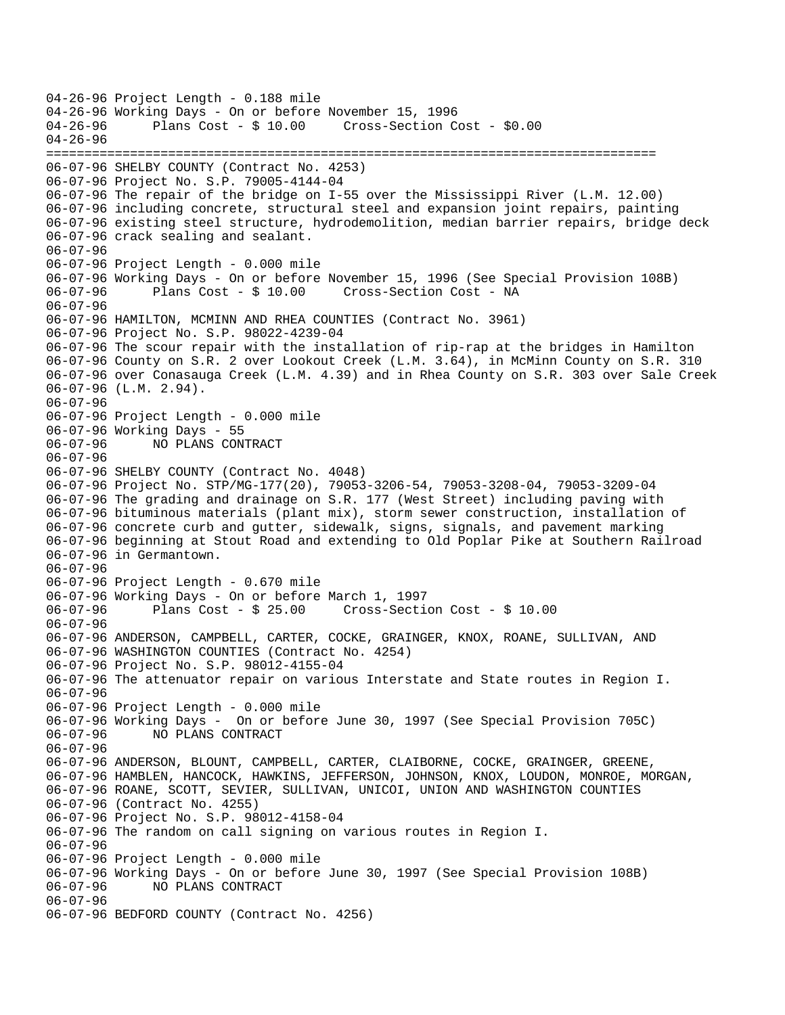04-26-96 Project Length - 0.188 mile 04-26-96 Working Days - On or before November 15, 1996<br>04-26-96 Plans Cost - \$ 10.00 Cross-Section Co Cross-Section Cost - \$0.00 04-26-96 ================================================================================ 06-07-96 SHELBY COUNTY (Contract No. 4253) 06-07-96 Project No. S.P. 79005-4144-04 06-07-96 The repair of the bridge on I-55 over the Mississippi River (L.M. 12.00) 06-07-96 including concrete, structural steel and expansion joint repairs, painting 06-07-96 existing steel structure, hydrodemolition, median barrier repairs, bridge deck 06-07-96 crack sealing and sealant. 06-07-96 06-07-96 Project Length - 0.000 mile 06-07-96 Working Days - On or before November 15, 1996 (See Special Provision 108B)<br>06-07-96 Plans Cost - \$ 10.00 Cross-Section Cost - NA 06-07-96 Plans Cost - \$ 10.00 Cross-Section Cost - NA 06-07-96 06-07-96 HAMILTON, MCMINN AND RHEA COUNTIES (Contract No. 3961) 06-07-96 Project No. S.P. 98022-4239-04 06-07-96 The scour repair with the installation of rip-rap at the bridges in Hamilton 06-07-96 County on S.R. 2 over Lookout Creek (L.M. 3.64), in McMinn County on S.R. 310 06-07-96 over Conasauga Creek (L.M. 4.39) and in Rhea County on S.R. 303 over Sale Creek 06-07-96 (L.M. 2.94). 06-07-96 06-07-96 Project Length - 0.000 mile 06-07-96 Working Days - 55 06-07-96 NO PLANS CONTRACT 06-07-96 06-07-96 SHELBY COUNTY (Contract No. 4048) 06-07-96 Project No. STP/MG-177(20), 79053-3206-54, 79053-3208-04, 79053-3209-04 06-07-96 The grading and drainage on S.R. 177 (West Street) including paving with 06-07-96 bituminous materials (plant mix), storm sewer construction, installation of 06-07-96 concrete curb and gutter, sidewalk, signs, signals, and pavement marking 06-07-96 beginning at Stout Road and extending to Old Poplar Pike at Southern Railroad 06-07-96 in Germantown. 06-07-96 06-07-96 Project Length - 0.670 mile 06-07-96 Working Days - On or before March 1, 1997 06-07-96 Plans Cost - \$ 25.00 Cross-Section Cost - \$ 10.00 06-07-96 06-07-96 ANDERSON, CAMPBELL, CARTER, COCKE, GRAINGER, KNOX, ROANE, SULLIVAN, AND 06-07-96 WASHINGTON COUNTIES (Contract No. 4254) 06-07-96 Project No. S.P. 98012-4155-04 06-07-96 The attenuator repair on various Interstate and State routes in Region I. 06-07-96 06-07-96 Project Length - 0.000 mile 06-07-96 Working Days - On or before June 30, 1997 (See Special Provision 705C) 06-07-96 NO PLANS CONTRACT 06-07-96 06-07-96 ANDERSON, BLOUNT, CAMPBELL, CARTER, CLAIBORNE, COCKE, GRAINGER, GREENE, 06-07-96 HAMBLEN, HANCOCK, HAWKINS, JEFFERSON, JOHNSON, KNOX, LOUDON, MONROE, MORGAN, 06-07-96 ROANE, SCOTT, SEVIER, SULLIVAN, UNICOI, UNION AND WASHINGTON COUNTIES 06-07-96 (Contract No. 4255) 06-07-96 Project No. S.P. 98012-4158-04 06-07-96 The random on call signing on various routes in Region I. 06-07-96 06-07-96 Project Length - 0.000 mile 06-07-96 Working Days - On or before June 30, 1997 (See Special Provision 108B) 06-07-96 NO PLANS CONTRACT 06-07-96 06-07-96 BEDFORD COUNTY (Contract No. 4256)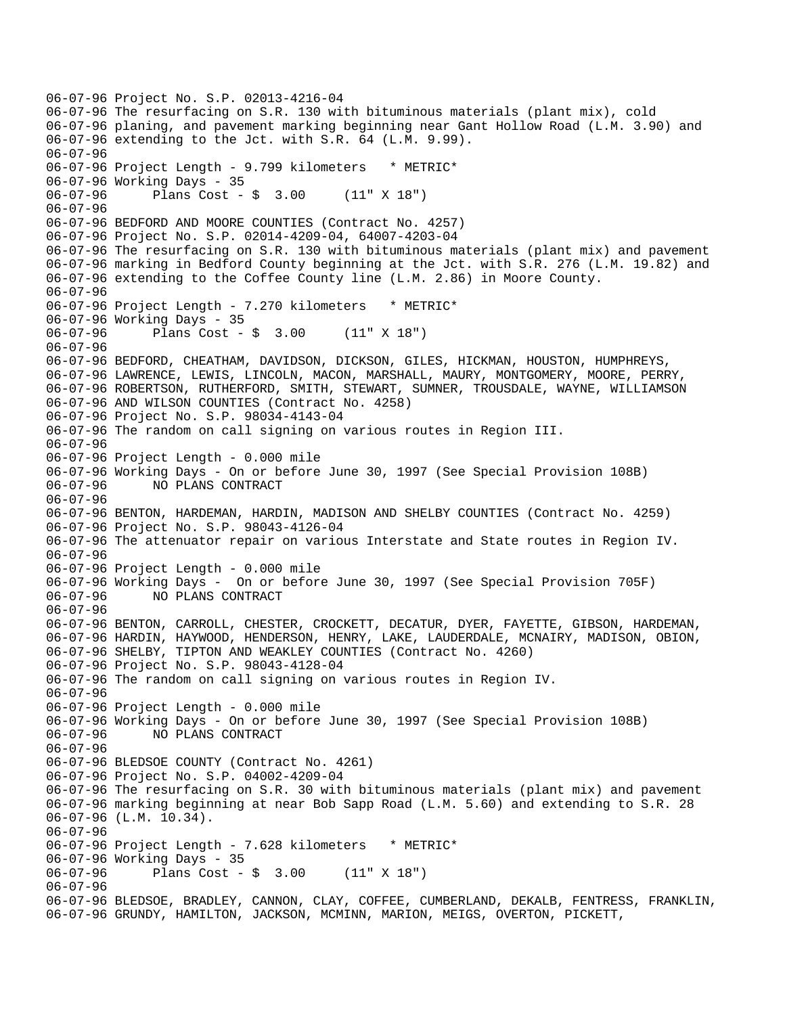06-07-96 Project No. S.P. 02013-4216-04 06-07-96 The resurfacing on S.R. 130 with bituminous materials (plant mix), cold 06-07-96 planing, and pavement marking beginning near Gant Hollow Road (L.M. 3.90) and 06-07-96 extending to the Jct. with S.R. 64 (L.M. 9.99). 06-07-96 06-07-96 Project Length - 9.799 kilometers \* METRIC\* 06-07-96 Working Days - 35 06-07-96 Plans Cost - \$ 3.00 (11" X 18") 06-07-96 06-07-96 BEDFORD AND MOORE COUNTIES (Contract No. 4257) 06-07-96 Project No. S.P. 02014-4209-04, 64007-4203-04 06-07-96 The resurfacing on S.R. 130 with bituminous materials (plant mix) and pavement 06-07-96 marking in Bedford County beginning at the Jct. with S.R. 276 (L.M. 19.82) and 06-07-96 extending to the Coffee County line (L.M. 2.86) in Moore County. 06-07-96 06-07-96 Project Length - 7.270 kilometers \* METRIC\* 06-07-96 Working Days - 35 06-07-96 Plans Cost - \$ 3.00 (11" X 18") 06-07-96 06-07-96 BEDFORD, CHEATHAM, DAVIDSON, DICKSON, GILES, HICKMAN, HOUSTON, HUMPHREYS, 06-07-96 LAWRENCE, LEWIS, LINCOLN, MACON, MARSHALL, MAURY, MONTGOMERY, MOORE, PERRY, 06-07-96 ROBERTSON, RUTHERFORD, SMITH, STEWART, SUMNER, TROUSDALE, WAYNE, WILLIAMSON 06-07-96 AND WILSON COUNTIES (Contract No. 4258) 06-07-96 Project No. S.P. 98034-4143-04 06-07-96 The random on call signing on various routes in Region III. 06-07-96 06-07-96 Project Length - 0.000 mile 06-07-96 Working Days - On or before June 30, 1997 (See Special Provision 108B) 06-07-96 NO PLANS CONTRACT 06-07-96 06-07-96 BENTON, HARDEMAN, HARDIN, MADISON AND SHELBY COUNTIES (Contract No. 4259) 06-07-96 Project No. S.P. 98043-4126-04 06-07-96 The attenuator repair on various Interstate and State routes in Region IV. 06-07-96 06-07-96 Project Length - 0.000 mile 06-07-96 Working Days - On or before June 30, 1997 (See Special Provision 705F)<br>06-07-96 NO PLANS CONTRACT NO PLANS CONTRACT 06-07-96 06-07-96 BENTON, CARROLL, CHESTER, CROCKETT, DECATUR, DYER, FAYETTE, GIBSON, HARDEMAN, 06-07-96 HARDIN, HAYWOOD, HENDERSON, HENRY, LAKE, LAUDERDALE, MCNAIRY, MADISON, OBION, 06-07-96 SHELBY, TIPTON AND WEAKLEY COUNTIES (Contract No. 4260) 06-07-96 Project No. S.P. 98043-4128-04 06-07-96 The random on call signing on various routes in Region IV. 06-07-96 06-07-96 Project Length - 0.000 mile 06-07-96 Working Days - On or before June 30, 1997 (See Special Provision 108B) 06-07-96 NO PLANS CONTRACT 06-07-96 06-07-96 BLEDSOE COUNTY (Contract No. 4261) 06-07-96 Project No. S.P. 04002-4209-04 06-07-96 The resurfacing on S.R. 30 with bituminous materials (plant mix) and pavement 06-07-96 marking beginning at near Bob Sapp Road (L.M. 5.60) and extending to S.R. 28 06-07-96 (L.M. 10.34). 06-07-96 06-07-96 Project Length - 7.628 kilometers \* METRIC\* 06-07-96 Working Days - 35 06-07-96 Plans Cost - \$ 3.00 (11" X 18") 06-07-96 06-07-96 BLEDSOE, BRADLEY, CANNON, CLAY, COFFEE, CUMBERLAND, DEKALB, FENTRESS, FRANKLIN, 06-07-96 GRUNDY, HAMILTON, JACKSON, MCMINN, MARION, MEIGS, OVERTON, PICKETT,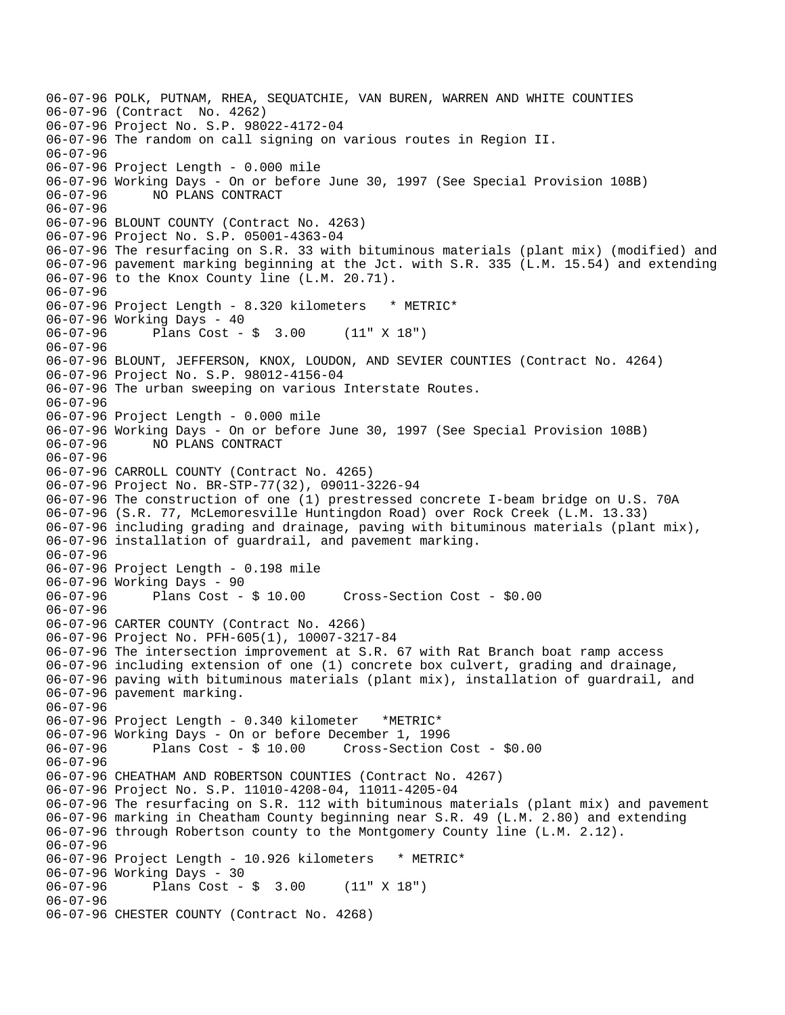06-07-96 POLK, PUTNAM, RHEA, SEQUATCHIE, VAN BUREN, WARREN AND WHITE COUNTIES 06-07-96 (Contract No. 4262) 06-07-96 Project No. S.P. 98022-4172-04 06-07-96 The random on call signing on various routes in Region II. 06-07-96 06-07-96 Project Length - 0.000 mile 06-07-96 Working Days - On or before June 30, 1997 (See Special Provision 108B) 06-07-96 NO PLANS CONTRACT 06-07-96 06-07-96 BLOUNT COUNTY (Contract No. 4263) 06-07-96 Project No. S.P. 05001-4363-04 06-07-96 The resurfacing on S.R. 33 with bituminous materials (plant mix) (modified) and 06-07-96 pavement marking beginning at the Jct. with S.R. 335 (L.M. 15.54) and extending 06-07-96 to the Knox County line (L.M. 20.71). 06-07-96 06-07-96 Project Length - 8.320 kilometers \* METRIC\* 06-07-96 Working Days - 40 06-07-96 Plans Cost - \$ 3.00 (11" X 18") 06-07-96 06-07-96 BLOUNT, JEFFERSON, KNOX, LOUDON, AND SEVIER COUNTIES (Contract No. 4264) 06-07-96 Project No. S.P. 98012-4156-04 06-07-96 The urban sweeping on various Interstate Routes. 06-07-96 06-07-96 Project Length - 0.000 mile 06-07-96 Working Days - On or before June 30, 1997 (See Special Provision 108B) 06-07-96 NO PLANS CONTRACT 06-07-96 06-07-96 CARROLL COUNTY (Contract No. 4265) 06-07-96 Project No. BR-STP-77(32), 09011-3226-94 06-07-96 The construction of one (1) prestressed concrete I-beam bridge on U.S. 70A 06-07-96 (S.R. 77, McLemoresville Huntingdon Road) over Rock Creek (L.M. 13.33) 06-07-96 including grading and drainage, paving with bituminous materials (plant mix), 06-07-96 installation of guardrail, and pavement marking. 06-07-96 06-07-96 Project Length - 0.198 mile 06-07-96 Working Days - 90<br>06-07-96 Plans Cost -Plans  $Cost - $ 10.00$  Cross-Section Cost -  $$0.00$ 06-07-96 06-07-96 CARTER COUNTY (Contract No. 4266) 06-07-96 Project No. PFH-605(1), 10007-3217-84 06-07-96 The intersection improvement at S.R. 67 with Rat Branch boat ramp access 06-07-96 including extension of one (1) concrete box culvert, grading and drainage, 06-07-96 paving with bituminous materials (plant mix), installation of guardrail, and 06-07-96 pavement marking. 06-07-96 06-07-96 Project Length - 0.340 kilometer \*METRIC\* 06-07-96 Working Days - On or before December 1, 1996 06-07-96 Plans Cost - \$ 10.00 Cross-Section Cost - \$0.00 06-07-96 06-07-96 CHEATHAM AND ROBERTSON COUNTIES (Contract No. 4267) 06-07-96 Project No. S.P. 11010-4208-04, 11011-4205-04 06-07-96 The resurfacing on S.R. 112 with bituminous materials (plant mix) and pavement 06-07-96 marking in Cheatham County beginning near S.R. 49 (L.M. 2.80) and extending 06-07-96 through Robertson county to the Montgomery County line (L.M. 2.12). 06-07-96 06-07-96 Project Length - 10.926 kilometers \* METRIC\* 06-07-96 Working Days - 30<br>06-07-96 Plans Cost -Plans Cost - \$ 3.00 (11" X 18") 06-07-96 06-07-96 CHESTER COUNTY (Contract No. 4268)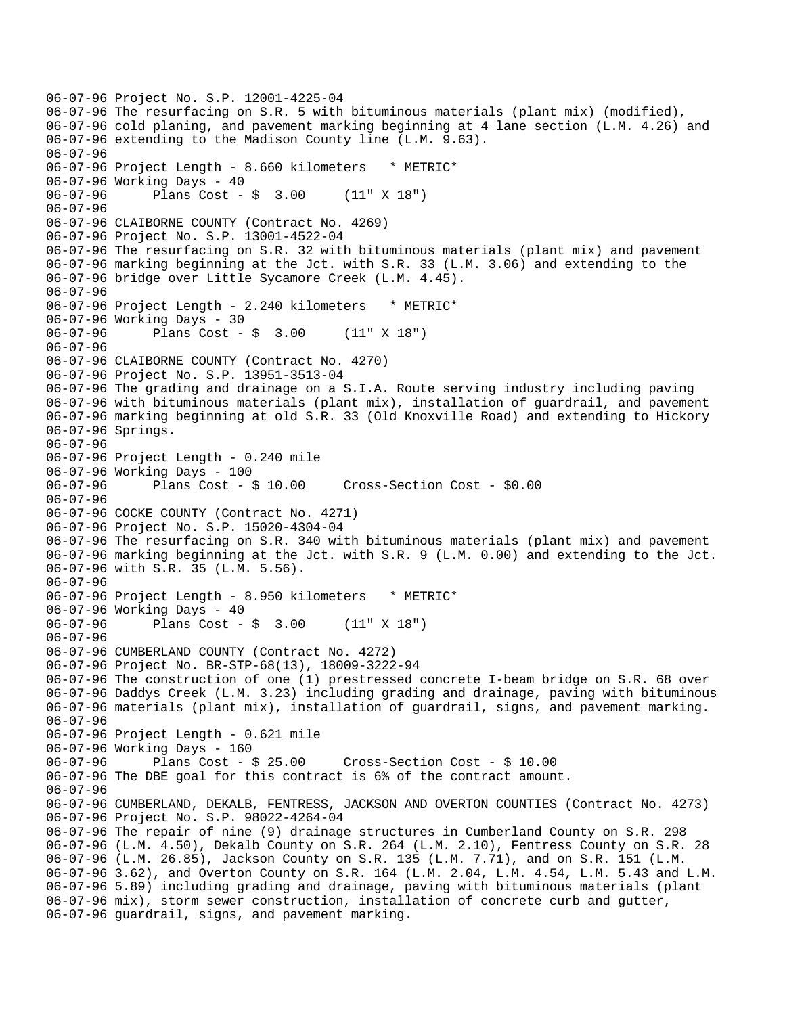```
06-07-96 Project No. S.P. 12001-4225-04 
06-07-96 The resurfacing on S.R. 5 with bituminous materials (plant mix) (modified), 
06-07-96 cold planing, and pavement marking beginning at 4 lane section (L.M. 4.26) and 
06-07-96 extending to the Madison County line (L.M. 9.63). 
06-07-96 
06-07-96 Project Length - 8.660 kilometers * METRIC* 
06-07-96 Working Days - 40 
06-07-96 Plans Cost - $ 3.00 (11" X 18") 
06-07-96 
06-07-96 CLAIBORNE COUNTY (Contract No. 4269) 
06-07-96 Project No. S.P. 13001-4522-04 
06-07-96 The resurfacing on S.R. 32 with bituminous materials (plant mix) and pavement 
06-07-96 marking beginning at the Jct. with S.R. 33 (L.M. 3.06) and extending to the 
06-07-96 bridge over Little Sycamore Creek (L.M. 4.45). 
06-07-96 
06-07-96 Project Length - 2.240 kilometers * METRIC* 
06-07-96 Working Days - 30 
06-07-96 Plans Cost - $ 3.00 (11" X 18") 
06-07-96 
06-07-96 CLAIBORNE COUNTY (Contract No. 4270) 
06-07-96 Project No. S.P. 13951-3513-04 
06-07-96 The grading and drainage on a S.I.A. Route serving industry including paving 
06-07-96 with bituminous materials (plant mix), installation of guardrail, and pavement 
06-07-96 marking beginning at old S.R. 33 (Old Knoxville Road) and extending to Hickory 
06-07-96 Springs. 
06-07-96 
06-07-96 Project Length - 0.240 mile 
06-07-96 Working Days - 100 
06-07-96 Plans Cost - $ 10.00 Cross-Section Cost - $0.00 
06-07-96 
06-07-96 COCKE COUNTY (Contract No. 4271) 
06-07-96 Project No. S.P. 15020-4304-04 
06-07-96 The resurfacing on S.R. 340 with bituminous materials (plant mix) and pavement 
06-07-96 marking beginning at the Jct. with S.R. 9 (L.M. 0.00) and extending to the Jct. 
06-07-96 with S.R. 35 (L.M. 5.56). 
06-07-96 
06-07-96 Project Length - 8.950 kilometers * METRIC*
06-07-96 Working Days - 40 
06-07-96 Plans Cost - $ 3.00 (11" X 18") 
06-07-96 
06-07-96 CUMBERLAND COUNTY (Contract No. 4272) 
06-07-96 Project No. BR-STP-68(13), 18009-3222-94 
06-07-96 The construction of one (1) prestressed concrete I-beam bridge on S.R. 68 over 
06-07-96 Daddys Creek (L.M. 3.23) including grading and drainage, paving with bituminous 
06-07-96 materials (plant mix), installation of guardrail, signs, and pavement marking. 
06-07-96 
06-07-96 Project Length - 0.621 mile 
06-07-96 Working Days - 160<br>06-07-96 Plans Cost - $ 25.00
06-07-96 Plans Cost - $ 25.00 Cross-Section Cost - $ 10.00 
06-07-96 The DBE goal for this contract is 6% of the contract amount. 
06-07-96 
06-07-96 CUMBERLAND, DEKALB, FENTRESS, JACKSON AND OVERTON COUNTIES (Contract No. 4273) 
06-07-96 Project No. S.P. 98022-4264-04 
06-07-96 The repair of nine (9) drainage structures in Cumberland County on S.R. 298 
06-07-96 (L.M. 4.50), Dekalb County on S.R. 264 (L.M. 2.10), Fentress County on S.R. 28 
06-07-96 (L.M. 26.85), Jackson County on S.R. 135 (L.M. 7.71), and on S.R. 151 (L.M. 
06-07-96 3.62), and Overton County on S.R. 164 (L.M. 2.04, L.M. 4.54, L.M. 5.43 and L.M. 
06-07-96 5.89) including grading and drainage, paving with bituminous materials (plant 
06-07-96 mix), storm sewer construction, installation of concrete curb and gutter, 
06-07-96 guardrail, signs, and pavement marking.
```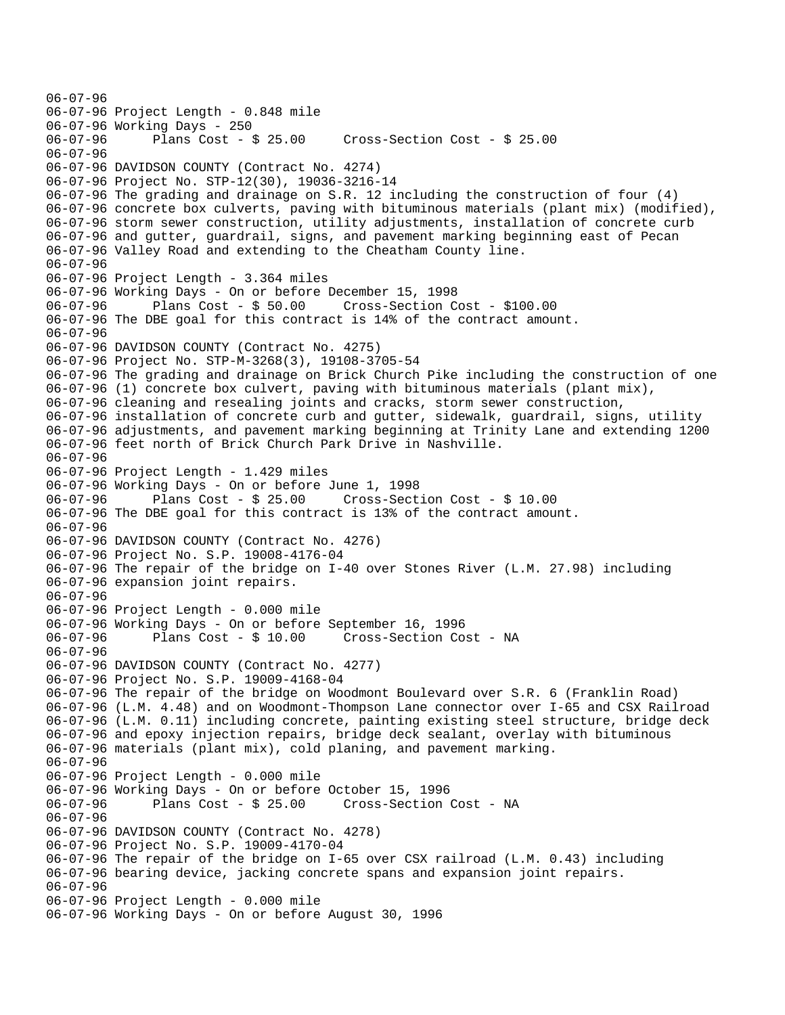06-07-96 06-07-96 Project Length - 0.848 mile 06-07-96 Working Days - 250 06-07-96 Plans Cost - \$ 25.00 Cross-Section Cost - \$ 25.00 06-07-96 06-07-96 DAVIDSON COUNTY (Contract No. 4274) 06-07-96 Project No. STP-12(30), 19036-3216-14 06-07-96 The grading and drainage on S.R. 12 including the construction of four (4) 06-07-96 concrete box culverts, paving with bituminous materials (plant mix) (modified), 06-07-96 storm sewer construction, utility adjustments, installation of concrete curb 06-07-96 and gutter, guardrail, signs, and pavement marking beginning east of Pecan 06-07-96 Valley Road and extending to the Cheatham County line. 06-07-96 06-07-96 Project Length - 3.364 miles 06-07-96 Working Days - On or before December 15, 1998 06-07-96 Plans Cost - \$ 50.00 Cross-Section Cost - \$100.00 06-07-96 The DBE goal for this contract is 14% of the contract amount. 06-07-96 06-07-96 DAVIDSON COUNTY (Contract No. 4275) 06-07-96 Project No. STP-M-3268(3), 19108-3705-54 06-07-96 The grading and drainage on Brick Church Pike including the construction of one 06-07-96 (1) concrete box culvert, paving with bituminous materials (plant mix), 06-07-96 cleaning and resealing joints and cracks, storm sewer construction, 06-07-96 installation of concrete curb and gutter, sidewalk, guardrail, signs, utility 06-07-96 adjustments, and pavement marking beginning at Trinity Lane and extending 1200 06-07-96 feet north of Brick Church Park Drive in Nashville. 06-07-96 06-07-96 Project Length - 1.429 miles 06-07-96 Working Days - On or before June 1, 1998 06-07-96 Plans Cost - \$ 25.00 Cross-Section Cost - \$ 10.00 06-07-96 The DBE goal for this contract is 13% of the contract amount. 06-07-96 06-07-96 DAVIDSON COUNTY (Contract No. 4276) 06-07-96 Project No. S.P. 19008-4176-04 06-07-96 The repair of the bridge on I-40 over Stones River (L.M. 27.98) including 06-07-96 expansion joint repairs. 06-07-96 06-07-96 Project Length - 0.000 mile 06-07-96 Working Days - On or before September 16, 1996 06-07-96 Plans Cost - \$ 10.00 Cross-Section Cost - NA 06-07-96 06-07-96 DAVIDSON COUNTY (Contract No. 4277) 06-07-96 Project No. S.P. 19009-4168-04 06-07-96 The repair of the bridge on Woodmont Boulevard over S.R. 6 (Franklin Road) 06-07-96 (L.M. 4.48) and on Woodmont-Thompson Lane connector over I-65 and CSX Railroad 06-07-96 (L.M. 0.11) including concrete, painting existing steel structure, bridge deck 06-07-96 and epoxy injection repairs, bridge deck sealant, overlay with bituminous 06-07-96 materials (plant mix), cold planing, and pavement marking. 06-07-96 06-07-96 Project Length - 0.000 mile 06-07-96 Working Days - On or before October 15, 1996 06-07-96 Plans Cost - \$ 25.00 Cross-Section Cost - NA 06-07-96 06-07-96 DAVIDSON COUNTY (Contract No. 4278) 06-07-96 Project No. S.P. 19009-4170-04 06-07-96 The repair of the bridge on I-65 over CSX railroad (L.M. 0.43) including 06-07-96 bearing device, jacking concrete spans and expansion joint repairs. 06-07-96 06-07-96 Project Length - 0.000 mile 06-07-96 Working Days - On or before August 30, 1996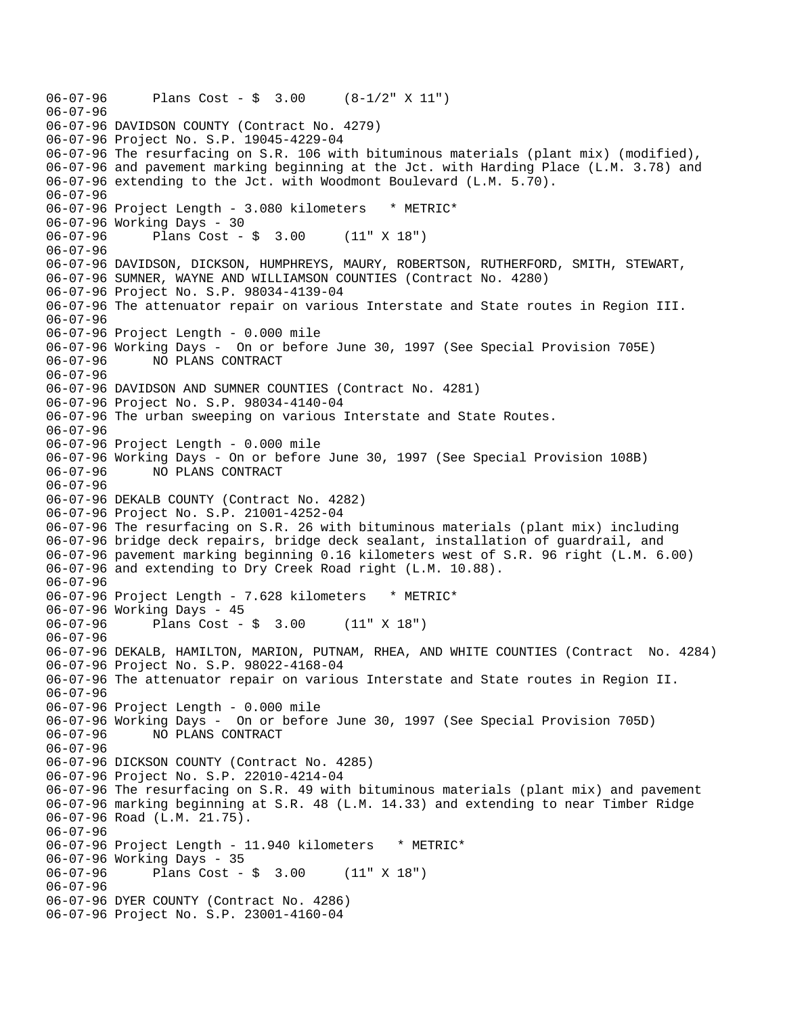06-07-96 Plans Cost - \$ 3.00 (8-1/2" X 11") 06-07-96 06-07-96 DAVIDSON COUNTY (Contract No. 4279) 06-07-96 Project No. S.P. 19045-4229-04 06-07-96 The resurfacing on S.R. 106 with bituminous materials (plant mix) (modified), 06-07-96 and pavement marking beginning at the Jct. with Harding Place (L.M. 3.78) and 06-07-96 extending to the Jct. with Woodmont Boulevard (L.M. 5.70). 06-07-96 06-07-96 Project Length - 3.080 kilometers \* METRIC\* 06-07-96 Working Days - 30 06-07-96 Plans Cost - \$ 3.00 (11" X 18") 06-07-96 06-07-96 DAVIDSON, DICKSON, HUMPHREYS, MAURY, ROBERTSON, RUTHERFORD, SMITH, STEWART, 06-07-96 SUMNER, WAYNE AND WILLIAMSON COUNTIES (Contract No. 4280) 06-07-96 Project No. S.P. 98034-4139-04 06-07-96 The attenuator repair on various Interstate and State routes in Region III. 06-07-96 06-07-96 Project Length - 0.000 mile 06-07-96 Working Days - On or before June 30, 1997 (See Special Provision 705E) 06-07-96 NO PLANS CONTRACT 06-07-96 06-07-96 DAVIDSON AND SUMNER COUNTIES (Contract No. 4281) 06-07-96 Project No. S.P. 98034-4140-04 06-07-96 The urban sweeping on various Interstate and State Routes. 06-07-96 06-07-96 Project Length - 0.000 mile 06-07-96 Working Days - On or before June 30, 1997 (See Special Provision 108B) 06-07-96 NO PLANS CONTRACT 06-07-96 06-07-96 DEKALB COUNTY (Contract No. 4282) 06-07-96 Project No. S.P. 21001-4252-04 06-07-96 The resurfacing on S.R. 26 with bituminous materials (plant mix) including 06-07-96 bridge deck repairs, bridge deck sealant, installation of guardrail, and 06-07-96 pavement marking beginning 0.16 kilometers west of S.R. 96 right (L.M. 6.00) 06-07-96 and extending to Dry Creek Road right (L.M. 10.88). 06-07-96 06-07-96 Project Length - 7.628 kilometers \* METRIC\* 06-07-96 Working Days - 45 06-07-96 Plans Cost - \$ 3.00 (11" X 18") 06-07-96 06-07-96 DEKALB, HAMILTON, MARION, PUTNAM, RHEA, AND WHITE COUNTIES (Contract No. 4284) 06-07-96 Project No. S.P. 98022-4168-04 06-07-96 The attenuator repair on various Interstate and State routes in Region II. 06-07-96 06-07-96 Project Length - 0.000 mile 06-07-96 Working Days - On or before June 30, 1997 (See Special Provision 705D) 06-07-96 NO PLANS CONTRACT 06-07-96 06-07-96 DICKSON COUNTY (Contract No. 4285) 06-07-96 Project No. S.P. 22010-4214-04 06-07-96 The resurfacing on S.R. 49 with bituminous materials (plant mix) and pavement 06-07-96 marking beginning at S.R. 48 (L.M. 14.33) and extending to near Timber Ridge 06-07-96 Road (L.M. 21.75). 06-07-96 06-07-96 Project Length - 11.940 kilometers \* METRIC\* 06-07-96 Working Days - 35 06-07-96 Plans Cost - \$ 3.00 (11" X 18") 06-07-96 06-07-96 DYER COUNTY (Contract No. 4286) 06-07-96 Project No. S.P. 23001-4160-04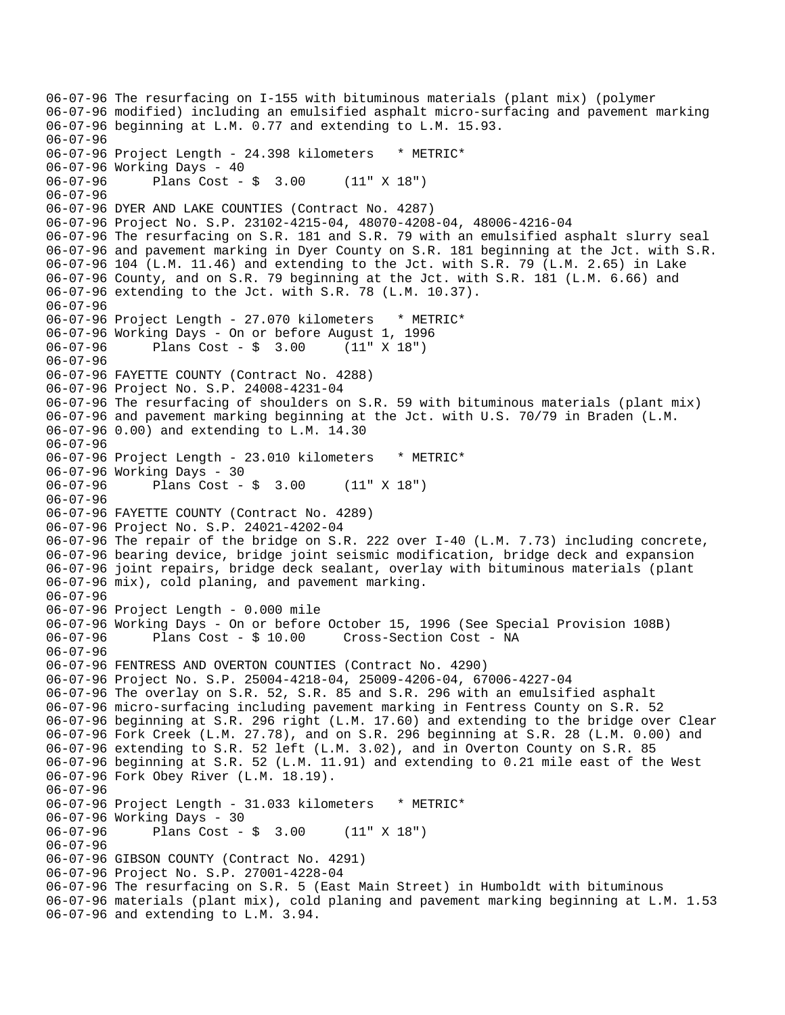06-07-96 The resurfacing on I-155 with bituminous materials (plant mix) (polymer 06-07-96 modified) including an emulsified asphalt micro-surfacing and pavement marking 06-07-96 beginning at L.M. 0.77 and extending to L.M. 15.93. 06-07-96 06-07-96 Project Length - 24.398 kilometers \* METRIC\* 06-07-96 Working Days - 40 06-07-96 Plans Cost - \$ 3.00 (11" X 18") 06-07-96 06-07-96 DYER AND LAKE COUNTIES (Contract No. 4287) 06-07-96 Project No. S.P. 23102-4215-04, 48070-4208-04, 48006-4216-04 06-07-96 The resurfacing on S.R. 181 and S.R. 79 with an emulsified asphalt slurry seal 06-07-96 and pavement marking in Dyer County on S.R. 181 beginning at the Jct. with S.R. 06-07-96 104 (L.M. 11.46) and extending to the Jct. with S.R. 79 (L.M. 2.65) in Lake 06-07-96 County, and on S.R. 79 beginning at the Jct. with S.R. 181 (L.M. 6.66) and 06-07-96 extending to the Jct. with S.R. 78 (L.M. 10.37). 06-07-96 06-07-96 Project Length - 27.070 kilometers \* METRIC\* 06-07-96 Working Days - On or before August 1, 1996 06-07-96 Plans Cost - \$ 3.00 (11" X 18") 06-07-96 06-07-96 FAYETTE COUNTY (Contract No. 4288) 06-07-96 Project No. S.P. 24008-4231-04 06-07-96 The resurfacing of shoulders on S.R. 59 with bituminous materials (plant mix) 06-07-96 and pavement marking beginning at the Jct. with U.S. 70/79 in Braden (L.M. 06-07-96 0.00) and extending to L.M. 14.30 06-07-96 06-07-96 Project Length - 23.010 kilometers \* METRIC\* 06-07-96 Working Days - 30 06-07-96 Plans Cost - \$ 3.00 (11" X 18") 06-07-96 06-07-96 FAYETTE COUNTY (Contract No. 4289) 06-07-96 Project No. S.P. 24021-4202-04 06-07-96 The repair of the bridge on S.R. 222 over I-40 (L.M. 7.73) including concrete, 06-07-96 bearing device, bridge joint seismic modification, bridge deck and expansion 06-07-96 joint repairs, bridge deck sealant, overlay with bituminous materials (plant 06-07-96 mix), cold planing, and pavement marking. 06-07-96 06-07-96 Project Length - 0.000 mile 06-07-96 Working Days - On or before October 15, 1996 (See Special Provision 108B) 06-07-96 Plans Cost - \$ 10.00 Cross-Section Cost - NA 06-07-96 06-07-96 FENTRESS AND OVERTON COUNTIES (Contract No. 4290) 06-07-96 Project No. S.P. 25004-4218-04, 25009-4206-04, 67006-4227-04 06-07-96 The overlay on S.R. 52, S.R. 85 and S.R. 296 with an emulsified asphalt 06-07-96 micro-surfacing including pavement marking in Fentress County on S.R. 52 06-07-96 beginning at S.R. 296 right (L.M. 17.60) and extending to the bridge over Clear 06-07-96 Fork Creek (L.M. 27.78), and on S.R. 296 beginning at S.R. 28 (L.M. 0.00) and 06-07-96 extending to S.R. 52 left (L.M. 3.02), and in Overton County on S.R. 85 06-07-96 beginning at S.R. 52 (L.M. 11.91) and extending to 0.21 mile east of the West 06-07-96 Fork Obey River (L.M. 18.19). 06-07-96 06-07-96 Project Length - 31.033 kilometers \* METRIC\* 06-07-96 Working Days - 30 06-07-96 Plans Cost - \$ 3.00 (11" X 18") 06-07-96 06-07-96 GIBSON COUNTY (Contract No. 4291) 06-07-96 Project No. S.P. 27001-4228-04 06-07-96 The resurfacing on S.R. 5 (East Main Street) in Humboldt with bituminous 06-07-96 materials (plant mix), cold planing and pavement marking beginning at L.M. 1.53 06-07-96 and extending to L.M. 3.94.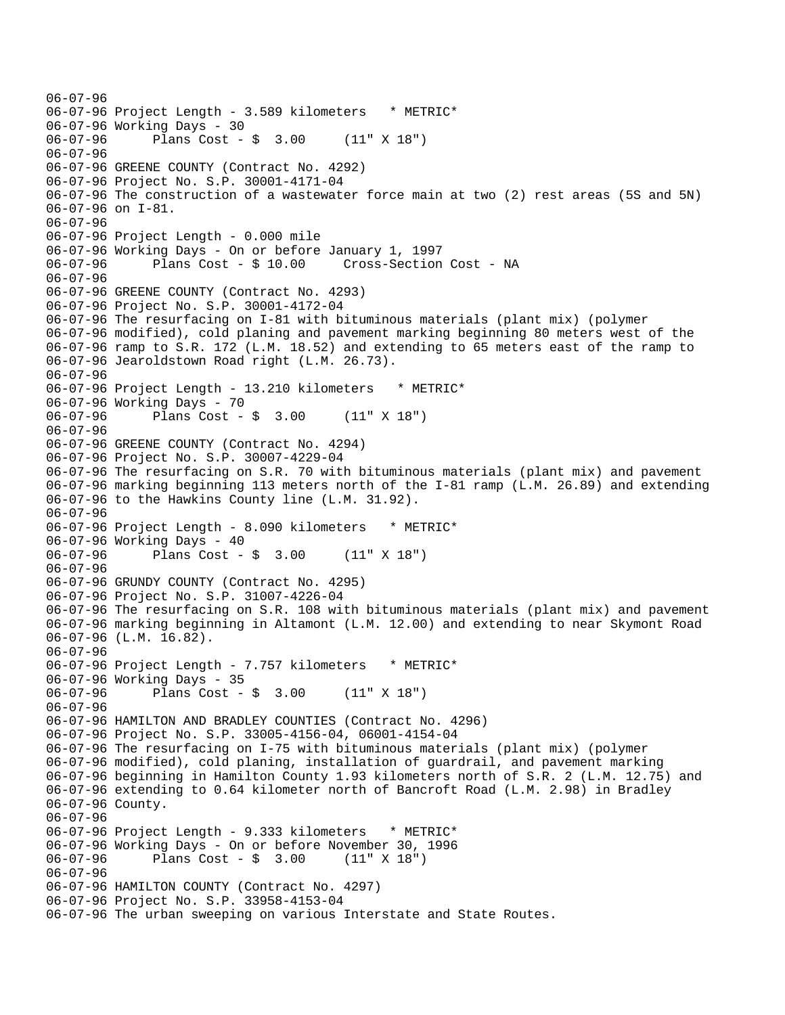06-07-96 06-07-96 Project Length - 3.589 kilometers \* METRIC\* 06-07-96 Working Days - 30 06-07-96 Plans Cost - \$ 3.00 (11" X 18") 06-07-96 06-07-96 GREENE COUNTY (Contract No. 4292) 06-07-96 Project No. S.P. 30001-4171-04 06-07-96 The construction of a wastewater force main at two (2) rest areas (5S and 5N) 06-07-96 on I-81. 06-07-96 06-07-96 Project Length - 0.000 mile 06-07-96 Working Days - On or before January 1, 1997 06-07-96 Plans Cost - \$ 10.00 Cross-Section Cost - NA 06-07-96 06-07-96 GREENE COUNTY (Contract No. 4293) 06-07-96 Project No. S.P. 30001-4172-04 06-07-96 The resurfacing on I-81 with bituminous materials (plant mix) (polymer 06-07-96 modified), cold planing and pavement marking beginning 80 meters west of the 06-07-96 ramp to S.R. 172 (L.M. 18.52) and extending to 65 meters east of the ramp to 06-07-96 Jearoldstown Road right (L.M. 26.73). 06-07-96 06-07-96 Project Length - 13.210 kilometers \* METRIC\* 06-07-96 Working Days - 70 06-07-96 Plans Cost - \$ 3.00 (11" X 18") 06-07-96 06-07-96 GREENE COUNTY (Contract No. 4294) 06-07-96 Project No. S.P. 30007-4229-04 06-07-96 The resurfacing on S.R. 70 with bituminous materials (plant mix) and pavement 06-07-96 marking beginning 113 meters north of the I-81 ramp (L.M. 26.89) and extending 06-07-96 to the Hawkins County line (L.M. 31.92). 06-07-96 06-07-96 Project Length - 8.090 kilometers \* METRIC\* 06-07-96 Working Days - 40 06-07-96 Plans Cost - \$ 3.00 (11" X 18") 06-07-96 06-07-96 GRUNDY COUNTY (Contract No. 4295) 06-07-96 Project No. S.P. 31007-4226-04 06-07-96 The resurfacing on S.R. 108 with bituminous materials (plant mix) and pavement 06-07-96 marking beginning in Altamont (L.M. 12.00) and extending to near Skymont Road 06-07-96 (L.M. 16.82). 06-07-96 06-07-96 Project Length - 7.757 kilometers \* METRIC\* 06-07-96 Working Days - 35 06-07-96 Plans Cost - \$ 3.00 (11" X 18") 06-07-96 06-07-96 HAMILTON AND BRADLEY COUNTIES (Contract No. 4296) 06-07-96 Project No. S.P. 33005-4156-04, 06001-4154-04 06-07-96 The resurfacing on I-75 with bituminous materials (plant mix) (polymer 06-07-96 modified), cold planing, installation of guardrail, and pavement marking 06-07-96 beginning in Hamilton County 1.93 kilometers north of S.R. 2 (L.M. 12.75) and 06-07-96 extending to 0.64 kilometer north of Bancroft Road (L.M. 2.98) in Bradley 06-07-96 County. 06-07-96 06-07-96 Project Length - 9.333 kilometers \* METRIC\* 06-07-96 Working Days - On or before November 30, 1996 06-07-96 Plans Cost - \$ 3.00 (11" X 18") 06-07-96 06-07-96 HAMILTON COUNTY (Contract No. 4297) 06-07-96 Project No. S.P. 33958-4153-04 06-07-96 The urban sweeping on various Interstate and State Routes.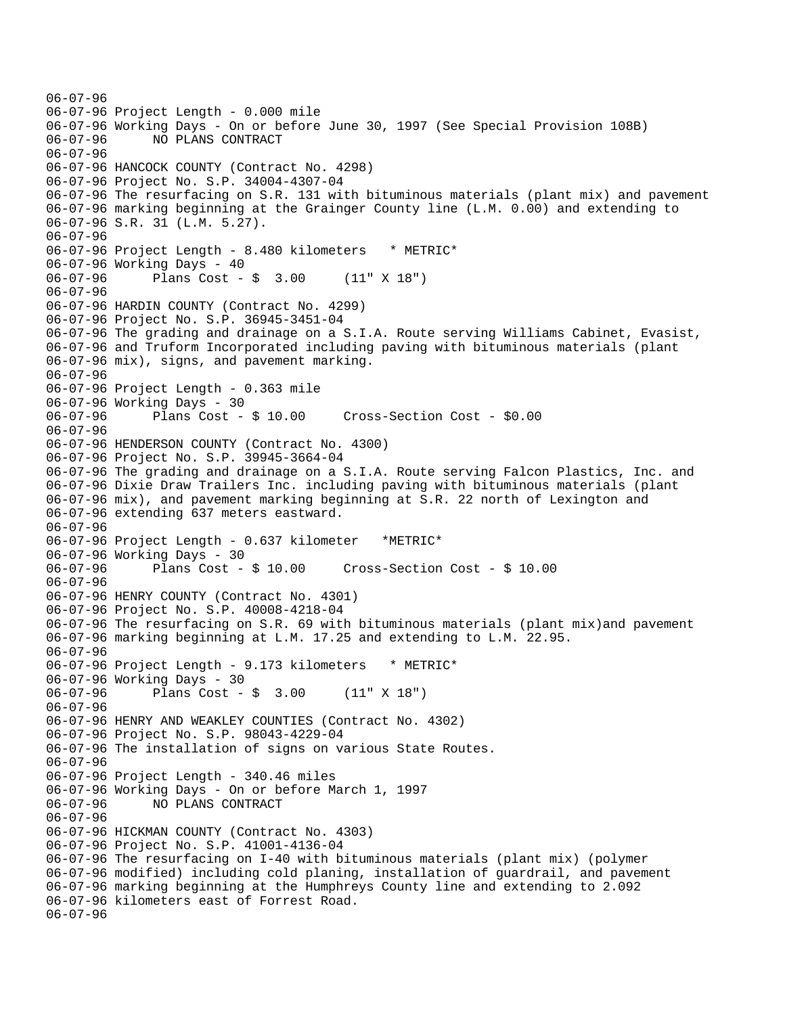06-07-96 06-07-96 Project Length - 0.000 mile 06-07-96 Working Days - On or before June 30, 1997 (See Special Provision 108B) 06-07-96 NO PLANS CONTRACT 06-07-96 06-07-96 HANCOCK COUNTY (Contract No. 4298) 06-07-96 Project No. S.P. 34004-4307-04 06-07-96 The resurfacing on S.R. 131 with bituminous materials (plant mix) and pavement 06-07-96 marking beginning at the Grainger County line (L.M. 0.00) and extending to 06-07-96 S.R. 31 (L.M. 5.27). 06-07-96 06-07-96 Project Length - 8.480 kilometers \* METRIC\* 06-07-96 Working Days - 40 06-07-96 Plans Cost - \$ 3.00 (11" X 18") 06-07-96 06-07-96 HARDIN COUNTY (Contract No. 4299) 06-07-96 Project No. S.P. 36945-3451-04 06-07-96 The grading and drainage on a S.I.A. Route serving Williams Cabinet, Evasist, 06-07-96 and Truform Incorporated including paving with bituminous materials (plant 06-07-96 mix), signs, and pavement marking. 06-07-96 06-07-96 Project Length - 0.363 mile 06-07-96 Working Days - 30 06-07-96 Plans Cost - \$ 10.00 Cross-Section Cost - \$0.00 06-07-96 06-07-96 HENDERSON COUNTY (Contract No. 4300) 06-07-96 Project No. S.P. 39945-3664-04 06-07-96 The grading and drainage on a S.I.A. Route serving Falcon Plastics, Inc. and 06-07-96 Dixie Draw Trailers Inc. including paving with bituminous materials (plant 06-07-96 mix), and pavement marking beginning at S.R. 22 north of Lexington and 06-07-96 extending 637 meters eastward. 06-07-96 06-07-96 Project Length - 0.637 kilometer \*METRIC\* 06-07-96 Working Days - 30<br>06-07-96 Plans Cost - \$ 10.00 06-07-96 Plans Cost - \$ 10.00 Cross-Section Cost - \$ 10.00 06-07-96 06-07-96 HENRY COUNTY (Contract No. 4301) 06-07-96 Project No. S.P. 40008-4218-04 06-07-96 The resurfacing on S.R. 69 with bituminous materials (plant mix)and pavement 06-07-96 marking beginning at L.M. 17.25 and extending to L.M. 22.95. 06-07-96 06-07-96 Project Length - 9.173 kilometers \* METRIC\* 06-07-96 Working Days - 30 06-07-96 Plans Cost - \$ 3.00 (11" X 18") 06-07-96 06-07-96 HENRY AND WEAKLEY COUNTIES (Contract No. 4302) 06-07-96 Project No. S.P. 98043-4229-04 06-07-96 The installation of signs on various State Routes. 06-07-96 06-07-96 Project Length - 340.46 miles 06-07-96 Working Days - On or before March 1, 1997 06-07-96 NO PLANS CONTRACT 06-07-96 06-07-96 HICKMAN COUNTY (Contract No. 4303) 06-07-96 Project No. S.P. 41001-4136-04 06-07-96 The resurfacing on I-40 with bituminous materials (plant mix) (polymer 06-07-96 modified) including cold planing, installation of guardrail, and pavement 06-07-96 marking beginning at the Humphreys County line and extending to 2.092 06-07-96 kilometers east of Forrest Road. 06-07-96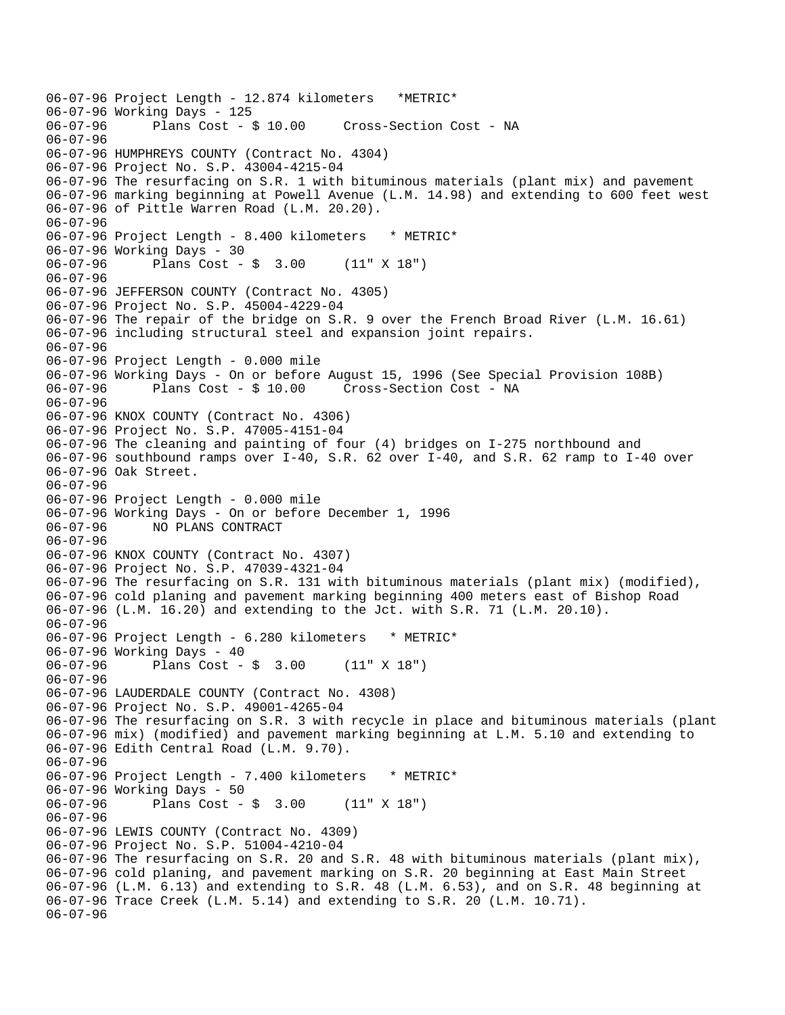06-07-96 Project Length - 12.874 kilometers \*METRIC\* 06-07-96 Working Days - 125 Cross-Section Cost - NA 06-07-96 06-07-96 HUMPHREYS COUNTY (Contract No. 4304) 06-07-96 Project No. S.P. 43004-4215-04 06-07-96 The resurfacing on S.R. 1 with bituminous materials (plant mix) and pavement 06-07-96 marking beginning at Powell Avenue (L.M. 14.98) and extending to 600 feet west 06-07-96 of Pittle Warren Road (L.M. 20.20). 06-07-96 06-07-96 Project Length - 8.400 kilometers \* METRIC\* 06-07-96 Working Days - 30 06-07-96 Plans Cost - \$ 3.00 (11" X 18") 06-07-96 06-07-96 JEFFERSON COUNTY (Contract No. 4305) 06-07-96 Project No. S.P. 45004-4229-04 06-07-96 The repair of the bridge on S.R. 9 over the French Broad River (L.M. 16.61) 06-07-96 including structural steel and expansion joint repairs. 06-07-96 06-07-96 Project Length - 0.000 mile 06-07-96 Working Days - On or before August 15, 1996 (See Special Provision 108B) 06-07-96 Plans Cost - \$ 10.00 Cross-Section Cost - NA 06-07-96 06-07-96 KNOX COUNTY (Contract No. 4306) 06-07-96 Project No. S.P. 47005-4151-04 06-07-96 The cleaning and painting of four (4) bridges on I-275 northbound and 06-07-96 southbound ramps over I-40, S.R. 62 over I-40, and S.R. 62 ramp to I-40 over 06-07-96 Oak Street. 06-07-96 06-07-96 Project Length - 0.000 mile 06-07-96 Working Days - On or before December 1, 1996 06-07-96 NO PLANS CONTRACT 06-07-96 06-07-96 KNOX COUNTY (Contract No. 4307) 06-07-96 Project No. S.P. 47039-4321-04 06-07-96 The resurfacing on S.R. 131 with bituminous materials (plant mix) (modified), 06-07-96 cold planing and pavement marking beginning 400 meters east of Bishop Road 06-07-96 (L.M. 16.20) and extending to the Jct. with S.R. 71 (L.M. 20.10). 06-07-96 06-07-96 Project Length - 6.280 kilometers \* METRIC\* 06-07-96 Working Days - 40 06-07-96 Plans Cost - \$ 3.00 (11" X 18") 06-07-96 06-07-96 LAUDERDALE COUNTY (Contract No. 4308) 06-07-96 Project No. S.P. 49001-4265-04 06-07-96 The resurfacing on S.R. 3 with recycle in place and bituminous materials (plant 06-07-96 mix) (modified) and pavement marking beginning at L.M. 5.10 and extending to 06-07-96 Edith Central Road (L.M. 9.70). 06-07-96 06-07-96 Project Length - 7.400 kilometers \* METRIC\* 06-07-96 Working Days - 50 06-07-96 Plans Cost - \$ 3.00 (11" X 18") 06-07-96 06-07-96 LEWIS COUNTY (Contract No. 4309) 06-07-96 Project No. S.P. 51004-4210-04 06-07-96 The resurfacing on S.R. 20 and S.R. 48 with bituminous materials (plant mix), 06-07-96 cold planing, and pavement marking on S.R. 20 beginning at East Main Street 06-07-96 (L.M. 6.13) and extending to S.R. 48 (L.M. 6.53), and on S.R. 48 beginning at 06-07-96 Trace Creek (L.M. 5.14) and extending to S.R. 20 (L.M. 10.71). 06-07-96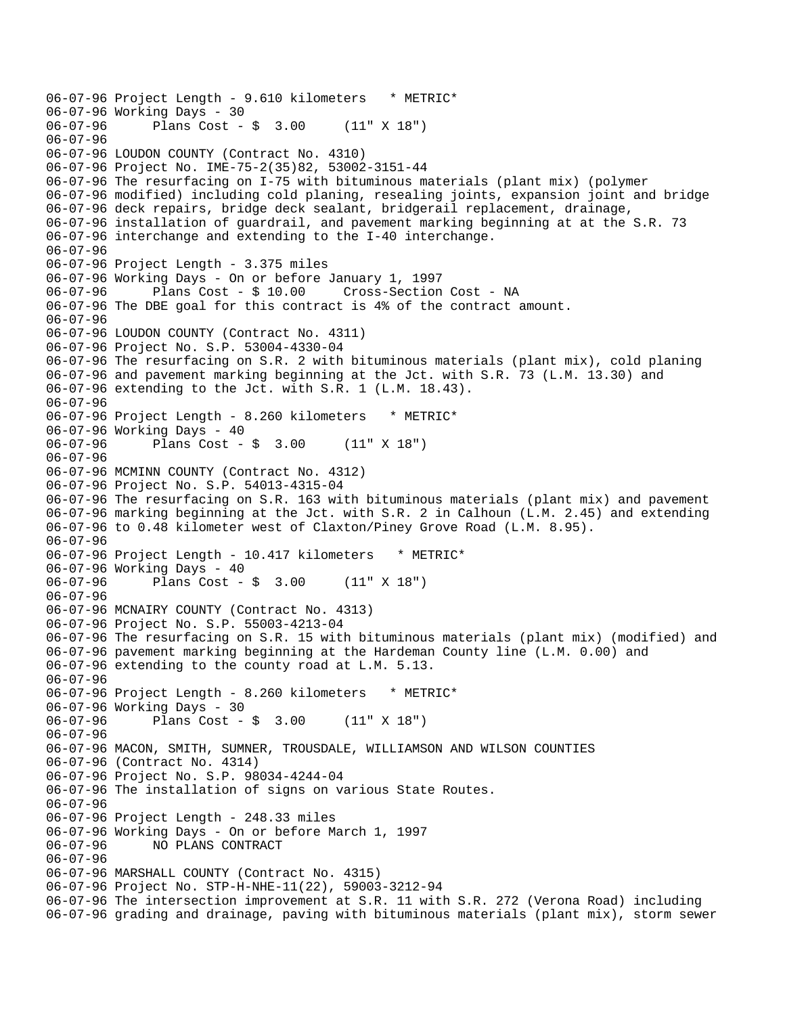06-07-96 Project Length - 9.610 kilometers \* METRIC\* 06-07-96 Working Days - 30<br>06-07-96 Plans Cost -Plans  $Cost - $ 3.00 (11" X 18")$ 06-07-96 06-07-96 LOUDON COUNTY (Contract No. 4310) 06-07-96 Project No. IME-75-2(35)82, 53002-3151-44 06-07-96 The resurfacing on I-75 with bituminous materials (plant mix) (polymer 06-07-96 modified) including cold planing, resealing joints, expansion joint and bridge 06-07-96 deck repairs, bridge deck sealant, bridgerail replacement, drainage, 06-07-96 installation of guardrail, and pavement marking beginning at at the S.R. 73 06-07-96 interchange and extending to the I-40 interchange. 06-07-96 06-07-96 Project Length - 3.375 miles 06-07-96 Working Days - On or before January 1, 1997 06-07-96 Plans Cost - \$ 10.00 Cross-Section Cost - NA 06-07-96 The DBE goal for this contract is 4% of the contract amount. 06-07-96 06-07-96 LOUDON COUNTY (Contract No. 4311) 06-07-96 Project No. S.P. 53004-4330-04 06-07-96 The resurfacing on S.R. 2 with bituminous materials (plant mix), cold planing 06-07-96 and pavement marking beginning at the Jct. with S.R. 73 (L.M. 13.30) and 06-07-96 extending to the Jct. with S.R. 1 (L.M. 18.43). 06-07-96 06-07-96 Project Length - 8.260 kilometers \* METRIC\* 06-07-96 Working Days - 40 06-07-96 Plans Cost - \$ 3.00 (11" X 18") 06-07-96 06-07-96 MCMINN COUNTY (Contract No. 4312) 06-07-96 Project No. S.P. 54013-4315-04 06-07-96 The resurfacing on S.R. 163 with bituminous materials (plant mix) and pavement 06-07-96 marking beginning at the Jct. with S.R. 2 in Calhoun (L.M. 2.45) and extending 06-07-96 to 0.48 kilometer west of Claxton/Piney Grove Road (L.M. 8.95). 06-07-96 06-07-96 Project Length - 10.417 kilometers \* METRIC\* 06-07-96 Working Days - 40 06-07-96 Plans Cost - \$ 3.00 (11" X 18") 06-07-96 06-07-96 MCNAIRY COUNTY (Contract No. 4313) 06-07-96 Project No. S.P. 55003-4213-04 06-07-96 The resurfacing on S.R. 15 with bituminous materials (plant mix) (modified) and 06-07-96 pavement marking beginning at the Hardeman County line (L.M. 0.00) and 06-07-96 extending to the county road at L.M. 5.13. 06-07-96 06-07-96 Project Length - 8.260 kilometers \* METRIC\* 06-07-96 Working Days - 30 06-07-96 Plans Cost - \$ 3.00 (11" X 18") 06-07-96 06-07-96 MACON, SMITH, SUMNER, TROUSDALE, WILLIAMSON AND WILSON COUNTIES 06-07-96 (Contract No. 4314) 06-07-96 Project No. S.P. 98034-4244-04 06-07-96 The installation of signs on various State Routes. 06-07-96 06-07-96 Project Length - 248.33 miles 06-07-96 Working Days - On or before March 1, 1997<br>06-07-96 NO PLANS CONTRACT 06-07-96 NO PLANS CONTRACT 06-07-96 06-07-96 MARSHALL COUNTY (Contract No. 4315) 06-07-96 Project No. STP-H-NHE-11(22), 59003-3212-94 06-07-96 The intersection improvement at S.R. 11 with S.R. 272 (Verona Road) including 06-07-96 grading and drainage, paving with bituminous materials (plant mix), storm sewer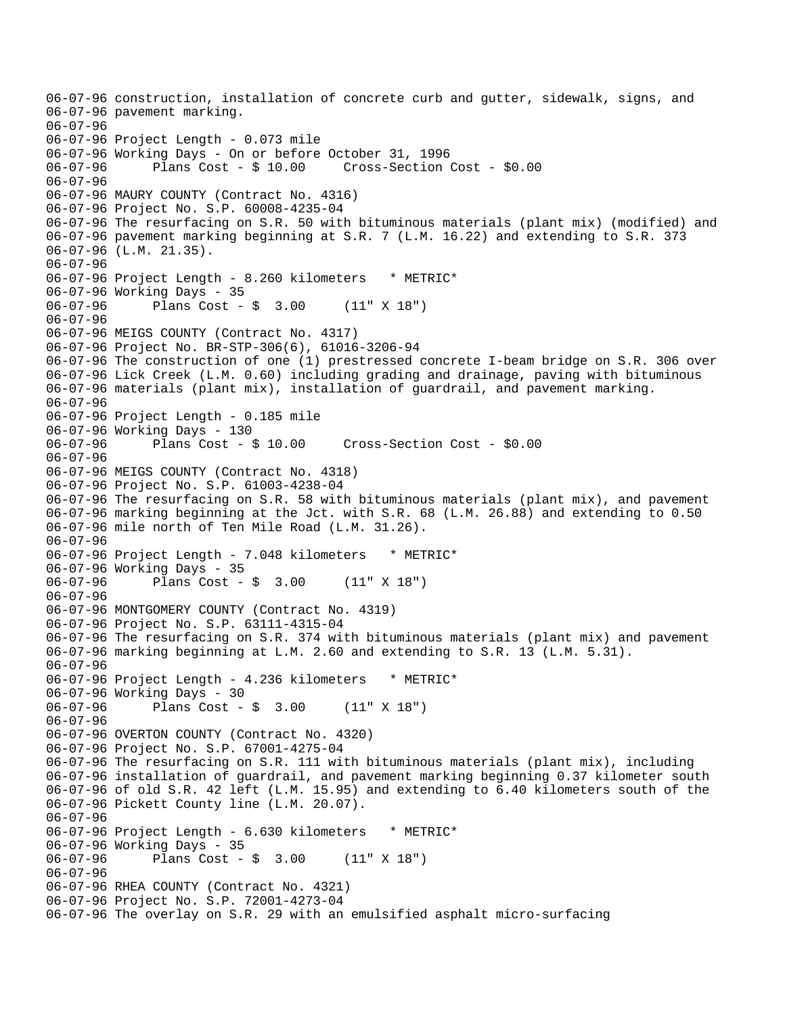06-07-96 construction, installation of concrete curb and gutter, sidewalk, signs, and 06-07-96 pavement marking. 06-07-96 06-07-96 Project Length - 0.073 mile 06-07-96 Working Days - On or before October 31, 1996 06-07-96 Plans Cost - \$ 10.00 Cross-Section Cost - \$0.00 06-07-96 06-07-96 MAURY COUNTY (Contract No. 4316) 06-07-96 Project No. S.P. 60008-4235-04 06-07-96 The resurfacing on S.R. 50 with bituminous materials (plant mix) (modified) and 06-07-96 pavement marking beginning at S.R. 7 (L.M. 16.22) and extending to S.R. 373 06-07-96 (L.M. 21.35). 06-07-96 06-07-96 Project Length - 8.260 kilometers \* METRIC\* 06-07-96 Working Days - 35 06-07-96 Plans Cost - \$ 3.00 (11" X 18") 06-07-96 06-07-96 MEIGS COUNTY (Contract No. 4317) 06-07-96 Project No. BR-STP-306(6), 61016-3206-94 06-07-96 The construction of one (1) prestressed concrete I-beam bridge on S.R. 306 over 06-07-96 Lick Creek (L.M. 0.60) including grading and drainage, paving with bituminous 06-07-96 materials (plant mix), installation of guardrail, and pavement marking. 06-07-96 06-07-96 Project Length - 0.185 mile 06-07-96 Working Days - 130 06-07-96 Plans Cost - \$ 10.00 Cross-Section Cost - \$0.00 06-07-96 06-07-96 MEIGS COUNTY (Contract No. 4318) 06-07-96 Project No. S.P. 61003-4238-04 06-07-96 The resurfacing on S.R. 58 with bituminous materials (plant mix), and pavement 06-07-96 marking beginning at the Jct. with S.R. 68 (L.M. 26.88) and extending to 0.50 06-07-96 mile north of Ten Mile Road (L.M. 31.26). 06-07-96 06-07-96 Project Length - 7.048 kilometers \* METRIC\* 06-07-96 Working Days - 35 06-07-96 Plans Cost - \$ 3.00 (11" X 18") 06-07-96 06-07-96 MONTGOMERY COUNTY (Contract No. 4319) 06-07-96 Project No. S.P. 63111-4315-04 06-07-96 The resurfacing on S.R. 374 with bituminous materials (plant mix) and pavement 06-07-96 marking beginning at L.M. 2.60 and extending to S.R. 13 (L.M. 5.31). 06-07-96 06-07-96 Project Length - 4.236 kilometers \* METRIC\* 06-07-96 Working Days - 30 06-07-96 Plans Cost - \$ 3.00 (11" X 18") 06-07-96 06-07-96 OVERTON COUNTY (Contract No. 4320) 06-07-96 Project No. S.P. 67001-4275-04 06-07-96 The resurfacing on S.R. 111 with bituminous materials (plant mix), including 06-07-96 installation of guardrail, and pavement marking beginning 0.37 kilometer south 06-07-96 of old S.R. 42 left (L.M. 15.95) and extending to 6.40 kilometers south of the 06-07-96 Pickett County line (L.M. 20.07). 06-07-96 06-07-96 Project Length - 6.630 kilometers \* METRIC\* 06-07-96 Working Days - 35 06-07-96 Plans Cost - \$ 3.00 (11" X 18") 06-07-96 06-07-96 RHEA COUNTY (Contract No. 4321) 06-07-96 Project No. S.P. 72001-4273-04 06-07-96 The overlay on S.R. 29 with an emulsified asphalt micro-surfacing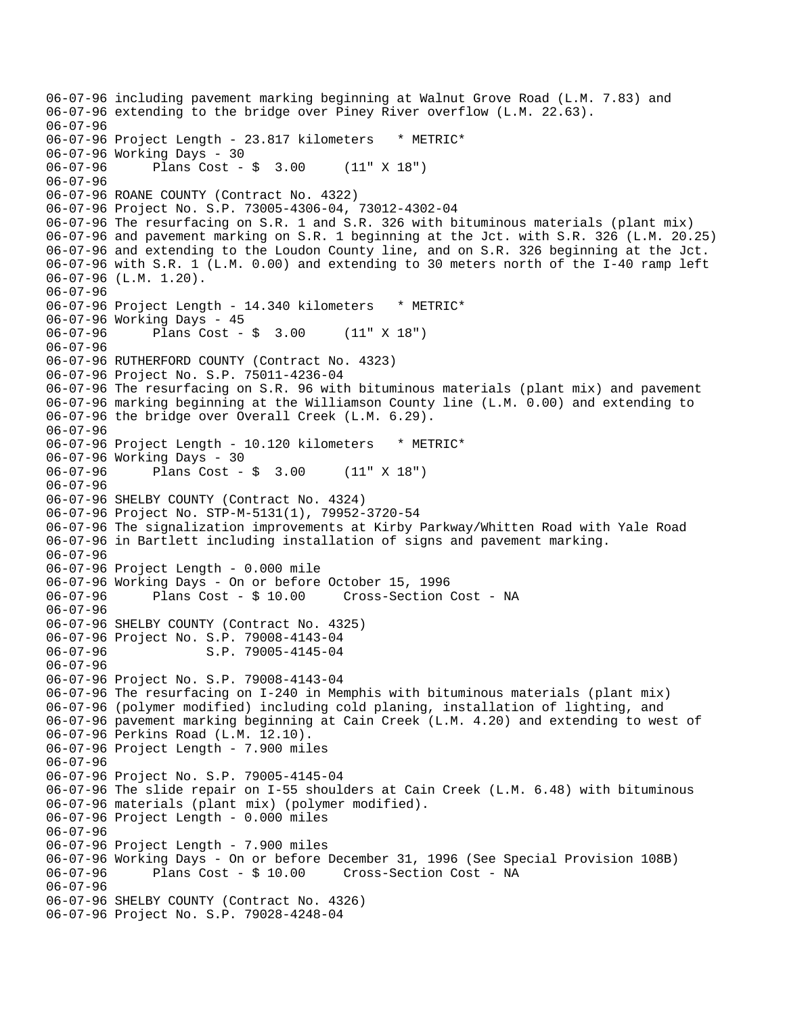```
06-07-96 including pavement marking beginning at Walnut Grove Road (L.M. 7.83) and 
06-07-96 extending to the bridge over Piney River overflow (L.M. 22.63). 
06-07-96 
06-07-96 Project Length - 23.817 kilometers * METRIC*
06-07-96 Working Days - 30 
06-07-96 Plans Cost - $ 3.00 (11" X 18") 
06-07-96 
06-07-96 ROANE COUNTY (Contract No. 4322) 
06-07-96 Project No. S.P. 73005-4306-04, 73012-4302-04 
06-07-96 The resurfacing on S.R. 1 and S.R. 326 with bituminous materials (plant mix) 
06-07-96 and pavement marking on S.R. 1 beginning at the Jct. with S.R. 326 (L.M. 20.25) 
06-07-96 and extending to the Loudon County line, and on S.R. 326 beginning at the Jct. 
06-07-96 with S.R. 1 (L.M. 0.00) and extending to 30 meters north of the I-40 ramp left 
06-07-96 (L.M. 1.20). 
06-07-96 
06-07-96 Project Length - 14.340 kilometers * METRIC*
06-07-96 Working Days - 45 
06-07-96 Plans Cost - $ 3.00 (11" X 18") 
06-07-96 
06-07-96 RUTHERFORD COUNTY (Contract No. 4323) 
06-07-96 Project No. S.P. 75011-4236-04 
06-07-96 The resurfacing on S.R. 96 with bituminous materials (plant mix) and pavement 
06-07-96 marking beginning at the Williamson County line (L.M. 0.00) and extending to 
06-07-96 the bridge over Overall Creek (L.M. 6.29). 
06-07-96 
06-07-96 Project Length - 10.120 kilometers * METRIC*
06-07-96 Working Days - 30 
06-07-96 Plans Cost - $ 3.00 (11" X 18") 
06-07-96 
06-07-96 SHELBY COUNTY (Contract No. 4324) 
06-07-96 Project No. STP-M-5131(1), 79952-3720-54 
06-07-96 The signalization improvements at Kirby Parkway/Whitten Road with Yale Road 
06-07-96 in Bartlett including installation of signs and pavement marking. 
06-07-96 
06-07-96 Project Length - 0.000 mile 
06-07-96 Working Days - On or before October 15, 1996 
             Plans Cost - $ 10.00 Cross-Section Cost - NA
06-07-96 
06-07-96 SHELBY COUNTY (Contract No. 4325) 
06-07-96 Project No. S.P. 79008-4143-04 
06-07-96 S.P. 79005-4145-04
06-07-96 
06-07-96 Project No. S.P. 79008-4143-04 
06-07-96 The resurfacing on I-240 in Memphis with bituminous materials (plant mix) 
06-07-96 (polymer modified) including cold planing, installation of lighting, and 
06-07-96 pavement marking beginning at Cain Creek (L.M. 4.20) and extending to west of 
06-07-96 Perkins Road (L.M. 12.10). 
06-07-96 Project Length - 7.900 miles 
06-07-96 
06-07-96 Project No. S.P. 79005-4145-04 
06-07-96 The slide repair on I-55 shoulders at Cain Creek (L.M. 6.48) with bituminous 
06-07-96 materials (plant mix) (polymer modified). 
06-07-96 Project Length - 0.000 miles 
06-07-96 
06-07-96 Project Length - 7.900 miles 
06-07-96 Working Days - On or before December 31, 1996 (See Special Provision 108B) 
06-07-96 Plans Cost - $ 10.00 Cross-Section Cost - NA 
06-07-96 
06-07-96 SHELBY COUNTY (Contract No. 4326) 
06-07-96 Project No. S.P. 79028-4248-04
```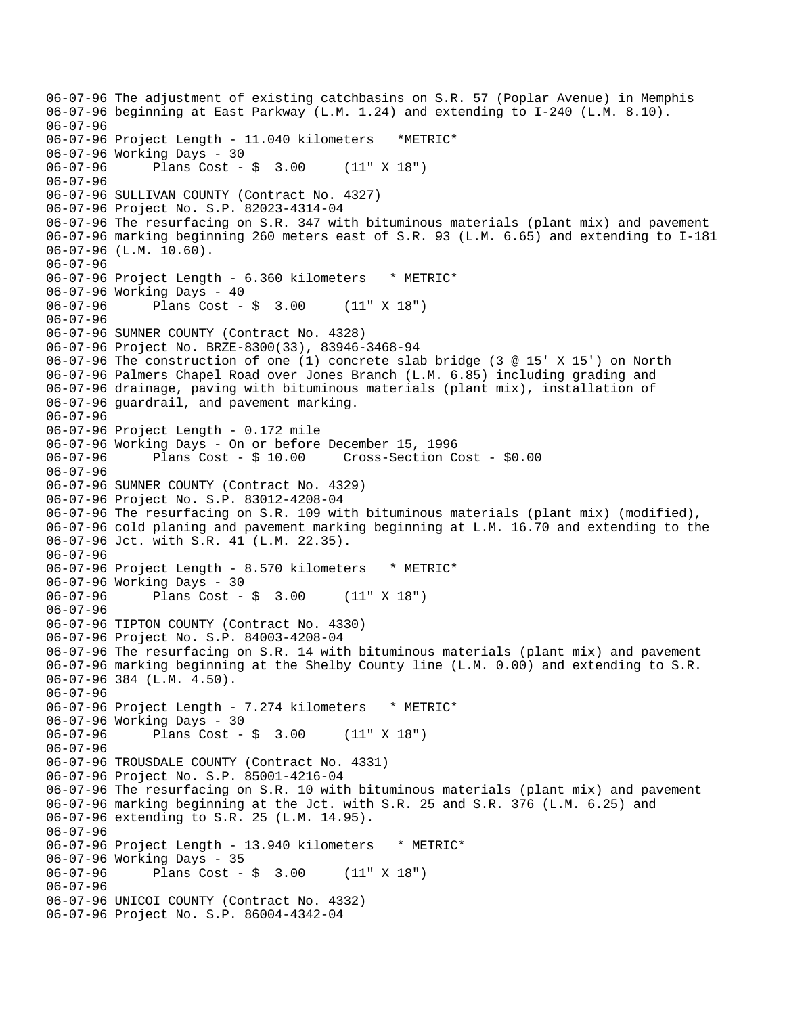06-07-96 The adjustment of existing catchbasins on S.R. 57 (Poplar Avenue) in Memphis 06-07-96 beginning at East Parkway (L.M. 1.24) and extending to I-240 (L.M. 8.10). 06-07-96 06-07-96 Project Length - 11.040 kilometers \*METRIC\* 06-07-96 Working Days - 30 06-07-96 Plans Cost - \$ 3.00 (11" X 18") 06-07-96 06-07-96 SULLIVAN COUNTY (Contract No. 4327) 06-07-96 Project No. S.P. 82023-4314-04 06-07-96 The resurfacing on S.R. 347 with bituminous materials (plant mix) and pavement 06-07-96 marking beginning 260 meters east of S.R. 93 (L.M. 6.65) and extending to I-181 06-07-96 (L.M. 10.60). 06-07-96 06-07-96 Project Length - 6.360 kilometers \* METRIC\* 06-07-96 Working Days - 40 Plans  $Cost - $ 3.00 (11" X 18")$ 06-07-96 06-07-96 SUMNER COUNTY (Contract No. 4328) 06-07-96 Project No. BRZE-8300(33), 83946-3468-94 06-07-96 The construction of one (1) concrete slab bridge (3 @ 15' X 15') on North 06-07-96 Palmers Chapel Road over Jones Branch (L.M. 6.85) including grading and 06-07-96 drainage, paving with bituminous materials (plant mix), installation of 06-07-96 guardrail, and pavement marking. 06-07-96 06-07-96 Project Length - 0.172 mile 06-07-96 Working Days - On or before December 15, 1996 06-07-96 Plans Cost - \$ 10.00 Cross-Section Cost - \$0.00 06-07-96 06-07-96 SUMNER COUNTY (Contract No. 4329) 06-07-96 Project No. S.P. 83012-4208-04 06-07-96 The resurfacing on S.R. 109 with bituminous materials (plant mix) (modified), 06-07-96 cold planing and pavement marking beginning at L.M. 16.70 and extending to the 06-07-96 Jct. with S.R. 41 (L.M. 22.35). 06-07-96 06-07-96 Project Length - 8.570 kilometers \* METRIC\* 06-07-96 Working Days - 30<br>06-07-96 Plans Cost -Plans  $Cost - $ 3.00 (11" X 18")$ 06-07-96 06-07-96 TIPTON COUNTY (Contract No. 4330) 06-07-96 Project No. S.P. 84003-4208-04 06-07-96 The resurfacing on S.R. 14 with bituminous materials (plant mix) and pavement 06-07-96 marking beginning at the Shelby County line (L.M. 0.00) and extending to S.R. 06-07-96 384 (L.M. 4.50). 06-07-96 06-07-96 Project Length - 7.274 kilometers \* METRIC\* 06-07-96 Working Days - 30 06-07-96 Plans Cost - \$ 3.00 (11" X 18") 06-07-96 06-07-96 TROUSDALE COUNTY (Contract No. 4331) 06-07-96 Project No. S.P. 85001-4216-04 06-07-96 The resurfacing on S.R. 10 with bituminous materials (plant mix) and pavement 06-07-96 marking beginning at the Jct. with S.R. 25 and S.R. 376 (L.M. 6.25) and 06-07-96 extending to S.R. 25 (L.M. 14.95). 06-07-96 06-07-96 Project Length - 13.940 kilometers \* METRIC\* 06-07-96 Working Days - 35 06-07-96 Plans Cost - \$ 3.00 (11" X 18") 06-07-96 06-07-96 UNICOI COUNTY (Contract No. 4332) 06-07-96 Project No. S.P. 86004-4342-04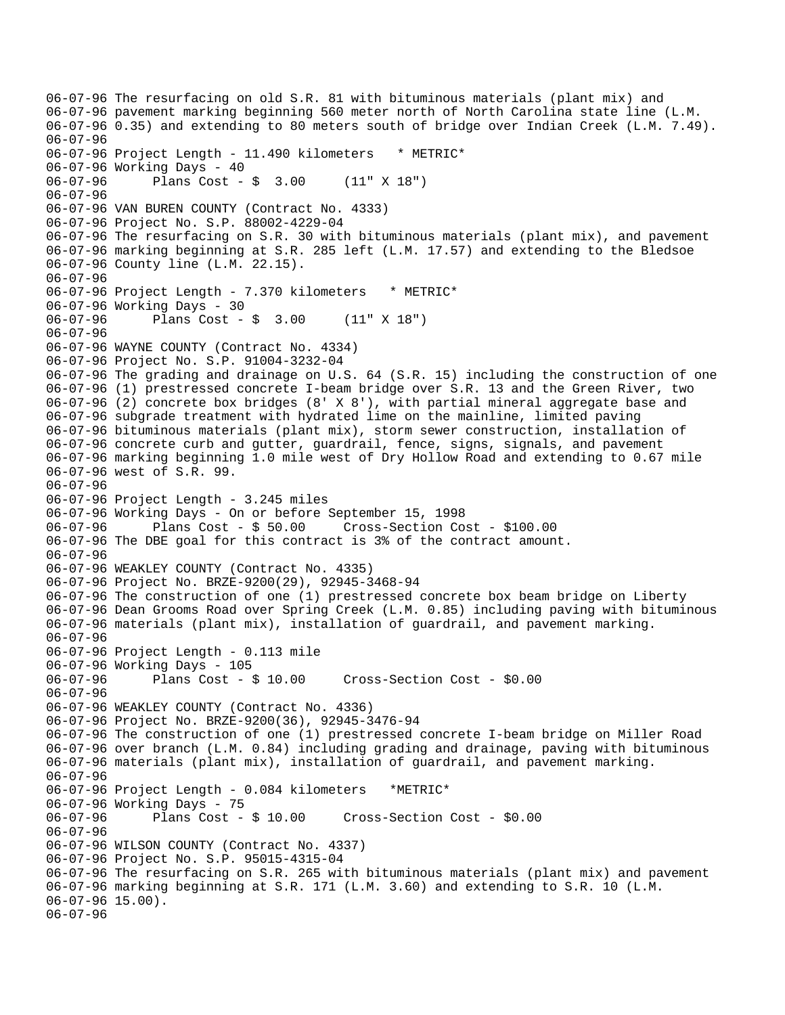06-07-96 The resurfacing on old S.R. 81 with bituminous materials (plant mix) and 06-07-96 pavement marking beginning 560 meter north of North Carolina state line (L.M. 06-07-96 0.35) and extending to 80 meters south of bridge over Indian Creek (L.M. 7.49). 06-07-96 06-07-96 Project Length - 11.490 kilometers \* METRIC\* 06-07-96 Working Days - 40 06-07-96 Plans Cost - \$ 3.00 (11" X 18") 06-07-96 06-07-96 VAN BUREN COUNTY (Contract No. 4333) 06-07-96 Project No. S.P. 88002-4229-04 06-07-96 The resurfacing on S.R. 30 with bituminous materials (plant mix), and pavement 06-07-96 marking beginning at S.R. 285 left (L.M. 17.57) and extending to the Bledsoe 06-07-96 County line (L.M. 22.15). 06-07-96 06-07-96 Project Length - 7.370 kilometers \* METRIC\* 06-07-96 Working Days - 30 Plans  $Cost - $ 3.00 (11" X 18")$ 06-07-96 06-07-96 WAYNE COUNTY (Contract No. 4334) 06-07-96 Project No. S.P. 91004-3232-04 06-07-96 The grading and drainage on U.S. 64 (S.R. 15) including the construction of one 06-07-96 (1) prestressed concrete I-beam bridge over S.R. 13 and the Green River, two 06-07-96 (2) concrete box bridges (8' X 8'), with partial mineral aggregate base and 06-07-96 subgrade treatment with hydrated lime on the mainline, limited paving 06-07-96 bituminous materials (plant mix), storm sewer construction, installation of 06-07-96 concrete curb and gutter, guardrail, fence, signs, signals, and pavement 06-07-96 marking beginning 1.0 mile west of Dry Hollow Road and extending to 0.67 mile 06-07-96 west of S.R. 99. 06-07-96 06-07-96 Project Length - 3.245 miles 06-07-96 Working Days - On or before September 15, 1998 06-07-96 Plans Cost - \$ 50.00 Cross-Section Cost - \$100.00 06-07-96 The DBE goal for this contract is 3% of the contract amount. 06-07-96 06-07-96 WEAKLEY COUNTY (Contract No. 4335) 06-07-96 Project No. BRZE-9200(29), 92945-3468-94 06-07-96 The construction of one (1) prestressed concrete box beam bridge on Liberty 06-07-96 Dean Grooms Road over Spring Creek (L.M. 0.85) including paving with bituminous 06-07-96 materials (plant mix), installation of guardrail, and pavement marking. 06-07-96 06-07-96 Project Length - 0.113 mile 06-07-96 Working Days - 105 06-07-96 Plans Cost - \$ 10.00 Cross-Section Cost - \$0.00 06-07-96 06-07-96 WEAKLEY COUNTY (Contract No. 4336) 06-07-96 Project No. BRZE-9200(36), 92945-3476-94 06-07-96 The construction of one (1) prestressed concrete I-beam bridge on Miller Road 06-07-96 over branch (L.M. 0.84) including grading and drainage, paving with bituminous 06-07-96 materials (plant mix), installation of guardrail, and pavement marking. 06-07-96 06-07-96 Project Length - 0.084 kilometers \*METRIC\* 06-07-96 Working Days - 75<br>06-07-96 Plans Cost - \$ 10.00 06-07-96 Plans Cost - \$ 10.00 Cross-Section Cost - \$0.00 06-07-96 06-07-96 WILSON COUNTY (Contract No. 4337) 06-07-96 Project No. S.P. 95015-4315-04 06-07-96 The resurfacing on S.R. 265 with bituminous materials (plant mix) and pavement 06-07-96 marking beginning at S.R. 171 (L.M. 3.60) and extending to S.R. 10 (L.M. 06-07-96 15.00). 06-07-96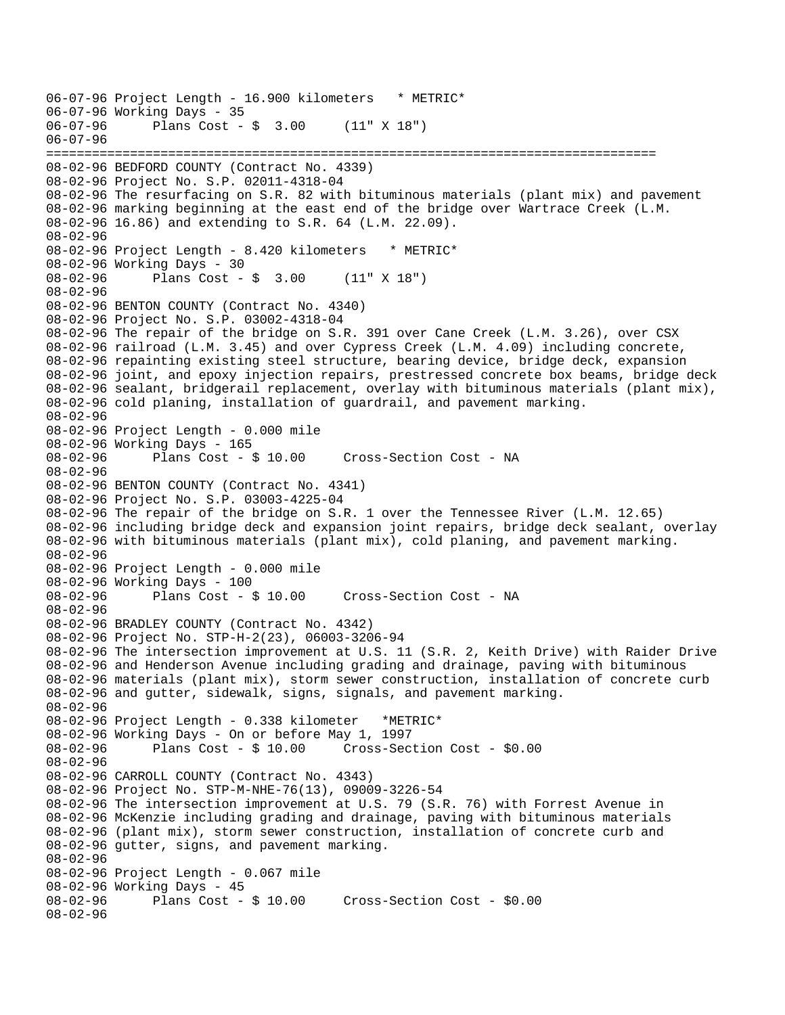06-07-96 Project Length - 16.900 kilometers \* METRIC\* 06-07-96 Working Days - 35<br>06-07-96 Plans Cost -Plans  $Cost - $ 3.00 (11" X 18")$ 06-07-96 ================================================================================ 08-02-96 BEDFORD COUNTY (Contract No. 4339) 08-02-96 Project No. S.P. 02011-4318-04 08-02-96 The resurfacing on S.R. 82 with bituminous materials (plant mix) and pavement 08-02-96 marking beginning at the east end of the bridge over Wartrace Creek (L.M. 08-02-96 16.86) and extending to S.R. 64 (L.M. 22.09). 08-02-96 08-02-96 Project Length - 8.420 kilometers \* METRIC\* 08-02-96 Working Days - 30 08-02-96 Plans Cost - \$ 3.00 (11" X 18") 08-02-96 08-02-96 BENTON COUNTY (Contract No. 4340) 08-02-96 Project No. S.P. 03002-4318-04 08-02-96 The repair of the bridge on S.R. 391 over Cane Creek (L.M. 3.26), over CSX 08-02-96 railroad (L.M. 3.45) and over Cypress Creek (L.M. 4.09) including concrete, 08-02-96 repainting existing steel structure, bearing device, bridge deck, expansion 08-02-96 joint, and epoxy injection repairs, prestressed concrete box beams, bridge deck 08-02-96 sealant, bridgerail replacement, overlay with bituminous materials (plant mix), 08-02-96 cold planing, installation of guardrail, and pavement marking. 08-02-96 08-02-96 Project Length - 0.000 mile 08-02-96 Working Days - 165 08-02-96 Plans Cost - \$ 10.00 Cross-Section Cost - NA 08-02-96 08-02-96 BENTON COUNTY (Contract No. 4341) 08-02-96 Project No. S.P. 03003-4225-04 08-02-96 The repair of the bridge on S.R. 1 over the Tennessee River (L.M. 12.65) 08-02-96 including bridge deck and expansion joint repairs, bridge deck sealant, overlay 08-02-96 with bituminous materials (plant mix), cold planing, and pavement marking. 08-02-96 08-02-96 Project Length - 0.000 mile 08-02-96 Working Days - 100 08-02-96 Plans Cost - \$ 10.00 Cross-Section Cost - NA 08-02-96 08-02-96 BRADLEY COUNTY (Contract No. 4342) 08-02-96 Project No. STP-H-2(23), 06003-3206-94 08-02-96 The intersection improvement at U.S. 11 (S.R. 2, Keith Drive) with Raider Drive 08-02-96 and Henderson Avenue including grading and drainage, paving with bituminous 08-02-96 materials (plant mix), storm sewer construction, installation of concrete curb 08-02-96 and gutter, sidewalk, signs, signals, and pavement marking. 08-02-96 08-02-96 Project Length - 0.338 kilometer \*METRIC\* 08-02-96 Working Days - On or before May 1, 1997 Cross-Section Cost - \$0.00 08-02-96 08-02-96 CARROLL COUNTY (Contract No. 4343) 08-02-96 Project No. STP-M-NHE-76(13), 09009-3226-54 08-02-96 The intersection improvement at U.S. 79 (S.R. 76) with Forrest Avenue in 08-02-96 McKenzie including grading and drainage, paving with bituminous materials 08-02-96 (plant mix), storm sewer construction, installation of concrete curb and 08-02-96 gutter, signs, and pavement marking. 08-02-96 08-02-96 Project Length - 0.067 mile 08-02-96 Working Days - 45<br>08-02-96 Plans Cost -Plans  $Cost - $ 10.00$  Cross-Section Cost -  $$0.00$ 08-02-96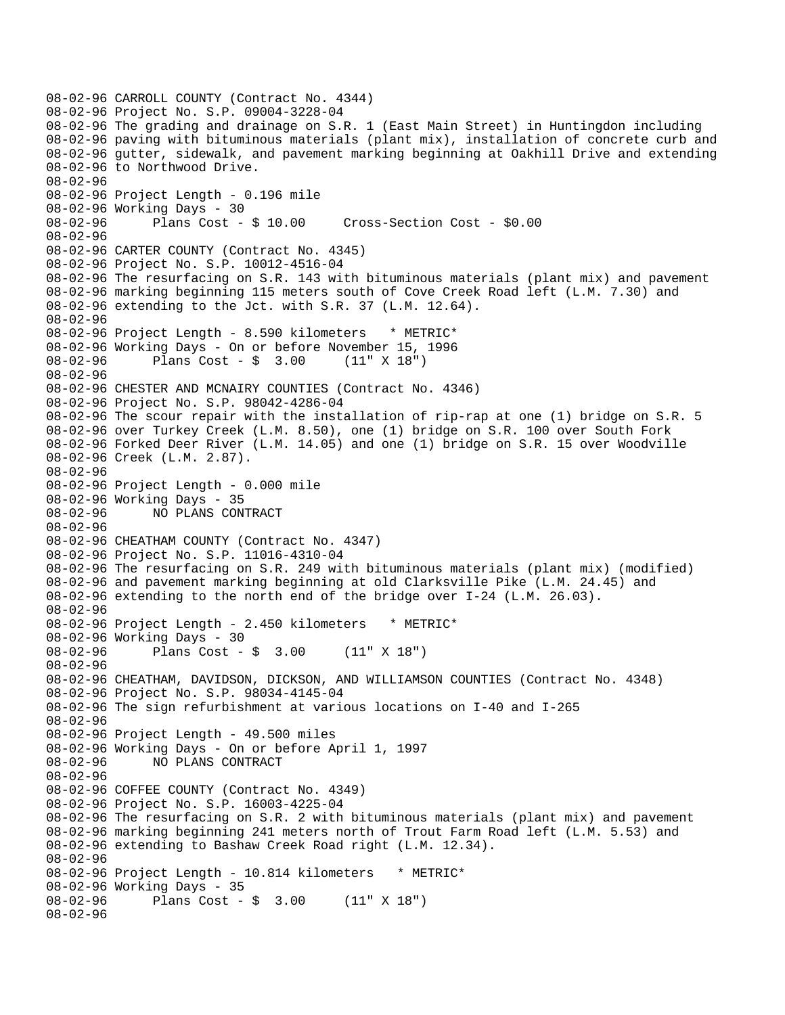08-02-96 CARROLL COUNTY (Contract No. 4344) 08-02-96 Project No. S.P. 09004-3228-04 08-02-96 The grading and drainage on S.R. 1 (East Main Street) in Huntingdon including 08-02-96 paving with bituminous materials (plant mix), installation of concrete curb and 08-02-96 gutter, sidewalk, and pavement marking beginning at Oakhill Drive and extending 08-02-96 to Northwood Drive. 08-02-96 08-02-96 Project Length - 0.196 mile 08-02-96 Working Days - 30 08-02-96 Plans Cost - \$ 10.00 Cross-Section Cost - \$0.00 08-02-96 08-02-96 CARTER COUNTY (Contract No. 4345) 08-02-96 Project No. S.P. 10012-4516-04 08-02-96 The resurfacing on S.R. 143 with bituminous materials (plant mix) and pavement 08-02-96 marking beginning 115 meters south of Cove Creek Road left (L.M. 7.30) and 08-02-96 extending to the Jct. with S.R. 37 (L.M. 12.64). 08-02-96 08-02-96 Project Length - 8.590 kilometers \* METRIC\* 08-02-96 Working Days - On or before November 15, 1996 08-02-96 Plans Cost - \$ 3.00 (11" X 18") 08-02-96 08-02-96 CHESTER AND MCNAIRY COUNTIES (Contract No. 4346) 08-02-96 Project No. S.P. 98042-4286-04 08-02-96 The scour repair with the installation of rip-rap at one (1) bridge on S.R. 5 08-02-96 over Turkey Creek (L.M. 8.50), one (1) bridge on S.R. 100 over South Fork 08-02-96 Forked Deer River (L.M. 14.05) and one (1) bridge on S.R. 15 over Woodville 08-02-96 Creek (L.M. 2.87). 08-02-96 08-02-96 Project Length - 0.000 mile 08-02-96 Working Days - 35 08-02-96 NO PLANS CONTRACT 08-02-96 08-02-96 CHEATHAM COUNTY (Contract No. 4347) 08-02-96 Project No. S.P. 11016-4310-04 08-02-96 The resurfacing on S.R. 249 with bituminous materials (plant mix) (modified) 08-02-96 and pavement marking beginning at old Clarksville Pike (L.M. 24.45) and 08-02-96 extending to the north end of the bridge over I-24 (L.M. 26.03). 08-02-96 08-02-96 Project Length - 2.450 kilometers \* METRIC\* 08-02-96 Working Days - 30 08-02-96 Plans Cost - \$ 3.00 (11" X 18") 08-02-96 08-02-96 CHEATHAM, DAVIDSON, DICKSON, AND WILLIAMSON COUNTIES (Contract No. 4348) 08-02-96 Project No. S.P. 98034-4145-04 08-02-96 The sign refurbishment at various locations on I-40 and I-265 08-02-96 08-02-96 Project Length - 49.500 miles 08-02-96 Working Days - On or before April 1, 1997 08-02-96 NO PLANS CONTRACT 08-02-96 08-02-96 COFFEE COUNTY (Contract No. 4349) 08-02-96 Project No. S.P. 16003-4225-04 08-02-96 The resurfacing on S.R. 2 with bituminous materials (plant mix) and pavement 08-02-96 marking beginning 241 meters north of Trout Farm Road left (L.M. 5.53) and 08-02-96 extending to Bashaw Creek Road right (L.M. 12.34). 08-02-96 08-02-96 Project Length - 10.814 kilometers \* METRIC\* 08-02-96 Working Days - 35<br>08-02-96 Plans Cost -Plans  $Cost - $ 3.00 (11" X 18")$ 08-02-96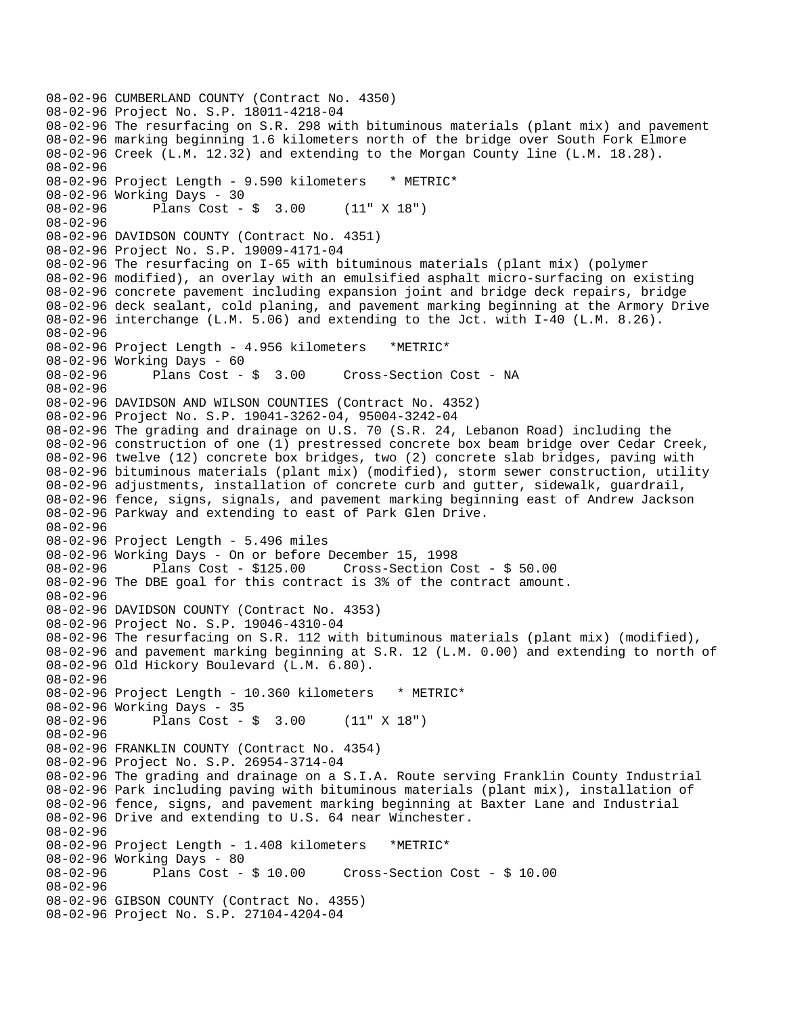```
08-02-96 CUMBERLAND COUNTY (Contract No. 4350) 
08-02-96 Project No. S.P. 18011-4218-04 
08-02-96 The resurfacing on S.R. 298 with bituminous materials (plant mix) and pavement 
08-02-96 marking beginning 1.6 kilometers north of the bridge over South Fork Elmore 
08-02-96 Creek (L.M. 12.32) and extending to the Morgan County line (L.M. 18.28). 
08-02-96 
08-02-96 Project Length - 9.590 kilometers * METRIC* 
08-02-96 Working Days - 30 
08-02-96 Plans Cost - $ 3.00 (11" X 18") 
08-02-96 
08-02-96 DAVIDSON COUNTY (Contract No. 4351) 
08-02-96 Project No. S.P. 19009-4171-04 
08-02-96 The resurfacing on I-65 with bituminous materials (plant mix) (polymer 
08-02-96 modified), an overlay with an emulsified asphalt micro-surfacing on existing 
08-02-96 concrete pavement including expansion joint and bridge deck repairs, bridge 
08-02-96 deck sealant, cold planing, and pavement marking beginning at the Armory Drive 
08-02-96 interchange (L.M. 5.06) and extending to the Jct. with I-40 (L.M. 8.26). 
08-02-96 
08-02-96 Project Length - 4.956 kilometers *METRIC* 
08-02-96 Working Days - 60<br>08-02-96       Plans Cost - $ 3.00
08-02-96 Plans Cost - $ 3.00 Cross-Section Cost - NA 
08-02-96 
08-02-96 DAVIDSON AND WILSON COUNTIES (Contract No. 4352) 
08-02-96 Project No. S.P. 19041-3262-04, 95004-3242-04 
08-02-96 The grading and drainage on U.S. 70 (S.R. 24, Lebanon Road) including the 
08-02-96 construction of one (1) prestressed concrete box beam bridge over Cedar Creek, 
08-02-96 twelve (12) concrete box bridges, two (2) concrete slab bridges, paving with 
08-02-96 bituminous materials (plant mix) (modified), storm sewer construction, utility 
08-02-96 adjustments, installation of concrete curb and gutter, sidewalk, guardrail, 
08-02-96 fence, signs, signals, and pavement marking beginning east of Andrew Jackson 
08-02-96 Parkway and extending to east of Park Glen Drive. 
08-02-96 
08-02-96 Project Length - 5.496 miles 
08-02-96 Working Days - On or before December 15, 1998 
              Plans Cost - $125.00 Cross-Section Cost - $ 50.00
08-02-96 The DBE goal for this contract is 3% of the contract amount. 
08-02-96 
08-02-96 DAVIDSON COUNTY (Contract No. 4353) 
08-02-96 Project No. S.P. 19046-4310-04 
08-02-96 The resurfacing on S.R. 112 with bituminous materials (plant mix) (modified), 
08-02-96 and pavement marking beginning at S.R. 12 (L.M. 0.00) and extending to north of 
08-02-96 Old Hickory Boulevard (L.M. 6.80). 
08-02-96 
08-02-96 Project Length - 10.360 kilometers * METRIC* 
08-02-96 Working Days - 35 
08-02-96 Plans Cost - $ 3.00 (11" X 18") 
08-02-96 
08-02-96 FRANKLIN COUNTY (Contract No. 4354) 
08-02-96 Project No. S.P. 26954-3714-04 
08-02-96 The grading and drainage on a S.I.A. Route serving Franklin County Industrial 
08-02-96 Park including paving with bituminous materials (plant mix), installation of 
08-02-96 fence, signs, and pavement marking beginning at Baxter Lane and Industrial 
08-02-96 Drive and extending to U.S. 64 near Winchester. 
08-02-96 
08-02-96 Project Length - 1.408 kilometers *METRIC* 
08-02-96 Working Days - 80 
08-02-96 Plans Cost - $ 10.00 Cross-Section Cost - $ 10.00 
08-02-96 
08-02-96 GIBSON COUNTY (Contract No. 4355) 
08-02-96 Project No. S.P. 27104-4204-04
```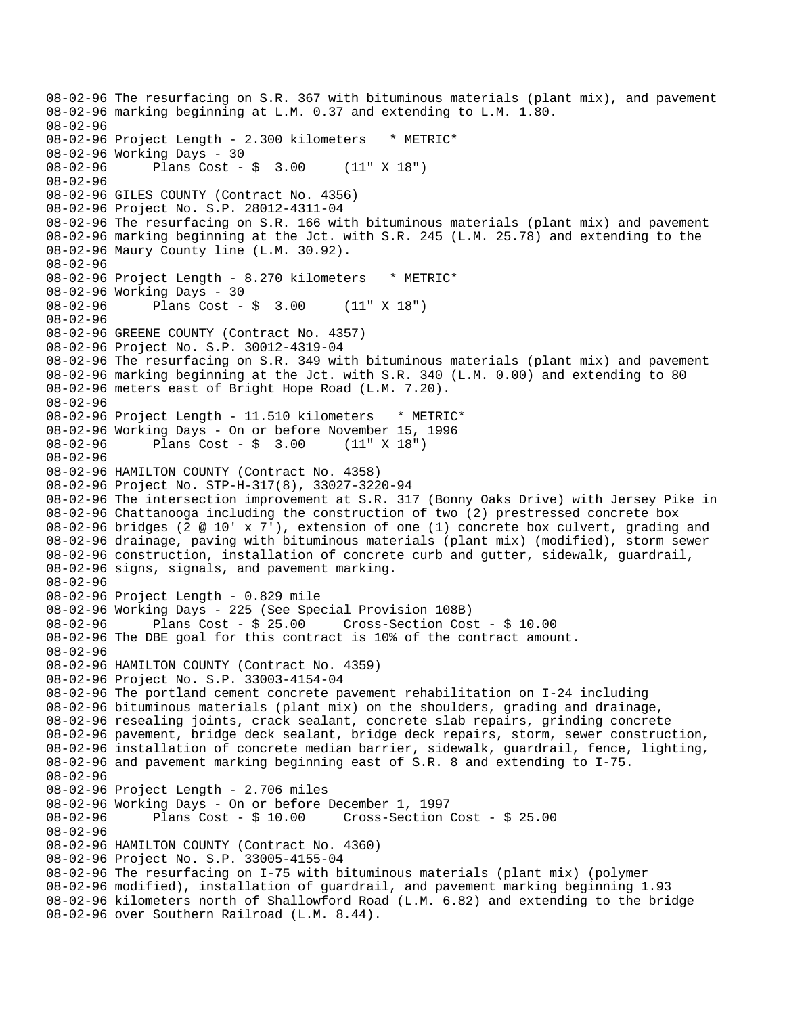08-02-96 The resurfacing on S.R. 367 with bituminous materials (plant mix), and pavement 08-02-96 marking beginning at L.M. 0.37 and extending to L.M. 1.80. 08-02-96 08-02-96 Project Length - 2.300 kilometers \* METRIC\* 08-02-96 Working Days - 30 08-02-96 Plans Cost - \$ 3.00 (11" X 18") 08-02-96 08-02-96 GILES COUNTY (Contract No. 4356) 08-02-96 Project No. S.P. 28012-4311-04 08-02-96 The resurfacing on S.R. 166 with bituminous materials (plant mix) and pavement 08-02-96 marking beginning at the Jct. with S.R. 245 (L.M. 25.78) and extending to the 08-02-96 Maury County line (L.M. 30.92). 08-02-96 08-02-96 Project Length - 8.270 kilometers \* METRIC\* 08-02-96 Working Days - 30<br>08-02-96 Plans Cost -Plans  $Cost - $ 3.00 (11" X 18")$ 08-02-96 08-02-96 GREENE COUNTY (Contract No. 4357) 08-02-96 Project No. S.P. 30012-4319-04 08-02-96 The resurfacing on S.R. 349 with bituminous materials (plant mix) and pavement 08-02-96 marking beginning at the Jct. with S.R. 340 (L.M. 0.00) and extending to 80 08-02-96 meters east of Bright Hope Road (L.M. 7.20). 08-02-96 08-02-96 Project Length - 11.510 kilometers \* METRIC\* 08-02-96 Working Days - On or before November 15, 1996<br>08-02-96 Plans Cost - \$ 3.00 (11" X 18") 08-02-96 Plans Cost - \$ 3.00 08-02-96 08-02-96 HAMILTON COUNTY (Contract No. 4358) 08-02-96 Project No. STP-H-317(8), 33027-3220-94 08-02-96 The intersection improvement at S.R. 317 (Bonny Oaks Drive) with Jersey Pike in 08-02-96 Chattanooga including the construction of two (2) prestressed concrete box 08-02-96 bridges (2 @ 10' x 7'), extension of one (1) concrete box culvert, grading and 08-02-96 drainage, paving with bituminous materials (plant mix) (modified), storm sewer 08-02-96 construction, installation of concrete curb and gutter, sidewalk, guardrail, 08-02-96 signs, signals, and pavement marking. 08-02-96 08-02-96 Project Length - 0.829 mile 08-02-96 Working Days - 225 (See Special Provision 108B) 08-02-96 Plans Cost - \$ 25.00 Cross-Section Cost - \$ 10.00 08-02-96 The DBE goal for this contract is 10% of the contract amount. 08-02-96 08-02-96 HAMILTON COUNTY (Contract No. 4359) 08-02-96 Project No. S.P. 33003-4154-04 08-02-96 The portland cement concrete pavement rehabilitation on I-24 including 08-02-96 bituminous materials (plant mix) on the shoulders, grading and drainage, 08-02-96 resealing joints, crack sealant, concrete slab repairs, grinding concrete 08-02-96 pavement, bridge deck sealant, bridge deck repairs, storm, sewer construction, 08-02-96 installation of concrete median barrier, sidewalk, guardrail, fence, lighting, 08-02-96 and pavement marking beginning east of S.R. 8 and extending to I-75. 08-02-96 08-02-96 Project Length - 2.706 miles 08-02-96 Working Days - On or before December 1, 1997 08-02-96 Plans Cost - \$ 10.00 Cross-Section Cost - \$ 25.00 08-02-96 08-02-96 HAMILTON COUNTY (Contract No. 4360) 08-02-96 Project No. S.P. 33005-4155-04 08-02-96 The resurfacing on I-75 with bituminous materials (plant mix) (polymer 08-02-96 modified), installation of guardrail, and pavement marking beginning 1.93 08-02-96 kilometers north of Shallowford Road (L.M. 6.82) and extending to the bridge 08-02-96 over Southern Railroad (L.M. 8.44).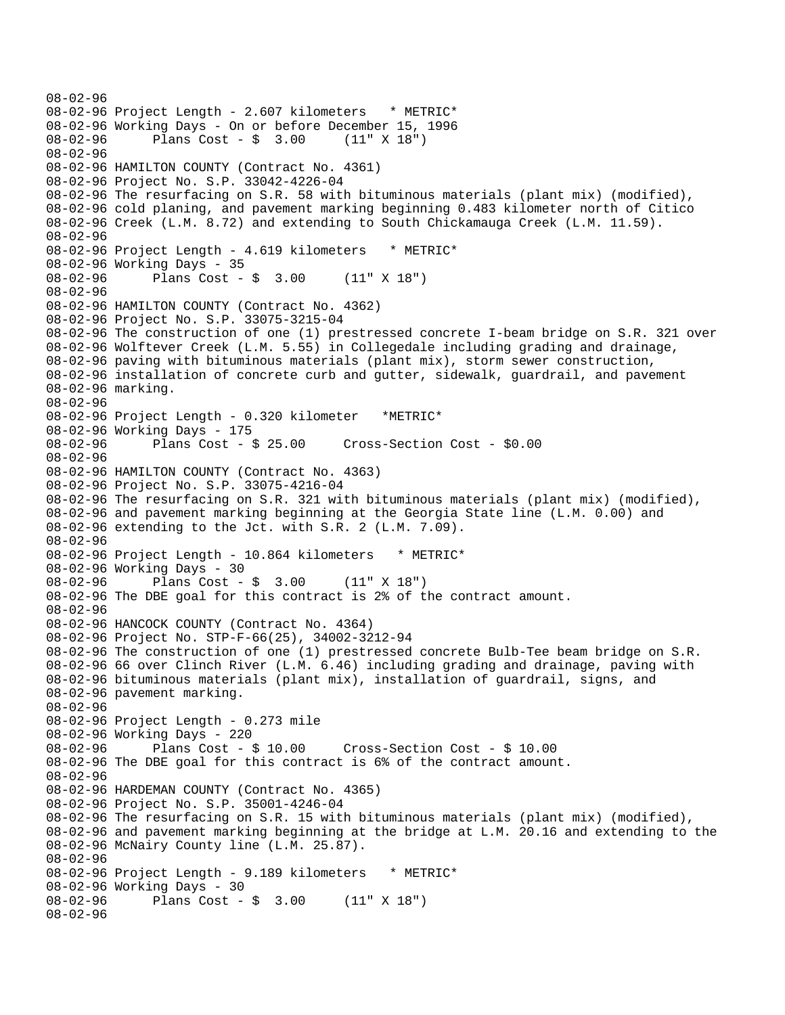```
08-02-96 
08-02-96 Project Length - 2.607 kilometers * METRIC*
08-02-96 Working Days - On or before December 15, 1996 
08-02-96 Plans Cost - $ 3.00 (11" X 18") 
08-02-96 
08-02-96 HAMILTON COUNTY (Contract No. 4361) 
08-02-96 Project No. S.P. 33042-4226-04 
08-02-96 The resurfacing on S.R. 58 with bituminous materials (plant mix) (modified), 
08-02-96 cold planing, and pavement marking beginning 0.483 kilometer north of Citico 
08-02-96 Creek (L.M. 8.72) and extending to South Chickamauga Creek (L.M. 11.59). 
08-02-96 
08-02-96 Project Length - 4.619 kilometers * METRIC*
08-02-96 Working Days - 35 
08-02-96 Plans Cost - $ 3.00 (11" X 18") 
08-02-96 
08-02-96 HAMILTON COUNTY (Contract No. 4362) 
08-02-96 Project No. S.P. 33075-3215-04 
08-02-96 The construction of one (1) prestressed concrete I-beam bridge on S.R. 321 over 
08-02-96 Wolftever Creek (L.M. 5.55) in Collegedale including grading and drainage, 
08-02-96 paving with bituminous materials (plant mix), storm sewer construction, 
08-02-96 installation of concrete curb and gutter, sidewalk, guardrail, and pavement 
08-02-96 marking. 
08-02-96 
08-02-96 Project Length - 0.320 kilometer *METRIC* 
08-02-96 Working Days - 175<br>08-02-96 Plans Cost - $ 25.00
08-02-96 Plans Cost - $ 25.00 Cross-Section Cost - $0.00 
08-02-96 
08-02-96 HAMILTON COUNTY (Contract No. 4363) 
08-02-96 Project No. S.P. 33075-4216-04 
08-02-96 The resurfacing on S.R. 321 with bituminous materials (plant mix) (modified), 
08-02-96 and pavement marking beginning at the Georgia State line (L.M. 0.00) and 
08-02-96 extending to the Jct. with S.R. 2 (L.M. 7.09). 
08-02-96 
08-02-96 Project Length - 10.864 kilometers * METRIC*
08-02-96 Working Days - 30 
08-02-96 Plans Cost - $ 3.00 (11" X 18") 
08-02-96 The DBE goal for this contract is 2% of the contract amount. 
08-02-96 
08-02-96 HANCOCK COUNTY (Contract No. 4364) 
08-02-96 Project No. STP-F-66(25), 34002-3212-94 
08-02-96 The construction of one (1) prestressed concrete Bulb-Tee beam bridge on S.R. 
08-02-96 66 over Clinch River (L.M. 6.46) including grading and drainage, paving with 
08-02-96 bituminous materials (plant mix), installation of guardrail, signs, and 
08-02-96 pavement marking. 
08-02-96 
08-02-96 Project Length - 0.273 mile 
08-02-96 Working Days - 220 
08-02-96 Plans Cost - $ 10.00 Cross-Section Cost - $ 10.00 
08-02-96 The DBE goal for this contract is 6% of the contract amount. 
08-02-96 
08-02-96 HARDEMAN COUNTY (Contract No. 4365) 
08-02-96 Project No. S.P. 35001-4246-04 
08-02-96 The resurfacing on S.R. 15 with bituminous materials (plant mix) (modified), 
08-02-96 and pavement marking beginning at the bridge at L.M. 20.16 and extending to the 
08-02-96 McNairy County line (L.M. 25.87). 
08-02-96 
08-02-96 Project Length - 9.189 kilometers * METRIC*
08-02-96 Working Days - 30<br>08-02-96 Plans Cost -
             Plans Cost - $ 3.00 (11" X 18")08-02-96
```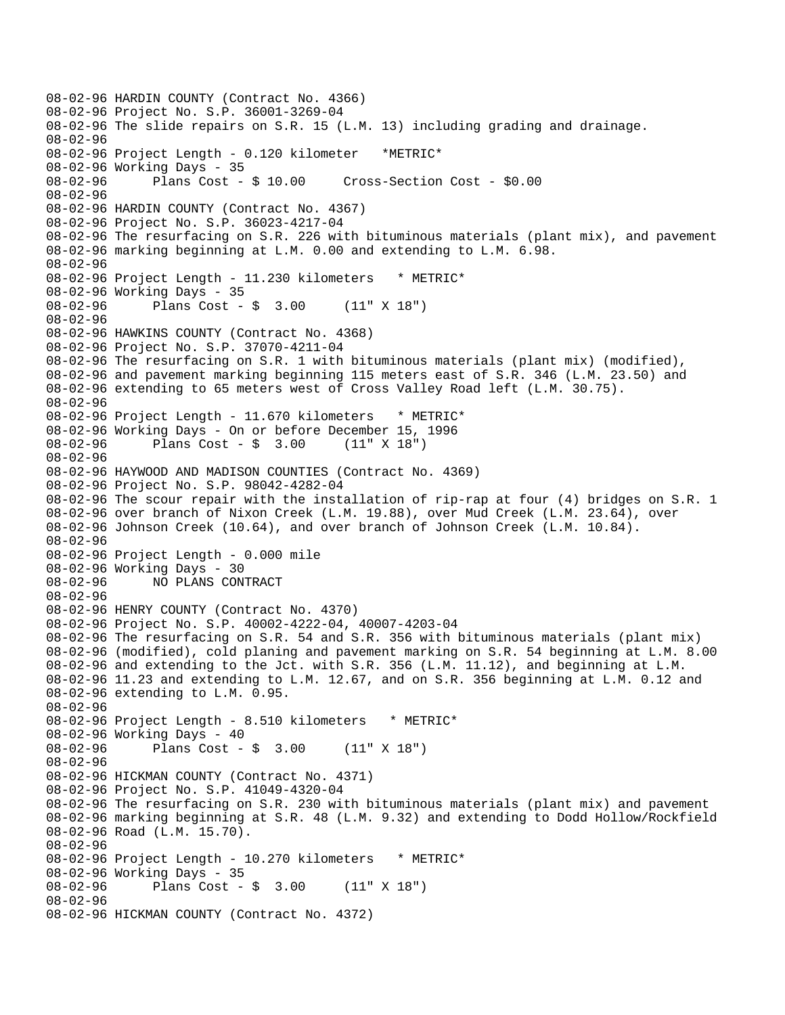08-02-96 HARDIN COUNTY (Contract No. 4366) 08-02-96 Project No. S.P. 36001-3269-04 08-02-96 The slide repairs on S.R. 15 (L.M. 13) including grading and drainage. 08-02-96 08-02-96 Project Length - 0.120 kilometer \*METRIC\* 08-02-96 Working Days - 35<br>08-02-96 Plans Cost - \$ 10.00 08-02-96 Plans Cost - \$ 10.00 Cross-Section Cost - \$0.00 08-02-96 08-02-96 HARDIN COUNTY (Contract No. 4367) 08-02-96 Project No. S.P. 36023-4217-04 08-02-96 The resurfacing on S.R. 226 with bituminous materials (plant mix), and pavement 08-02-96 marking beginning at L.M. 0.00 and extending to L.M. 6.98. 08-02-96 08-02-96 Project Length - 11.230 kilometers \* METRIC\* 08-02-96 Working Days - 35 08-02-96 Plans Cost - \$ 3.00 (11" X 18") 08-02-96 08-02-96 HAWKINS COUNTY (Contract No. 4368) 08-02-96 Project No. S.P. 37070-4211-04 08-02-96 The resurfacing on S.R. 1 with bituminous materials (plant mix) (modified), 08-02-96 and pavement marking beginning 115 meters east of S.R. 346 (L.M. 23.50) and 08-02-96 extending to 65 meters west of Cross Valley Road left (L.M. 30.75). 08-02-96 08-02-96 Project Length - 11.670 kilometers \* METRIC\* 08-02-96 Working Days - On or before December 15, 1996<br>08-02-96 Plans Cost - \$ 3.00 (11" X 18")  $08-02-96$  Plans Cost - \$ 3.00 08-02-96 08-02-96 HAYWOOD AND MADISON COUNTIES (Contract No. 4369) 08-02-96 Project No. S.P. 98042-4282-04 08-02-96 The scour repair with the installation of rip-rap at four (4) bridges on S.R. 1 08-02-96 over branch of Nixon Creek (L.M. 19.88), over Mud Creek (L.M. 23.64), over 08-02-96 Johnson Creek (10.64), and over branch of Johnson Creek (L.M. 10.84). 08-02-96 08-02-96 Project Length - 0.000 mile 08-02-96 Working Days - 30 08-02-96 NO PLANS CONTRACT 08-02-96 08-02-96 HENRY COUNTY (Contract No. 4370) 08-02-96 Project No. S.P. 40002-4222-04, 40007-4203-04 08-02-96 The resurfacing on S.R. 54 and S.R. 356 with bituminous materials (plant mix) 08-02-96 (modified), cold planing and pavement marking on S.R. 54 beginning at L.M. 8.00 08-02-96 and extending to the Jct. with S.R. 356 (L.M. 11.12), and beginning at L.M. 08-02-96 11.23 and extending to L.M. 12.67, and on S.R. 356 beginning at L.M. 0.12 and 08-02-96 extending to L.M. 0.95. 08-02-96 08-02-96 Project Length - 8.510 kilometers \* METRIC\* 08-02-96 Working Days - 40<br>08-02-96 Plans Cost -Plans  $Cost - $ 3.00 (11" X 18")$ 08-02-96 08-02-96 HICKMAN COUNTY (Contract No. 4371) 08-02-96 Project No. S.P. 41049-4320-04 08-02-96 The resurfacing on S.R. 230 with bituminous materials (plant mix) and pavement 08-02-96 marking beginning at S.R. 48 (L.M. 9.32) and extending to Dodd Hollow/Rockfield 08-02-96 Road (L.M. 15.70). 08-02-96 08-02-96 Project Length - 10.270 kilometers \* METRIC\* 08-02-96 Working Days - 35<br>08-02-96 Plans Cost -Plans  $Cost - $ 3.00 (11" X 18")$ 08-02-96 08-02-96 HICKMAN COUNTY (Contract No. 4372)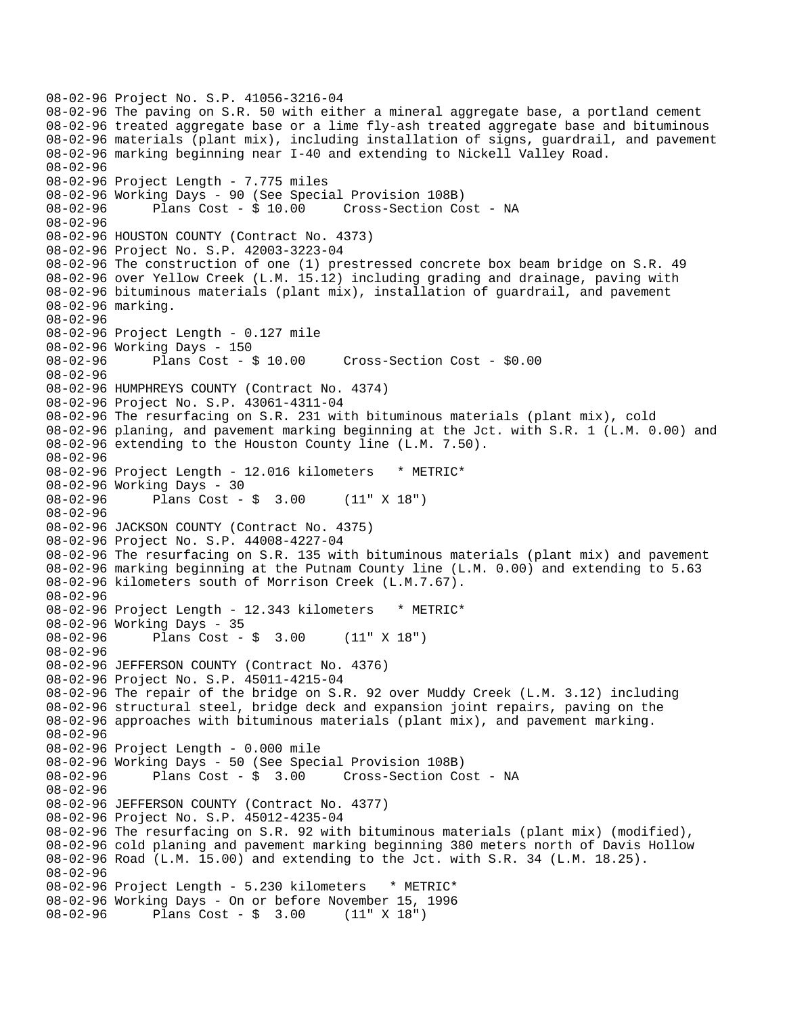```
08-02-96 Project No. S.P. 41056-3216-04 
08-02-96 The paving on S.R. 50 with either a mineral aggregate base, a portland cement 
08-02-96 treated aggregate base or a lime fly-ash treated aggregate base and bituminous 
08-02-96 materials (plant mix), including installation of signs, guardrail, and pavement 
08-02-96 marking beginning near I-40 and extending to Nickell Valley Road. 
08-02-96 
08-02-96 Project Length - 7.775 miles
08-02-96 Working Days - 90 (See Special Provision 108B) 
08-02-96 Plans Cost - $ 10.00 Cross-Section Cost - NA 
08-02-96 
08-02-96 HOUSTON COUNTY (Contract No. 4373) 
08-02-96 Project No. S.P. 42003-3223-04 
08-02-96 The construction of one (1) prestressed concrete box beam bridge on S.R. 49 
08-02-96 over Yellow Creek (L.M. 15.12) including grading and drainage, paving with 
08-02-96 bituminous materials (plant mix), installation of guardrail, and pavement 
08-02-96 marking. 
08-02-96 
08-02-96 Project Length - 0.127 mile 
08-02-96 Working Days - 150 
08-02-96 Plans Cost - $ 10.00 Cross-Section Cost - $0.00 
08-02-96 
08-02-96 HUMPHREYS COUNTY (Contract No. 4374) 
08-02-96 Project No. S.P. 43061-4311-04 
08-02-96 The resurfacing on S.R. 231 with bituminous materials (plant mix), cold 
08-02-96 planing, and pavement marking beginning at the Jct. with S.R. 1 (L.M. 0.00) and 
08-02-96 extending to the Houston County line (L.M. 7.50). 
08-02-96 
08-02-96 Project Length - 12.016 kilometers * METRIC*
08-02-96 Working Days - 30 
08-02-96 Plans Cost - $ 3.00 (11" X 18") 
08-02-96 
08-02-96 JACKSON COUNTY (Contract No. 4375) 
08-02-96 Project No. S.P. 44008-4227-04 
08-02-96 The resurfacing on S.R. 135 with bituminous materials (plant mix) and pavement 
08-02-96 marking beginning at the Putnam County line (L.M. 0.00) and extending to 5.63 
08-02-96 kilometers south of Morrison Creek (L.M.7.67). 
08-02-96 
08-02-96 Project Length - 12.343 kilometers * METRIC* 
08-02-96 Working Days - 35 
08-02-96 Plans Cost - $ 3.00 (11" X 18") 
08-02-96 
08-02-96 JEFFERSON COUNTY (Contract No. 4376) 
08-02-96 Project No. S.P. 45011-4215-04 
08-02-96 The repair of the bridge on S.R. 92 over Muddy Creek (L.M. 3.12) including 
08-02-96 structural steel, bridge deck and expansion joint repairs, paving on the 
08-02-96 approaches with bituminous materials (plant mix), and pavement marking. 
08-02-96 
08-02-96 Project Length - 0.000 mile 
08-02-96 Working Days - 50 (See Special Provision 108B) 
08-02-96 Plans Cost - $ 3.00 Cross-Section Cost - NA 
08-02-96 
08-02-96 JEFFERSON COUNTY (Contract No. 4377) 
08-02-96 Project No. S.P. 45012-4235-04 
08-02-96 The resurfacing on S.R. 92 with bituminous materials (plant mix) (modified), 
08-02-96 cold planing and pavement marking beginning 380 meters north of Davis Hollow 
08-02-96 Road (L.M. 15.00) and extending to the Jct. with S.R. 34 (L.M. 18.25). 
08-02-96 
08-02-96 Project Length - 5.230 kilometers * METRIC* 
08-02-96 Working Days - On or before November 15, 1996 
08-02-96 Plans Cost - $ 3.00 (11" X 18")
```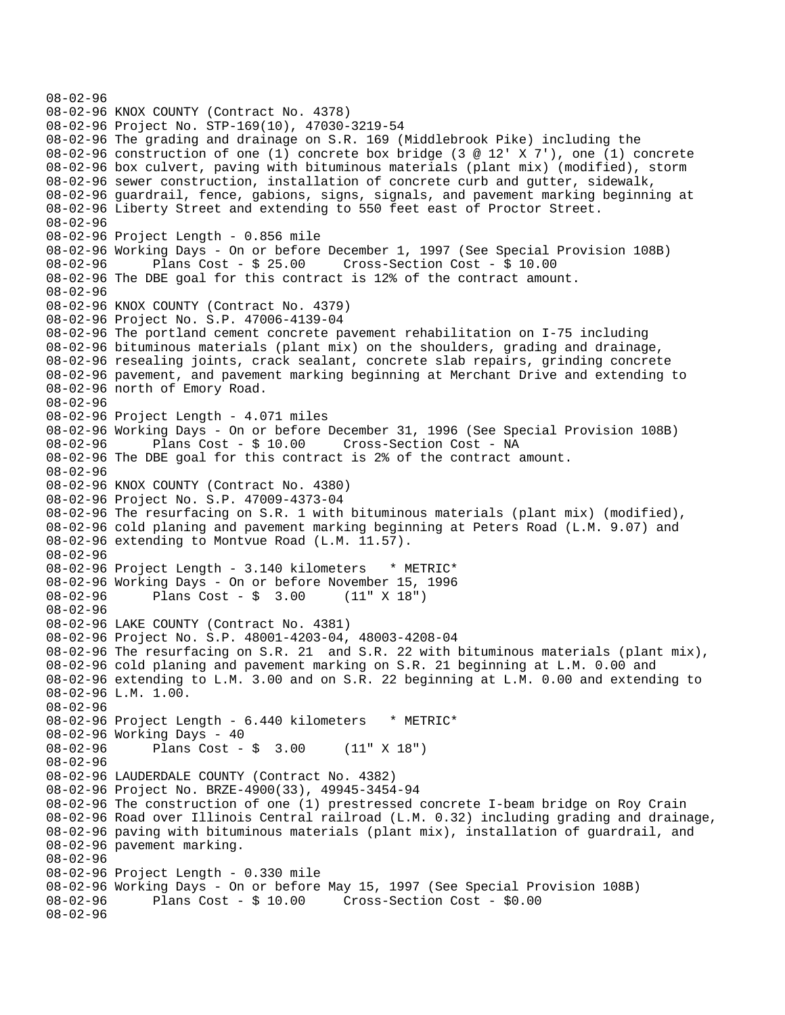```
08-02-96 
08-02-96 KNOX COUNTY (Contract No. 4378) 
08-02-96 Project No. STP-169(10), 47030-3219-54 
08-02-96 The grading and drainage on S.R. 169 (Middlebrook Pike) including the 
08-02-96 construction of one (1) concrete box bridge (3 @ 12' X 7'), one (1) concrete 
08-02-96 box culvert, paving with bituminous materials (plant mix) (modified), storm 
08-02-96 sewer construction, installation of concrete curb and gutter, sidewalk, 
08-02-96 guardrail, fence, gabions, signs, signals, and pavement marking beginning at 
08-02-96 Liberty Street and extending to 550 feet east of Proctor Street. 
08-02-96 
08-02-96 Project Length - 0.856 mile 
08-02-96 Working Days - On or before December 1, 1997 (See Special Provision 108B) 
08-02-96 Plans Cost - $ 25.00 Cross-Section Cost - $ 10.00 
08-02-96 The DBE goal for this contract is 12% of the contract amount. 
08-02-96 
08-02-96 KNOX COUNTY (Contract No. 4379) 
08-02-96 Project No. S.P. 47006-4139-04 
08-02-96 The portland cement concrete pavement rehabilitation on I-75 including 
08-02-96 bituminous materials (plant mix) on the shoulders, grading and drainage, 
08-02-96 resealing joints, crack sealant, concrete slab repairs, grinding concrete 
08-02-96 pavement, and pavement marking beginning at Merchant Drive and extending to 
08-02-96 north of Emory Road. 
08-02-96 
08-02-96 Project Length - 4.071 miles 
08-02-96 Working Days - On or before December 31, 1996 (See Special Provision 108B) 
08-02-96 Plans Cost - $ 10.00 Cross-Section Cost - NA 
08-02-96 The DBE goal for this contract is 2% of the contract amount. 
08-02-96 
08-02-96 KNOX COUNTY (Contract No. 4380) 
08-02-96 Project No. S.P. 47009-4373-04 
08-02-96 The resurfacing on S.R. 1 with bituminous materials (plant mix) (modified), 
08-02-96 cold planing and pavement marking beginning at Peters Road (L.M. 9.07) and 
08-02-96 extending to Montvue Road (L.M. 11.57). 
08-02-96 
08-02-96 Project Length - 3.140 kilometers * METRIC*
08-02-96 Working Days - On or before November 15, 1996 
08-02-96 Plans Cost - $ 3.00 (11" X 18") 
08-02-96 
08-02-96 LAKE COUNTY (Contract No. 4381) 
08-02-96 Project No. S.P. 48001-4203-04, 48003-4208-04 
08-02-96 The resurfacing on S.R. 21 and S.R. 22 with bituminous materials (plant mix), 
08-02-96 cold planing and pavement marking on S.R. 21 beginning at L.M. 0.00 and 
08-02-96 extending to L.M. 3.00 and on S.R. 22 beginning at L.M. 0.00 and extending to 
08-02-96 L.M. 1.00. 
08-02-96 
08-02-96 Project Length - 6.440 kilometers * METRIC*
08-02-96 Working Days - 40<br>08-02-96 Plans Cost -
              Plans Cost - $ 3.00 (11" X 18")08-02-96 
08-02-96 LAUDERDALE COUNTY (Contract No. 4382) 
08-02-96 Project No. BRZE-4900(33), 49945-3454-94 
08-02-96 The construction of one (1) prestressed concrete I-beam bridge on Roy Crain 
08-02-96 Road over Illinois Central railroad (L.M. 0.32) including grading and drainage, 
08-02-96 paving with bituminous materials (plant mix), installation of guardrail, and 
08-02-96 pavement marking. 
08-02-96 
08-02-96 Project Length - 0.330 mile 
08-02-96 Working Days - On or before May 15, 1997 (See Special Provision 108B)<br>08-02-96      Plans Cost - $ 10.00    Cross-Section Cost - $0.00
              Plans Cost - $ 10.00 Cross-Section Cost - $0.0008-02-96
```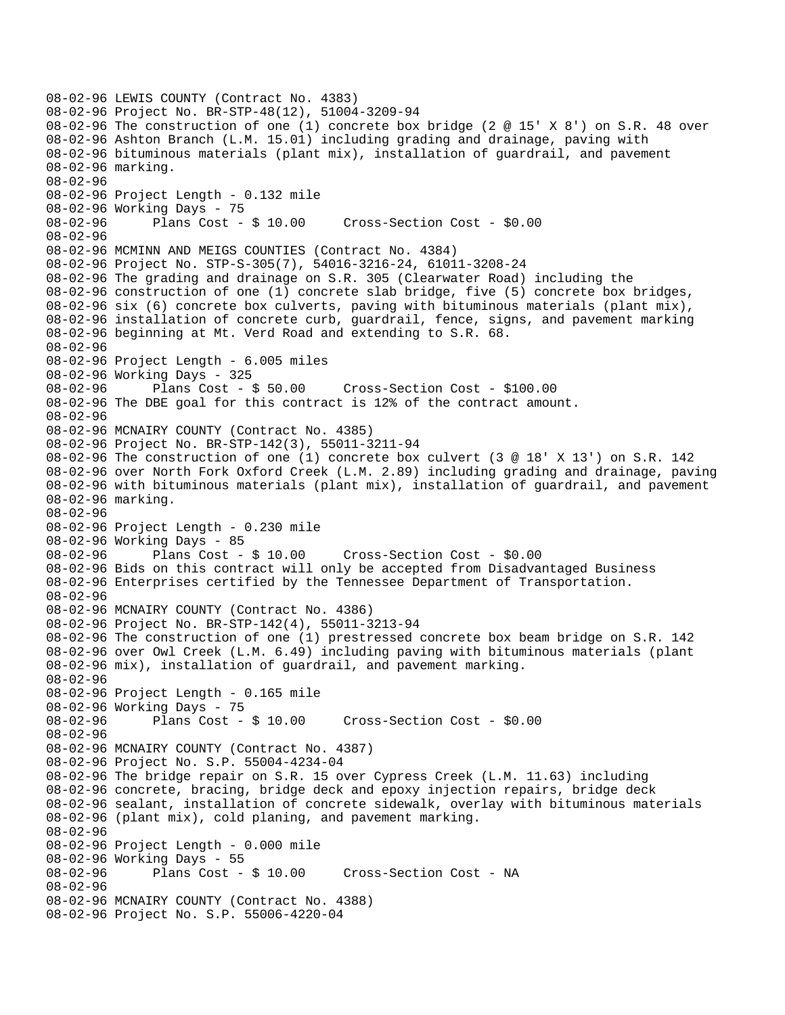```
08-02-96 LEWIS COUNTY (Contract No. 4383) 
08-02-96 Project No. BR-STP-48(12), 51004-3209-94 
08-02-96 The construction of one (1) concrete box bridge (2 @ 15' X 8') on S.R. 48 over 
08-02-96 Ashton Branch (L.M. 15.01) including grading and drainage, paving with 
08-02-96 bituminous materials (plant mix), installation of guardrail, and pavement 
08-02-96 marking. 
08-02-96 
08-02-96 Project Length - 0.132 mile 
08-02-96 Working Days - 75 
08-02-96 Plans Cost - $ 10.00 Cross-Section Cost - $0.00 
08-02-96 
08-02-96 MCMINN AND MEIGS COUNTIES (Contract No. 4384) 
08-02-96 Project No. STP-S-305(7), 54016-3216-24, 61011-3208-24 
08-02-96 The grading and drainage on S.R. 305 (Clearwater Road) including the 
08-02-96 construction of one (1) concrete slab bridge, five (5) concrete box bridges, 
08-02-96 six (6) concrete box culverts, paving with bituminous materials (plant mix), 
08-02-96 installation of concrete curb, guardrail, fence, signs, and pavement marking 
08-02-96 beginning at Mt. Verd Road and extending to S.R. 68. 
08-02-96 
08-02-96 Project Length - 6.005 miles 
08-02-96 Working Days - 325 
                                      08-02-96 Plans Cost - $ 50.00 Cross-Section Cost - $100.00 
08-02-96 The DBE goal for this contract is 12% of the contract amount. 
08-02-96 
08-02-96 MCNAIRY COUNTY (Contract No. 4385) 
08-02-96 Project No. BR-STP-142(3), 55011-3211-94 
08-02-96 The construction of one (1) concrete box culvert (3 @ 18' X 13') on S.R. 142 
08-02-96 over North Fork Oxford Creek (L.M. 2.89) including grading and drainage, paving 
08-02-96 with bituminous materials (plant mix), installation of guardrail, and pavement 
08-02-96 marking. 
08-02-96 
08-02-96 Project Length - 0.230 mile 
08-02-96 Working Days - 85 
08-02-96 Plans Cost - $ 10.00 Cross-Section Cost - $0.00 
08-02-96 Bids on this contract will only be accepted from Disadvantaged Business 
08-02-96 Enterprises certified by the Tennessee Department of Transportation. 
08-02-96 
08-02-96 MCNAIRY COUNTY (Contract No. 4386) 
08-02-96 Project No. BR-STP-142(4), 55011-3213-94 
08-02-96 The construction of one (1) prestressed concrete box beam bridge on S.R. 142 
08-02-96 over Owl Creek (L.M. 6.49) including paving with bituminous materials (plant 
08-02-96 mix), installation of guardrail, and pavement marking. 
08-02-96 
08-02-96 Project Length - 0.165 mile 
08-02-96 Working Days - 75<br>08-02-96 Plans Cost - $10.00
08-02-96 Plans Cost - $ 10.00 Cross-Section Cost - $0.00 
08-02-96 
08-02-96 MCNAIRY COUNTY (Contract No. 4387) 
08-02-96 Project No. S.P. 55004-4234-04 
08-02-96 The bridge repair on S.R. 15 over Cypress Creek (L.M. 11.63) including 
08-02-96 concrete, bracing, bridge deck and epoxy injection repairs, bridge deck 
08-02-96 sealant, installation of concrete sidewalk, overlay with bituminous materials 
08-02-96 (plant mix), cold planing, and pavement marking. 
08-02-96 
08-02-96 Project Length - 0.000 mile 
08-02-96 Working Days - 55 
08-02-96 Plans Cost - $ 10.00 Cross-Section Cost - NA 
08-02-96 
08-02-96 MCNAIRY COUNTY (Contract No. 4388) 
08-02-96 Project No. S.P. 55006-4220-04
```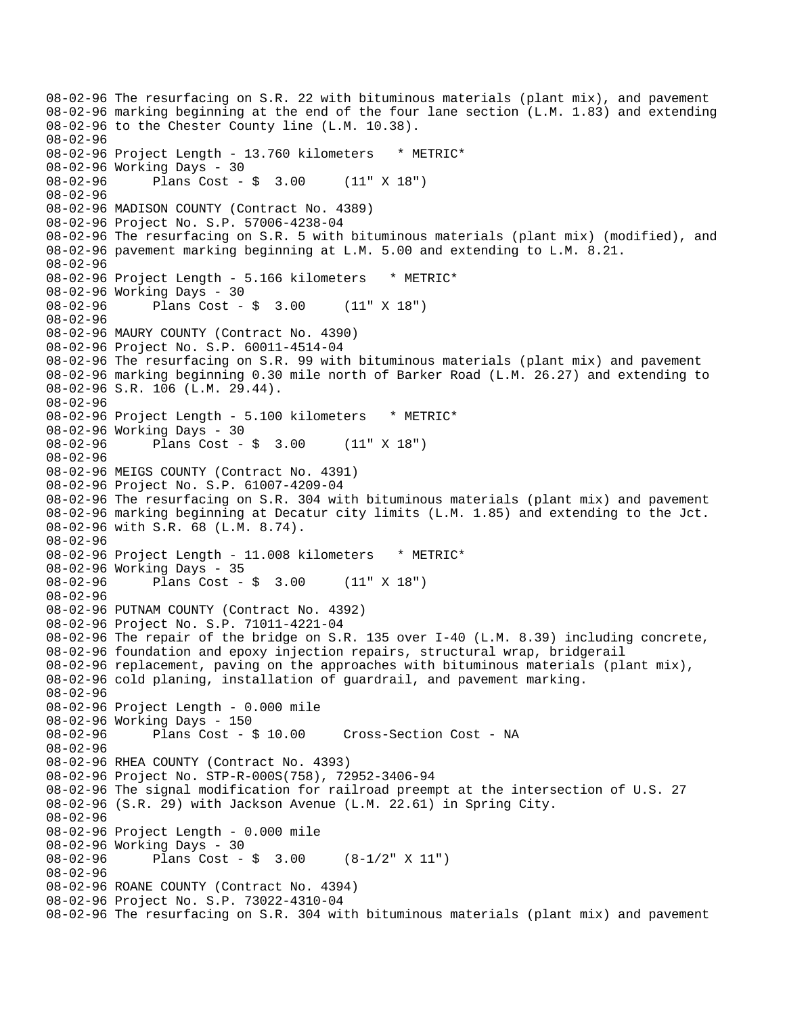08-02-96 The resurfacing on S.R. 22 with bituminous materials (plant mix), and pavement 08-02-96 marking beginning at the end of the four lane section (L.M. 1.83) and extending 08-02-96 to the Chester County line (L.M. 10.38). 08-02-96 08-02-96 Project Length - 13.760 kilometers \* METRIC\* 08-02-96 Working Days - 30 08-02-96 Plans Cost - \$ 3.00 (11" X 18") 08-02-96 08-02-96 MADISON COUNTY (Contract No. 4389) 08-02-96 Project No. S.P. 57006-4238-04 08-02-96 The resurfacing on S.R. 5 with bituminous materials (plant mix) (modified), and 08-02-96 pavement marking beginning at L.M. 5.00 and extending to L.M. 8.21. 08-02-96 08-02-96 Project Length - 5.166 kilometers \* METRIC\* 08-02-96 Working Days - 30 08-02-96 Plans Cost - \$ 3.00 (11" X 18") 08-02-96 08-02-96 MAURY COUNTY (Contract No. 4390) 08-02-96 Project No. S.P. 60011-4514-04 08-02-96 The resurfacing on S.R. 99 with bituminous materials (plant mix) and pavement 08-02-96 marking beginning 0.30 mile north of Barker Road (L.M. 26.27) and extending to 08-02-96 S.R. 106 (L.M. 29.44). 08-02-96 08-02-96 Project Length - 5.100 kilometers \* METRIC\* 08-02-96 Working Days - 30 08-02-96 Plans Cost - \$ 3.00 (11" X 18") 08-02-96 08-02-96 MEIGS COUNTY (Contract No. 4391) 08-02-96 Project No. S.P. 61007-4209-04 08-02-96 The resurfacing on S.R. 304 with bituminous materials (plant mix) and pavement 08-02-96 marking beginning at Decatur city limits (L.M. 1.85) and extending to the Jct. 08-02-96 with S.R. 68 (L.M. 8.74). 08-02-96 08-02-96 Project Length - 11.008 kilometers \* METRIC\* 08-02-96 Working Days - 35 08-02-96 Plans Cost - \$ 3.00 (11" X 18") 08-02-96 08-02-96 PUTNAM COUNTY (Contract No. 4392) 08-02-96 Project No. S.P. 71011-4221-04 08-02-96 The repair of the bridge on S.R. 135 over I-40 (L.M. 8.39) including concrete, 08-02-96 foundation and epoxy injection repairs, structural wrap, bridgerail 08-02-96 replacement, paving on the approaches with bituminous materials (plant mix), 08-02-96 cold planing, installation of guardrail, and pavement marking. 08-02-96 08-02-96 Project Length - 0.000 mile 08-02-96 Working Days - 150 08-02-96 Plans Cost - \$ 10.00 Cross-Section Cost - NA 08-02-96 08-02-96 RHEA COUNTY (Contract No. 4393) 08-02-96 Project No. STP-R-000S(758), 72952-3406-94 08-02-96 The signal modification for railroad preempt at the intersection of U.S. 27 08-02-96 (S.R. 29) with Jackson Avenue (L.M. 22.61) in Spring City. 08-02-96 08-02-96 Project Length - 0.000 mile 08-02-96 Working Days - 30 08-02-96 Plans Cost - \$ 3.00 (8-1/2" X 11") 08-02-96 08-02-96 ROANE COUNTY (Contract No. 4394) 08-02-96 Project No. S.P. 73022-4310-04 08-02-96 The resurfacing on S.R. 304 with bituminous materials (plant mix) and pavement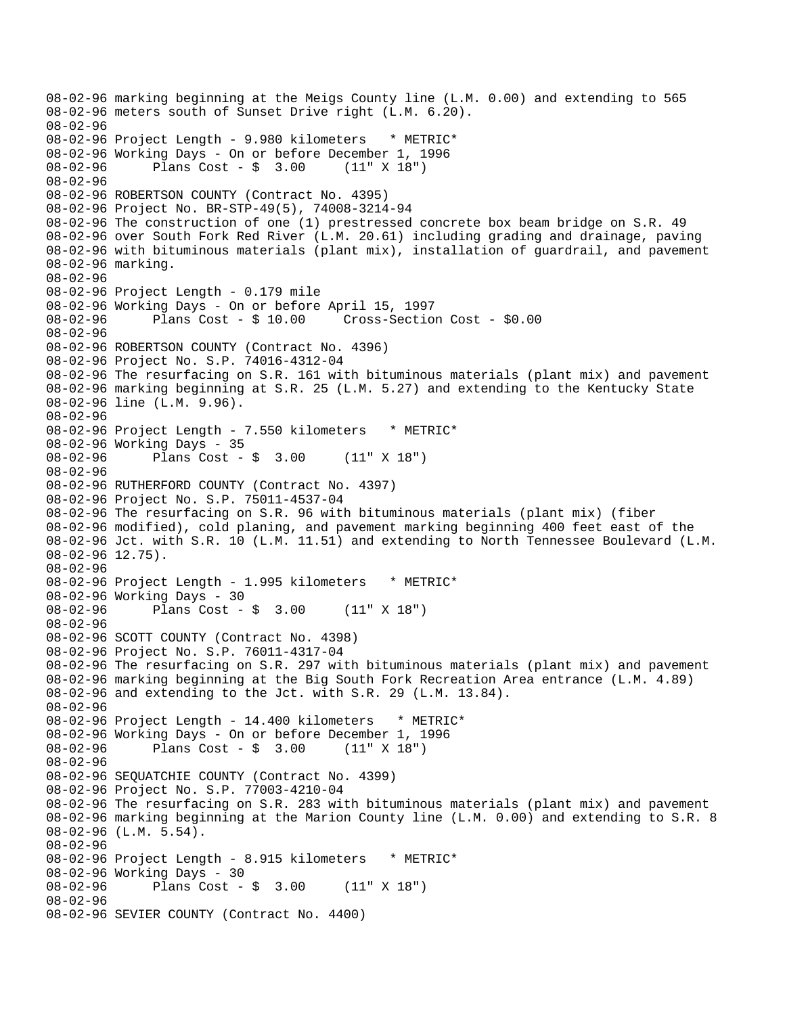08-02-96 marking beginning at the Meigs County line (L.M. 0.00) and extending to 565 08-02-96 meters south of Sunset Drive right (L.M. 6.20). 08-02-96 08-02-96 Project Length - 9.980 kilometers \* METRIC\* 08-02-96 Working Days - On or before December 1, 1996 08-02-96 Plans Cost - \$ 3.00 (11" X 18") 08-02-96 08-02-96 ROBERTSON COUNTY (Contract No. 4395) 08-02-96 Project No. BR-STP-49(5), 74008-3214-94 08-02-96 The construction of one (1) prestressed concrete box beam bridge on S.R. 49 08-02-96 over South Fork Red River (L.M. 20.61) including grading and drainage, paving 08-02-96 with bituminous materials (plant mix), installation of guardrail, and pavement 08-02-96 marking. 08-02-96 08-02-96 Project Length - 0.179 mile 08-02-96 Working Days - On or before April 15, 1997 08-02-96 Plans Cost - \$ 10.00 Cross-Section Cost - \$0.00 08-02-96 08-02-96 ROBERTSON COUNTY (Contract No. 4396) 08-02-96 Project No. S.P. 74016-4312-04 08-02-96 The resurfacing on S.R. 161 with bituminous materials (plant mix) and pavement 08-02-96 marking beginning at S.R. 25 (L.M. 5.27) and extending to the Kentucky State 08-02-96 line (L.M. 9.96). 08-02-96 08-02-96 Project Length - 7.550 kilometers \* METRIC\* 08-02-96 Working Days - 35 08-02-96 Plans Cost - \$ 3.00 (11" X 18") 08-02-96 08-02-96 RUTHERFORD COUNTY (Contract No. 4397) 08-02-96 Project No. S.P. 75011-4537-04 08-02-96 The resurfacing on S.R. 96 with bituminous materials (plant mix) (fiber 08-02-96 modified), cold planing, and pavement marking beginning 400 feet east of the 08-02-96 Jct. with S.R. 10 (L.M. 11.51) and extending to North Tennessee Boulevard (L.M. 08-02-96 12.75). 08-02-96 08-02-96 Project Length - 1.995 kilometers \* METRIC\* 08-02-96 Working Days - 30 08-02-96 Plans Cost - \$ 3.00 (11" X 18") 08-02-96 08-02-96 SCOTT COUNTY (Contract No. 4398) 08-02-96 Project No. S.P. 76011-4317-04 08-02-96 The resurfacing on S.R. 297 with bituminous materials (plant mix) and pavement 08-02-96 marking beginning at the Big South Fork Recreation Area entrance (L.M. 4.89) 08-02-96 and extending to the Jct. with S.R. 29 (L.M. 13.84). 08-02-96 08-02-96 Project Length - 14.400 kilometers \* METRIC\* 08-02-96 Working Days - On or before December 1, 1996 08-02-96 Plans Cost - \$ 3.00 (11" X 18") 08-02-96 08-02-96 SEQUATCHIE COUNTY (Contract No. 4399) 08-02-96 Project No. S.P. 77003-4210-04 08-02-96 The resurfacing on S.R. 283 with bituminous materials (plant mix) and pavement 08-02-96 marking beginning at the Marion County line (L.M. 0.00) and extending to S.R. 8 08-02-96 (L.M. 5.54). 08-02-96 08-02-96 Project Length - 8.915 kilometers \* METRIC\* 08-02-96 Working Days - 30<br>08-02-96 Plans Cost -Plans  $Cost - $ 3.00 (11" X 18")$ 08-02-96 08-02-96 SEVIER COUNTY (Contract No. 4400)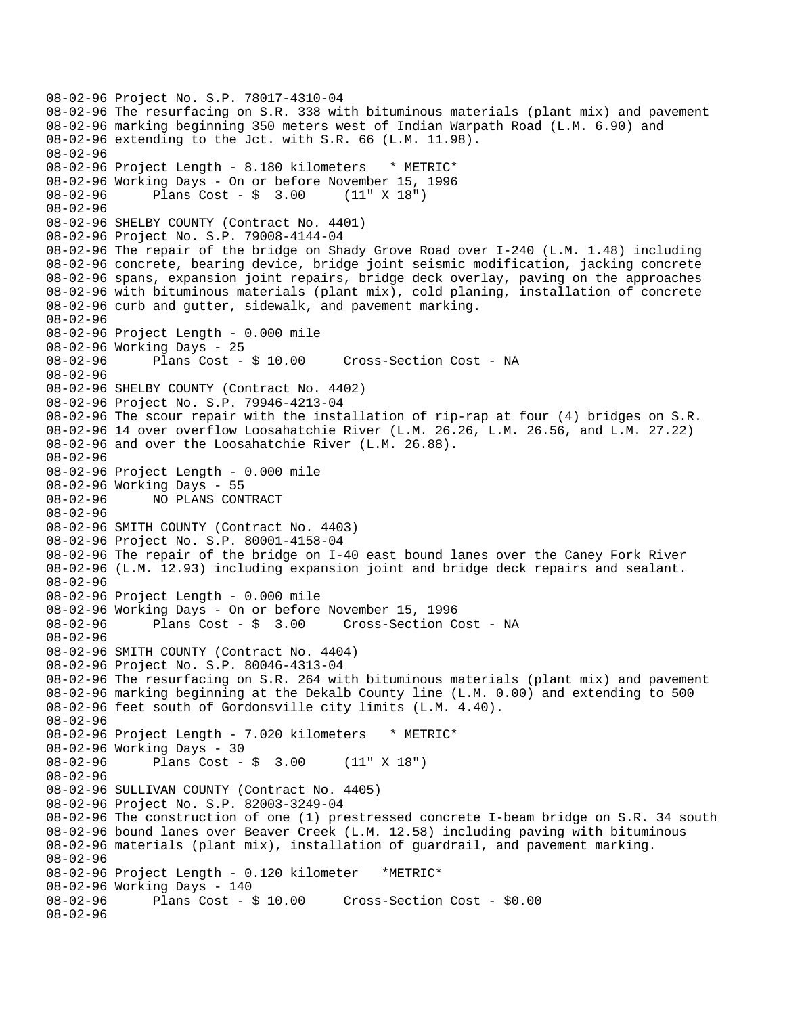```
08-02-96 Project No. S.P. 78017-4310-04 
08-02-96 The resurfacing on S.R. 338 with bituminous materials (plant mix) and pavement 
08-02-96 marking beginning 350 meters west of Indian Warpath Road (L.M. 6.90) and 
08-02-96 extending to the Jct. with S.R. 66 (L.M. 11.98). 
08-02-96 
08-02-96 Project Length - 8.180 kilometers * METRIC*
08-02-96 Working Days - On or before November 15, 1996 
08-02-96 Plans Cost - $ 3.00
08-02-96 
08-02-96 SHELBY COUNTY (Contract No. 4401) 
08-02-96 Project No. S.P. 79008-4144-04 
08-02-96 The repair of the bridge on Shady Grove Road over I-240 (L.M. 1.48) including 
08-02-96 concrete, bearing device, bridge joint seismic modification, jacking concrete 
08-02-96 spans, expansion joint repairs, bridge deck overlay, paving on the approaches 
08-02-96 with bituminous materials (plant mix), cold planing, installation of concrete 
08-02-96 curb and gutter, sidewalk, and pavement marking. 
08-02-96 
08-02-96 Project Length - 0.000 mile 
08-02-96 Working Days - 25 
08-02-96 Plans Cost - $ 10.00 Cross-Section Cost - NA 
08-02-96 
08-02-96 SHELBY COUNTY (Contract No. 4402) 
08-02-96 Project No. S.P. 79946-4213-04 
08-02-96 The scour repair with the installation of rip-rap at four (4) bridges on S.R. 
08-02-96 14 over overflow Loosahatchie River (L.M. 26.26, L.M. 26.56, and L.M. 27.22) 
08-02-96 and over the Loosahatchie River (L.M. 26.88). 
08-02-96 
08-02-96 Project Length - 0.000 mile 
08-02-96 Working Days - 55 
08-02-96 NO PLANS CONTRACT 
08-02-96 
08-02-96 SMITH COUNTY (Contract No. 4403) 
08-02-96 Project No. S.P. 80001-4158-04 
08-02-96 The repair of the bridge on I-40 east bound lanes over the Caney Fork River 
08-02-96 (L.M. 12.93) including expansion joint and bridge deck repairs and sealant. 
08-02-96 
08-02-96 Project Length - 0.000 mile 
08-02-96 Working Days - On or before November 15, 1996 
08-02-96 Plans Cost - $ 3.00 Cross-Section Cost - NA 
08-02-96 
08-02-96 SMITH COUNTY (Contract No. 4404) 
08-02-96 Project No. S.P. 80046-4313-04 
08-02-96 The resurfacing on S.R. 264 with bituminous materials (plant mix) and pavement 
08-02-96 marking beginning at the Dekalb County line (L.M. 0.00) and extending to 500 
08-02-96 feet south of Gordonsville city limits (L.M. 4.40). 
08-02-96 
08-02-96 Project Length - 7.020 kilometers * METRIC*
08-02-96 Working Days - 30<br>08-02-96 Plans Cost -
              Plans Cost - \frac{1}{2} 3.00 (11" X 18")
08-02-96 
08-02-96 SULLIVAN COUNTY (Contract No. 4405) 
08-02-96 Project No. S.P. 82003-3249-04 
08-02-96 The construction of one (1) prestressed concrete I-beam bridge on S.R. 34 south 
08-02-96 bound lanes over Beaver Creek (L.M. 12.58) including paving with bituminous 
08-02-96 materials (plant mix), installation of guardrail, and pavement marking. 
08-02-96 
08-02-96 Project Length - 0.120 kilometer *METRIC* 
08-02-96 Working Days - 140<br>08-02-96     Plans Cost - $ 10.00
                                      Cross-Section Cost - $0.00
08-02-96
```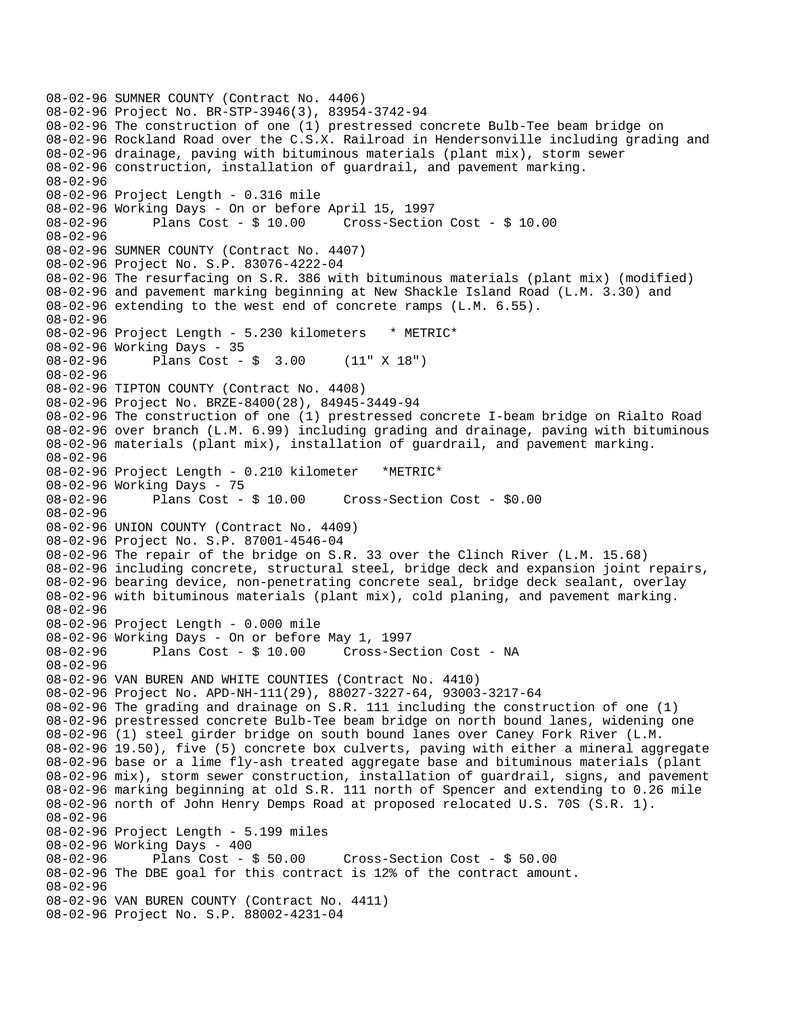```
08-02-96 SUMNER COUNTY (Contract No. 4406) 
08-02-96 Project No. BR-STP-3946(3), 83954-3742-94 
08-02-96 The construction of one (1) prestressed concrete Bulb-Tee beam bridge on 
08-02-96 Rockland Road over the C.S.X. Railroad in Hendersonville including grading and 
08-02-96 drainage, paving with bituminous materials (plant mix), storm sewer 
08-02-96 construction, installation of guardrail, and pavement marking. 
08-02-96 
08-02-96 Project Length - 0.316 mile 
08-02-96 Working Days - On or before April 15, 1997 
08-02-96 Plans Cost - $ 10.00 Cross-Section Cost - $ 10.00 
08-02-96 
08-02-96 SUMNER COUNTY (Contract No. 4407) 
08-02-96 Project No. S.P. 83076-4222-04 
08-02-96 The resurfacing on S.R. 386 with bituminous materials (plant mix) (modified) 
08-02-96 and pavement marking beginning at New Shackle Island Road (L.M. 3.30) and 
08-02-96 extending to the west end of concrete ramps (L.M. 6.55). 
08-02-96 
08-02-96 Project Length - 5.230 kilometers * METRIC* 
08-02-96 Working Days - 35 
08-02-96 Plans Cost - $ 3.00 (11" X 18") 
08-02-96 
08-02-96 TIPTON COUNTY (Contract No. 4408) 
08-02-96 Project No. BRZE-8400(28), 84945-3449-94 
08-02-96 The construction of one (1) prestressed concrete I-beam bridge on Rialto Road 
08-02-96 over branch (L.M. 6.99) including grading and drainage, paving with bituminous 
08-02-96 materials (plant mix), installation of guardrail, and pavement marking. 
08-02-96 
08-02-96 Project Length - 0.210 kilometer *METRIC* 
08-02-96 Working Days - 75<br>08-02-96 Plans Cost - $ 10.00
08-02-96 Plans Cost - $ 10.00 Cross-Section Cost - $0.00 
08-02-96 
08-02-96 UNION COUNTY (Contract No. 4409) 
08-02-96 Project No. S.P. 87001-4546-04 
08-02-96 The repair of the bridge on S.R. 33 over the Clinch River (L.M. 15.68) 
08-02-96 including concrete, structural steel, bridge deck and expansion joint repairs, 
08-02-96 bearing device, non-penetrating concrete seal, bridge deck sealant, overlay 
08-02-96 with bituminous materials (plant mix), cold planing, and pavement marking. 
08-02-96 
08-02-96 Project Length - 0.000 mile 
08-02-96 Working Days - On or before May 1, 1997 
08-02-96 Plans Cost - $ 10.00 Cross-Section Cost - NA 
08-02-96 
08-02-96 VAN BUREN AND WHITE COUNTIES (Contract No. 4410) 
08-02-96 Project No. APD-NH-111(29), 88027-3227-64, 93003-3217-64 
08-02-96 The grading and drainage on S.R. 111 including the construction of one (1) 
08-02-96 prestressed concrete Bulb-Tee beam bridge on north bound lanes, widening one 
08-02-96 (1) steel girder bridge on south bound lanes over Caney Fork River (L.M. 
08-02-96 19.50), five (5) concrete box culverts, paving with either a mineral aggregate 
08-02-96 base or a lime fly-ash treated aggregate base and bituminous materials (plant 
08-02-96 mix), storm sewer construction, installation of guardrail, signs, and pavement 
08-02-96 marking beginning at old S.R. 111 north of Spencer and extending to 0.26 mile 
08-02-96 north of John Henry Demps Road at proposed relocated U.S. 70S (S.R. 1). 
08-02-96 
08-02-96 Project Length - 5.199 miles 
08-02-96 Working Days - 400<br>08-02-96 Plans Cost - $ 50.00
08-02-96 Plans Cost - $ 50.00 Cross-Section Cost - $ 50.00 
08-02-96 The DBE goal for this contract is 12% of the contract amount. 
08-02-96 
08-02-96 VAN BUREN COUNTY (Contract No. 4411) 
08-02-96 Project No. S.P. 88002-4231-04
```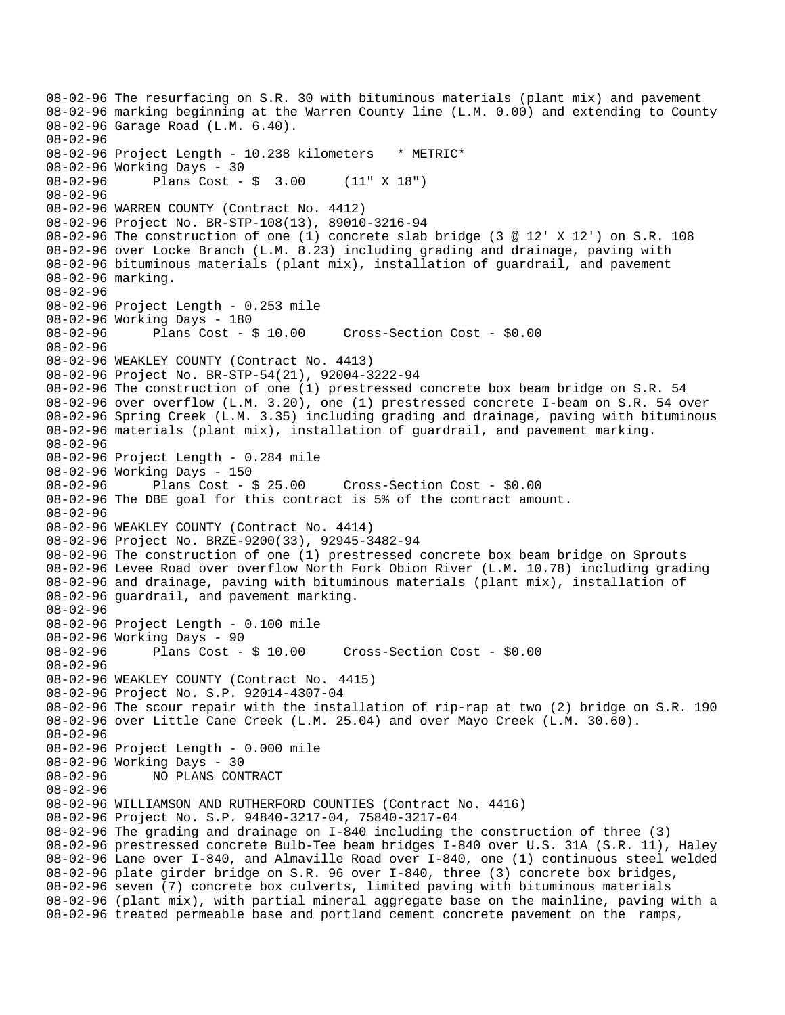08-02-96 The resurfacing on S.R. 30 with bituminous materials (plant mix) and pavement 08-02-96 marking beginning at the Warren County line (L.M. 0.00) and extending to County 08-02-96 Garage Road (L.M. 6.40). 08-02-96 08-02-96 Project Length - 10.238 kilometers \* METRIC\* 08-02-96 Working Days - 30 08-02-96 Plans Cost - \$ 3.00 (11" X 18") 08-02-96 08-02-96 WARREN COUNTY (Contract No. 4412) 08-02-96 Project No. BR-STP-108(13), 89010-3216-94 08-02-96 The construction of one (1) concrete slab bridge (3 @ 12' X 12') on S.R. 108 08-02-96 over Locke Branch (L.M. 8.23) including grading and drainage, paving with 08-02-96 bituminous materials (plant mix), installation of guardrail, and pavement 08-02-96 marking. 08-02-96 08-02-96 Project Length - 0.253 mile 08-02-96 Working Days - 180 08-02-96 Plans Cost - \$ 10.00 Cross-Section Cost - \$0.00 08-02-96 08-02-96 WEAKLEY COUNTY (Contract No. 4413) 08-02-96 Project No. BR-STP-54(21), 92004-3222-94 08-02-96 The construction of one (1) prestressed concrete box beam bridge on S.R. 54 08-02-96 over overflow (L.M. 3.20), one (1) prestressed concrete I-beam on S.R. 54 over 08-02-96 Spring Creek (L.M. 3.35) including grading and drainage, paving with bituminous 08-02-96 materials (plant mix), installation of guardrail, and pavement marking. 08-02-96 08-02-96 Project Length - 0.284 mile 08-02-96 Working Days - 150<br>08-02-96 Plans Cost - \$ 25.00 08-02-96 Plans Cost - \$ 25.00 Cross-Section Cost - \$0.00 08-02-96 The DBE goal for this contract is 5% of the contract amount. 08-02-96 08-02-96 WEAKLEY COUNTY (Contract No. 4414) 08-02-96 Project No. BRZE-9200(33), 92945-3482-94 08-02-96 The construction of one (1) prestressed concrete box beam bridge on Sprouts 08-02-96 Levee Road over overflow North Fork Obion River (L.M. 10.78) including grading 08-02-96 and drainage, paving with bituminous materials (plant mix), installation of 08-02-96 guardrail, and pavement marking. 08-02-96 08-02-96 Project Length - 0.100 mile 08-02-96 Working Days - 90 08-02-96 Plans Cost - \$ 10.00 Cross-Section Cost - \$0.00 08-02-96 08-02-96 WEAKLEY COUNTY (Contract No. 4415) 08-02-96 Project No. S.P. 92014-4307-04 08-02-96 The scour repair with the installation of rip-rap at two (2) bridge on S.R. 190 08-02-96 over Little Cane Creek (L.M. 25.04) and over Mayo Creek (L.M. 30.60). 08-02-96 08-02-96 Project Length - 0.000 mile 08-02-96 Working Days - 30 08-02-96 NO PLANS CONTRACT 08-02-96 08-02-96 WILLIAMSON AND RUTHERFORD COUNTIES (Contract No. 4416) 08-02-96 Project No. S.P. 94840-3217-04, 75840-3217-04 08-02-96 The grading and drainage on I-840 including the construction of three (3) 08-02-96 prestressed concrete Bulb-Tee beam bridges I-840 over U.S. 31A (S.R. 11), Haley 08-02-96 Lane over I-840, and Almaville Road over I-840, one (1) continuous steel welded 08-02-96 plate girder bridge on S.R. 96 over I-840, three (3) concrete box bridges, 08-02-96 seven (7) concrete box culverts, limited paving with bituminous materials 08-02-96 (plant mix), with partial mineral aggregate base on the mainline, paving with a 08-02-96 treated permeable base and portland cement concrete pavement on the ramps,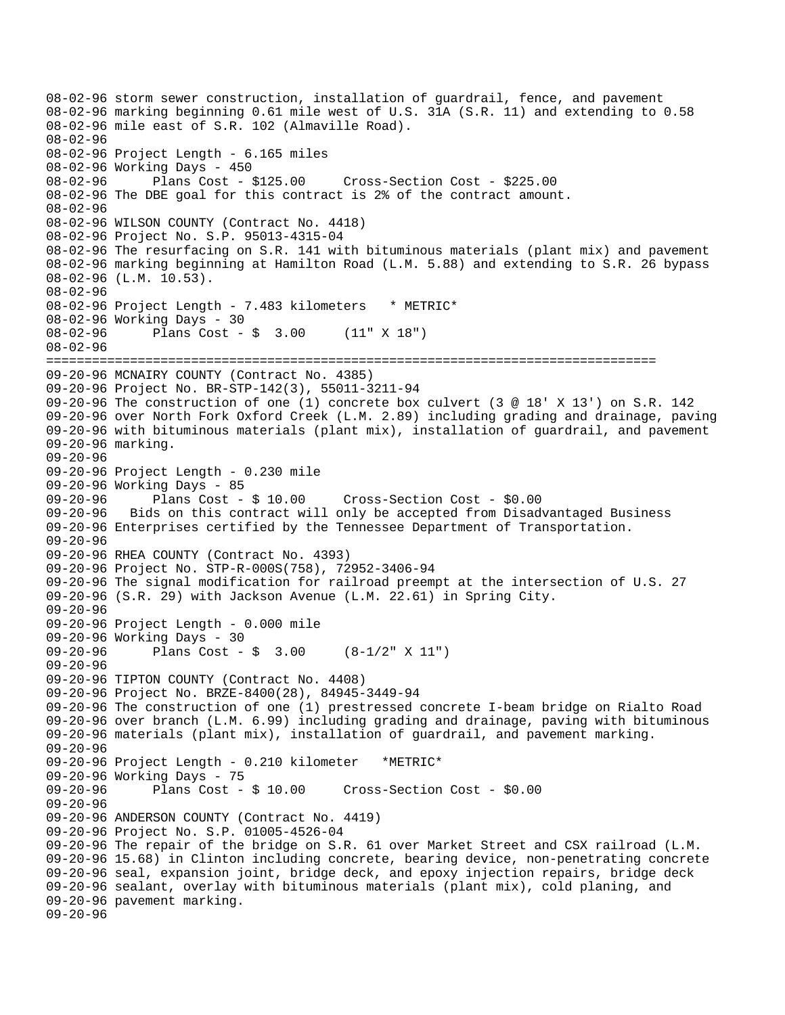08-02-96 storm sewer construction, installation of guardrail, fence, and pavement 08-02-96 marking beginning 0.61 mile west of U.S. 31A (S.R. 11) and extending to 0.58 08-02-96 mile east of S.R. 102 (Almaville Road). 08-02-96 08-02-96 Project Length - 6.165 miles 08-02-96 Working Days - 450<br>08-02-96 Plans Cost - \$125.00 08-02-96 Plans Cost - \$125.00 Cross-Section Cost - \$225.00 08-02-96 The DBE goal for this contract is 2% of the contract amount. 08-02-96 08-02-96 WILSON COUNTY (Contract No. 4418) 08-02-96 Project No. S.P. 95013-4315-04 08-02-96 The resurfacing on S.R. 141 with bituminous materials (plant mix) and pavement 08-02-96 marking beginning at Hamilton Road (L.M. 5.88) and extending to S.R. 26 bypass 08-02-96 (L.M. 10.53). 08-02-96 08-02-96 Project Length - 7.483 kilometers \* METRIC\* 08-02-96 Working Days - 30 08-02-96 Plans Cost - \$ 3.00 (11" X 18") 08-02-96 ================================================================================ 09-20-96 MCNAIRY COUNTY (Contract No. 4385) 09-20-96 Project No. BR-STP-142(3), 55011-3211-94 09-20-96 The construction of one (1) concrete box culvert (3 @ 18' X 13') on S.R. 142 09-20-96 over North Fork Oxford Creek (L.M. 2.89) including grading and drainage, paving 09-20-96 with bituminous materials (plant mix), installation of guardrail, and pavement 09-20-96 marking. 09-20-96 09-20-96 Project Length - 0.230 mile 09-20-96 Working Days - 85<br>09-20-96 Plans Cost - \$ 10.00 09-20-96 Plans Cost - \$ 10.00 Cross-Section Cost - \$0.00 09-20-96 Bids on this contract will only be accepted from Disadvantaged Business 09-20-96 Enterprises certified by the Tennessee Department of Transportation. 09-20-96 09-20-96 RHEA COUNTY (Contract No. 4393) 09-20-96 Project No. STP-R-000S(758), 72952-3406-94 09-20-96 The signal modification for railroad preempt at the intersection of U.S. 27 09-20-96 (S.R. 29) with Jackson Avenue (L.M. 22.61) in Spring City. 09-20-96 09-20-96 Project Length - 0.000 mile 09-20-96 Working Days - 30 09-20-96 Plans Cost - \$ 3.00 (8-1/2" X 11") 09-20-96 09-20-96 TIPTON COUNTY (Contract No. 4408) 09-20-96 Project No. BRZE-8400(28), 84945-3449-94 09-20-96 The construction of one (1) prestressed concrete I-beam bridge on Rialto Road 09-20-96 over branch (L.M. 6.99) including grading and drainage, paving with bituminous 09-20-96 materials (plant mix), installation of guardrail, and pavement marking. 09-20-96 09-20-96 Project Length - 0.210 kilometer \*METRIC\* 09-20-96 Working Days - 75<br>09-20-96 Plans Cost - \$ 10.00 09-20-96 Plans Cost - \$ 10.00 Cross-Section Cost - \$0.00 09-20-96 09-20-96 ANDERSON COUNTY (Contract No. 4419) 09-20-96 Project No. S.P. 01005-4526-04 09-20-96 The repair of the bridge on S.R. 61 over Market Street and CSX railroad (L.M. 09-20-96 15.68) in Clinton including concrete, bearing device, non-penetrating concrete 09-20-96 seal, expansion joint, bridge deck, and epoxy injection repairs, bridge deck 09-20-96 sealant, overlay with bituminous materials (plant mix), cold planing, and 09-20-96 pavement marking. 09-20-96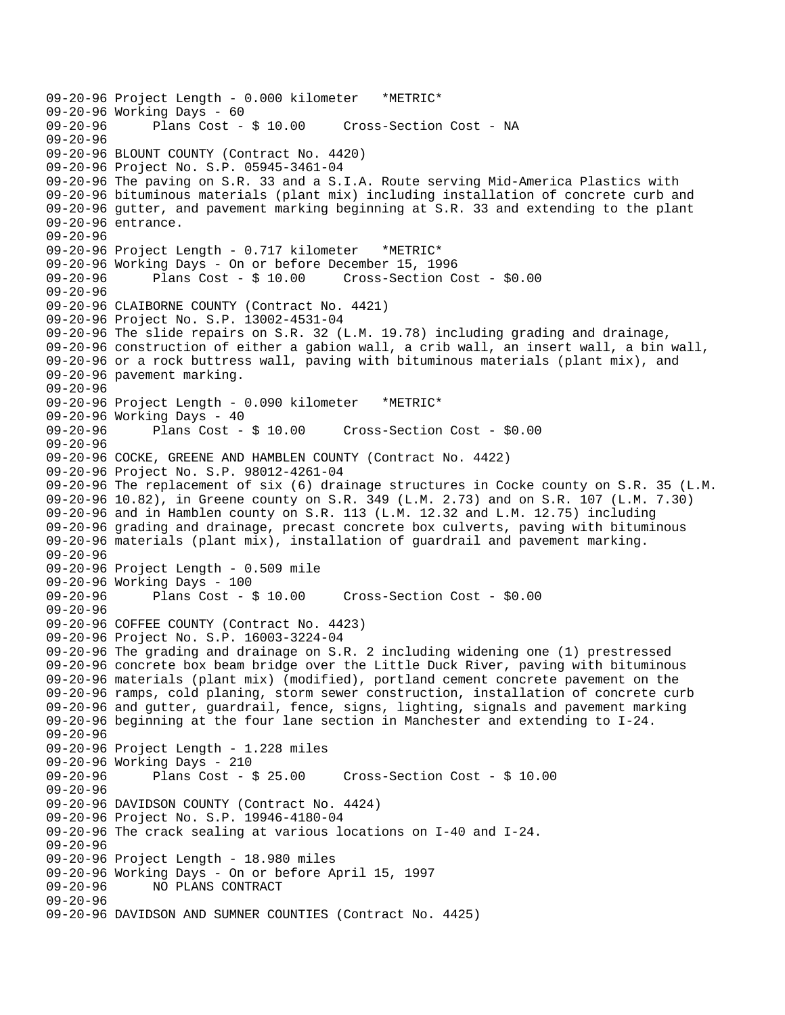```
09-20-96 Project Length - 0.000 kilometer *METRIC* 
09-20-96 Working Days - 60<br>09-20-96         Plans Cost - $ 10.00
                                        Cross-Section Cost - NA
09-20-96 
09-20-96 BLOUNT COUNTY (Contract No. 4420) 
09-20-96 Project No. S.P. 05945-3461-04 
09-20-96 The paving on S.R. 33 and a S.I.A. Route serving Mid-America Plastics with 
09-20-96 bituminous materials (plant mix) including installation of concrete curb and 
09-20-96 gutter, and pavement marking beginning at S.R. 33 and extending to the plant 
09-20-96 entrance. 
09-20-96 
09-20-96 Project Length - 0.717 kilometer *METRIC* 
09-20-96 Working Days - On or before December 15, 1996 
09-20-96 Plans Cost - $ 10.00 Cross-Section Cost - $0.00 
09-20-96 
09-20-96 CLAIBORNE COUNTY (Contract No. 4421) 
09-20-96 Project No. S.P. 13002-4531-04 
09-20-96 The slide repairs on S.R. 32 (L.M. 19.78) including grading and drainage, 
09-20-96 construction of either a gabion wall, a crib wall, an insert wall, a bin wall, 
09-20-96 or a rock buttress wall, paving with bituminous materials (plant mix), and 
09-20-96 pavement marking. 
09-20-96 
09-20-96 Project Length - 0.090 kilometer *METRIC* 
09-20-96 Working Days - 40<br>09-20-96 Plans Cost - $ 10.00
                                        Cross-Section Cost - $0.00
09-20-96 
09-20-96 COCKE, GREENE AND HAMBLEN COUNTY (Contract No. 4422) 
09-20-96 Project No. S.P. 98012-4261-04 
09-20-96 The replacement of six (6) drainage structures in Cocke county on S.R. 35 (L.M. 
09-20-96 10.82), in Greene county on S.R. 349 (L.M. 2.73) and on S.R. 107 (L.M. 7.30) 
09-20-96 and in Hamblen county on S.R. 113 (L.M. 12.32 and L.M. 12.75) including 
09-20-96 grading and drainage, precast concrete box culverts, paving with bituminous 
09-20-96 materials (plant mix), installation of guardrail and pavement marking. 
09-20-96 
09-20-96 Project Length - 0.509 mile 
09-20-96 Working Days - 100 
09-20-96 Plans Cost - $ 10.00 Cross-Section Cost - $0.00 
09-20-96 
09-20-96 COFFEE COUNTY (Contract No. 4423) 
09-20-96 Project No. S.P. 16003-3224-04 
09-20-96 The grading and drainage on S.R. 2 including widening one (1) prestressed 
09-20-96 concrete box beam bridge over the Little Duck River, paving with bituminous 
09-20-96 materials (plant mix) (modified), portland cement concrete pavement on the 
09-20-96 ramps, cold planing, storm sewer construction, installation of concrete curb 
09-20-96 and gutter, guardrail, fence, signs, lighting, signals and pavement marking 
09-20-96 beginning at the four lane section in Manchester and extending to I-24. 
09-20-96 
09-20-96 Project Length - 1.228 miles 
09-20-96 Working Days - 210 
                                        Cross-Section Cost - $ 10.0009-20-96 
09-20-96 DAVIDSON COUNTY (Contract No. 4424) 
09-20-96 Project No. S.P. 19946-4180-04 
09-20-96 The crack sealing at various locations on I-40 and I-24. 
09-20-96 
09-20-96 Project Length - 18.980 miles 
09-20-96 Working Days - On or before April 15, 1997 
              NO PLANS CONTRACT
09-20-96 
09-20-96 DAVIDSON AND SUMNER COUNTIES (Contract No. 4425)
```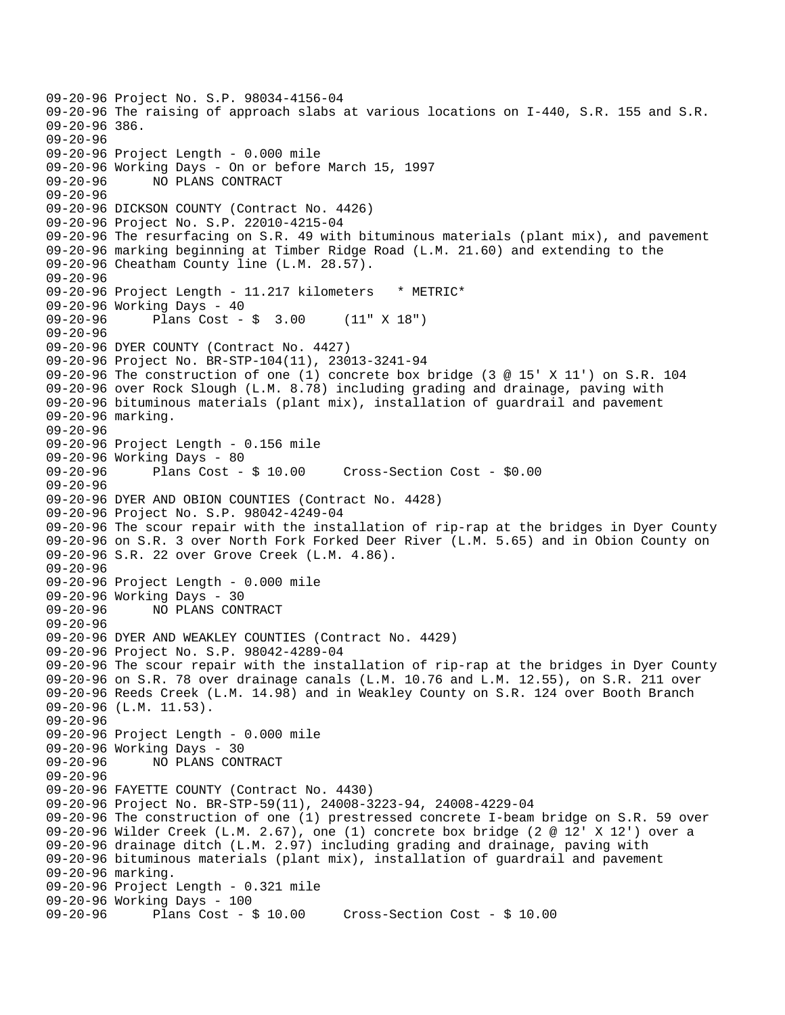09-20-96 Project No. S.P. 98034-4156-04 09-20-96 The raising of approach slabs at various locations on I-440, S.R. 155 and S.R. 09-20-96 386. 09-20-96 09-20-96 Project Length - 0.000 mile 09-20-96 Working Days - On or before March 15, 1997 09-20-96 NO PLANS CONTRACT 09-20-96 09-20-96 DICKSON COUNTY (Contract No. 4426) 09-20-96 Project No. S.P. 22010-4215-04 09-20-96 The resurfacing on S.R. 49 with bituminous materials (plant mix), and pavement 09-20-96 marking beginning at Timber Ridge Road (L.M. 21.60) and extending to the 09-20-96 Cheatham County line (L.M. 28.57). 09-20-96 09-20-96 Project Length - 11.217 kilometers \* METRIC\* 09-20-96 Working Days - 40 09-20-96 Plans Cost - \$ 3.00 (11" X 18") 09-20-96 09-20-96 DYER COUNTY (Contract No. 4427) 09-20-96 Project No. BR-STP-104(11), 23013-3241-94 09-20-96 The construction of one (1) concrete box bridge (3 @ 15' X 11') on S.R. 104 09-20-96 over Rock Slough (L.M. 8.78) including grading and drainage, paving with 09-20-96 bituminous materials (plant mix), installation of guardrail and pavement 09-20-96 marking. 09-20-96 09-20-96 Project Length - 0.156 mile 09-20-96 Working Days - 80<br>09-20-96 Plans Cost - \$ 10.00 Cross-Section Cost - \$0.00 09-20-96 09-20-96 DYER AND OBION COUNTIES (Contract No. 4428) 09-20-96 Project No. S.P. 98042-4249-04 09-20-96 The scour repair with the installation of rip-rap at the bridges in Dyer County 09-20-96 on S.R. 3 over North Fork Forked Deer River (L.M. 5.65) and in Obion County on 09-20-96 S.R. 22 over Grove Creek (L.M. 4.86). 09-20-96 09-20-96 Project Length - 0.000 mile 09-20-96 Working Days - 30 09-20-96 NO PLANS CONTRACT 09-20-96 09-20-96 DYER AND WEAKLEY COUNTIES (Contract No. 4429) 09-20-96 Project No. S.P. 98042-4289-04 09-20-96 The scour repair with the installation of rip-rap at the bridges in Dyer County 09-20-96 on S.R. 78 over drainage canals (L.M. 10.76 and L.M. 12.55), on S.R. 211 over 09-20-96 Reeds Creek (L.M. 14.98) and in Weakley County on S.R. 124 over Booth Branch 09-20-96 (L.M. 11.53). 09-20-96 09-20-96 Project Length - 0.000 mile 09-20-96 Working Days - 30<br>09-20-96 NO PLANS CON NO PLANS CONTRACT 09-20-96 09-20-96 FAYETTE COUNTY (Contract No. 4430) 09-20-96 Project No. BR-STP-59(11), 24008-3223-94, 24008-4229-04 09-20-96 The construction of one (1) prestressed concrete I-beam bridge on S.R. 59 over 09-20-96 Wilder Creek (L.M. 2.67), one (1) concrete box bridge (2 @ 12' X 12') over a 09-20-96 drainage ditch (L.M. 2.97) including grading and drainage, paving with 09-20-96 bituminous materials (plant mix), installation of guardrail and pavement 09-20-96 marking. 09-20-96 Project Length - 0.321 mile 09-20-96 Working Days - 100 09-20-96 Plans Cost - \$ 10.00 Cross-Section Cost - \$ 10.00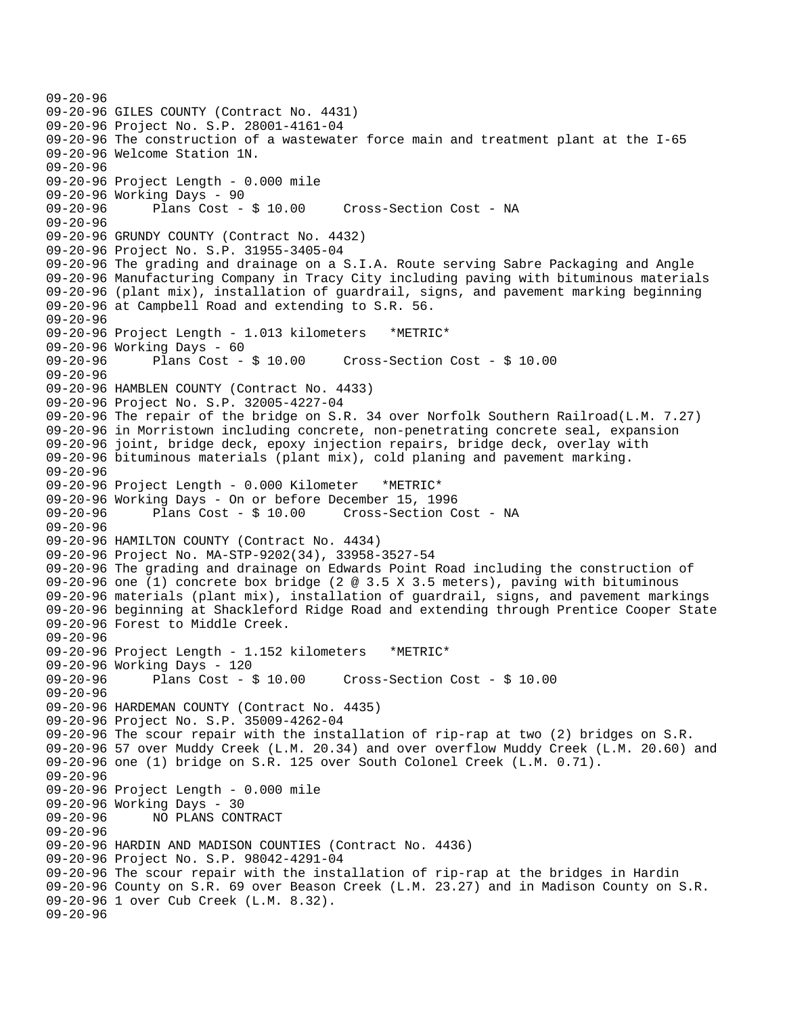```
09-20-96 
09-20-96 GILES COUNTY (Contract No. 4431) 
09-20-96 Project No. S.P. 28001-4161-04 
09-20-96 The construction of a wastewater force main and treatment plant at the I-65 
09-20-96 Welcome Station 1N. 
09-20-96 
09-20-96 Project Length - 0.000 mile 
09-20-96 Working Days - 90 
09-20-96 Plans Cost - $ 10.00 Cross-Section Cost - NA 
09-20-96 
09-20-96 GRUNDY COUNTY (Contract No. 4432) 
09-20-96 Project No. S.P. 31955-3405-04 
09-20-96 The grading and drainage on a S.I.A. Route serving Sabre Packaging and Angle 
09-20-96 Manufacturing Company in Tracy City including paving with bituminous materials 
09-20-96 (plant mix), installation of guardrail, signs, and pavement marking beginning 
09-20-96 at Campbell Road and extending to S.R. 56. 
09-20-96 
09-20-96 Project Length - 1.013 kilometers *METRIC* 
09-20-96 Working Days - 60 
09-20-96 Plans Cost - $ 10.00 Cross-Section Cost - $ 10.00 
09-20-96 
09-20-96 HAMBLEN COUNTY (Contract No. 4433) 
09-20-96 Project No. S.P. 32005-4227-04 
09-20-96 The repair of the bridge on S.R. 34 over Norfolk Southern Railroad(L.M. 7.27) 
09-20-96 in Morristown including concrete, non-penetrating concrete seal, expansion 
09-20-96 joint, bridge deck, epoxy injection repairs, bridge deck, overlay with 
09-20-96 bituminous materials (plant mix), cold planing and pavement marking. 
09-20-96 
09-20-96 Project Length - 0.000 Kilometer *METRIC* 
09-20-96 Working Days - On or before December 15, 1996 
09-20-96 Plans Cost - $ 10.00 Cross-Section Cost - NA 
09-20-96 
09-20-96 HAMILTON COUNTY (Contract No. 4434) 
09-20-96 Project No. MA-STP-9202(34), 33958-3527-54 
09-20-96 The grading and drainage on Edwards Point Road including the construction of 
09-20-96 one (1) concrete box bridge (2 @ 3.5 X 3.5 meters), paving with bituminous 
09-20-96 materials (plant mix), installation of guardrail, signs, and pavement markings 
09-20-96 beginning at Shackleford Ridge Road and extending through Prentice Cooper State 
09-20-96 Forest to Middle Creek. 
09-20-96 
09-20-96 Project Length - 1.152 kilometers *METRIC* 
09-20-96 Working Days - 120 
09-20-96 Plans Cost - $ 10.00 Cross-Section Cost - $ 10.00 
09-20-96 
09-20-96 HARDEMAN COUNTY (Contract No. 4435) 
09-20-96 Project No. S.P. 35009-4262-04 
09-20-96 The scour repair with the installation of rip-rap at two (2) bridges on S.R. 
09-20-96 57 over Muddy Creek (L.M. 20.34) and over overflow Muddy Creek (L.M. 20.60) and 
09-20-96 one (1) bridge on S.R. 125 over South Colonel Creek (L.M. 0.71). 
09-20-96 
09-20-96 Project Length - 0.000 mile 
09-20-96 Working Days - 30 
09-20-96 NO PLANS CONTRACT 
09-20-96 
09-20-96 HARDIN AND MADISON COUNTIES (Contract No. 4436) 
09-20-96 Project No. S.P. 98042-4291-04 
09-20-96 The scour repair with the installation of rip-rap at the bridges in Hardin 
09-20-96 County on S.R. 69 over Beason Creek (L.M. 23.27) and in Madison County on S.R. 
09-20-96 1 over Cub Creek (L.M. 8.32). 
09-20-96
```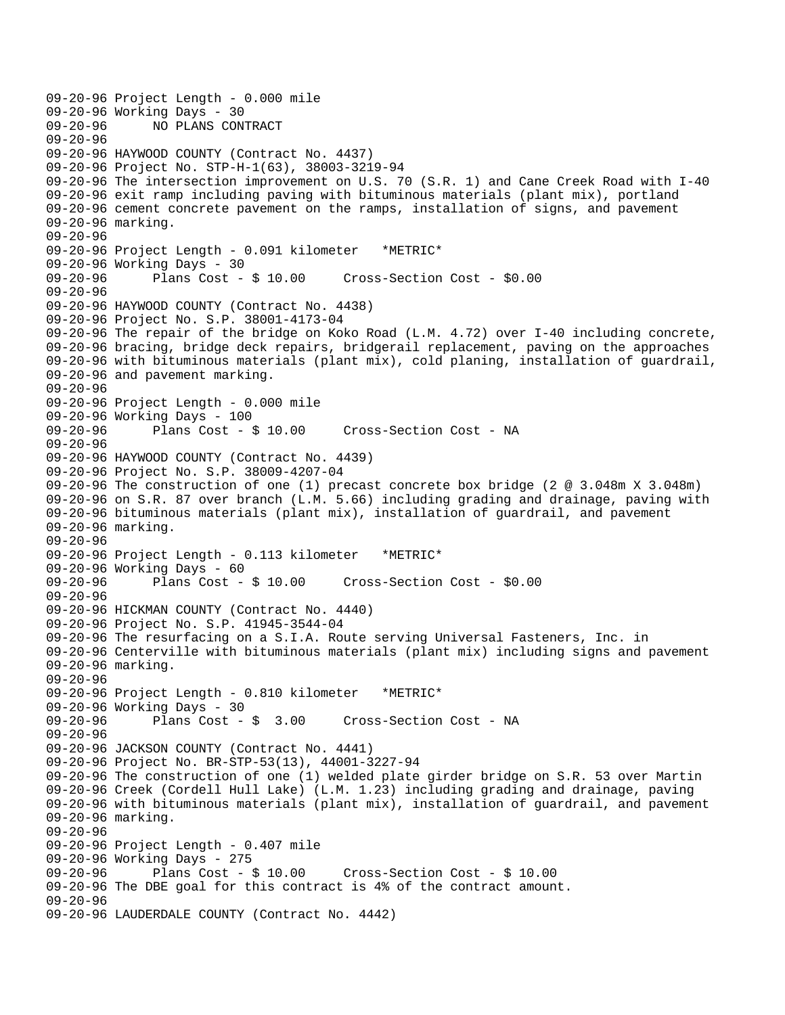```
09-20-96 Project Length - 0.000 mile 
09-20-96 Working Days - 30<br>09-20-96 - NO PLANS CON
              09-20-96 NO PLANS CONTRACT 
09-20-96 
09-20-96 HAYWOOD COUNTY (Contract No. 4437) 
09-20-96 Project No. STP-H-1(63), 38003-3219-94 
09-20-96 The intersection improvement on U.S. 70 (S.R. 1) and Cane Creek Road with I-40 
09-20-96 exit ramp including paving with bituminous materials (plant mix), portland 
09-20-96 cement concrete pavement on the ramps, installation of signs, and pavement 
09-20-96 marking. 
09-20-96 
09-20-96 Project Length - 0.091 kilometer *METRIC* 
09-20-96 Working Days - 30 
09-20-96 Plans Cost - $ 10.00 Cross-Section Cost - $0.00 
09-20-96 
09-20-96 HAYWOOD COUNTY (Contract No. 4438) 
09-20-96 Project No. S.P. 38001-4173-04 
09-20-96 The repair of the bridge on Koko Road (L.M. 4.72) over I-40 including concrete, 
09-20-96 bracing, bridge deck repairs, bridgerail replacement, paving on the approaches 
09-20-96 with bituminous materials (plant mix), cold planing, installation of guardrail, 
09-20-96 and pavement marking. 
09-20-96 
09-20-96 Project Length - 0.000 mile 
09-20-96 Working Days - 100<br>09-20-96 Plans Cost - $ 10.00
                                        Cross-Section Cost - NA
09-20-96 
09-20-96 HAYWOOD COUNTY (Contract No. 4439) 
09-20-96 Project No. S.P. 38009-4207-04 
09-20-96 The construction of one (1) precast concrete box bridge (2 @ 3.048m X 3.048m) 
09-20-96 on S.R. 87 over branch (L.M. 5.66) including grading and drainage, paving with 
09-20-96 bituminous materials (plant mix), installation of guardrail, and pavement 
09-20-96 marking. 
09-20-96 
09-20-96 Project Length - 0.113 kilometer *METRIC* 
09-20-96 Working Days - 60 
09-20-96 Plans Cost - $ 10.00 Cross-Section Cost - $0.00 
09-20-96 
09-20-96 HICKMAN COUNTY (Contract No. 4440) 
09-20-96 Project No. S.P. 41945-3544-04 
09-20-96 The resurfacing on a S.I.A. Route serving Universal Fasteners, Inc. in 
09-20-96 Centerville with bituminous materials (plant mix) including signs and pavement 
09-20-96 marking. 
09-20-96 
09-20-96 Project Length - 0.810 kilometer *METRIC* 
09-20-96 Working Days - 30 
09-20-96 Plans Cost - $ 3.00 Cross-Section Cost - NA 
09-20-96 
09-20-96 JACKSON COUNTY (Contract No. 4441) 
09-20-96 Project No. BR-STP-53(13), 44001-3227-94 
09-20-96 The construction of one (1) welded plate girder bridge on S.R. 53 over Martin 
09-20-96 Creek (Cordell Hull Lake) (L.M. 1.23) including grading and drainage, paving 
09-20-96 with bituminous materials (plant mix), installation of guardrail, and pavement 
09-20-96 marking. 
09-20-96 
09-20-96 Project Length - 0.407 mile 
09-20-96 Working Days - 275 
09-20-96 Plans Cost - $ 10.00 Cross-Section Cost - $ 10.00 
09-20-96 The DBE goal for this contract is 4% of the contract amount. 
09-20-96 
09-20-96 LAUDERDALE COUNTY (Contract No. 4442)
```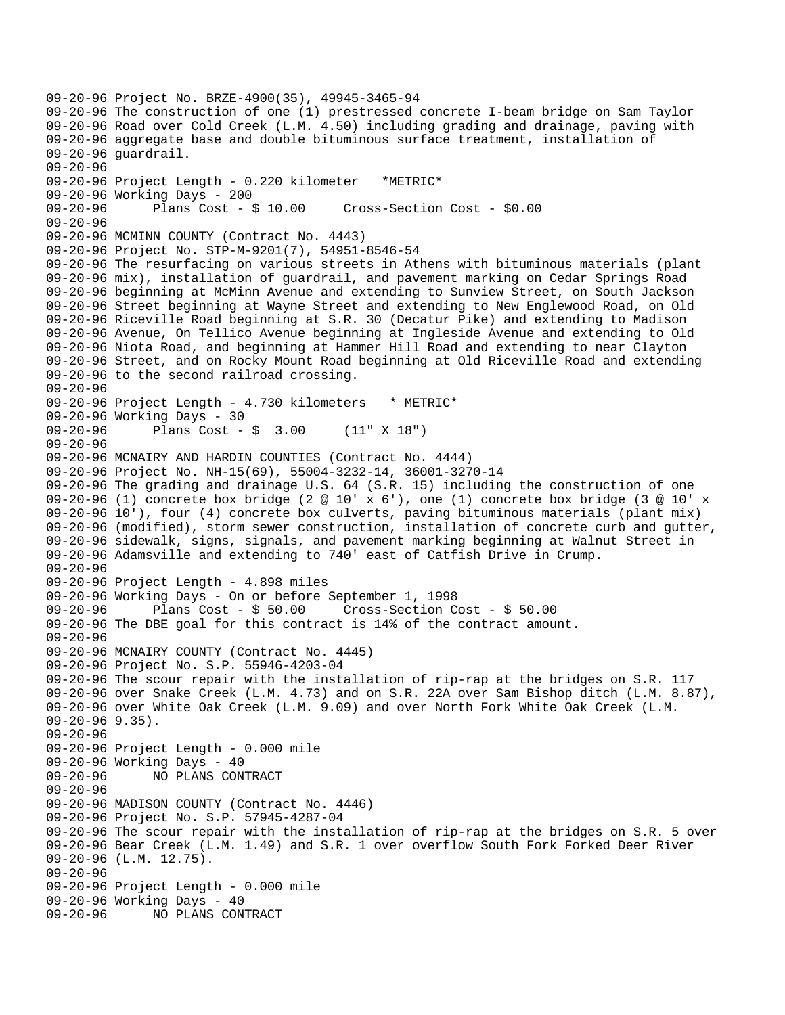```
09-20-96 Project No. BRZE-4900(35), 49945-3465-94 
09-20-96 The construction of one (1) prestressed concrete I-beam bridge on Sam Taylor 
09-20-96 Road over Cold Creek (L.M. 4.50) including grading and drainage, paving with 
09-20-96 aggregate base and double bituminous surface treatment, installation of 
09-20-96 guardrail. 
09-20-96 
09-20-96 Project Length - 0.220 kilometer *METRIC* 
09-20-96 Working Days - 200 
09-20-96 Plans Cost - $ 10.00 Cross-Section Cost - $0.00 
09-20-96 
09-20-96 MCMINN COUNTY (Contract No. 4443) 
09-20-96 Project No. STP-M-9201(7), 54951-8546-54 
09-20-96 The resurfacing on various streets in Athens with bituminous materials (plant 
09-20-96 mix), installation of guardrail, and pavement marking on Cedar Springs Road 
09-20-96 beginning at McMinn Avenue and extending to Sunview Street, on South Jackson 
09-20-96 Street beginning at Wayne Street and extending to New Englewood Road, on Old 
09-20-96 Riceville Road beginning at S.R. 30 (Decatur Pike) and extending to Madison 
09-20-96 Avenue, On Tellico Avenue beginning at Ingleside Avenue and extending to Old 
09-20-96 Niota Road, and beginning at Hammer Hill Road and extending to near Clayton 
09-20-96 Street, and on Rocky Mount Road beginning at Old Riceville Road and extending 
09-20-96 to the second railroad crossing. 
09-20-96 
09-20-96 Project Length - 4.730 kilometers * METRIC*
09-20-96 Working Days - 30<br>09-20-96 Plans Cost -
              Plans Cost - $ 3.00 (11" X 18")09-20-96 
09-20-96 MCNAIRY AND HARDIN COUNTIES (Contract No. 4444) 
09-20-96 Project No. NH-15(69), 55004-3232-14, 36001-3270-14 
09-20-96 The grading and drainage U.S. 64 (S.R. 15) including the construction of one 
09-20-96 (1) concrete box bridge (2 @ 10' x 6'), one (1) concrete box bridge (3 @ 10' x 
09-20-96 10'), four (4) concrete box culverts, paving bituminous materials (plant mix) 
09-20-96 (modified), storm sewer construction, installation of concrete curb and gutter, 
09-20-96 sidewalk, signs, signals, and pavement marking beginning at Walnut Street in 
09-20-96 Adamsville and extending to 740' east of Catfish Drive in Crump. 
09-20-96 
09-20-96 Project Length - 4.898 miles 
09-20-96 Working Days - On or before September 1, 1998 
09-20-96 Plans Cost - $ 50.00 Cross-Section Cost - $ 50.00 
09-20-96 The DBE goal for this contract is 14% of the contract amount. 
09-20-96 
09-20-96 MCNAIRY COUNTY (Contract No. 4445) 
09-20-96 Project No. S.P. 55946-4203-04 
09-20-96 The scour repair with the installation of rip-rap at the bridges on S.R. 117 
09-20-96 over Snake Creek (L.M. 4.73) and on S.R. 22A over Sam Bishop ditch (L.M. 8.87), 
09-20-96 over White Oak Creek (L.M. 9.09) and over North Fork White Oak Creek (L.M. 
09-20-96 9.35). 
09-20-96 
09-20-96 Project Length - 0.000 mile 
09-20-96 Working Days - 40<br>09-20-96     NO PLANS CON
              NO PLANS CONTRACT
09-20-96 
09-20-96 MADISON COUNTY (Contract No. 4446) 
09-20-96 Project No. S.P. 57945-4287-04 
09-20-96 The scour repair with the installation of rip-rap at the bridges on S.R. 5 over 
09-20-96 Bear Creek (L.M. 1.49) and S.R. 1 over overflow South Fork Forked Deer River 
09-20-96 (L.M. 12.75). 
09-20-96 
09-20-96 Project Length - 0.000 mile 
09-20-96 Working Days - 40 
09-20-96 NO PLANS CONTRACT
```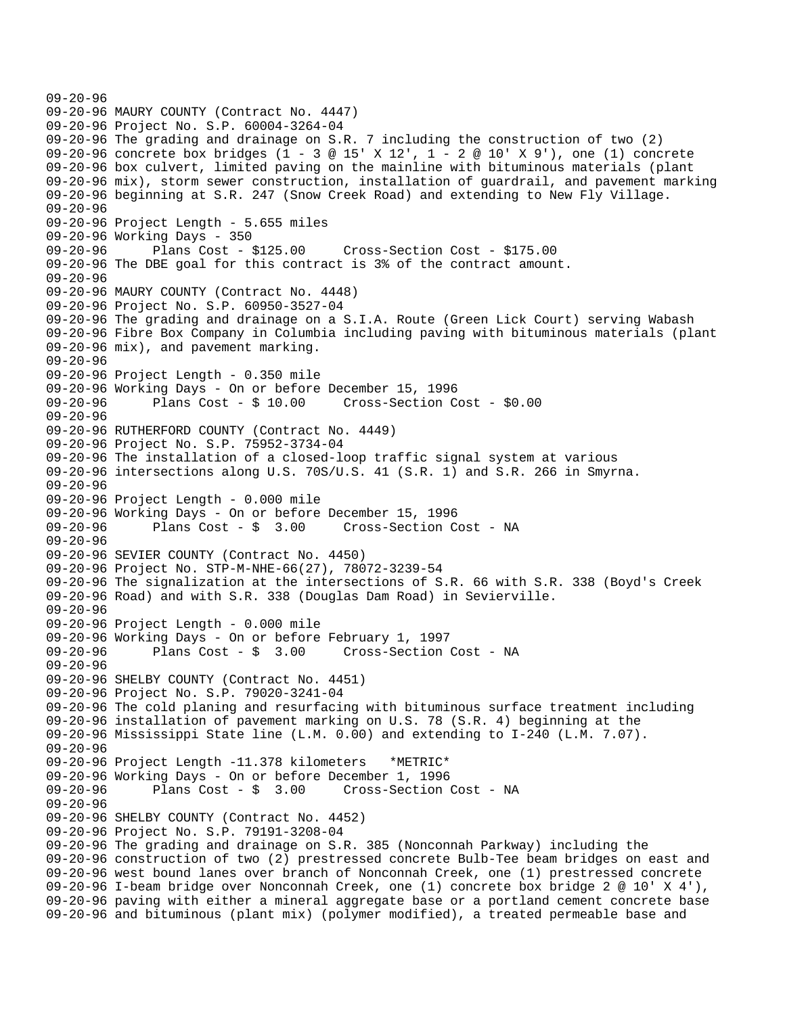```
09-20-96 
09-20-96 MAURY COUNTY (Contract No. 4447) 
09-20-96 Project No. S.P. 60004-3264-04 
09-20-96 The grading and drainage on S.R. 7 including the construction of two (2) 
09-20-96 concrete box bridges (1 - 3 @ 15' X 12', 1 - 2 @ 10' X 9'), one (1) concrete 
09-20-96 box culvert, limited paving on the mainline with bituminous materials (plant 
09-20-96 mix), storm sewer construction, installation of guardrail, and pavement marking 
09-20-96 beginning at S.R. 247 (Snow Creek Road) and extending to New Fly Village. 
09-20-96 
09-20-96 Project Length - 5.655 miles 
09-20-96 Working Days - 350 
09-20-96 Plans Cost - $125.00 Cross-Section Cost - $175.00 
09-20-96 The DBE goal for this contract is 3% of the contract amount. 
09-20-96 
09-20-96 MAURY COUNTY (Contract No. 4448) 
09-20-96 Project No. S.P. 60950-3527-04 
09-20-96 The grading and drainage on a S.I.A. Route (Green Lick Court) serving Wabash 
09-20-96 Fibre Box Company in Columbia including paving with bituminous materials (plant 
09-20-96 mix), and pavement marking. 
09-20-96 
09-20-96 Project Length - 0.350 mile 
09-20-96 Working Days - On or before December 15, 1996 
09-20-96 Plans Cost - $ 10.00 Cross-Section Cost - $0.00 
09-20-96 
09-20-96 RUTHERFORD COUNTY (Contract No. 4449) 
09-20-96 Project No. S.P. 75952-3734-04 
09-20-96 The installation of a closed-loop traffic signal system at various 
09-20-96 intersections along U.S. 70S/U.S. 41 (S.R. 1) and S.R. 266 in Smyrna. 
09-20-96 
09-20-96 Project Length - 0.000 mile 
09-20-96 Working Days - On or before December 15, 1996 
09-20-96 Plans Cost - $ 3.00 Cross-Section Cost - NA 
09-20-96 
09-20-96 SEVIER COUNTY (Contract No. 4450) 
09-20-96 Project No. STP-M-NHE-66(27), 78072-3239-54 
09-20-96 The signalization at the intersections of S.R. 66 with S.R. 338 (Boyd's Creek 
09-20-96 Road) and with S.R. 338 (Douglas Dam Road) in Sevierville. 
09-20-96 
09-20-96 Project Length - 0.000 mile 
09-20-96 Working Days - On or before February 1, 1997 
09-20-96 Plans Cost - $ 3.00 Cross-Section Cost - NA 
09-20-96 
09-20-96 SHELBY COUNTY (Contract No. 4451) 
09-20-96 Project No. S.P. 79020-3241-04 
09-20-96 The cold planing and resurfacing with bituminous surface treatment including 
09-20-96 installation of pavement marking on U.S. 78 (S.R. 4) beginning at the 
09-20-96 Mississippi State line (L.M. 0.00) and extending to I-240 (L.M. 7.07). 
09-20-96 
09-20-96 Project Length -11.378 kilometers *METRIC* 
09-20-96 Working Days - On or before December 1, 1996 
              Plans Cost - $ 3.00 Cross-Section Cost - NA
09-20-96 
09-20-96 SHELBY COUNTY (Contract No. 4452) 
09-20-96 Project No. S.P. 79191-3208-04 
09-20-96 The grading and drainage on S.R. 385 (Nonconnah Parkway) including the 
09-20-96 construction of two (2) prestressed concrete Bulb-Tee beam bridges on east and 
09-20-96 west bound lanes over branch of Nonconnah Creek, one (1) prestressed concrete 
09-20-96 I-beam bridge over Nonconnah Creek, one (1) concrete box bridge 2 @ 10' X 4'), 
09-20-96 paving with either a mineral aggregate base or a portland cement concrete base 
09-20-96 and bituminous (plant mix) (polymer modified), a treated permeable base and
```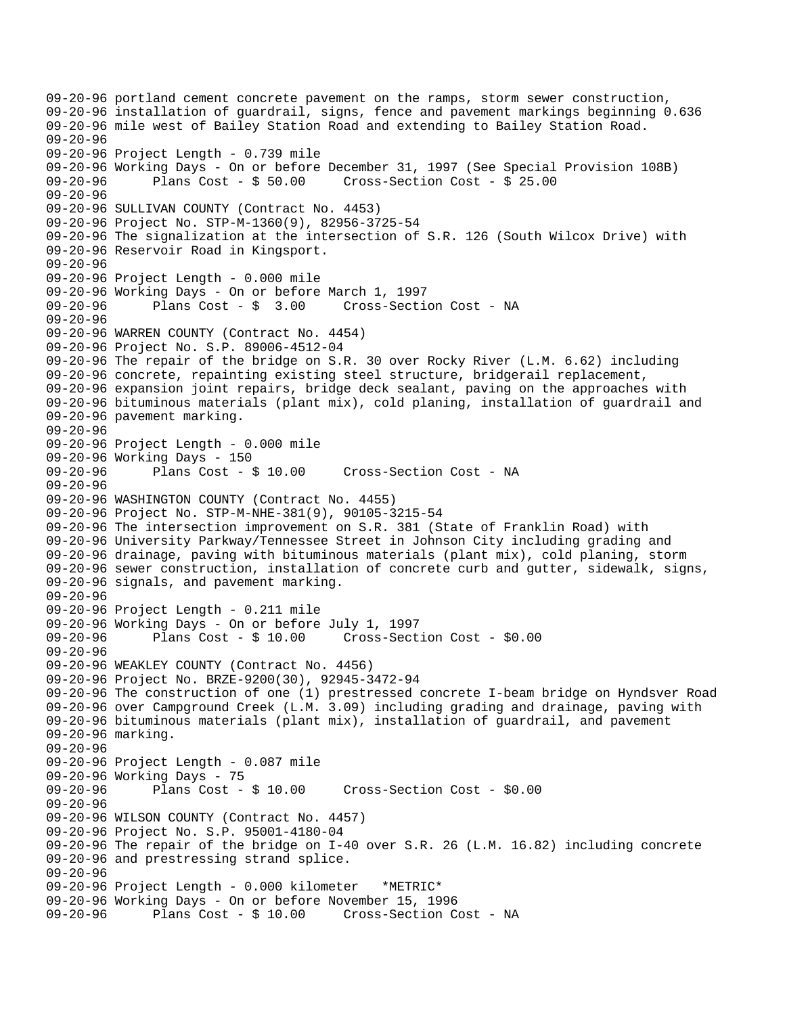09-20-96 portland cement concrete pavement on the ramps, storm sewer construction, 09-20-96 installation of guardrail, signs, fence and pavement markings beginning 0.636 09-20-96 mile west of Bailey Station Road and extending to Bailey Station Road. 09-20-96 09-20-96 Project Length - 0.739 mile 09-20-96 Working Days - On or before December 31, 1997 (See Special Provision 108B)<br>09-20-96 Plans Cost - \$ 50.00 Cross-Section Cost - \$ 25.00 09-20-96 Plans Cost - \$ 50.00 Cross-Section Cost - \$ 25.00 09-20-96 09-20-96 SULLIVAN COUNTY (Contract No. 4453) 09-20-96 Project No. STP-M-1360(9), 82956-3725-54 09-20-96 The signalization at the intersection of S.R. 126 (South Wilcox Drive) with 09-20-96 Reservoir Road in Kingsport. 09-20-96 09-20-96 Project Length - 0.000 mile 09-20-96 Working Days - On or before March 1, 1997 09-20-96 Plans Cost - \$ 3.00 Cross-Section Cost - NA 09-20-96 09-20-96 WARREN COUNTY (Contract No. 4454) 09-20-96 Project No. S.P. 89006-4512-04 09-20-96 The repair of the bridge on S.R. 30 over Rocky River (L.M. 6.62) including 09-20-96 concrete, repainting existing steel structure, bridgerail replacement, 09-20-96 expansion joint repairs, bridge deck sealant, paving on the approaches with 09-20-96 bituminous materials (plant mix), cold planing, installation of guardrail and 09-20-96 pavement marking. 09-20-96 09-20-96 Project Length - 0.000 mile 09-20-96 Working Days - 150<br>09-20-96 Plans Cost - 8 Plans Cost - \$ 10.00 Cross-Section Cost - NA 09-20-96 09-20-96 WASHINGTON COUNTY (Contract No. 4455) 09-20-96 Project No. STP-M-NHE-381(9), 90105-3215-54 09-20-96 The intersection improvement on S.R. 381 (State of Franklin Road) with 09-20-96 University Parkway/Tennessee Street in Johnson City including grading and 09-20-96 drainage, paving with bituminous materials (plant mix), cold planing, storm 09-20-96 sewer construction, installation of concrete curb and gutter, sidewalk, signs, 09-20-96 signals, and pavement marking. 09-20-96 09-20-96 Project Length - 0.211 mile 09-20-96 Working Days - On or before July 1, 1997 Plans  $Cost - $ 10.00$  Cross-Section Cost -  $$0.00$ 09-20-96 09-20-96 WEAKLEY COUNTY (Contract No. 4456) 09-20-96 Project No. BRZE-9200(30), 92945-3472-94 09-20-96 The construction of one (1) prestressed concrete I-beam bridge on Hyndsver Road 09-20-96 over Campground Creek (L.M. 3.09) including grading and drainage, paving with 09-20-96 bituminous materials (plant mix), installation of guardrail, and pavement 09-20-96 marking. 09-20-96 09-20-96 Project Length - 0.087 mile 09-20-96 Working Days - 75<br>09-20-96 Plans Cost -Plans  $Cost - $ 10.00$  Cross-Section Cost -  $$0.00$ 09-20-96 09-20-96 WILSON COUNTY (Contract No. 4457) 09-20-96 Project No. S.P. 95001-4180-04 09-20-96 The repair of the bridge on I-40 over S.R. 26 (L.M. 16.82) including concrete 09-20-96 and prestressing strand splice. 09-20-96 09-20-96 Project Length - 0.000 kilometer \*METRIC\* 09-20-96 Working Days - On or before November 15, 1996 09-20-96 Plans Cost - \$ 10.00 Cross-Section Cost - NA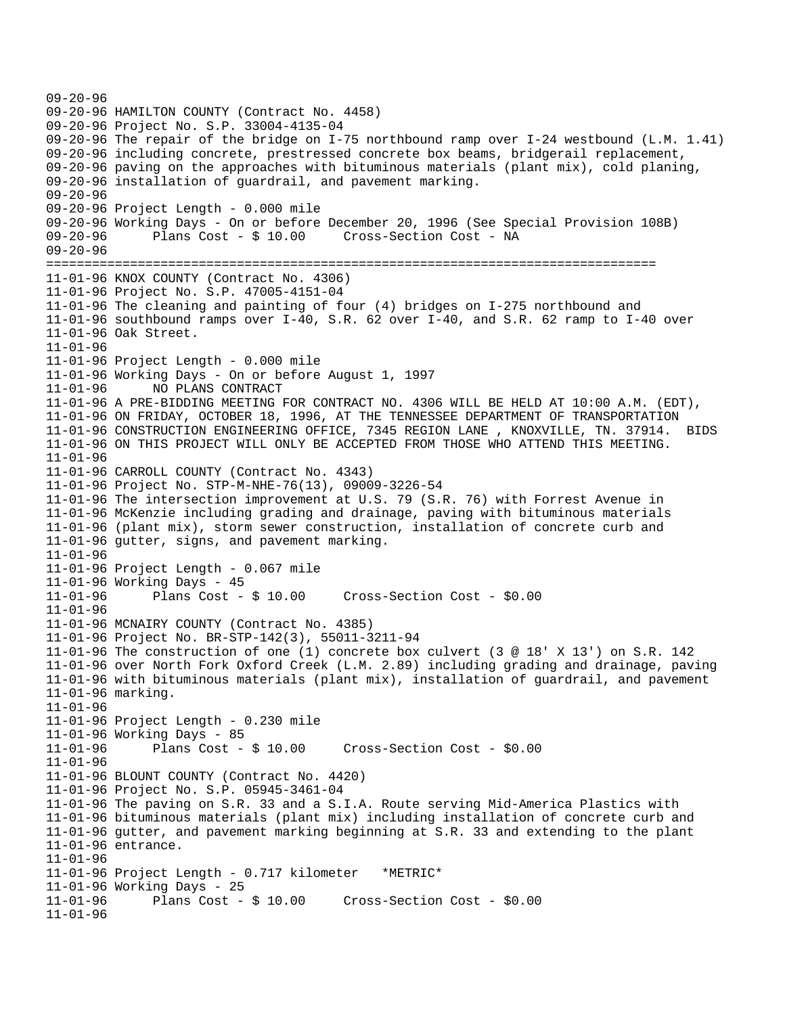```
09-20-96 
09-20-96 HAMILTON COUNTY (Contract No. 4458) 
09-20-96 Project No. S.P. 33004-4135-04 
09-20-96 The repair of the bridge on I-75 northbound ramp over I-24 westbound (L.M. 1.41) 
09-20-96 including concrete, prestressed concrete box beams, bridgerail replacement, 
09-20-96 paving on the approaches with bituminous materials (plant mix), cold planing, 
09-20-96 installation of guardrail, and pavement marking. 
09-20-96 
09-20-96 Project Length - 0.000 mile 
09-20-96 Working Days - On or before December 20, 1996 (See Special Provision 108B) 
09-20-96 Plans Cost - $ 10.00 Cross-Section Cost - NA 
09-20-96 
================================================================================ 
11-01-96 KNOX COUNTY (Contract No. 4306) 
11-01-96 Project No. S.P. 47005-4151-04 
11-01-96 The cleaning and painting of four (4) bridges on I-275 northbound and 
11-01-96 southbound ramps over I-40, S.R. 62 over I-40, and S.R. 62 ramp to I-40 over 
11-01-96 Oak Street. 
11-01-96 
11-01-96 Project Length - 0.000 mile 
11-01-96 Working Days - On or before August 1, 1997 
11-01-96 NO PLANS CONTRACT 
11-01-96 A PRE-BIDDING MEETING FOR CONTRACT NO. 4306 WILL BE HELD AT 10:00 A.M. (EDT), 
11-01-96 ON FRIDAY, OCTOBER 18, 1996, AT THE TENNESSEE DEPARTMENT OF TRANSPORTATION 
11-01-96 CONSTRUCTION ENGINEERING OFFICE, 7345 REGION LANE , KNOXVILLE, TN. 37914. BIDS 
11-01-96 ON THIS PROJECT WILL ONLY BE ACCEPTED FROM THOSE WHO ATTEND THIS MEETING. 
11-01-96 
11-01-96 CARROLL COUNTY (Contract No. 4343) 
11-01-96 Project No. STP-M-NHE-76(13), 09009-3226-54 
11-01-96 The intersection improvement at U.S. 79 (S.R. 76) with Forrest Avenue in 
11-01-96 McKenzie including grading and drainage, paving with bituminous materials 
11-01-96 (plant mix), storm sewer construction, installation of concrete curb and 
11-01-96 gutter, signs, and pavement marking. 
11-01-96 
11-01-96 Project Length - 0.067 mile 
11-01-96 Working Days - 45<br>11-01-96 Plans Cost -
             Plans Cost - $ 10.00 Cross-Section Cost - $0.0011-01-96 
11-01-96 MCNAIRY COUNTY (Contract No. 4385) 
11-01-96 Project No. BR-STP-142(3), 55011-3211-94 
11-01-96 The construction of one (1) concrete box culvert (3 @ 18' X 13') on S.R. 142 
11-01-96 over North Fork Oxford Creek (L.M. 2.89) including grading and drainage, paving 
11-01-96 with bituminous materials (plant mix), installation of guardrail, and pavement 
11-01-96 marking. 
11-01-96 
11-01-96 Project Length - 0.230 mile 
11-01-96 Working Days - 85<br>11-01-96 Plans Cost - $10.00
11-01-96 Plans Cost - $ 10.00 Cross-Section Cost - $0.00 
11-01-96 
11-01-96 BLOUNT COUNTY (Contract No. 4420) 
11-01-96 Project No. S.P. 05945-3461-04 
11-01-96 The paving on S.R. 33 and a S.I.A. Route serving Mid-America Plastics with 
11-01-96 bituminous materials (plant mix) including installation of concrete curb and 
11-01-96 gutter, and pavement marking beginning at S.R. 33 and extending to the plant 
11-01-96 entrance. 
11-01-96 
11-01-96 Project Length - 0.717 kilometer *METRIC* 
11-01-96 Working Days - 25 
                                      11-01-96 Plans Cost - $ 10.00 Cross-Section Cost - $0.00 
11-01-96
```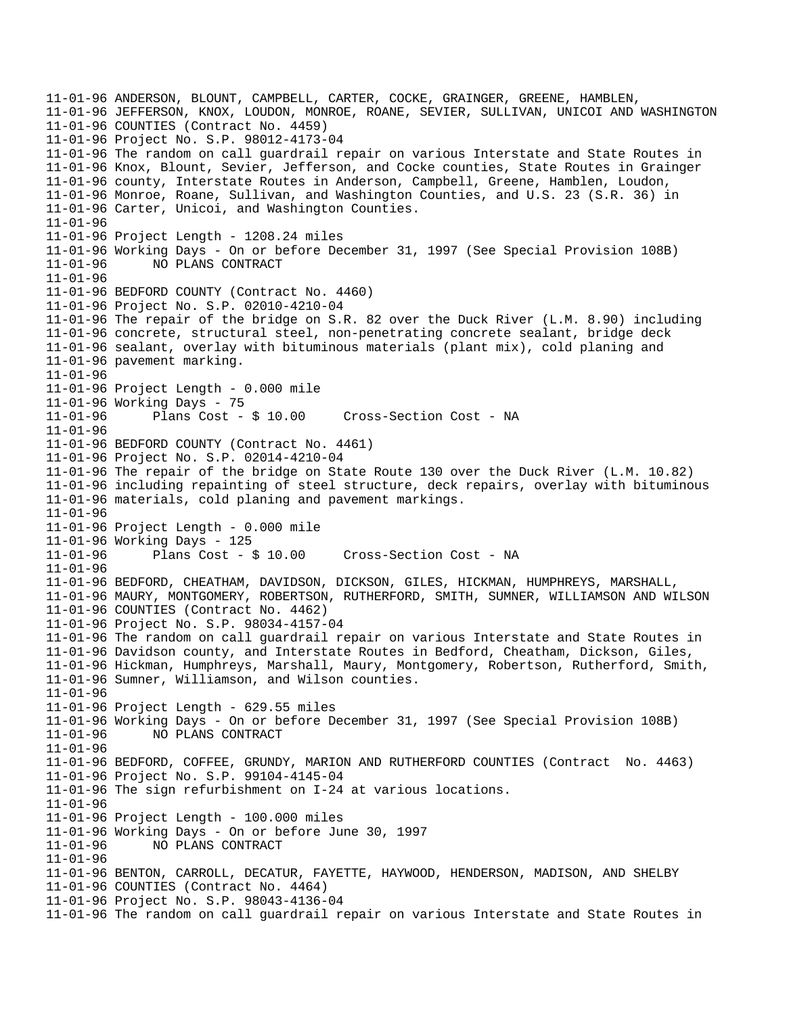11-01-96 ANDERSON, BLOUNT, CAMPBELL, CARTER, COCKE, GRAINGER, GREENE, HAMBLEN, 11-01-96 JEFFERSON, KNOX, LOUDON, MONROE, ROANE, SEVIER, SULLIVAN, UNICOI AND WASHINGTON 11-01-96 COUNTIES (Contract No. 4459) 11-01-96 Project No. S.P. 98012-4173-04 11-01-96 The random on call guardrail repair on various Interstate and State Routes in 11-01-96 Knox, Blount, Sevier, Jefferson, and Cocke counties, State Routes in Grainger 11-01-96 county, Interstate Routes in Anderson, Campbell, Greene, Hamblen, Loudon, 11-01-96 Monroe, Roane, Sullivan, and Washington Counties, and U.S. 23 (S.R. 36) in 11-01-96 Carter, Unicoi, and Washington Counties. 11-01-96 11-01-96 Project Length - 1208.24 miles 11-01-96 Working Days - On or before December 31, 1997 (See Special Provision 108B) 11-01-96 NO PLANS CONTRACT 11-01-96 11-01-96 BEDFORD COUNTY (Contract No. 4460) 11-01-96 Project No. S.P. 02010-4210-04 11-01-96 The repair of the bridge on S.R. 82 over the Duck River (L.M. 8.90) including 11-01-96 concrete, structural steel, non-penetrating concrete sealant, bridge deck 11-01-96 sealant, overlay with bituminous materials (plant mix), cold planing and 11-01-96 pavement marking. 11-01-96 11-01-96 Project Length - 0.000 mile 11-01-96 Working Days - 75 11-01-96 Plans Cost - \$ 10.00 Cross-Section Cost - NA 11-01-96 11-01-96 BEDFORD COUNTY (Contract No. 4461) 11-01-96 Project No. S.P. 02014-4210-04 11-01-96 The repair of the bridge on State Route 130 over the Duck River (L.M. 10.82) 11-01-96 including repainting of steel structure, deck repairs, overlay with bituminous 11-01-96 materials, cold planing and pavement markings. 11-01-96 11-01-96 Project Length - 0.000 mile 11-01-96 Working Days - 125 11-01-96 Plans Cost - \$ 10.00 Cross-Section Cost - NA 11-01-96 11-01-96 BEDFORD, CHEATHAM, DAVIDSON, DICKSON, GILES, HICKMAN, HUMPHREYS, MARSHALL, 11-01-96 MAURY, MONTGOMERY, ROBERTSON, RUTHERFORD, SMITH, SUMNER, WILLIAMSON AND WILSON 11-01-96 COUNTIES (Contract No. 4462) 11-01-96 Project No. S.P. 98034-4157-04 11-01-96 The random on call guardrail repair on various Interstate and State Routes in 11-01-96 Davidson county, and Interstate Routes in Bedford, Cheatham, Dickson, Giles, 11-01-96 Hickman, Humphreys, Marshall, Maury, Montgomery, Robertson, Rutherford, Smith, 11-01-96 Sumner, Williamson, and Wilson counties. 11-01-96 11-01-96 Project Length - 629.55 miles 11-01-96 Working Days - On or before December 31, 1997 (See Special Provision 108B) 11-01-96 NO PLANS CONTRACT 11-01-96 11-01-96 BEDFORD, COFFEE, GRUNDY, MARION AND RUTHERFORD COUNTIES (Contract No. 4463) 11-01-96 Project No. S.P. 99104-4145-04 11-01-96 The sign refurbishment on I-24 at various locations. 11-01-96 11-01-96 Project Length - 100.000 miles 11-01-96 Working Days - On or before June 30, 1997 11-01-96 NO PLANS CONTRACT 11-01-96 11-01-96 BENTON, CARROLL, DECATUR, FAYETTE, HAYWOOD, HENDERSON, MADISON, AND SHELBY 11-01-96 COUNTIES (Contract No. 4464) 11-01-96 Project No. S.P. 98043-4136-04 11-01-96 The random on call guardrail repair on various Interstate and State Routes in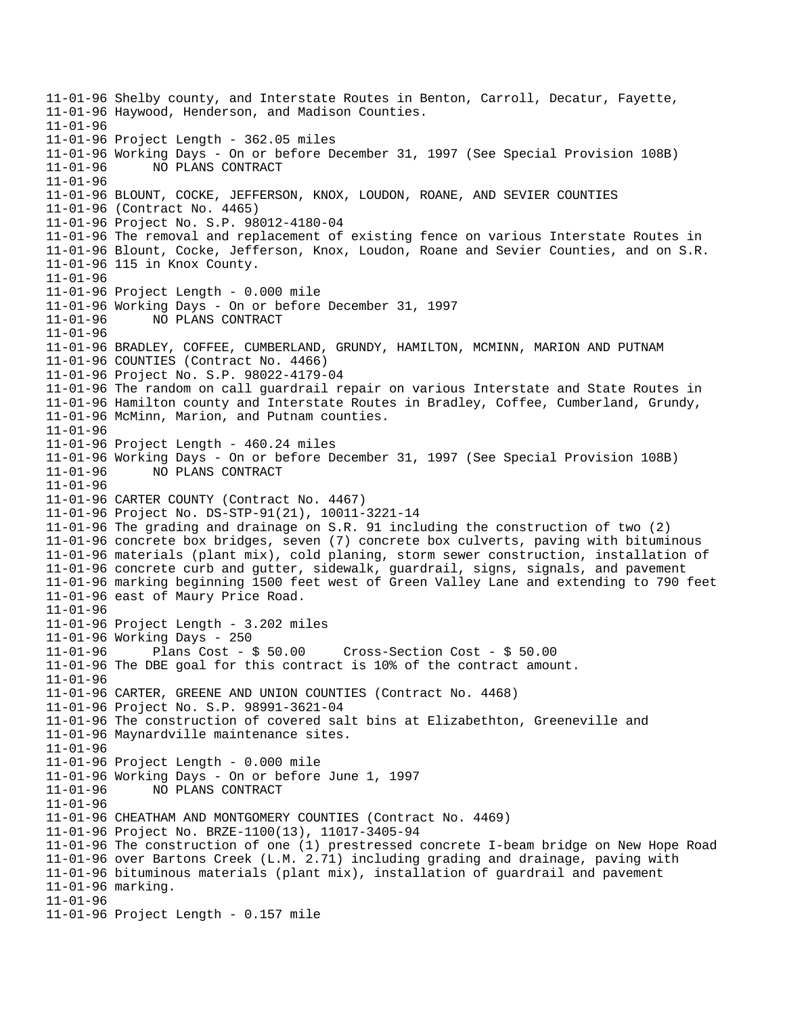11-01-96 Shelby county, and Interstate Routes in Benton, Carroll, Decatur, Fayette, 11-01-96 Haywood, Henderson, and Madison Counties. 11-01-96 11-01-96 Project Length - 362.05 miles 11-01-96 Working Days - On or before December 31, 1997 (See Special Provision 108B) 11-01-96 NO PLANS CONTRACT 11-01-96 11-01-96 BLOUNT, COCKE, JEFFERSON, KNOX, LOUDON, ROANE, AND SEVIER COUNTIES 11-01-96 (Contract No. 4465) 11-01-96 Project No. S.P. 98012-4180-04 11-01-96 The removal and replacement of existing fence on various Interstate Routes in 11-01-96 Blount, Cocke, Jefferson, Knox, Loudon, Roane and Sevier Counties, and on S.R. 11-01-96 115 in Knox County. 11-01-96 11-01-96 Project Length - 0.000 mile 11-01-96 Working Days - On or before December 31, 1997 11-01-96 NO PLANS CONTRACT 11-01-96 11-01-96 BRADLEY, COFFEE, CUMBERLAND, GRUNDY, HAMILTON, MCMINN, MARION AND PUTNAM 11-01-96 COUNTIES (Contract No. 4466) 11-01-96 Project No. S.P. 98022-4179-04 11-01-96 The random on call guardrail repair on various Interstate and State Routes in 11-01-96 Hamilton county and Interstate Routes in Bradley, Coffee, Cumberland, Grundy, 11-01-96 McMinn, Marion, and Putnam counties. 11-01-96 11-01-96 Project Length - 460.24 miles 11-01-96 Working Days - On or before December 31, 1997 (See Special Provision 108B) 11-01-96 NO PLANS CONTRACT 11-01-96 11-01-96 CARTER COUNTY (Contract No. 4467) 11-01-96 Project No. DS-STP-91(21), 10011-3221-14 11-01-96 The grading and drainage on S.R. 91 including the construction of two (2) 11-01-96 concrete box bridges, seven (7) concrete box culverts, paving with bituminous 11-01-96 materials (plant mix), cold planing, storm sewer construction, installation of 11-01-96 concrete curb and gutter, sidewalk, guardrail, signs, signals, and pavement 11-01-96 marking beginning 1500 feet west of Green Valley Lane and extending to 790 feet 11-01-96 east of Maury Price Road. 11-01-96 11-01-96 Project Length - 3.202 miles 11-01-96 Working Days - 250 11-01-96 Plans Cost - \$ 50.00 Cross-Section Cost - \$ 50.00 11-01-96 The DBE goal for this contract is 10% of the contract amount. 11-01-96 11-01-96 CARTER, GREENE AND UNION COUNTIES (Contract No. 4468) 11-01-96 Project No. S.P. 98991-3621-04 11-01-96 The construction of covered salt bins at Elizabethton, Greeneville and 11-01-96 Maynardville maintenance sites. 11-01-96 11-01-96 Project Length - 0.000 mile 11-01-96 Working Days - On or before June 1, 1997 11-01-96 NO PLANS CONTRACT 11-01-96 11-01-96 CHEATHAM AND MONTGOMERY COUNTIES (Contract No. 4469) 11-01-96 Project No. BRZE-1100(13), 11017-3405-94 11-01-96 The construction of one (1) prestressed concrete I-beam bridge on New Hope Road 11-01-96 over Bartons Creek (L.M. 2.71) including grading and drainage, paving with 11-01-96 bituminous materials (plant mix), installation of guardrail and pavement 11-01-96 marking. 11-01-96 11-01-96 Project Length - 0.157 mile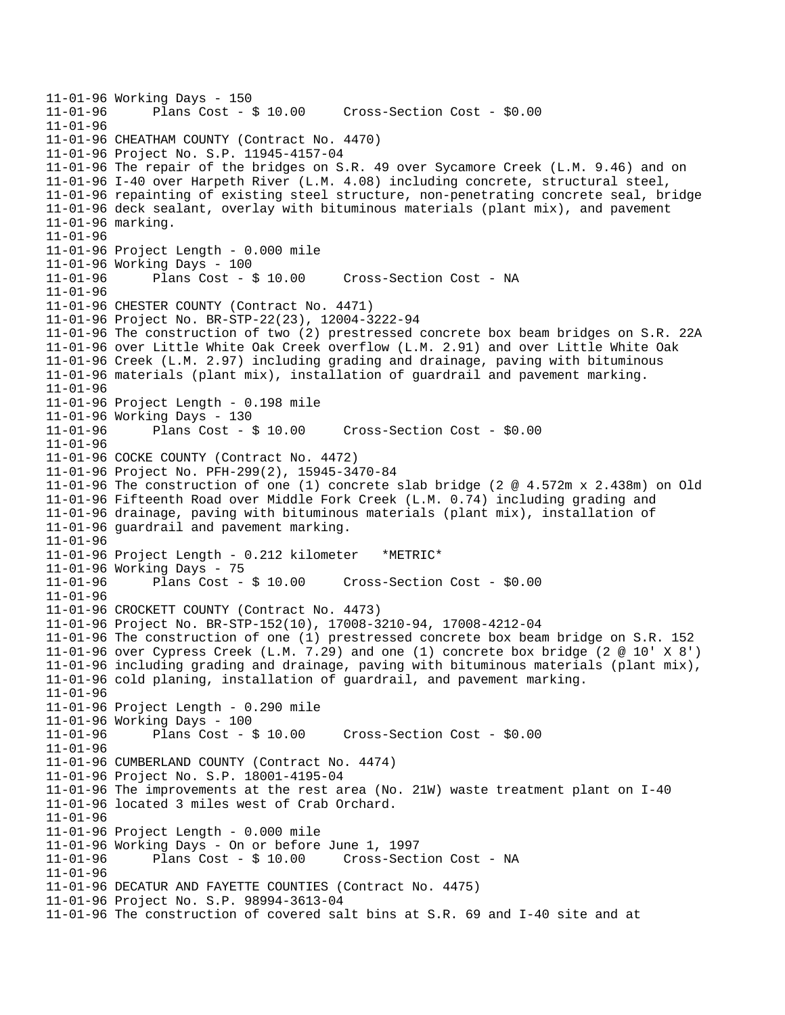```
11-01-96 Working Days - 150 
              Plans Cost - $ 10.00 Cross-Section Cost - $0.0011 - 01 - 9611-01-96 CHEATHAM COUNTY (Contract No. 4470) 
11-01-96 Project No. S.P. 11945-4157-04 
11-01-96 The repair of the bridges on S.R. 49 over Sycamore Creek (L.M. 9.46) and on 
11-01-96 I-40 over Harpeth River (L.M. 4.08) including concrete, structural steel, 
11-01-96 repainting of existing steel structure, non-penetrating concrete seal, bridge 
11-01-96 deck sealant, overlay with bituminous materials (plant mix), and pavement 
11-01-96 marking. 
11-01-96 
11-01-96 Project Length - 0.000 mile 
11-01-96 Working Days - 100 
11-01-96 Plans Cost - $ 10.00 Cross-Section Cost - NA 
11-01-96 
11-01-96 CHESTER COUNTY (Contract No. 4471) 
11-01-96 Project No. BR-STP-22(23), 12004-3222-94 
11-01-96 The construction of two (2) prestressed concrete box beam bridges on S.R. 22A 
11-01-96 over Little White Oak Creek overflow (L.M. 2.91) and over Little White Oak 
11-01-96 Creek (L.M. 2.97) including grading and drainage, paving with bituminous 
11-01-96 materials (plant mix), installation of guardrail and pavement marking. 
11-01-96 
11-01-96 Project Length - 0.198 mile 
11-01-96 Working Days - 130 
                                       Cross-Section Cost - $0.00
11 - 01 - 9611-01-96 COCKE COUNTY (Contract No. 4472) 
11-01-96 Project No. PFH-299(2), 15945-3470-84 
11-01-96 The construction of one (1) concrete slab bridge (2 @ 4.572m x 2.438m) on Old 
11-01-96 Fifteenth Road over Middle Fork Creek (L.M. 0.74) including grading and 
11-01-96 drainage, paving with bituminous materials (plant mix), installation of 
11-01-96 guardrail and pavement marking. 
11-01-96 
11-01-96 Project Length - 0.212 kilometer *METRIC* 
11-01-96 Working Days - 75 
11-01-96 Plans Cost - $ 10.00 Cross-Section Cost - $0.00 
11-01-96 
11-01-96 CROCKETT COUNTY (Contract No. 4473) 
11-01-96 Project No. BR-STP-152(10), 17008-3210-94, 17008-4212-04 
11-01-96 The construction of one (1) prestressed concrete box beam bridge on S.R. 152 
11-01-96 over Cypress Creek (L.M. 7.29) and one (1) concrete box bridge (2 @ 10' X 8') 
11-01-96 including grading and drainage, paving with bituminous materials (plant mix), 
11-01-96 cold planing, installation of guardrail, and pavement marking. 
11-01-96 
11-01-96 Project Length - 0.290 mile 
11-01-96 Working Days - 100 
11-01-96 Plans Cost - $ 10.00 Cross-Section Cost - $0.00 
11 - 01 - 9611-01-96 CUMBERLAND COUNTY (Contract No. 4474) 
11-01-96 Project No. S.P. 18001-4195-04 
11-01-96 The improvements at the rest area (No. 21W) waste treatment plant on I-40 
11-01-96 located 3 miles west of Crab Orchard. 
11-01-96 
11-01-96 Project Length - 0.000 mile 
11-01-96 Working Days - On or before June 1, 1997 
11-01-96 Plans Cost - $ 10.00 Cross-Section Cost - NA 
11-01-96 
11-01-96 DECATUR AND FAYETTE COUNTIES (Contract No. 4475) 
11-01-96 Project No. S.P. 98994-3613-04 
11-01-96 The construction of covered salt bins at S.R. 69 and I-40 site and at
```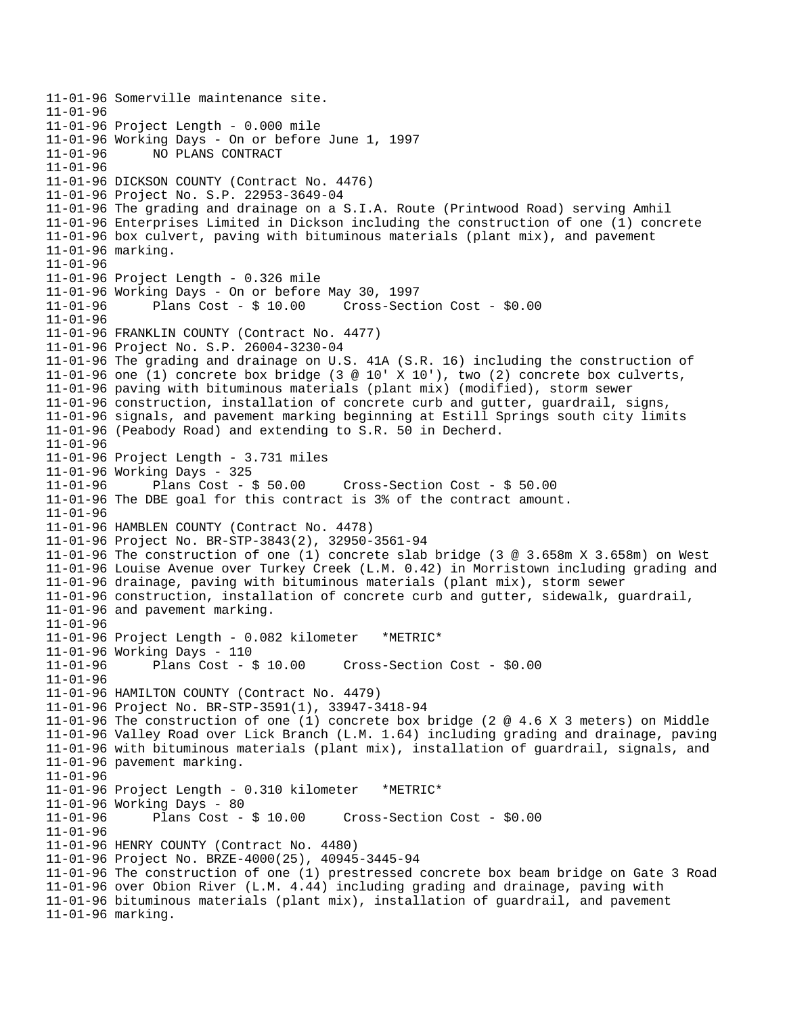11-01-96 Somerville maintenance site.  $11 - 01 - 96$ 11-01-96 Project Length - 0.000 mile 11-01-96 Working Days - On or before June 1, 1997 11-01-96 NO PLANS CONTRACT 11-01-96 11-01-96 DICKSON COUNTY (Contract No. 4476) 11-01-96 Project No. S.P. 22953-3649-04 11-01-96 The grading and drainage on a S.I.A. Route (Printwood Road) serving Amhil 11-01-96 Enterprises Limited in Dickson including the construction of one (1) concrete 11-01-96 box culvert, paving with bituminous materials (plant mix), and pavement 11-01-96 marking.  $11 - 01 - 96$ 11-01-96 Project Length - 0.326 mile 11-01-96 Working Days - On or before May 30, 1997 11-01-96 Plans Cost - \$ 10.00 Cross-Section Cost - \$0.00 11-01-96 11-01-96 FRANKLIN COUNTY (Contract No. 4477) 11-01-96 Project No. S.P. 26004-3230-04 11-01-96 The grading and drainage on U.S. 41A (S.R. 16) including the construction of 11-01-96 one (1) concrete box bridge (3 @ 10' X 10'), two (2) concrete box culverts, 11-01-96 paving with bituminous materials (plant mix) (modified), storm sewer 11-01-96 construction, installation of concrete curb and gutter, guardrail, signs, 11-01-96 signals, and pavement marking beginning at Estill Springs south city limits 11-01-96 (Peabody Road) and extending to S.R. 50 in Decherd. 11-01-96 11-01-96 Project Length - 3.731 miles 11-01-96 Working Days - 325 11-01-96 Plans Cost - \$ 50.00 Cross-Section Cost - \$ 50.00 11-01-96 The DBE goal for this contract is 3% of the contract amount. 11-01-96 11-01-96 HAMBLEN COUNTY (Contract No. 4478) 11-01-96 Project No. BR-STP-3843(2), 32950-3561-94 11-01-96 The construction of one (1) concrete slab bridge (3 @ 3.658m X 3.658m) on West 11-01-96 Louise Avenue over Turkey Creek (L.M. 0.42) in Morristown including grading and 11-01-96 drainage, paving with bituminous materials (plant mix), storm sewer 11-01-96 construction, installation of concrete curb and gutter, sidewalk, guardrail, 11-01-96 and pavement marking. 11-01-96 11-01-96 Project Length - 0.082 kilometer \*METRIC\* 11-01-96 Working Days - 110 11-01-96 Plans Cost - \$ 10.00 Cross-Section Cost - \$0.00 11-01-96 11-01-96 HAMILTON COUNTY (Contract No. 4479) 11-01-96 Project No. BR-STP-3591(1), 33947-3418-94 11-01-96 The construction of one (1) concrete box bridge (2 @ 4.6 X 3 meters) on Middle 11-01-96 Valley Road over Lick Branch (L.M. 1.64) including grading and drainage, paving 11-01-96 with bituminous materials (plant mix), installation of guardrail, signals, and 11-01-96 pavement marking. 11-01-96 11-01-96 Project Length - 0.310 kilometer \*METRIC\* 11-01-96 Working Days - 80 11-01-96 Plans Cost - \$ 10.00 Cross-Section Cost - \$0.00 11-01-96 11-01-96 HENRY COUNTY (Contract No. 4480) 11-01-96 Project No. BRZE-4000(25), 40945-3445-94 11-01-96 The construction of one (1) prestressed concrete box beam bridge on Gate 3 Road 11-01-96 over Obion River (L.M. 4.44) including grading and drainage, paving with 11-01-96 bituminous materials (plant mix), installation of guardrail, and pavement 11-01-96 marking.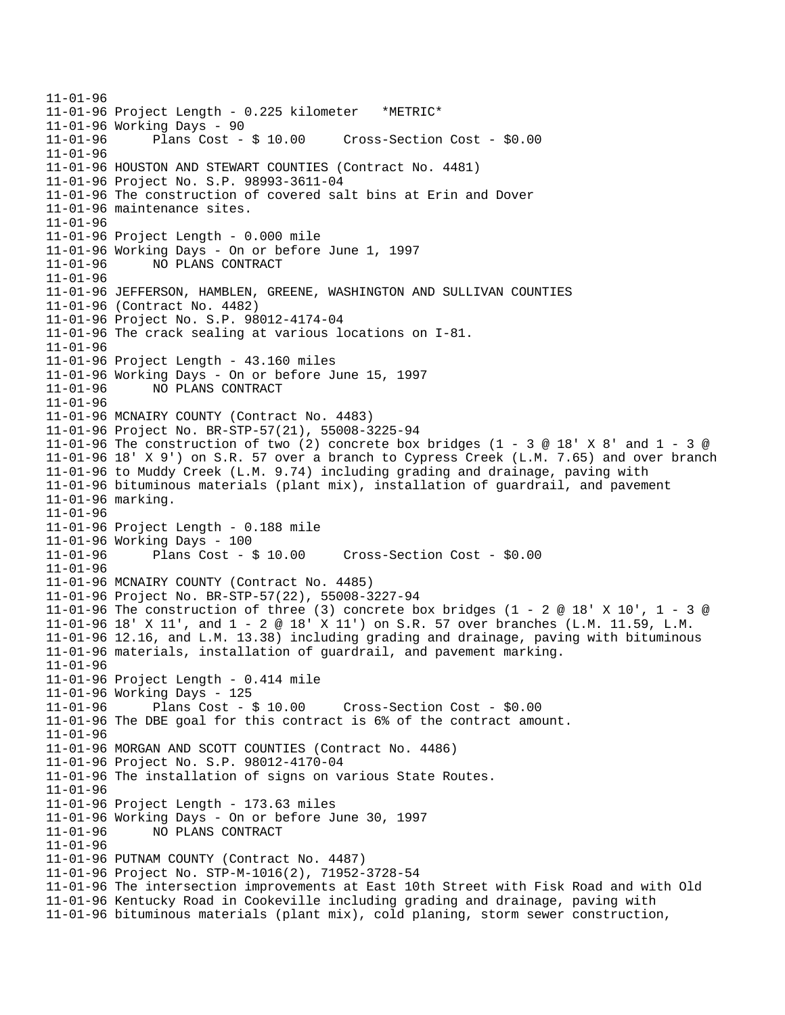11-01-96 11-01-96 Project Length - 0.225 kilometer \*METRIC\* 11-01-96 Working Days - 90<br>11-01-96 Plans Cost - \$ 10.00 11-01-96 Plans Cost - \$ 10.00 Cross-Section Cost - \$0.00 11-01-96 11-01-96 HOUSTON AND STEWART COUNTIES (Contract No. 4481) 11-01-96 Project No. S.P. 98993-3611-04 11-01-96 The construction of covered salt bins at Erin and Dover 11-01-96 maintenance sites. 11-01-96 11-01-96 Project Length - 0.000 mile 11-01-96 Working Days - On or before June 1, 1997 11-01-96 NO PLANS CONTRACT 11-01-96 11-01-96 JEFFERSON, HAMBLEN, GREENE, WASHINGTON AND SULLIVAN COUNTIES 11-01-96 (Contract No. 4482) 11-01-96 Project No. S.P. 98012-4174-04 11-01-96 The crack sealing at various locations on I-81. 11-01-96 11-01-96 Project Length - 43.160 miles 11-01-96 Working Days - On or before June 15, 1997 11-01-96 NO PLANS CONTRACT 11-01-96 11-01-96 MCNAIRY COUNTY (Contract No. 4483) 11-01-96 Project No. BR-STP-57(21), 55008-3225-94 11-01-96 The construction of two (2) concrete box bridges (1 - 3 @ 18' X 8' and 1 - 3 @ 11-01-96 18' X 9') on S.R. 57 over a branch to Cypress Creek (L.M. 7.65) and over branch 11-01-96 to Muddy Creek (L.M. 9.74) including grading and drainage, paving with 11-01-96 bituminous materials (plant mix), installation of guardrail, and pavement 11-01-96 marking. 11-01-96 11-01-96 Project Length - 0.188 mile 11-01-96 Working Days - 100 11-01-96 Plans Cost - \$ 10.00 Cross-Section Cost - \$0.00 11-01-96 11-01-96 MCNAIRY COUNTY (Contract No. 4485) 11-01-96 Project No. BR-STP-57(22), 55008-3227-94 11-01-96 The construction of three (3) concrete box bridges (1 - 2 @ 18' X 10', 1 - 3 @ 11-01-96 18' X 11', and 1 - 2 @ 18' X 11') on S.R. 57 over branches (L.M. 11.59, L.M. 11-01-96 12.16, and L.M. 13.38) including grading and drainage, paving with bituminous 11-01-96 materials, installation of guardrail, and pavement marking. 11-01-96 11-01-96 Project Length - 0.414 mile 11-01-96 Working Days - 125 11-01-96 Plans Cost - \$ 10.00 Cross-Section Cost - \$0.00 11-01-96 The DBE goal for this contract is 6% of the contract amount. 11-01-96 11-01-96 MORGAN AND SCOTT COUNTIES (Contract No. 4486) 11-01-96 Project No. S.P. 98012-4170-04 11-01-96 The installation of signs on various State Routes. 11-01-96 11-01-96 Project Length - 173.63 miles 11-01-96 Working Days - On or before June 30, 1997 11-01-96 NO PLANS CONTRACT 11-01-96 11-01-96 PUTNAM COUNTY (Contract No. 4487) 11-01-96 Project No. STP-M-1016(2), 71952-3728-54 11-01-96 The intersection improvements at East 10th Street with Fisk Road and with Old 11-01-96 Kentucky Road in Cookeville including grading and drainage, paving with 11-01-96 bituminous materials (plant mix), cold planing, storm sewer construction,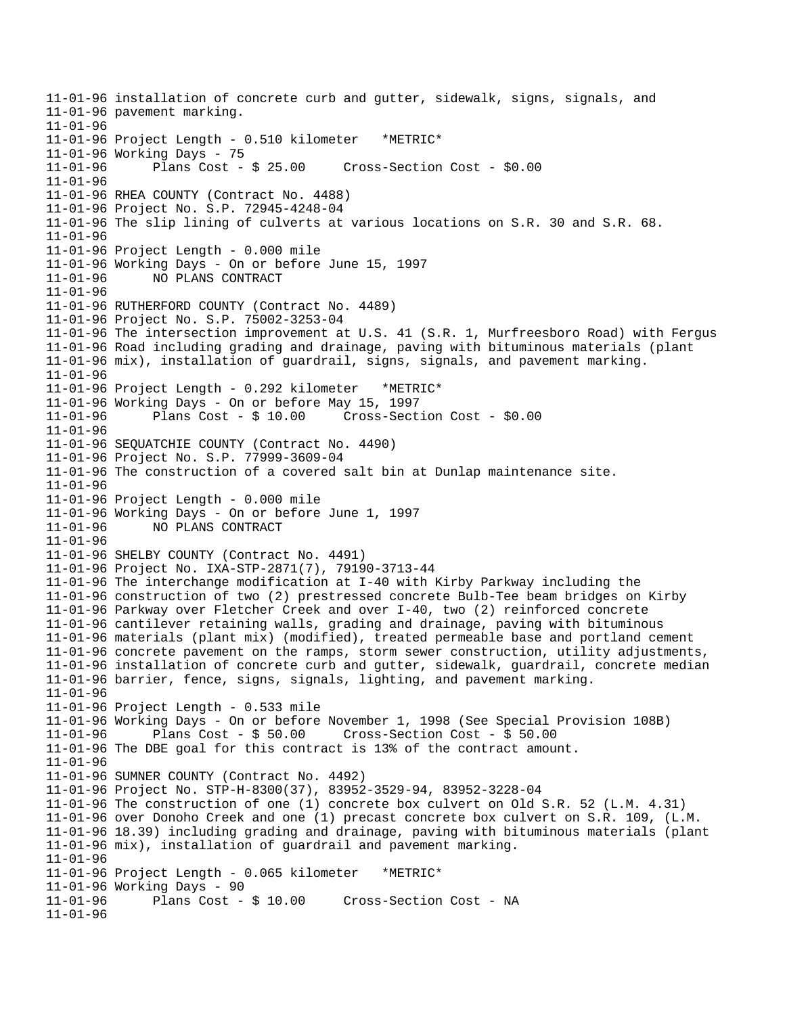11-01-96 installation of concrete curb and gutter, sidewalk, signs, signals, and 11-01-96 pavement marking. 11-01-96 11-01-96 Project Length - 0.510 kilometer \*METRIC\* 11-01-96 Working Days - 75 11-01-96 Plans Cost - \$ 25.00 Cross-Section Cost - \$0.00 11-01-96 11-01-96 RHEA COUNTY (Contract No. 4488) 11-01-96 Project No. S.P. 72945-4248-04 11-01-96 The slip lining of culverts at various locations on S.R. 30 and S.R. 68. 11-01-96 11-01-96 Project Length - 0.000 mile 11-01-96 Working Days - On or before June 15, 1997 11-01-96 NO PLANS CONTRACT 11-01-96 11-01-96 RUTHERFORD COUNTY (Contract No. 4489) 11-01-96 Project No. S.P. 75002-3253-04 11-01-96 The intersection improvement at U.S. 41 (S.R. 1, Murfreesboro Road) with Fergus 11-01-96 Road including grading and drainage, paving with bituminous materials (plant 11-01-96 mix), installation of guardrail, signs, signals, and pavement marking. 11-01-96 11-01-96 Project Length - 0.292 kilometer \*METRIC\* 11-01-96 Working Days - On or before May 15, 1997 11-01-96 Plans Cost - \$ 10.00 Cross-Section Cost - \$0.00 11-01-96 11-01-96 SEQUATCHIE COUNTY (Contract No. 4490) 11-01-96 Project No. S.P. 77999-3609-04 11-01-96 The construction of a covered salt bin at Dunlap maintenance site. 11-01-96 11-01-96 Project Length - 0.000 mile 11-01-96 Working Days - On or before June 1, 1997 11-01-96 NO PLANS CONTRACT 11-01-96 11-01-96 SHELBY COUNTY (Contract No. 4491) 11-01-96 Project No. IXA-STP-2871(7), 79190-3713-44 11-01-96 The interchange modification at I-40 with Kirby Parkway including the 11-01-96 construction of two (2) prestressed concrete Bulb-Tee beam bridges on Kirby 11-01-96 Parkway over Fletcher Creek and over I-40, two (2) reinforced concrete 11-01-96 cantilever retaining walls, grading and drainage, paving with bituminous 11-01-96 materials (plant mix) (modified), treated permeable base and portland cement 11-01-96 concrete pavement on the ramps, storm sewer construction, utility adjustments, 11-01-96 installation of concrete curb and gutter, sidewalk, guardrail, concrete median 11-01-96 barrier, fence, signs, signals, lighting, and pavement marking. 11-01-96 11-01-96 Project Length - 0.533 mile 11-01-96 Working Days - On or before November 1, 1998 (See Special Provision 108B) 11-01-96 Plans Cost - \$ 50.00 Cross-Section Cost - \$ 50.00 11-01-96 The DBE goal for this contract is 13% of the contract amount. 11-01-96 11-01-96 SUMNER COUNTY (Contract No. 4492) 11-01-96 Project No. STP-H-8300(37), 83952-3529-94, 83952-3228-04 11-01-96 The construction of one (1) concrete box culvert on Old S.R. 52 (L.M. 4.31) 11-01-96 over Donoho Creek and one (1) precast concrete box culvert on S.R. 109, (L.M. 11-01-96 18.39) including grading and drainage, paving with bituminous materials (plant 11-01-96 mix), installation of guardrail and pavement marking. 11-01-96 11-01-96 Project Length - 0.065 kilometer \*METRIC\* 11-01-96 Working Days - 90<br>11-01-96 Plans Cost - \$ 10.00 Cross-Section Cost - NA 11-01-96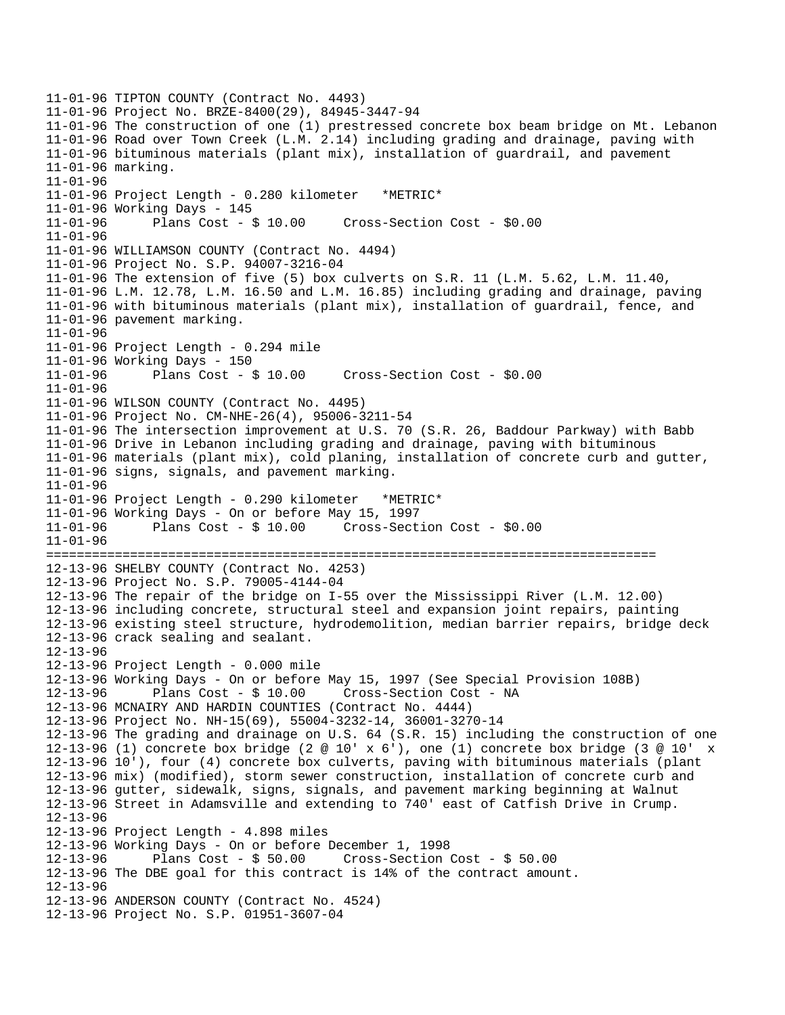```
11-01-96 TIPTON COUNTY (Contract No. 4493) 
11-01-96 Project No. BRZE-8400(29), 84945-3447-94 
11-01-96 The construction of one (1) prestressed concrete box beam bridge on Mt. Lebanon 
11-01-96 Road over Town Creek (L.M. 2.14) including grading and drainage, paving with 
11-01-96 bituminous materials (plant mix), installation of guardrail, and pavement 
11-01-96 marking. 
11-01-96 
11-01-96 Project Length - 0.280 kilometer *METRIC* 
11-01-96 Working Days - 145 
11-01-96 Plans Cost - $ 10.00 Cross-Section Cost - $0.00 
11-01-96 
11-01-96 WILLIAMSON COUNTY (Contract No. 4494) 
11-01-96 Project No. S.P. 94007-3216-04 
11-01-96 The extension of five (5) box culverts on S.R. 11 (L.M. 5.62, L.M. 11.40, 
11-01-96 L.M. 12.78, L.M. 16.50 and L.M. 16.85) including grading and drainage, paving 
11-01-96 with bituminous materials (plant mix), installation of guardrail, fence, and 
11-01-96 pavement marking. 
11-01-96 
11-01-96 Project Length - 0.294 mile 
11-01-96 Working Days - 150 
11-01-96 Plans Cost - $ 10.00 Cross-Section Cost - $0.00 
11-01-96 
11-01-96 WILSON COUNTY (Contract No. 4495) 
11-01-96 Project No. CM-NHE-26(4), 95006-3211-54 
11-01-96 The intersection improvement at U.S. 70 (S.R. 26, Baddour Parkway) with Babb 
11-01-96 Drive in Lebanon including grading and drainage, paving with bituminous 
11-01-96 materials (plant mix), cold planing, installation of concrete curb and gutter, 
11-01-96 signs, signals, and pavement marking. 
11-01-96 
11-01-96 Project Length - 0.290 kilometer *METRIC* 
11-01-96 Working Days - On or before May 15, 1997 
11-01-96 Plans Cost - $ 10.00 Cross-Section Cost - $0.00 
11-01-96 
================================================================================ 
12-13-96 SHELBY COUNTY (Contract No. 4253) 
12-13-96 Project No. S.P. 79005-4144-04 
12-13-96 The repair of the bridge on I-55 over the Mississippi River (L.M. 12.00) 
12-13-96 including concrete, structural steel and expansion joint repairs, painting 
12-13-96 existing steel structure, hydrodemolition, median barrier repairs, bridge deck 
12-13-96 crack sealing and sealant. 
12-13-96 
12-13-96 Project Length - 0.000 mile 
12-13-96 Working Days - On or before May 15, 1997 (See Special Provision 108B) 
12-13-96 Plans Cost - $ 10.00 Cross-Section Cost - NA 
12-13-96 MCNAIRY AND HARDIN COUNTIES (Contract No. 4444) 
12-13-96 Project No. NH-15(69), 55004-3232-14, 36001-3270-14 
12-13-96 The grading and drainage on U.S. 64 (S.R. 15) including the construction of one 
12-13-96 (1) concrete box bridge (2 \textdegree 10' x 6'), one (1) concrete box bridge (3 \textdegree 10' x
12-13-96 10'), four (4) concrete box culverts, paving with bituminous materials (plant 
12-13-96 mix) (modified), storm sewer construction, installation of concrete curb and 
12-13-96 gutter, sidewalk, signs, signals, and pavement marking beginning at Walnut 
12-13-96 Street in Adamsville and extending to 740' east of Catfish Drive in Crump. 
12-13-96 
12-13-96 Project Length - 4.898 miles 
12-13-96 Working Days - On or before December 1, 1998 
12-13-96 Plans Cost - $ 50.00 Cross-Section Cost - $ 50.00 
12-13-96 The DBE goal for this contract is 14% of the contract amount. 
12-13-96 
12-13-96 ANDERSON COUNTY (Contract No. 4524) 
12-13-96 Project No. S.P. 01951-3607-04
```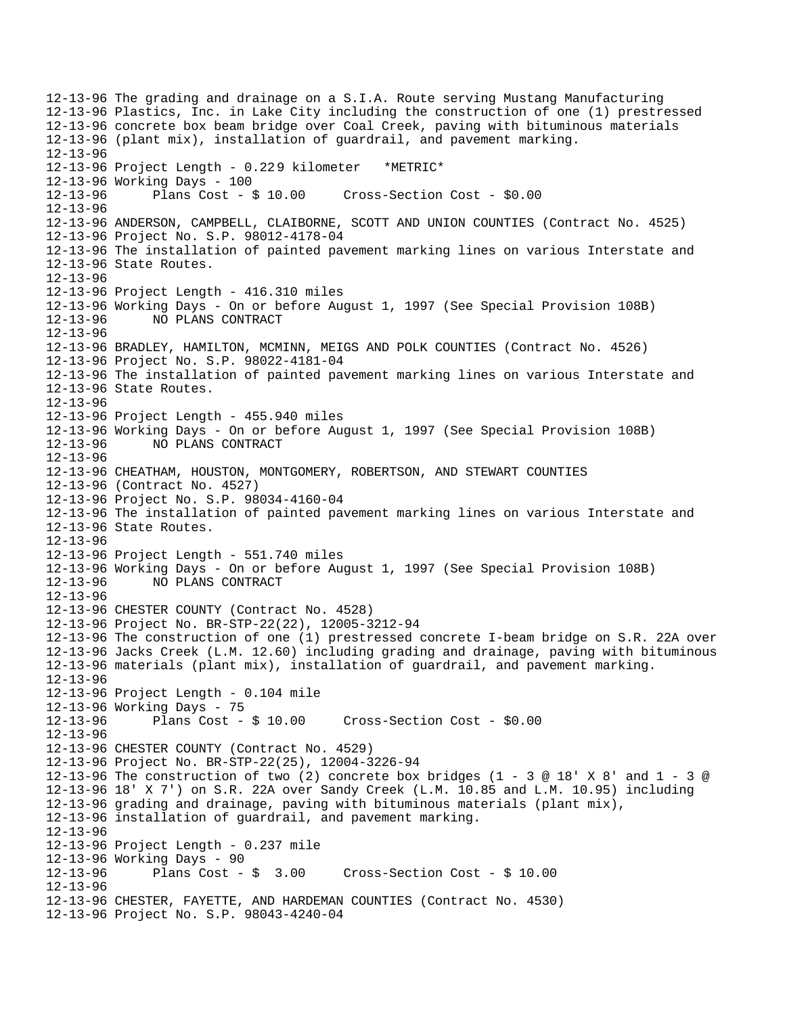12-13-96 The grading and drainage on a S.I.A. Route serving Mustang Manufacturing 12-13-96 Plastics, Inc. in Lake City including the construction of one (1) prestressed 12-13-96 concrete box beam bridge over Coal Creek, paving with bituminous materials 12-13-96 (plant mix), installation of guardrail, and pavement marking. 12-13-96 12-13-96 Project Length - 0.229 kilometer \*METRIC\* 12-13-96 Working Days - 100 12-13-96 Plans Cost - \$ 10.00 Cross-Section Cost - \$0.00 12-13-96 12-13-96 ANDERSON, CAMPBELL, CLAIBORNE, SCOTT AND UNION COUNTIES (Contract No. 4525) 12-13-96 Project No. S.P. 98012-4178-04 12-13-96 The installation of painted pavement marking lines on various Interstate and 12-13-96 State Routes. 12-13-96 12-13-96 Project Length - 416.310 miles 12-13-96 Working Days - On or before August 1, 1997 (See Special Provision 108B) 12-13-96 NO PLANS CONTRACT 12-13-96 12-13-96 BRADLEY, HAMILTON, MCMINN, MEIGS AND POLK COUNTIES (Contract No. 4526) 12-13-96 Project No. S.P. 98022-4181-04 12-13-96 The installation of painted pavement marking lines on various Interstate and 12-13-96 State Routes. 12-13-96 12-13-96 Project Length - 455.940 miles 12-13-96 Working Days - On or before August 1, 1997 (See Special Provision 108B) 12-13-96 NO PLANS CONTRACT 12-13-96 12-13-96 CHEATHAM, HOUSTON, MONTGOMERY, ROBERTSON, AND STEWART COUNTIES 12-13-96 (Contract No. 4527) 12-13-96 Project No. S.P. 98034-4160-04 12-13-96 The installation of painted pavement marking lines on various Interstate and 12-13-96 State Routes. 12-13-96 12-13-96 Project Length - 551.740 miles 12-13-96 Working Days - On or before August 1, 1997 (See Special Provision 108B) 12-13-96 NO PLANS CONTRACT 12-13-96 12-13-96 CHESTER COUNTY (Contract No. 4528) 12-13-96 Project No. BR-STP-22(22), 12005-3212-94 12-13-96 The construction of one (1) prestressed concrete I-beam bridge on S.R. 22A over 12-13-96 Jacks Creek (L.M. 12.60) including grading and drainage, paving with bituminous 12-13-96 materials (plant mix), installation of guardrail, and pavement marking. 12-13-96 12-13-96 Project Length - 0.104 mile 12-13-96 Working Days - 75<br>12-13-96 Plans Cost - \$10.00 12-13-96 Plans Cost - \$ 10.00 Cross-Section Cost - \$0.00 12-13-96 12-13-96 CHESTER COUNTY (Contract No. 4529) 12-13-96 Project No. BR-STP-22(25), 12004-3226-94 12-13-96 The construction of two (2) concrete box bridges (1 - 3 @ 18' X 8' and 1 - 3 @ 12-13-96 18' X 7') on S.R. 22A over Sandy Creek (L.M. 10.85 and L.M. 10.95) including 12-13-96 grading and drainage, paving with bituminous materials (plant mix), 12-13-96 installation of guardrail, and pavement marking. 12-13-96 12-13-96 Project Length - 0.237 mile 12-13-96 Working Days - 90 12-13-96 Plans Cost - \$ 3.00 Cross-Section Cost - \$ 10.00 12-13-96 12-13-96 CHESTER, FAYETTE, AND HARDEMAN COUNTIES (Contract No. 4530) 12-13-96 Project No. S.P. 98043-4240-04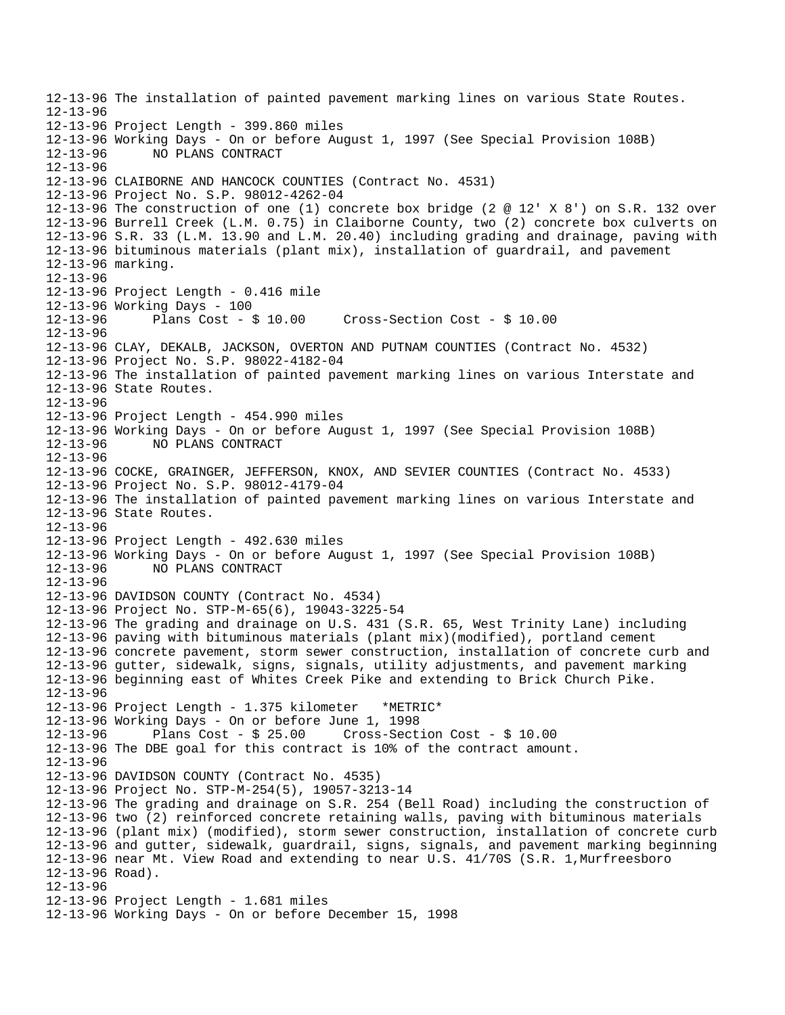12-13-96 The installation of painted pavement marking lines on various State Routes. 12-13-96 12-13-96 Project Length - 399.860 miles 12-13-96 Working Days - On or before August 1, 1997 (See Special Provision 108B) 12-13-96 NO PLANS CONTRACT 12-13-96 12-13-96 CLAIBORNE AND HANCOCK COUNTIES (Contract No. 4531) 12-13-96 Project No. S.P. 98012-4262-04 12-13-96 The construction of one (1) concrete box bridge (2 @ 12' X 8') on S.R. 132 over 12-13-96 Burrell Creek (L.M. 0.75) in Claiborne County, two (2) concrete box culverts on 12-13-96 S.R. 33 (L.M. 13.90 and L.M. 20.40) including grading and drainage, paving with 12-13-96 bituminous materials (plant mix), installation of guardrail, and pavement 12-13-96 marking. 12-13-96 12-13-96 Project Length - 0.416 mile 12-13-96 Working Days - 100 12-13-96 Plans Cost - \$ 10.00 Cross-Section Cost - \$ 10.00 12-13-96 12-13-96 CLAY, DEKALB, JACKSON, OVERTON AND PUTNAM COUNTIES (Contract No. 4532) 12-13-96 Project No. S.P. 98022-4182-04 12-13-96 The installation of painted pavement marking lines on various Interstate and 12-13-96 State Routes. 12-13-96 12-13-96 Project Length - 454.990 miles 12-13-96 Working Days - On or before August 1, 1997 (See Special Provision 108B) 12-13-96 NO PLANS CONTRACT 12-13-96 12-13-96 COCKE, GRAINGER, JEFFERSON, KNOX, AND SEVIER COUNTIES (Contract No. 4533) 12-13-96 Project No. S.P. 98012-4179-04 12-13-96 The installation of painted pavement marking lines on various Interstate and 12-13-96 State Routes. 12-13-96 12-13-96 Project Length - 492.630 miles 12-13-96 Working Days - On or before August 1, 1997 (See Special Provision 108B) 12-13-96 NO PLANS CONTRACT 12-13-96 12-13-96 DAVIDSON COUNTY (Contract No. 4534) 12-13-96 Project No. STP-M-65(6), 19043-3225-54 12-13-96 The grading and drainage on U.S. 431 (S.R. 65, West Trinity Lane) including 12-13-96 paving with bituminous materials (plant mix)(modified), portland cement 12-13-96 concrete pavement, storm sewer construction, installation of concrete curb and 12-13-96 gutter, sidewalk, signs, signals, utility adjustments, and pavement marking 12-13-96 beginning east of Whites Creek Pike and extending to Brick Church Pike. 12-13-96 12-13-96 Project Length - 1.375 kilometer \*METRIC\* 12-13-96 Working Days - On or before June 1, 1998 12-13-96 Plans Cost - \$ 25.00 Cross-Section Cost - \$ 10.00 12-13-96 The DBE goal for this contract is 10% of the contract amount. 12-13-96 12-13-96 DAVIDSON COUNTY (Contract No. 4535) 12-13-96 Project No. STP-M-254(5), 19057-3213-14 12-13-96 The grading and drainage on S.R. 254 (Bell Road) including the construction of 12-13-96 two (2) reinforced concrete retaining walls, paving with bituminous materials 12-13-96 (plant mix) (modified), storm sewer construction, installation of concrete curb 12-13-96 and gutter, sidewalk, guardrail, signs, signals, and pavement marking beginning 12-13-96 near Mt. View Road and extending to near U.S. 41/70S (S.R. 1,Murfreesboro 12-13-96 Road). 12-13-96 12-13-96 Project Length - 1.681 miles 12-13-96 Working Days - On or before December 15, 1998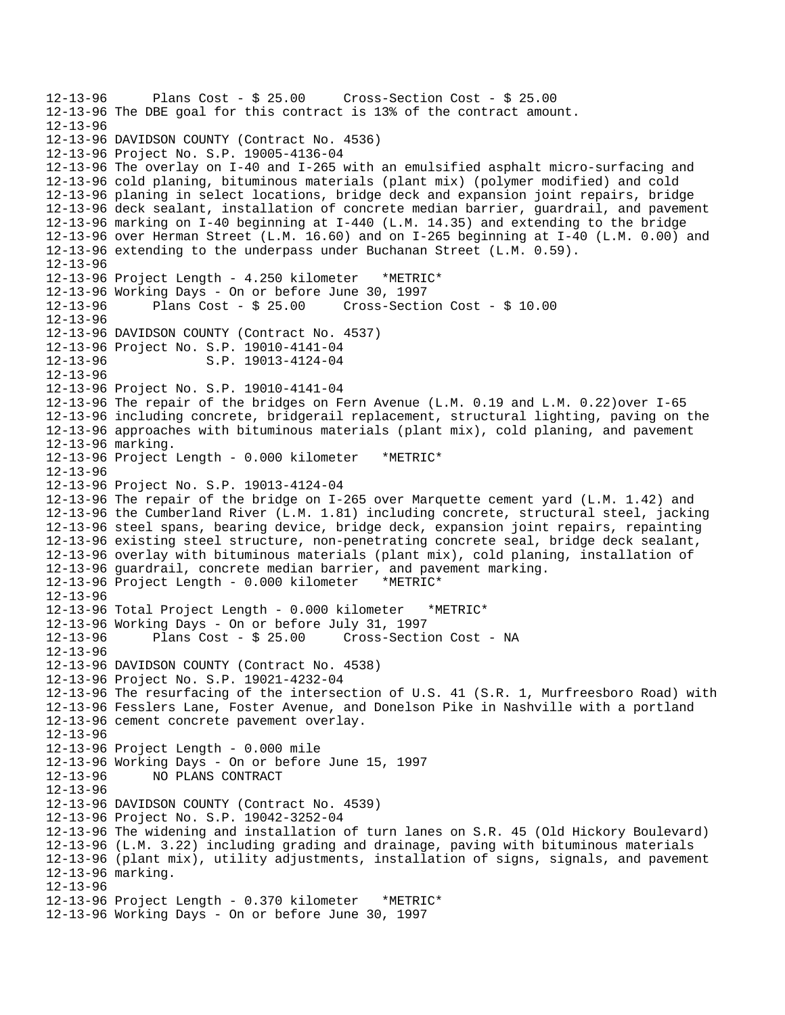```
12-13-96 Plans Cost - $ 25.00 Cross-Section Cost - $ 25.00 
12-13-96 The DBE goal for this contract is 13% of the contract amount. 
12-13-96 
12-13-96 DAVIDSON COUNTY (Contract No. 4536) 
12-13-96 Project No. S.P. 19005-4136-04 
12-13-96 The overlay on I-40 and I-265 with an emulsified asphalt micro-surfacing and 
12-13-96 cold planing, bituminous materials (plant mix) (polymer modified) and cold 
12-13-96 planing in select locations, bridge deck and expansion joint repairs, bridge 
12-13-96 deck sealant, installation of concrete median barrier, guardrail, and pavement 
12-13-96 marking on I-40 beginning at I-440 (L.M. 14.35) and extending to the bridge 
12-13-96 over Herman Street (L.M. 16.60) and on I-265 beginning at I-40 (L.M. 0.00) and 
12-13-96 extending to the underpass under Buchanan Street (L.M. 0.59). 
12-13-96 
12-13-96 Project Length - 4.250 kilometer *METRIC* 
12-13-96 Working Days - On or before June 30, 1997 
12-13-96 Plans Cost - $ 25.00 Cross-Section Cost - $ 10.00 
12-13-96 
12-13-96 DAVIDSON COUNTY (Contract No. 4537) 
12-13-96 Project No. S.P. 19010-4141-04 
12-13-96 S.P. 19013-4124-04 
12-13-96 
12-13-96 Project No. S.P. 19010-4141-04 
12-13-96 The repair of the bridges on Fern Avenue (L.M. 0.19 and L.M. 0.22)over I-65 
12-13-96 including concrete, bridgerail replacement, structural lighting, paving on the 
12-13-96 approaches with bituminous materials (plant mix), cold planing, and pavement 
12-13-96 marking. 
12-13-96 Project Length - 0.000 kilometer *METRIC* 
12-13-96 
12-13-96 Project No. S.P. 19013-4124-04 
12-13-96 The repair of the bridge on I-265 over Marquette cement yard (L.M. 1.42) and 
12-13-96 the Cumberland River (L.M. 1.81) including concrete, structural steel, jacking 
12-13-96 steel spans, bearing device, bridge deck, expansion joint repairs, repainting 
12-13-96 existing steel structure, non-penetrating concrete seal, bridge deck sealant, 
12-13-96 overlay with bituminous materials (plant mix), cold planing, installation of 
12-13-96 guardrail, concrete median barrier, and pavement marking. 
12-13-96 Project Length - 0.000 kilometer *METRIC* 
12-13-96 
12-13-96 Total Project Length - 0.000 kilometer *METRIC* 
12-13-96 Working Days - On or before July 31, 1997 
12-13-96 Plans Cost - $ 25.00 Cross-Section Cost - NA 
12-13-96 
12-13-96 DAVIDSON COUNTY (Contract No. 4538) 
12-13-96 Project No. S.P. 19021-4232-04 
12-13-96 The resurfacing of the intersection of U.S. 41 (S.R. 1, Murfreesboro Road) with 
12-13-96 Fesslers Lane, Foster Avenue, and Donelson Pike in Nashville with a portland 
12-13-96 cement concrete pavement overlay. 
12-13-96 
12-13-96 Project Length - 0.000 mile 
12-13-96 Working Days - On or before June 15, 1997 
12-13-96 NO PLANS CONTRACT 
12-13-96 
12-13-96 DAVIDSON COUNTY (Contract No. 4539) 
12-13-96 Project No. S.P. 19042-3252-04 
12-13-96 The widening and installation of turn lanes on S.R. 45 (Old Hickory Boulevard) 
12-13-96 (L.M. 3.22) including grading and drainage, paving with bituminous materials 
12-13-96 (plant mix), utility adjustments, installation of signs, signals, and pavement 
12-13-96 marking. 
12-13-96 
12-13-96 Project Length - 0.370 kilometer *METRIC* 
12-13-96 Working Days - On or before June 30, 1997
```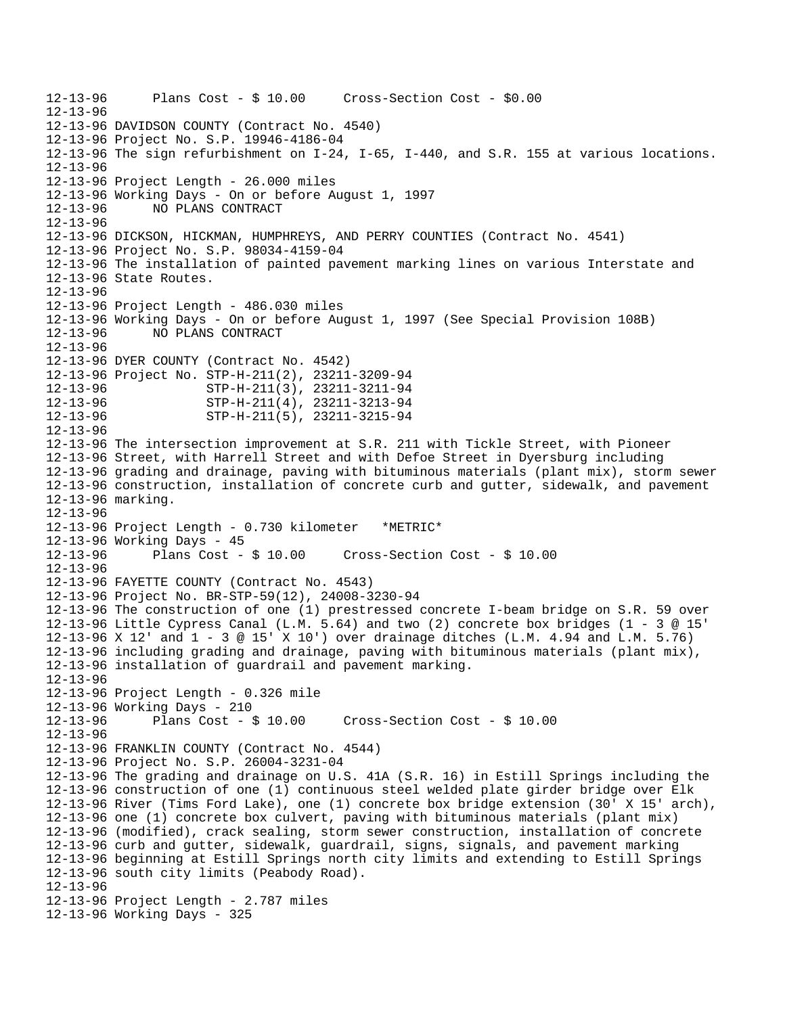```
12-13-96 Plans Cost - $ 10.00 Cross-Section Cost - $0.00 
12-13-96 
12-13-96 DAVIDSON COUNTY (Contract No. 4540) 
12-13-96 Project No. S.P. 19946-4186-04 
12-13-96 The sign refurbishment on I-24, I-65, I-440, and S.R. 155 at various locations. 
12-13-96 
12-13-96 Project Length - 26.000 miles 
12-13-96 Working Days - On or before August 1, 1997 
12-13-96 NO PLANS CONTRACT 
12-13-96 
12-13-96 DICKSON, HICKMAN, HUMPHREYS, AND PERRY COUNTIES (Contract No. 4541) 
12-13-96 Project No. S.P. 98034-4159-04 
12-13-96 The installation of painted pavement marking lines on various Interstate and 
12-13-96 State Routes. 
12-13-96 
12-13-96 Project Length - 486.030 miles 
12-13-96 Working Days - On or before August 1, 1997 (See Special Provision 108B) 
12-13-96 NO PLANS CONTRACT 
12-13-96 
12-13-96 DYER COUNTY (Contract No. 4542) 
12-13-96 Project No. STP-H-211(2), 23211-3209-94 
12-13-96 STP-H-211(3), 23211-3211-94 
12-13-96 STP-H-211(4), 23211-3213-94 
12-13-96 STP-H-211(5), 23211-3215-94 
12-13-96 
12-13-96 The intersection improvement at S.R. 211 with Tickle Street, with Pioneer 
12-13-96 Street, with Harrell Street and with Defoe Street in Dyersburg including 
12-13-96 grading and drainage, paving with bituminous materials (plant mix), storm sewer 
12-13-96 construction, installation of concrete curb and gutter, sidewalk, and pavement 
12-13-96 marking. 
12-13-96 
12-13-96 Project Length - 0.730 kilometer *METRIC* 
12-13-96 Working Days - 45 
12-13-96 Plans Cost - $ 10.00 Cross-Section Cost - $ 10.00 
12-13-96 
12-13-96 FAYETTE COUNTY (Contract No. 4543) 
12-13-96 Project No. BR-STP-59(12), 24008-3230-94 
12-13-96 The construction of one (1) prestressed concrete I-beam bridge on S.R. 59 over 
12-13-96 Little Cypress Canal (L.M. 5.64) and two (2) concrete box bridges (1 - 3 @ 15' 
12-13-96 X 12' and 1 - 3 @ 15' X 10') over drainage ditches (L.M. 4.94 and L.M. 5.76) 
12-13-96 including grading and drainage, paving with bituminous materials (plant mix), 
12-13-96 installation of guardrail and pavement marking. 
12-13-96 
12-13-96 Project Length - 0.326 mile 
12-13-96 Working Days - 210 
12-13-96 Plans Cost - $ 10.00 Cross-Section Cost - $ 10.00 
12-13-96 
12-13-96 FRANKLIN COUNTY (Contract No. 4544) 
12-13-96 Project No. S.P. 26004-3231-04 
12-13-96 The grading and drainage on U.S. 41A (S.R. 16) in Estill Springs including the 
12-13-96 construction of one (1) continuous steel welded plate girder bridge over Elk 
12-13-96 River (Tims Ford Lake), one (1) concrete box bridge extension (30' X 15' arch), 
12-13-96 one (1) concrete box culvert, paving with bituminous materials (plant mix) 
12-13-96 (modified), crack sealing, storm sewer construction, installation of concrete 
12-13-96 curb and gutter, sidewalk, guardrail, signs, signals, and pavement marking 
12-13-96 beginning at Estill Springs north city limits and extending to Estill Springs 
12-13-96 south city limits (Peabody Road). 
12-13-96 
12-13-96 Project Length - 2.787 miles 
12-13-96 Working Days - 325
```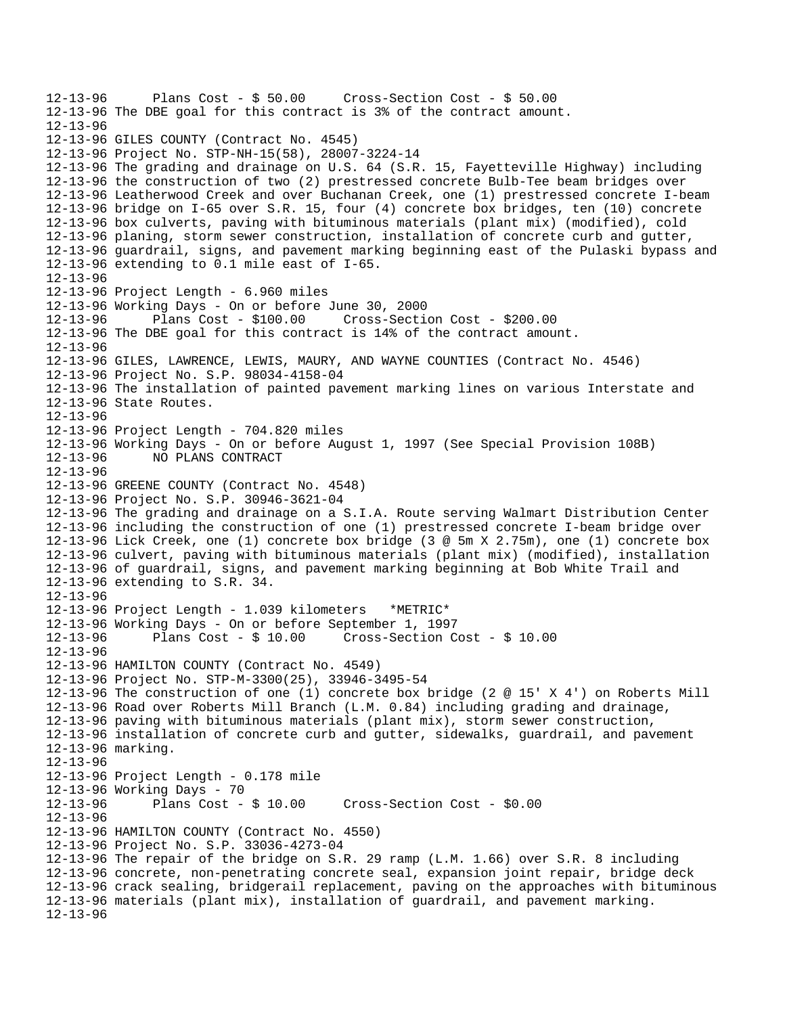```
12-13-96 Plans Cost - $ 50.00 Cross-Section Cost - $ 50.00 
12-13-96 The DBE goal for this contract is 3% of the contract amount. 
12-13-96 
12-13-96 GILES COUNTY (Contract No. 4545) 
12-13-96 Project No. STP-NH-15(58), 28007-3224-14 
12-13-96 The grading and drainage on U.S. 64 (S.R. 15, Fayetteville Highway) including 
12-13-96 the construction of two (2) prestressed concrete Bulb-Tee beam bridges over 
12-13-96 Leatherwood Creek and over Buchanan Creek, one (1) prestressed concrete I-beam 
12-13-96 bridge on I-65 over S.R. 15, four (4) concrete box bridges, ten (10) concrete 
12-13-96 box culverts, paving with bituminous materials (plant mix) (modified), cold 
12-13-96 planing, storm sewer construction, installation of concrete curb and gutter, 
12-13-96 guardrail, signs, and pavement marking beginning east of the Pulaski bypass and 
12-13-96 extending to 0.1 mile east of I-65. 
12-13-96 
12-13-96 Project Length - 6.960 miles 
12-13-96 Working Days - On or before June 30, 2000 
                                       12-13-96 Plans Cost - $100.00 Cross-Section Cost - $200.00 
12-13-96 The DBE goal for this contract is 14% of the contract amount. 
12-13-96 
12-13-96 GILES, LAWRENCE, LEWIS, MAURY, AND WAYNE COUNTIES (Contract No. 4546) 
12-13-96 Project No. S.P. 98034-4158-04 
12-13-96 The installation of painted pavement marking lines on various Interstate and 
12-13-96 State Routes. 
12-13-96 
12-13-96 Project Length - 704.820 miles 
12-13-96 Working Days - On or before August 1, 1997 (See Special Provision 108B) 
12-13-96 NO PLANS CONTRACT 
12-13-96 
12-13-96 GREENE COUNTY (Contract No. 4548) 
12-13-96 Project No. S.P. 30946-3621-04 
12-13-96 The grading and drainage on a S.I.A. Route serving Walmart Distribution Center 
12-13-96 including the construction of one (1) prestressed concrete I-beam bridge over 
12-13-96 Lick Creek, one (1) concrete box bridge (3 @ 5m X 2.75m), one (1) concrete box 
12-13-96 culvert, paving with bituminous materials (plant mix) (modified), installation 
12-13-96 of guardrail, signs, and pavement marking beginning at Bob White Trail and 
12-13-96 extending to S.R. 34. 
12-13-96 
12-13-96 Project Length - 1.039 kilometers *METRIC* 
12-13-96 Working Days - On or before September 1, 1997 
12-13-96 Plans Cost - $ 10.00 Cross-Section Cost - $ 10.00 
12-13-96 
12-13-96 HAMILTON COUNTY (Contract No. 4549) 
12-13-96 Project No. STP-M-3300(25), 33946-3495-54 
12-13-96 The construction of one (1) concrete box bridge (2 @ 15' X 4') on Roberts Mill 
12-13-96 Road over Roberts Mill Branch (L.M. 0.84) including grading and drainage, 
12-13-96 paving with bituminous materials (plant mix), storm sewer construction, 
12-13-96 installation of concrete curb and gutter, sidewalks, guardrail, and pavement 
12-13-96 marking. 
12-13-96 
12-13-96 Project Length - 0.178 mile 
12-13-96 Working Days - 70 
12-13-96 Plans Cost - $ 10.00 Cross-Section Cost - $0.00 
12-13-96 
12-13-96 HAMILTON COUNTY (Contract No. 4550) 
12-13-96 Project No. S.P. 33036-4273-04 
12-13-96 The repair of the bridge on S.R. 29 ramp (L.M. 1.66) over S.R. 8 including 
12-13-96 concrete, non-penetrating concrete seal, expansion joint repair, bridge deck 
12-13-96 crack sealing, bridgerail replacement, paving on the approaches with bituminous 
12-13-96 materials (plant mix), installation of guardrail, and pavement marking. 
12-13-96
```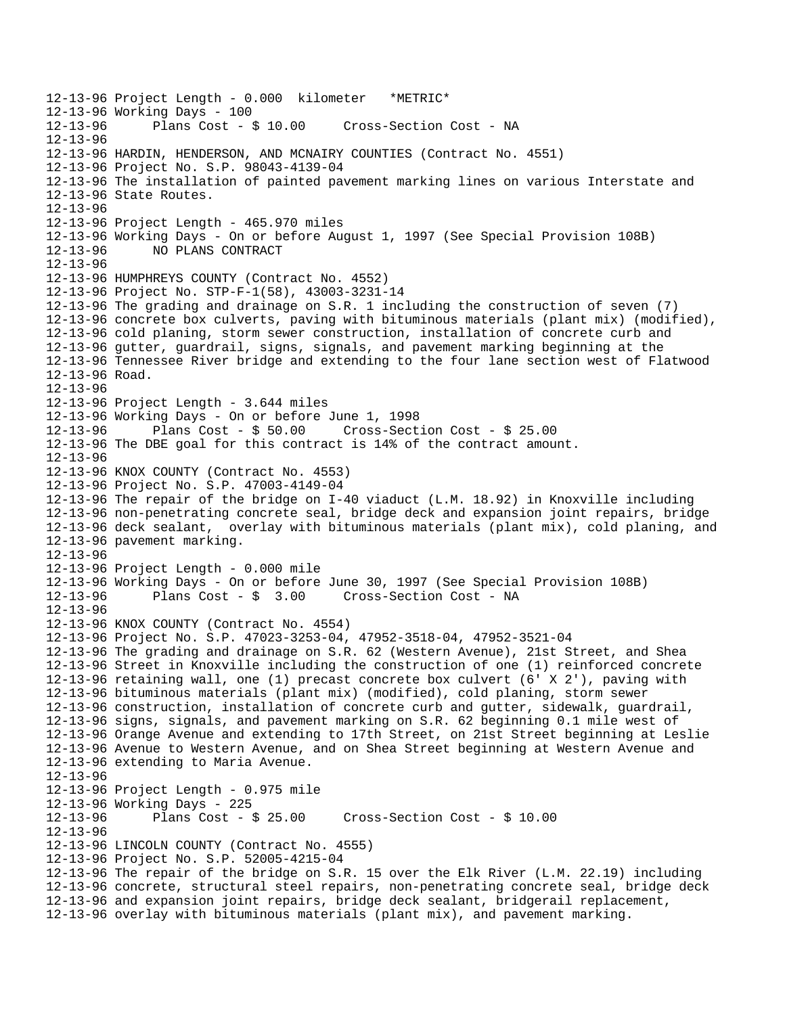12-13-96 Project Length - 0.000 kilometer \*METRIC\* 12-13-96 Working Days - 100 Cross-Section Cost - NA 12-13-96 12-13-96 HARDIN, HENDERSON, AND MCNAIRY COUNTIES (Contract No. 4551) 12-13-96 Project No. S.P. 98043-4139-04 12-13-96 The installation of painted pavement marking lines on various Interstate and 12-13-96 State Routes. 12-13-96 12-13-96 Project Length - 465.970 miles 12-13-96 Working Days - On or before August 1, 1997 (See Special Provision 108B) 12-13-96 NO PLANS CONTRACT 12-13-96 12-13-96 HUMPHREYS COUNTY (Contract No. 4552) 12-13-96 Project No. STP-F-1(58), 43003-3231-14 12-13-96 The grading and drainage on S.R. 1 including the construction of seven (7) 12-13-96 concrete box culverts, paving with bituminous materials (plant mix) (modified), 12-13-96 cold planing, storm sewer construction, installation of concrete curb and 12-13-96 gutter, guardrail, signs, signals, and pavement marking beginning at the 12-13-96 Tennessee River bridge and extending to the four lane section west of Flatwood 12-13-96 Road. 12-13-96 12-13-96 Project Length - 3.644 miles 12-13-96 Working Days - On or before June 1, 1998 Plans Cost -  $$50.00$  Cross-Section Cost -  $$25.00$ 12-13-96 The DBE goal for this contract is 14% of the contract amount. 12-13-96 12-13-96 KNOX COUNTY (Contract No. 4553) 12-13-96 Project No. S.P. 47003-4149-04 12-13-96 The repair of the bridge on I-40 viaduct (L.M. 18.92) in Knoxville including 12-13-96 non-penetrating concrete seal, bridge deck and expansion joint repairs, bridge 12-13-96 deck sealant, overlay with bituminous materials (plant mix), cold planing, and 12-13-96 pavement marking. 12-13-96 12-13-96 Project Length - 0.000 mile 12-13-96 Working Days - On or before June 30, 1997 (See Special Provision 108B) 12-13-96 Plans Cost - \$ 3.00 Cross-Section Cost - NA 12-13-96 12-13-96 KNOX COUNTY (Contract No. 4554) 12-13-96 Project No. S.P. 47023-3253-04, 47952-3518-04, 47952-3521-04 12-13-96 The grading and drainage on S.R. 62 (Western Avenue), 21st Street, and Shea 12-13-96 Street in Knoxville including the construction of one (1) reinforced concrete 12-13-96 retaining wall, one (1) precast concrete box culvert (6' X 2'), paving with 12-13-96 bituminous materials (plant mix) (modified), cold planing, storm sewer 12-13-96 construction, installation of concrete curb and gutter, sidewalk, guardrail, 12-13-96 signs, signals, and pavement marking on S.R. 62 beginning 0.1 mile west of 12-13-96 Orange Avenue and extending to 17th Street, on 21st Street beginning at Leslie 12-13-96 Avenue to Western Avenue, and on Shea Street beginning at Western Avenue and 12-13-96 extending to Maria Avenue. 12-13-96 12-13-96 Project Length - 0.975 mile 12-13-96 Working Days - 225 12-13-96 Plans Cost - \$ 25.00 Cross-Section Cost - \$ 10.00 12-13-96 12-13-96 LINCOLN COUNTY (Contract No. 4555) 12-13-96 Project No. S.P. 52005-4215-04 12-13-96 The repair of the bridge on S.R. 15 over the Elk River (L.M. 22.19) including 12-13-96 concrete, structural steel repairs, non-penetrating concrete seal, bridge deck 12-13-96 and expansion joint repairs, bridge deck sealant, bridgerail replacement, 12-13-96 overlay with bituminous materials (plant mix), and pavement marking.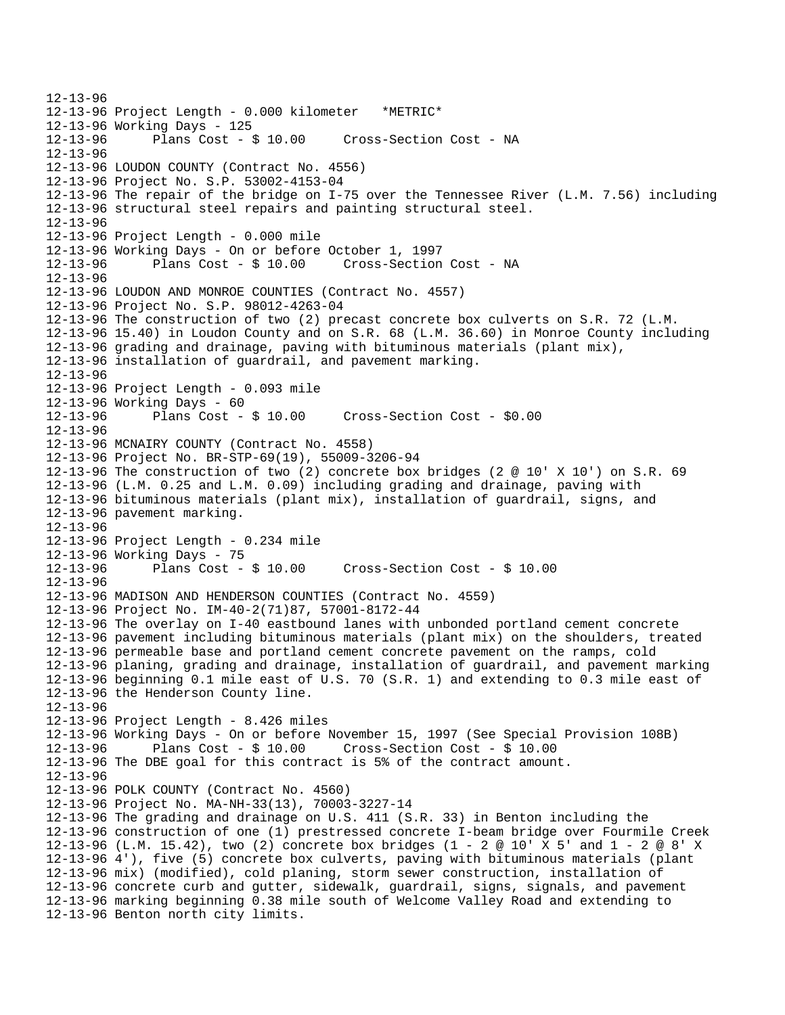12-13-96 12-13-96 Project Length - 0.000 kilometer \*METRIC\* 12-13-96 Working Days - 125 12-13-96 Plans Cost - \$ 10.00 Cross-Section Cost - NA 12-13-96 12-13-96 LOUDON COUNTY (Contract No. 4556) 12-13-96 Project No. S.P. 53002-4153-04 12-13-96 The repair of the bridge on I-75 over the Tennessee River (L.M. 7.56) including 12-13-96 structural steel repairs and painting structural steel. 12-13-96 12-13-96 Project Length - 0.000 mile 12-13-96 Working Days - On or before October 1, 1997 12-13-96 Plans Cost - \$ 10.00 Cross-Section Cost - NA 12-13-96 12-13-96 LOUDON AND MONROE COUNTIES (Contract No. 4557) 12-13-96 Project No. S.P. 98012-4263-04 12-13-96 The construction of two (2) precast concrete box culverts on S.R. 72 (L.M. 12-13-96 15.40) in Loudon County and on S.R. 68 (L.M. 36.60) in Monroe County including 12-13-96 grading and drainage, paving with bituminous materials (plant mix), 12-13-96 installation of guardrail, and pavement marking. 12-13-96 12-13-96 Project Length - 0.093 mile 12-13-96 Working Days - 60 12-13-96 Plans Cost - \$ 10.00 Cross-Section Cost - \$0.00 12-13-96 12-13-96 MCNAIRY COUNTY (Contract No. 4558) 12-13-96 Project No. BR-STP-69(19), 55009-3206-94 12-13-96 The construction of two (2) concrete box bridges (2 @ 10' X 10') on S.R. 69 12-13-96 (L.M. 0.25 and L.M. 0.09) including grading and drainage, paving with 12-13-96 bituminous materials (plant mix), installation of guardrail, signs, and 12-13-96 pavement marking. 12-13-96 12-13-96 Project Length - 0.234 mile 12-13-96 Working Days - 75<br>12-13-96 Plans Cost -Plans  $Cost - $ 10.00$  Cross-Section Cost -  $$ 10.00$ 12-13-96 12-13-96 MADISON AND HENDERSON COUNTIES (Contract No. 4559) 12-13-96 Project No. IM-40-2(71)87, 57001-8172-44 12-13-96 The overlay on I-40 eastbound lanes with unbonded portland cement concrete 12-13-96 pavement including bituminous materials (plant mix) on the shoulders, treated 12-13-96 permeable base and portland cement concrete pavement on the ramps, cold 12-13-96 planing, grading and drainage, installation of guardrail, and pavement marking 12-13-96 beginning 0.1 mile east of U.S. 70 (S.R. 1) and extending to 0.3 mile east of 12-13-96 the Henderson County line. 12-13-96 12-13-96 Project Length - 8.426 miles 12-13-96 Working Days - On or before November 15, 1997 (See Special Provision 108B) 12-13-96 Plans Cost - \$ 10.00 Cross-Section Cost - \$ 10.00 12-13-96 The DBE goal for this contract is 5% of the contract amount. 12-13-96 12-13-96 POLK COUNTY (Contract No. 4560) 12-13-96 Project No. MA-NH-33(13), 70003-3227-14 12-13-96 The grading and drainage on U.S. 411 (S.R. 33) in Benton including the 12-13-96 construction of one (1) prestressed concrete I-beam bridge over Fourmile Creek 12-13-96 (L.M. 15.42), two (2) concrete box bridges (1 - 2 @ 10' X 5' and 1 - 2 @ 8' X 12-13-96 4'), five (5) concrete box culverts, paving with bituminous materials (plant 12-13-96 mix) (modified), cold planing, storm sewer construction, installation of 12-13-96 concrete curb and gutter, sidewalk, guardrail, signs, signals, and pavement 12-13-96 marking beginning 0.38 mile south of Welcome Valley Road and extending to 12-13-96 Benton north city limits.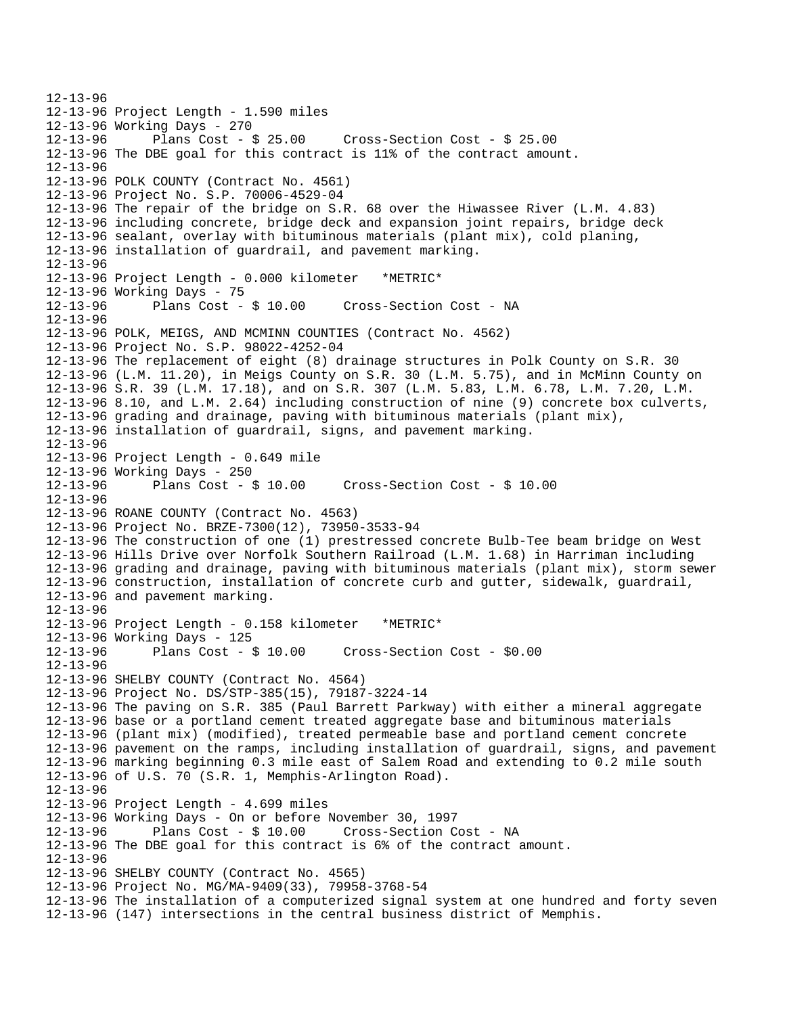12-13-96 12-13-96 Project Length - 1.590 miles 12-13-96 Working Days - 270 12-13-96 Plans Cost - \$ 25.00 Cross-Section Cost - \$ 25.00 12-13-96 The DBE goal for this contract is 11% of the contract amount. 12-13-96 12-13-96 POLK COUNTY (Contract No. 4561) 12-13-96 Project No. S.P. 70006-4529-04 12-13-96 The repair of the bridge on S.R. 68 over the Hiwassee River (L.M. 4.83) 12-13-96 including concrete, bridge deck and expansion joint repairs, bridge deck 12-13-96 sealant, overlay with bituminous materials (plant mix), cold planing, 12-13-96 installation of guardrail, and pavement marking. 12-13-96 12-13-96 Project Length - 0.000 kilometer \*METRIC\* 12-13-96 Working Days - 75<br>12-13-96 Plans Cost - \$ 10.00 12-13-96 Plans Cost - \$ 10.00 Cross-Section Cost - NA 12-13-96 12-13-96 POLK, MEIGS, AND MCMINN COUNTIES (Contract No. 4562) 12-13-96 Project No. S.P. 98022-4252-04 12-13-96 The replacement of eight (8) drainage structures in Polk County on S.R. 30 12-13-96 (L.M. 11.20), in Meigs County on S.R. 30 (L.M. 5.75), and in McMinn County on 12-13-96 S.R. 39 (L.M. 17.18), and on S.R. 307 (L.M. 5.83, L.M. 6.78, L.M. 7.20, L.M. 12-13-96 8.10, and L.M. 2.64) including construction of nine (9) concrete box culverts, 12-13-96 grading and drainage, paving with bituminous materials (plant mix), 12-13-96 installation of guardrail, signs, and pavement marking. 12-13-96 12-13-96 Project Length - 0.649 mile 12-13-96 Working Days - 250 12-13-96 Plans Cost - \$ 10.00 Cross-Section Cost - \$ 10.00 12-13-96 12-13-96 ROANE COUNTY (Contract No. 4563) 12-13-96 Project No. BRZE-7300(12), 73950-3533-94 12-13-96 The construction of one (1) prestressed concrete Bulb-Tee beam bridge on West 12-13-96 Hills Drive over Norfolk Southern Railroad (L.M. 1.68) in Harriman including 12-13-96 grading and drainage, paving with bituminous materials (plant mix), storm sewer 12-13-96 construction, installation of concrete curb and gutter, sidewalk, guardrail, 12-13-96 and pavement marking. 12-13-96 12-13-96 Project Length - 0.158 kilometer \*METRIC\* 12-13-96 Working Days - 125 12-13-96 Plans Cost - \$ 10.00 Cross-Section Cost - \$0.00 12-13-96 12-13-96 SHELBY COUNTY (Contract No. 4564) 12-13-96 Project No. DS/STP-385(15), 79187-3224-14 12-13-96 The paving on S.R. 385 (Paul Barrett Parkway) with either a mineral aggregate 12-13-96 base or a portland cement treated aggregate base and bituminous materials 12-13-96 (plant mix) (modified), treated permeable base and portland cement concrete 12-13-96 pavement on the ramps, including installation of guardrail, signs, and pavement 12-13-96 marking beginning 0.3 mile east of Salem Road and extending to 0.2 mile south 12-13-96 of U.S. 70 (S.R. 1, Memphis-Arlington Road). 12-13-96 12-13-96 Project Length - 4.699 miles 12-13-96 Working Days - On or before November 30, 1997 12-13-96 Plans Cost - \$ 10.00 Cross-Section Cost - NA 12-13-96 The DBE goal for this contract is 6% of the contract amount. 12-13-96 12-13-96 SHELBY COUNTY (Contract No. 4565) 12-13-96 Project No. MG/MA-9409(33), 79958-3768-54 12-13-96 The installation of a computerized signal system at one hundred and forty seven 12-13-96 (147) intersections in the central business district of Memphis.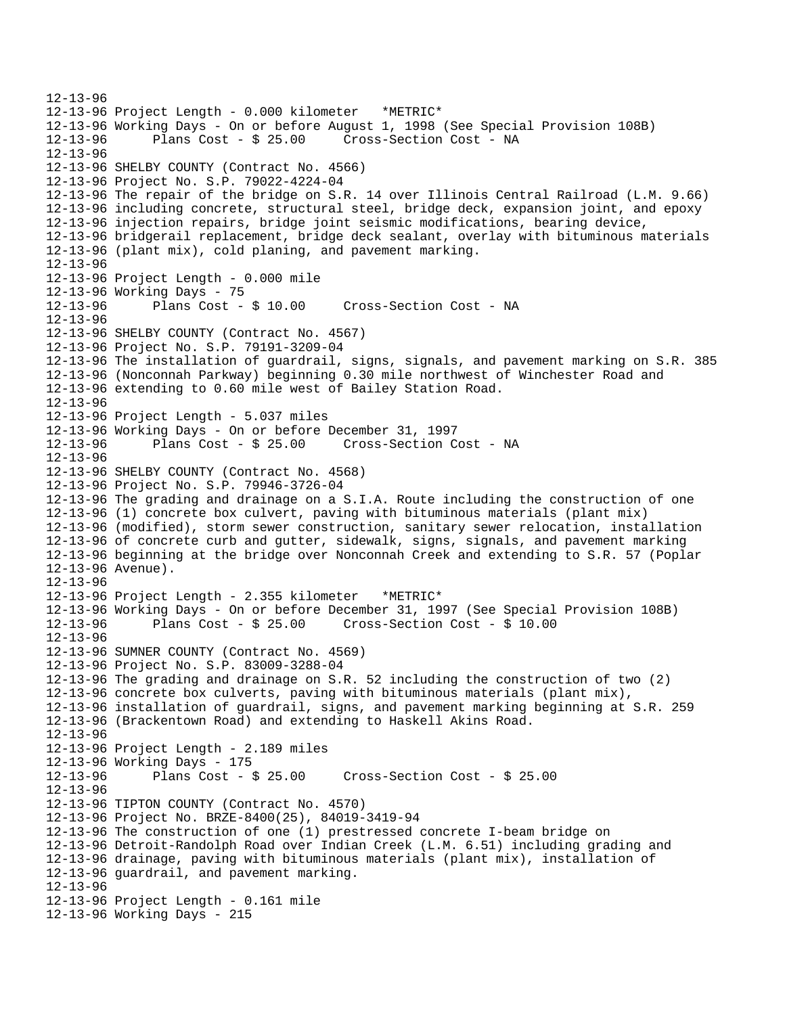12-13-96 12-13-96 Project Length - 0.000 kilometer \*METRIC\* 12-13-96 Working Days - On or before August 1, 1998 (See Special Provision 108B) 12-13-96 Plans Cost - \$ 25.00 Cross-Section Cost - NA 12-13-96 12-13-96 SHELBY COUNTY (Contract No. 4566) 12-13-96 Project No. S.P. 79022-4224-04 12-13-96 The repair of the bridge on S.R. 14 over Illinois Central Railroad (L.M. 9.66) 12-13-96 including concrete, structural steel, bridge deck, expansion joint, and epoxy 12-13-96 injection repairs, bridge joint seismic modifications, bearing device, 12-13-96 bridgerail replacement, bridge deck sealant, overlay with bituminous materials 12-13-96 (plant mix), cold planing, and pavement marking. 12-13-96 12-13-96 Project Length - 0.000 mile 12-13-96 Working Days - 75 12-13-96 Plans Cost - \$ 10.00 Cross-Section Cost - NA 12-13-96 12-13-96 SHELBY COUNTY (Contract No. 4567) 12-13-96 Project No. S.P. 79191-3209-04 12-13-96 The installation of guardrail, signs, signals, and pavement marking on S.R. 385 12-13-96 (Nonconnah Parkway) beginning 0.30 mile northwest of Winchester Road and 12-13-96 extending to 0.60 mile west of Bailey Station Road. 12-13-96 12-13-96 Project Length - 5.037 miles 12-13-96 Working Days - On or before December 31, 1997 12-13-96 Plans Cost - \$ 25.00 Cross-Section Cost - NA 12-13-96 12-13-96 SHELBY COUNTY (Contract No. 4568) 12-13-96 Project No. S.P. 79946-3726-04 12-13-96 The grading and drainage on a S.I.A. Route including the construction of one 12-13-96 (1) concrete box culvert, paving with bituminous materials (plant mix) 12-13-96 (modified), storm sewer construction, sanitary sewer relocation, installation 12-13-96 of concrete curb and gutter, sidewalk, signs, signals, and pavement marking 12-13-96 beginning at the bridge over Nonconnah Creek and extending to S.R. 57 (Poplar 12-13-96 Avenue). 12-13-96 12-13-96 Project Length - 2.355 kilometer \*METRIC\* 12-13-96 Working Days - On or before December 31, 1997 (See Special Provision 108B) 12-13-96 Plans Cost - \$ 25.00 Cross-Section Cost - \$ 10.00 12-13-96 12-13-96 SUMNER COUNTY (Contract No. 4569) 12-13-96 Project No. S.P. 83009-3288-04 12-13-96 The grading and drainage on S.R. 52 including the construction of two (2) 12-13-96 concrete box culverts, paving with bituminous materials (plant mix), 12-13-96 installation of guardrail, signs, and pavement marking beginning at S.R. 259 12-13-96 (Brackentown Road) and extending to Haskell Akins Road. 12-13-96 12-13-96 Project Length - 2.189 miles 12-13-96 Working Days - 175 12-13-96 Plans Cost - \$ 25.00 Cross-Section Cost - \$ 25.00 12-13-96 12-13-96 TIPTON COUNTY (Contract No. 4570) 12-13-96 Project No. BRZE-8400(25), 84019-3419-94 12-13-96 The construction of one (1) prestressed concrete I-beam bridge on 12-13-96 Detroit-Randolph Road over Indian Creek (L.M. 6.51) including grading and 12-13-96 drainage, paving with bituminous materials (plant mix), installation of 12-13-96 guardrail, and pavement marking. 12-13-96 12-13-96 Project Length - 0.161 mile 12-13-96 Working Days - 215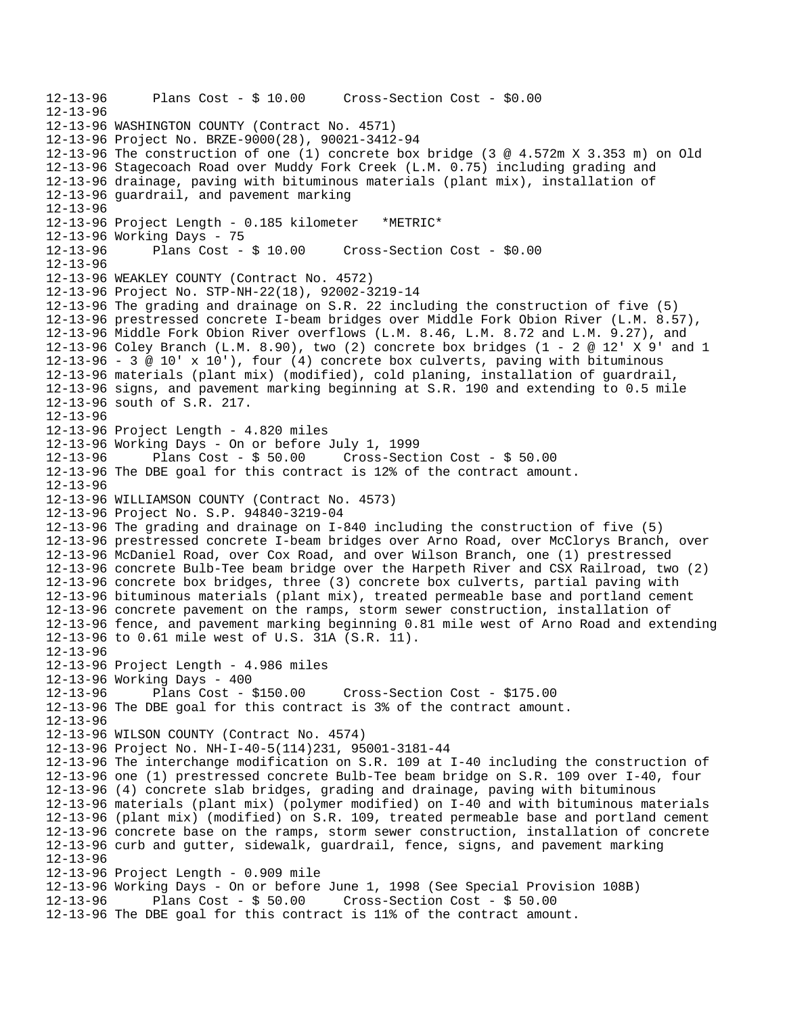12-13-96 Plans Cost - \$ 10.00 Cross-Section Cost - \$0.00 12-13-96 12-13-96 WASHINGTON COUNTY (Contract No. 4571) 12-13-96 Project No. BRZE-9000(28), 90021-3412-94 12-13-96 The construction of one (1) concrete box bridge (3 @ 4.572m X 3.353 m) on Old 12-13-96 Stagecoach Road over Muddy Fork Creek (L.M. 0.75) including grading and 12-13-96 drainage, paving with bituminous materials (plant mix), installation of 12-13-96 guardrail, and pavement marking 12-13-96 12-13-96 Project Length - 0.185 kilometer \*METRIC\* 12-13-96 Working Days - 75 12-13-96 Plans Cost - \$ 10.00 Cross-Section Cost - \$0.00 12-13-96 12-13-96 WEAKLEY COUNTY (Contract No. 4572) 12-13-96 Project No. STP-NH-22(18), 92002-3219-14 12-13-96 The grading and drainage on S.R. 22 including the construction of five (5) 12-13-96 prestressed concrete I-beam bridges over Middle Fork Obion River (L.M. 8.57), 12-13-96 Middle Fork Obion River overflows (L.M. 8.46, L.M. 8.72 and L.M. 9.27), and 12-13-96 Coley Branch (L.M. 8.90), two (2) concrete box bridges (1 - 2 @ 12' X 9' and 1 12-13-96 - 3  $\textcircled{a}$  10' x 10'), four (4) concrete box culverts, paving with bituminous 12-13-96 materials (plant mix) (modified), cold planing, installation of guardrail, 12-13-96 signs, and pavement marking beginning at S.R. 190 and extending to 0.5 mile 12-13-96 south of S.R. 217. 12-13-96 12-13-96 Project Length - 4.820 miles 12-13-96 Working Days - On or before July 1, 1999 12-13-96 Plans Cost - \$ 50.00 Cross-Section Cost - \$ 50.00 12-13-96 The DBE goal for this contract is 12% of the contract amount. 12-13-96 12-13-96 WILLIAMSON COUNTY (Contract No. 4573) 12-13-96 Project No. S.P. 94840-3219-04 12-13-96 The grading and drainage on I-840 including the construction of five (5) 12-13-96 prestressed concrete I-beam bridges over Arno Road, over McClorys Branch, over 12-13-96 McDaniel Road, over Cox Road, and over Wilson Branch, one (1) prestressed 12-13-96 concrete Bulb-Tee beam bridge over the Harpeth River and CSX Railroad, two (2) 12-13-96 concrete box bridges, three (3) concrete box culverts, partial paving with 12-13-96 bituminous materials (plant mix), treated permeable base and portland cement 12-13-96 concrete pavement on the ramps, storm sewer construction, installation of 12-13-96 fence, and pavement marking beginning 0.81 mile west of Arno Road and extending 12-13-96 to 0.61 mile west of U.S. 31A (S.R. 11). 12-13-96 12-13-96 Project Length - 4.986 miles 12-13-96 Working Days - 400 12-13-96 Plans Cost - \$150.00 Cross-Section Cost - \$175.00 12-13-96 The DBE goal for this contract is 3% of the contract amount. 12-13-96 12-13-96 WILSON COUNTY (Contract No. 4574) 12-13-96 Project No. NH-I-40-5(114)231, 95001-3181-44 12-13-96 The interchange modification on S.R. 109 at I-40 including the construction of 12-13-96 one (1) prestressed concrete Bulb-Tee beam bridge on S.R. 109 over I-40, four 12-13-96 (4) concrete slab bridges, grading and drainage, paving with bituminous 12-13-96 materials (plant mix) (polymer modified) on I-40 and with bituminous materials 12-13-96 (plant mix) (modified) on S.R. 109, treated permeable base and portland cement 12-13-96 concrete base on the ramps, storm sewer construction, installation of concrete 12-13-96 curb and gutter, sidewalk, guardrail, fence, signs, and pavement marking 12-13-96 12-13-96 Project Length - 0.909 mile  $12-13-96$  Working Days - On or before June 1, 1998 (See Special Provision 108B)<br> $12-13-96$  Plans Cost - \$ 50.00 Cross-Section Cost - \$ 50.00 Plans Cost -  $$50.00$  Cross-Section Cost -  $$50.00$ 12-13-96 The DBE goal for this contract is 11% of the contract amount.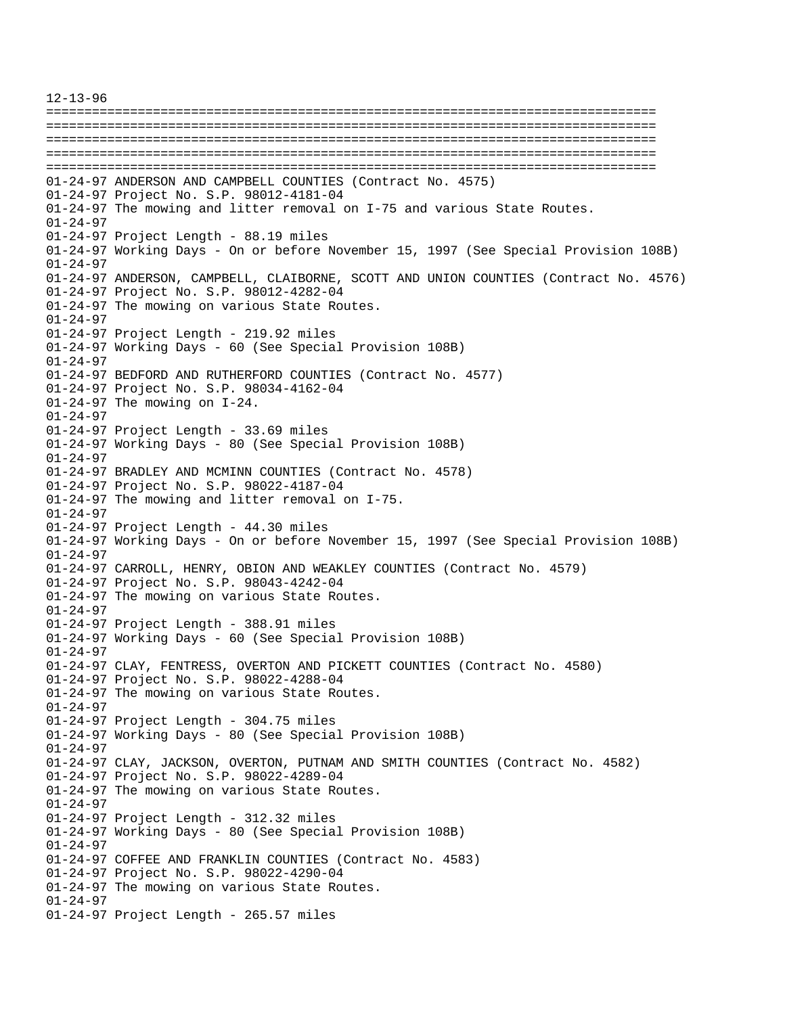12-13-96 ================================================================================ ================================================================================ ================================================================================ ================================================================================ ================================================================================ 01-24-97 ANDERSON AND CAMPBELL COUNTIES (Contract No. 4575) 01-24-97 Project No. S.P. 98012-4181-04 01-24-97 The mowing and litter removal on I-75 and various State Routes. 01-24-97 01-24-97 Project Length - 88.19 miles 01-24-97 Working Days - On or before November 15, 1997 (See Special Provision 108B) 01-24-97 01-24-97 ANDERSON, CAMPBELL, CLAIBORNE, SCOTT AND UNION COUNTIES (Contract No. 4576) 01-24-97 Project No. S.P. 98012-4282-04 01-24-97 The mowing on various State Routes. 01-24-97 01-24-97 Project Length - 219.92 miles 01-24-97 Working Days - 60 (See Special Provision 108B) 01-24-97 01-24-97 BEDFORD AND RUTHERFORD COUNTIES (Contract No. 4577) 01-24-97 Project No. S.P. 98034-4162-04 01-24-97 The mowing on I-24. 01-24-97 01-24-97 Project Length - 33.69 miles 01-24-97 Working Days - 80 (See Special Provision 108B) 01-24-97 01-24-97 BRADLEY AND MCMINN COUNTIES (Contract No. 4578) 01-24-97 Project No. S.P. 98022-4187-04 01-24-97 The mowing and litter removal on I-75. 01-24-97 01-24-97 Project Length - 44.30 miles 01-24-97 Working Days - On or before November 15, 1997 (See Special Provision 108B) 01-24-97 01-24-97 CARROLL, HENRY, OBION AND WEAKLEY COUNTIES (Contract No. 4579) 01-24-97 Project No. S.P. 98043-4242-04 01-24-97 The mowing on various State Routes. 01-24-97 01-24-97 Project Length - 388.91 miles 01-24-97 Working Days - 60 (See Special Provision 108B) 01-24-97 01-24-97 CLAY, FENTRESS, OVERTON AND PICKETT COUNTIES (Contract No. 4580) 01-24-97 Project No. S.P. 98022-4288-04 01-24-97 The mowing on various State Routes. 01-24-97 01-24-97 Project Length - 304.75 miles 01-24-97 Working Days - 80 (See Special Provision 108B) 01-24-97 01-24-97 CLAY, JACKSON, OVERTON, PUTNAM AND SMITH COUNTIES (Contract No. 4582) 01-24-97 Project No. S.P. 98022-4289-04 01-24-97 The mowing on various State Routes. 01-24-97 01-24-97 Project Length - 312.32 miles 01-24-97 Working Days - 80 (See Special Provision 108B) 01-24-97 01-24-97 COFFEE AND FRANKLIN COUNTIES (Contract No. 4583) 01-24-97 Project No. S.P. 98022-4290-04 01-24-97 The mowing on various State Routes. 01-24-97 01-24-97 Project Length - 265.57 miles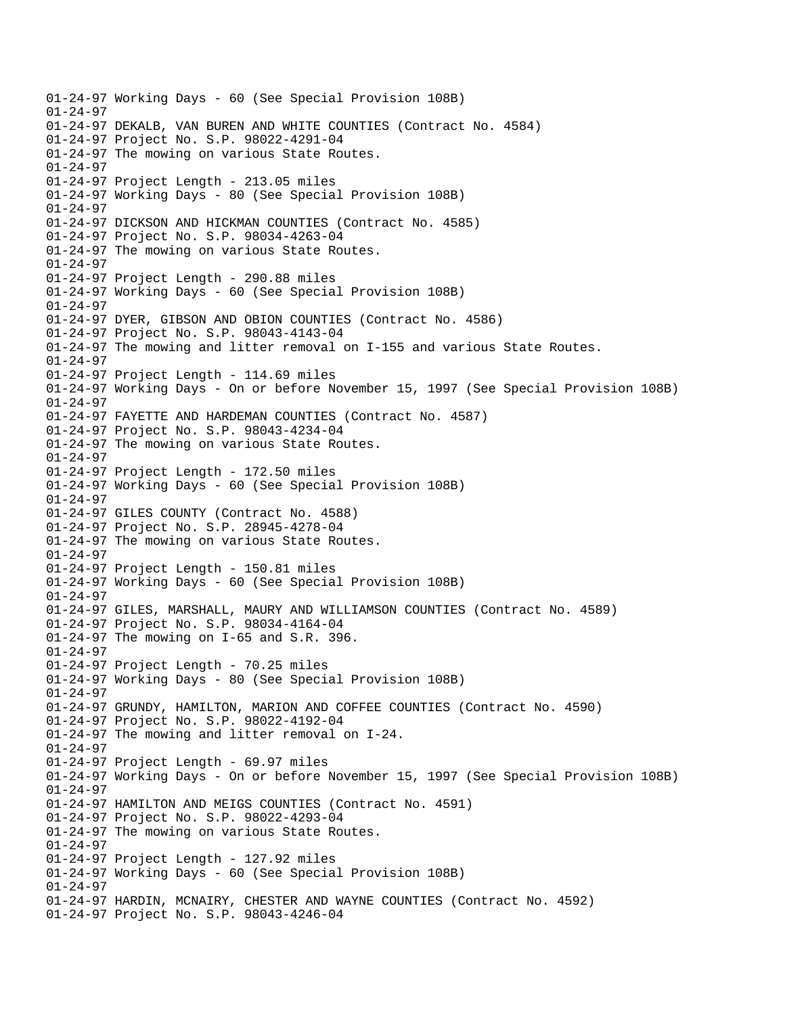01-24-97 Working Days - 60 (See Special Provision 108B) 01-24-97 01-24-97 DEKALB, VAN BUREN AND WHITE COUNTIES (Contract No. 4584) 01-24-97 Project No. S.P. 98022-4291-04 01-24-97 The mowing on various State Routes. 01-24-97 01-24-97 Project Length - 213.05 miles 01-24-97 Working Days - 80 (See Special Provision 108B) 01-24-97 01-24-97 DICKSON AND HICKMAN COUNTIES (Contract No. 4585) 01-24-97 Project No. S.P. 98034-4263-04 01-24-97 The mowing on various State Routes. 01-24-97 01-24-97 Project Length - 290.88 miles 01-24-97 Working Days - 60 (See Special Provision 108B) 01-24-97 01-24-97 DYER, GIBSON AND OBION COUNTIES (Contract No. 4586) 01-24-97 Project No. S.P. 98043-4143-04 01-24-97 The mowing and litter removal on I-155 and various State Routes. 01-24-97 01-24-97 Project Length - 114.69 miles 01-24-97 Working Days - On or before November 15, 1997 (See Special Provision 108B)  $01 - 24 - 97$ 01-24-97 FAYETTE AND HARDEMAN COUNTIES (Contract No. 4587) 01-24-97 Project No. S.P. 98043-4234-04 01-24-97 The mowing on various State Routes. 01-24-97 01-24-97 Project Length - 172.50 miles 01-24-97 Working Days - 60 (See Special Provision 108B) 01-24-97 01-24-97 GILES COUNTY (Contract No. 4588) 01-24-97 Project No. S.P. 28945-4278-04 01-24-97 The mowing on various State Routes. 01-24-97 01-24-97 Project Length - 150.81 miles 01-24-97 Working Days - 60 (See Special Provision 108B) 01-24-97 01-24-97 GILES, MARSHALL, MAURY AND WILLIAMSON COUNTIES (Contract No. 4589) 01-24-97 Project No. S.P. 98034-4164-04 01-24-97 The mowing on I-65 and S.R. 396. 01-24-97 01-24-97 Project Length - 70.25 miles 01-24-97 Working Days - 80 (See Special Provision 108B) 01-24-97 01-24-97 GRUNDY, HAMILTON, MARION AND COFFEE COUNTIES (Contract No. 4590) 01-24-97 Project No. S.P. 98022-4192-04 01-24-97 The mowing and litter removal on I-24. 01-24-97 01-24-97 Project Length - 69.97 miles 01-24-97 Working Days - On or before November 15, 1997 (See Special Provision 108B) 01-24-97 01-24-97 HAMILTON AND MEIGS COUNTIES (Contract No. 4591) 01-24-97 Project No. S.P. 98022-4293-04 01-24-97 The mowing on various State Routes. 01-24-97 01-24-97 Project Length - 127.92 miles 01-24-97 Working Days - 60 (See Special Provision 108B) 01-24-97 01-24-97 HARDIN, MCNAIRY, CHESTER AND WAYNE COUNTIES (Contract No. 4592) 01-24-97 Project No. S.P. 98043-4246-04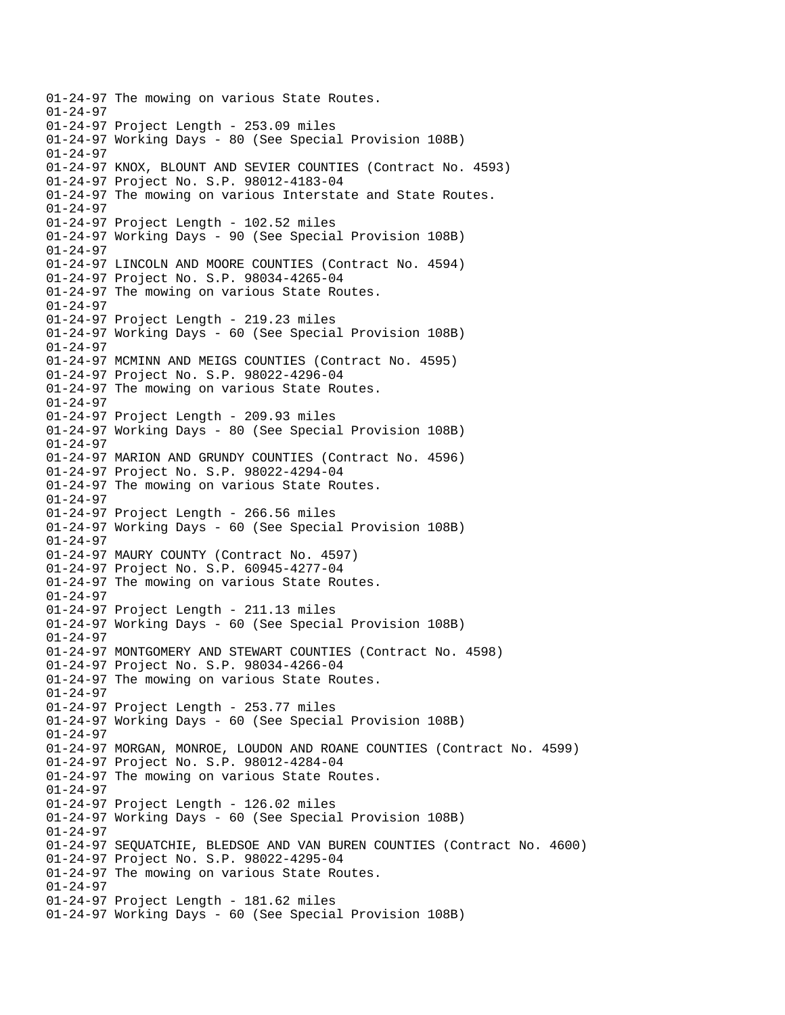01-24-97 The mowing on various State Routes. 01-24-97 01-24-97 Project Length - 253.09 miles 01-24-97 Working Days - 80 (See Special Provision 108B) 01-24-97 01-24-97 KNOX, BLOUNT AND SEVIER COUNTIES (Contract No. 4593) 01-24-97 Project No. S.P. 98012-4183-04 01-24-97 The mowing on various Interstate and State Routes. 01-24-97 01-24-97 Project Length - 102.52 miles 01-24-97 Working Days - 90 (See Special Provision 108B) 01-24-97 01-24-97 LINCOLN AND MOORE COUNTIES (Contract No. 4594) 01-24-97 Project No. S.P. 98034-4265-04 01-24-97 The mowing on various State Routes. 01-24-97 01-24-97 Project Length - 219.23 miles 01-24-97 Working Days - 60 (See Special Provision 108B) 01-24-97 01-24-97 MCMINN AND MEIGS COUNTIES (Contract No. 4595) 01-24-97 Project No. S.P. 98022-4296-04 01-24-97 The mowing on various State Routes. 01-24-97 01-24-97 Project Length - 209.93 miles 01-24-97 Working Days - 80 (See Special Provision 108B) 01-24-97 01-24-97 MARION AND GRUNDY COUNTIES (Contract No. 4596) 01-24-97 Project No. S.P. 98022-4294-04 01-24-97 The mowing on various State Routes. 01-24-97 01-24-97 Project Length - 266.56 miles 01-24-97 Working Days - 60 (See Special Provision 108B) 01-24-97 01-24-97 MAURY COUNTY (Contract No. 4597) 01-24-97 Project No. S.P. 60945-4277-04 01-24-97 The mowing on various State Routes. 01-24-97 01-24-97 Project Length - 211.13 miles 01-24-97 Working Days - 60 (See Special Provision 108B) 01-24-97 01-24-97 MONTGOMERY AND STEWART COUNTIES (Contract No. 4598) 01-24-97 Project No. S.P. 98034-4266-04 01-24-97 The mowing on various State Routes. 01-24-97 01-24-97 Project Length - 253.77 miles 01-24-97 Working Days - 60 (See Special Provision 108B) 01-24-97 01-24-97 MORGAN, MONROE, LOUDON AND ROANE COUNTIES (Contract No. 4599) 01-24-97 Project No. S.P. 98012-4284-04 01-24-97 The mowing on various State Routes. 01-24-97 01-24-97 Project Length - 126.02 miles 01-24-97 Working Days - 60 (See Special Provision 108B) 01-24-97 01-24-97 SEQUATCHIE, BLEDSOE AND VAN BUREN COUNTIES (Contract No. 4600) 01-24-97 Project No. S.P. 98022-4295-04 01-24-97 The mowing on various State Routes. 01-24-97 01-24-97 Project Length - 181.62 miles 01-24-97 Working Days - 60 (See Special Provision 108B)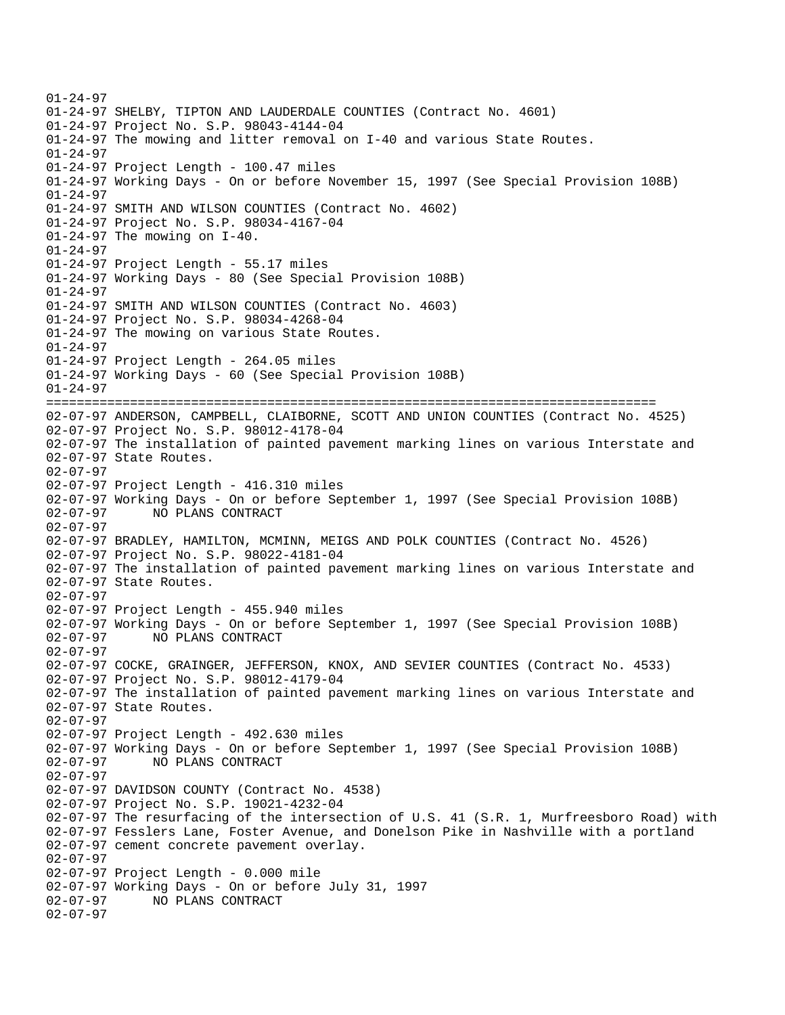01-24-97 01-24-97 SHELBY, TIPTON AND LAUDERDALE COUNTIES (Contract No. 4601) 01-24-97 Project No. S.P. 98043-4144-04 01-24-97 The mowing and litter removal on I-40 and various State Routes. 01-24-97 01-24-97 Project Length - 100.47 miles 01-24-97 Working Days - On or before November 15, 1997 (See Special Provision 108B) 01-24-97 01-24-97 SMITH AND WILSON COUNTIES (Contract No. 4602) 01-24-97 Project No. S.P. 98034-4167-04 01-24-97 The mowing on I-40. 01-24-97 01-24-97 Project Length - 55.17 miles 01-24-97 Working Days - 80 (See Special Provision 108B) 01-24-97 01-24-97 SMITH AND WILSON COUNTIES (Contract No. 4603) 01-24-97 Project No. S.P. 98034-4268-04 01-24-97 The mowing on various State Routes. 01-24-97 01-24-97 Project Length - 264.05 miles 01-24-97 Working Days - 60 (See Special Provision 108B) 01-24-97 ================================================================================ 02-07-97 ANDERSON, CAMPBELL, CLAIBORNE, SCOTT AND UNION COUNTIES (Contract No. 4525) 02-07-97 Project No. S.P. 98012-4178-04 02-07-97 The installation of painted pavement marking lines on various Interstate and 02-07-97 State Routes. 02-07-97 02-07-97 Project Length - 416.310 miles 02-07-97 Working Days - On or before September 1, 1997 (See Special Provision 108B) 02-07-97 NO PLANS CONTRACT 02-07-97 02-07-97 BRADLEY, HAMILTON, MCMINN, MEIGS AND POLK COUNTIES (Contract No. 4526) 02-07-97 Project No. S.P. 98022-4181-04 02-07-97 The installation of painted pavement marking lines on various Interstate and 02-07-97 State Routes. 02-07-97 02-07-97 Project Length - 455.940 miles 02-07-97 Working Days - On or before September 1, 1997 (See Special Provision 108B) 02-07-97 NO PLANS CONTRACT 02-07-97 02-07-97 COCKE, GRAINGER, JEFFERSON, KNOX, AND SEVIER COUNTIES (Contract No. 4533) 02-07-97 Project No. S.P. 98012-4179-04 02-07-97 The installation of painted pavement marking lines on various Interstate and 02-07-97 State Routes. 02-07-97 02-07-97 Project Length - 492.630 miles 02-07-97 Working Days - On or before September 1, 1997 (See Special Provision 108B)<br>02-07-97 NO PLANS CONTRACT 02-07-97 NO PLANS CONTRACT 02-07-97 02-07-97 DAVIDSON COUNTY (Contract No. 4538) 02-07-97 Project No. S.P. 19021-4232-04 02-07-97 The resurfacing of the intersection of U.S. 41 (S.R. 1, Murfreesboro Road) with 02-07-97 Fesslers Lane, Foster Avenue, and Donelson Pike in Nashville with a portland 02-07-97 cement concrete pavement overlay. 02-07-97 02-07-97 Project Length - 0.000 mile 02-07-97 Working Days - On or before July 31, 1997<br>02-07-97 NO PLANS CONTRACT 02-07-97 NO PLANS CONTRACT 02-07-97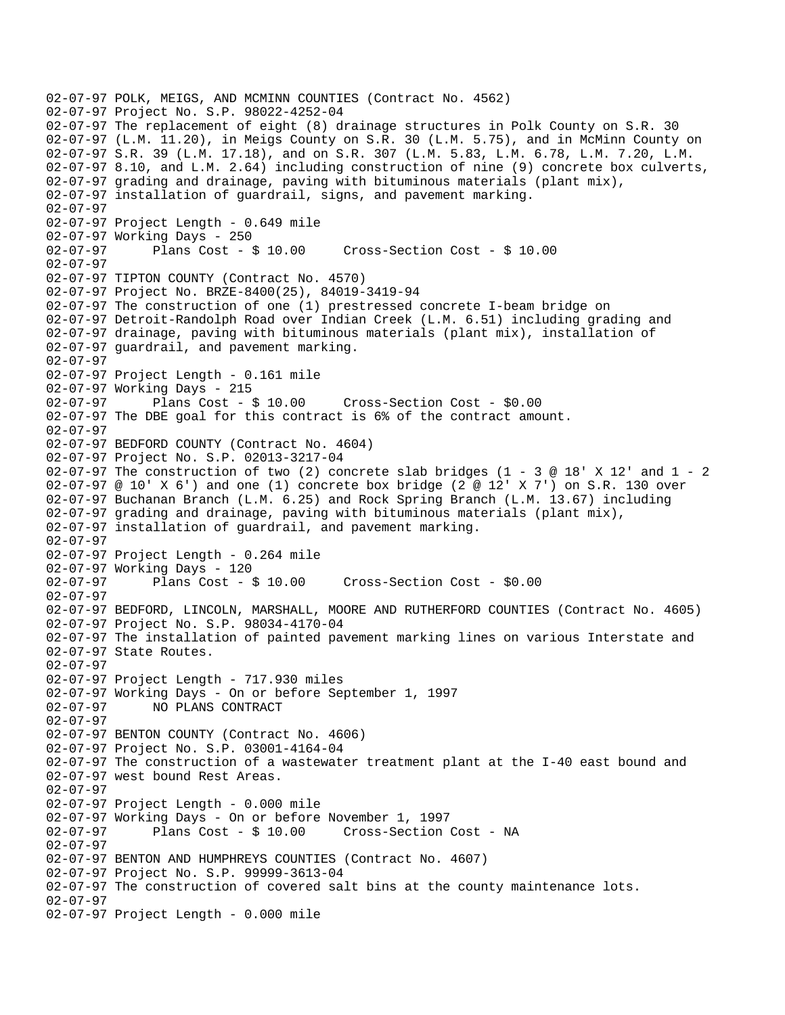```
02-07-97 POLK, MEIGS, AND MCMINN COUNTIES (Contract No. 4562) 
02-07-97 Project No. S.P. 98022-4252-04 
02-07-97 The replacement of eight (8) drainage structures in Polk County on S.R. 30 
02-07-97 (L.M. 11.20), in Meigs County on S.R. 30 (L.M. 5.75), and in McMinn County on 
02-07-97 S.R. 39 (L.M. 17.18), and on S.R. 307 (L.M. 5.83, L.M. 6.78, L.M. 7.20, L.M. 
02-07-97 8.10, and L.M. 2.64) including construction of nine (9) concrete box culverts, 
02-07-97 grading and drainage, paving with bituminous materials (plant mix), 
02-07-97 installation of guardrail, signs, and pavement marking. 
02-07-97 
02-07-97 Project Length - 0.649 mile
02-07-97 Working Days - 250 
02-07-97 Plans Cost - $ 10.00 Cross-Section Cost - $ 10.00 
02-07-97 
02-07-97 TIPTON COUNTY (Contract No. 4570) 
02-07-97 Project No. BRZE-8400(25), 84019-3419-94 
02-07-97 The construction of one (1) prestressed concrete I-beam bridge on 
02-07-97 Detroit-Randolph Road over Indian Creek (L.M. 6.51) including grading and 
02-07-97 drainage, paving with bituminous materials (plant mix), installation of 
02-07-97 guardrail, and pavement marking. 
02-07-97 
02-07-97 Project Length - 0.161 mile 
02-07-97 Working Days - 215<br>02-07-97 Plans Cost - $ 10.00
02-07-97 Plans Cost - $ 10.00 Cross-Section Cost - $0.00 
02-07-97 The DBE goal for this contract is 6% of the contract amount. 
02-07-97 
02-07-97 BEDFORD COUNTY (Contract No. 4604) 
02-07-97 Project No. S.P. 02013-3217-04 
02-07-97 The construction of two (2) concrete slab bridges (1 - 3 @ 18' X 12' and 1 - 2
02-07-97 @ 10' X 6') and one (1) concrete box bridge (2 @ 12' X 7') on S.R. 130 over 
02-07-97 Buchanan Branch (L.M. 6.25) and Rock Spring Branch (L.M. 13.67) including 
02-07-97 grading and drainage, paving with bituminous materials (plant mix), 
02-07-97 installation of guardrail, and pavement marking. 
02-07-97 
02-07-97 Project Length - 0.264 mile 
02-07-97 Working Days - 120 
02-07-97 Plans Cost - $ 10.00 Cross-Section Cost - $0.00 
02-07-97 
02-07-97 BEDFORD, LINCOLN, MARSHALL, MOORE AND RUTHERFORD COUNTIES (Contract No. 4605) 
02-07-97 Project No. S.P. 98034-4170-04 
02-07-97 The installation of painted pavement marking lines on various Interstate and 
02-07-97 State Routes. 
02-07-97 
02-07-97 Project Length - 717.930 miles 
02-07-97 Working Days - On or before September 1, 1997 
02-07-97 NO PLANS CONTRACT 
02-07-97 
02-07-97 BENTON COUNTY (Contract No. 4606) 
02-07-97 Project No. S.P. 03001-4164-04 
02-07-97 The construction of a wastewater treatment plant at the I-40 east bound and 
02-07-97 west bound Rest Areas. 
02-07-97 
02-07-97 Project Length - 0.000 mile 
02-07-97 Working Days - On or before November 1, 1997 
02-07-97 Plans Cost - $ 10.00 Cross-Section Cost - NA 
02-07-97 
02-07-97 BENTON AND HUMPHREYS COUNTIES (Contract No. 4607) 
02-07-97 Project No. S.P. 99999-3613-04 
02-07-97 The construction of covered salt bins at the county maintenance lots. 
02-07-97 
02-07-97 Project Length - 0.000 mile
```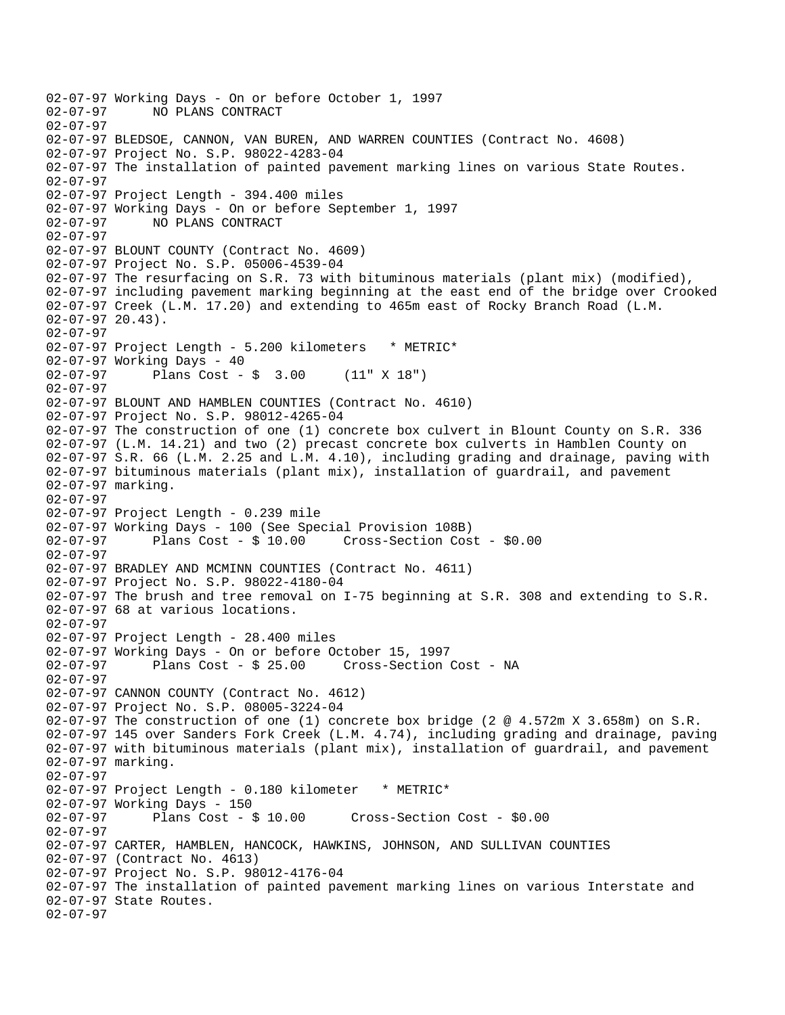```
02-07-97 Working Days - On or before October 1, 1997<br>02-07-97     NO PLANS CONTRACT
              02-07-97 NO PLANS CONTRACT 
02-07-97 
02-07-97 BLEDSOE, CANNON, VAN BUREN, AND WARREN COUNTIES (Contract No. 4608) 
02-07-97 Project No. S.P. 98022-4283-04 
02-07-97 The installation of painted pavement marking lines on various State Routes. 
02-07-97 
02-07-97 Project Length - 394.400 miles 
02-07-97 Working Days - On or before September 1, 1997 
02-07-97 NO PLANS CONTRACT 
02-07-97 
02-07-97 BLOUNT COUNTY (Contract No. 4609) 
02-07-97 Project No. S.P. 05006-4539-04 
02-07-97 The resurfacing on S.R. 73 with bituminous materials (plant mix) (modified), 
02-07-97 including pavement marking beginning at the east end of the bridge over Crooked 
02-07-97 Creek (L.M. 17.20) and extending to 465m east of Rocky Branch Road (L.M. 
02-07-97 20.43). 
02-07-97 
02-07-97 Project Length - 5.200 kilometers * METRIC* 
02-07-97 Working Days - 40 
02-07-97 Plans Cost - $ 3.00 (11" X 18") 
02-07-97 
02-07-97 BLOUNT AND HAMBLEN COUNTIES (Contract No. 4610) 
02-07-97 Project No. S.P. 98012-4265-04 
02-07-97 The construction of one (1) concrete box culvert in Blount County on S.R. 336 
02-07-97 (L.M. 14.21) and two (2) precast concrete box culverts in Hamblen County on 
02-07-97 S.R. 66 (L.M. 2.25 and L.M. 4.10), including grading and drainage, paving with 
02-07-97 bituminous materials (plant mix), installation of guardrail, and pavement 
02-07-97 marking. 
02-07-97 
02-07-97 Project Length - 0.239 mile 
02-07-97 Working Days - 100 (See Special Provision 108B) 
                                       Cross-Section Cost - $0.00
02-07-97 
02-07-97 BRADLEY AND MCMINN COUNTIES (Contract No. 4611) 
02-07-97 Project No. S.P. 98022-4180-04 
02-07-97 The brush and tree removal on I-75 beginning at S.R. 308 and extending to S.R. 
02-07-97 68 at various locations. 
02-07-97 
02-07-97 Project Length - 28.400 miles 
02-07-97 Working Days - On or before October 15, 1997 
02-07-97 Plans Cost - $ 25.00 Cross-Section Cost - NA 
02-07-97 
02-07-97 CANNON COUNTY (Contract No. 4612) 
02-07-97 Project No. S.P. 08005-3224-04 
02-07-97 The construction of one (1) concrete box bridge (2 @ 4.572m X 3.658m) on S.R. 
02-07-97 145 over Sanders Fork Creek (L.M. 4.74), including grading and drainage, paving 
02-07-97 with bituminous materials (plant mix), installation of guardrail, and pavement 
02-07-97 marking. 
02-07-97 
02-07-97 Project Length - 0.180 kilometer * METRIC*
02-07-97 Working Days - 150 
02-07-97 Plans Cost - $ 10.00 Cross-Section Cost - $0.00 
02-07-97 
02-07-97 CARTER, HAMBLEN, HANCOCK, HAWKINS, JOHNSON, AND SULLIVAN COUNTIES 
02-07-97 (Contract No. 4613) 
02-07-97 Project No. S.P. 98012-4176-04 
02-07-97 The installation of painted pavement marking lines on various Interstate and 
02-07-97 State Routes. 
02-07-97
```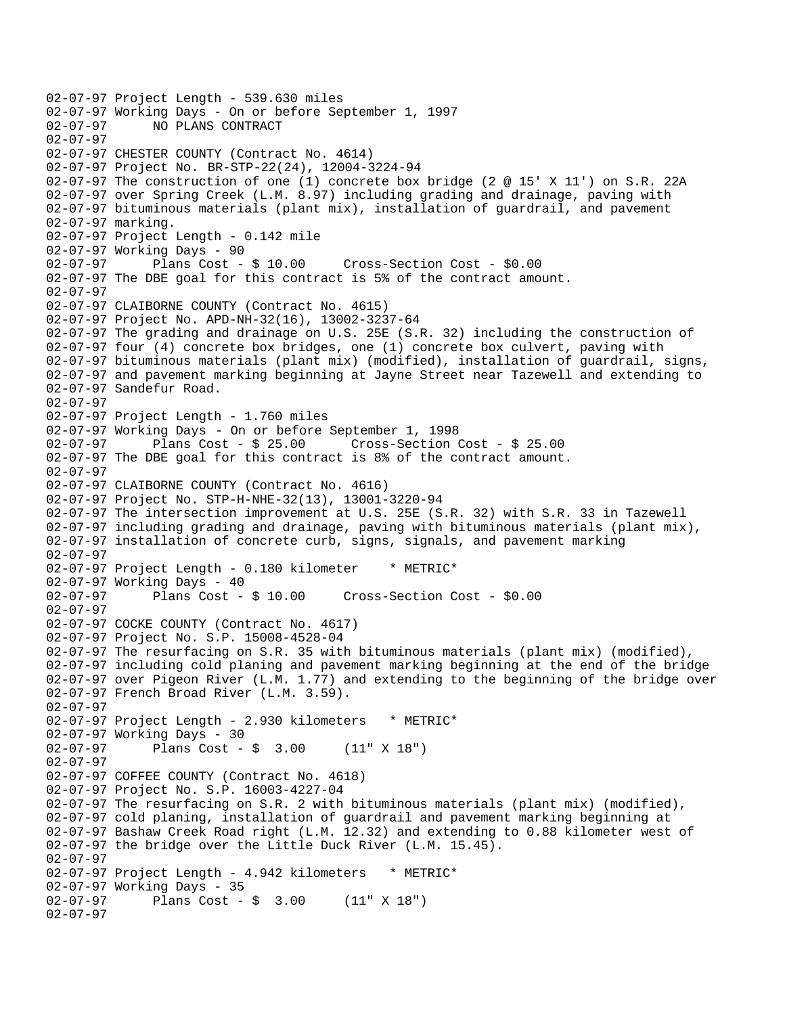```
02-07-97 Project Length - 539.630 miles 
02-07-97 Working Days - On or before September 1, 1997<br>02-07-97 NO PLANS CONTRACT
              02-07-97 NO PLANS CONTRACT 
02-07-97 
02-07-97 CHESTER COUNTY (Contract No. 4614) 
02-07-97 Project No. BR-STP-22(24), 12004-3224-94 
02-07-97 The construction of one (1) concrete box bridge (2 @ 15' X 11') on S.R. 22A 
02-07-97 over Spring Creek (L.M. 8.97) including grading and drainage, paving with 
02-07-97 bituminous materials (plant mix), installation of guardrail, and pavement 
02-07-97 marking. 
02-07-97 Project Length - 0.142 mile 
02-07-97 Working Days - 90<br>02-07-97 Plans Cost - $ 10.00
02-07-97 Plans Cost - $ 10.00 Cross-Section Cost - $0.00 
02-07-97 The DBE goal for this contract is 5% of the contract amount. 
02-07-97 
02-07-97 CLAIBORNE COUNTY (Contract No. 4615) 
02-07-97 Project No. APD-NH-32(16), 13002-3237-64 
02-07-97 The grading and drainage on U.S. 25E (S.R. 32) including the construction of 
02-07-97 four (4) concrete box bridges, one (1) concrete box culvert, paving with 
02-07-97 bituminous materials (plant mix) (modified), installation of guardrail, signs, 
02-07-97 and pavement marking beginning at Jayne Street near Tazewell and extending to 
02-07-97 Sandefur Road. 
02-07-97 
02-07-97 Project Length - 1.760 miles 
02-07-97 Working Days - On or before September 1, 1998 
02-07-97 Plans Cost - $ 25.00 Cross-Section Cost - $ 25.00 
02-07-97 The DBE goal for this contract is 8% of the contract amount. 
02-07-97 
02-07-97 CLAIBORNE COUNTY (Contract No. 4616) 
02-07-97 Project No. STP-H-NHE-32(13), 13001-3220-94 
02-07-97 The intersection improvement at U.S. 25E (S.R. 32) with S.R. 33 in Tazewell 
02-07-97 including grading and drainage, paving with bituminous materials (plant mix), 
02-07-97 installation of concrete curb, signs, signals, and pavement marking 
02-07-97 
02-07-97 Project Length - 0.180 kilometer * METRIC*
02-07-97 Working Days - 40 
02-07-97 Plans Cost - $ 10.00 Cross-Section Cost - $0.00 
02-07-97 
02-07-97 COCKE COUNTY (Contract No. 4617) 
02-07-97 Project No. S.P. 15008-4528-04 
02-07-97 The resurfacing on S.R. 35 with bituminous materials (plant mix) (modified), 
02-07-97 including cold planing and pavement marking beginning at the end of the bridge 
02-07-97 over Pigeon River (L.M. 1.77) and extending to the beginning of the bridge over 
02-07-97 French Broad River (L.M. 3.59). 
02-07-97 
02-07-97 Project Length - 2.930 kilometers * METRIC*
02-07-97 Working Days - 30<br>02-07-97 Plans Cost -
              Plans Cost - $ 3.00 (11" X 18")02-07-97 
02-07-97 COFFEE COUNTY (Contract No. 4618) 
02-07-97 Project No. S.P. 16003-4227-04 
02-07-97 The resurfacing on S.R. 2 with bituminous materials (plant mix) (modified), 
02-07-97 cold planing, installation of guardrail and pavement marking beginning at 
02-07-97 Bashaw Creek Road right (L.M. 12.32) and extending to 0.88 kilometer west of 
02-07-97 the bridge over the Little Duck River (L.M. 15.45). 
02-07-97 
02-07-97 Project Length - 4.942 kilometers * METRIC*
02-07-97 Working Days - 35<br>02-07-97 Plans Cost -
              Plans Cost - $ 3.00 (11" X 18")02-07-97
```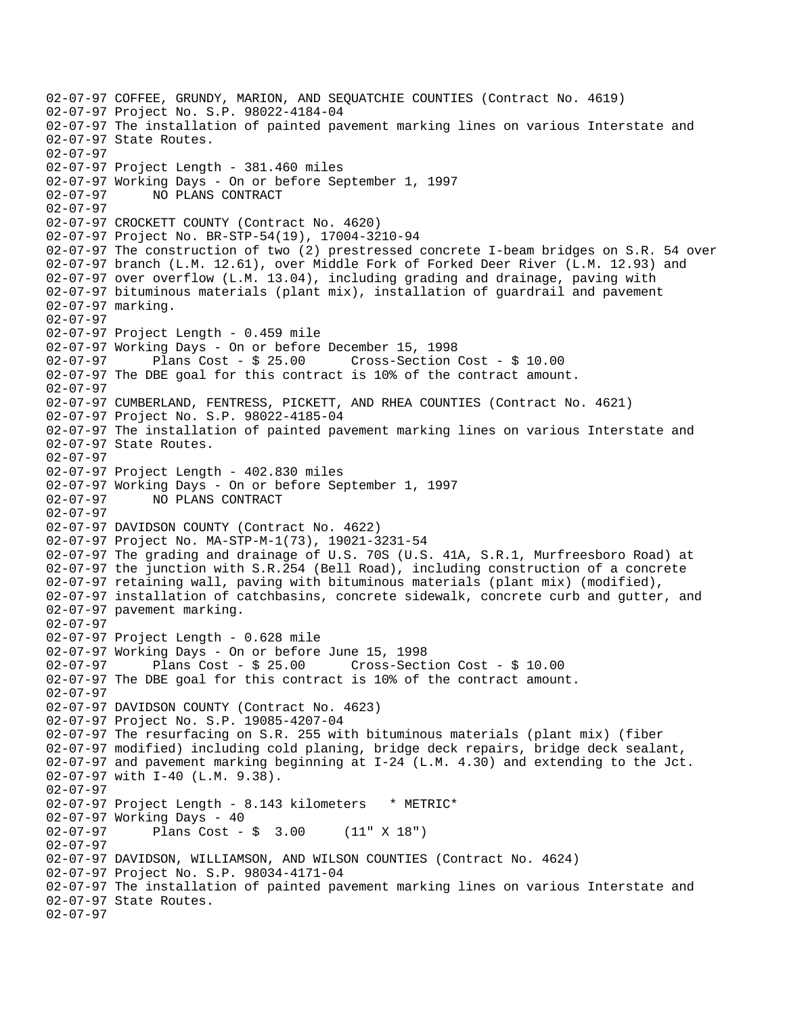```
02-07-97 COFFEE, GRUNDY, MARION, AND SEQUATCHIE COUNTIES (Contract No. 4619) 
02-07-97 Project No. S.P. 98022-4184-04 
02-07-97 The installation of painted pavement marking lines on various Interstate and 
02-07-97 State Routes. 
02-07-97 
02-07-97 Project Length - 381.460 miles 
02-07-97 Working Days - On or before September 1, 1997 
02-07-97 NO PLANS CONTRACT 
02-07-97 
02-07-97 CROCKETT COUNTY (Contract No. 4620) 
02-07-97 Project No. BR-STP-54(19), 17004-3210-94 
02-07-97 The construction of two (2) prestressed concrete I-beam bridges on S.R. 54 over 
02-07-97 branch (L.M. 12.61), over Middle Fork of Forked Deer River (L.M. 12.93) and 
02-07-97 over overflow (L.M. 13.04), including grading and drainage, paving with 
02-07-97 bituminous materials (plant mix), installation of guardrail and pavement 
02-07-97 marking. 
02-07-97 
02-07-97 Project Length - 0.459 mile 
02-07-97 Working Days - On or before December 15, 1998 
02-07-97 Plans Cost - $ 25.00 Cross-Section Cost - $ 10.00 
02-07-97 The DBE goal for this contract is 10% of the contract amount. 
02-07-97 
02-07-97 CUMBERLAND, FENTRESS, PICKETT, AND RHEA COUNTIES (Contract No. 4621) 
02-07-97 Project No. S.P. 98022-4185-04 
02-07-97 The installation of painted pavement marking lines on various Interstate and 
02-07-97 State Routes. 
02-07-97 
02-07-97 Project Length - 402.830 miles 
02-07-97 Working Days - On or before September 1, 1997 
02-07-97 NO PLANS CONTRACT 
02-07-97 
02-07-97 DAVIDSON COUNTY (Contract No. 4622) 
02-07-97 Project No. MA-STP-M-1(73), 19021-3231-54 
02-07-97 The grading and drainage of U.S. 70S (U.S. 41A, S.R.1, Murfreesboro Road) at 
02-07-97 the junction with S.R.254 (Bell Road), including construction of a concrete 
02-07-97 retaining wall, paving with bituminous materials (plant mix) (modified), 
02-07-97 installation of catchbasins, concrete sidewalk, concrete curb and gutter, and 
02-07-97 pavement marking. 
02-07-97 
02-07-97 Project Length - 0.628 mile 
02-07-97 Working Days - On or before June 15, 1998 
02-07-97 Plans Cost - $ 25.00 Cross-Section Cost - $ 10.00 
02-07-97 The DBE goal for this contract is 10% of the contract amount. 
02-07-97 
02-07-97 DAVIDSON COUNTY (Contract No. 4623) 
02-07-97 Project No. S.P. 19085-4207-04 
02-07-97 The resurfacing on S.R. 255 with bituminous materials (plant mix) (fiber 
02-07-97 modified) including cold planing, bridge deck repairs, bridge deck sealant, 
02-07-97 and pavement marking beginning at I-24 (L.M. 4.30) and extending to the Jct. 
02-07-97 with I-40 (L.M. 9.38). 
02-07-97 
02-07-97 Project Length - 8.143 kilometers * METRIC*
02-07-97 Working Days - 40 
02-07-97 Plans Cost - $ 3.00 (11" X 18") 
02-07-97 
02-07-97 DAVIDSON, WILLIAMSON, AND WILSON COUNTIES (Contract No. 4624) 
02-07-97 Project No. S.P. 98034-4171-04 
02-07-97 The installation of painted pavement marking lines on various Interstate and 
02-07-97 State Routes. 
02-07-97
```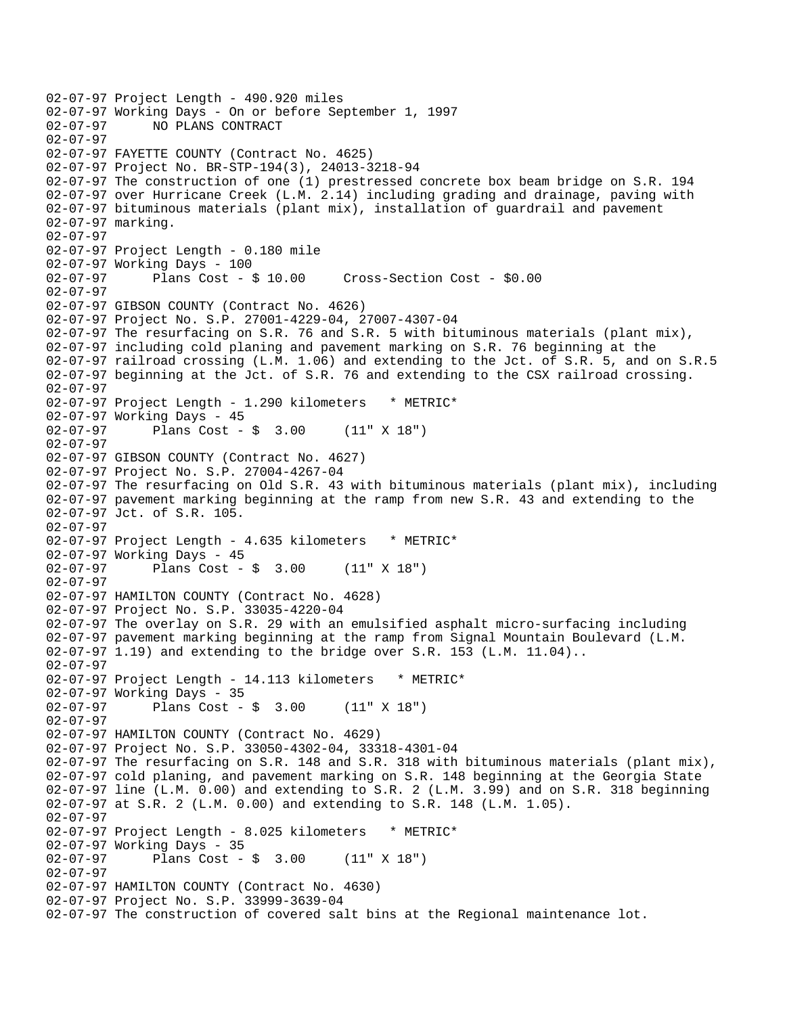```
02-07-97 Project Length - 490.920 miles 
02-07-97 Working Days - On or before September 1, 1997<br>02-07-97 NO PLANS CONTRACT
              02-07-97 NO PLANS CONTRACT 
02-07-97 
02-07-97 FAYETTE COUNTY (Contract No. 4625) 
02-07-97 Project No. BR-STP-194(3), 24013-3218-94 
02-07-97 The construction of one (1) prestressed concrete box beam bridge on S.R. 194 
02-07-97 over Hurricane Creek (L.M. 2.14) including grading and drainage, paving with 
02-07-97 bituminous materials (plant mix), installation of guardrail and pavement 
02-07-97 marking. 
02-07-97 
02-07-97 Project Length - 0.180 mile 
02-07-97 Working Days - 100 
02-07-97 Plans Cost - $ 10.00 Cross-Section Cost - $0.00 
02-07-97 
02-07-97 GIBSON COUNTY (Contract No. 4626) 
02-07-97 Project No. S.P. 27001-4229-04, 27007-4307-04 
02-07-97 The resurfacing on S.R. 76 and S.R. 5 with bituminous materials (plant mix), 
02-07-97 including cold planing and pavement marking on S.R. 76 beginning at the 
02-07-97 railroad crossing (L.M. 1.06) and extending to the Jct. of S.R. 5, and on S.R.5 
02-07-97 beginning at the Jct. of S.R. 76 and extending to the CSX railroad crossing. 
02-07-97 
02-07-97 Project Length - 1.290 kilometers * METRIC*
02-07-97 Working Days - 45<br>02-07-97 Plans Cost -
              Plans Cost - $ 3.00 (11" X 18")
02-07-97 
02-07-97 GIBSON COUNTY (Contract No. 4627) 
02-07-97 Project No. S.P. 27004-4267-04 
02-07-97 The resurfacing on Old S.R. 43 with bituminous materials (plant mix), including 
02-07-97 pavement marking beginning at the ramp from new S.R. 43 and extending to the 
02-07-97 Jct. of S.R. 105. 
02-07-97 
02-07-97 Project Length - 4.635 kilometers * METRIC*
02-07-97 Working Days - 45<br>02-07-97 Plans Cost -
              Plans Cost - $ 3.00 (11" X 18")02-07-97 
02-07-97 HAMILTON COUNTY (Contract No. 4628) 
02-07-97 Project No. S.P. 33035-4220-04 
02-07-97 The overlay on S.R. 29 with an emulsified asphalt micro-surfacing including 
02-07-97 pavement marking beginning at the ramp from Signal Mountain Boulevard (L.M. 
02-07-97 1.19) and extending to the bridge over S.R. 153 (L.M. 11.04).. 
02-07-97 
02-07-97 Project Length - 14.113 kilometers * METRIC* 
02-07-97 Working Days - 35 
02-07-97 Plans Cost - $ 3.00 (11" X 18") 
02-07-97 
02-07-97 HAMILTON COUNTY (Contract No. 4629) 
02-07-97 Project No. S.P. 33050-4302-04, 33318-4301-04 
02-07-97 The resurfacing on S.R. 148 and S.R. 318 with bituminous materials (plant mix),
02-07-97 cold planing, and pavement marking on S.R. 148 beginning at the Georgia State 
02-07-97 line (L.M. 0.00) and extending to S.R. 2 (L.M. 3.99) and on S.R. 318 beginning 
02-07-97 at S.R. 2 (L.M. 0.00) and extending to S.R. 148 (L.M. 1.05). 
02-07-97 
02-07-97 Project Length - 8.025 kilometers * METRIC*
02-07-97 Working Days - 35 
02-07-97 Plans Cost - $ 3.00 (11" X 18") 
02-07-97 
02-07-97 HAMILTON COUNTY (Contract No. 4630) 
02-07-97 Project No. S.P. 33999-3639-04 
02-07-97 The construction of covered salt bins at the Regional maintenance lot.
```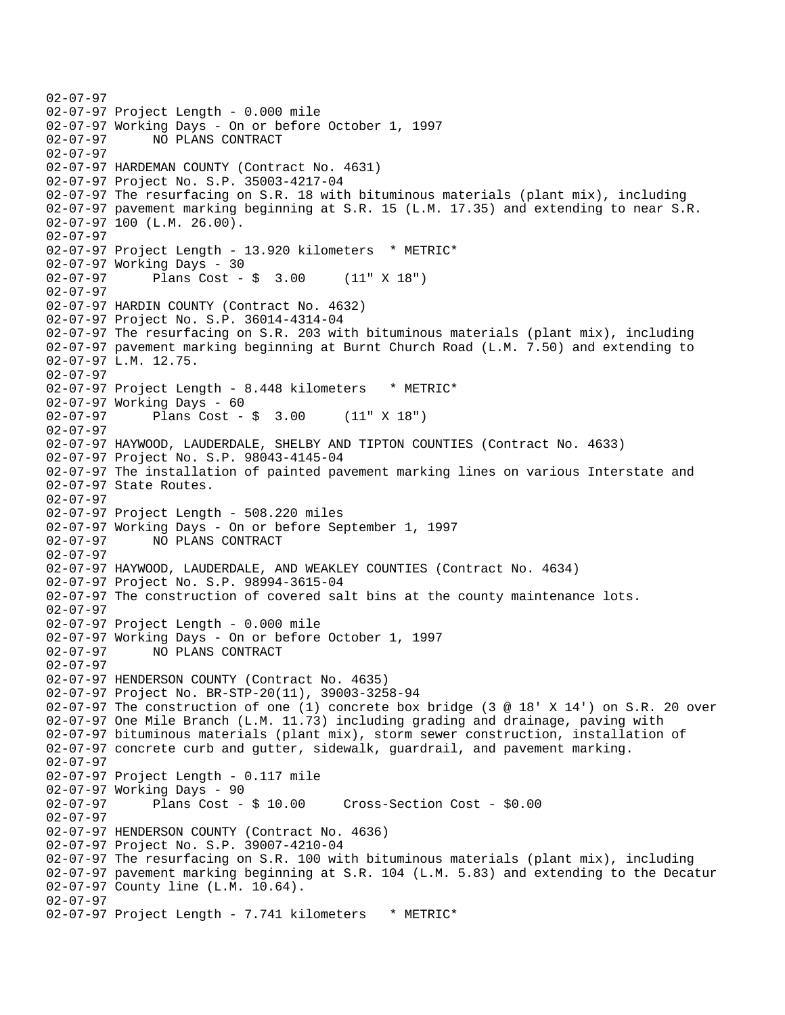```
02-07-97 
02-07-97 Project Length - 0.000 mile 
02-07-97 Working Days - On or before October 1, 1997 
02-07-97 NO PLANS CONTRACT 
02-07-97 
02-07-97 HARDEMAN COUNTY (Contract No. 4631) 
02-07-97 Project No. S.P. 35003-4217-04 
02-07-97 The resurfacing on S.R. 18 with bituminous materials (plant mix), including 
02-07-97 pavement marking beginning at S.R. 15 (L.M. 17.35) and extending to near S.R. 
02-07-97 100 (L.M. 26.00). 
02-07-97 
02-07-97 Project Length - 13.920 kilometers * METRIC* 
02-07-97 Working Days - 30 
02-07-97 Plans Cost - $ 3.00 (11" X 18") 
02-07-97 
02-07-97 HARDIN COUNTY (Contract No. 4632) 
02-07-97 Project No. S.P. 36014-4314-04 
02-07-97 The resurfacing on S.R. 203 with bituminous materials (plant mix), including 
02-07-97 pavement marking beginning at Burnt Church Road (L.M. 7.50) and extending to 
02-07-97 L.M. 12.75. 
02-07-97 
02-07-97 Project Length - 8.448 kilometers * METRIC*
02-07-97 Working Days - 60 
02-07-97 Plans Cost - $ 3.00 (11" X 18") 
02-07-97 
02-07-97 HAYWOOD, LAUDERDALE, SHELBY AND TIPTON COUNTIES (Contract No. 4633) 
02-07-97 Project No. S.P. 98043-4145-04 
02-07-97 The installation of painted pavement marking lines on various Interstate and 
02-07-97 State Routes. 
02-07-97 
02-07-97 Project Length - 508.220 miles 
02-07-97 Working Days - On or before September 1, 1997<br>02-07-97 MO PLANS CONTRACT
              02-07-97 NO PLANS CONTRACT 
02-07-97 
02-07-97 HAYWOOD, LAUDERDALE, AND WEAKLEY COUNTIES (Contract No. 4634) 
02-07-97 Project No. S.P. 98994-3615-04 
02-07-97 The construction of covered salt bins at the county maintenance lots. 
02-07-97 
02-07-97 Project Length - 0.000 mile 
02-07-97 Working Days - On or before October 1, 1997 
02-07-97 NO PLANS CONTRACT 
02-07-97 
02-07-97 HENDERSON COUNTY (Contract No. 4635) 
02-07-97 Project No. BR-STP-20(11), 39003-3258-94 
02-07-97 The construction of one (1) concrete box bridge (3 @ 18' X 14') on S.R. 20 over 
02-07-97 One Mile Branch (L.M. 11.73) including grading and drainage, paving with 
02-07-97 bituminous materials (plant mix), storm sewer construction, installation of 
02-07-97 concrete curb and gutter, sidewalk, guardrail, and pavement marking. 
02-07-97 
02-07-97 Project Length - 0.117 mile 
02-07-97 Working Days - 90 
02-07-97 Plans Cost - $ 10.00 Cross-Section Cost - $0.00 
02-07-97 
02-07-97 HENDERSON COUNTY (Contract No. 4636) 
02-07-97 Project No. S.P. 39007-4210-04 
02-07-97 The resurfacing on S.R. 100 with bituminous materials (plant mix), including 
02-07-97 pavement marking beginning at S.R. 104 (L.M. 5.83) and extending to the Decatur 
02-07-97 County line (L.M. 10.64). 
02-07-97 
02-07-97 Project Length - 7.741 kilometers * METRIC*
```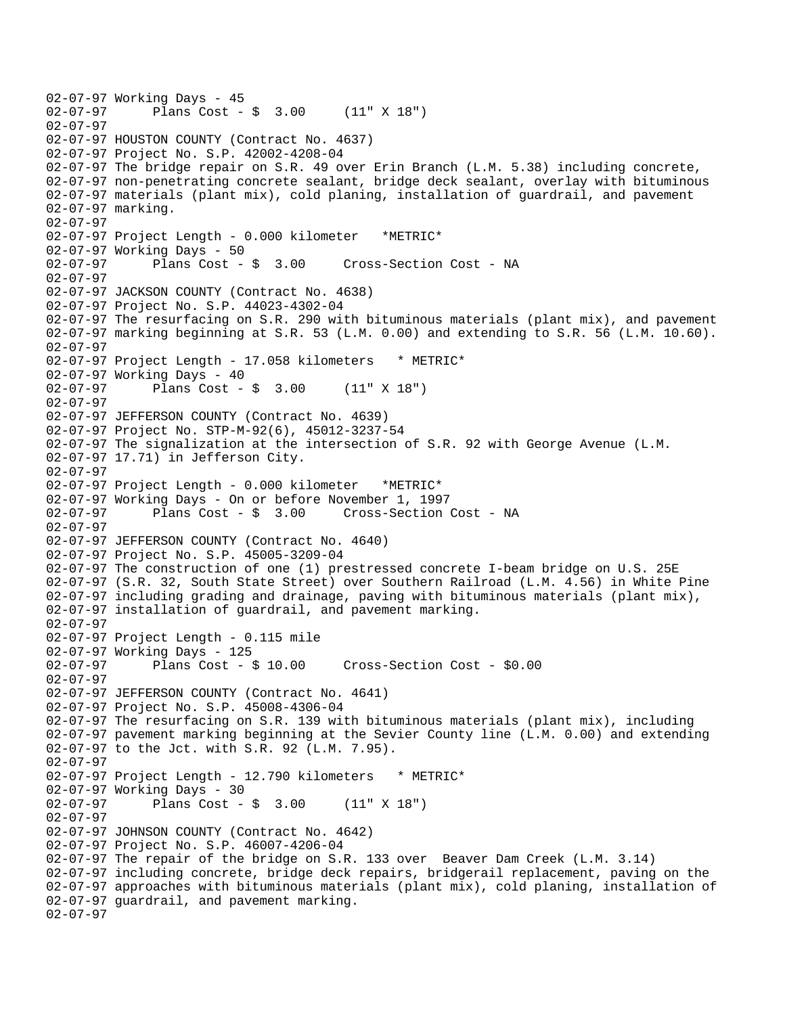```
02-07-97 Working Days - 45<br>02-07-97 Plans Cost -
              Plans Cost - $ 3.00 (11" X 18")02-07-97 
02-07-97 HOUSTON COUNTY (Contract No. 4637) 
02-07-97 Project No. S.P. 42002-4208-04 
02-07-97 The bridge repair on S.R. 49 over Erin Branch (L.M. 5.38) including concrete, 
02-07-97 non-penetrating concrete sealant, bridge deck sealant, overlay with bituminous 
02-07-97 materials (plant mix), cold planing, installation of guardrail, and pavement 
02-07-97 marking. 
02-07-97 
02-07-97 Project Length - 0.000 kilometer *METRIC* 
02-07-97 Working Days - 50 
02-07-97 Plans Cost - $ 3.00 Cross-Section Cost - NA 
02-07-97 
02-07-97 JACKSON COUNTY (Contract No. 4638) 
02-07-97 Project No. S.P. 44023-4302-04 
02-07-97 The resurfacing on S.R. 290 with bituminous materials (plant mix), and pavement 
02-07-97 marking beginning at S.R. 53 (L.M. 0.00) and extending to S.R. 56 (L.M. 10.60). 
02-07-97 
02-07-97 Project Length - 17.058 kilometers * METRIC* 
02-07-97 Working Days - 40 
02-07-97 Plans Cost - $ 3.00 (11" X 18") 
02-07-97 
02-07-97 JEFFERSON COUNTY (Contract No. 4639) 
02-07-97 Project No. STP-M-92(6), 45012-3237-54 
02-07-97 The signalization at the intersection of S.R. 92 with George Avenue (L.M. 
02-07-97 17.71) in Jefferson City. 
02-07-97 
02-07-97 Project Length - 0.000 kilometer *METRIC* 
02-07-97 Working Days - On or before November 1, 1997 
02-07-97 Plans Cost - $ 3.00 Cross-Section Cost - NA 
02-07-97 
02-07-97 JEFFERSON COUNTY (Contract No. 4640) 
02-07-97 Project No. S.P. 45005-3209-04 
02-07-97 The construction of one (1) prestressed concrete I-beam bridge on U.S. 25E 
02-07-97 (S.R. 32, South State Street) over Southern Railroad (L.M. 4.56) in White Pine 
02-07-97 including grading and drainage, paving with bituminous materials (plant mix), 
02-07-97 installation of guardrail, and pavement marking. 
02-07-97 
02-07-97 Project Length - 0.115 mile 
02-07-97 Working Days - 125 
02-07-97 Plans Cost - $ 10.00 Cross-Section Cost - $0.00 
02-07-97 
02-07-97 JEFFERSON COUNTY (Contract No. 4641) 
02-07-97 Project No. S.P. 45008-4306-04 
02-07-97 The resurfacing on S.R. 139 with bituminous materials (plant mix), including 
02-07-97 pavement marking beginning at the Sevier County line (L.M. 0.00) and extending 
02-07-97 to the Jct. with S.R. 92 (L.M. 7.95). 
02-07-97 
02-07-97 Project Length - 12.790 kilometers * METRIC*
02-07-97 Working Days - 30 
02-07-97 Plans Cost - $ 3.00 (11" X 18") 
02-07-97 
02-07-97 JOHNSON COUNTY (Contract No. 4642) 
02-07-97 Project No. S.P. 46007-4206-04 
02-07-97 The repair of the bridge on S.R. 133 over Beaver Dam Creek (L.M. 3.14) 
02-07-97 including concrete, bridge deck repairs, bridgerail replacement, paving on the 
02-07-97 approaches with bituminous materials (plant mix), cold planing, installation of 
02-07-97 guardrail, and pavement marking. 
02-07-97
```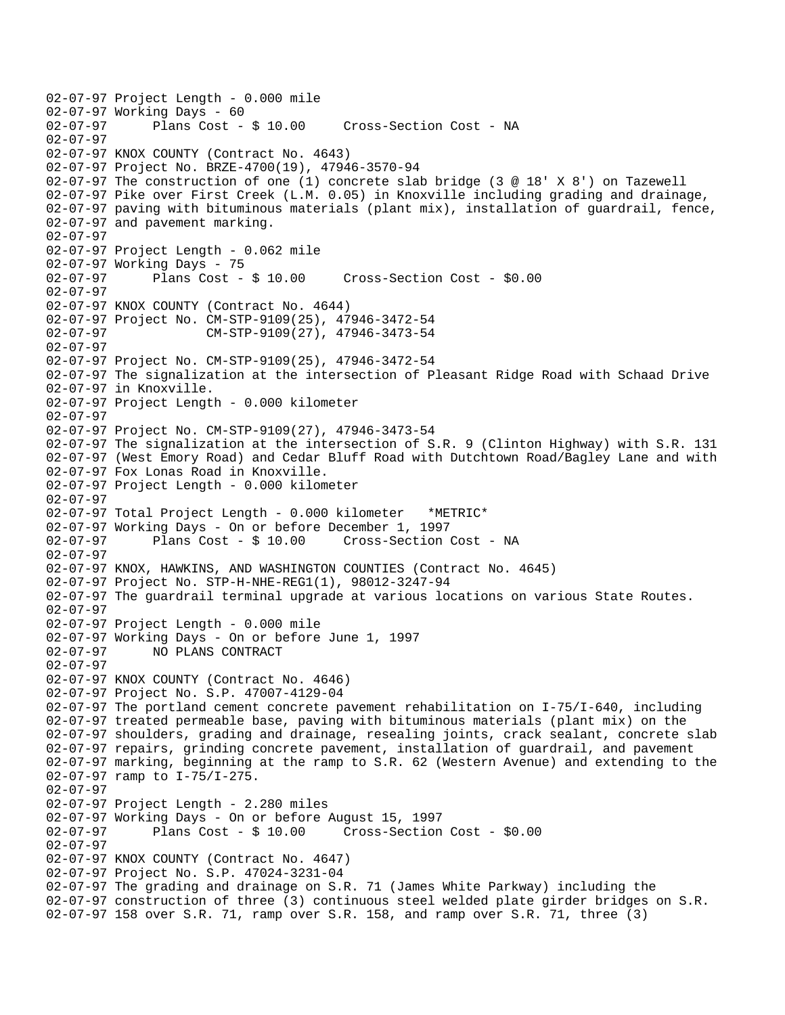```
02-07-97 Project Length - 0.000 mile 
02-07-97 Working Days - 60<br>02-07-97 Plans Cost - $ 10.00
                                        Cross-Section Cost - NA
02-07-97 
02-07-97 KNOX COUNTY (Contract No. 4643) 
02-07-97 Project No. BRZE-4700(19), 47946-3570-94 
02-07-97 The construction of one (1) concrete slab bridge (3 @ 18' X 8') on Tazewell 
02-07-97 Pike over First Creek (L.M. 0.05) in Knoxville including grading and drainage, 
02-07-97 paving with bituminous materials (plant mix), installation of guardrail, fence, 
02-07-97 and pavement marking. 
02-07-97 
02-07-97 Project Length - 0.062 mile 
02-07-97 Working Days - 75 
02-07-97 Plans Cost - $ 10.00 Cross-Section Cost - $0.00 
02-07-97 
02-07-97 KNOX COUNTY (Contract No. 4644) 
02-07-97 Project No. CM-STP-9109(25), 47946-3472-54 
02-07-97 CM-STP-9109(27), 47946-3473-54 
02-07-97 
02-07-97 Project No. CM-STP-9109(25), 47946-3472-54 
02-07-97 The signalization at the intersection of Pleasant Ridge Road with Schaad Drive 
02-07-97 in Knoxville. 
02-07-97 Project Length - 0.000 kilometer 
02-07-97 
02-07-97 Project No. CM-STP-9109(27), 47946-3473-54 
02-07-97 The signalization at the intersection of S.R. 9 (Clinton Highway) with S.R. 131 
02-07-97 (West Emory Road) and Cedar Bluff Road with Dutchtown Road/Bagley Lane and with 
02-07-97 Fox Lonas Road in Knoxville. 
02-07-97 Project Length - 0.000 kilometer 
02-07-97 
02-07-97 Total Project Length - 0.000 kilometer *METRIC* 
02-07-97 Working Days - On or before December 1, 1997<br>02-07-97 Plans Cost - $ 10.00 Cross-Section
                                        Cross-Section Cost - NA
02-07-97 
02-07-97 KNOX, HAWKINS, AND WASHINGTON COUNTIES (Contract No. 4645) 
02-07-97 Project No. STP-H-NHE-REG1(1), 98012-3247-94 
02-07-97 The guardrail terminal upgrade at various locations on various State Routes. 
02-07-97 
02-07-97 Project Length - 0.000 mile 
02-07-97 Working Days - On or before June 1, 1997 
02-07-97 NO PLANS CONTRACT 
02-07-97 
02-07-97 KNOX COUNTY (Contract No. 4646) 
02-07-97 Project No. S.P. 47007-4129-04 
02-07-97 The portland cement concrete pavement rehabilitation on I-75/I-640, including 
02-07-97 treated permeable base, paving with bituminous materials (plant mix) on the 
02-07-97 shoulders, grading and drainage, resealing joints, crack sealant, concrete slab 
02-07-97 repairs, grinding concrete pavement, installation of guardrail, and pavement 
02-07-97 marking, beginning at the ramp to S.R. 62 (Western Avenue) and extending to the 
02-07-97 ramp to I-75/I-275. 
02-07-97 
02-07-97 Project Length - 2.280 miles 
02-07-97 Working Days - On or before August 15, 1997 
02-07-97 Plans Cost - $ 10.00 Cross-Section Cost - $0.00 
02-07-97 
02-07-97 KNOX COUNTY (Contract No. 4647) 
02-07-97 Project No. S.P. 47024-3231-04 
02-07-97 The grading and drainage on S.R. 71 (James White Parkway) including the 
02-07-97 construction of three (3) continuous steel welded plate girder bridges on S.R. 
02-07-97 158 over S.R. 71, ramp over S.R. 158, and ramp over S.R. 71, three (3)
```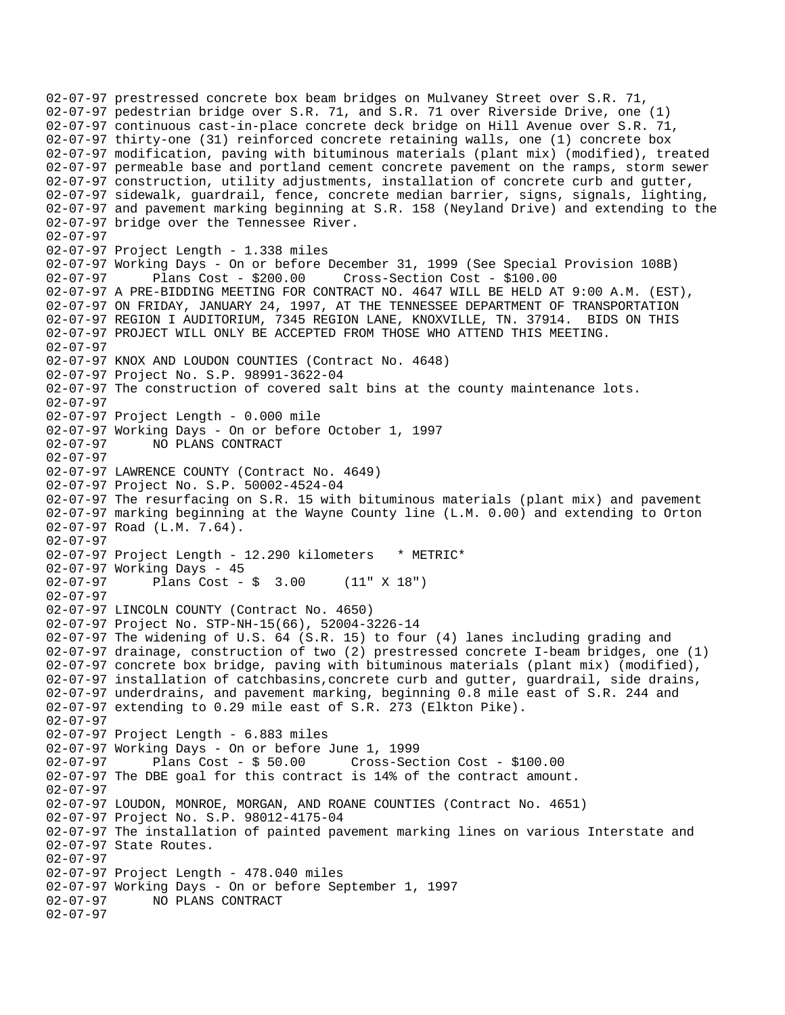02-07-97 prestressed concrete box beam bridges on Mulvaney Street over S.R. 71, 02-07-97 pedestrian bridge over S.R. 71, and S.R. 71 over Riverside Drive, one (1) 02-07-97 continuous cast-in-place concrete deck bridge on Hill Avenue over S.R. 71, 02-07-97 thirty-one (31) reinforced concrete retaining walls, one (1) concrete box 02-07-97 modification, paving with bituminous materials (plant mix) (modified), treated 02-07-97 permeable base and portland cement concrete pavement on the ramps, storm sewer 02-07-97 construction, utility adjustments, installation of concrete curb and gutter, 02-07-97 sidewalk, guardrail, fence, concrete median barrier, signs, signals, lighting, 02-07-97 and pavement marking beginning at S.R. 158 (Neyland Drive) and extending to the 02-07-97 bridge over the Tennessee River. 02-07-97 02-07-97 Project Length - 1.338 miles 02-07-97 Working Days - On or before December 31, 1999 (See Special Provision 108B) 02-07-97 Plans Cost - \$200.00 Cross-Section Cost - \$100.00 02-07-97 A PRE-BIDDING MEETING FOR CONTRACT NO. 4647 WILL BE HELD AT 9:00 A.M. (EST), 02-07-97 ON FRIDAY, JANUARY 24, 1997, AT THE TENNESSEE DEPARTMENT OF TRANSPORTATION 02-07-97 REGION I AUDITORIUM, 7345 REGION LANE, KNOXVILLE, TN. 37914. BIDS ON THIS 02-07-97 PROJECT WILL ONLY BE ACCEPTED FROM THOSE WHO ATTEND THIS MEETING. 02-07-97 02-07-97 KNOX AND LOUDON COUNTIES (Contract No. 4648) 02-07-97 Project No. S.P. 98991-3622-04 02-07-97 The construction of covered salt bins at the county maintenance lots. 02-07-97 02-07-97 Project Length - 0.000 mile 02-07-97 Working Days - On or before October 1, 1997 02-07-97 NO PLANS CONTRACT 02-07-97 02-07-97 LAWRENCE COUNTY (Contract No. 4649) 02-07-97 Project No. S.P. 50002-4524-04 02-07-97 The resurfacing on S.R. 15 with bituminous materials (plant mix) and pavement 02-07-97 marking beginning at the Wayne County line (L.M. 0.00) and extending to Orton 02-07-97 Road (L.M. 7.64). 02-07-97 02-07-97 Project Length - 12.290 kilometers \* METRIC\* 02-07-97 Working Days - 45 02-07-97 Plans Cost - \$ 3.00 (11" X 18") 02-07-97 02-07-97 LINCOLN COUNTY (Contract No. 4650) 02-07-97 Project No. STP-NH-15(66), 52004-3226-14 02-07-97 The widening of U.S. 64 (S.R. 15) to four (4) lanes including grading and 02-07-97 drainage, construction of two (2) prestressed concrete I-beam bridges, one (1) 02-07-97 concrete box bridge, paving with bituminous materials (plant mix) (modified), 02-07-97 installation of catchbasins,concrete curb and gutter, guardrail, side drains, 02-07-97 underdrains, and pavement marking, beginning 0.8 mile east of S.R. 244 and 02-07-97 extending to 0.29 mile east of S.R. 273 (Elkton Pike). 02-07-97 02-07-97 Project Length - 6.883 miles 02-07-97 Working Days - On or before June 1, 1999 Plans  $Cost - $ 50.00$  Cross-Section Cost - \$100.00 02-07-97 The DBE goal for this contract is 14% of the contract amount. 02-07-97 02-07-97 LOUDON, MONROE, MORGAN, AND ROANE COUNTIES (Contract No. 4651) 02-07-97 Project No. S.P. 98012-4175-04 02-07-97 The installation of painted pavement marking lines on various Interstate and 02-07-97 State Routes. 02-07-97 02-07-97 Project Length - 478.040 miles 02-07-97 Working Days - On or before September 1, 1997<br>02-07-97 MO PLANS CONTRACT 02-07-97 NO PLANS CONTRACT 02-07-97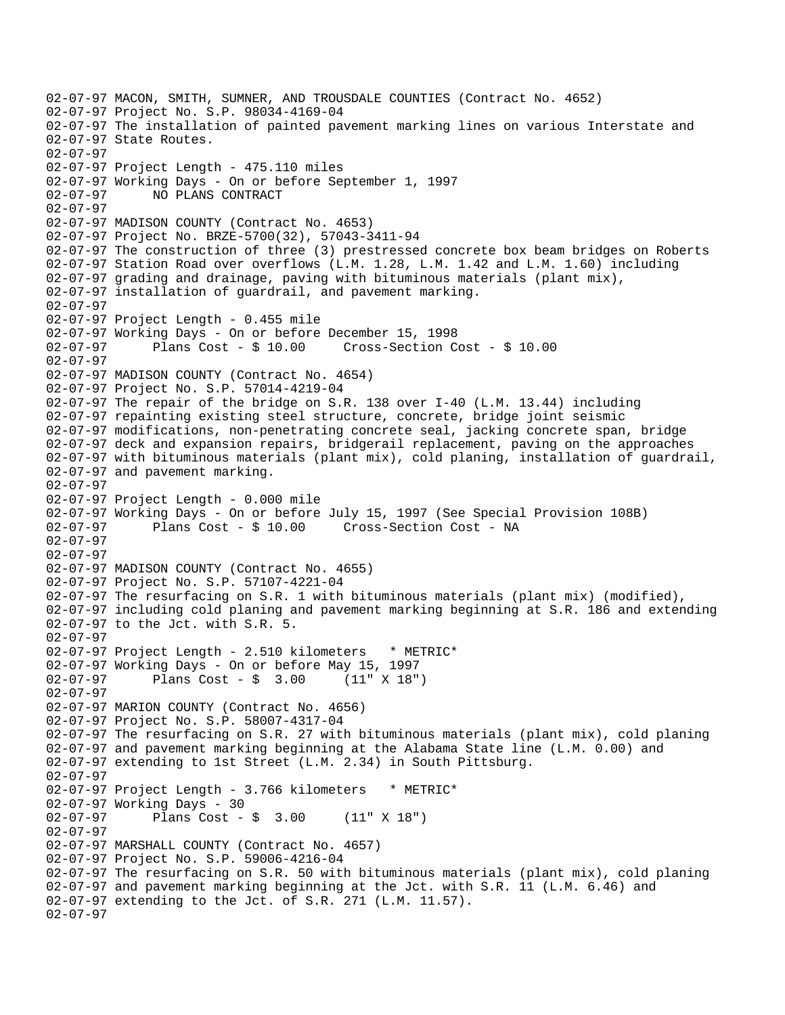```
02-07-97 MACON, SMITH, SUMNER, AND TROUSDALE COUNTIES (Contract No. 4652) 
02-07-97 Project No. S.P. 98034-4169-04 
02-07-97 The installation of painted pavement marking lines on various Interstate and 
02-07-97 State Routes. 
02-07-97 
02-07-97 Project Length - 475.110 miles 
02-07-97 Working Days - On or before September 1, 1997 
02-07-97 NO PLANS CONTRACT 
02-07-97 
02-07-97 MADISON COUNTY (Contract No. 4653) 
02-07-97 Project No. BRZE-5700(32), 57043-3411-94 
02-07-97 The construction of three (3) prestressed concrete box beam bridges on Roberts 
02-07-97 Station Road over overflows (L.M. 1.28, L.M. 1.42 and L.M. 1.60) including 
02-07-97 grading and drainage, paving with bituminous materials (plant mix), 
02-07-97 installation of guardrail, and pavement marking. 
02-07-97 
02-07-97 Project Length - 0.455 mile 
02-07-97 Working Days - On or before December 15, 1998 
02-07-97 Plans Cost - $ 10.00 Cross-Section Cost - $ 10.00 
02-07-97 
02-07-97 MADISON COUNTY (Contract No. 4654) 
02-07-97 Project No. S.P. 57014-4219-04 
02-07-97 The repair of the bridge on S.R. 138 over I-40 (L.M. 13.44) including 
02-07-97 repainting existing steel structure, concrete, bridge joint seismic 
02-07-97 modifications, non-penetrating concrete seal, jacking concrete span, bridge 
02-07-97 deck and expansion repairs, bridgerail replacement, paving on the approaches 
02-07-97 with bituminous materials (plant mix), cold planing, installation of guardrail, 
02-07-97 and pavement marking. 
02-07-97 
02-07-97 Project Length - 0.000 mile 
02-07-97 Working Days - On or before July 15, 1997 (See Special Provision 108B) 
02-07-97 Plans Cost - $ 10.00 Cross-Section Cost - NA 
02-07-97 
02-07-97 
02-07-97 MADISON COUNTY (Contract No. 4655) 
02-07-97 Project No. S.P. 57107-4221-04 
02-07-97 The resurfacing on S.R. 1 with bituminous materials (plant mix) (modified), 
02-07-97 including cold planing and pavement marking beginning at S.R. 186 and extending 
02-07-97 to the Jct. with S.R. 5. 
02-07-97 
02-07-97 Project Length - 2.510 kilometers * METRIC*
02-07-97 Working Days - On or before May 15, 1997 
02-07-97 Plans Cost - $ 3.00 (11" X 18") 
02-07-97 
02-07-97 MARION COUNTY (Contract No. 4656) 
02-07-97 Project No. S.P. 58007-4317-04 
02-07-97 The resurfacing on S.R. 27 with bituminous materials (plant mix), cold planing 
02-07-97 and pavement marking beginning at the Alabama State line (L.M. 0.00) and 
02-07-97 extending to 1st Street (L.M. 2.34) in South Pittsburg. 
02-07-97 
02-07-97 Project Length - 3.766 kilometers * METRIC*
02-07-97 Working Days - 30 
02-07-97 Plans Cost - $ 3.00 (11" X 18") 
02-07-97 
02-07-97 MARSHALL COUNTY (Contract No. 4657) 
02-07-97 Project No. S.P. 59006-4216-04 
02-07-97 The resurfacing on S.R. 50 with bituminous materials (plant mix), cold planing 
02-07-97 and pavement marking beginning at the Jct. with S.R. 11 (L.M. 6.46) and 
02-07-97 extending to the Jct. of S.R. 271 (L.M. 11.57). 
02-07-97
```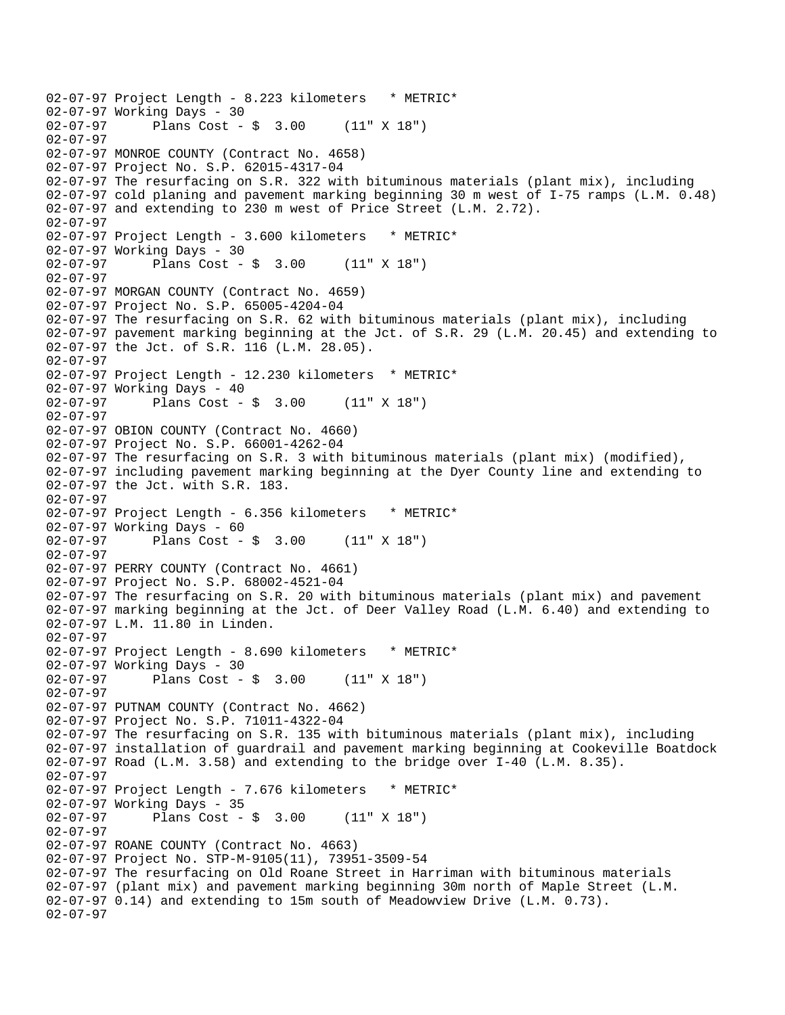02-07-97 Project Length - 8.223 kilometers \* METRIC\* 02-07-97 Working Days - 30<br>02-07-97 Plans Cost -Plans  $Cost - $ 3.00 (11" X 18")$ 02-07-97 02-07-97 MONROE COUNTY (Contract No. 4658) 02-07-97 Project No. S.P. 62015-4317-04 02-07-97 The resurfacing on S.R. 322 with bituminous materials (plant mix), including 02-07-97 cold planing and pavement marking beginning 30 m west of I-75 ramps (L.M. 0.48) 02-07-97 and extending to 230 m west of Price Street (L.M. 2.72). 02-07-97 02-07-97 Project Length - 3.600 kilometers \* METRIC\* 02-07-97 Working Days - 30 02-07-97 Plans Cost - \$ 3.00 (11" X 18") 02-07-97 02-07-97 MORGAN COUNTY (Contract No. 4659) 02-07-97 Project No. S.P. 65005-4204-04 02-07-97 The resurfacing on S.R. 62 with bituminous materials (plant mix), including 02-07-97 pavement marking beginning at the Jct. of S.R. 29 (L.M. 20.45) and extending to 02-07-97 the Jct. of S.R. 116 (L.M. 28.05). 02-07-97 02-07-97 Project Length - 12.230 kilometers \* METRIC\* 02-07-97 Working Days - 40 02-07-97 Plans Cost - \$ 3.00 (11" X 18") 02-07-97 02-07-97 OBION COUNTY (Contract No. 4660) 02-07-97 Project No. S.P. 66001-4262-04 02-07-97 The resurfacing on S.R. 3 with bituminous materials (plant mix) (modified), 02-07-97 including pavement marking beginning at the Dyer County line and extending to 02-07-97 the Jct. with S.R. 183. 02-07-97 02-07-97 Project Length - 6.356 kilometers \* METRIC\* 02-07-97 Working Days - 60<br>02-07-97 Plans Cost -Plans  $Cost - $ 3.00 (11" X 18")$ 02-07-97 02-07-97 PERRY COUNTY (Contract No. 4661) 02-07-97 Project No. S.P. 68002-4521-04 02-07-97 The resurfacing on S.R. 20 with bituminous materials (plant mix) and pavement 02-07-97 marking beginning at the Jct. of Deer Valley Road (L.M. 6.40) and extending to 02-07-97 L.M. 11.80 in Linden. 02-07-97 02-07-97 Project Length - 8.690 kilometers \* METRIC\* 02-07-97 Working Days - 30 02-07-97 Plans Cost - \$ 3.00 (11" X 18") 02-07-97 02-07-97 PUTNAM COUNTY (Contract No. 4662) 02-07-97 Project No. S.P. 71011-4322-04 02-07-97 The resurfacing on S.R. 135 with bituminous materials (plant mix), including 02-07-97 installation of guardrail and pavement marking beginning at Cookeville Boatdock  $02-07-97$  Road (L.M. 3.58) and extending to the bridge over  $I-40$  (L.M. 8.35). 02-07-97 02-07-97 Project Length - 7.676 kilometers \* METRIC\* 02-07-97 Working Days - 35 02-07-97 Plans Cost - \$ 3.00 (11" X 18") 02-07-97 02-07-97 ROANE COUNTY (Contract No. 4663) 02-07-97 Project No. STP-M-9105(11), 73951-3509-54 02-07-97 The resurfacing on Old Roane Street in Harriman with bituminous materials 02-07-97 (plant mix) and pavement marking beginning 30m north of Maple Street (L.M. 02-07-97 0.14) and extending to 15m south of Meadowview Drive (L.M. 0.73). 02-07-97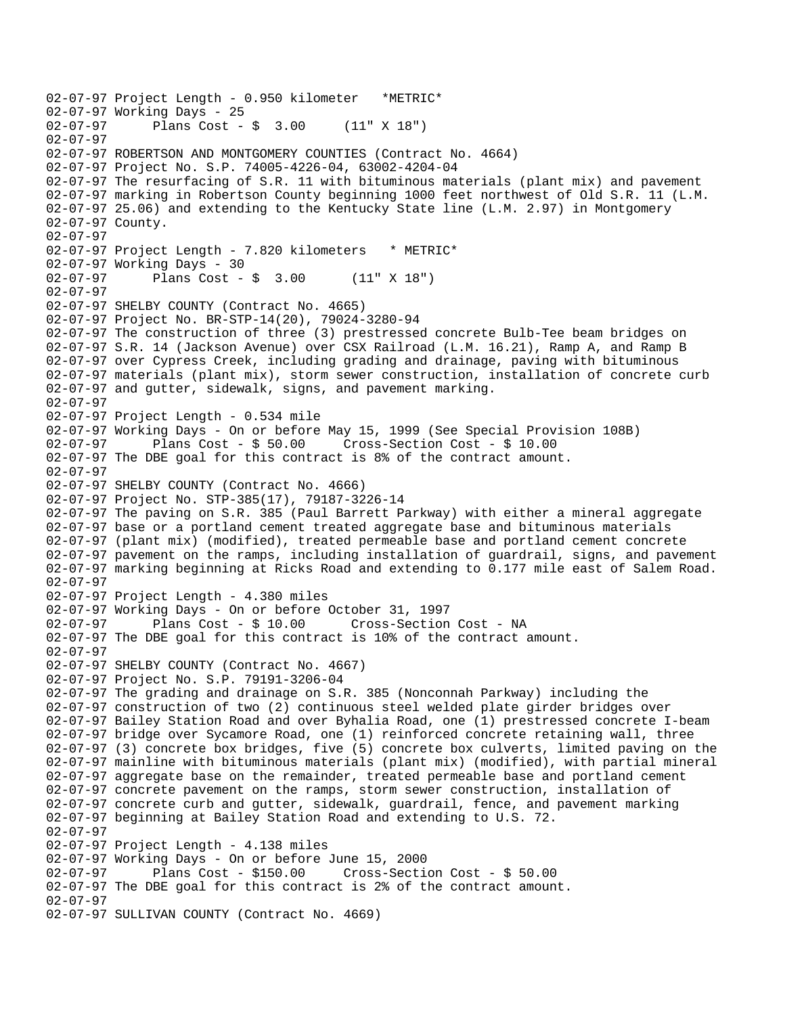02-07-97 Project Length - 0.950 kilometer \*METRIC\* 02-07-97 Working Days - 25<br>02-07-97 Plans Cost -Plans  $Cost - $ 3.00 (11" X 18")$ 02-07-97 02-07-97 ROBERTSON AND MONTGOMERY COUNTIES (Contract No. 4664) 02-07-97 Project No. S.P. 74005-4226-04, 63002-4204-04 02-07-97 The resurfacing of S.R. 11 with bituminous materials (plant mix) and pavement 02-07-97 marking in Robertson County beginning 1000 feet northwest of Old S.R. 11 (L.M. 02-07-97 25.06) and extending to the Kentucky State line (L.M. 2.97) in Montgomery 02-07-97 County. 02-07-97 02-07-97 Project Length - 7.820 kilometers \* METRIC\* 02-07-97 Working Days - 30 02-07-97 Plans Cost - \$ 3.00 (11" X 18") 02-07-97 02-07-97 SHELBY COUNTY (Contract No. 4665) 02-07-97 Project No. BR-STP-14(20), 79024-3280-94 02-07-97 The construction of three (3) prestressed concrete Bulb-Tee beam bridges on 02-07-97 S.R. 14 (Jackson Avenue) over CSX Railroad (L.M. 16.21), Ramp A, and Ramp B 02-07-97 over Cypress Creek, including grading and drainage, paving with bituminous 02-07-97 materials (plant mix), storm sewer construction, installation of concrete curb 02-07-97 and gutter, sidewalk, signs, and pavement marking. 02-07-97 02-07-97 Project Length - 0.534 mile 02-07-97 Working Days - On or before May 15, 1999 (See Special Provision 108B) 02-07-97 Plans Cost - \$ 50.00 Cross-Section Cost - \$ 10.00 02-07-97 The DBE goal for this contract is 8% of the contract amount. 02-07-97 02-07-97 SHELBY COUNTY (Contract No. 4666) 02-07-97 Project No. STP-385(17), 79187-3226-14 02-07-97 The paving on S.R. 385 (Paul Barrett Parkway) with either a mineral aggregate 02-07-97 base or a portland cement treated aggregate base and bituminous materials 02-07-97 (plant mix) (modified), treated permeable base and portland cement concrete 02-07-97 pavement on the ramps, including installation of guardrail, signs, and pavement 02-07-97 marking beginning at Ricks Road and extending to 0.177 mile east of Salem Road. 02-07-97 02-07-97 Project Length - 4.380 miles 02-07-97 Working Days - On or before October 31, 1997 02-07-97 Plans Cost - \$ 10.00 Cross-Section Cost - NA 02-07-97 The DBE goal for this contract is 10% of the contract amount. 02-07-97 02-07-97 SHELBY COUNTY (Contract No. 4667) 02-07-97 Project No. S.P. 79191-3206-04 02-07-97 The grading and drainage on S.R. 385 (Nonconnah Parkway) including the 02-07-97 construction of two (2) continuous steel welded plate girder bridges over 02-07-97 Bailey Station Road and over Byhalia Road, one (1) prestressed concrete I-beam 02-07-97 bridge over Sycamore Road, one (1) reinforced concrete retaining wall, three 02-07-97 (3) concrete box bridges, five (5) concrete box culverts, limited paving on the 02-07-97 mainline with bituminous materials (plant mix) (modified), with partial mineral 02-07-97 aggregate base on the remainder, treated permeable base and portland cement 02-07-97 concrete pavement on the ramps, storm sewer construction, installation of 02-07-97 concrete curb and gutter, sidewalk, guardrail, fence, and pavement marking 02-07-97 beginning at Bailey Station Road and extending to U.S. 72. 02-07-97 02-07-97 Project Length - 4.138 miles 02-07-97 Working Days - On or before June 15, 2000 02-07-97 Plans Cost - \$150.00 Cross-Section Cost - \$ 50.00 02-07-97 The DBE goal for this contract is 2% of the contract amount. 02-07-97 02-07-97 SULLIVAN COUNTY (Contract No. 4669)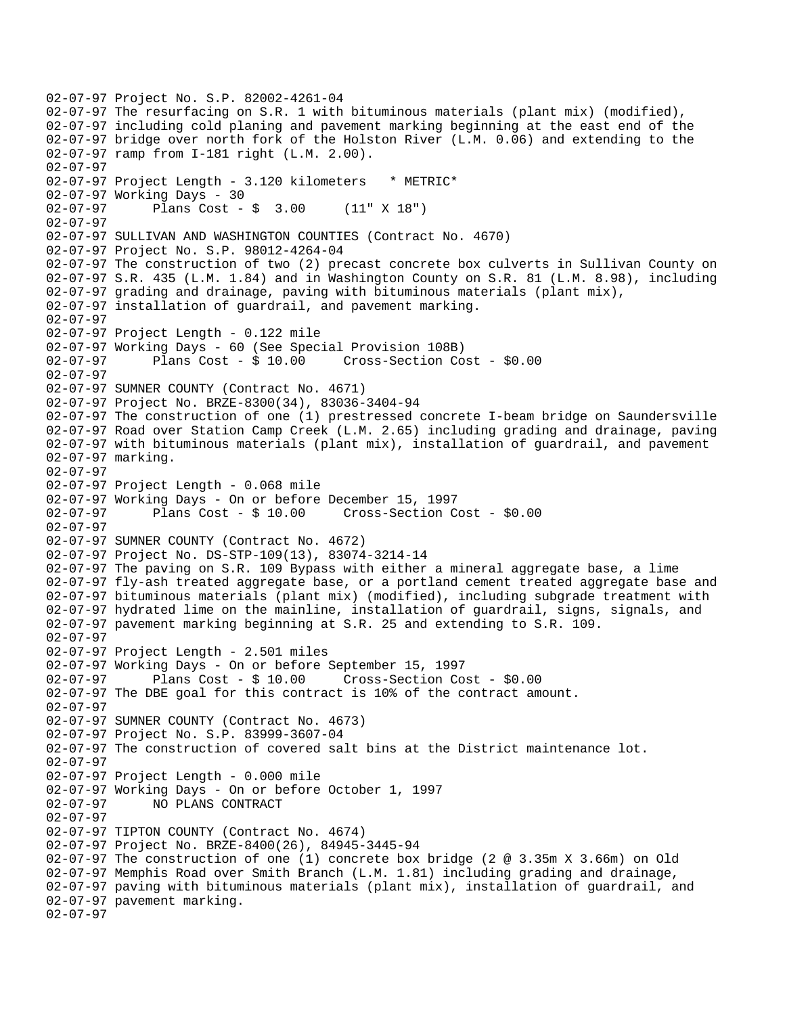02-07-97 Project No. S.P. 82002-4261-04 02-07-97 The resurfacing on S.R. 1 with bituminous materials (plant mix) (modified), 02-07-97 including cold planing and pavement marking beginning at the east end of the 02-07-97 bridge over north fork of the Holston River (L.M. 0.06) and extending to the 02-07-97 ramp from I-181 right (L.M. 2.00). 02-07-97 02-07-97 Project Length - 3.120 kilometers \* METRIC\* 02-07-97 Working Days - 30 02-07-97 Plans Cost - \$ 3.00 (11" X 18") 02-07-97 02-07-97 SULLIVAN AND WASHINGTON COUNTIES (Contract No. 4670) 02-07-97 Project No. S.P. 98012-4264-04 02-07-97 The construction of two (2) precast concrete box culverts in Sullivan County on 02-07-97 S.R. 435 (L.M. 1.84) and in Washington County on S.R. 81 (L.M. 8.98), including 02-07-97 grading and drainage, paving with bituminous materials (plant mix), 02-07-97 installation of guardrail, and pavement marking. 02-07-97 02-07-97 Project Length - 0.122 mile 02-07-97 Working Days - 60 (See Special Provision 108B) 02-07-97 Plans Cost - \$ 10.00 Cross-Section Cost - \$0.00 02-07-97 02-07-97 SUMNER COUNTY (Contract No. 4671) 02-07-97 Project No. BRZE-8300(34), 83036-3404-94 02-07-97 The construction of one (1) prestressed concrete I-beam bridge on Saundersville 02-07-97 Road over Station Camp Creek (L.M. 2.65) including grading and drainage, paving 02-07-97 with bituminous materials (plant mix), installation of guardrail, and pavement 02-07-97 marking. 02-07-97 02-07-97 Project Length - 0.068 mile 02-07-97 Working Days - On or before December 15, 1997 02-07-97 Plans Cost - \$ 10.00 Cross-Section Cost - \$0.00 02-07-97 02-07-97 SUMNER COUNTY (Contract No. 4672) 02-07-97 Project No. DS-STP-109(13), 83074-3214-14 02-07-97 The paving on S.R. 109 Bypass with either a mineral aggregate base, a lime 02-07-97 fly-ash treated aggregate base, or a portland cement treated aggregate base and 02-07-97 bituminous materials (plant mix) (modified), including subgrade treatment with 02-07-97 hydrated lime on the mainline, installation of guardrail, signs, signals, and 02-07-97 pavement marking beginning at S.R. 25 and extending to S.R. 109. 02-07-97 02-07-97 Project Length - 2.501 miles 02-07-97 Working Days - On or before September 15, 1997 02-07-97 Plans Cost - \$ 10.00 Cross-Section Cost - \$0.00 02-07-97 The DBE goal for this contract is 10% of the contract amount. 02-07-97 02-07-97 SUMNER COUNTY (Contract No. 4673) 02-07-97 Project No. S.P. 83999-3607-04 02-07-97 The construction of covered salt bins at the District maintenance lot. 02-07-97 02-07-97 Project Length - 0.000 mile 02-07-97 Working Days - On or before October 1, 1997 02-07-97 NO PLANS CONTRACT 02-07-97 02-07-97 TIPTON COUNTY (Contract No. 4674) 02-07-97 Project No. BRZE-8400(26), 84945-3445-94 02-07-97 The construction of one (1) concrete box bridge (2 @ 3.35m X 3.66m) on Old 02-07-97 Memphis Road over Smith Branch (L.M. 1.81) including grading and drainage, 02-07-97 paving with bituminous materials (plant mix), installation of guardrail, and 02-07-97 pavement marking. 02-07-97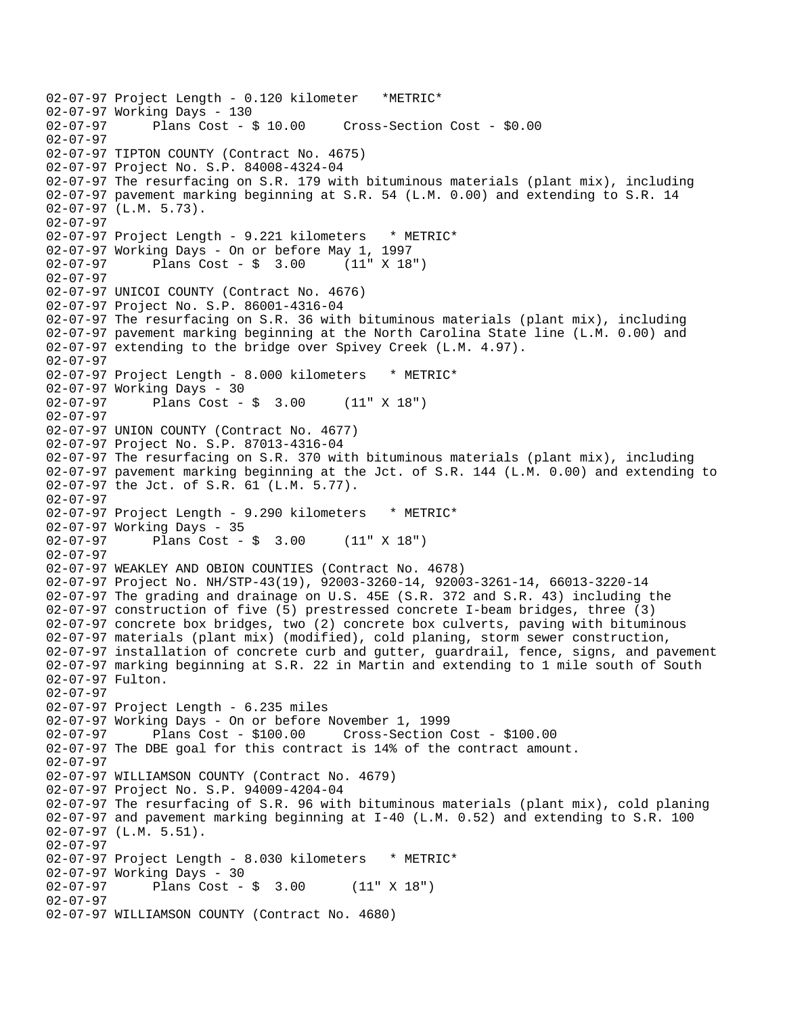02-07-97 Project Length - 0.120 kilometer \*METRIC\* 02-07-97 Working Days - 130 Cross-Section Cost - \$0.00 02-07-97 02-07-97 TIPTON COUNTY (Contract No. 4675) 02-07-97 Project No. S.P. 84008-4324-04 02-07-97 The resurfacing on S.R. 179 with bituminous materials (plant mix), including 02-07-97 pavement marking beginning at S.R. 54 (L.M. 0.00) and extending to S.R. 14 02-07-97 (L.M. 5.73). 02-07-97 02-07-97 Project Length - 9.221 kilometers \* METRIC\* 02-07-97 Working Days - On or before May 1, 1997 02-07-97 Plans Cost - \$ 3.00 (11" X 18") 02-07-97 02-07-97 UNICOI COUNTY (Contract No. 4676) 02-07-97 Project No. S.P. 86001-4316-04 02-07-97 The resurfacing on S.R. 36 with bituminous materials (plant mix), including 02-07-97 pavement marking beginning at the North Carolina State line (L.M. 0.00) and 02-07-97 extending to the bridge over Spivey Creek (L.M. 4.97). 02-07-97 02-07-97 Project Length - 8.000 kilometers \* METRIC\* 02-07-97 Working Days - 30 02-07-97 Plans Cost - \$ 3.00 (11" X 18") 02-07-97 02-07-97 UNION COUNTY (Contract No. 4677) 02-07-97 Project No. S.P. 87013-4316-04 02-07-97 The resurfacing on S.R. 370 with bituminous materials (plant mix), including 02-07-97 pavement marking beginning at the Jct. of S.R. 144 (L.M. 0.00) and extending to 02-07-97 the Jct. of S.R. 61 (L.M. 5.77). 02-07-97 02-07-97 Project Length - 9.290 kilometers \* METRIC\* 02-07-97 Working Days - 35<br>02-07-97 Plans Cost -Plans  $Cost - $ 3.00 (11" X 18")$ 02-07-97 02-07-97 WEAKLEY AND OBION COUNTIES (Contract No. 4678) 02-07-97 Project No. NH/STP-43(19), 92003-3260-14, 92003-3261-14, 66013-3220-14 02-07-97 The grading and drainage on U.S. 45E (S.R. 372 and S.R. 43) including the 02-07-97 construction of five (5) prestressed concrete I-beam bridges, three (3) 02-07-97 concrete box bridges, two (2) concrete box culverts, paving with bituminous 02-07-97 materials (plant mix) (modified), cold planing, storm sewer construction, 02-07-97 installation of concrete curb and gutter, guardrail, fence, signs, and pavement 02-07-97 marking beginning at S.R. 22 in Martin and extending to 1 mile south of South 02-07-97 Fulton. 02-07-97 02-07-97 Project Length - 6.235 miles 02-07-97 Working Days - On or before November 1, 1999 02-07-97 Plans Cost - \$100.00 Cross-Section Cost - \$100.00 02-07-97 The DBE goal for this contract is 14% of the contract amount. 02-07-97 02-07-97 WILLIAMSON COUNTY (Contract No. 4679) 02-07-97 Project No. S.P. 94009-4204-04 02-07-97 The resurfacing of S.R. 96 with bituminous materials (plant mix), cold planing 02-07-97 and pavement marking beginning at I-40 (L.M. 0.52) and extending to S.R. 100 02-07-97 (L.M. 5.51). 02-07-97 02-07-97 Project Length - 8.030 kilometers \* METRIC\* 02-07-97 Working Days - 30<br>02-07-97 Plans Cost -Plans Cost -  $\frac{1}{2}$  3.00 (11" X 18") 02-07-97 02-07-97 WILLIAMSON COUNTY (Contract No. 4680)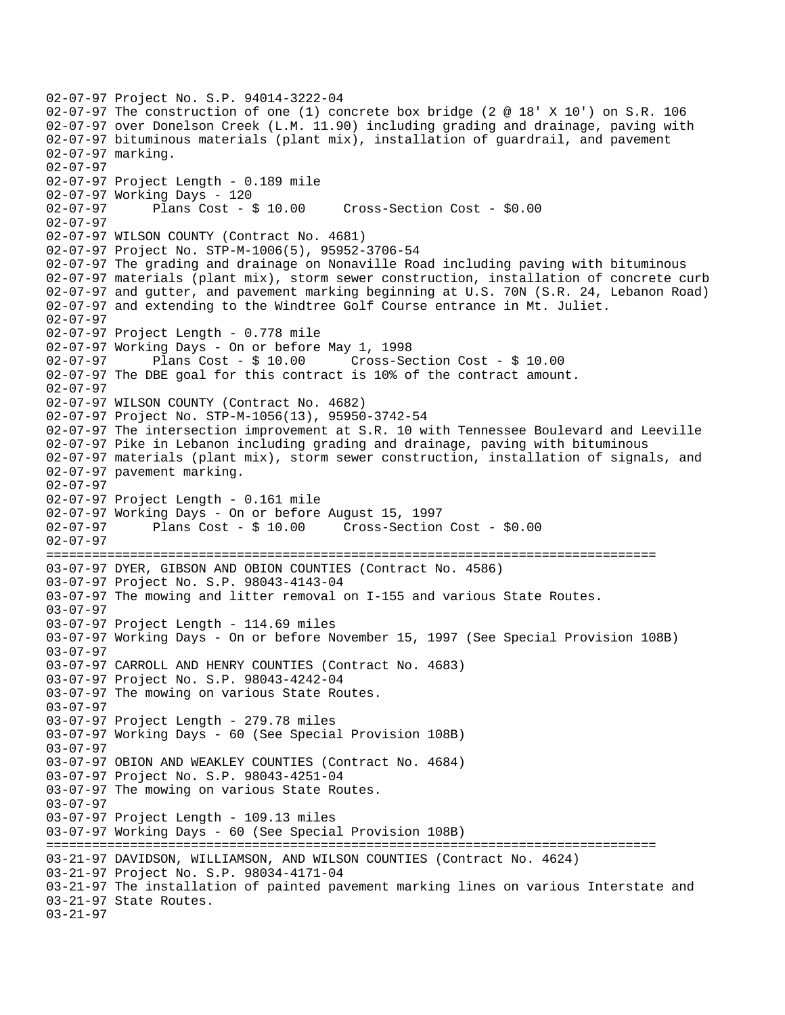```
02-07-97 Project No. S.P. 94014-3222-04 
02-07-97 The construction of one (1) concrete box bridge (2 @ 18' X 10') on S.R. 106 
02-07-97 over Donelson Creek (L.M. 11.90) including grading and drainage, paving with 
02-07-97 bituminous materials (plant mix), installation of guardrail, and pavement 
02-07-97 marking. 
02-07-97 
02-07-97 Project Length - 0.189 mile 
02-07-97 Working Days - 120 
02-07-97 Plans Cost - $ 10.00 Cross-Section Cost - $0.00 
02-07-97 
02-07-97 WILSON COUNTY (Contract No. 4681) 
02-07-97 Project No. STP-M-1006(5), 95952-3706-54 
02-07-97 The grading and drainage on Nonaville Road including paving with bituminous 
02-07-97 materials (plant mix), storm sewer construction, installation of concrete curb 
02-07-97 and gutter, and pavement marking beginning at U.S. 70N (S.R. 24, Lebanon Road) 
02-07-97 and extending to the Windtree Golf Course entrance in Mt. Juliet. 
02-07-97 
02-07-97 Project Length - 0.778 mile
02-07-97 Working Days - On or before May 1, 1998 
02-07-97 Plans Cost - $ 10.00 Cross-Section Cost - $ 10.00 
02-07-97 The DBE goal for this contract is 10% of the contract amount. 
02-07-97 
02-07-97 WILSON COUNTY (Contract No. 4682) 
02-07-97 Project No. STP-M-1056(13), 95950-3742-54 
02-07-97 The intersection improvement at S.R. 10 with Tennessee Boulevard and Leeville 
02-07-97 Pike in Lebanon including grading and drainage, paving with bituminous 
02-07-97 materials (plant mix), storm sewer construction, installation of signals, and 
02-07-97 pavement marking. 
02-07-97 
02-07-97 Project Length - 0.161 mile 
02-07-97 Working Days - On or before August 15, 1997 
02-07-97 Plans Cost - $ 10.00 Cross-Section Cost - $0.00 
02-07-97 
================================================================================ 
03-07-97 DYER, GIBSON AND OBION COUNTIES (Contract No. 4586) 
03-07-97 Project No. S.P. 98043-4143-04 
03-07-97 The mowing and litter removal on I-155 and various State Routes. 
03-07-97 
03-07-97 Project Length - 114.69 miles 
03-07-97 Working Days - On or before November 15, 1997 (See Special Provision 108B) 
03-07-97 
03-07-97 CARROLL AND HENRY COUNTIES (Contract No. 4683) 
03-07-97 Project No. S.P. 98043-4242-04 
03-07-97 The mowing on various State Routes. 
03-07-97 
03-07-97 Project Length - 279.78 miles 
03-07-97 Working Days - 60 (See Special Provision 108B) 
03-07-97 
03-07-97 OBION AND WEAKLEY COUNTIES (Contract No. 4684) 
03-07-97 Project No. S.P. 98043-4251-04 
03-07-97 The mowing on various State Routes. 
03-07-97 
03-07-97 Project Length - 109.13 miles 
03-07-97 Working Days - 60 (See Special Provision 108B) 
================================================================================ 
03-21-97 DAVIDSON, WILLIAMSON, AND WILSON COUNTIES (Contract No. 4624) 
03-21-97 Project No. S.P. 98034-4171-04 
03-21-97 The installation of painted pavement marking lines on various Interstate and 
03-21-97 State Routes. 
03-21-97
```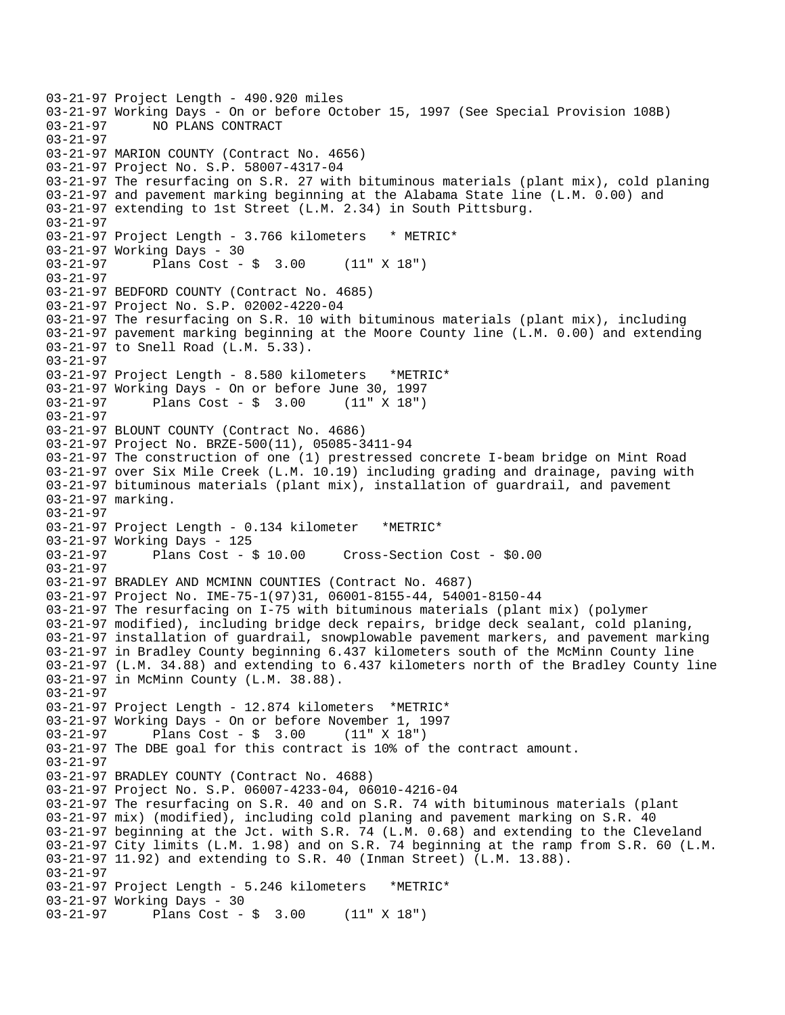03-21-97 Project Length - 490.920 miles 03-21-97 Working Days - On or before October 15, 1997 (See Special Provision 108B)<br>03-21-97 NO PLANS CONTRACT 03-21-97 NO PLANS CONTRACT 03-21-97 03-21-97 MARION COUNTY (Contract No. 4656) 03-21-97 Project No. S.P. 58007-4317-04 03-21-97 The resurfacing on S.R. 27 with bituminous materials (plant mix), cold planing 03-21-97 and pavement marking beginning at the Alabama State line (L.M. 0.00) and 03-21-97 extending to 1st Street (L.M. 2.34) in South Pittsburg. 03-21-97 03-21-97 Project Length - 3.766 kilometers \* METRIC\* 03-21-97 Working Days - 30 03-21-97 Plans Cost - \$ 3.00 (11" X 18") 03-21-97 03-21-97 BEDFORD COUNTY (Contract No. 4685) 03-21-97 Project No. S.P. 02002-4220-04 03-21-97 The resurfacing on S.R. 10 with bituminous materials (plant mix), including 03-21-97 pavement marking beginning at the Moore County line (L.M. 0.00) and extending 03-21-97 to Snell Road (L.M. 5.33). 03-21-97 03-21-97 Project Length - 8.580 kilometers \*METRIC\* 03-21-97 Working Days - On or before June 30, 1997 03-21-97 Plans Cost - \$ 3.00 (11" X 18") 03-21-97 03-21-97 BLOUNT COUNTY (Contract No. 4686) 03-21-97 Project No. BRZE-500(11), 05085-3411-94 03-21-97 The construction of one (1) prestressed concrete I-beam bridge on Mint Road 03-21-97 over Six Mile Creek (L.M. 10.19) including grading and drainage, paving with 03-21-97 bituminous materials (plant mix), installation of guardrail, and pavement 03-21-97 marking. 03-21-97 03-21-97 Project Length - 0.134 kilometer \*METRIC\* 03-21-97 Working Days - 125 03-21-97 Plans Cost - \$ 10.00 Cross-Section Cost - \$0.00 03-21-97 03-21-97 BRADLEY AND MCMINN COUNTIES (Contract No. 4687) 03-21-97 Project No. IME-75-1(97)31, 06001-8155-44, 54001-8150-44 03-21-97 The resurfacing on I-75 with bituminous materials (plant mix) (polymer 03-21-97 modified), including bridge deck repairs, bridge deck sealant, cold planing, 03-21-97 installation of guardrail, snowplowable pavement markers, and pavement marking 03-21-97 in Bradley County beginning 6.437 kilometers south of the McMinn County line 03-21-97 (L.M. 34.88) and extending to 6.437 kilometers north of the Bradley County line 03-21-97 in McMinn County (L.M. 38.88). 03-21-97 03-21-97 Project Length - 12.874 kilometers \*METRIC\* 03-21-97 Working Days - On or before November 1, 1997 03-21-97 Plans Cost - \$ 3.00 (11" X 18") 03-21-97 The DBE goal for this contract is 10% of the contract amount. 03-21-97 03-21-97 BRADLEY COUNTY (Contract No. 4688) 03-21-97 Project No. S.P. 06007-4233-04, 06010-4216-04 03-21-97 The resurfacing on S.R. 40 and on S.R. 74 with bituminous materials (plant 03-21-97 mix) (modified), including cold planing and pavement marking on S.R. 40 03-21-97 beginning at the Jct. with S.R. 74 (L.M. 0.68) and extending to the Cleveland 03-21-97 City limits (L.M. 1.98) and on S.R. 74 beginning at the ramp from S.R. 60 (L.M. 03-21-97 11.92) and extending to S.R. 40 (Inman Street) (L.M. 13.88). 03-21-97 03-21-97 Project Length - 5.246 kilometers \*METRIC\* 03-21-97 Working Days - 30 03-21-97 Plans Cost - \$ 3.00 (11" X 18")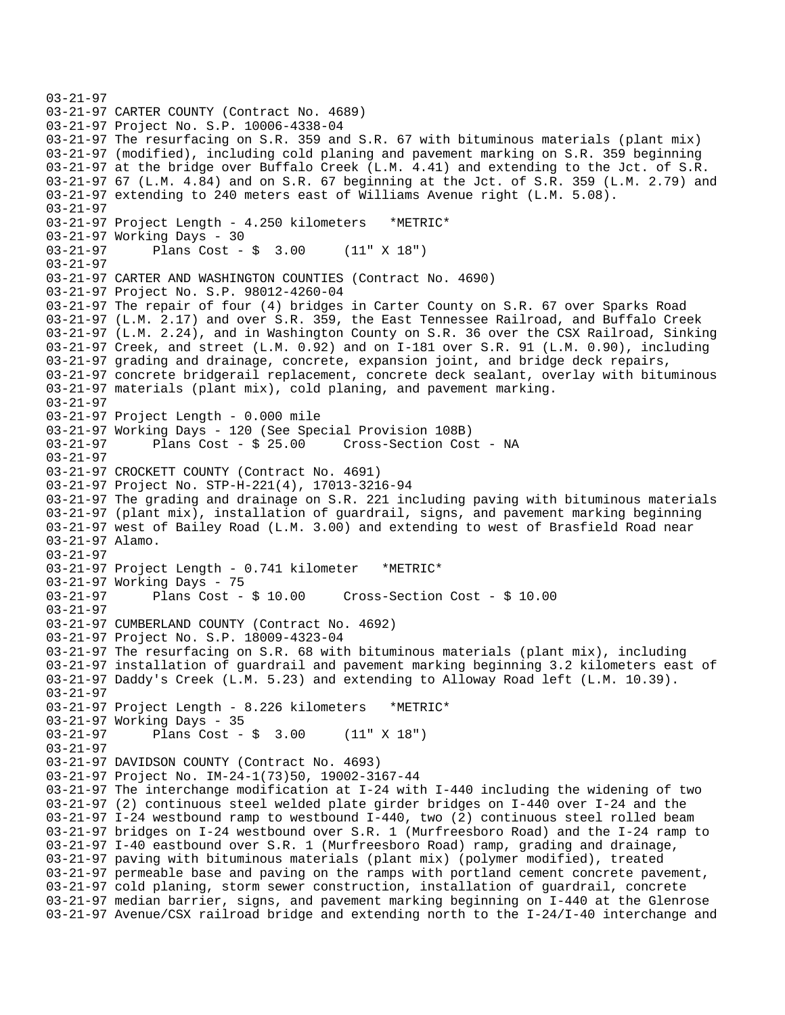```
03-21-97 
03-21-97 CARTER COUNTY (Contract No. 4689) 
03-21-97 Project No. S.P. 10006-4338-04 
03-21-97 The resurfacing on S.R. 359 and S.R. 67 with bituminous materials (plant mix) 
03-21-97 (modified), including cold planing and pavement marking on S.R. 359 beginning 
03-21-97 at the bridge over Buffalo Creek (L.M. 4.41) and extending to the Jct. of S.R. 
03-21-97 67 (L.M. 4.84) and on S.R. 67 beginning at the Jct. of S.R. 359 (L.M. 2.79) and 
03-21-97 extending to 240 meters east of Williams Avenue right (L.M. 5.08). 
03-21-97 
03-21-97 Project Length - 4.250 kilometers *METRIC* 
03-21-97 Working Days - 30 
03-21-97 Plans Cost - $ 3.00 (11" X 18") 
03-21-97 
03-21-97 CARTER AND WASHINGTON COUNTIES (Contract No. 4690) 
03-21-97 Project No. S.P. 98012-4260-04 
03-21-97 The repair of four (4) bridges in Carter County on S.R. 67 over Sparks Road 
03-21-97 (L.M. 2.17) and over S.R. 359, the East Tennessee Railroad, and Buffalo Creek 
03-21-97 (L.M. 2.24), and in Washington County on S.R. 36 over the CSX Railroad, Sinking 
03-21-97 Creek, and street (L.M. 0.92) and on I-181 over S.R. 91 (L.M. 0.90), including 
03-21-97 grading and drainage, concrete, expansion joint, and bridge deck repairs, 
03-21-97 concrete bridgerail replacement, concrete deck sealant, overlay with bituminous 
03-21-97 materials (plant mix), cold planing, and pavement marking. 
03-21-97 
03-21-97 Project Length - 0.000 mile 
03-21-97 Working Days - 120 (See Special Provision 108B) 
03-21-97 Plans Cost - $ 25.00 Cross-Section Cost - NA 
03-21-97 
03-21-97 CROCKETT COUNTY (Contract No. 4691) 
03-21-97 Project No. STP-H-221(4), 17013-3216-94 
03-21-97 The grading and drainage on S.R. 221 including paving with bituminous materials 
03-21-97 (plant mix), installation of guardrail, signs, and pavement marking beginning 
03-21-97 west of Bailey Road (L.M. 3.00) and extending to west of Brasfield Road near 
03-21-97 Alamo. 
03-21-97 
03-21-97 Project Length - 0.741 kilometer *METRIC* 
03-21-97 Working Days - 75<br>03-21-97 Plans Cost -
              Plans Cost - $ 10.00 Cross-Section Cost - $ 10.0003-21-97 
03-21-97 CUMBERLAND COUNTY (Contract No. 4692) 
03-21-97 Project No. S.P. 18009-4323-04 
03-21-97 The resurfacing on S.R. 68 with bituminous materials (plant mix), including 
03-21-97 installation of guardrail and pavement marking beginning 3.2 kilometers east of 
03-21-97 Daddy's Creek (L.M. 5.23) and extending to Alloway Road left (L.M. 10.39). 
03-21-97 
03-21-97 Project Length - 8.226 kilometers *METRIC* 
03-21-97 Working Days - 35 
03-21-97 Plans Cost - $ 3.00 (11" X 18") 
03-21-97 
03-21-97 DAVIDSON COUNTY (Contract No. 4693) 
03-21-97 Project No. IM-24-1(73)50, 19002-3167-44 
03-21-97 The interchange modification at I-24 with I-440 including the widening of two 
03-21-97 (2) continuous steel welded plate girder bridges on I-440 over I-24 and the 
03-21-97 I-24 westbound ramp to westbound I-440, two (2) continuous steel rolled beam 
03-21-97 bridges on I-24 westbound over S.R. 1 (Murfreesboro Road) and the I-24 ramp to 
03-21-97 I-40 eastbound over S.R. 1 (Murfreesboro Road) ramp, grading and drainage, 
03-21-97 paving with bituminous materials (plant mix) (polymer modified), treated 
03-21-97 permeable base and paving on the ramps with portland cement concrete pavement, 
03-21-97 cold planing, storm sewer construction, installation of guardrail, concrete 
03-21-97 median barrier, signs, and pavement marking beginning on I-440 at the Glenrose 
03-21-97 Avenue/CSX railroad bridge and extending north to the I-24/I-40 interchange and
```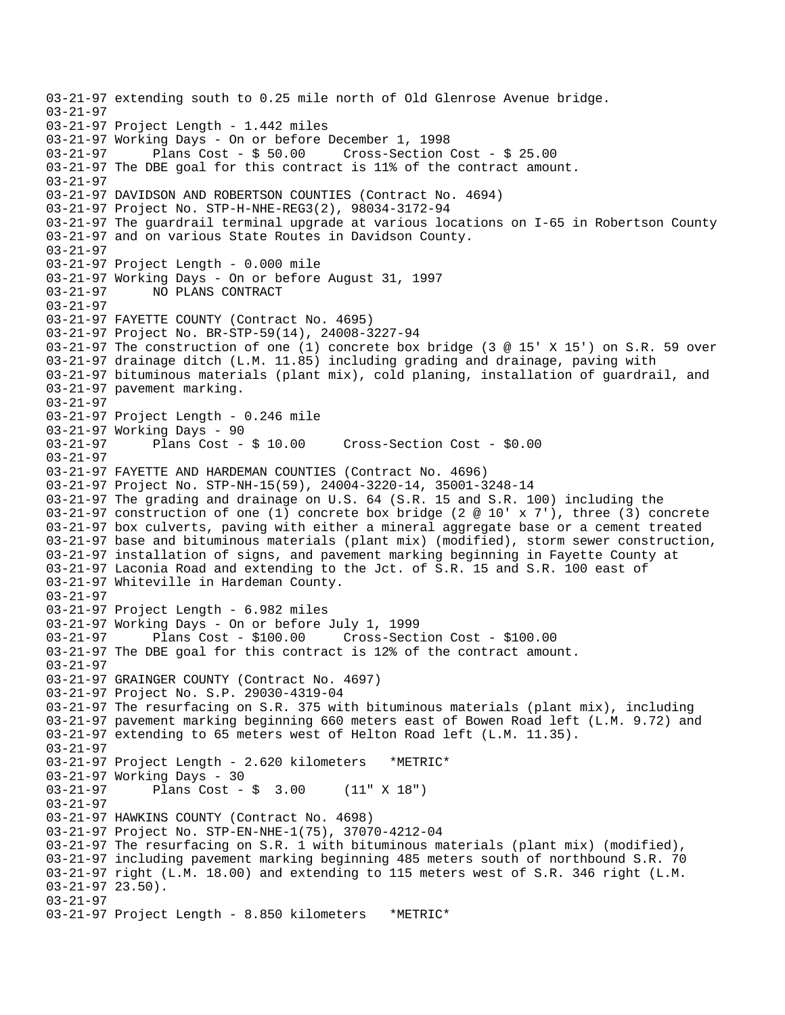03-21-97 extending south to 0.25 mile north of Old Glenrose Avenue bridge. 03-21-97 03-21-97 Project Length - 1.442 miles 03-21-97 Working Days - On or before December 1, 1998 Plans Cost -  $$50.00$  Cross-Section Cost -  $$25.00$ 03-21-97 The DBE goal for this contract is 11% of the contract amount. 03-21-97 03-21-97 DAVIDSON AND ROBERTSON COUNTIES (Contract No. 4694) 03-21-97 Project No. STP-H-NHE-REG3(2), 98034-3172-94 03-21-97 The guardrail terminal upgrade at various locations on I-65 in Robertson County 03-21-97 and on various State Routes in Davidson County. 03-21-97 03-21-97 Project Length - 0.000 mile 03-21-97 Working Days - On or before August 31, 1997 03-21-97 NO PLANS CONTRACT 03-21-97 03-21-97 FAYETTE COUNTY (Contract No. 4695) 03-21-97 Project No. BR-STP-59(14), 24008-3227-94 03-21-97 The construction of one (1) concrete box bridge (3 @ 15' X 15') on S.R. 59 over 03-21-97 drainage ditch (L.M. 11.85) including grading and drainage, paving with 03-21-97 bituminous materials (plant mix), cold planing, installation of guardrail, and 03-21-97 pavement marking. 03-21-97 03-21-97 Project Length - 0.246 mile 03-21-97 Working Days - 90<br>03-21-97 Plans Cost - \$ 10.00 03-21-97 Plans Cost - \$ 10.00 Cross-Section Cost - \$0.00 03-21-97 03-21-97 FAYETTE AND HARDEMAN COUNTIES (Contract No. 4696) 03-21-97 Project No. STP-NH-15(59), 24004-3220-14, 35001-3248-14 03-21-97 The grading and drainage on U.S. 64 (S.R. 15 and S.R. 100) including the 03-21-97 construction of one (1) concrete box bridge (2  $@$  10' x 7'), three (3) concrete 03-21-97 box culverts, paving with either a mineral aggregate base or a cement treated 03-21-97 base and bituminous materials (plant mix) (modified), storm sewer construction, 03-21-97 installation of signs, and pavement marking beginning in Fayette County at 03-21-97 Laconia Road and extending to the Jct. of S.R. 15 and S.R. 100 east of 03-21-97 Whiteville in Hardeman County. 03-21-97 03-21-97 Project Length - 6.982 miles 03-21-97 Working Days - On or before July 1, 1999 03-21-97 Plans Cost - \$100.00 Cross-Section Cost - \$100.00 03-21-97 The DBE goal for this contract is 12% of the contract amount. 03-21-97 03-21-97 GRAINGER COUNTY (Contract No. 4697) 03-21-97 Project No. S.P. 29030-4319-04 03-21-97 The resurfacing on S.R. 375 with bituminous materials (plant mix), including 03-21-97 pavement marking beginning 660 meters east of Bowen Road left (L.M. 9.72) and 03-21-97 extending to 65 meters west of Helton Road left (L.M. 11.35). 03-21-97 03-21-97 Project Length - 2.620 kilometers \*METRIC\* 03-21-97 Working Days - 30<br>03-21-97 Plans Cost -Plans Cost -  $\frac{1}{2}$  3.00 (11" X 18") 03-21-97 03-21-97 HAWKINS COUNTY (Contract No. 4698) 03-21-97 Project No. STP-EN-NHE-1(75), 37070-4212-04 03-21-97 The resurfacing on S.R. 1 with bituminous materials (plant mix) (modified), 03-21-97 including pavement marking beginning 485 meters south of northbound S.R. 70 03-21-97 right (L.M. 18.00) and extending to 115 meters west of S.R. 346 right (L.M. 03-21-97 23.50). 03-21-97 03-21-97 Project Length - 8.850 kilometers \*METRIC\*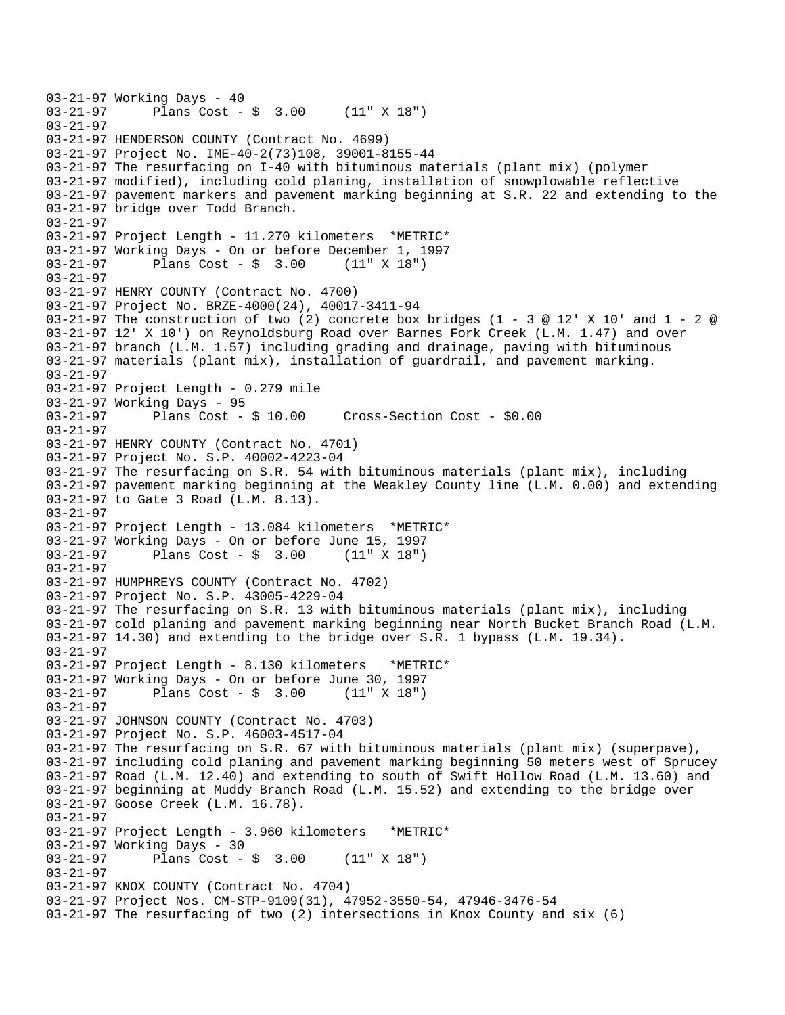```
03-21-97 Working Days - 40<br>03-21-97 Plans Cost -
              Plans Cost - \frac{1}{2} 3.00 (11" X 18")
03-21-97 
03-21-97 HENDERSON COUNTY (Contract No. 4699) 
03-21-97 Project No. IME-40-2(73)108, 39001-8155-44 
03-21-97 The resurfacing on I-40 with bituminous materials (plant mix) (polymer 
03-21-97 modified), including cold planing, installation of snowplowable reflective 
03-21-97 pavement markers and pavement marking beginning at S.R. 22 and extending to the 
03-21-97 bridge over Todd Branch. 
03-21-97 
03-21-97 Project Length - 11.270 kilometers *METRIC* 
03-21-97 Working Days - On or before December 1, 1997 
03-21-97 Plans Cost - $ 3.00 (11" X 18") 
03-21-97 
03-21-97 HENRY COUNTY (Contract No. 4700) 
03-21-97 Project No. BRZE-4000(24), 40017-3411-94 
03-21-97 The construction of two (2) concrete box bridges (1 - 3 @ 12' X 10' and 1 - 2 @
03-21-97 12' X 10') on Reynoldsburg Road over Barnes Fork Creek (L.M. 1.47) and over 
03-21-97 branch (L.M. 1.57) including grading and drainage, paving with bituminous 
03-21-97 materials (plant mix), installation of guardrail, and pavement marking. 
03-21-97 
03-21-97 Project Length - 0.279 mile 
03-21-97 Working Days - 95 
03-21-97 Plans Cost - $ 10.00 Cross-Section Cost - $0.00 
03-21-97 
03-21-97 HENRY COUNTY (Contract No. 4701) 
03-21-97 Project No. S.P. 40002-4223-04 
03-21-97 The resurfacing on S.R. 54 with bituminous materials (plant mix), including 
03-21-97 pavement marking beginning at the Weakley County line (L.M. 0.00) and extending 
03-21-97 to Gate 3 Road (L.M. 8.13). 
03-21-97 
03-21-97 Project Length - 13.084 kilometers *METRIC* 
03-21-97 Working Days - On or before June 15, 1997 
03-21-97 Plans Cost - $ 3.00 (11" X 18") 
03-21-97 
03-21-97 HUMPHREYS COUNTY (Contract No. 4702) 
03-21-97 Project No. S.P. 43005-4229-04 
03-21-97 The resurfacing on S.R. 13 with bituminous materials (plant mix), including 
03-21-97 cold planing and pavement marking beginning near North Bucket Branch Road (L.M. 
03-21-97 14.30) and extending to the bridge over S.R. 1 bypass (L.M. 19.34). 
03-21-97 
03-21-97 Project Length - 8.130 kilometers *METRIC* 
03-21-97 Working Days - On or before June 30, 1997 
03-21-97 Plans Cost - $ 3.00 (11" X 18") 
03-21-97 
03-21-97 JOHNSON COUNTY (Contract No. 4703) 
03-21-97 Project No. S.P. 46003-4517-04 
03-21-97 The resurfacing on S.R. 67 with bituminous materials (plant mix) (superpave), 
03-21-97 including cold planing and pavement marking beginning 50 meters west of Sprucey 
03-21-97 Road (L.M. 12.40) and extending to south of Swift Hollow Road (L.M. 13.60) and 
03-21-97 beginning at Muddy Branch Road (L.M. 15.52) and extending to the bridge over 
03-21-97 Goose Creek (L.M. 16.78). 
03-21-97 
03-21-97 Project Length - 3.960 kilometers *METRIC* 
03-21-97 Working Days - 30 
03-21-97 Plans Cost - $ 3.00 (11" X 18") 
03-21-97 
03-21-97 KNOX COUNTY (Contract No. 4704) 
03-21-97 Project Nos. CM-STP-9109(31), 47952-3550-54, 47946-3476-54 
03-21-97 The resurfacing of two (2) intersections in Knox County and six (6)
```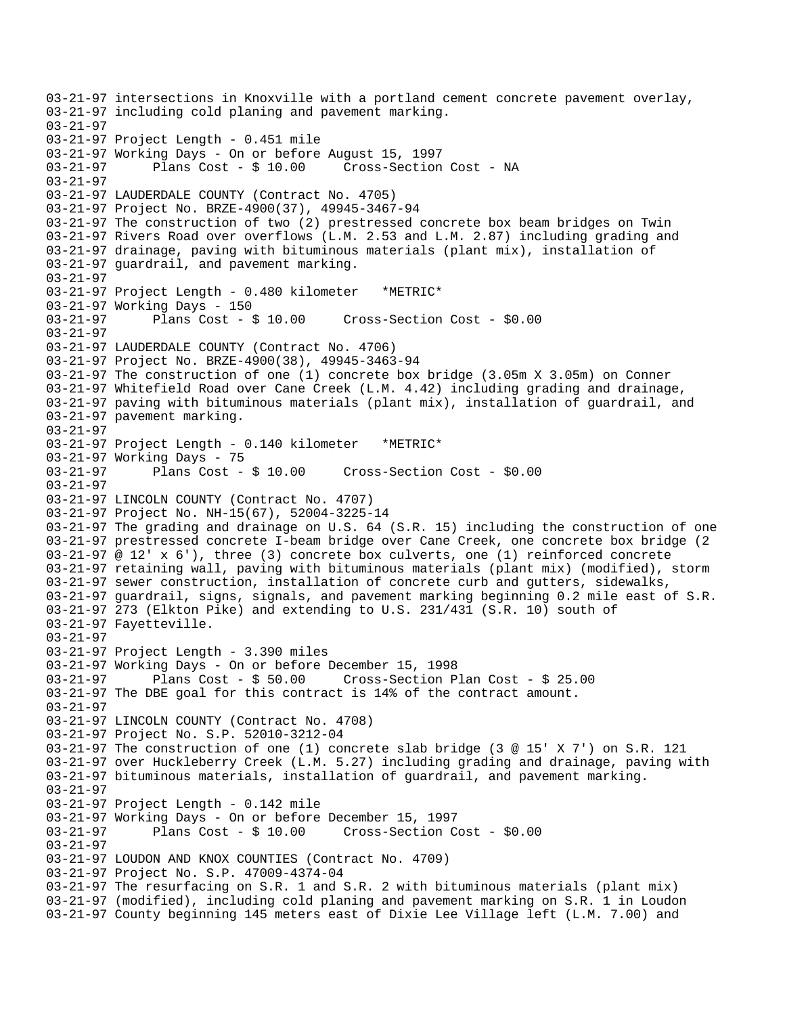03-21-97 intersections in Knoxville with a portland cement concrete pavement overlay, 03-21-97 including cold planing and pavement marking. 03-21-97 03-21-97 Project Length - 0.451 mile 03-21-97 Working Days - On or before August 15, 1997 03-21-97 Plans Cost - \$ 10.00 Cross-Section Cost - NA 03-21-97 03-21-97 LAUDERDALE COUNTY (Contract No. 4705) 03-21-97 Project No. BRZE-4900(37), 49945-3467-94 03-21-97 The construction of two (2) prestressed concrete box beam bridges on Twin 03-21-97 Rivers Road over overflows (L.M. 2.53 and L.M. 2.87) including grading and 03-21-97 drainage, paving with bituminous materials (plant mix), installation of 03-21-97 guardrail, and pavement marking. 03-21-97 03-21-97 Project Length - 0.480 kilometer \*METRIC\* 03-21-97 Working Days - 150 03-21-97 Plans Cost - \$ 10.00 Cross-Section Cost - \$0.00 03-21-97 03-21-97 LAUDERDALE COUNTY (Contract No. 4706) 03-21-97 Project No. BRZE-4900(38), 49945-3463-94 03-21-97 The construction of one (1) concrete box bridge (3.05m X 3.05m) on Conner 03-21-97 Whitefield Road over Cane Creek (L.M. 4.42) including grading and drainage, 03-21-97 paving with bituminous materials (plant mix), installation of guardrail, and 03-21-97 pavement marking. 03-21-97 03-21-97 Project Length - 0.140 kilometer \*METRIC\* 03-21-97 Working Days - 75<br>03-21-97 Plans Cost - \$10.00  $Cross-Section Cost - $0.00$ 03-21-97 03-21-97 LINCOLN COUNTY (Contract No. 4707) 03-21-97 Project No. NH-15(67), 52004-3225-14 03-21-97 The grading and drainage on U.S. 64 (S.R. 15) including the construction of one 03-21-97 prestressed concrete I-beam bridge over Cane Creek, one concrete box bridge (2 03-21-97 @ 12' x 6'), three (3) concrete box culverts, one (1) reinforced concrete 03-21-97 retaining wall, paving with bituminous materials (plant mix) (modified), storm 03-21-97 sewer construction, installation of concrete curb and gutters, sidewalks, 03-21-97 guardrail, signs, signals, and pavement marking beginning 0.2 mile east of S.R. 03-21-97 273 (Elkton Pike) and extending to U.S. 231/431 (S.R. 10) south of 03-21-97 Fayetteville. 03-21-97 03-21-97 Project Length - 3.390 miles 03-21-97 Working Days - On or before December 15, 1998 03-21-97 Plans Cost - \$ 50.00 Cross-Section Plan Cost - \$ 25.00 03-21-97 The DBE goal for this contract is 14% of the contract amount. 03-21-97 03-21-97 LINCOLN COUNTY (Contract No. 4708) 03-21-97 Project No. S.P. 52010-3212-04 03-21-97 The construction of one (1) concrete slab bridge (3 @ 15' X 7') on S.R. 121 03-21-97 over Huckleberry Creek (L.M. 5.27) including grading and drainage, paving with 03-21-97 bituminous materials, installation of guardrail, and pavement marking. 03-21-97 03-21-97 Project Length - 0.142 mile 03-21-97 Working Days - On or before December 15, 1997 03-21-97 Plans Cost - \$ 10.00 Cross-Section Cost - \$0.00 03-21-97 03-21-97 LOUDON AND KNOX COUNTIES (Contract No. 4709) 03-21-97 Project No. S.P. 47009-4374-04 03-21-97 The resurfacing on S.R. 1 and S.R. 2 with bituminous materials (plant mix) 03-21-97 (modified), including cold planing and pavement marking on S.R. 1 in Loudon 03-21-97 County beginning 145 meters east of Dixie Lee Village left (L.M. 7.00) and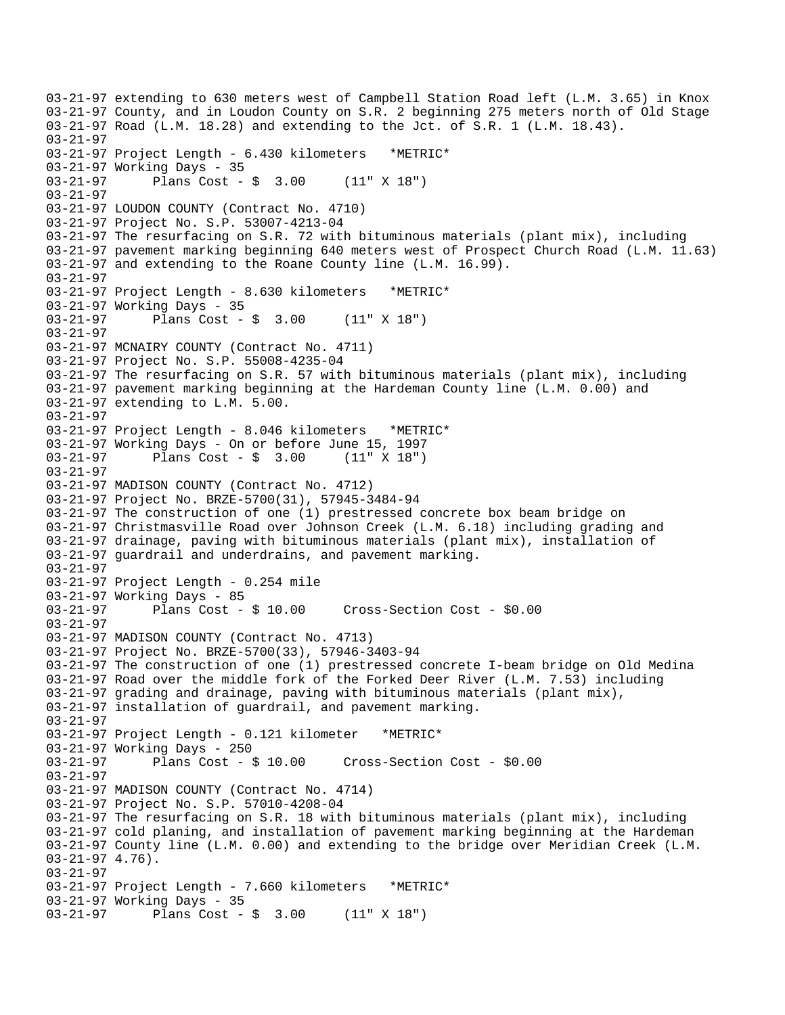03-21-97 extending to 630 meters west of Campbell Station Road left (L.M. 3.65) in Knox 03-21-97 County, and in Loudon County on S.R. 2 beginning 275 meters north of Old Stage 03-21-97 Road (L.M. 18.28) and extending to the Jct. of S.R. 1 (L.M. 18.43). 03-21-97 03-21-97 Project Length - 6.430 kilometers \*METRIC\* 03-21-97 Working Days - 35 03-21-97 Plans Cost - \$ 3.00 (11" X 18") 03-21-97 03-21-97 LOUDON COUNTY (Contract No. 4710) 03-21-97 Project No. S.P. 53007-4213-04 03-21-97 The resurfacing on S.R. 72 with bituminous materials (plant mix), including 03-21-97 pavement marking beginning 640 meters west of Prospect Church Road (L.M. 11.63) 03-21-97 and extending to the Roane County line (L.M. 16.99). 03-21-97 03-21-97 Project Length - 8.630 kilometers \*METRIC\* 03-21-97 Working Days - 35 03-21-97 Plans Cost - \$ 3.00 (11" X 18") 03-21-97 03-21-97 MCNAIRY COUNTY (Contract No. 4711) 03-21-97 Project No. S.P. 55008-4235-04 03-21-97 The resurfacing on S.R. 57 with bituminous materials (plant mix), including 03-21-97 pavement marking beginning at the Hardeman County line (L.M. 0.00) and 03-21-97 extending to L.M. 5.00. 03-21-97 03-21-97 Project Length - 8.046 kilometers \*METRIC\* 03-21-97 Working Days - On or before June 15, 1997 03-21-97 Plans Cost - \$ 3.00 (11" X 18") 03-21-97 03-21-97 MADISON COUNTY (Contract No. 4712) 03-21-97 Project No. BRZE-5700(31), 57945-3484-94 03-21-97 The construction of one (1) prestressed concrete box beam bridge on 03-21-97 Christmasville Road over Johnson Creek (L.M. 6.18) including grading and 03-21-97 drainage, paving with bituminous materials (plant mix), installation of 03-21-97 guardrail and underdrains, and pavement marking. 03-21-97 03-21-97 Project Length - 0.254 mile 03-21-97 Working Days - 85<br>03-21-97 Plans Cost - \$ 10.00 03-21-97 Plans Cost - \$ 10.00 Cross-Section Cost - \$0.00 03-21-97 03-21-97 MADISON COUNTY (Contract No. 4713) 03-21-97 Project No. BRZE-5700(33), 57946-3403-94 03-21-97 The construction of one (1) prestressed concrete I-beam bridge on Old Medina 03-21-97 Road over the middle fork of the Forked Deer River (L.M. 7.53) including 03-21-97 grading and drainage, paving with bituminous materials (plant mix), 03-21-97 installation of guardrail, and pavement marking. 03-21-97 03-21-97 Project Length - 0.121 kilometer \*METRIC\* 03-21-97 Working Days - 250 Cross-Section Cost - \$0.00 03-21-97 03-21-97 MADISON COUNTY (Contract No. 4714) 03-21-97 Project No. S.P. 57010-4208-04 03-21-97 The resurfacing on S.R. 18 with bituminous materials (plant mix), including 03-21-97 cold planing, and installation of pavement marking beginning at the Hardeman 03-21-97 County line (L.M. 0.00) and extending to the bridge over Meridian Creek (L.M. 03-21-97 4.76). 03-21-97 03-21-97 Project Length - 7.660 kilometers \*METRIC\* 03-21-97 Working Days - 35 03-21-97 Plans Cost - \$ 3.00 (11" X 18")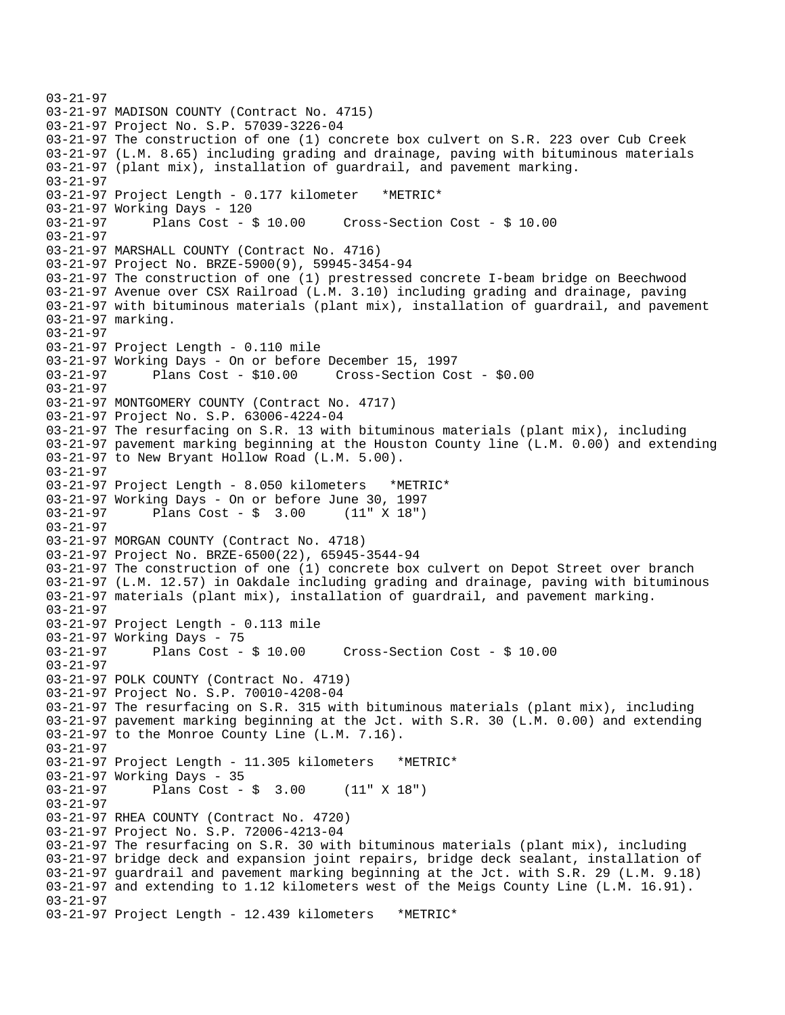```
03-21-97 
03-21-97 MADISON COUNTY (Contract No. 4715) 
03-21-97 Project No. S.P. 57039-3226-04 
03-21-97 The construction of one (1) concrete box culvert on S.R. 223 over Cub Creek 
03-21-97 (L.M. 8.65) including grading and drainage, paving with bituminous materials 
03-21-97 (plant mix), installation of guardrail, and pavement marking. 
03-21-97 
03-21-97 Project Length - 0.177 kilometer *METRIC* 
03-21-97 Working Days - 120 
03-21-97 Plans Cost - $ 10.00 Cross-Section Cost - $ 10.00 
03-21-97 
03-21-97 MARSHALL COUNTY (Contract No. 4716) 
03-21-97 Project No. BRZE-5900(9), 59945-3454-94 
03-21-97 The construction of one (1) prestressed concrete I-beam bridge on Beechwood 
03-21-97 Avenue over CSX Railroad (L.M. 3.10) including grading and drainage, paving 
03-21-97 with bituminous materials (plant mix), installation of guardrail, and pavement 
03-21-97 marking. 
03-21-97 
03-21-97 Project Length - 0.110 mile 
03-21-97 Working Days - On or before December 15, 1997 
03-21-97 Plans Cost - $10.00 Cross-Section Cost - $0.00 
03-21-97 
03-21-97 MONTGOMERY COUNTY (Contract No. 4717) 
03-21-97 Project No. S.P. 63006-4224-04 
03-21-97 The resurfacing on S.R. 13 with bituminous materials (plant mix), including 
03-21-97 pavement marking beginning at the Houston County line (L.M. 0.00) and extending 
03-21-97 to New Bryant Hollow Road (L.M. 5.00). 
03-21-97 
03-21-97 Project Length - 8.050 kilometers *METRIC* 
03-21-97 Working Days - On or before June 30, 1997 
03-21-97 Plans Cost - $ 3.00
03-21-97 
03-21-97 MORGAN COUNTY (Contract No. 4718) 
03-21-97 Project No. BRZE-6500(22), 65945-3544-94 
03-21-97 The construction of one (1) concrete box culvert on Depot Street over branch 
03-21-97 (L.M. 12.57) in Oakdale including grading and drainage, paving with bituminous 
03-21-97 materials (plant mix), installation of guardrail, and pavement marking. 
03-21-97 
03-21-97 Project Length - 0.113 mile 
03-21-97 Working Days - 75 
03-21-97 Plans Cost - $ 10.00 Cross-Section Cost - $ 10.00 
03-21-97 
03-21-97 POLK COUNTY (Contract No. 4719) 
03-21-97 Project No. S.P. 70010-4208-04 
03-21-97 The resurfacing on S.R. 315 with bituminous materials (plant mix), including 
03-21-97 pavement marking beginning at the Jct. with S.R. 30 (L.M. 0.00) and extending 
03-21-97 to the Monroe County Line (L.M. 7.16). 
03-21-97 
03-21-97 Project Length - 11.305 kilometers *METRIC* 
03-21-97 Working Days - 35<br>03-21-97 Plans Cost -
              Plans Cost - \frac{1}{2} 3.00 (11" X 18")
03-21-97 
03-21-97 RHEA COUNTY (Contract No. 4720) 
03-21-97 Project No. S.P. 72006-4213-04 
03-21-97 The resurfacing on S.R. 30 with bituminous materials (plant mix), including 
03-21-97 bridge deck and expansion joint repairs, bridge deck sealant, installation of 
03-21-97 guardrail and pavement marking beginning at the Jct. with S.R. 29 (L.M. 9.18) 
03-21-97 and extending to 1.12 kilometers west of the Meigs County Line (L.M. 16.91). 
03-21-97 
03-21-97 Project Length - 12.439 kilometers *METRIC*
```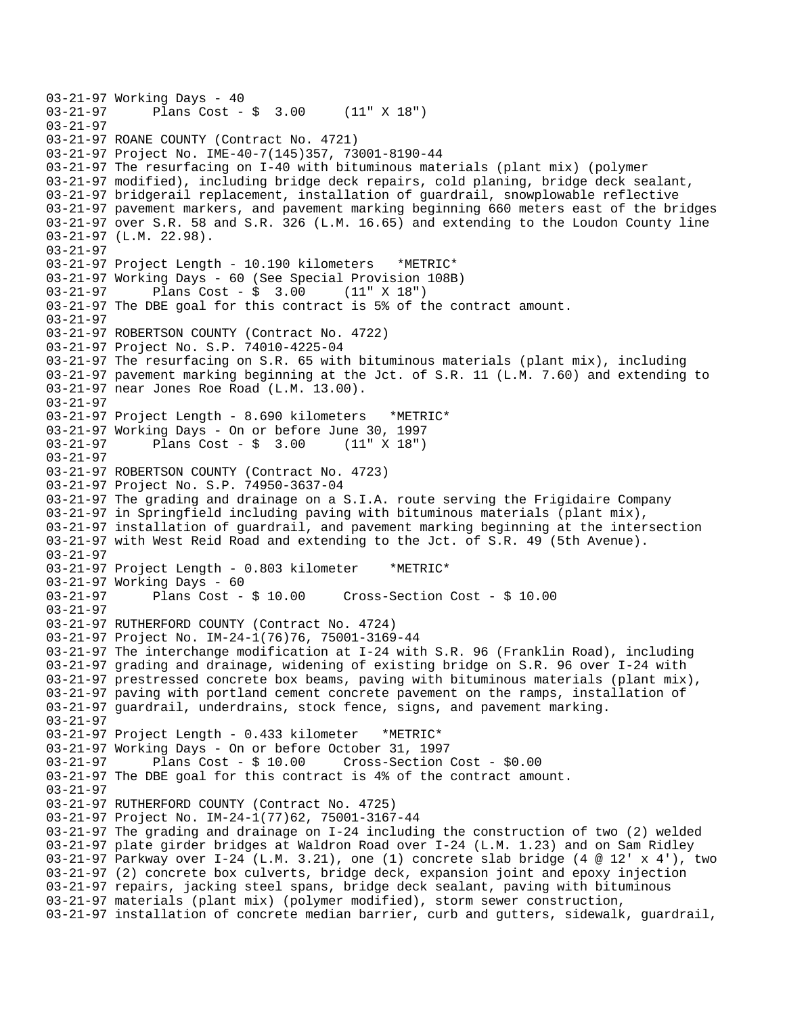```
03-21-97 Working Days - 40<br>03-21-97 Plans Cost -
              Plans Cost - $ 3.00 (11" X 18")03-21-97 
03-21-97 ROANE COUNTY (Contract No. 4721) 
03-21-97 Project No. IME-40-7(145)357, 73001-8190-44 
03-21-97 The resurfacing on I-40 with bituminous materials (plant mix) (polymer 
03-21-97 modified), including bridge deck repairs, cold planing, bridge deck sealant, 
03-21-97 bridgerail replacement, installation of guardrail, snowplowable reflective 
03-21-97 pavement markers, and pavement marking beginning 660 meters east of the bridges 
03-21-97 over S.R. 58 and S.R. 326 (L.M. 16.65) and extending to the Loudon County line 
03-21-97 (L.M. 22.98). 
03-21-97 
03-21-97 Project Length - 10.190 kilometers *METRIC* 
03-21-97 Working Days - 60 (See Special Provision 108B) 
03-21-97 Plans Cost - $ 3.00
03-21-97 The DBE goal for this contract is 5% of the contract amount. 
03-21-97 
03-21-97 ROBERTSON COUNTY (Contract No. 4722) 
03-21-97 Project No. S.P. 74010-4225-04 
03-21-97 The resurfacing on S.R. 65 with bituminous materials (plant mix), including 
03-21-97 pavement marking beginning at the Jct. of S.R. 11 (L.M. 7.60) and extending to 
03-21-97 near Jones Roe Road (L.M. 13.00). 
03-21-97 
03-21-97 Project Length - 8.690 kilometers *METRIC* 
03-21-97 Working Days - On or before June 30, 1997 
03-21-97 Plans Cost - $ 3.00
03-21-97 
03-21-97 ROBERTSON COUNTY (Contract No. 4723) 
03-21-97 Project No. S.P. 74950-3637-04 
03-21-97 The grading and drainage on a S.I.A. route serving the Frigidaire Company 
03-21-97 in Springfield including paving with bituminous materials (plant mix), 
03-21-97 installation of guardrail, and pavement marking beginning at the intersection 
03-21-97 with West Reid Road and extending to the Jct. of S.R. 49 (5th Avenue). 
03-21-97 
03-21-97 Project Length - 0.803 kilometer *METRIC* 
03-21-97 Working Days - 60 
03-21-97 Plans Cost - $ 10.00 Cross-Section Cost - $ 10.00 
03-21-97 
03-21-97 RUTHERFORD COUNTY (Contract No. 4724) 
03-21-97 Project No. IM-24-1(76)76, 75001-3169-44 
03-21-97 The interchange modification at I-24 with S.R. 96 (Franklin Road), including 
03-21-97 grading and drainage, widening of existing bridge on S.R. 96 over I-24 with 
03-21-97 prestressed concrete box beams, paving with bituminous materials (plant mix), 
03-21-97 paving with portland cement concrete pavement on the ramps, installation of 
03-21-97 guardrail, underdrains, stock fence, signs, and pavement marking. 
03-21-97 
03-21-97 Project Length - 0.433 kilometer *METRIC* 
03-21-97 Working Days - On or before October 31, 1997 
              Plans Cost - $ 10.00 Cross-Section Cost - $0.0003-21-97 The DBE goal for this contract is 4% of the contract amount. 
03-21-97 
03-21-97 RUTHERFORD COUNTY (Contract No. 4725) 
03-21-97 Project No. IM-24-1(77)62, 75001-3167-44 
03-21-97 The grading and drainage on I-24 including the construction of two (2) welded 
03-21-97 plate girder bridges at Waldron Road over I-24 (L.M. 1.23) and on Sam Ridley 
03-21-97 Parkway over I-24 (L.M. 3.21), one (1) concrete slab bridge (4 @ 12' x 4'), two 
03-21-97 (2) concrete box culverts, bridge deck, expansion joint and epoxy injection 
03-21-97 repairs, jacking steel spans, bridge deck sealant, paving with bituminous 
03-21-97 materials (plant mix) (polymer modified), storm sewer construction, 
03-21-97 installation of concrete median barrier, curb and gutters, sidewalk, guardrail,
```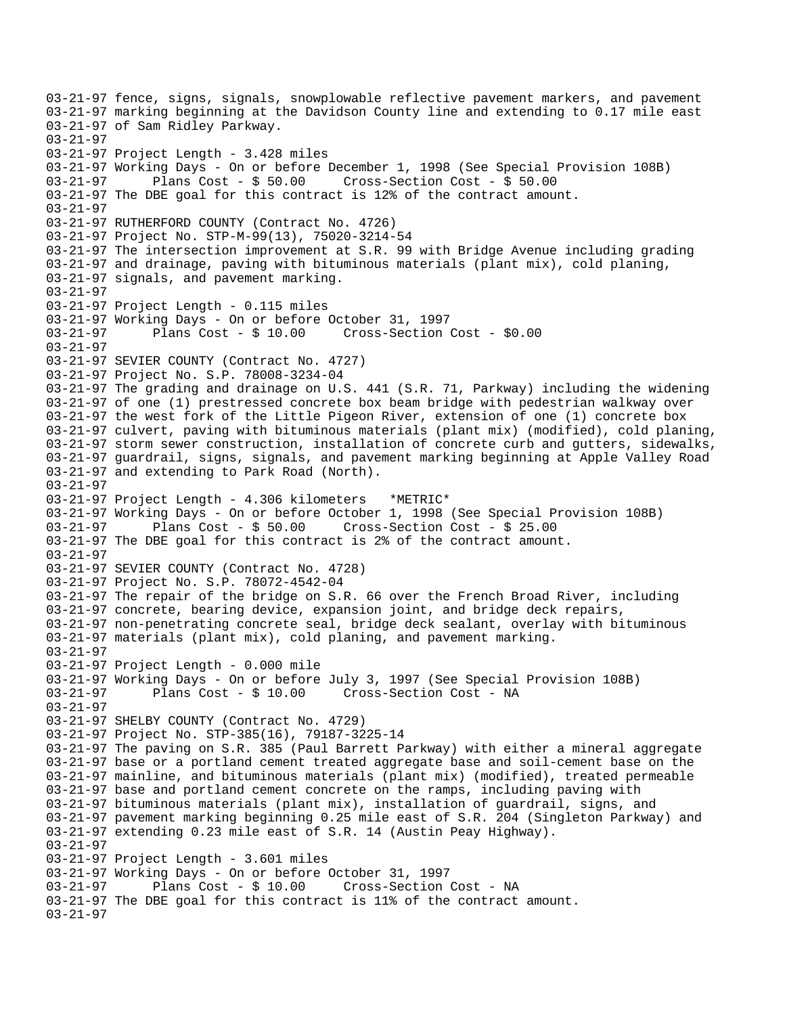03-21-97 fence, signs, signals, snowplowable reflective pavement markers, and pavement 03-21-97 marking beginning at the Davidson County line and extending to 0.17 mile east 03-21-97 of Sam Ridley Parkway. 03-21-97 03-21-97 Project Length - 3.428 miles 03-21-97 Working Days - On or before December 1, 1998 (See Special Provision 108B) 03-21-97 Plans Cost - \$ 50.00 Cross-Section Cost - \$ 50.00 03-21-97 The DBE goal for this contract is 12% of the contract amount. 03-21-97 03-21-97 RUTHERFORD COUNTY (Contract No. 4726) 03-21-97 Project No. STP-M-99(13), 75020-3214-54 03-21-97 The intersection improvement at S.R. 99 with Bridge Avenue including grading 03-21-97 and drainage, paving with bituminous materials (plant mix), cold planing, 03-21-97 signals, and pavement marking. 03-21-97 03-21-97 Project Length - 0.115 miles 03-21-97 Working Days - On or before October 31, 1997 03-21-97 Plans Cost - \$ 10.00 Cross-Section Cost - \$0.00 03-21-97 03-21-97 SEVIER COUNTY (Contract No. 4727) 03-21-97 Project No. S.P. 78008-3234-04 03-21-97 The grading and drainage on U.S. 441 (S.R. 71, Parkway) including the widening 03-21-97 of one (1) prestressed concrete box beam bridge with pedestrian walkway over 03-21-97 the west fork of the Little Pigeon River, extension of one (1) concrete box 03-21-97 culvert, paving with bituminous materials (plant mix) (modified), cold planing, 03-21-97 storm sewer construction, installation of concrete curb and gutters, sidewalks, 03-21-97 guardrail, signs, signals, and pavement marking beginning at Apple Valley Road 03-21-97 and extending to Park Road (North). 03-21-97 03-21-97 Project Length - 4.306 kilometers \*METRIC\* 03-21-97 Working Days - On or before October 1, 1998 (See Special Provision 108B) 03-21-97 Plans Cost - \$ 50.00 Cross-Section Cost - \$ 25.00 03-21-97 The DBE goal for this contract is 2% of the contract amount. 03-21-97 03-21-97 SEVIER COUNTY (Contract No. 4728) 03-21-97 Project No. S.P. 78072-4542-04 03-21-97 The repair of the bridge on S.R. 66 over the French Broad River, including 03-21-97 concrete, bearing device, expansion joint, and bridge deck repairs, 03-21-97 non-penetrating concrete seal, bridge deck sealant, overlay with bituminous 03-21-97 materials (plant mix), cold planing, and pavement marking. 03-21-97 03-21-97 Project Length - 0.000 mile 03-21-97 Working Days - On or before July 3, 1997 (See Special Provision 108B) 03-21-97 Plans Cost - \$ 10.00 Cross-Section Cost - NA 03-21-97 03-21-97 SHELBY COUNTY (Contract No. 4729) 03-21-97 Project No. STP-385(16), 79187-3225-14 03-21-97 The paving on S.R. 385 (Paul Barrett Parkway) with either a mineral aggregate 03-21-97 base or a portland cement treated aggregate base and soil-cement base on the 03-21-97 mainline, and bituminous materials (plant mix) (modified), treated permeable 03-21-97 base and portland cement concrete on the ramps, including paving with 03-21-97 bituminous materials (plant mix), installation of guardrail, signs, and 03-21-97 pavement marking beginning 0.25 mile east of S.R. 204 (Singleton Parkway) and 03-21-97 extending 0.23 mile east of S.R. 14 (Austin Peay Highway). 03-21-97 03-21-97 Project Length - 3.601 miles 03-21-97 Working Days - On or before October 31, 1997 Cross-Section Cost - NA 03-21-97 The DBE goal for this contract is 11% of the contract amount. 03-21-97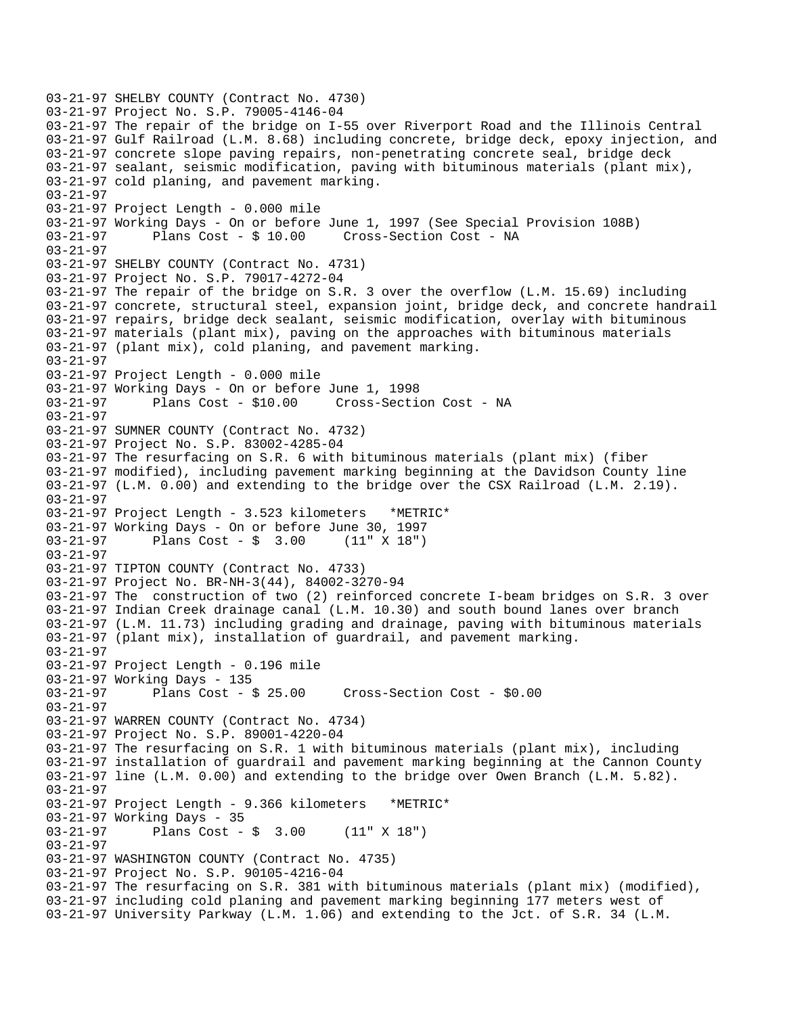```
03-21-97 SHELBY COUNTY (Contract No. 4730) 
03-21-97 Project No. S.P. 79005-4146-04 
03-21-97 The repair of the bridge on I-55 over Riverport Road and the Illinois Central 
03-21-97 Gulf Railroad (L.M. 8.68) including concrete, bridge deck, epoxy injection, and 
03-21-97 concrete slope paving repairs, non-penetrating concrete seal, bridge deck 
03-21-97 sealant, seismic modification, paving with bituminous materials (plant mix), 
03-21-97 cold planing, and pavement marking. 
03-21-97 
03-21-97 Project Length - 0.000 mile 
03-21-97 Working Days - On or before June 1, 1997 (See Special Provision 108B) 
03-21-97 Plans Cost - $ 10.00 Cross-Section Cost - NA 
03-21-97 
03-21-97 SHELBY COUNTY (Contract No. 4731) 
03-21-97 Project No. S.P. 79017-4272-04 
03-21-97 The repair of the bridge on S.R. 3 over the overflow (L.M. 15.69) including 
03-21-97 concrete, structural steel, expansion joint, bridge deck, and concrete handrail 
03-21-97 repairs, bridge deck sealant, seismic modification, overlay with bituminous 
03-21-97 materials (plant mix), paving on the approaches with bituminous materials 
03-21-97 (plant mix), cold planing, and pavement marking. 
03-21-97 
03-21-97 Project Length - 0.000 mile 
03-21-97 Working Days - On or before June 1, 1998 
03-21-97 Plans Cost - $10.00 Cross-Section Cost - NA 
03-21-97 
03-21-97 SUMNER COUNTY (Contract No. 4732) 
03-21-97 Project No. S.P. 83002-4285-04 
03-21-97 The resurfacing on S.R. 6 with bituminous materials (plant mix) (fiber 
03-21-97 modified), including pavement marking beginning at the Davidson County line 
03-21-97 (L.M. 0.00) and extending to the bridge over the CSX Railroad (L.M. 2.19). 
03-21-97 
03-21-97 Project Length - 3.523 kilometers *METRIC* 
03-21-97 Working Days - On or before June 30, 1997 
              Plans Cost - $ 3.0003-21-97 
03-21-97 TIPTON COUNTY (Contract No. 4733) 
03-21-97 Project No. BR-NH-3(44), 84002-3270-94 
03-21-97 The construction of two (2) reinforced concrete I-beam bridges on S.R. 3 over 
03-21-97 Indian Creek drainage canal (L.M. 10.30) and south bound lanes over branch 
03-21-97 (L.M. 11.73) including grading and drainage, paving with bituminous materials 
03-21-97 (plant mix), installation of guardrail, and pavement marking. 
03-21-97 
03-21-97 Project Length - 0.196 mile 
03-21-97 Working Days - 135 
03-21-97 Plans Cost - $ 25.00 Cross-Section Cost - $0.00 
03-21-97 
03-21-97 WARREN COUNTY (Contract No. 4734) 
03-21-97 Project No. S.P. 89001-4220-04 
03-21-97 The resurfacing on S.R. 1 with bituminous materials (plant mix), including 
03-21-97 installation of guardrail and pavement marking beginning at the Cannon County 
03-21-97 line (L.M. 0.00) and extending to the bridge over Owen Branch (L.M. 5.82). 
03-21-97 
03-21-97 Project Length - 9.366 kilometers *METRIC* 
03-21-97 Working Days - 35 
03-21-97 Plans Cost - $ 3.00 (11" X 18") 
03-21-97 
03-21-97 WASHINGTON COUNTY (Contract No. 4735) 
03-21-97 Project No. S.P. 90105-4216-04 
03-21-97 The resurfacing on S.R. 381 with bituminous materials (plant mix) (modified), 
03-21-97 including cold planing and pavement marking beginning 177 meters west of 
03-21-97 University Parkway (L.M. 1.06) and extending to the Jct. of S.R. 34 (L.M.
```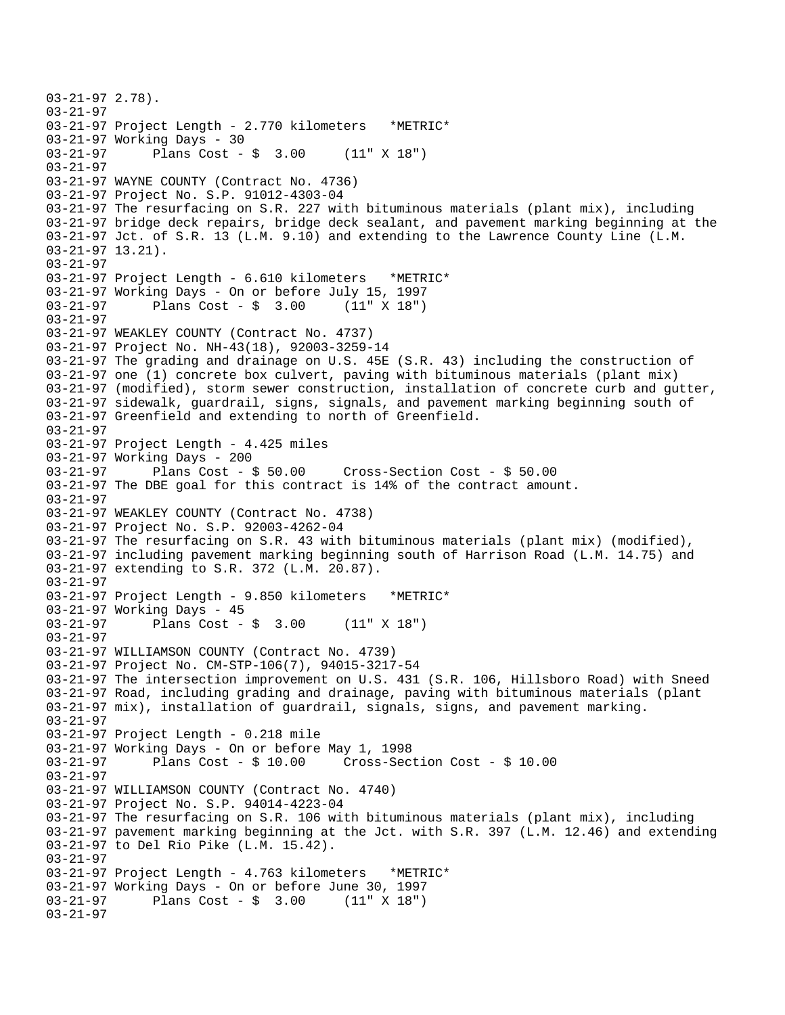```
03-21-97 2.78). 
03-21-97 
03-21-97 Project Length - 2.770 kilometers *METRIC* 
03-21-97 Working Days - 30<br>03-21-97 Plans Cost -
              Plans Cost - \frac{1}{2} 3.00 (11" X 18")
03-21-97 
03-21-97 WAYNE COUNTY (Contract No. 4736) 
03-21-97 Project No. S.P. 91012-4303-04 
03-21-97 The resurfacing on S.R. 227 with bituminous materials (plant mix), including 
03-21-97 bridge deck repairs, bridge deck sealant, and pavement marking beginning at the 
03-21-97 Jct. of S.R. 13 (L.M. 9.10) and extending to the Lawrence County Line (L.M. 
03-21-97 13.21). 
03-21-97 
03-21-97 Project Length - 6.610 kilometers *METRIC* 
03-21-97 Working Days - On or before July 15, 1997 
03-21-97 Plans Cost - $ 3.00 (11" X 18") 
03-21-97 
03-21-97 WEAKLEY COUNTY (Contract No. 4737) 
03-21-97 Project No. NH-43(18), 92003-3259-14 
03-21-97 The grading and drainage on U.S. 45E (S.R. 43) including the construction of 
03-21-97 one (1) concrete box culvert, paving with bituminous materials (plant mix) 
03-21-97 (modified), storm sewer construction, installation of concrete curb and gutter, 
03-21-97 sidewalk, guardrail, signs, signals, and pavement marking beginning south of 
03-21-97 Greenfield and extending to north of Greenfield. 
03-21-97 
03-21-97 Project Length - 4.425 miles 
03-21-97 Working Days - 200<br>03-21-97 Plans Cost - $ 50.00
03-21-97 Plans Cost - $ 50.00 Cross-Section Cost - $ 50.00 
03-21-97 The DBE goal for this contract is 14% of the contract amount. 
03-21-97 
03-21-97 WEAKLEY COUNTY (Contract No. 4738) 
03-21-97 Project No. S.P. 92003-4262-04 
03-21-97 The resurfacing on S.R. 43 with bituminous materials (plant mix) (modified), 
03-21-97 including pavement marking beginning south of Harrison Road (L.M. 14.75) and 
03-21-97 extending to S.R. 372 (L.M. 20.87). 
03-21-97 
03-21-97 Project Length - 9.850 kilometers *METRIC* 
03-21-97 Working Days - 45 
03-21-97 Plans Cost - $ 3.00 (11" X 18") 
03-21-97 
03-21-97 WILLIAMSON COUNTY (Contract No. 4739) 
03-21-97 Project No. CM-STP-106(7), 94015-3217-54 
03-21-97 The intersection improvement on U.S. 431 (S.R. 106, Hillsboro Road) with Sneed 
03-21-97 Road, including grading and drainage, paving with bituminous materials (plant 
03-21-97 mix), installation of guardrail, signals, signs, and pavement marking. 
03-21-97 
03-21-97 Project Length - 0.218 mile 
03-21-97 Working Days - On or before May 1, 1998 
                                      Cross-Section Cost - $ 10.00 03-21-97 
03-21-97 WILLIAMSON COUNTY (Contract No. 4740) 
03-21-97 Project No. S.P. 94014-4223-04 
03-21-97 The resurfacing on S.R. 106 with bituminous materials (plant mix), including 
03-21-97 pavement marking beginning at the Jct. with S.R. 397 (L.M. 12.46) and extending 
03-21-97 to Del Rio Pike (L.M. 15.42). 
03-21-97 
03-21-97 Project Length - 4.763 kilometers *METRIC* 
03-21-97 Working Days - On or before June 30, 1997 
              Plans Cost - $ 3.0003-21-97
```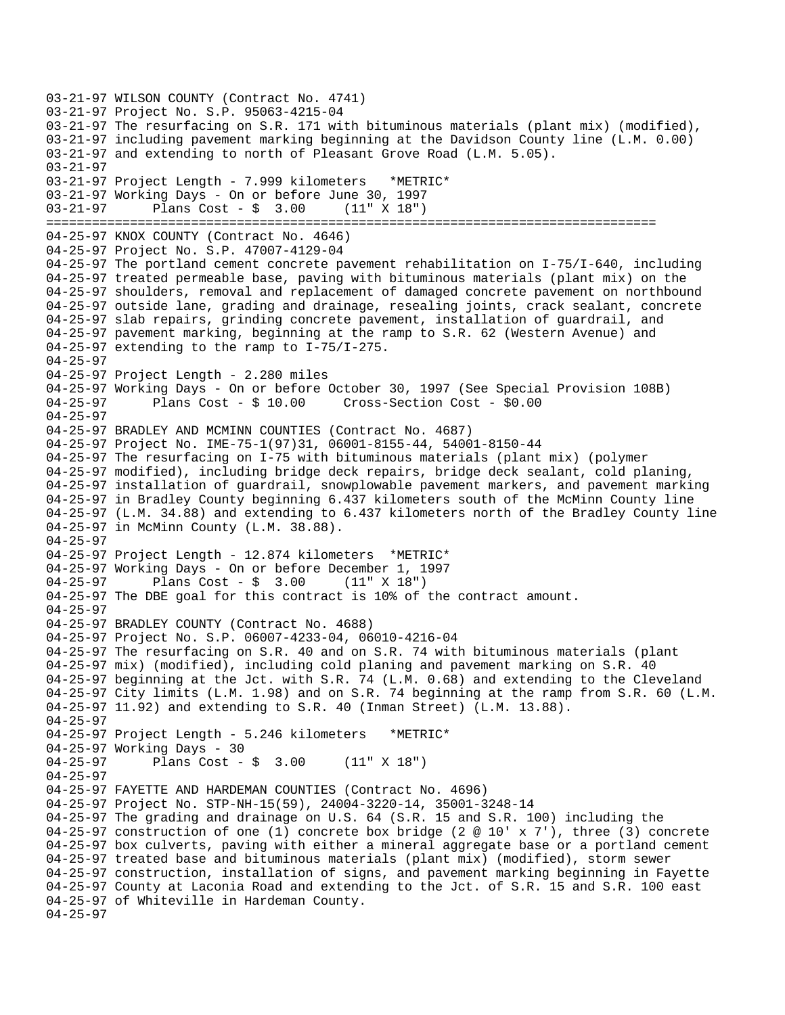03-21-97 WILSON COUNTY (Contract No. 4741) 03-21-97 Project No. S.P. 95063-4215-04 03-21-97 The resurfacing on S.R. 171 with bituminous materials (plant mix) (modified), 03-21-97 including pavement marking beginning at the Davidson County line (L.M. 0.00) 03-21-97 and extending to north of Pleasant Grove Road (L.M. 5.05). 03-21-97 03-21-97 Project Length - 7.999 kilometers \*METRIC\* 03-21-97 Working Days - On or before June 30, 1997 03-21-97 Plans Cost - \$ 3.00 (11" X 18") ================================================================================ 04-25-97 KNOX COUNTY (Contract No. 4646) 04-25-97 Project No. S.P. 47007-4129-04 04-25-97 The portland cement concrete pavement rehabilitation on I-75/I-640, including 04-25-97 treated permeable base, paving with bituminous materials (plant mix) on the 04-25-97 shoulders, removal and replacement of damaged concrete pavement on northbound 04-25-97 outside lane, grading and drainage, resealing joints, crack sealant, concrete 04-25-97 slab repairs, grinding concrete pavement, installation of guardrail, and 04-25-97 pavement marking, beginning at the ramp to S.R. 62 (Western Avenue) and 04-25-97 extending to the ramp to I-75/I-275. 04-25-97 04-25-97 Project Length - 2.280 miles 04-25-97 Working Days - On or before October 30, 1997 (See Special Provision 108B) 04-25-97 Plans Cost - \$ 10.00 Cross-Section Cost - \$0.00 04-25-97 04-25-97 BRADLEY AND MCMINN COUNTIES (Contract No. 4687) 04-25-97 Project No. IME-75-1(97)31, 06001-8155-44, 54001-8150-44 04-25-97 The resurfacing on I-75 with bituminous materials (plant mix) (polymer 04-25-97 modified), including bridge deck repairs, bridge deck sealant, cold planing, 04-25-97 installation of guardrail, snowplowable pavement markers, and pavement marking 04-25-97 in Bradley County beginning 6.437 kilometers south of the McMinn County line 04-25-97 (L.M. 34.88) and extending to 6.437 kilometers north of the Bradley County line 04-25-97 in McMinn County (L.M. 38.88). 04-25-97 04-25-97 Project Length - 12.874 kilometers \*METRIC\* 04-25-97 Working Days - On or before December 1, 1997 04-25-97 Plans Cost - \$ 3.00 (11" X 18") 04-25-97 The DBE goal for this contract is 10% of the contract amount. 04-25-97 04-25-97 BRADLEY COUNTY (Contract No. 4688) 04-25-97 Project No. S.P. 06007-4233-04, 06010-4216-04 04-25-97 The resurfacing on S.R. 40 and on S.R. 74 with bituminous materials (plant 04-25-97 mix) (modified), including cold planing and pavement marking on S.R. 40 04-25-97 beginning at the Jct. with S.R. 74 (L.M. 0.68) and extending to the Cleveland 04-25-97 City limits (L.M. 1.98) and on S.R. 74 beginning at the ramp from S.R. 60 (L.M. 04-25-97 11.92) and extending to S.R. 40 (Inman Street) (L.M. 13.88). 04-25-97 04-25-97 Project Length - 5.246 kilometers \*METRIC\* 04-25-97 Working Days - 30<br>04-25-97 Plans Cost -Plans Cost -  $\frac{1}{2}$  3.00 (11" X 18") 04-25-97 04-25-97 FAYETTE AND HARDEMAN COUNTIES (Contract No. 4696) 04-25-97 Project No. STP-NH-15(59), 24004-3220-14, 35001-3248-14 04-25-97 The grading and drainage on U.S. 64 (S.R. 15 and S.R. 100) including the 04-25-97 construction of one (1) concrete box bridge (2  $@$  10' x 7'), three (3) concrete 04-25-97 box culverts, paving with either a mineral aggregate base or a portland cement 04-25-97 treated base and bituminous materials (plant mix) (modified), storm sewer 04-25-97 construction, installation of signs, and pavement marking beginning in Fayette 04-25-97 County at Laconia Road and extending to the Jct. of S.R. 15 and S.R. 100 east 04-25-97 of Whiteville in Hardeman County. 04-25-97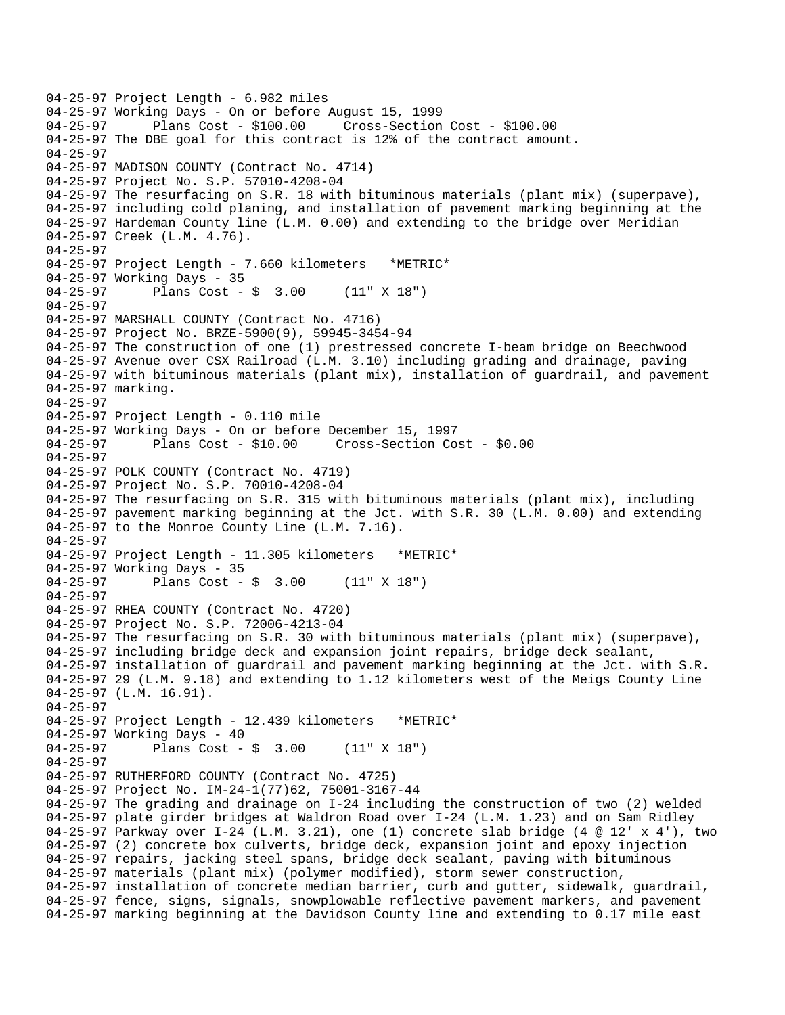```
04-25-97 Project Length - 6.982 miles 
04-25-97 Working Days - On or before August 15, 1999 
                                      04-25-97 Plans Cost - $100.00 Cross-Section Cost - $100.00 
04-25-97 The DBE goal for this contract is 12% of the contract amount. 
04-25-97 
04-25-97 MADISON COUNTY (Contract No. 4714) 
04-25-97 Project No. S.P. 57010-4208-04 
04-25-97 The resurfacing on S.R. 18 with bituminous materials (plant mix) (superpave), 
04-25-97 including cold planing, and installation of pavement marking beginning at the 
04-25-97 Hardeman County line (L.M. 0.00) and extending to the bridge over Meridian 
04-25-97 Creek (L.M. 4.76). 
04-25-97 
04-25-97 Project Length - 7.660 kilometers *METRIC* 
04-25-97 Working Days - 35 
04-25-97 Plans Cost - $ 3.00 (11" X 18") 
04-25-97 
04-25-97 MARSHALL COUNTY (Contract No. 4716) 
04-25-97 Project No. BRZE-5900(9), 59945-3454-94 
04-25-97 The construction of one (1) prestressed concrete I-beam bridge on Beechwood 
04-25-97 Avenue over CSX Railroad (L.M. 3.10) including grading and drainage, paving 
04-25-97 with bituminous materials (plant mix), installation of guardrail, and pavement 
04-25-97 marking. 
04-25-97 
04-25-97 Project Length - 0.110 mile 
04-25-97 Working Days - On or before December 15, 1997 
04-25-97 Plans Cost - $10.00 Cross-Section Cost - $0.00 
04-25-97 
04-25-97 POLK COUNTY (Contract No. 4719) 
04-25-97 Project No. S.P. 70010-4208-04 
04-25-97 The resurfacing on S.R. 315 with bituminous materials (plant mix), including 
04-25-97 pavement marking beginning at the Jct. with S.R. 30 (L.M. 0.00) and extending 
04-25-97 to the Monroe County Line (L.M. 7.16). 
04-25-97 
04-25-97 Project Length - 11.305 kilometers *METRIC* 
04-25-97 Working Days - 35 
04-25-97 Plans Cost - $ 3.00 (11" X 18") 
04-25-97 
04-25-97 RHEA COUNTY (Contract No. 4720) 
04-25-97 Project No. S.P. 72006-4213-04 
04-25-97 The resurfacing on S.R. 30 with bituminous materials (plant mix) (superpave), 
04-25-97 including bridge deck and expansion joint repairs, bridge deck sealant, 
04-25-97 installation of guardrail and pavement marking beginning at the Jct. with S.R. 
04-25-97 29 (L.M. 9.18) and extending to 1.12 kilometers west of the Meigs County Line 
04-25-97 (L.M. 16.91). 
04-25-97 
04-25-97 Project Length - 12.439 kilometers *METRIC*
04-25-97 Working Days - 40<br>04-25-97 Plans Cost -
              Plans Cost - $ 3.00 (11" X 18")04-25-97 
04-25-97 RUTHERFORD COUNTY (Contract No. 4725) 
04-25-97 Project No. IM-24-1(77)62, 75001-3167-44 
04-25-97 The grading and drainage on I-24 including the construction of two (2) welded 
04-25-97 plate girder bridges at Waldron Road over I-24 (L.M. 1.23) and on Sam Ridley 
04-25-97 Parkway over I-24 (L.M. 3.21), one (1) concrete slab bridge (4 @ 12' x 4'), two
04-25-97 (2) concrete box culverts, bridge deck, expansion joint and epoxy injection 
04-25-97 repairs, jacking steel spans, bridge deck sealant, paving with bituminous 
04-25-97 materials (plant mix) (polymer modified), storm sewer construction, 
04-25-97 installation of concrete median barrier, curb and gutter, sidewalk, guardrail, 
04-25-97 fence, signs, signals, snowplowable reflective pavement markers, and pavement 
04-25-97 marking beginning at the Davidson County line and extending to 0.17 mile east
```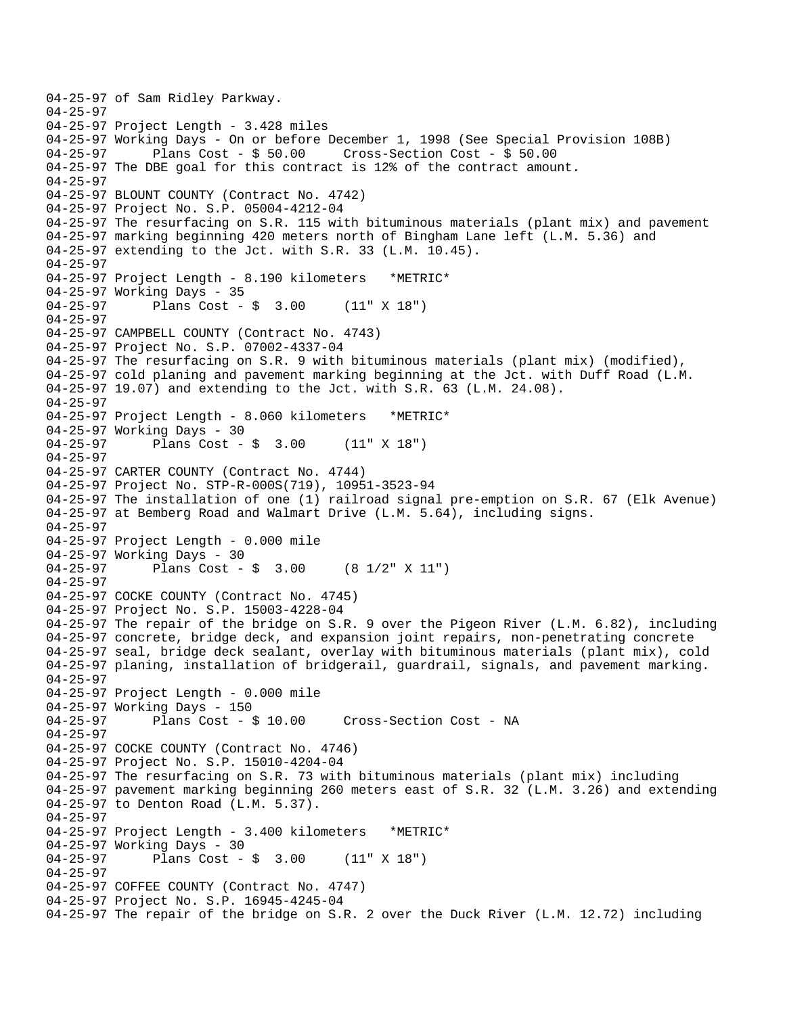04-25-97 of Sam Ridley Parkway. 04-25-97 04-25-97 Project Length - 3.428 miles 04-25-97 Working Days - On or before December 1, 1998 (See Special Provision 108B)<br>04-25-97 Plans Cost - \$ 50.00 Cross-Section Cost - \$ 50.00 Plans Cost -  $$50.00$  Cross-Section Cost -  $$50.00$ 04-25-97 The DBE goal for this contract is 12% of the contract amount. 04-25-97 04-25-97 BLOUNT COUNTY (Contract No. 4742) 04-25-97 Project No. S.P. 05004-4212-04 04-25-97 The resurfacing on S.R. 115 with bituminous materials (plant mix) and pavement 04-25-97 marking beginning 420 meters north of Bingham Lane left (L.M. 5.36) and 04-25-97 extending to the Jct. with S.R. 33 (L.M. 10.45). 04-25-97 04-25-97 Project Length - 8.190 kilometers \*METRIC\* 04-25-97 Working Days - 35 04-25-97 Plans Cost - \$ 3.00 (11" X 18") 04-25-97 04-25-97 CAMPBELL COUNTY (Contract No. 4743) 04-25-97 Project No. S.P. 07002-4337-04 04-25-97 The resurfacing on S.R. 9 with bituminous materials (plant mix) (modified), 04-25-97 cold planing and pavement marking beginning at the Jct. with Duff Road (L.M. 04-25-97 19.07) and extending to the Jct. with S.R. 63 (L.M. 24.08). 04-25-97 04-25-97 Project Length - 8.060 kilometers \*METRIC\* 04-25-97 Working Days - 30 04-25-97 Plans Cost - \$ 3.00 (11" X 18") 04-25-97 04-25-97 CARTER COUNTY (Contract No. 4744) 04-25-97 Project No. STP-R-000S(719), 10951-3523-94 04-25-97 The installation of one (1) railroad signal pre-emption on S.R. 67 (Elk Avenue) 04-25-97 at Bemberg Road and Walmart Drive (L.M. 5.64), including signs. 04-25-97 04-25-97 Project Length - 0.000 mile 04-25-97 Working Days - 30<br>04-25-97 Plans Cost -Plans Cost -  $\frac{1}{2}$  3.00 (8 1/2" X 11") 04-25-97 04-25-97 COCKE COUNTY (Contract No. 4745) 04-25-97 Project No. S.P. 15003-4228-04 04-25-97 The repair of the bridge on S.R. 9 over the Pigeon River (L.M. 6.82), including 04-25-97 concrete, bridge deck, and expansion joint repairs, non-penetrating concrete 04-25-97 seal, bridge deck sealant, overlay with bituminous materials (plant mix), cold 04-25-97 planing, installation of bridgerail, guardrail, signals, and pavement marking. 04-25-97 04-25-97 Project Length - 0.000 mile 04-25-97 Working Days - 150 04-25-97 Plans Cost - \$ 10.00 Cross-Section Cost - NA 04-25-97 04-25-97 COCKE COUNTY (Contract No. 4746) 04-25-97 Project No. S.P. 15010-4204-04 04-25-97 The resurfacing on S.R. 73 with bituminous materials (plant mix) including 04-25-97 pavement marking beginning 260 meters east of S.R. 32 (L.M. 3.26) and extending 04-25-97 to Denton Road (L.M. 5.37). 04-25-97 04-25-97 Project Length - 3.400 kilometers \*METRIC\* 04-25-97 Working Days - 30 04-25-97 Plans Cost - \$ 3.00 (11" X 18") 04-25-97 04-25-97 COFFEE COUNTY (Contract No. 4747) 04-25-97 Project No. S.P. 16945-4245-04 04-25-97 The repair of the bridge on S.R. 2 over the Duck River (L.M. 12.72) including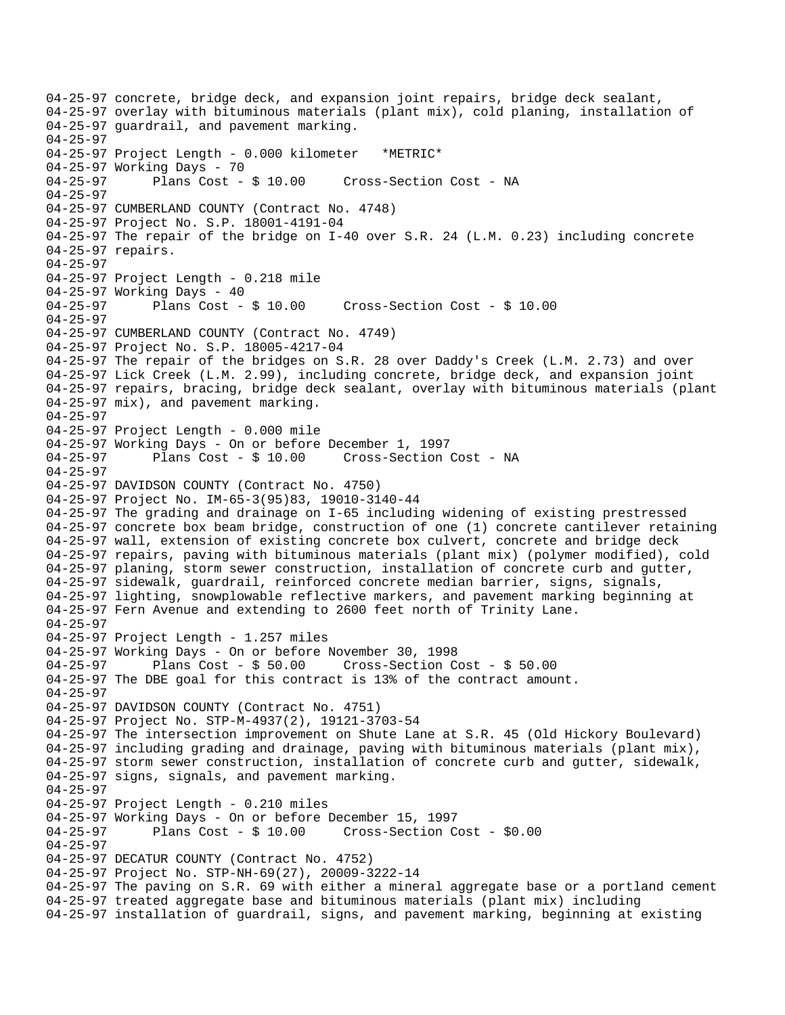04-25-97 concrete, bridge deck, and expansion joint repairs, bridge deck sealant, 04-25-97 overlay with bituminous materials (plant mix), cold planing, installation of 04-25-97 guardrail, and pavement marking. 04-25-97 04-25-97 Project Length - 0.000 kilometer \*METRIC\* 04-25-97 Working Days - 70<br>04-25-97 Plans Cost - \$ 10.00 04-25-97 Plans Cost - \$ 10.00 Cross-Section Cost - NA 04-25-97 04-25-97 CUMBERLAND COUNTY (Contract No. 4748) 04-25-97 Project No. S.P. 18001-4191-04 04-25-97 The repair of the bridge on I-40 over S.R. 24 (L.M. 0.23) including concrete 04-25-97 repairs. 04-25-97 04-25-97 Project Length - 0.218 mile 04-25-97 Working Days - 40<br>04-25-97 Plans Cost - \$ 10.00 04-25-97 Plans Cost - \$ 10.00 Cross-Section Cost - \$ 10.00 04-25-97 04-25-97 CUMBERLAND COUNTY (Contract No. 4749) 04-25-97 Project No. S.P. 18005-4217-04 04-25-97 The repair of the bridges on S.R. 28 over Daddy's Creek (L.M. 2.73) and over 04-25-97 Lick Creek (L.M. 2.99), including concrete, bridge deck, and expansion joint 04-25-97 repairs, bracing, bridge deck sealant, overlay with bituminous materials (plant 04-25-97 mix), and pavement marking. 04-25-97 04-25-97 Project Length - 0.000 mile 04-25-97 Working Days - On or before December 1, 1997 04-25-97 Plans Cost - \$ 10.00 Cross-Section Cost - NA 04-25-97 04-25-97 DAVIDSON COUNTY (Contract No. 4750) 04-25-97 Project No. IM-65-3(95)83, 19010-3140-44 04-25-97 The grading and drainage on I-65 including widening of existing prestressed 04-25-97 concrete box beam bridge, construction of one (1) concrete cantilever retaining 04-25-97 wall, extension of existing concrete box culvert, concrete and bridge deck 04-25-97 repairs, paving with bituminous materials (plant mix) (polymer modified), cold 04-25-97 planing, storm sewer construction, installation of concrete curb and gutter, 04-25-97 sidewalk, guardrail, reinforced concrete median barrier, signs, signals, 04-25-97 lighting, snowplowable reflective markers, and pavement marking beginning at 04-25-97 Fern Avenue and extending to 2600 feet north of Trinity Lane. 04-25-97 04-25-97 Project Length - 1.257 miles 04-25-97 Working Days - On or before November 30, 1998 04-25-97 Plans Cost - \$ 50.00 Cross-Section Cost - \$ 50.00 04-25-97 The DBE goal for this contract is 13% of the contract amount. 04-25-97 04-25-97 DAVIDSON COUNTY (Contract No. 4751) 04-25-97 Project No. STP-M-4937(2), 19121-3703-54 04-25-97 The intersection improvement on Shute Lane at S.R. 45 (Old Hickory Boulevard) 04-25-97 including grading and drainage, paving with bituminous materials (plant mix), 04-25-97 storm sewer construction, installation of concrete curb and gutter, sidewalk, 04-25-97 signs, signals, and pavement marking. 04-25-97 04-25-97 Project Length - 0.210 miles 04-25-97 Working Days - On or before December 15, 1997 04-25-97 Plans Cost - \$ 10.00 Cross-Section Cost - \$0.00 04-25-97 04-25-97 DECATUR COUNTY (Contract No. 4752) 04-25-97 Project No. STP-NH-69(27), 20009-3222-14 04-25-97 The paving on S.R. 69 with either a mineral aggregate base or a portland cement 04-25-97 treated aggregate base and bituminous materials (plant mix) including 04-25-97 installation of guardrail, signs, and pavement marking, beginning at existing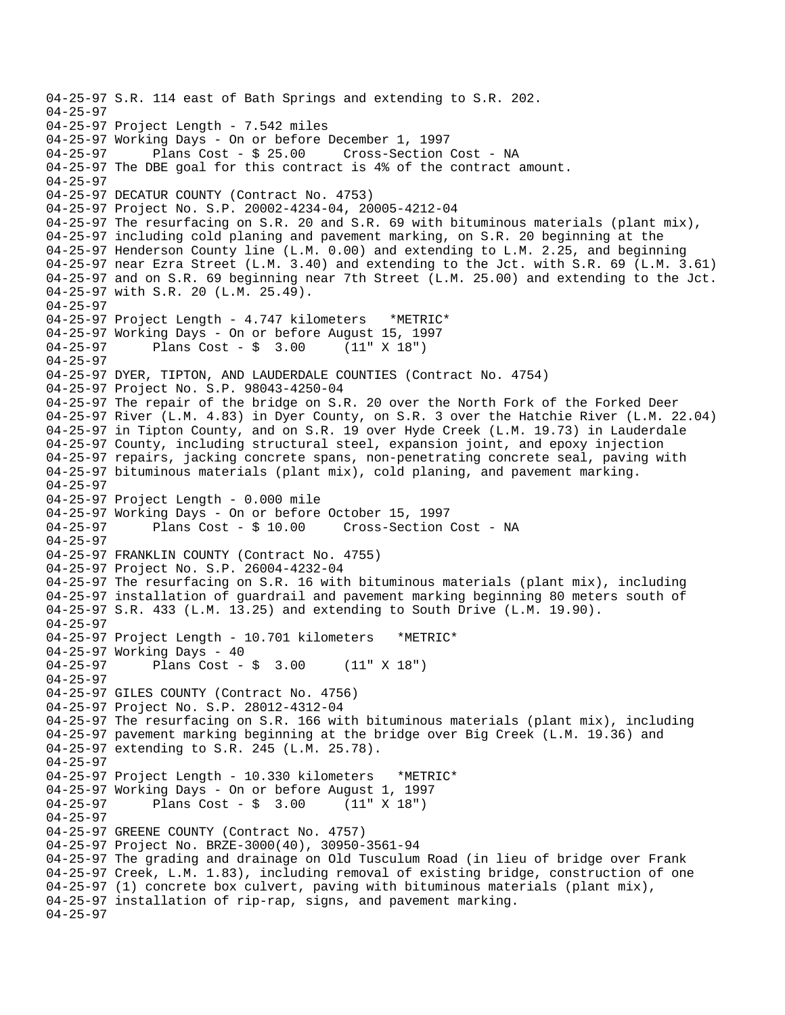04-25-97 S.R. 114 east of Bath Springs and extending to S.R. 202. 04-25-97 04-25-97 Project Length - 7.542 miles 04-25-97 Working Days - On or before December 1, 1997 Plans Cost - \$ 25.00 Cross-Section Cost - NA 04-25-97 The DBE goal for this contract is 4% of the contract amount. 04-25-97 04-25-97 DECATUR COUNTY (Contract No. 4753) 04-25-97 Project No. S.P. 20002-4234-04, 20005-4212-04 04-25-97 The resurfacing on S.R. 20 and S.R. 69 with bituminous materials (plant mix), 04-25-97 including cold planing and pavement marking, on S.R. 20 beginning at the 04-25-97 Henderson County line (L.M. 0.00) and extending to L.M. 2.25, and beginning 04-25-97 near Ezra Street (L.M. 3.40) and extending to the Jct. with S.R. 69 (L.M. 3.61) 04-25-97 and on S.R. 69 beginning near 7th Street (L.M. 25.00) and extending to the Jct. 04-25-97 with S.R. 20 (L.M. 25.49). 04-25-97 04-25-97 Project Length - 4.747 kilometers \*METRIC\* 04-25-97 Working Days - On or before August 15, 1997 04-25-97 Plans Cost - \$ 3.00 (11" X 18") 04-25-97 04-25-97 DYER, TIPTON, AND LAUDERDALE COUNTIES (Contract No. 4754) 04-25-97 Project No. S.P. 98043-4250-04 04-25-97 The repair of the bridge on S.R. 20 over the North Fork of the Forked Deer 04-25-97 River (L.M. 4.83) in Dyer County, on S.R. 3 over the Hatchie River (L.M. 22.04) 04-25-97 in Tipton County, and on S.R. 19 over Hyde Creek (L.M. 19.73) in Lauderdale 04-25-97 County, including structural steel, expansion joint, and epoxy injection 04-25-97 repairs, jacking concrete spans, non-penetrating concrete seal, paving with 04-25-97 bituminous materials (plant mix), cold planing, and pavement marking. 04-25-97 04-25-97 Project Length - 0.000 mile 04-25-97 Working Days - On or before October 15, 1997 04-25-97 Plans Cost - \$ 10.00 Cross-Section Cost - NA 04-25-97 04-25-97 FRANKLIN COUNTY (Contract No. 4755) 04-25-97 Project No. S.P. 26004-4232-04 04-25-97 The resurfacing on S.R. 16 with bituminous materials (plant mix), including 04-25-97 installation of guardrail and pavement marking beginning 80 meters south of 04-25-97 S.R. 433 (L.M. 13.25) and extending to South Drive (L.M. 19.90). 04-25-97 04-25-97 Project Length - 10.701 kilometers \*METRIC\* 04-25-97 Working Days - 40 04-25-97 Plans Cost - \$ 3.00 (11" X 18") 04-25-97 04-25-97 GILES COUNTY (Contract No. 4756) 04-25-97 Project No. S.P. 28012-4312-04 04-25-97 The resurfacing on S.R. 166 with bituminous materials (plant mix), including 04-25-97 pavement marking beginning at the bridge over Big Creek (L.M. 19.36) and 04-25-97 extending to S.R. 245 (L.M. 25.78). 04-25-97 04-25-97 Project Length - 10.330 kilometers \*METRIC\* 04-25-97 Working Days - On or before August 1, 1997 04-25-97 Plans Cost - \$ 3.00 (11" X 18") 04-25-97 04-25-97 GREENE COUNTY (Contract No. 4757) 04-25-97 Project No. BRZE-3000(40), 30950-3561-94 04-25-97 The grading and drainage on Old Tusculum Road (in lieu of bridge over Frank 04-25-97 Creek, L.M. 1.83), including removal of existing bridge, construction of one 04-25-97 (1) concrete box culvert, paving with bituminous materials (plant mix), 04-25-97 installation of rip-rap, signs, and pavement marking. 04-25-97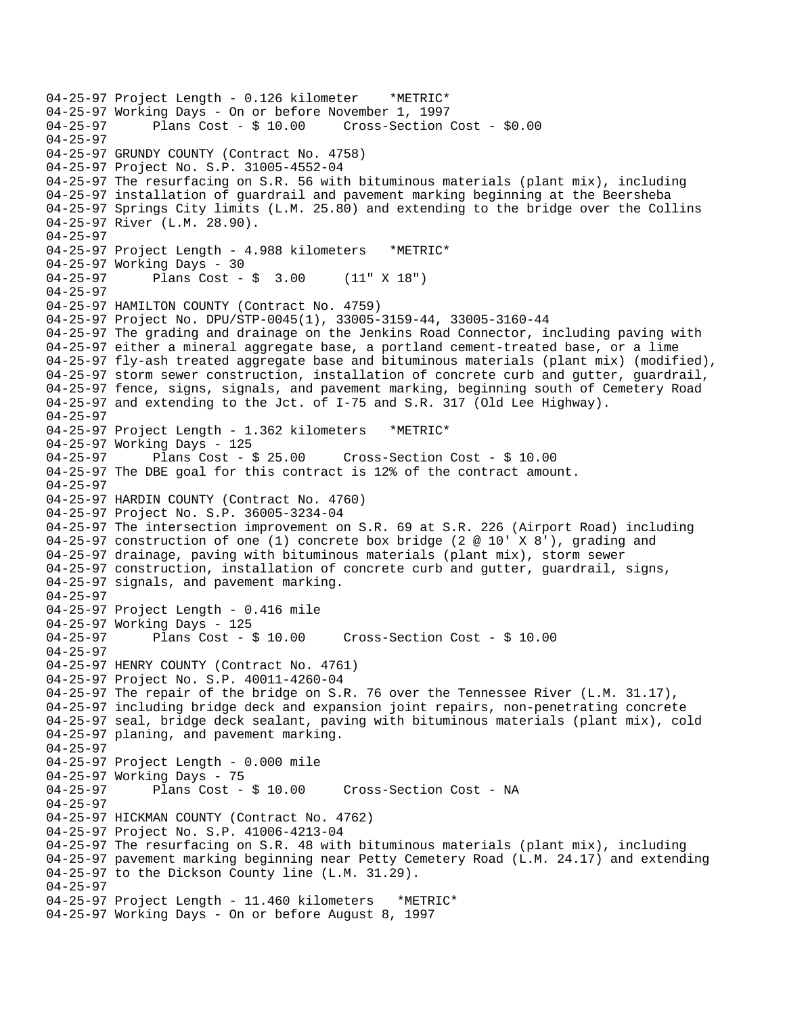04-25-97 Project Length - 0.126 kilometer \*METRIC\* 04-25-97 Working Days - On or before November 1, 1997<br>04-25-97 Plans Cost - \$ 10.00 Cross-Section Cross-Section Cost - \$0.00 04-25-97 04-25-97 GRUNDY COUNTY (Contract No. 4758) 04-25-97 Project No. S.P. 31005-4552-04 04-25-97 The resurfacing on S.R. 56 with bituminous materials (plant mix), including 04-25-97 installation of guardrail and pavement marking beginning at the Beersheba 04-25-97 Springs City limits (L.M. 25.80) and extending to the bridge over the Collins 04-25-97 River (L.M. 28.90). 04-25-97 04-25-97 Project Length - 4.988 kilometers \*METRIC\* 04-25-97 Working Days - 30 04-25-97 Plans Cost - \$ 3.00 (11" X 18") 04-25-97 04-25-97 HAMILTON COUNTY (Contract No. 4759) 04-25-97 Project No. DPU/STP-0045(1), 33005-3159-44, 33005-3160-44 04-25-97 The grading and drainage on the Jenkins Road Connector, including paving with 04-25-97 either a mineral aggregate base, a portland cement-treated base, or a lime 04-25-97 fly-ash treated aggregate base and bituminous materials (plant mix) (modified), 04-25-97 storm sewer construction, installation of concrete curb and gutter, guardrail, 04-25-97 fence, signs, signals, and pavement marking, beginning south of Cemetery Road 04-25-97 and extending to the Jct. of I-75 and S.R. 317 (Old Lee Highway). 04-25-97 04-25-97 Project Length - 1.362 kilometers \*METRIC\* 04-25-97 Working Days - 125<br>04-25-97 Plans Cost - \$ 25.00 04-25-97 Plans Cost - \$ 25.00 Cross-Section Cost - \$ 10.00 04-25-97 The DBE goal for this contract is 12% of the contract amount. 04-25-97 04-25-97 HARDIN COUNTY (Contract No. 4760) 04-25-97 Project No. S.P. 36005-3234-04 04-25-97 The intersection improvement on S.R. 69 at S.R. 226 (Airport Road) including 04-25-97 construction of one (1) concrete box bridge (2 @ 10' X 8'), grading and 04-25-97 drainage, paving with bituminous materials (plant mix), storm sewer 04-25-97 construction, installation of concrete curb and gutter, guardrail, signs, 04-25-97 signals, and pavement marking. 04-25-97 04-25-97 Project Length - 0.416 mile 04-25-97 Working Days - 125 04-25-97 Plans Cost - \$ 10.00 Cross-Section Cost - \$ 10.00 04-25-97 04-25-97 HENRY COUNTY (Contract No. 4761) 04-25-97 Project No. S.P. 40011-4260-04 04-25-97 The repair of the bridge on S.R. 76 over the Tennessee River (L.M. 31.17), 04-25-97 including bridge deck and expansion joint repairs, non-penetrating concrete 04-25-97 seal, bridge deck sealant, paving with bituminous materials (plant mix), cold 04-25-97 planing, and pavement marking. 04-25-97 04-25-97 Project Length - 0.000 mile 04-25-97 Working Days - 75<br>04-25-97 Plans Cost -Plans Cost - \$ 10.00 Cross-Section Cost - NA 04-25-97 04-25-97 HICKMAN COUNTY (Contract No. 4762) 04-25-97 Project No. S.P. 41006-4213-04 04-25-97 The resurfacing on S.R. 48 with bituminous materials (plant mix), including 04-25-97 pavement marking beginning near Petty Cemetery Road (L.M. 24.17) and extending 04-25-97 to the Dickson County line (L.M. 31.29). 04-25-97 04-25-97 Project Length - 11.460 kilometers \*METRIC\* 04-25-97 Working Days - On or before August 8, 1997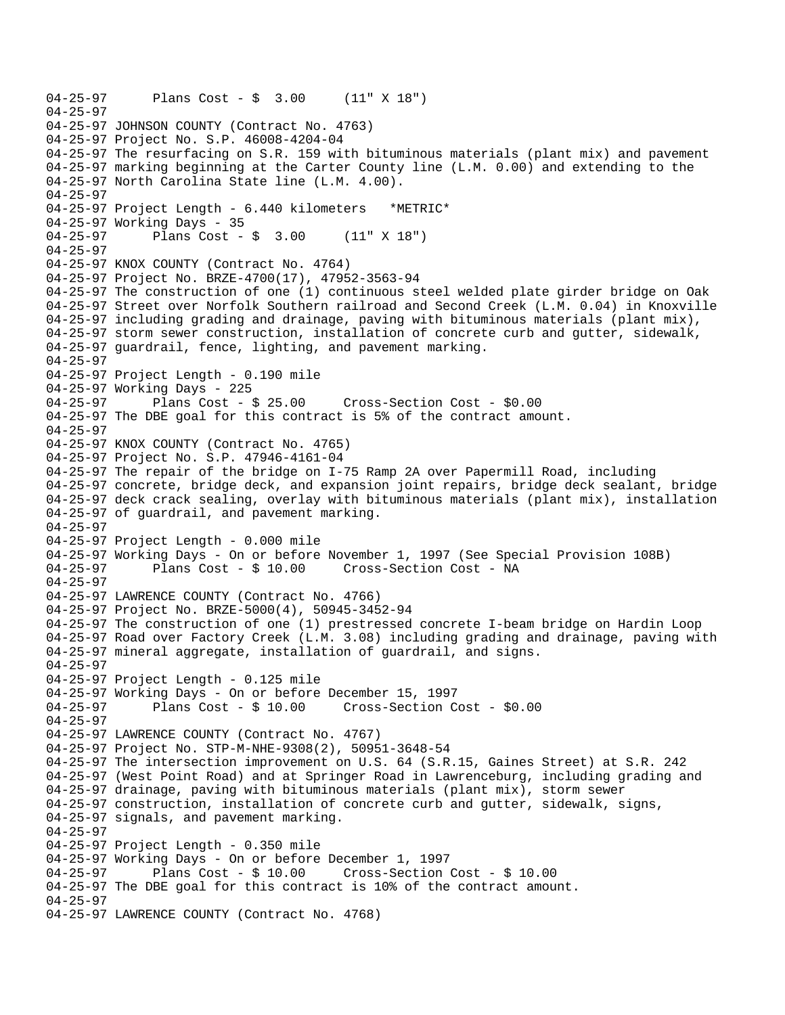```
04-25-97 Plans Cost - $ 3.00 (11" X 18") 
04-25-97 
04-25-97 JOHNSON COUNTY (Contract No. 4763) 
04-25-97 Project No. S.P. 46008-4204-04 
04-25-97 The resurfacing on S.R. 159 with bituminous materials (plant mix) and pavement 
04-25-97 marking beginning at the Carter County line (L.M. 0.00) and extending to the 
04-25-97 North Carolina State line (L.M. 4.00). 
04-25-97 
04-25-97 Project Length - 6.440 kilometers *METRIC* 
04-25-97 Working Days - 35 
04-25-97 Plans Cost - $ 3.00 (11" X 18") 
04-25-97 
04-25-97 KNOX COUNTY (Contract No. 4764) 
04-25-97 Project No. BRZE-4700(17), 47952-3563-94 
04-25-97 The construction of one (1) continuous steel welded plate girder bridge on Oak 
04-25-97 Street over Norfolk Southern railroad and Second Creek (L.M. 0.04) in Knoxville 
04-25-97 including grading and drainage, paving with bituminous materials (plant mix), 
04-25-97 storm sewer construction, installation of concrete curb and gutter, sidewalk, 
04-25-97 guardrail, fence, lighting, and pavement marking. 
04-25-97 
04-25-97 Project Length - 0.190 mile 
04-25-97 Working Days - 225<br>04-25-97 Plans Cost - $ 25.00
04-25-97 Plans Cost - $ 25.00 Cross-Section Cost - $0.00 
04-25-97 The DBE goal for this contract is 5% of the contract amount. 
04-25-97 
04-25-97 KNOX COUNTY (Contract No. 4765) 
04-25-97 Project No. S.P. 47946-4161-04 
04-25-97 The repair of the bridge on I-75 Ramp 2A over Papermill Road, including 
04-25-97 concrete, bridge deck, and expansion joint repairs, bridge deck sealant, bridge 
04-25-97 deck crack sealing, overlay with bituminous materials (plant mix), installation 
04-25-97 of guardrail, and pavement marking. 
04-25-97 
04-25-97 Project Length - 0.000 mile 
04-25-97 Working Days - On or before November 1, 1997 (See Special Provision 108B)<br>04-25-97     Plans Cost - $ 10.00   Cross-Section Cost - NA
              Plans Cost - $ 10.00 Cross-Section Cost - NA
04-25-97 
04-25-97 LAWRENCE COUNTY (Contract No. 4766) 
04-25-97 Project No. BRZE-5000(4), 50945-3452-94 
04-25-97 The construction of one (1) prestressed concrete I-beam bridge on Hardin Loop 
04-25-97 Road over Factory Creek (L.M. 3.08) including grading and drainage, paving with 
04-25-97 mineral aggregate, installation of guardrail, and signs. 
04-25-97 
04-25-97 Project Length - 0.125 mile
04-25-97 Working Days - On or before December 15, 1997 
04-25-97 Plans Cost - $ 10.00 Cross-Section Cost - $0.00 
04-25-97 
04-25-97 LAWRENCE COUNTY (Contract No. 4767) 
04-25-97 Project No. STP-M-NHE-9308(2), 50951-3648-54 
04-25-97 The intersection improvement on U.S. 64 (S.R.15, Gaines Street) at S.R. 242 
04-25-97 (West Point Road) and at Springer Road in Lawrenceburg, including grading and 
04-25-97 drainage, paving with bituminous materials (plant mix), storm sewer 
04-25-97 construction, installation of concrete curb and gutter, sidewalk, signs, 
04-25-97 signals, and pavement marking. 
04-25-97 
04-25-97 Project Length - 0.350 mile 
04-25-97 Working Days - On or before December 1, 1997 
04-25-97 Plans Cost - $ 10.00 Cross-Section Cost - $ 10.00 
04-25-97 The DBE goal for this contract is 10% of the contract amount. 
04-25-97 
04-25-97 LAWRENCE COUNTY (Contract No. 4768)
```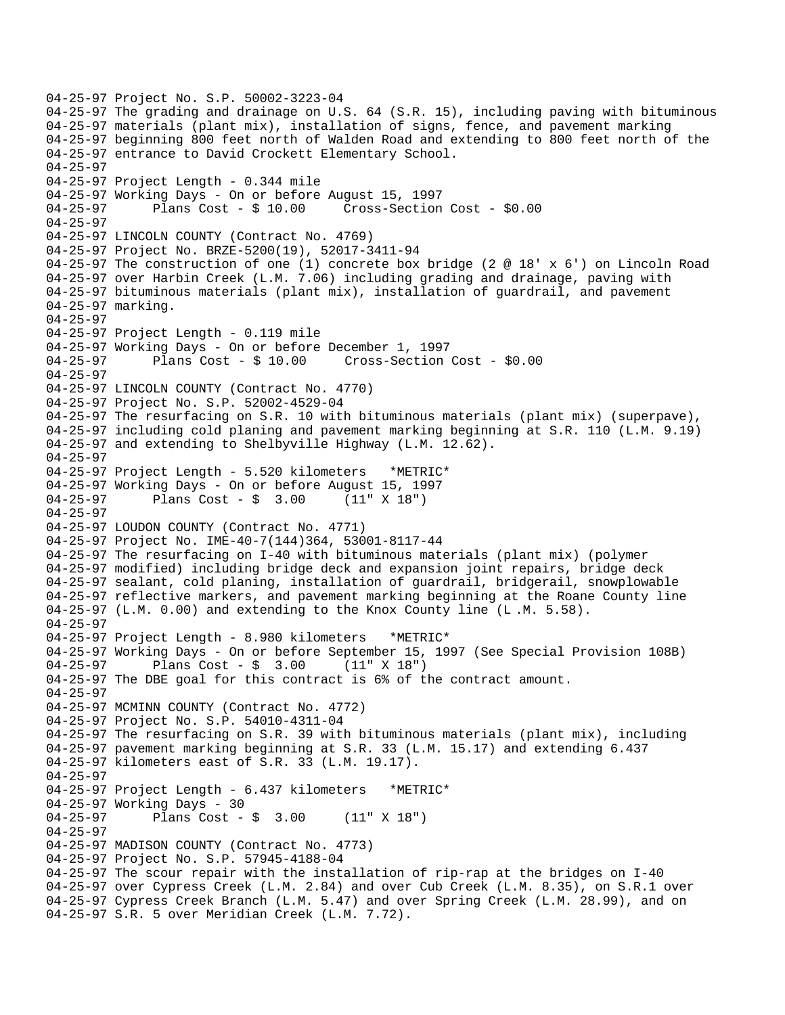```
04-25-97 Project No. S.P. 50002-3223-04 
04-25-97 The grading and drainage on U.S. 64 (S.R. 15), including paving with bituminous 
04-25-97 materials (plant mix), installation of signs, fence, and pavement marking 
04-25-97 beginning 800 feet north of Walden Road and extending to 800 feet north of the 
04-25-97 entrance to David Crockett Elementary School. 
04-25-97 
04-25-97 Project Length - 0.344 mile 
04-25-97 Working Days - On or before August 15, 1997 
04-25-97 Plans Cost - $ 10.00 Cross-Section Cost - $0.00 
04-25-97 
04-25-97 LINCOLN COUNTY (Contract No. 4769) 
04-25-97 Project No. BRZE-5200(19), 52017-3411-94 
04-25-97 The construction of one (1) concrete box bridge (2 @ 18' x 6') on Lincoln Road 
04-25-97 over Harbin Creek (L.M. 7.06) including grading and drainage, paving with 
04-25-97 bituminous materials (plant mix), installation of guardrail, and pavement 
04-25-97 marking. 
04-25-97 
04-25-97 Project Length - 0.119 mile 
04-25-97 Working Days - On or before December 1, 1997 
04-25-97 Plans Cost - $ 10.00 Cross-Section Cost - $0.00 
04-25-97 
04-25-97 LINCOLN COUNTY (Contract No. 4770) 
04-25-97 Project No. S.P. 52002-4529-04 
04-25-97 The resurfacing on S.R. 10 with bituminous materials (plant mix) (superpave), 
04-25-97 including cold planing and pavement marking beginning at S.R. 110 (L.M. 9.19) 
04-25-97 and extending to Shelbyville Highway (L.M. 12.62). 
04-25-97 
04-25-97 Project Length - 5.520 kilometers *METRIC* 
04-25-97 Working Days - On or before August 15, 1997<br>04-25-97         Plans Cost - $   3.00     (11" X 18")
04-25-97 Plans Cost - $ 3.00
04-25-97 
04-25-97 LOUDON COUNTY (Contract No. 4771) 
04-25-97 Project No. IME-40-7(144)364, 53001-8117-44 
04-25-97 The resurfacing on I-40 with bituminous materials (plant mix) (polymer 
04-25-97 modified) including bridge deck and expansion joint repairs, bridge deck 
04-25-97 sealant, cold planing, installation of guardrail, bridgerail, snowplowable 
04-25-97 reflective markers, and pavement marking beginning at the Roane County line 
04-25-97 (L.M. 0.00) and extending to the Knox County line (L .M. 5.58). 
04-25-97 
04-25-97 Project Length - 8.980 kilometers *METRIC* 
04-25-97 Working Days - On or before September 15, 1997 (See Special Provision 108B) 
04-25-97 Plans Cost - $ 3.00 (11" X 18") 
04-25-97 The DBE goal for this contract is 6% of the contract amount. 
04-25-97 
04-25-97 MCMINN COUNTY (Contract No. 4772) 
04-25-97 Project No. S.P. 54010-4311-04 
04-25-97 The resurfacing on S.R. 39 with bituminous materials (plant mix), including 
04-25-97 pavement marking beginning at S.R. 33 (L.M. 15.17) and extending 6.437 
04-25-97 kilometers east of S.R. 33 (L.M. 19.17). 
04-25-97 
04-25-97 Project Length - 6.437 kilometers *METRIC* 
04-25-97 Working Days - 30 
04-25-97 Plans Cost - $ 3.00 (11" X 18") 
04-25-97 
04-25-97 MADISON COUNTY (Contract No. 4773) 
04-25-97 Project No. S.P. 57945-4188-04 
04-25-97 The scour repair with the installation of rip-rap at the bridges on I-40 
04-25-97 over Cypress Creek (L.M. 2.84) and over Cub Creek (L.M. 8.35), on S.R.1 over 
04-25-97 Cypress Creek Branch (L.M. 5.47) and over Spring Creek (L.M. 28.99), and on 
04-25-97 S.R. 5 over Meridian Creek (L.M. 7.72).
```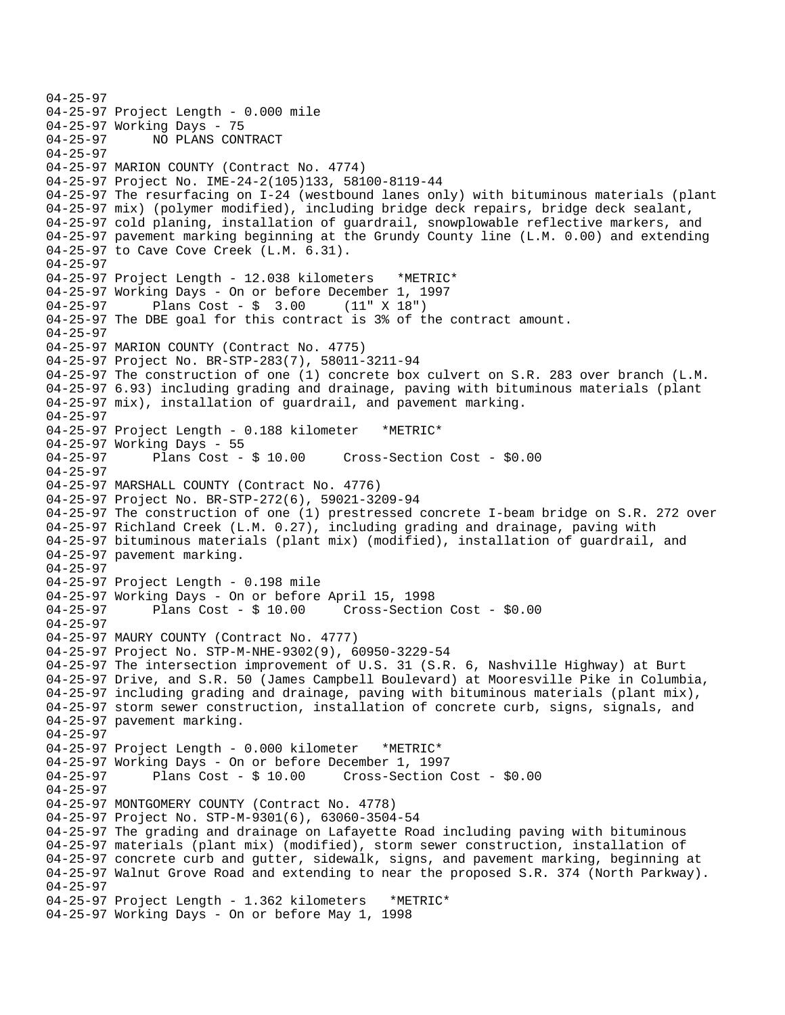```
04-25-97 
04-25-97 Project Length - 0.000 mile 
04-25-97 Working Days - 75 
04-25-97 NO PLANS CONTRACT 
04-25-97 
04-25-97 MARION COUNTY (Contract No. 4774) 
04-25-97 Project No. IME-24-2(105)133, 58100-8119-44 
04-25-97 The resurfacing on I-24 (westbound lanes only) with bituminous materials (plant 
04-25-97 mix) (polymer modified), including bridge deck repairs, bridge deck sealant, 
04-25-97 cold planing, installation of guardrail, snowplowable reflective markers, and 
04-25-97 pavement marking beginning at the Grundy County line (L.M. 0.00) and extending 
04-25-97 to Cave Cove Creek (L.M. 6.31). 
04-25-97 
04-25-97 Project Length - 12.038 kilometers *METRIC* 
04-25-97 Working Days - On or before December 1, 1997 
04-25-97 Plans Cost - $ 3.00 (11" X 18") 
04-25-97 The DBE goal for this contract is 3% of the contract amount. 
04-25-97 
04-25-97 MARION COUNTY (Contract No. 4775) 
04-25-97 Project No. BR-STP-283(7), 58011-3211-94 
04-25-97 The construction of one (1) concrete box culvert on S.R. 283 over branch (L.M. 
04-25-97 6.93) including grading and drainage, paving with bituminous materials (plant 
04-25-97 mix), installation of guardrail, and pavement marking. 
04-25-97 
04-25-97 Project Length - 0.188 kilometer *METRIC* 
04-25-97 Working Days - 55 
04-25-97 Plans Cost - $ 10.00 Cross-Section Cost - $0.00 
04-25-97 
04-25-97 MARSHALL COUNTY (Contract No. 4776) 
04-25-97 Project No. BR-STP-272(6), 59021-3209-94 
04-25-97 The construction of one (1) prestressed concrete I-beam bridge on S.R. 272 over 
04-25-97 Richland Creek (L.M. 0.27), including grading and drainage, paving with 
04-25-97 bituminous materials (plant mix) (modified), installation of guardrail, and 
04-25-97 pavement marking. 
04-25-97 
04-25-97 Project Length - 0.198 mile 
04-25-97 Working Days - On or before April 15, 1998 
04-25-97 Plans Cost - $ 10.00 Cross-Section Cost - $0.00 
04-25-97 
04-25-97 MAURY COUNTY (Contract No. 4777) 
04-25-97 Project No. STP-M-NHE-9302(9), 60950-3229-54 
04-25-97 The intersection improvement of U.S. 31 (S.R. 6, Nashville Highway) at Burt 
04-25-97 Drive, and S.R. 50 (James Campbell Boulevard) at Mooresville Pike in Columbia, 
04-25-97 including grading and drainage, paving with bituminous materials (plant mix), 
04-25-97 storm sewer construction, installation of concrete curb, signs, signals, and 
04-25-97 pavement marking. 
04-25-97 
04-25-97 Project Length - 0.000 kilometer *METRIC* 
04-25-97 Working Days - On or before December 1, 1997 
                                       Cross-Section Cost - $0.00
04-25-97 
04-25-97 MONTGOMERY COUNTY (Contract No. 4778) 
04-25-97 Project No. STP-M-9301(6), 63060-3504-54 
04-25-97 The grading and drainage on Lafayette Road including paving with bituminous 
04-25-97 materials (plant mix) (modified), storm sewer construction, installation of 
04-25-97 concrete curb and gutter, sidewalk, signs, and pavement marking, beginning at 
04-25-97 Walnut Grove Road and extending to near the proposed S.R. 374 (North Parkway). 
04-25-97 
04-25-97 Project Length - 1.362 kilometers *METRIC* 
04-25-97 Working Days - On or before May 1, 1998
```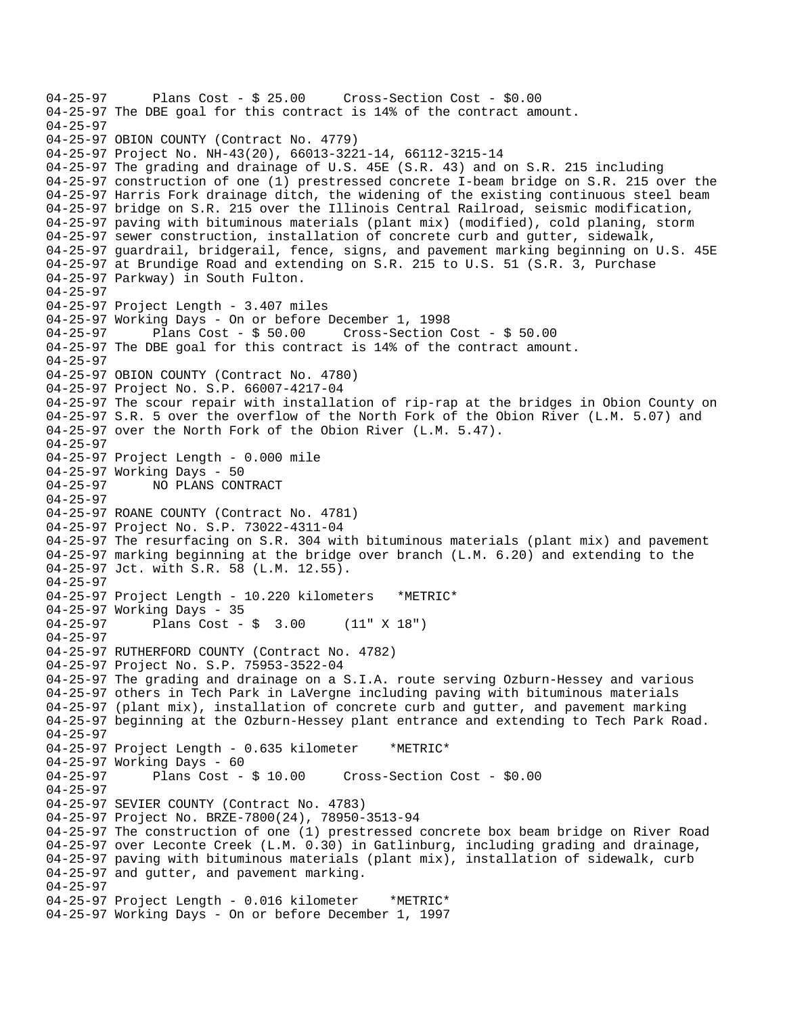04-25-97 Plans Cost - \$ 25.00 Cross-Section Cost - \$0.00 04-25-97 The DBE goal for this contract is 14% of the contract amount. 04-25-97 04-25-97 OBION COUNTY (Contract No. 4779) 04-25-97 Project No. NH-43(20), 66013-3221-14, 66112-3215-14 04-25-97 The grading and drainage of U.S. 45E (S.R. 43) and on S.R. 215 including 04-25-97 construction of one (1) prestressed concrete I-beam bridge on S.R. 215 over the 04-25-97 Harris Fork drainage ditch, the widening of the existing continuous steel beam 04-25-97 bridge on S.R. 215 over the Illinois Central Railroad, seismic modification, 04-25-97 paving with bituminous materials (plant mix) (modified), cold planing, storm 04-25-97 sewer construction, installation of concrete curb and gutter, sidewalk, 04-25-97 guardrail, bridgerail, fence, signs, and pavement marking beginning on U.S. 45E 04-25-97 at Brundige Road and extending on S.R. 215 to U.S. 51 (S.R. 3, Purchase 04-25-97 Parkway) in South Fulton. 04-25-97 04-25-97 Project Length - 3.407 miles 04-25-97 Working Days - On or before December 1, 1998 04-25-97 Plans Cost - \$ 50.00 Cross-Section Cost - \$ 50.00 04-25-97 The DBE goal for this contract is 14% of the contract amount. 04-25-97 04-25-97 OBION COUNTY (Contract No. 4780) 04-25-97 Project No. S.P. 66007-4217-04 04-25-97 The scour repair with installation of rip-rap at the bridges in Obion County on 04-25-97 S.R. 5 over the overflow of the North Fork of the Obion River (L.M. 5.07) and 04-25-97 over the North Fork of the Obion River (L.M. 5.47). 04-25-97 04-25-97 Project Length - 0.000 mile 04-25-97 Working Days - 50 04-25-97 NO PLANS CONTRACT 04-25-97 04-25-97 ROANE COUNTY (Contract No. 4781) 04-25-97 Project No. S.P. 73022-4311-04 04-25-97 The resurfacing on S.R. 304 with bituminous materials (plant mix) and pavement 04-25-97 marking beginning at the bridge over branch (L.M. 6.20) and extending to the 04-25-97 Jct. with S.R. 58 (L.M. 12.55). 04-25-97 04-25-97 Project Length - 10.220 kilometers \*METRIC\* 04-25-97 Working Days - 35 04-25-97 Plans Cost - \$ 3.00 (11" X 18") 04-25-97 04-25-97 RUTHERFORD COUNTY (Contract No. 4782) 04-25-97 Project No. S.P. 75953-3522-04 04-25-97 The grading and drainage on a S.I.A. route serving Ozburn-Hessey and various 04-25-97 others in Tech Park in LaVergne including paving with bituminous materials 04-25-97 (plant mix), installation of concrete curb and gutter, and pavement marking 04-25-97 beginning at the Ozburn-Hessey plant entrance and extending to Tech Park Road. 04-25-97 04-25-97 Project Length - 0.635 kilometer \*METRIC\* 04-25-97 Working Days - 60<br>04-25-97 Plans Cost - \$ 10.00 Cross-Section Cost - \$0.00 04-25-97 04-25-97 SEVIER COUNTY (Contract No. 4783) 04-25-97 Project No. BRZE-7800(24), 78950-3513-94 04-25-97 The construction of one (1) prestressed concrete box beam bridge on River Road 04-25-97 over Leconte Creek (L.M. 0.30) in Gatlinburg, including grading and drainage, 04-25-97 paving with bituminous materials (plant mix), installation of sidewalk, curb 04-25-97 and gutter, and pavement marking. 04-25-97 04-25-97 Project Length - 0.016 kilometer \*METRIC\* 04-25-97 Working Days - On or before December 1, 1997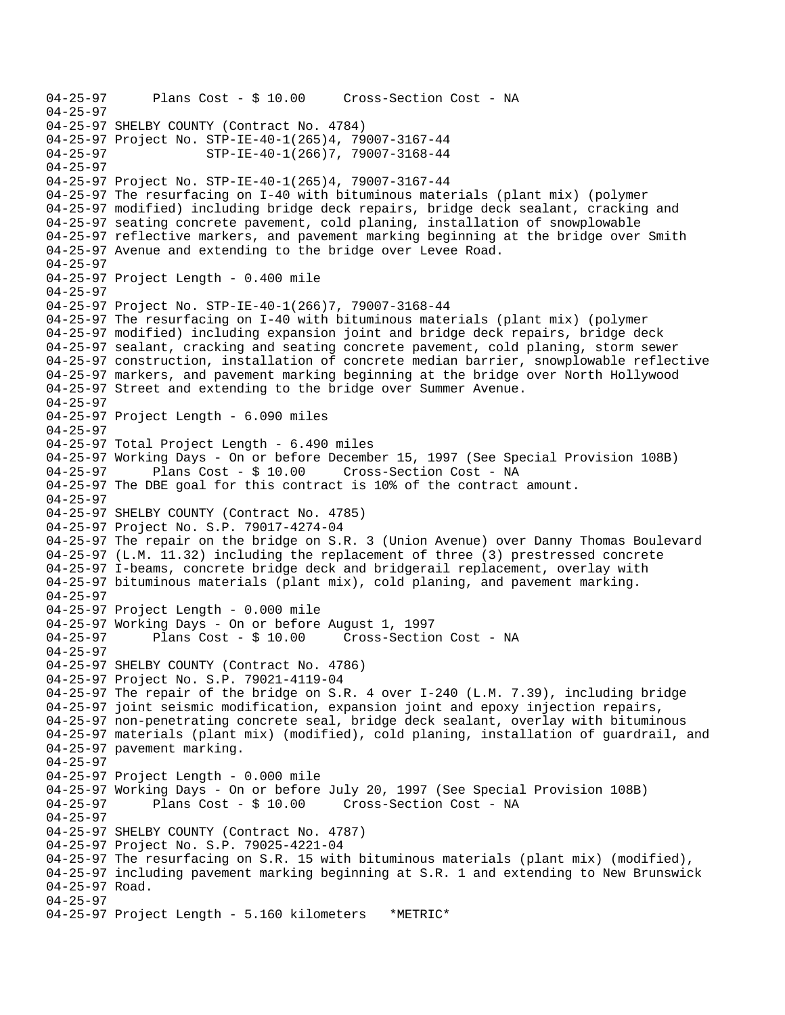04-25-97 Plans Cost - \$ 10.00 Cross-Section Cost - NA 04-25-97 04-25-97 SHELBY COUNTY (Contract No. 4784) 04-25-97 Project No. STP-IE-40-1(265)4, 79007-3167-44<br>04-25-97 STP-IE-40-1(266)7, 79007-3168-44 04-25-97 STP-IE-40-1(266)7, 79007-3168-44 04-25-97 04-25-97 Project No. STP-IE-40-1(265)4, 79007-3167-44 04-25-97 The resurfacing on I-40 with bituminous materials (plant mix) (polymer 04-25-97 modified) including bridge deck repairs, bridge deck sealant, cracking and 04-25-97 seating concrete pavement, cold planing, installation of snowplowable 04-25-97 reflective markers, and pavement marking beginning at the bridge over Smith 04-25-97 Avenue and extending to the bridge over Levee Road. 04-25-97 04-25-97 Project Length - 0.400 mile 04-25-97 04-25-97 Project No. STP-IE-40-1(266)7, 79007-3168-44 04-25-97 The resurfacing on I-40 with bituminous materials (plant mix) (polymer 04-25-97 modified) including expansion joint and bridge deck repairs, bridge deck 04-25-97 sealant, cracking and seating concrete pavement, cold planing, storm sewer 04-25-97 construction, installation of concrete median barrier, snowplowable reflective 04-25-97 markers, and pavement marking beginning at the bridge over North Hollywood 04-25-97 Street and extending to the bridge over Summer Avenue. 04-25-97 04-25-97 Project Length - 6.090 miles 04-25-97 04-25-97 Total Project Length - 6.490 miles 04-25-97 Working Days - On or before December 15, 1997 (See Special Provision 108B) 04-25-97 Plans Cost - \$ 10.00 Cross-Section Cost - NA 04-25-97 The DBE goal for this contract is 10% of the contract amount. 04-25-97 04-25-97 SHELBY COUNTY (Contract No. 4785) 04-25-97 Project No. S.P. 79017-4274-04 04-25-97 The repair on the bridge on S.R. 3 (Union Avenue) over Danny Thomas Boulevard 04-25-97 (L.M. 11.32) including the replacement of three (3) prestressed concrete 04-25-97 I-beams, concrete bridge deck and bridgerail replacement, overlay with 04-25-97 bituminous materials (plant mix), cold planing, and pavement marking. 04-25-97 04-25-97 Project Length - 0.000 mile 04-25-97 Working Days - On or before August 1, 1997 04-25-97 Plans Cost - \$ 10.00 Cross-Section Cost - NA 04-25-97 04-25-97 SHELBY COUNTY (Contract No. 4786) 04-25-97 Project No. S.P. 79021-4119-04 04-25-97 The repair of the bridge on S.R. 4 over I-240 (L.M. 7.39), including bridge 04-25-97 joint seismic modification, expansion joint and epoxy injection repairs, 04-25-97 non-penetrating concrete seal, bridge deck sealant, overlay with bituminous 04-25-97 materials (plant mix) (modified), cold planing, installation of guardrail, and 04-25-97 pavement marking. 04-25-97 04-25-97 Project Length - 0.000 mile 04-25-97 Working Days - On or before July 20, 1997 (See Special Provision 108B) 04-25-97 Plans Cost - \$ 10.00 Cross-Section Cost - NA 04-25-97 04-25-97 SHELBY COUNTY (Contract No. 4787) 04-25-97 Project No. S.P. 79025-4221-04 04-25-97 The resurfacing on S.R. 15 with bituminous materials (plant mix) (modified), 04-25-97 including pavement marking beginning at S.R. 1 and extending to New Brunswick 04-25-97 Road. 04-25-97 04-25-97 Project Length - 5.160 kilometers \*METRIC\*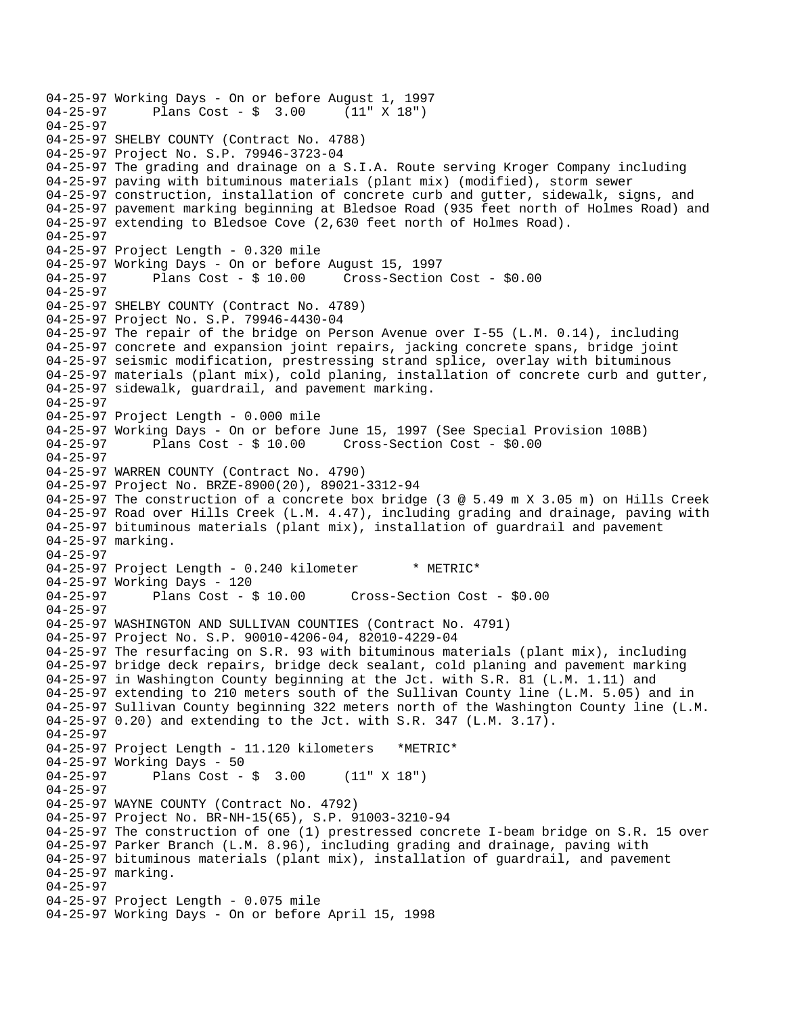```
04-25-97 Working Days - On or before August 1, 1997<br>04-25-97     Plans Cost - $ 3.00   (11" X 18")
              Plans Cost - $ 3.0004-25-97 
04-25-97 SHELBY COUNTY (Contract No. 4788) 
04-25-97 Project No. S.P. 79946-3723-04 
04-25-97 The grading and drainage on a S.I.A. Route serving Kroger Company including 
04-25-97 paving with bituminous materials (plant mix) (modified), storm sewer 
04-25-97 construction, installation of concrete curb and gutter, sidewalk, signs, and 
04-25-97 pavement marking beginning at Bledsoe Road (935 feet north of Holmes Road) and 
04-25-97 extending to Bledsoe Cove (2,630 feet north of Holmes Road). 
04-25-97 
04-25-97 Project Length - 0.320 mile
04-25-97 Working Days - On or before August 15, 1997 
04-25-97 Plans Cost - $ 10.00 Cross-Section Cost - $0.00 
04-25-97 
04-25-97 SHELBY COUNTY (Contract No. 4789) 
04-25-97 Project No. S.P. 79946-4430-04 
04-25-97 The repair of the bridge on Person Avenue over I-55 (L.M. 0.14), including 
04-25-97 concrete and expansion joint repairs, jacking concrete spans, bridge joint 
04-25-97 seismic modification, prestressing strand splice, overlay with bituminous 
04-25-97 materials (plant mix), cold planing, installation of concrete curb and gutter, 
04-25-97 sidewalk, guardrail, and pavement marking. 
04-25-97 
04-25-97 Project Length - 0.000 mile 
04-25-97 Working Days - On or before June 15, 1997 (See Special Provision 108B)<br>04-25-97 Plans Cost - $ 10.00 Cross-Section Cost - $0.00
04-25-97 Plans Cost - $ 10.00 Cross-Section Cost - $0.00 
04-25-97 
04-25-97 WARREN COUNTY (Contract No. 4790) 
04-25-97 Project No. BRZE-8900(20), 89021-3312-94 
04-25-97 The construction of a concrete box bridge (3 @ 5.49 m X 3.05 m) on Hills Creek 
04-25-97 Road over Hills Creek (L.M. 4.47), including grading and drainage, paving with 
04-25-97 bituminous materials (plant mix), installation of guardrail and pavement 
04-25-97 marking. 
04-25-97 
04-25-97 Project Length - 0.240 kilometer * METRIC*
04-25-97 Working Days - 120 
04-25-97 Plans Cost - $ 10.00 Cross-Section Cost - $0.00 
04-25-97 
04-25-97 WASHINGTON AND SULLIVAN COUNTIES (Contract No. 4791) 
04-25-97 Project No. S.P. 90010-4206-04, 82010-4229-04 
04-25-97 The resurfacing on S.R. 93 with bituminous materials (plant mix), including 
04-25-97 bridge deck repairs, bridge deck sealant, cold planing and pavement marking 
04-25-97 in Washington County beginning at the Jct. with S.R. 81 (L.M. 1.11) and 
04-25-97 extending to 210 meters south of the Sullivan County line (L.M. 5.05) and in 
04-25-97 Sullivan County beginning 322 meters north of the Washington County line (L.M. 
04-25-97 0.20) and extending to the Jct. with S.R. 347 (L.M. 3.17). 
04-25-97 
04-25-97 Project Length - 11.120 kilometers *METRIC* 
04-25-97 Working Days - 50<br>04-25-97 Plans Cost -
              Plans Cost - $ 3.00 (11" X 18")04-25-97 
04-25-97 WAYNE COUNTY (Contract No. 4792) 
04-25-97 Project No. BR-NH-15(65), S.P. 91003-3210-94 
04-25-97 The construction of one (1) prestressed concrete I-beam bridge on S.R. 15 over 
04-25-97 Parker Branch (L.M. 8.96), including grading and drainage, paving with 
04-25-97 bituminous materials (plant mix), installation of guardrail, and pavement 
04-25-97 marking. 
04-25-97 
04-25-97 Project Length - 0.075 mile
04-25-97 Working Days - On or before April 15, 1998
```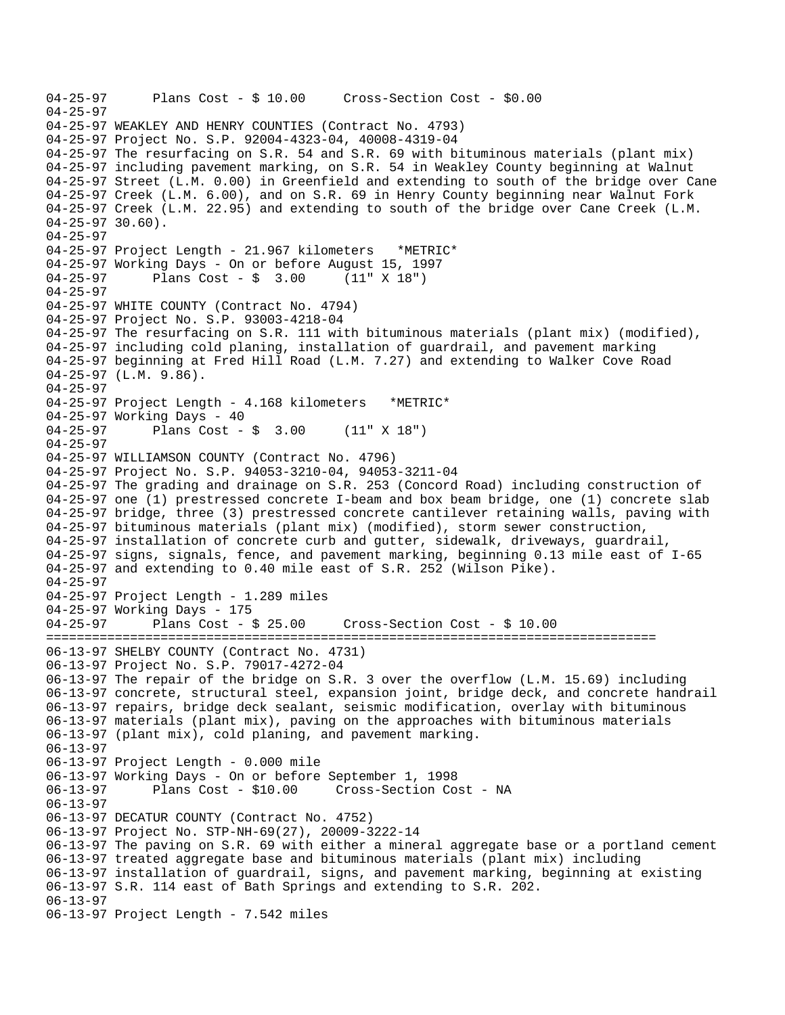```
04-25-97 Plans Cost - $ 10.00 Cross-Section Cost - $0.00 
04-25-97 
04-25-97 WEAKLEY AND HENRY COUNTIES (Contract No. 4793) 
04-25-97 Project No. S.P. 92004-4323-04, 40008-4319-04 
04-25-97 The resurfacing on S.R. 54 and S.R. 69 with bituminous materials (plant mix) 
04-25-97 including pavement marking, on S.R. 54 in Weakley County beginning at Walnut 
04-25-97 Street (L.M. 0.00) in Greenfield and extending to south of the bridge over Cane 
04-25-97 Creek (L.M. 6.00), and on S.R. 69 in Henry County beginning near Walnut Fork 
04-25-97 Creek (L.M. 22.95) and extending to south of the bridge over Cane Creek (L.M. 
04-25-97 30.60). 
04-25-97 
04-25-97 Project Length - 21.967 kilometers *METRIC* 
04-25-97 Working Days - On or before August 15, 1997 
04-25-97 Plans Cost - $ 3.00 (11" X 18") 
04-25-97 
04-25-97 WHITE COUNTY (Contract No. 4794) 
04-25-97 Project No. S.P. 93003-4218-04 
04-25-97 The resurfacing on S.R. 111 with bituminous materials (plant mix) (modified), 
04-25-97 including cold planing, installation of guardrail, and pavement marking 
04-25-97 beginning at Fred Hill Road (L.M. 7.27) and extending to Walker Cove Road 
04-25-97 (L.M. 9.86). 
04-25-97 
04-25-97 Project Length - 4.168 kilometers *METRIC* 
04-25-97 Working Days - 40<br>04-25-97 Plans Cost -
              Plans Cost - \frac{1}{2} 3.00 (11" X 18")
04-25-97 
04-25-97 WILLIAMSON COUNTY (Contract No. 4796) 
04-25-97 Project No. S.P. 94053-3210-04, 94053-3211-04 
04-25-97 The grading and drainage on S.R. 253 (Concord Road) including construction of 
04-25-97 one (1) prestressed concrete I-beam and box beam bridge, one (1) concrete slab 
04-25-97 bridge, three (3) prestressed concrete cantilever retaining walls, paving with 
04-25-97 bituminous materials (plant mix) (modified), storm sewer construction, 
04-25-97 installation of concrete curb and gutter, sidewalk, driveways, guardrail, 
04-25-97 signs, signals, fence, and pavement marking, beginning 0.13 mile east of I-65 
04-25-97 and extending to 0.40 mile east of S.R. 252 (Wilson Pike). 
04-25-97 
04-25-97 Project Length - 1.289 miles 
04-25-97 Working Days - 175<br>04-25-97 Plans Cost -
             Plans Cost - $ 25.00 Cross-Section Cost - $ 10.00
================================================================================ 
06-13-97 SHELBY COUNTY (Contract No. 4731) 
06-13-97 Project No. S.P. 79017-4272-04 
06-13-97 The repair of the bridge on S.R. 3 over the overflow (L.M. 15.69) including 
06-13-97 concrete, structural steel, expansion joint, bridge deck, and concrete handrail 
06-13-97 repairs, bridge deck sealant, seismic modification, overlay with bituminous 
06-13-97 materials (plant mix), paving on the approaches with bituminous materials 
06-13-97 (plant mix), cold planing, and pavement marking. 
06-13-97 
06-13-97 Project Length - 0.000 mile 
06-13-97 Working Days - On or before September 1, 1998 
              Plans Cost - $10.00 Cross-Section Cost - NA
06-13-97 
06-13-97 DECATUR COUNTY (Contract No. 4752) 
06-13-97 Project No. STP-NH-69(27), 20009-3222-14 
06-13-97 The paving on S.R. 69 with either a mineral aggregate base or a portland cement 
06-13-97 treated aggregate base and bituminous materials (plant mix) including 
06-13-97 installation of guardrail, signs, and pavement marking, beginning at existing 
06-13-97 S.R. 114 east of Bath Springs and extending to S.R. 202. 
06-13-97 
06-13-97 Project Length - 7.542 miles
```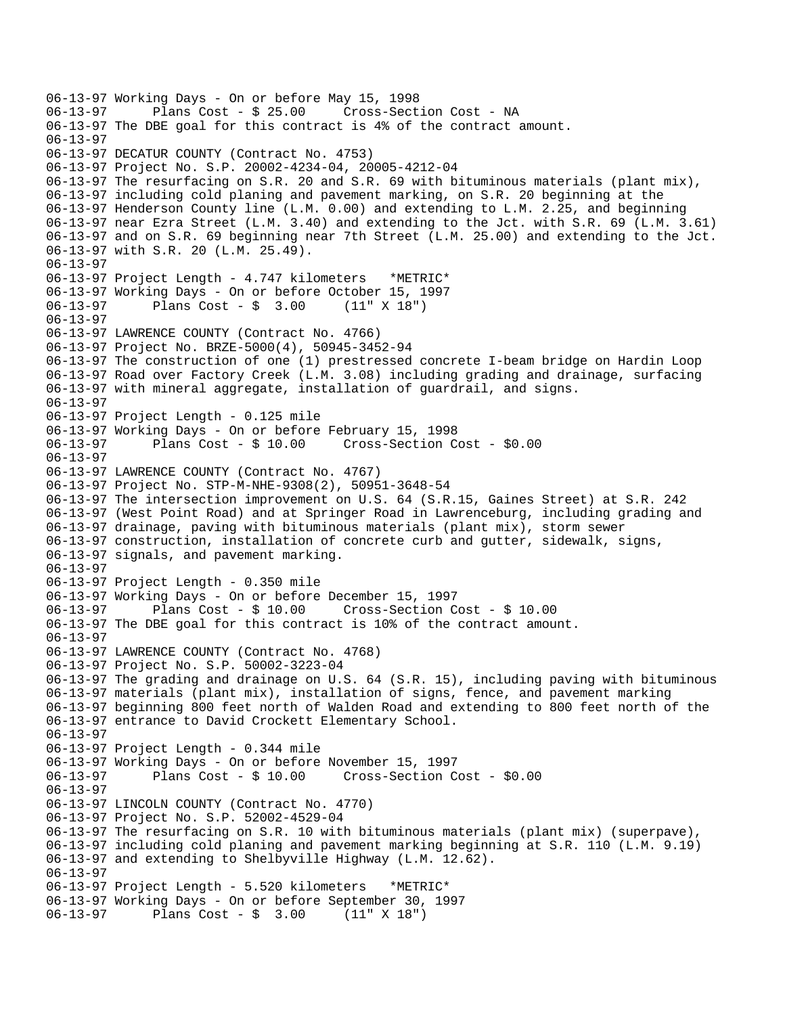```
06-13-97 Working Days - On or before May 15, 1998 
              Plans Cost - $ 25.00 Cross-Section Cost - NA
06-13-97 The DBE goal for this contract is 4% of the contract amount. 
06-13-97 
06-13-97 DECATUR COUNTY (Contract No. 4753) 
06-13-97 Project No. S.P. 20002-4234-04, 20005-4212-04 
06-13-97 The resurfacing on S.R. 20 and S.R. 69 with bituminous materials (plant mix), 
06-13-97 including cold planing and pavement marking, on S.R. 20 beginning at the 
06-13-97 Henderson County line (L.M. 0.00) and extending to L.M. 2.25, and beginning 
06-13-97 near Ezra Street (L.M. 3.40) and extending to the Jct. with S.R. 69 (L.M. 3.61) 
06-13-97 and on S.R. 69 beginning near 7th Street (L.M. 25.00) and extending to the Jct. 
06-13-97 with S.R. 20 (L.M. 25.49). 
06-13-97 
06-13-97 Project Length - 4.747 kilometers *METRIC* 
06-13-97 Working Days - On or before October 15, 1997 
06-13-97 Plans Cost - $ 3.00 (11" X 18") 
06-13-97 
06-13-97 LAWRENCE COUNTY (Contract No. 4766) 
06-13-97 Project No. BRZE-5000(4), 50945-3452-94 
06-13-97 The construction of one (1) prestressed concrete I-beam bridge on Hardin Loop 
06-13-97 Road over Factory Creek (L.M. 3.08) including grading and drainage, surfacing 
06-13-97 with mineral aggregate, installation of guardrail, and signs. 
06-13-97 
06-13-97 Project Length - 0.125 mile 
06-13-97 Working Days - On or before February 15, 1998 
06-13-97 Plans Cost - $ 10.00 Cross-Section Cost - $0.00 
06-13-97 
06-13-97 LAWRENCE COUNTY (Contract No. 4767) 
06-13-97 Project No. STP-M-NHE-9308(2), 50951-3648-54 
06-13-97 The intersection improvement on U.S. 64 (S.R.15, Gaines Street) at S.R. 242 
06-13-97 (West Point Road) and at Springer Road in Lawrenceburg, including grading and 
06-13-97 drainage, paving with bituminous materials (plant mix), storm sewer 
06-13-97 construction, installation of concrete curb and gutter, sidewalk, signs, 
06-13-97 signals, and pavement marking. 
06-13-97 
06-13-97 Project Length - 0.350 mile 
06-13-97 Working Days - On or before December 15, 1997 
06-13-97 Plans Cost - $ 10.00 Cross-Section Cost - $ 10.00 
06-13-97 The DBE goal for this contract is 10% of the contract amount. 
06-13-97 
06-13-97 LAWRENCE COUNTY (Contract No. 4768) 
06-13-97 Project No. S.P. 50002-3223-04 
06-13-97 The grading and drainage on U.S. 64 (S.R. 15), including paving with bituminous 
06-13-97 materials (plant mix), installation of signs, fence, and pavement marking 
06-13-97 beginning 800 feet north of Walden Road and extending to 800 feet north of the 
06-13-97 entrance to David Crockett Elementary School. 
06-13-97 
06-13-97 Project Length - 0.344 mile 
06-13-97 Working Days - On or before November 15, 1997 
06-13-97 Plans Cost - $ 10.00 Cross-Section Cost - $0.00 
06-13-97 
06-13-97 LINCOLN COUNTY (Contract No. 4770) 
06-13-97 Project No. S.P. 52002-4529-04 
06-13-97 The resurfacing on S.R. 10 with bituminous materials (plant mix) (superpave), 
06-13-97 including cold planing and pavement marking beginning at S.R. 110 (L.M. 9.19) 
06-13-97 and extending to Shelbyville Highway (L.M. 12.62). 
06-13-97 
06-13-97 Project Length - 5.520 kilometers *METRIC* 
06-13-97 Working Days - On or before September 30, 1997 
06-13-97 Plans Cost - $ 3.00 (11" X 18")
```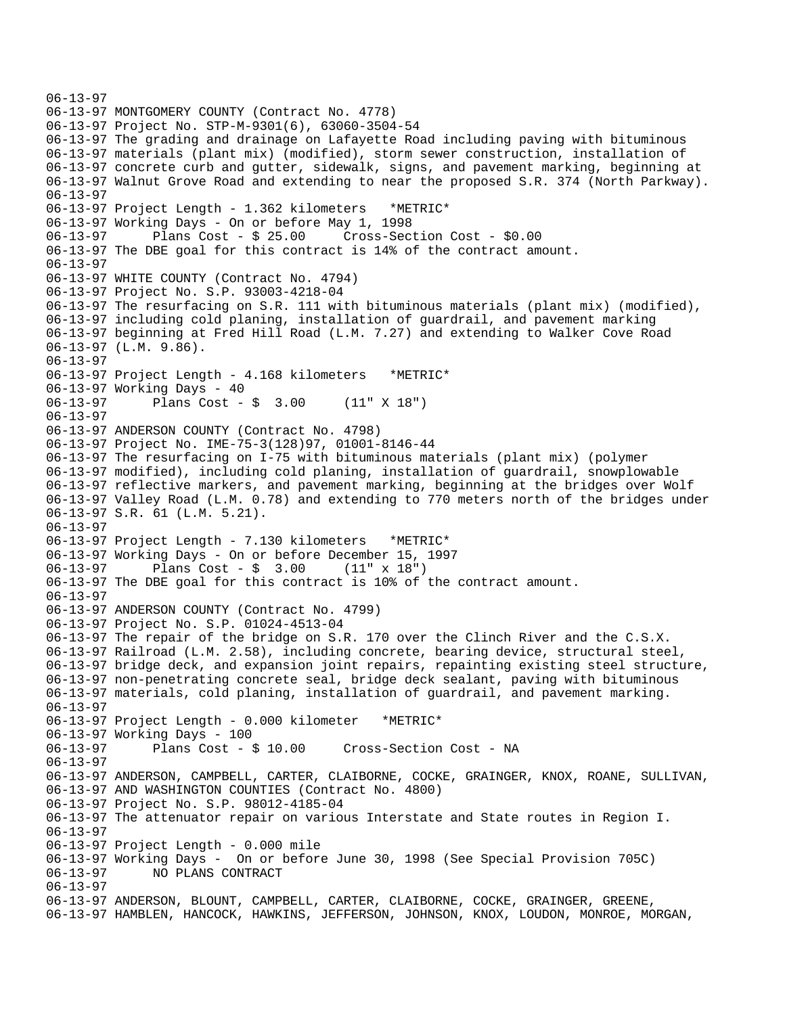06-13-97 06-13-97 MONTGOMERY COUNTY (Contract No. 4778) 06-13-97 Project No. STP-M-9301(6), 63060-3504-54 06-13-97 The grading and drainage on Lafayette Road including paving with bituminous 06-13-97 materials (plant mix) (modified), storm sewer construction, installation of 06-13-97 concrete curb and gutter, sidewalk, signs, and pavement marking, beginning at 06-13-97 Walnut Grove Road and extending to near the proposed S.R. 374 (North Parkway). 06-13-97 06-13-97 Project Length - 1.362 kilometers \*METRIC\* 06-13-97 Working Days - On or before May 1, 1998 06-13-97 Plans Cost - \$ 25.00 Cross-Section Cost - \$0.00 06-13-97 The DBE goal for this contract is 14% of the contract amount. 06-13-97 06-13-97 WHITE COUNTY (Contract No. 4794) 06-13-97 Project No. S.P. 93003-4218-04 06-13-97 The resurfacing on S.R. 111 with bituminous materials (plant mix) (modified), 06-13-97 including cold planing, installation of guardrail, and pavement marking 06-13-97 beginning at Fred Hill Road (L.M. 7.27) and extending to Walker Cove Road 06-13-97 (L.M. 9.86). 06-13-97 06-13-97 Project Length - 4.168 kilometers \*METRIC\* 06-13-97 Working Days - 40 06-13-97 Plans Cost - \$ 3.00 (11" X 18") 06-13-97 06-13-97 ANDERSON COUNTY (Contract No. 4798) 06-13-97 Project No. IME-75-3(128)97, 01001-8146-44 06-13-97 The resurfacing on I-75 with bituminous materials (plant mix) (polymer 06-13-97 modified), including cold planing, installation of guardrail, snowplowable 06-13-97 reflective markers, and pavement marking, beginning at the bridges over Wolf 06-13-97 Valley Road (L.M. 0.78) and extending to 770 meters north of the bridges under 06-13-97 S.R. 61 (L.M. 5.21). 06-13-97 06-13-97 Project Length - 7.130 kilometers \*METRIC\* 06-13-97 Working Days - On or before December 15, 1997 Plans  $Cost - $ 3.00$ 06-13-97 The DBE goal for this contract is 10% of the contract amount. 06-13-97 06-13-97 ANDERSON COUNTY (Contract No. 4799) 06-13-97 Project No. S.P. 01024-4513-04 06-13-97 The repair of the bridge on S.R. 170 over the Clinch River and the C.S.X. 06-13-97 Railroad (L.M. 2.58), including concrete, bearing device, structural steel, 06-13-97 bridge deck, and expansion joint repairs, repainting existing steel structure, 06-13-97 non-penetrating concrete seal, bridge deck sealant, paving with bituminous 06-13-97 materials, cold planing, installation of guardrail, and pavement marking. 06-13-97 06-13-97 Project Length - 0.000 kilometer \*METRIC\* 06-13-97 Working Days - 100<br>06-13-97 Plans Cost - \$ 10.00 06-13-97 Plans Cost - \$ 10.00 Cross-Section Cost - NA 06-13-97 06-13-97 ANDERSON, CAMPBELL, CARTER, CLAIBORNE, COCKE, GRAINGER, KNOX, ROANE, SULLIVAN, 06-13-97 AND WASHINGTON COUNTIES (Contract No. 4800) 06-13-97 Project No. S.P. 98012-4185-04 06-13-97 The attenuator repair on various Interstate and State routes in Region I. 06-13-97 06-13-97 Project Length - 0.000 mile 06-13-97 Working Days - On or before June 30, 1998 (See Special Provision 705C) 06-13-97 NO PLANS CONTRACT 06-13-97 06-13-97 ANDERSON, BLOUNT, CAMPBELL, CARTER, CLAIBORNE, COCKE, GRAINGER, GREENE, 06-13-97 HAMBLEN, HANCOCK, HAWKINS, JEFFERSON, JOHNSON, KNOX, LOUDON, MONROE, MORGAN,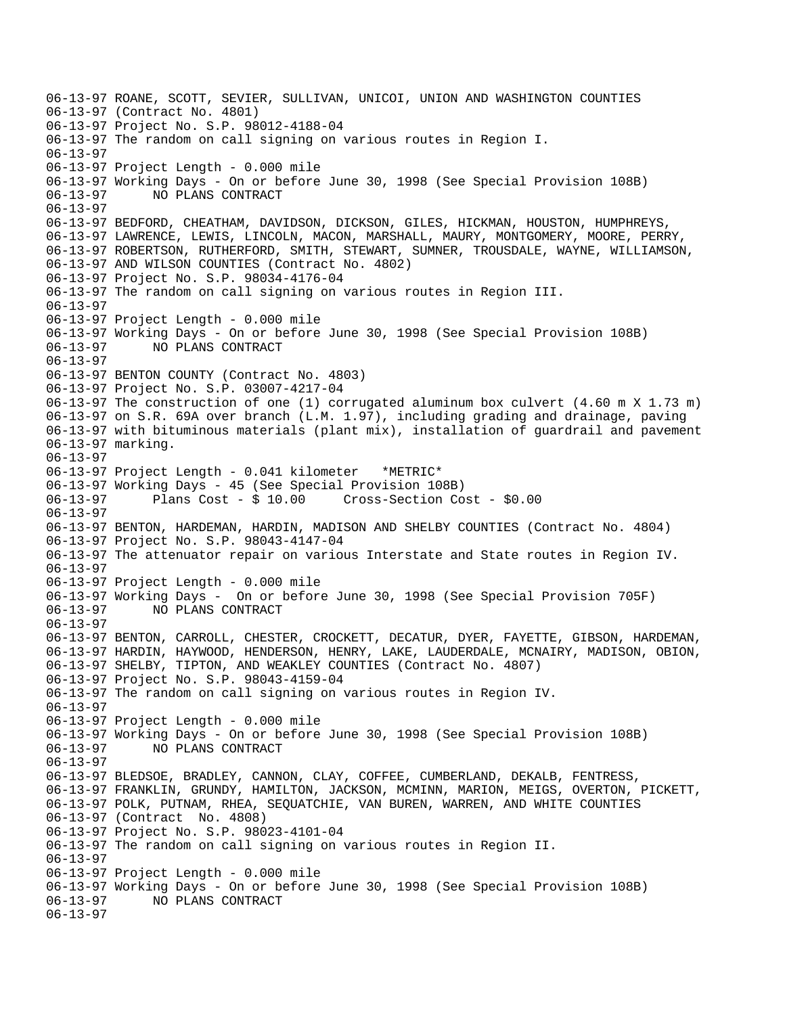06-13-97 ROANE, SCOTT, SEVIER, SULLIVAN, UNICOI, UNION AND WASHINGTON COUNTIES 06-13-97 (Contract No. 4801) 06-13-97 Project No. S.P. 98012-4188-04 06-13-97 The random on call signing on various routes in Region I. 06-13-97 06-13-97 Project Length - 0.000 mile 06-13-97 Working Days - On or before June 30, 1998 (See Special Provision 108B) 06-13-97 NO PLANS CONTRACT 06-13-97 06-13-97 BEDFORD, CHEATHAM, DAVIDSON, DICKSON, GILES, HICKMAN, HOUSTON, HUMPHREYS, 06-13-97 LAWRENCE, LEWIS, LINCOLN, MACON, MARSHALL, MAURY, MONTGOMERY, MOORE, PERRY, 06-13-97 ROBERTSON, RUTHERFORD, SMITH, STEWART, SUMNER, TROUSDALE, WAYNE, WILLIAMSON, 06-13-97 AND WILSON COUNTIES (Contract No. 4802) 06-13-97 Project No. S.P. 98034-4176-04 06-13-97 The random on call signing on various routes in Region III. 06-13-97 06-13-97 Project Length - 0.000 mile 06-13-97 Working Days - On or before June 30, 1998 (See Special Provision 108B) 06-13-97 NO PLANS CONTRACT 06-13-97 06-13-97 BENTON COUNTY (Contract No. 4803) 06-13-97 Project No. S.P. 03007-4217-04 06-13-97 The construction of one (1) corrugated aluminum box culvert (4.60 m X 1.73 m) 06-13-97 on S.R. 69A over branch (L.M. 1.97), including grading and drainage, paving 06-13-97 with bituminous materials (plant mix), installation of guardrail and pavement 06-13-97 marking. 06-13-97 06-13-97 Project Length - 0.041 kilometer \*METRIC\* 06-13-97 Working Days - 45 (See Special Provision 108B) 06-13-97 Plans Cost - \$ 10.00 Cross-Section Cost - \$0.00 06-13-97 06-13-97 BENTON, HARDEMAN, HARDIN, MADISON AND SHELBY COUNTIES (Contract No. 4804) 06-13-97 Project No. S.P. 98043-4147-04 06-13-97 The attenuator repair on various Interstate and State routes in Region IV. 06-13-97 06-13-97 Project Length - 0.000 mile 06-13-97 Working Days - On or before June 30, 1998 (See Special Provision 705F) 06-13-97 NO PLANS CONTRACT 06-13-97 06-13-97 BENTON, CARROLL, CHESTER, CROCKETT, DECATUR, DYER, FAYETTE, GIBSON, HARDEMAN, 06-13-97 HARDIN, HAYWOOD, HENDERSON, HENRY, LAKE, LAUDERDALE, MCNAIRY, MADISON, OBION, 06-13-97 SHELBY, TIPTON, AND WEAKLEY COUNTIES (Contract No. 4807) 06-13-97 Project No. S.P. 98043-4159-04 06-13-97 The random on call signing on various routes in Region IV. 06-13-97 06-13-97 Project Length - 0.000 mile 06-13-97 Working Days - On or before June 30, 1998 (See Special Provision 108B) 06-13-97 NO PLANS CONTRACT 06-13-97 06-13-97 BLEDSOE, BRADLEY, CANNON, CLAY, COFFEE, CUMBERLAND, DEKALB, FENTRESS, 06-13-97 FRANKLIN, GRUNDY, HAMILTON, JACKSON, MCMINN, MARION, MEIGS, OVERTON, PICKETT, 06-13-97 POLK, PUTNAM, RHEA, SEQUATCHIE, VAN BUREN, WARREN, AND WHITE COUNTIES 06-13-97 (Contract No. 4808) 06-13-97 Project No. S.P. 98023-4101-04 06-13-97 The random on call signing on various routes in Region II. 06-13-97 06-13-97 Project Length - 0.000 mile 06-13-97 Working Days - On or before June 30, 1998 (See Special Provision 108B) 06-13-97 NO PLANS CONTRACT 06-13-97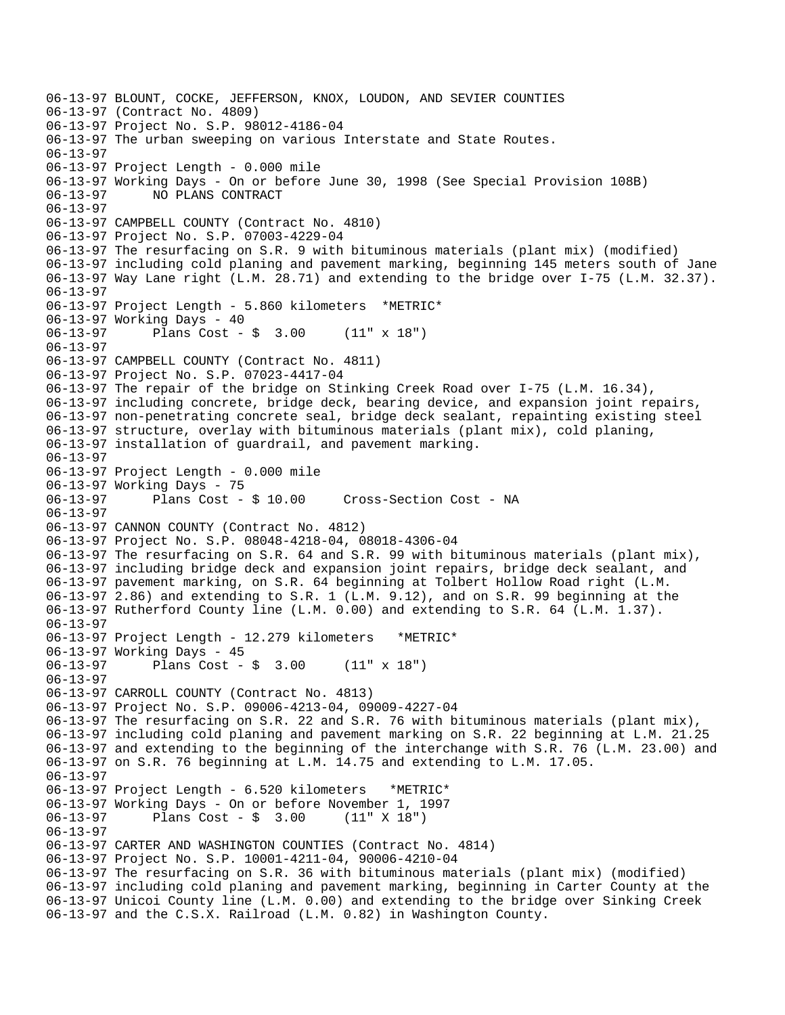06-13-97 BLOUNT, COCKE, JEFFERSON, KNOX, LOUDON, AND SEVIER COUNTIES 06-13-97 (Contract No. 4809) 06-13-97 Project No. S.P. 98012-4186-04 06-13-97 The urban sweeping on various Interstate and State Routes. 06-13-97 06-13-97 Project Length - 0.000 mile 06-13-97 Working Days - On or before June 30, 1998 (See Special Provision 108B) 06-13-97 NO PLANS CONTRACT 06-13-97 06-13-97 CAMPBELL COUNTY (Contract No. 4810) 06-13-97 Project No. S.P. 07003-4229-04 06-13-97 The resurfacing on S.R. 9 with bituminous materials (plant mix) (modified) 06-13-97 including cold planing and pavement marking, beginning 145 meters south of Jane 06-13-97 Way Lane right (L.M. 28.71) and extending to the bridge over I-75 (L.M. 32.37). 06-13-97 06-13-97 Project Length - 5.860 kilometers \*METRIC\* 06-13-97 Working Days - 40 06-13-97 Plans Cost - \$ 3.00 (11" x 18") 06-13-97 06-13-97 CAMPBELL COUNTY (Contract No. 4811) 06-13-97 Project No. S.P. 07023-4417-04 06-13-97 The repair of the bridge on Stinking Creek Road over I-75 (L.M. 16.34), 06-13-97 including concrete, bridge deck, bearing device, and expansion joint repairs, 06-13-97 non-penetrating concrete seal, bridge deck sealant, repainting existing steel 06-13-97 structure, overlay with bituminous materials (plant mix), cold planing, 06-13-97 installation of guardrail, and pavement marking. 06-13-97 06-13-97 Project Length - 0.000 mile 06-13-97 Working Days - 75<br>06-13-97 Plans Cost - \$ 10.00 06-13-97 Plans Cost - \$ 10.00 Cross-Section Cost - NA 06-13-97 06-13-97 CANNON COUNTY (Contract No. 4812) 06-13-97 Project No. S.P. 08048-4218-04, 08018-4306-04 06-13-97 The resurfacing on S.R. 64 and S.R. 99 with bituminous materials (plant mix), 06-13-97 including bridge deck and expansion joint repairs, bridge deck sealant, and 06-13-97 pavement marking, on S.R. 64 beginning at Tolbert Hollow Road right (L.M. 06-13-97 2.86) and extending to S.R. 1 (L.M. 9.12), and on S.R. 99 beginning at the 06-13-97 Rutherford County line (L.M. 0.00) and extending to S.R. 64 (L.M. 1.37). 06-13-97 06-13-97 Project Length - 12.279 kilometers \*METRIC\* 06-13-97 Working Days - 45 06-13-97 Plans Cost - \$ 3.00 (11" x 18") 06-13-97 06-13-97 CARROLL COUNTY (Contract No. 4813) 06-13-97 Project No. S.P. 09006-4213-04, 09009-4227-04 06-13-97 The resurfacing on S.R. 22 and S.R. 76 with bituminous materials (plant mix), 06-13-97 including cold planing and pavement marking on S.R. 22 beginning at L.M. 21.25 06-13-97 and extending to the beginning of the interchange with S.R. 76 (L.M. 23.00) and 06-13-97 on S.R. 76 beginning at L.M. 14.75 and extending to L.M. 17.05. 06-13-97 06-13-97 Project Length - 6.520 kilometers \*METRIC\* 06-13-97 Working Days - On or before November 1, 1997  $06-13-97$  Plans Cost - \$ 3.00 06-13-97 06-13-97 CARTER AND WASHINGTON COUNTIES (Contract No. 4814) 06-13-97 Project No. S.P. 10001-4211-04, 90006-4210-04 06-13-97 The resurfacing on S.R. 36 with bituminous materials (plant mix) (modified) 06-13-97 including cold planing and pavement marking, beginning in Carter County at the 06-13-97 Unicoi County line (L.M. 0.00) and extending to the bridge over Sinking Creek 06-13-97 and the C.S.X. Railroad (L.M. 0.82) in Washington County.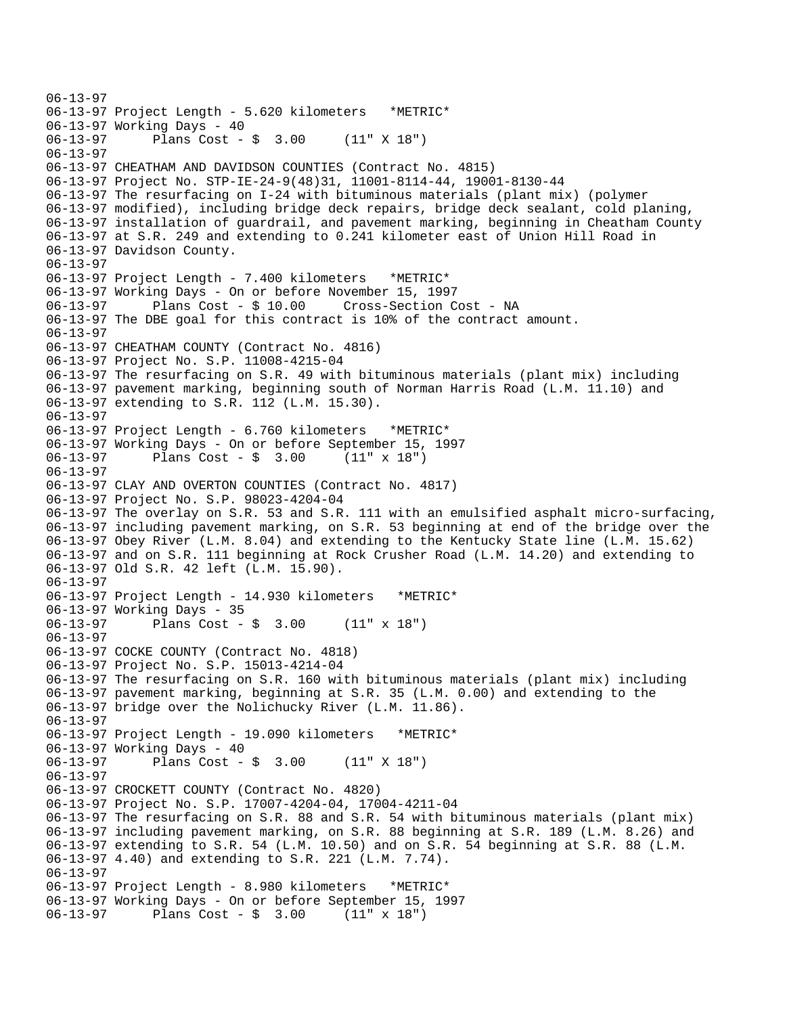06-13-97 06-13-97 Project Length - 5.620 kilometers \*METRIC\* 06-13-97 Working Days - 40 06-13-97 Plans Cost - \$ 3.00 (11" X 18") 06-13-97 06-13-97 CHEATHAM AND DAVIDSON COUNTIES (Contract No. 4815) 06-13-97 Project No. STP-IE-24-9(48)31, 11001-8114-44, 19001-8130-44 06-13-97 The resurfacing on I-24 with bituminous materials (plant mix) (polymer 06-13-97 modified), including bridge deck repairs, bridge deck sealant, cold planing, 06-13-97 installation of guardrail, and pavement marking, beginning in Cheatham County 06-13-97 at S.R. 249 and extending to 0.241 kilometer east of Union Hill Road in 06-13-97 Davidson County. 06-13-97 06-13-97 Project Length - 7.400 kilometers \*METRIC\* 06-13-97 Working Days - On or before November 15, 1997 06-13-97 Plans Cost - \$ 10.00 Cross-Section Cost - NA 06-13-97 The DBE goal for this contract is 10% of the contract amount. 06-13-97 06-13-97 CHEATHAM COUNTY (Contract No. 4816) 06-13-97 Project No. S.P. 11008-4215-04 06-13-97 The resurfacing on S.R. 49 with bituminous materials (plant mix) including 06-13-97 pavement marking, beginning south of Norman Harris Road (L.M. 11.10) and 06-13-97 extending to S.R. 112 (L.M. 15.30). 06-13-97 06-13-97 Project Length - 6.760 kilometers \*METRIC\* 06-13-97 Working Days - On or before September 15, 1997 06-13-97 Plans Cost - \$ 3.00 (11" x 18") 06-13-97 06-13-97 CLAY AND OVERTON COUNTIES (Contract No. 4817) 06-13-97 Project No. S.P. 98023-4204-04 06-13-97 The overlay on S.R. 53 and S.R. 111 with an emulsified asphalt micro-surfacing, 06-13-97 including pavement marking, on S.R. 53 beginning at end of the bridge over the 06-13-97 Obey River (L.M. 8.04) and extending to the Kentucky State line (L.M. 15.62) 06-13-97 and on S.R. 111 beginning at Rock Crusher Road (L.M. 14.20) and extending to 06-13-97 Old S.R. 42 left (L.M. 15.90). 06-13-97 06-13-97 Project Length - 14.930 kilometers \*METRIC\* 06-13-97 Working Days - 35 06-13-97 Plans Cost - \$ 3.00 (11" x 18") 06-13-97 06-13-97 COCKE COUNTY (Contract No. 4818) 06-13-97 Project No. S.P. 15013-4214-04 06-13-97 The resurfacing on S.R. 160 with bituminous materials (plant mix) including 06-13-97 pavement marking, beginning at S.R. 35 (L.M. 0.00) and extending to the 06-13-97 bridge over the Nolichucky River (L.M. 11.86). 06-13-97 06-13-97 Project Length - 19.090 kilometers \*METRIC\* 06-13-97 Working Days - 40<br>06-13-97 Plans Cost -Plans Cost -  $\frac{1}{2}$  3.00 (11" X 18") 06-13-97 06-13-97 CROCKETT COUNTY (Contract No. 4820) 06-13-97 Project No. S.P. 17007-4204-04, 17004-4211-04 06-13-97 The resurfacing on S.R. 88 and S.R. 54 with bituminous materials (plant mix) 06-13-97 including pavement marking, on S.R. 88 beginning at S.R. 189 (L.M. 8.26) and 06-13-97 extending to S.R. 54 (L.M. 10.50) and on S.R. 54 beginning at S.R. 88 (L.M. 06-13-97 4.40) and extending to S.R. 221 (L.M. 7.74). 06-13-97 06-13-97 Project Length - 8.980 kilometers \*METRIC\* 06-13-97 Working Days - On or before September 15, 1997 06-13-97 Plans Cost - \$ 3.00 (11" x 18")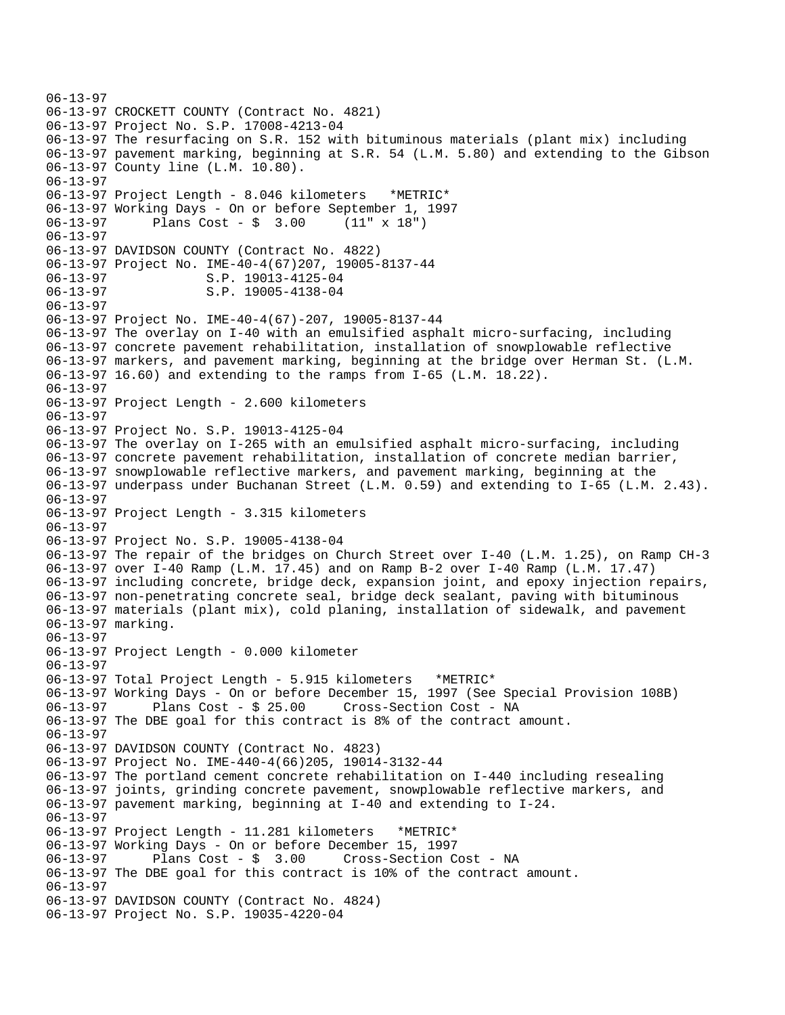06-13-97 06-13-97 CROCKETT COUNTY (Contract No. 4821) 06-13-97 Project No. S.P. 17008-4213-04 06-13-97 The resurfacing on S.R. 152 with bituminous materials (plant mix) including 06-13-97 pavement marking, beginning at S.R. 54 (L.M. 5.80) and extending to the Gibson 06-13-97 County line (L.M. 10.80). 06-13-97 06-13-97 Project Length - 8.046 kilometers \*METRIC\* 06-13-97 Working Days - On or before September 1, 1997 06-13-97 Plans Cost - \$ 3.00 (11" x 18") 06-13-97 06-13-97 DAVIDSON COUNTY (Contract No. 4822) 06-13-97 Project No. IME-40-4(67)207, 19005-8137-44 06-13-97<br>06-13-97 S.P. 19013-4125-04<br>S.P. 19005-4138-04 S.P. 19005-4138-04 06-13-97 06-13-97 Project No. IME-40-4(67)-207, 19005-8137-44 06-13-97 The overlay on I-40 with an emulsified asphalt micro-surfacing, including 06-13-97 concrete pavement rehabilitation, installation of snowplowable reflective 06-13-97 markers, and pavement marking, beginning at the bridge over Herman St. (L.M. 06-13-97 16.60) and extending to the ramps from I-65 (L.M. 18.22). 06-13-97 06-13-97 Project Length - 2.600 kilometers 06-13-97 06-13-97 Project No. S.P. 19013-4125-04 06-13-97 The overlay on I-265 with an emulsified asphalt micro-surfacing, including 06-13-97 concrete pavement rehabilitation, installation of concrete median barrier, 06-13-97 snowplowable reflective markers, and pavement marking, beginning at the 06-13-97 underpass under Buchanan Street (L.M. 0.59) and extending to I-65 (L.M. 2.43). 06-13-97 06-13-97 Project Length - 3.315 kilometers 06-13-97 06-13-97 Project No. S.P. 19005-4138-04 06-13-97 The repair of the bridges on Church Street over I-40 (L.M. 1.25), on Ramp CH-3 06-13-97 over I-40 Ramp (L.M. 17.45) and on Ramp B-2 over I-40 Ramp (L.M. 17.47) 06-13-97 including concrete, bridge deck, expansion joint, and epoxy injection repairs, 06-13-97 non-penetrating concrete seal, bridge deck sealant, paving with bituminous 06-13-97 materials (plant mix), cold planing, installation of sidewalk, and pavement 06-13-97 marking. 06-13-97 06-13-97 Project Length - 0.000 kilometer 06-13-97 06-13-97 Total Project Length - 5.915 kilometers \*METRIC\* 06-13-97 Working Days - On or before December 15, 1997 (See Special Provision 108B) 06-13-97 Plans Cost - \$ 25.00 Cross-Section Cost - NA 06-13-97 The DBE goal for this contract is 8% of the contract amount. 06-13-97 06-13-97 DAVIDSON COUNTY (Contract No. 4823) 06-13-97 Project No. IME-440-4(66)205, 19014-3132-44 06-13-97 The portland cement concrete rehabilitation on I-440 including resealing 06-13-97 joints, grinding concrete pavement, snowplowable reflective markers, and 06-13-97 pavement marking, beginning at I-40 and extending to I-24. 06-13-97 06-13-97 Project Length - 11.281 kilometers \*METRIC\* 06-13-97 Working Days - On or before December 15, 1997 06-13-97 Plans Cost - \$ 3.00 Cross-Section Cost - NA 06-13-97 The DBE goal for this contract is 10% of the contract amount. 06-13-97 06-13-97 DAVIDSON COUNTY (Contract No. 4824) 06-13-97 Project No. S.P. 19035-4220-04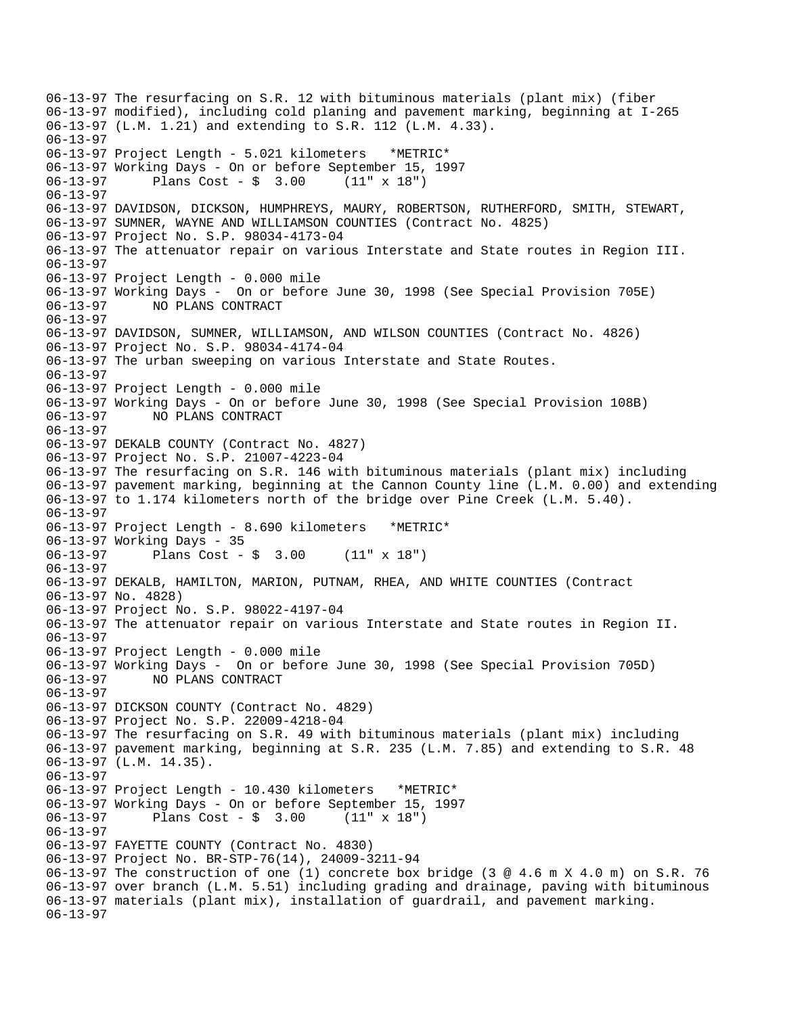06-13-97 The resurfacing on S.R. 12 with bituminous materials (plant mix) (fiber 06-13-97 modified), including cold planing and pavement marking, beginning at I-265 06-13-97 (L.M. 1.21) and extending to S.R. 112 (L.M. 4.33). 06-13-97 06-13-97 Project Length - 5.021 kilometers \*METRIC\* 06-13-97 Working Days - On or before September 15, 1997  $06-13-97$  Plans Cost - \$ 3.00 06-13-97 06-13-97 DAVIDSON, DICKSON, HUMPHREYS, MAURY, ROBERTSON, RUTHERFORD, SMITH, STEWART, 06-13-97 SUMNER, WAYNE AND WILLIAMSON COUNTIES (Contract No. 4825) 06-13-97 Project No. S.P. 98034-4173-04 06-13-97 The attenuator repair on various Interstate and State routes in Region III. 06-13-97 06-13-97 Project Length - 0.000 mile 06-13-97 Working Days - On or before June 30, 1998 (See Special Provision 705E) 06-13-97 NO PLANS CONTRACT 06-13-97 06-13-97 DAVIDSON, SUMNER, WILLIAMSON, AND WILSON COUNTIES (Contract No. 4826) 06-13-97 Project No. S.P. 98034-4174-04 06-13-97 The urban sweeping on various Interstate and State Routes. 06-13-97 06-13-97 Project Length - 0.000 mile 06-13-97 Working Days - On or before June 30, 1998 (See Special Provision 108B) 06-13-97 NO PLANS CONTRACT 06-13-97 06-13-97 DEKALB COUNTY (Contract No. 4827) 06-13-97 Project No. S.P. 21007-4223-04 06-13-97 The resurfacing on S.R. 146 with bituminous materials (plant mix) including 06-13-97 pavement marking, beginning at the Cannon County line (L.M. 0.00) and extending 06-13-97 to 1.174 kilometers north of the bridge over Pine Creek (L.M. 5.40). 06-13-97 06-13-97 Project Length - 8.690 kilometers \*METRIC\* 06-13-97 Working Days - 35 06-13-97 Plans Cost - \$ 3.00 (11" x 18") 06-13-97 06-13-97 DEKALB, HAMILTON, MARION, PUTNAM, RHEA, AND WHITE COUNTIES (Contract 06-13-97 No. 4828) 06-13-97 Project No. S.P. 98022-4197-04 06-13-97 The attenuator repair on various Interstate and State routes in Region II. 06-13-97 06-13-97 Project Length - 0.000 mile 06-13-97 Working Days - On or before June 30, 1998 (See Special Provision 705D) 06-13-97 NO PLANS CONTRACT 06-13-97 06-13-97 DICKSON COUNTY (Contract No. 4829) 06-13-97 Project No. S.P. 22009-4218-04 06-13-97 The resurfacing on S.R. 49 with bituminous materials (plant mix) including 06-13-97 pavement marking, beginning at S.R. 235 (L.M. 7.85) and extending to S.R. 48 06-13-97 (L.M. 14.35). 06-13-97 06-13-97 Project Length - 10.430 kilometers \*METRIC\* 06-13-97 Working Days - On or before September 15, 1997 06-13-97 Plans Cost - \$ 3.00 (11" x 18") 06-13-97 06-13-97 FAYETTE COUNTY (Contract No. 4830) 06-13-97 Project No. BR-STP-76(14), 24009-3211-94 06-13-97 The construction of one (1) concrete box bridge (3 @ 4.6 m X 4.0 m) on S.R. 76 06-13-97 over branch (L.M. 5.51) including grading and drainage, paving with bituminous 06-13-97 materials (plant mix), installation of guardrail, and pavement marking. 06-13-97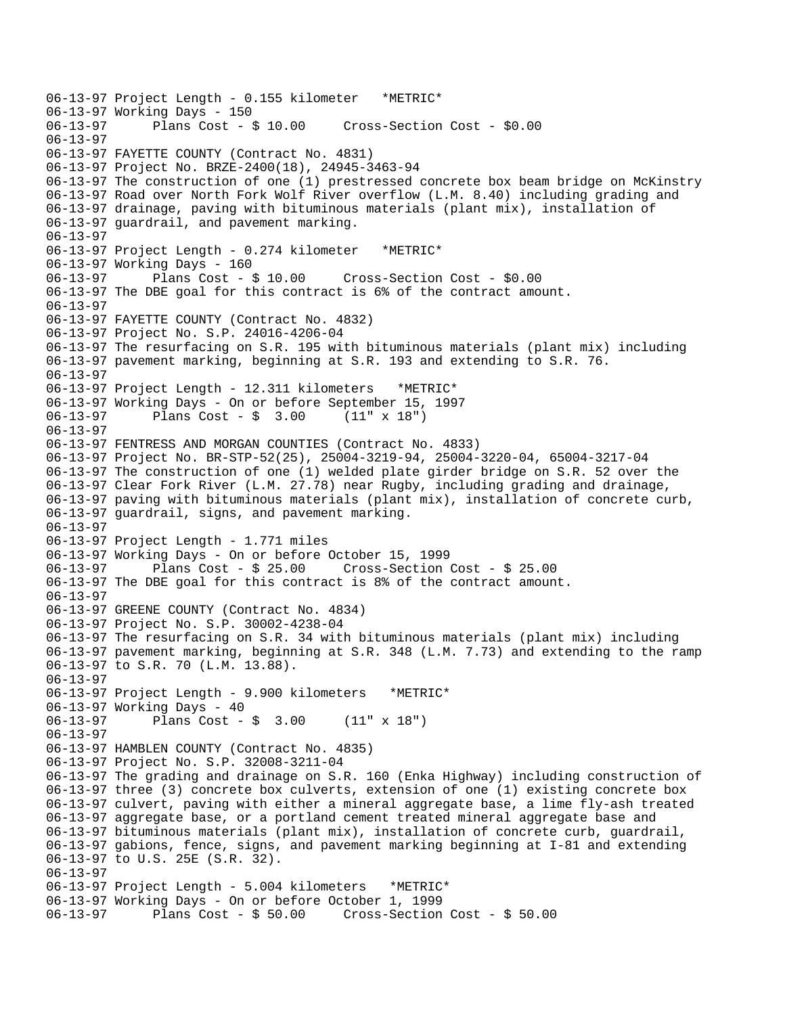06-13-97 Project Length - 0.155 kilometer \*METRIC\* 06-13-97 Working Days - 150 Cross-Section Cost - \$0.00 06-13-97 06-13-97 FAYETTE COUNTY (Contract No. 4831) 06-13-97 Project No. BRZE-2400(18), 24945-3463-94 06-13-97 The construction of one (1) prestressed concrete box beam bridge on McKinstry 06-13-97 Road over North Fork Wolf River overflow (L.M. 8.40) including grading and 06-13-97 drainage, paving with bituminous materials (plant mix), installation of 06-13-97 guardrail, and pavement marking. 06-13-97 06-13-97 Project Length - 0.274 kilometer \*METRIC\* 06-13-97 Working Days - 160 06-13-97 Plans Cost - \$ 10.00 Cross-Section Cost - \$0.00 06-13-97 The DBE goal for this contract is 6% of the contract amount. 06-13-97 06-13-97 FAYETTE COUNTY (Contract No. 4832) 06-13-97 Project No. S.P. 24016-4206-04 06-13-97 The resurfacing on S.R. 195 with bituminous materials (plant mix) including 06-13-97 pavement marking, beginning at S.R. 193 and extending to S.R. 76. 06-13-97 06-13-97 Project Length - 12.311 kilometers \*METRIC\* 06-13-97 Working Days - On or before September 15, 1997 06-13-97 Plans Cost - \$ 3.00 (11" x 18") 06-13-97 06-13-97 FENTRESS AND MORGAN COUNTIES (Contract No. 4833) 06-13-97 Project No. BR-STP-52(25), 25004-3219-94, 25004-3220-04, 65004-3217-04 06-13-97 The construction of one (1) welded plate girder bridge on S.R. 52 over the 06-13-97 Clear Fork River (L.M. 27.78) near Rugby, including grading and drainage, 06-13-97 paving with bituminous materials (plant mix), installation of concrete curb, 06-13-97 guardrail, signs, and pavement marking. 06-13-97 06-13-97 Project Length - 1.771 miles 06-13-97 Working Days - On or before October 15, 1999 Plans Cost -  $\frac{1}{2}$  25.00 Cross-Section Cost -  $\frac{1}{2}$  25.00 06-13-97 The DBE goal for this contract is 8% of the contract amount. 06-13-97 06-13-97 GREENE COUNTY (Contract No. 4834) 06-13-97 Project No. S.P. 30002-4238-04 06-13-97 The resurfacing on S.R. 34 with bituminous materials (plant mix) including 06-13-97 pavement marking, beginning at S.R. 348 (L.M. 7.73) and extending to the ramp 06-13-97 to S.R. 70 (L.M. 13.88). 06-13-97 06-13-97 Project Length - 9.900 kilometers \*METRIC\* 06-13-97 Working Days - 40 06-13-97 Plans Cost - \$ 3.00 (11" x 18") 06-13-97 06-13-97 HAMBLEN COUNTY (Contract No. 4835) 06-13-97 Project No. S.P. 32008-3211-04 06-13-97 The grading and drainage on S.R. 160 (Enka Highway) including construction of 06-13-97 three (3) concrete box culverts, extension of one (1) existing concrete box 06-13-97 culvert, paving with either a mineral aggregate base, a lime fly-ash treated 06-13-97 aggregate base, or a portland cement treated mineral aggregate base and 06-13-97 bituminous materials (plant mix), installation of concrete curb, guardrail, 06-13-97 gabions, fence, signs, and pavement marking beginning at I-81 and extending 06-13-97 to U.S. 25E (S.R. 32). 06-13-97 06-13-97 Project Length - 5.004 kilometers \*METRIC\* 06-13-97 Working Days - On or before October 1, 1999 06-13-97 Plans Cost - \$ 50.00 Cross-Section Cost - \$ 50.00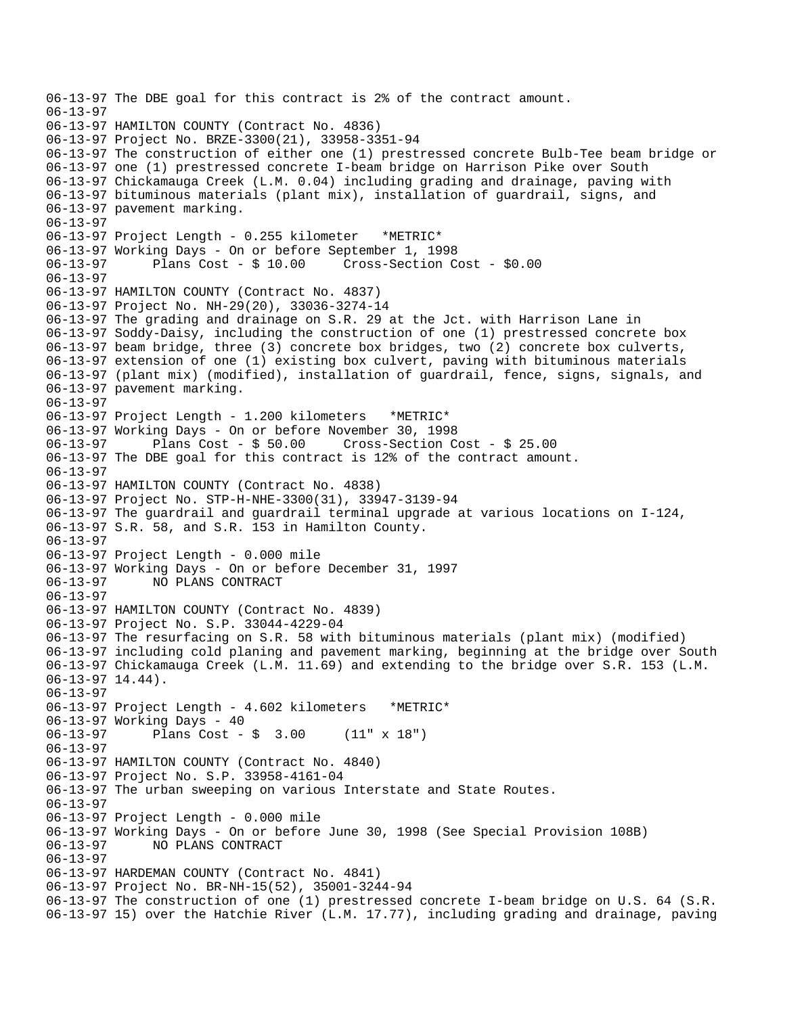```
06-13-97 The DBE goal for this contract is 2% of the contract amount. 
06-13-97 
06-13-97 HAMILTON COUNTY (Contract No. 4836) 
06-13-97 Project No. BRZE-3300(21), 33958-3351-94 
06-13-97 The construction of either one (1) prestressed concrete Bulb-Tee beam bridge or 
06-13-97 one (1) prestressed concrete I-beam bridge on Harrison Pike over South 
06-13-97 Chickamauga Creek (L.M. 0.04) including grading and drainage, paving with 
06-13-97 bituminous materials (plant mix), installation of guardrail, signs, and 
06-13-97 pavement marking. 
06-13-97 
06-13-97 Project Length - 0.255 kilometer *METRIC* 
06-13-97 Working Days - On or before September 1, 1998 
06-13-97 Plans Cost - $ 10.00 Cross-Section Cost - $0.00 
06-13-97 
06-13-97 HAMILTON COUNTY (Contract No. 4837) 
06-13-97 Project No. NH-29(20), 33036-3274-14 
06-13-97 The grading and drainage on S.R. 29 at the Jct. with Harrison Lane in 
06-13-97 Soddy-Daisy, including the construction of one (1) prestressed concrete box 
06-13-97 beam bridge, three (3) concrete box bridges, two (2) concrete box culverts, 
06-13-97 extension of one (1) existing box culvert, paving with bituminous materials 
06-13-97 (plant mix) (modified), installation of guardrail, fence, signs, signals, and 
06-13-97 pavement marking. 
06-13-97 
06-13-97 Project Length - 1.200 kilometers *METRIC* 
06-13-97 Working Days - On or before November 30, 1998 
06-13-97 Plans Cost - $ 50.00 Cross-Section Cost - $ 25.00 
06-13-97 The DBE goal for this contract is 12% of the contract amount. 
06-13-97 
06-13-97 HAMILTON COUNTY (Contract No. 4838) 
06-13-97 Project No. STP-H-NHE-3300(31), 33947-3139-94 
06-13-97 The guardrail and guardrail terminal upgrade at various locations on I-124, 
06-13-97 S.R. 58, and S.R. 153 in Hamilton County. 
06-13-97 
06-13-97 Project Length - 0.000 mile 
06-13-97 Working Days - On or before December 31, 1997 
06-13-97 NO PLANS CONTRACT 
06-13-97 
06-13-97 HAMILTON COUNTY (Contract No. 4839) 
06-13-97 Project No. S.P. 33044-4229-04 
06-13-97 The resurfacing on S.R. 58 with bituminous materials (plant mix) (modified) 
06-13-97 including cold planing and pavement marking, beginning at the bridge over South 
06-13-97 Chickamauga Creek (L.M. 11.69) and extending to the bridge over S.R. 153 (L.M. 
06-13-97 14.44). 
06-13-97 
06-13-97 Project Length - 4.602 kilometers *METRIC* 
06-13-97 Working Days - 40 
06-13-97 Plans Cost - $ 3.00 (11" x 18") 
06-13-97 
06-13-97 HAMILTON COUNTY (Contract No. 4840) 
06-13-97 Project No. S.P. 33958-4161-04 
06-13-97 The urban sweeping on various Interstate and State Routes. 
06-13-97 
06-13-97 Project Length - 0.000 mile 
06-13-97 Working Days - On or before June 30, 1998 (See Special Provision 108B) 
              06-13-97 NO PLANS CONTRACT 
06-13-97 
06-13-97 HARDEMAN COUNTY (Contract No. 4841) 
06-13-97 Project No. BR-NH-15(52), 35001-3244-94 
06-13-97 The construction of one (1) prestressed concrete I-beam bridge on U.S. 64 (S.R. 
06-13-97 15) over the Hatchie River (L.M. 17.77), including grading and drainage, paving
```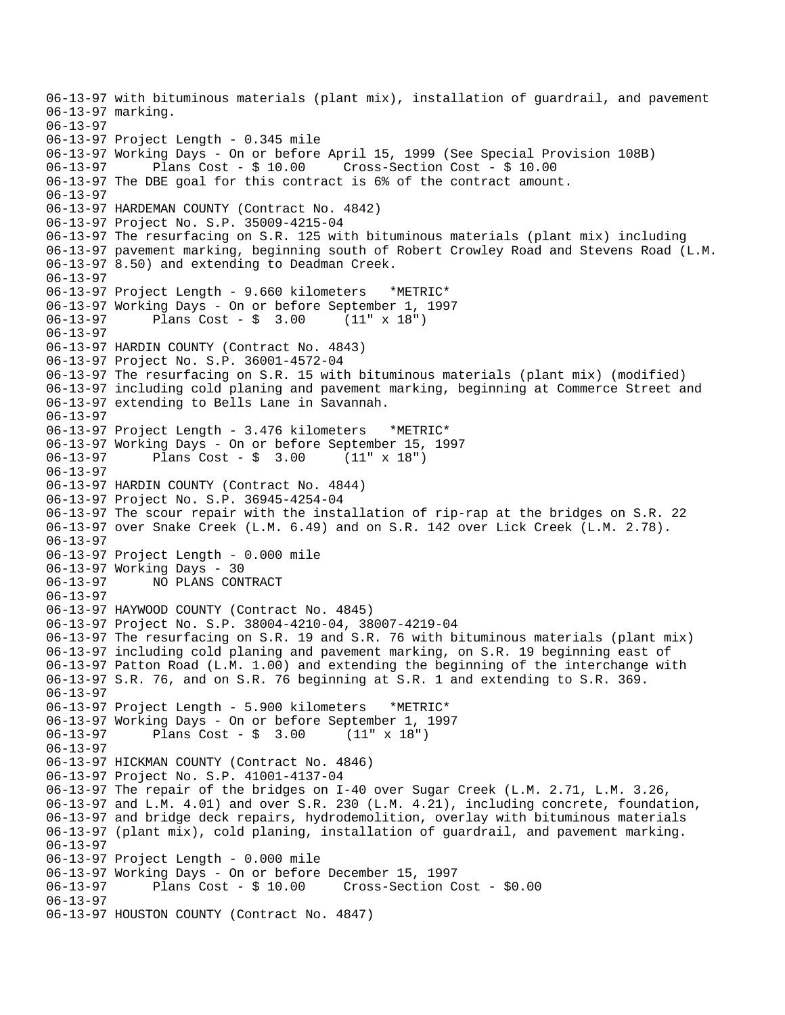06-13-97 with bituminous materials (plant mix), installation of guardrail, and pavement 06-13-97 marking. 06-13-97 06-13-97 Project Length - 0.345 mile 06-13-97 Working Days - On or before April 15, 1999 (See Special Provision 108B) 06-13-97 Plans Cost - \$ 10.00 Cross-Section Cost - \$ 10.00 06-13-97 The DBE goal for this contract is 6% of the contract amount. 06-13-97 06-13-97 HARDEMAN COUNTY (Contract No. 4842) 06-13-97 Project No. S.P. 35009-4215-04 06-13-97 The resurfacing on S.R. 125 with bituminous materials (plant mix) including 06-13-97 pavement marking, beginning south of Robert Crowley Road and Stevens Road (L.M. 06-13-97 8.50) and extending to Deadman Creek. 06-13-97 06-13-97 Project Length - 9.660 kilometers \*METRIC\* 06-13-97 Working Days - On or before September 1, 1997 06-13-97 Plans Cost - \$ 3.00 (11" x 18") 06-13-97 06-13-97 HARDIN COUNTY (Contract No. 4843) 06-13-97 Project No. S.P. 36001-4572-04 06-13-97 The resurfacing on S.R. 15 with bituminous materials (plant mix) (modified) 06-13-97 including cold planing and pavement marking, beginning at Commerce Street and 06-13-97 extending to Bells Lane in Savannah. 06-13-97 06-13-97 Project Length - 3.476 kilometers \*METRIC\* 06-13-97 Working Days - On or before September 15, 1997 06-13-97 Plans Cost - \$ 3.00 (11" x 18") 06-13-97 06-13-97 HARDIN COUNTY (Contract No. 4844) 06-13-97 Project No. S.P. 36945-4254-04 06-13-97 The scour repair with the installation of rip-rap at the bridges on S.R. 22 06-13-97 over Snake Creek (L.M. 6.49) and on S.R. 142 over Lick Creek (L.M. 2.78). 06-13-97 06-13-97 Project Length - 0.000 mile 06-13-97 Working Days - 30 06-13-97 NO PLANS CONTRACT 06-13-97 06-13-97 HAYWOOD COUNTY (Contract No. 4845) 06-13-97 Project No. S.P. 38004-4210-04, 38007-4219-04 06-13-97 The resurfacing on S.R. 19 and S.R. 76 with bituminous materials (plant mix) 06-13-97 including cold planing and pavement marking, on S.R. 19 beginning east of 06-13-97 Patton Road (L.M. 1.00) and extending the beginning of the interchange with 06-13-97 S.R. 76, and on S.R. 76 beginning at S.R. 1 and extending to S.R. 369. 06-13-97 06-13-97 Project Length - 5.900 kilometers \*METRIC\* 06-13-97 Working Days - On or before September 1, 1997 06-13-97 Plans Cost - \$ 3.00 (11" x 18") 06-13-97 06-13-97 HICKMAN COUNTY (Contract No. 4846) 06-13-97 Project No. S.P. 41001-4137-04 06-13-97 The repair of the bridges on I-40 over Sugar Creek (L.M. 2.71, L.M. 3.26, 06-13-97 and L.M. 4.01) and over S.R. 230 (L.M. 4.21), including concrete, foundation, 06-13-97 and bridge deck repairs, hydrodemolition, overlay with bituminous materials 06-13-97 (plant mix), cold planing, installation of guardrail, and pavement marking. 06-13-97 06-13-97 Project Length - 0.000 mile 06-13-97 Working Days - On or before December 15, 1997 Cross-Section Cost - \$0.00 06-13-97 06-13-97 HOUSTON COUNTY (Contract No. 4847)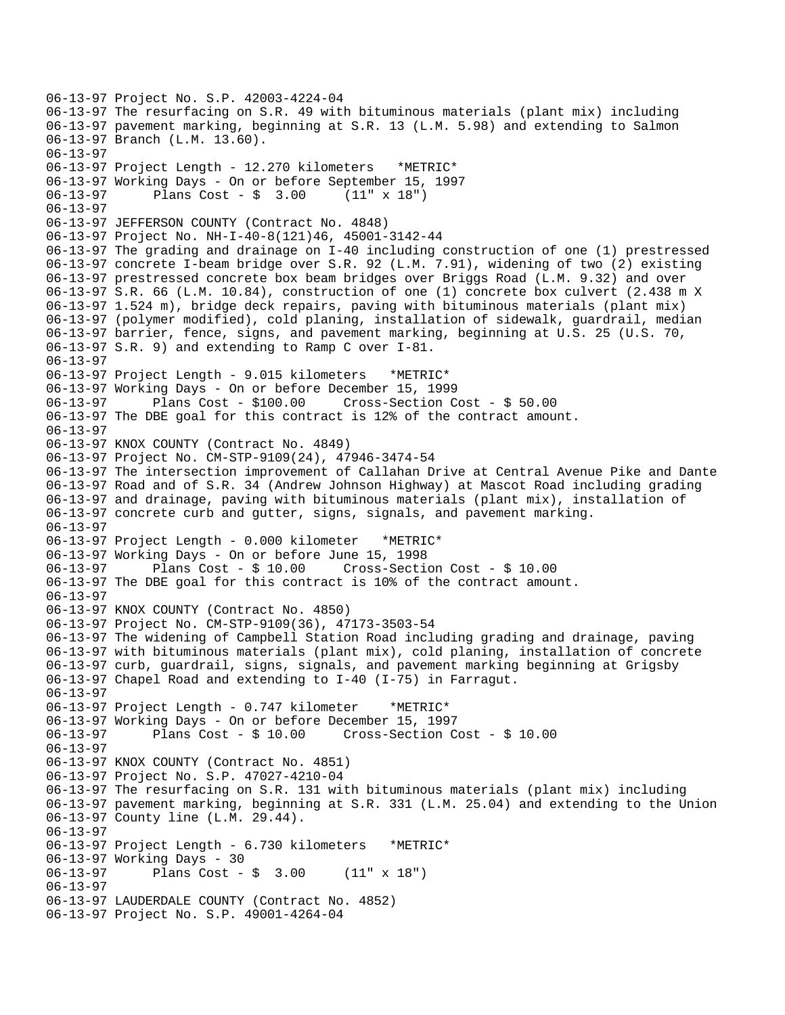```
06-13-97 Project No. S.P. 42003-4224-04 
06-13-97 The resurfacing on S.R. 49 with bituminous materials (plant mix) including 
06-13-97 pavement marking, beginning at S.R. 13 (L.M. 5.98) and extending to Salmon 
06-13-97 Branch (L.M. 13.60). 
06-13-97 
06-13-97 Project Length - 12.270 kilometers *METRIC* 
06-13-97 Working Days - On or before September 15, 1997 
06-13-97 Plans Cost - $ 3.00
06-13-97 
06-13-97 JEFFERSON COUNTY (Contract No. 4848) 
06-13-97 Project No. NH-I-40-8(121)46, 45001-3142-44 
06-13-97 The grading and drainage on I-40 including construction of one (1) prestressed 
06-13-97 concrete I-beam bridge over S.R. 92 (L.M. 7.91), widening of two (2) existing 
06-13-97 prestressed concrete box beam bridges over Briggs Road (L.M. 9.32) and over 
06-13-97 S.R. 66 (L.M. 10.84), construction of one (1) concrete box culvert (2.438 m X 
06-13-97 1.524 m), bridge deck repairs, paving with bituminous materials (plant mix) 
06-13-97 (polymer modified), cold planing, installation of sidewalk, guardrail, median 
06-13-97 barrier, fence, signs, and pavement marking, beginning at U.S. 25 (U.S. 70, 
06-13-97 S.R. 9) and extending to Ramp C over I-81. 
06-13-97 
06-13-97 Project Length - 9.015 kilometers *METRIC* 
06-13-97 Working Days - On or before December 15, 1999 
06-13-97 Plans Cost - $100.00 Cross-Section Cost - $ 50.00 
06-13-97 The DBE goal for this contract is 12% of the contract amount. 
06-13-97 
06-13-97 KNOX COUNTY (Contract No. 4849) 
06-13-97 Project No. CM-STP-9109(24), 47946-3474-54 
06-13-97 The intersection improvement of Callahan Drive at Central Avenue Pike and Dante 
06-13-97 Road and of S.R. 34 (Andrew Johnson Highway) at Mascot Road including grading 
06-13-97 and drainage, paving with bituminous materials (plant mix), installation of 
06-13-97 concrete curb and gutter, signs, signals, and pavement marking. 
06-13-97 
06-13-97 Project Length - 0.000 kilometer *METRIC* 
06-13-97 Working Days - On or before June 15, 1998 
             Plans Cost - $ 10.00 Cross-Section Cost - $ 10.00
06-13-97 The DBE goal for this contract is 10% of the contract amount. 
06-13-97 
06-13-97 KNOX COUNTY (Contract No. 4850) 
06-13-97 Project No. CM-STP-9109(36), 47173-3503-54 
06-13-97 The widening of Campbell Station Road including grading and drainage, paving 
06-13-97 with bituminous materials (plant mix), cold planing, installation of concrete 
06-13-97 curb, guardrail, signs, signals, and pavement marking beginning at Grigsby 
06-13-97 Chapel Road and extending to I-40 (I-75) in Farragut. 
06-13-97 
06-13-97 Project Length - 0.747 kilometer *METRIC* 
06-13-97 Working Days - On or before December 15, 1997 
06-13-97 Plans Cost - $ 10.00 Cross-Section Cost - $ 10.00 
06-13-97 
06-13-97 KNOX COUNTY (Contract No. 4851) 
06-13-97 Project No. S.P. 47027-4210-04 
06-13-97 The resurfacing on S.R. 131 with bituminous materials (plant mix) including 
06-13-97 pavement marking, beginning at S.R. 331 (L.M. 25.04) and extending to the Union 
06-13-97 County line (L.M. 29.44). 
06-13-97 
06-13-97 Project Length - 6.730 kilometers *METRIC* 
06-13-97 Working Days - 30 
06-13-97 Plans Cost - $ 3.00 (11" x 18") 
06-13-97 
06-13-97 LAUDERDALE COUNTY (Contract No. 4852) 
06-13-97 Project No. S.P. 49001-4264-04
```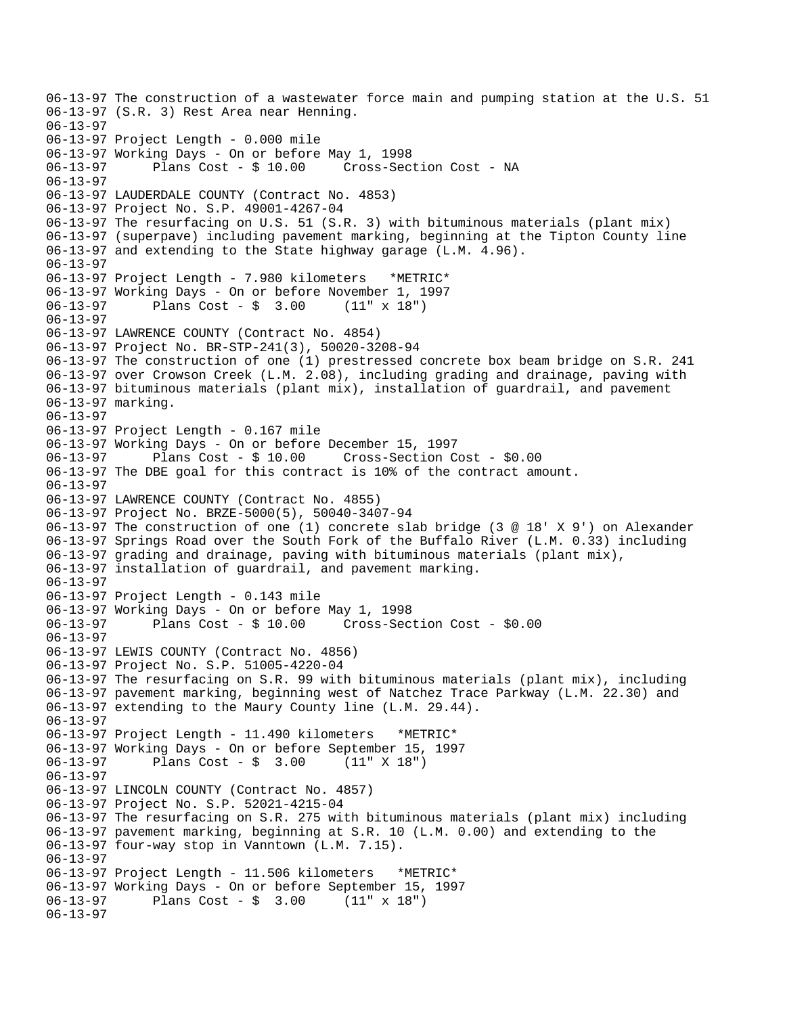```
06-13-97 The construction of a wastewater force main and pumping station at the U.S. 51 
06-13-97 (S.R. 3) Rest Area near Henning. 
06-13-97 
06-13-97 Project Length - 0.000 mile 
06-13-97 Working Days - On or before May 1, 1998 
06-13-97 Plans Cost - $ 10.00 Cross-Section Cost - NA 
06-13-97 
06-13-97 LAUDERDALE COUNTY (Contract No. 4853) 
06-13-97 Project No. S.P. 49001-4267-04 
06-13-97 The resurfacing on U.S. 51 (S.R. 3) with bituminous materials (plant mix) 
06-13-97 (superpave) including pavement marking, beginning at the Tipton County line 
06-13-97 and extending to the State highway garage (L.M. 4.96). 
06-13-97 
06-13-97 Project Length - 7.980 kilometers *METRIC* 
06-13-97 Working Days - On or before November 1, 1997 
06-13-97 Plans Cost - $ 3.00 (11" x 18") 
06-13-97 
06-13-97 LAWRENCE COUNTY (Contract No. 4854) 
06-13-97 Project No. BR-STP-241(3), 50020-3208-94 
06-13-97 The construction of one (1) prestressed concrete box beam bridge on S.R. 241 
06-13-97 over Crowson Creek (L.M. 2.08), including grading and drainage, paving with 
06-13-97 bituminous materials (plant mix), installation of guardrail, and pavement 
06-13-97 marking. 
06-13-97 
06-13-97 Project Length - 0.167 mile 
06-13-97 Working Days - On or before December 15, 1997 
06-13-97 Plans Cost - $ 10.00 Cross-Section Cost - $0.00 
06-13-97 The DBE goal for this contract is 10% of the contract amount. 
06-13-97 
06-13-97 LAWRENCE COUNTY (Contract No. 4855) 
06-13-97 Project No. BRZE-5000(5), 50040-3407-94 
06-13-97 The construction of one (1) concrete slab bridge (3 @ 18' X 9') on Alexander 
06-13-97 Springs Road over the South Fork of the Buffalo River (L.M. 0.33) including 
06-13-97 grading and drainage, paving with bituminous materials (plant mix), 
06-13-97 installation of guardrail, and pavement marking. 
06-13-97 
06-13-97 Project Length - 0.143 mile 
06-13-97 Working Days - On or before May 1, 1998 
06-13-97 Plans Cost - $ 10.00 Cross-Section Cost - $0.00 
06-13-97 
06-13-97 LEWIS COUNTY (Contract No. 4856) 
06-13-97 Project No. S.P. 51005-4220-04 
06-13-97 The resurfacing on S.R. 99 with bituminous materials (plant mix), including 
06-13-97 pavement marking, beginning west of Natchez Trace Parkway (L.M. 22.30) and 
06-13-97 extending to the Maury County line (L.M. 29.44). 
06-13-97 
06-13-97 Project Length - 11.490 kilometers *METRIC* 
06-13-97 Working Days - On or before September 15, 1997 
              Plans Cost - $ 3.0006-13-97 
06-13-97 LINCOLN COUNTY (Contract No. 4857) 
06-13-97 Project No. S.P. 52021-4215-04 
06-13-97 The resurfacing on S.R. 275 with bituminous materials (plant mix) including 
06-13-97 pavement marking, beginning at S.R. 10 (L.M. 0.00) and extending to the 
06-13-97 four-way stop in Vanntown (L.M. 7.15). 
06-13-97 
06-13-97 Project Length - 11.506 kilometers *METRIC* 
06-13-97 Working Days - On or before September 15, 1997 
             Plans Cost - \frac{1}{2} 3.00 (11" x 18")
06-13-97
```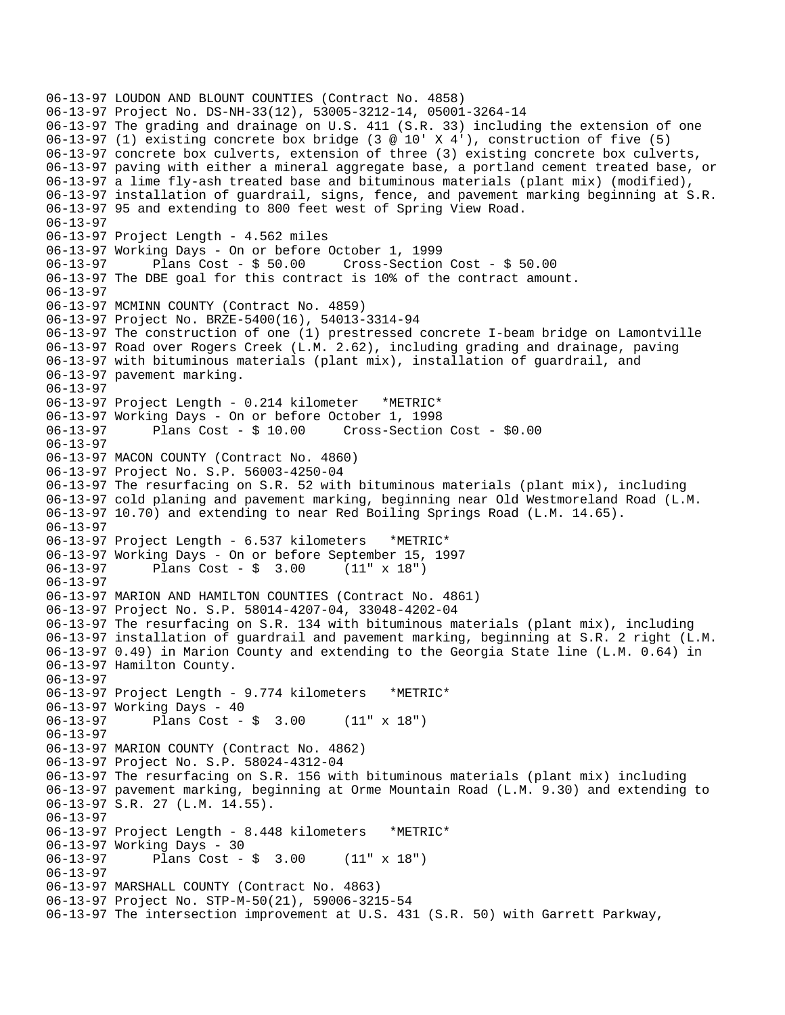06-13-97 LOUDON AND BLOUNT COUNTIES (Contract No. 4858) 06-13-97 Project No. DS-NH-33(12), 53005-3212-14, 05001-3264-14 06-13-97 The grading and drainage on U.S. 411 (S.R. 33) including the extension of one 06-13-97 (1) existing concrete box bridge (3 @ 10' X 4'), construction of five (5) 06-13-97 concrete box culverts, extension of three (3) existing concrete box culverts, 06-13-97 paving with either a mineral aggregate base, a portland cement treated base, or 06-13-97 a lime fly-ash treated base and bituminous materials (plant mix) (modified), 06-13-97 installation of guardrail, signs, fence, and pavement marking beginning at S.R. 06-13-97 95 and extending to 800 feet west of Spring View Road. 06-13-97 06-13-97 Project Length - 4.562 miles 06-13-97 Working Days - On or before October 1, 1999 06-13-97 Plans Cost - \$ 50.00 Cross-Section Cost - \$ 50.00 06-13-97 The DBE goal for this contract is 10% of the contract amount. 06-13-97 06-13-97 MCMINN COUNTY (Contract No. 4859) 06-13-97 Project No. BRZE-5400(16), 54013-3314-94 06-13-97 The construction of one (1) prestressed concrete I-beam bridge on Lamontville 06-13-97 Road over Rogers Creek (L.M. 2.62), including grading and drainage, paving 06-13-97 with bituminous materials (plant mix), installation of guardrail, and 06-13-97 pavement marking. 06-13-97 06-13-97 Project Length - 0.214 kilometer \*METRIC\* 06-13-97 Working Days - On or before October 1, 1998 Cross-Section Cost - \$0.00 06-13-97 06-13-97 MACON COUNTY (Contract No. 4860) 06-13-97 Project No. S.P. 56003-4250-04 06-13-97 The resurfacing on S.R. 52 with bituminous materials (plant mix), including 06-13-97 cold planing and pavement marking, beginning near Old Westmoreland Road (L.M. 06-13-97 10.70) and extending to near Red Boiling Springs Road (L.M. 14.65). 06-13-97 06-13-97 Project Length - 6.537 kilometers \*METRIC\* 06-13-97 Working Days - On or before September 15, 1997 Plans  $Cost - $ 3.00$ 06-13-97 06-13-97 MARION AND HAMILTON COUNTIES (Contract No. 4861) 06-13-97 Project No. S.P. 58014-4207-04, 33048-4202-04 06-13-97 The resurfacing on S.R. 134 with bituminous materials (plant mix), including 06-13-97 installation of guardrail and pavement marking, beginning at S.R. 2 right (L.M. 06-13-97 0.49) in Marion County and extending to the Georgia State line (L.M. 0.64) in 06-13-97 Hamilton County. 06-13-97 06-13-97 Project Length - 9.774 kilometers \*METRIC\* 06-13-97 Working Days - 40 06-13-97 Plans Cost - \$ 3.00 (11" x 18") 06-13-97 06-13-97 MARION COUNTY (Contract No. 4862) 06-13-97 Project No. S.P. 58024-4312-04 06-13-97 The resurfacing on S.R. 156 with bituminous materials (plant mix) including 06-13-97 pavement marking, beginning at Orme Mountain Road (L.M. 9.30) and extending to 06-13-97 S.R. 27 (L.M. 14.55). 06-13-97 06-13-97 Project Length - 8.448 kilometers \*METRIC\* 06-13-97 Working Days - 30 06-13-97 Plans Cost - \$ 3.00 (11" x 18") 06-13-97 06-13-97 MARSHALL COUNTY (Contract No. 4863) 06-13-97 Project No. STP-M-50(21), 59006-3215-54 06-13-97 The intersection improvement at U.S. 431 (S.R. 50) with Garrett Parkway,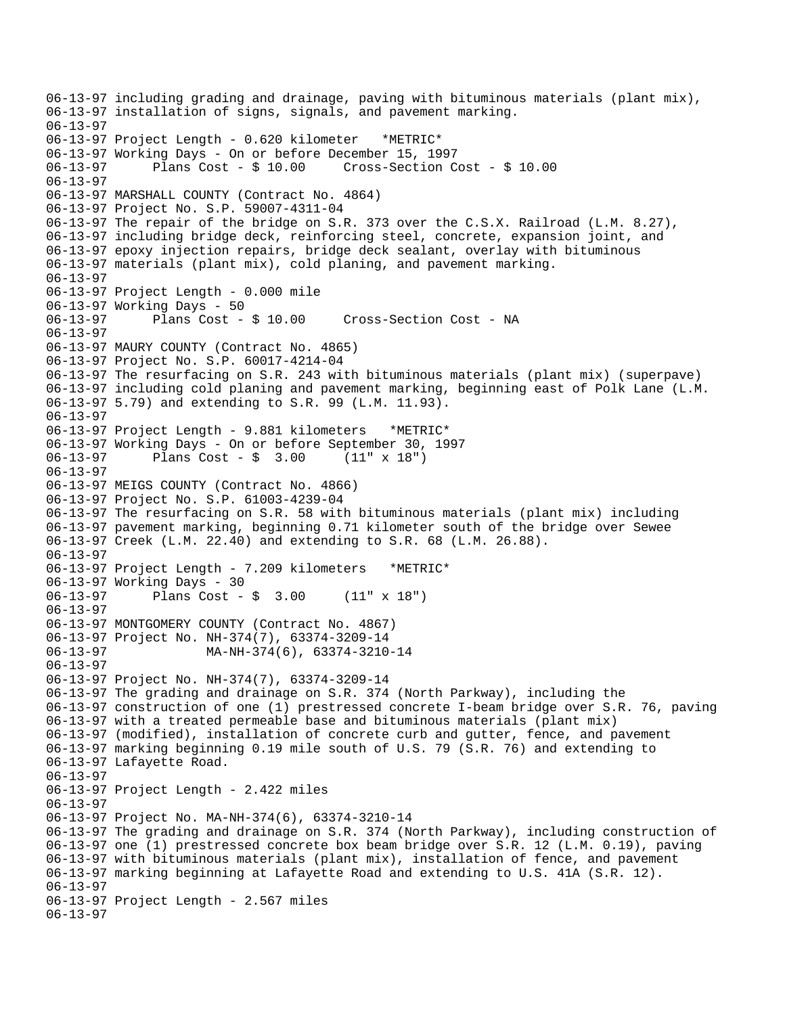06-13-97 including grading and drainage, paving with bituminous materials (plant mix), 06-13-97 installation of signs, signals, and pavement marking. 06-13-97 06-13-97 Project Length - 0.620 kilometer \*METRIC\* 06-13-97 Working Days - On or before December 15, 1997 06-13-97 Plans Cost - \$ 10.00 Cross-Section Cost - \$ 10.00 06-13-97 06-13-97 MARSHALL COUNTY (Contract No. 4864) 06-13-97 Project No. S.P. 59007-4311-04 06-13-97 The repair of the bridge on S.R. 373 over the C.S.X. Railroad (L.M. 8.27), 06-13-97 including bridge deck, reinforcing steel, concrete, expansion joint, and 06-13-97 epoxy injection repairs, bridge deck sealant, overlay with bituminous 06-13-97 materials (plant mix), cold planing, and pavement marking. 06-13-97 06-13-97 Project Length - 0.000 mile 06-13-97 Working Days - 50 06-13-97 Plans Cost - \$ 10.00 Cross-Section Cost - NA 06-13-97 06-13-97 MAURY COUNTY (Contract No. 4865) 06-13-97 Project No. S.P. 60017-4214-04 06-13-97 The resurfacing on S.R. 243 with bituminous materials (plant mix) (superpave) 06-13-97 including cold planing and pavement marking, beginning east of Polk Lane (L.M. 06-13-97 5.79) and extending to S.R. 99 (L.M. 11.93). 06-13-97 06-13-97 Project Length - 9.881 kilometers \*METRIC\* 06-13-97 Working Days - On or before September 30, 1997 06-13-97 Plans Cost - \$ 3.00 (11" x 18") 06-13-97 06-13-97 MEIGS COUNTY (Contract No. 4866) 06-13-97 Project No. S.P. 61003-4239-04 06-13-97 The resurfacing on S.R. 58 with bituminous materials (plant mix) including 06-13-97 pavement marking, beginning 0.71 kilometer south of the bridge over Sewee 06-13-97 Creek (L.M. 22.40) and extending to S.R. 68 (L.M. 26.88). 06-13-97 06-13-97 Project Length - 7.209 kilometers \*METRIC\* 06-13-97 Working Days - 30 06-13-97 Plans Cost - \$ 3.00 (11" x 18") 06-13-97 06-13-97 MONTGOMERY COUNTY (Contract No. 4867) 06-13-97 Project No. NH-374(7), 63374-3209-14 06-13-97 MA-NH-374(6), 63374-3210-14 06-13-97 06-13-97 Project No. NH-374(7), 63374-3209-14 06-13-97 The grading and drainage on S.R. 374 (North Parkway), including the 06-13-97 construction of one (1) prestressed concrete I-beam bridge over S.R. 76, paving 06-13-97 with a treated permeable base and bituminous materials (plant mix) 06-13-97 (modified), installation of concrete curb and gutter, fence, and pavement 06-13-97 marking beginning 0.19 mile south of U.S. 79 (S.R. 76) and extending to 06-13-97 Lafayette Road. 06-13-97 06-13-97 Project Length - 2.422 miles 06-13-97 06-13-97 Project No. MA-NH-374(6), 63374-3210-14 06-13-97 The grading and drainage on S.R. 374 (North Parkway), including construction of 06-13-97 one (1) prestressed concrete box beam bridge over S.R. 12 (L.M. 0.19), paving 06-13-97 with bituminous materials (plant mix), installation of fence, and pavement 06-13-97 marking beginning at Lafayette Road and extending to U.S. 41A (S.R. 12). 06-13-97 06-13-97 Project Length - 2.567 miles 06-13-97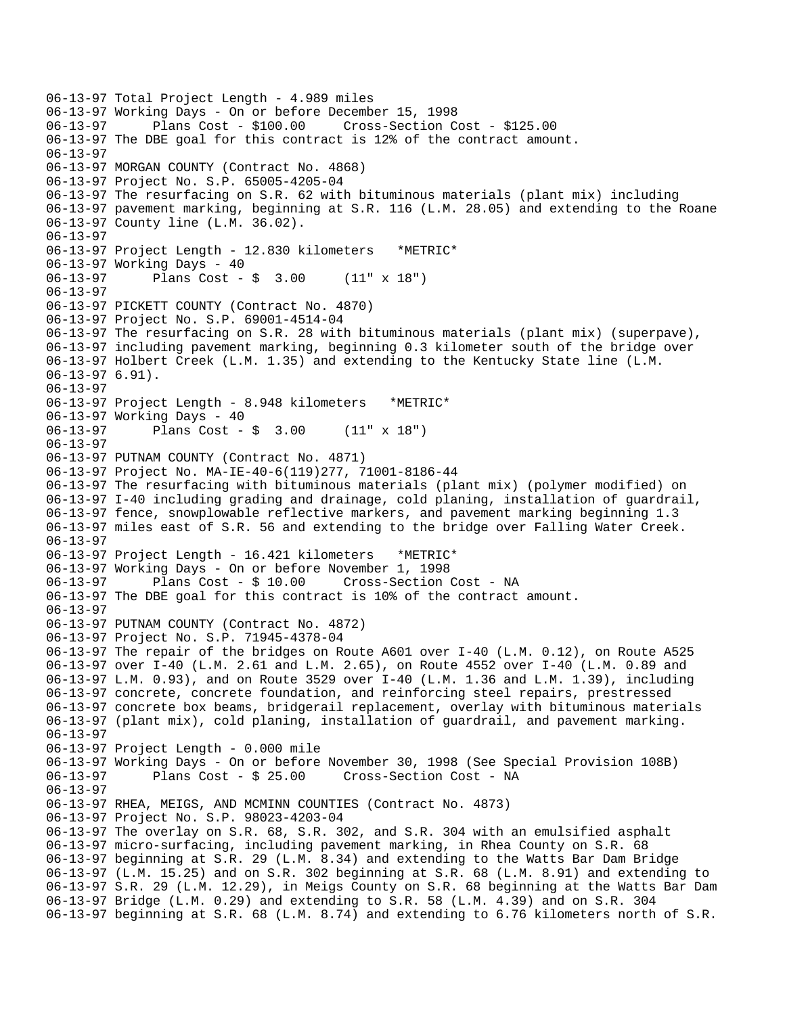```
06-13-97 Total Project Length - 4.989 miles 
06-13-97 Working Days - On or before December 15, 1998 
                                       06-13-97 Plans Cost - $100.00 Cross-Section Cost - $125.00 
06-13-97 The DBE goal for this contract is 12% of the contract amount. 
06-13-97 
06-13-97 MORGAN COUNTY (Contract No. 4868) 
06-13-97 Project No. S.P. 65005-4205-04 
06-13-97 The resurfacing on S.R. 62 with bituminous materials (plant mix) including 
06-13-97 pavement marking, beginning at S.R. 116 (L.M. 28.05) and extending to the Roane 
06-13-97 County line (L.M. 36.02). 
06-13-97 
06-13-97 Project Length - 12.830 kilometers *METRIC* 
06-13-97 Working Days - 40 
06-13-97 Plans Cost - $ 3.00 (11" x 18") 
06-13-97 
06-13-97 PICKETT COUNTY (Contract No. 4870) 
06-13-97 Project No. S.P. 69001-4514-04 
06-13-97 The resurfacing on S.R. 28 with bituminous materials (plant mix) (superpave), 
06-13-97 including pavement marking, beginning 0.3 kilometer south of the bridge over 
06-13-97 Holbert Creek (L.M. 1.35) and extending to the Kentucky State line (L.M. 
06-13-97 6.91). 
06-13-97 
06-13-97 Project Length - 8.948 kilometers *METRIC* 
06-13-97 Working Days - 40<br>06-13-97 Plans Cost -
              Plans Cost - \frac{1}{2} 3.00 (11" x 18")
06-13-97 
06-13-97 PUTNAM COUNTY (Contract No. 4871) 
06-13-97 Project No. MA-IE-40-6(119)277, 71001-8186-44 
06-13-97 The resurfacing with bituminous materials (plant mix) (polymer modified) on 
06-13-97 I-40 including grading and drainage, cold planing, installation of guardrail, 
06-13-97 fence, snowplowable reflective markers, and pavement marking beginning 1.3 
06-13-97 miles east of S.R. 56 and extending to the bridge over Falling Water Creek. 
06-13-97 
06-13-97 Project Length - 16.421 kilometers *METRIC* 
06-13-97 Working Days - On or before November 1, 1998 
06-13-97 Plans Cost - $ 10.00 Cross-Section Cost - NA 
06-13-97 The DBE goal for this contract is 10% of the contract amount. 
06-13-97 
06-13-97 PUTNAM COUNTY (Contract No. 4872) 
06-13-97 Project No. S.P. 71945-4378-04 
06-13-97 The repair of the bridges on Route A601 over I-40 (L.M. 0.12), on Route A525 
06-13-97 over I-40 (L.M. 2.61 and L.M. 2.65), on Route 4552 over I-40 (L.M. 0.89 and 
06-13-97 L.M. 0.93), and on Route 3529 over I-40 (L.M. 1.36 and L.M. 1.39), including 
06-13-97 concrete, concrete foundation, and reinforcing steel repairs, prestressed 
06-13-97 concrete box beams, bridgerail replacement, overlay with bituminous materials 
06-13-97 (plant mix), cold planing, installation of guardrail, and pavement marking. 
06-13-97 
06-13-97 Project Length - 0.000 mile 
06-13-97 Working Days - On or before November 30, 1998 (See Special Provision 108B) 
06-13-97 Plans Cost - $ 25.00 Cross-Section Cost - NA 
06-13-97 
06-13-97 RHEA, MEIGS, AND MCMINN COUNTIES (Contract No. 4873) 
06-13-97 Project No. S.P. 98023-4203-04 
06-13-97 The overlay on S.R. 68, S.R. 302, and S.R. 304 with an emulsified asphalt 
06-13-97 micro-surfacing, including pavement marking, in Rhea County on S.R. 68 
06-13-97 beginning at S.R. 29 (L.M. 8.34) and extending to the Watts Bar Dam Bridge 
06-13-97 (L.M. 15.25) and on S.R. 302 beginning at S.R. 68 (L.M. 8.91) and extending to 
06-13-97 S.R. 29 (L.M. 12.29), in Meigs County on S.R. 68 beginning at the Watts Bar Dam 
06-13-97 Bridge (L.M. 0.29) and extending to S.R. 58 (L.M. 4.39) and on S.R. 304 
06-13-97 beginning at S.R. 68 (L.M. 8.74) and extending to 6.76 kilometers north of S.R.
```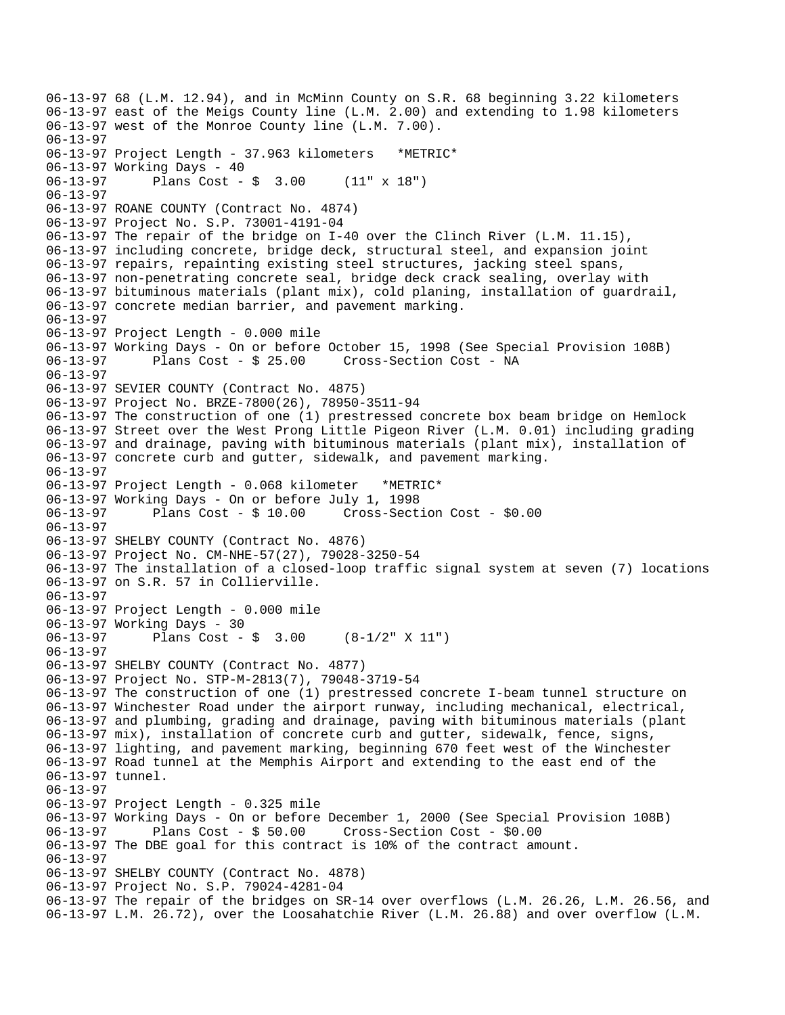06-13-97 68 (L.M. 12.94), and in McMinn County on S.R. 68 beginning 3.22 kilometers 06-13-97 east of the Meigs County line (L.M. 2.00) and extending to 1.98 kilometers 06-13-97 west of the Monroe County line (L.M. 7.00). 06-13-97 06-13-97 Project Length - 37.963 kilometers \*METRIC\* 06-13-97 Working Days - 40 06-13-97 Plans Cost - \$ 3.00 (11" x 18") 06-13-97 06-13-97 ROANE COUNTY (Contract No. 4874) 06-13-97 Project No. S.P. 73001-4191-04 06-13-97 The repair of the bridge on I-40 over the Clinch River (L.M. 11.15), 06-13-97 including concrete, bridge deck, structural steel, and expansion joint 06-13-97 repairs, repainting existing steel structures, jacking steel spans, 06-13-97 non-penetrating concrete seal, bridge deck crack sealing, overlay with 06-13-97 bituminous materials (plant mix), cold planing, installation of guardrail, 06-13-97 concrete median barrier, and pavement marking. 06-13-97 06-13-97 Project Length - 0.000 mile 06-13-97 Working Days - On or before October 15, 1998 (See Special Provision 108B) 06-13-97 Plans Cost - \$ 25.00 Cross-Section Cost - NA 06-13-97 06-13-97 SEVIER COUNTY (Contract No. 4875) 06-13-97 Project No. BRZE-7800(26), 78950-3511-94 06-13-97 The construction of one (1) prestressed concrete box beam bridge on Hemlock 06-13-97 Street over the West Prong Little Pigeon River (L.M. 0.01) including grading 06-13-97 and drainage, paving with bituminous materials (plant mix), installation of 06-13-97 concrete curb and gutter, sidewalk, and pavement marking. 06-13-97 06-13-97 Project Length - 0.068 kilometer \*METRIC\* 06-13-97 Working Days - On or before July 1, 1998 06-13-97 Plans Cost - \$ 10.00 Cross-Section Cost - \$0.00 06-13-97 06-13-97 SHELBY COUNTY (Contract No. 4876) 06-13-97 Project No. CM-NHE-57(27), 79028-3250-54 06-13-97 The installation of a closed-loop traffic signal system at seven (7) locations 06-13-97 on S.R. 57 in Collierville. 06-13-97 06-13-97 Project Length - 0.000 mile 06-13-97 Working Days - 30 06-13-97 Plans Cost - \$ 3.00 (8-1/2" X 11") 06-13-97 06-13-97 SHELBY COUNTY (Contract No. 4877) 06-13-97 Project No. STP-M-2813(7), 79048-3719-54 06-13-97 The construction of one (1) prestressed concrete I-beam tunnel structure on 06-13-97 Winchester Road under the airport runway, including mechanical, electrical, 06-13-97 and plumbing, grading and drainage, paving with bituminous materials (plant 06-13-97 mix), installation of concrete curb and gutter, sidewalk, fence, signs, 06-13-97 lighting, and pavement marking, beginning 670 feet west of the Winchester 06-13-97 Road tunnel at the Memphis Airport and extending to the east end of the 06-13-97 tunnel. 06-13-97 06-13-97 Project Length - 0.325 mile 06-13-97 Working Days - On or before December 1, 2000 (See Special Provision 108B) 06-13-97 Plans Cost - \$ 50.00 Cross-Section Cost - \$0.00 06-13-97 The DBE goal for this contract is 10% of the contract amount. 06-13-97 06-13-97 SHELBY COUNTY (Contract No. 4878) 06-13-97 Project No. S.P. 79024-4281-04 06-13-97 The repair of the bridges on SR-14 over overflows (L.M. 26.26, L.M. 26.56, and 06-13-97 L.M. 26.72), over the Loosahatchie River (L.M. 26.88) and over overflow (L.M.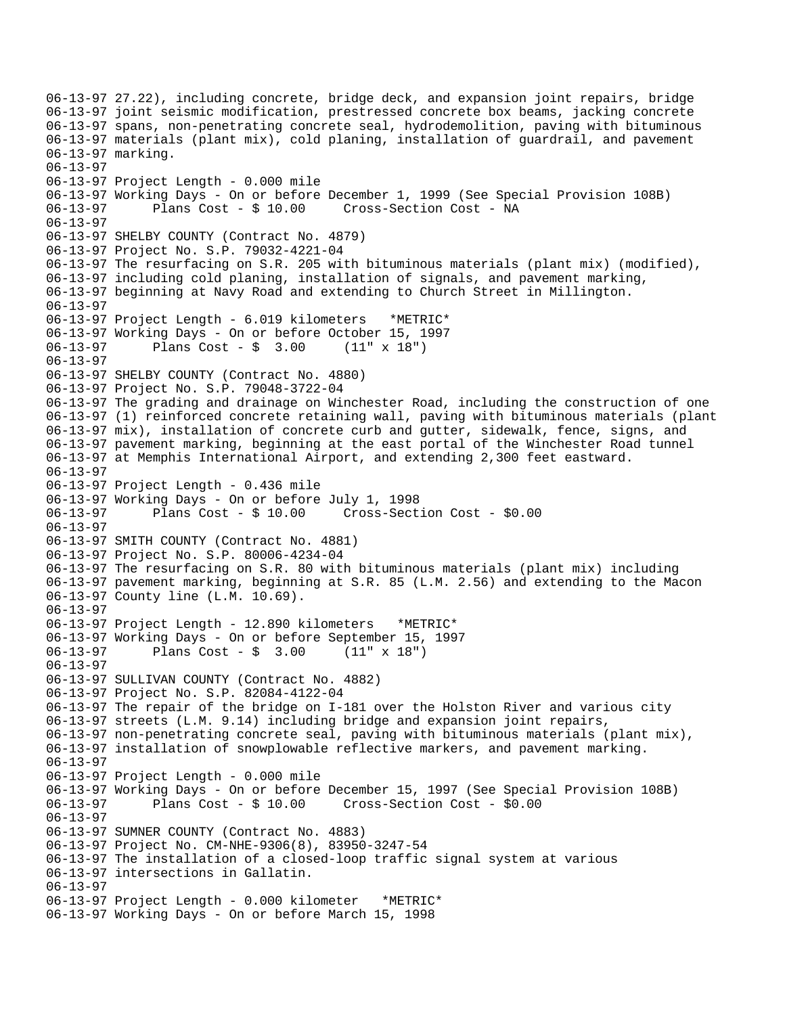```
06-13-97 27.22), including concrete, bridge deck, and expansion joint repairs, bridge 
06-13-97 joint seismic modification, prestressed concrete box beams, jacking concrete 
06-13-97 spans, non-penetrating concrete seal, hydrodemolition, paving with bituminous 
06-13-97 materials (plant mix), cold planing, installation of guardrail, and pavement 
06-13-97 marking. 
06-13-97 
06-13-97 Project Length - 0.000 mile 
06-13-97 Working Days - On or before December 1, 1999 (See Special Provision 108B) 
06-13-97 Plans Cost - $ 10.00 Cross-Section Cost - NA 
06-13-97 
06-13-97 SHELBY COUNTY (Contract No. 4879) 
06-13-97 Project No. S.P. 79032-4221-04 
06-13-97 The resurfacing on S.R. 205 with bituminous materials (plant mix) (modified), 
06-13-97 including cold planing, installation of signals, and pavement marking, 
06-13-97 beginning at Navy Road and extending to Church Street in Millington. 
06-13-97 
06-13-97 Project Length - 6.019 kilometers *METRIC* 
06-13-97 Working Days - On or before October 15, 1997 
06-13-97 Plans Cost - $ 3.00 (11" x 18") 
06-13-97 
06-13-97 SHELBY COUNTY (Contract No. 4880) 
06-13-97 Project No. S.P. 79048-3722-04 
06-13-97 The grading and drainage on Winchester Road, including the construction of one 
06-13-97 (1) reinforced concrete retaining wall, paving with bituminous materials (plant 
06-13-97 mix), installation of concrete curb and gutter, sidewalk, fence, signs, and 
06-13-97 pavement marking, beginning at the east portal of the Winchester Road tunnel 
06-13-97 at Memphis International Airport, and extending 2,300 feet eastward. 
06-13-97 
06-13-97 Project Length - 0.436 mile 
06-13-97 Working Days - On or before July 1, 1998 
06-13-97 Plans Cost - $ 10.00 Cross-Section Cost - $0.00 
06-13-97 
06-13-97 SMITH COUNTY (Contract No. 4881) 
06-13-97 Project No. S.P. 80006-4234-04 
06-13-97 The resurfacing on S.R. 80 with bituminous materials (plant mix) including 
06-13-97 pavement marking, beginning at S.R. 85 (L.M. 2.56) and extending to the Macon 
06-13-97 County line (L.M. 10.69). 
06-13-97 
06-13-97 Project Length - 12.890 kilometers *METRIC* 
06-13-97 Working Days - On or before September 15, 1997 
06-13-97 Plans Cost - $ 3.00 (11" x 18") 
06-13-97 
06-13-97 SULLIVAN COUNTY (Contract No. 4882) 
06-13-97 Project No. S.P. 82084-4122-04 
06-13-97 The repair of the bridge on I-181 over the Holston River and various city 
06-13-97 streets (L.M. 9.14) including bridge and expansion joint repairs, 
06-13-97 non-penetrating concrete seal, paving with bituminous materials (plant mix), 
06-13-97 installation of snowplowable reflective markers, and pavement marking. 
06-13-97 
06-13-97 Project Length - 0.000 mile 
06-13-97 Working Days - On or before December 15, 1997 (See Special Provision 108B) 
06-13-97 Plans Cost - $ 10.00 Cross-Section Cost - $0.00 
06-13-97 
06-13-97 SUMNER COUNTY (Contract No. 4883) 
06-13-97 Project No. CM-NHE-9306(8), 83950-3247-54 
06-13-97 The installation of a closed-loop traffic signal system at various 
06-13-97 intersections in Gallatin. 
06-13-97 
06-13-97 Project Length - 0.000 kilometer *METRIC* 
06-13-97 Working Days - On or before March 15, 1998
```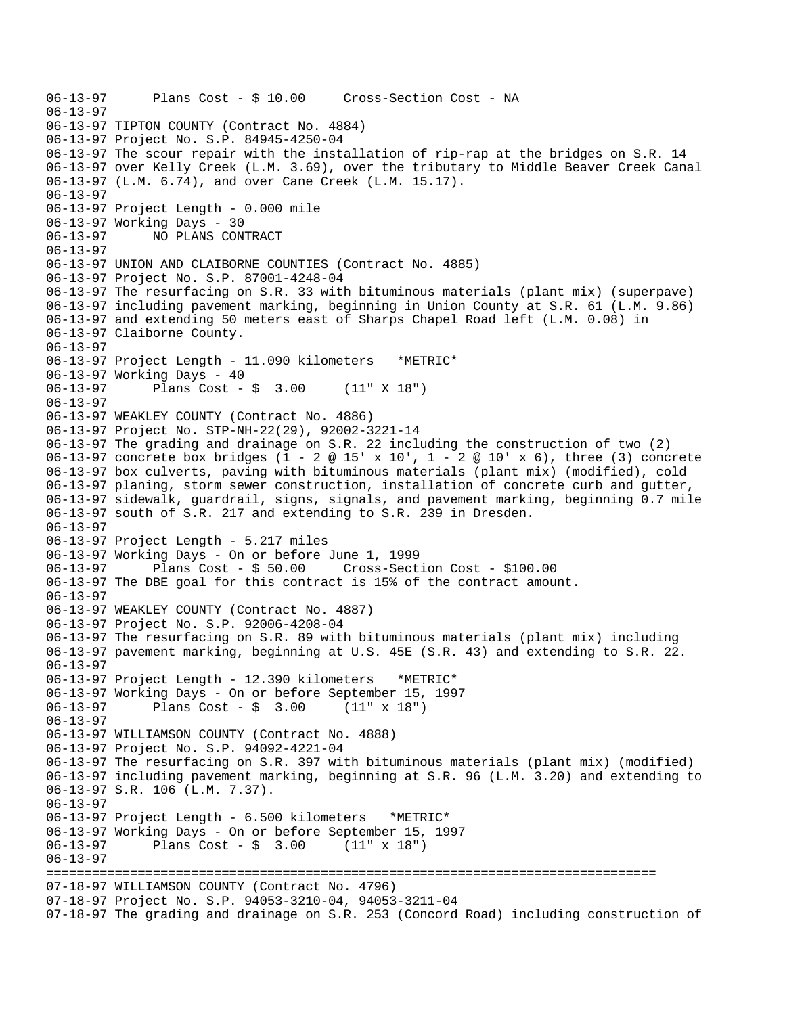```
06-13-97 Plans Cost - $ 10.00 Cross-Section Cost - NA 
06-13-97 
06-13-97 TIPTON COUNTY (Contract No. 4884) 
06-13-97 Project No. S.P. 84945-4250-04 
06-13-97 The scour repair with the installation of rip-rap at the bridges on S.R. 14 
06-13-97 over Kelly Creek (L.M. 3.69), over the tributary to Middle Beaver Creek Canal 
06-13-97 (L.M. 6.74), and over Cane Creek (L.M. 15.17). 
06-13-97 
06-13-97 Project Length - 0.000 mile 
06-13-97 Working Days - 30 
06-13-97 NO PLANS CONTRACT 
06-13-97 
06-13-97 UNION AND CLAIBORNE COUNTIES (Contract No. 4885) 
06-13-97 Project No. S.P. 87001-4248-04 
06-13-97 The resurfacing on S.R. 33 with bituminous materials (plant mix) (superpave) 
06-13-97 including pavement marking, beginning in Union County at S.R. 61 (L.M. 9.86) 
06-13-97 and extending 50 meters east of Sharps Chapel Road left (L.M. 0.08) in 
06-13-97 Claiborne County. 
06-13-97 
06-13-97 Project Length - 11.090 kilometers *METRIC* 
06-13-97 Working Days - 40 
06-13-97 Plans Cost - $ 3.00 (11" X 18") 
06-13-97 
06-13-97 WEAKLEY COUNTY (Contract No. 4886) 
06-13-97 Project No. STP-NH-22(29), 92002-3221-14 
06-13-97 The grading and drainage on S.R. 22 including the construction of two (2) 
06-13-97 concrete box bridges (1 - 2 @ 15' x 10', 1 - 2 @ 10' x 6), three (3) concrete 
06-13-97 box culverts, paving with bituminous materials (plant mix) (modified), cold 
06-13-97 planing, storm sewer construction, installation of concrete curb and gutter, 
06-13-97 sidewalk, guardrail, signs, signals, and pavement marking, beginning 0.7 mile 
06-13-97 south of S.R. 217 and extending to S.R. 239 in Dresden. 
06-13-97 
06-13-97 Project Length - 5.217 miles 
06-13-97 Working Days - On or before June 1, 1999 
             Plans Cost - $ 50.00 Cross-Section Cost - $100.00
06-13-97 The DBE goal for this contract is 15% of the contract amount. 
06-13-97 
06-13-97 WEAKLEY COUNTY (Contract No. 4887) 
06-13-97 Project No. S.P. 92006-4208-04 
06-13-97 The resurfacing on S.R. 89 with bituminous materials (plant mix) including 
06-13-97 pavement marking, beginning at U.S. 45E (S.R. 43) and extending to S.R. 22. 
06-13-97 
06-13-97 Project Length - 12.390 kilometers *METRIC* 
06-13-97 Working Days - On or before September 15, 1997 
06-13-97 Plans Cost - $ 3.00 (11" x 18") 
06-13-97 
06-13-97 WILLIAMSON COUNTY (Contract No. 4888) 
06-13-97 Project No. S.P. 94092-4221-04 
06-13-97 The resurfacing on S.R. 397 with bituminous materials (plant mix) (modified) 
06-13-97 including pavement marking, beginning at S.R. 96 (L.M. 3.20) and extending to 
06-13-97 S.R. 106 (L.M. 7.37). 
06-13-97 
06-13-97 Project Length - 6.500 kilometers *METRIC* 
06-13-97 Working Days - On or before September 15, 1997 
06-13-97 Plans Cost - $ 3.00 (11" x 18") 
06-13-97 
================================================================================ 
07-18-97 WILLIAMSON COUNTY (Contract No. 4796) 
07-18-97 Project No. S.P. 94053-3210-04, 94053-3211-04 
07-18-97 The grading and drainage on S.R. 253 (Concord Road) including construction of
```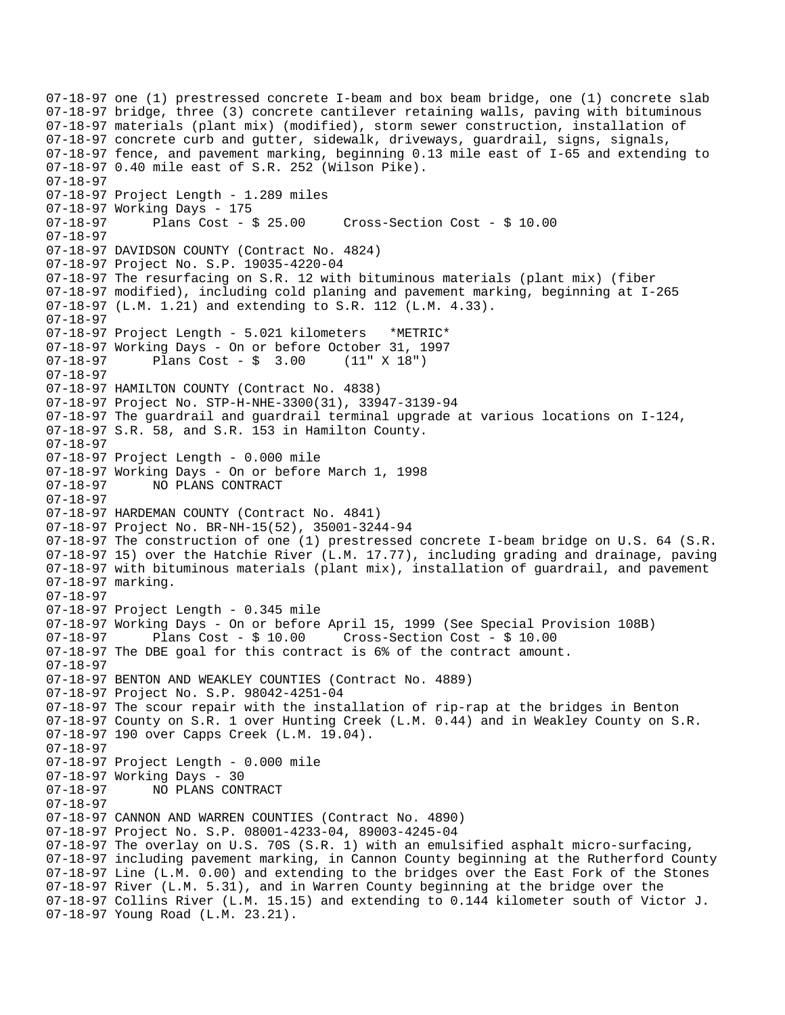07-18-97 one (1) prestressed concrete I-beam and box beam bridge, one (1) concrete slab 07-18-97 bridge, three (3) concrete cantilever retaining walls, paving with bituminous 07-18-97 materials (plant mix) (modified), storm sewer construction, installation of 07-18-97 concrete curb and gutter, sidewalk, driveways, guardrail, signs, signals, 07-18-97 fence, and pavement marking, beginning 0.13 mile east of I-65 and extending to 07-18-97 0.40 mile east of S.R. 252 (Wilson Pike). 07-18-97 07-18-97 Project Length - 1.289 miles 07-18-97 Working Days - 175 07-18-97 Plans Cost - \$ 25.00 Cross-Section Cost - \$ 10.00 07-18-97 07-18-97 DAVIDSON COUNTY (Contract No. 4824) 07-18-97 Project No. S.P. 19035-4220-04 07-18-97 The resurfacing on S.R. 12 with bituminous materials (plant mix) (fiber 07-18-97 modified), including cold planing and pavement marking, beginning at I-265 07-18-97 (L.M. 1.21) and extending to S.R. 112 (L.M. 4.33). 07-18-97 07-18-97 Project Length - 5.021 kilometers \*METRIC\* 07-18-97 Working Days - On or before October 31, 1997 07-18-97 Plans Cost - \$ 3.00 (11" X 18") 07-18-97 07-18-97 HAMILTON COUNTY (Contract No. 4838) 07-18-97 Project No. STP-H-NHE-3300(31), 33947-3139-94 07-18-97 The guardrail and guardrail terminal upgrade at various locations on I-124, 07-18-97 S.R. 58, and S.R. 153 in Hamilton County. 07-18-97 07-18-97 Project Length - 0.000 mile 07-18-97 Working Days - On or before March 1, 1998 07-18-97 NO PLANS CONTRACT 07-18-97 07-18-97 HARDEMAN COUNTY (Contract No. 4841) 07-18-97 Project No. BR-NH-15(52), 35001-3244-94 07-18-97 The construction of one (1) prestressed concrete I-beam bridge on U.S. 64 (S.R. 07-18-97 15) over the Hatchie River (L.M. 17.77), including grading and drainage, paving 07-18-97 with bituminous materials (plant mix), installation of guardrail, and pavement 07-18-97 marking. 07-18-97 07-18-97 Project Length - 0.345 mile 07-18-97 Working Days - On or before April 15, 1999 (See Special Provision 108B) 07-18-97 Plans Cost - \$ 10.00 Cross-Section Cost - \$ 10.00 07-18-97 The DBE goal for this contract is 6% of the contract amount. 07-18-97 07-18-97 BENTON AND WEAKLEY COUNTIES (Contract No. 4889) 07-18-97 Project No. S.P. 98042-4251-04 07-18-97 The scour repair with the installation of rip-rap at the bridges in Benton 07-18-97 County on S.R. 1 over Hunting Creek (L.M. 0.44) and in Weakley County on S.R. 07-18-97 190 over Capps Creek (L.M. 19.04). 07-18-97 07-18-97 Project Length - 0.000 mile 07-18-97 Working Days - 30<br>07-18-97 - NO PLANS CON 07-18-97 NO PLANS CONTRACT 07-18-97  07-18-97 CANNON AND WARREN COUNTIES (Contract No. 4890) 07-18-97 Project No. S.P. 08001-4233-04, 89003-4245-04 07-18-97 The overlay on U.S. 70S (S.R. 1) with an emulsified asphalt micro-surfacing, 07-18-97 including pavement marking, in Cannon County beginning at the Rutherford County 07-18-97 Line (L.M. 0.00) and extending to the bridges over the East Fork of the Stones 07-18-97 River (L.M. 5.31), and in Warren County beginning at the bridge over the 07-18-97 Collins River (L.M. 15.15) and extending to 0.144 kilometer south of Victor J. 07-18-97 Young Road (L.M. 23.21).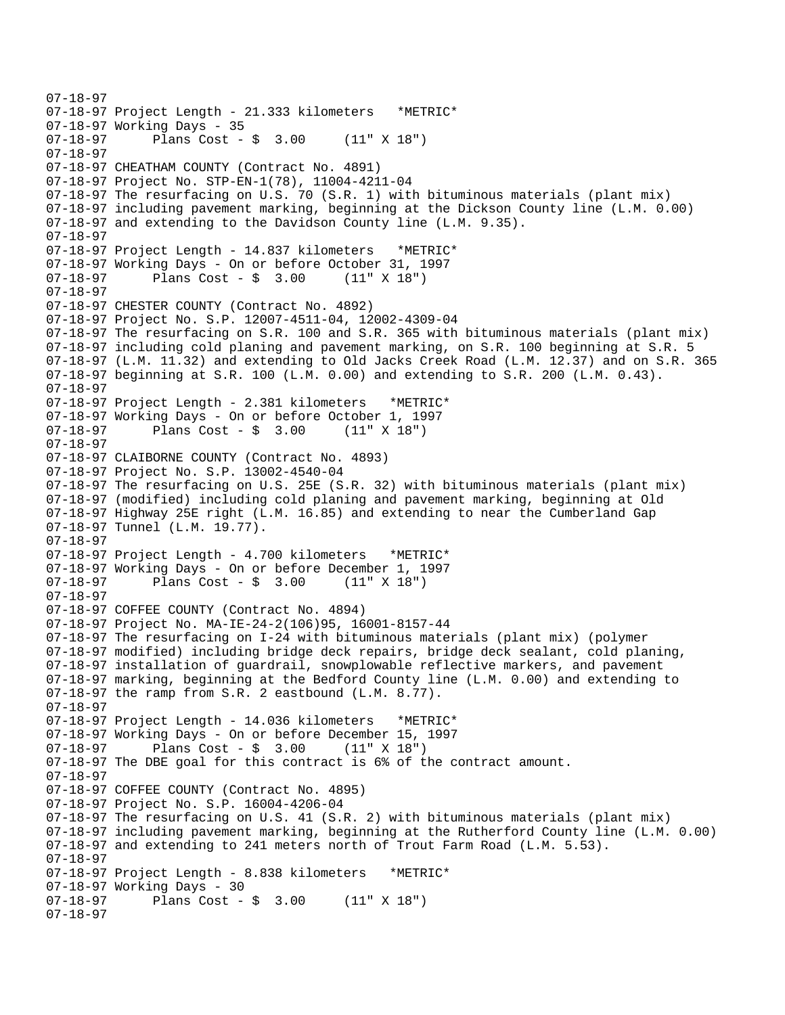07-18-97 07-18-97 Project Length - 21.333 kilometers \*METRIC\* 07-18-97 Working Days - 35 07-18-97 Plans Cost - \$ 3.00 (11" X 18") 07-18-97 07-18-97 CHEATHAM COUNTY (Contract No. 4891) 07-18-97 Project No. STP-EN-1(78), 11004-4211-04 07-18-97 The resurfacing on U.S. 70 (S.R. 1) with bituminous materials (plant mix) 07-18-97 including pavement marking, beginning at the Dickson County line (L.M. 0.00) 07-18-97 and extending to the Davidson County line (L.M. 9.35). 07-18-97 07-18-97 Project Length - 14.837 kilometers \*METRIC\* 07-18-97 Working Days - On or before October 31, 1997 07-18-97 Plans Cost - \$ 3.00 (11" X 18") 07-18-97 07-18-97 CHESTER COUNTY (Contract No. 4892) 07-18-97 Project No. S.P. 12007-4511-04, 12002-4309-04 07-18-97 The resurfacing on S.R. 100 and S.R. 365 with bituminous materials (plant mix) 07-18-97 including cold planing and pavement marking, on S.R. 100 beginning at S.R. 5 07-18-97 (L.M. 11.32) and extending to Old Jacks Creek Road (L.M. 12.37) and on S.R. 365 07-18-97 beginning at S.R. 100 (L.M. 0.00) and extending to S.R. 200 (L.M. 0.43). 07-18-97 07-18-97 Project Length - 2.381 kilometers \*METRIC\* 07-18-97 Working Days - On or before October 1, 1997<br>07-18-97 Plans Cost - \$ 3.00 (11" X 18") Plans  $Cost - $ 3.00$ 07-18-97 07-18-97 CLAIBORNE COUNTY (Contract No. 4893) 07-18-97 Project No. S.P. 13002-4540-04 07-18-97 The resurfacing on U.S. 25E (S.R. 32) with bituminous materials (plant mix) 07-18-97 (modified) including cold planing and pavement marking, beginning at Old 07-18-97 Highway 25E right (L.M. 16.85) and extending to near the Cumberland Gap 07-18-97 Tunnel (L.M. 19.77). 07-18-97 07-18-97 Project Length - 4.700 kilometers \*METRIC\* 07-18-97 Working Days - On or before December 1, 1997 07-18-97 Plans Cost - \$ 3.00 (11" X 18") 07-18-97 07-18-97 COFFEE COUNTY (Contract No. 4894) 07-18-97 Project No. MA-IE-24-2(106)95, 16001-8157-44 07-18-97 The resurfacing on I-24 with bituminous materials (plant mix) (polymer 07-18-97 modified) including bridge deck repairs, bridge deck sealant, cold planing, 07-18-97 installation of guardrail, snowplowable reflective markers, and pavement 07-18-97 marking, beginning at the Bedford County line (L.M. 0.00) and extending to 07-18-97 the ramp from S.R. 2 eastbound (L.M. 8.77). 07-18-97 07-18-97 Project Length - 14.036 kilometers \*METRIC\* 07-18-97 Working Days - On or before December 15, 1997<br>07-18-97 Plans Cost - \$ 3.00 (11" X 18") Plans  $Cost - $ 3.00 (11" X 18")$ 07-18-97 The DBE goal for this contract is 6% of the contract amount. 07-18-97 07-18-97 COFFEE COUNTY (Contract No. 4895) 07-18-97 Project No. S.P. 16004-4206-04 07-18-97 The resurfacing on U.S. 41 (S.R. 2) with bituminous materials (plant mix) 07-18-97 including pavement marking, beginning at the Rutherford County line (L.M. 0.00) 07-18-97 and extending to 241 meters north of Trout Farm Road (L.M. 5.53). 07-18-97 07-18-97 Project Length - 8.838 kilometers \*METRIC\* 07-18-97 Working Days - 30<br>07-18-97 Plans Cost -Plans  $Cost - $ 3.00 (11" X 18")$ 07-18-97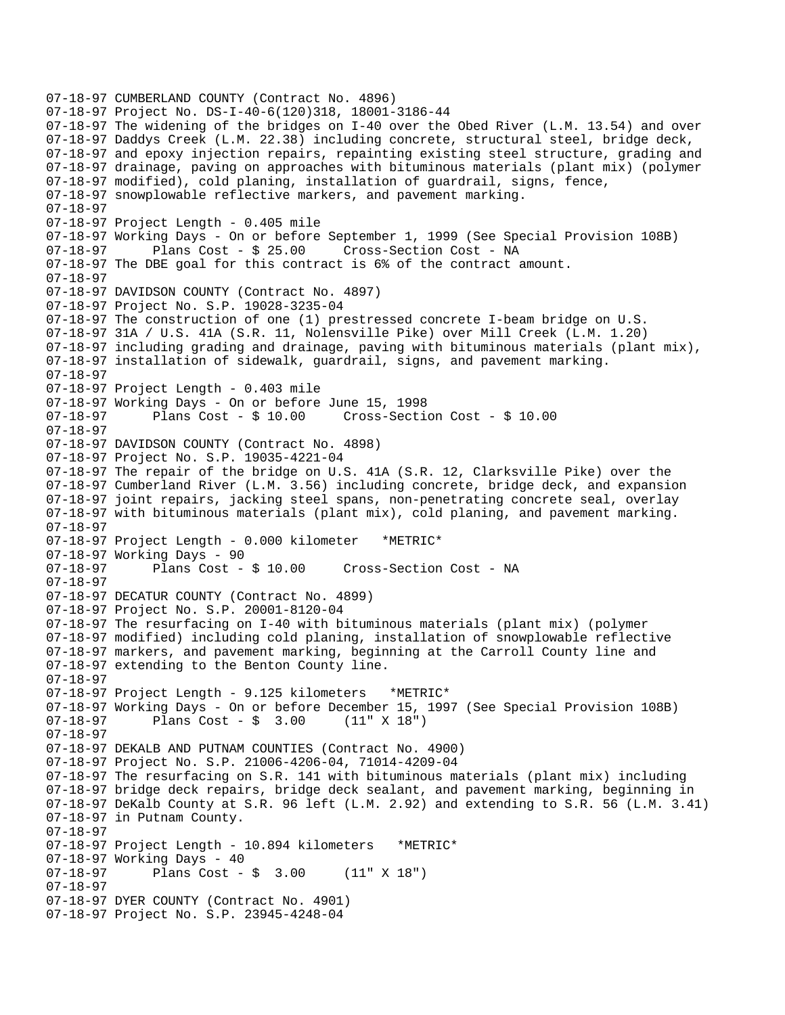07-18-97 CUMBERLAND COUNTY (Contract No. 4896) 07-18-97 Project No. DS-I-40-6(120)318, 18001-3186-44 07-18-97 The widening of the bridges on I-40 over the Obed River (L.M. 13.54) and over 07-18-97 Daddys Creek (L.M. 22.38) including concrete, structural steel, bridge deck, 07-18-97 and epoxy injection repairs, repainting existing steel structure, grading and 07-18-97 drainage, paving on approaches with bituminous materials (plant mix) (polymer 07-18-97 modified), cold planing, installation of guardrail, signs, fence, 07-18-97 snowplowable reflective markers, and pavement marking. 07-18-97 07-18-97 Project Length - 0.405 mile 07-18-97 Working Days - On or before September 1, 1999 (See Special Provision 108B) 07-18-97 Plans Cost - \$ 25.00 Cross-Section Cost - NA 07-18-97 The DBE goal for this contract is 6% of the contract amount. 07-18-97 07-18-97 DAVIDSON COUNTY (Contract No. 4897) 07-18-97 Project No. S.P. 19028-3235-04 07-18-97 The construction of one (1) prestressed concrete I-beam bridge on U.S. 07-18-97 31A / U.S. 41A (S.R. 11, Nolensville Pike) over Mill Creek (L.M. 1.20) 07-18-97 including grading and drainage, paving with bituminous materials (plant mix), 07-18-97 installation of sidewalk, guardrail, signs, and pavement marking. 07-18-97 07-18-97 Project Length - 0.403 mile 07-18-97 Working Days - On or before June 15, 1998 07-18-97 Plans Cost - \$ 10.00 Cross-Section Cost - \$ 10.00 07-18-97  07-18-97 DAVIDSON COUNTY (Contract No. 4898) 07-18-97 Project No. S.P. 19035-4221-04 07-18-97 The repair of the bridge on U.S. 41A (S.R. 12, Clarksville Pike) over the 07-18-97 Cumberland River (L.M. 3.56) including concrete, bridge deck, and expansion 07-18-97 joint repairs, jacking steel spans, non-penetrating concrete seal, overlay 07-18-97 with bituminous materials (plant mix), cold planing, and pavement marking. 07-18-97 07-18-97 Project Length - 0.000 kilometer \*METRIC\* 07-18-97 Working Days - 90 Cross-Section Cost - NA 07-18-97 07-18-97 DECATUR COUNTY (Contract No. 4899) 07-18-97 Project No. S.P. 20001-8120-04 07-18-97 The resurfacing on I-40 with bituminous materials (plant mix) (polymer 07-18-97 modified) including cold planing, installation of snowplowable reflective 07-18-97 markers, and pavement marking, beginning at the Carroll County line and 07-18-97 extending to the Benton County line. 07-18-97 07-18-97 Project Length - 9.125 kilometers \*METRIC\* 07-18-97 Working Days - On or before December 15, 1997 (See Special Provision 108B)<br>07-18-97 Plans Cost - \$ 3.00 (11" X 18")  $07-18-97$  Plans Cost - \$ 3.00 07-18-97 07-18-97 DEKALB AND PUTNAM COUNTIES (Contract No. 4900) 07-18-97 Project No. S.P. 21006-4206-04, 71014-4209-04 07-18-97 The resurfacing on S.R. 141 with bituminous materials (plant mix) including 07-18-97 bridge deck repairs, bridge deck sealant, and pavement marking, beginning in 07-18-97 DeKalb County at S.R. 96 left (L.M. 2.92) and extending to S.R. 56 (L.M. 3.41) 07-18-97 in Putnam County. 07-18-97 07-18-97 Project Length - 10.894 kilometers \*METRIC\* 07-18-97 Working Days - 40 07-18-97 Plans Cost - \$ 3.00 (11" X 18") 07-18-97 07-18-97 DYER COUNTY (Contract No. 4901) 07-18-97 Project No. S.P. 23945-4248-04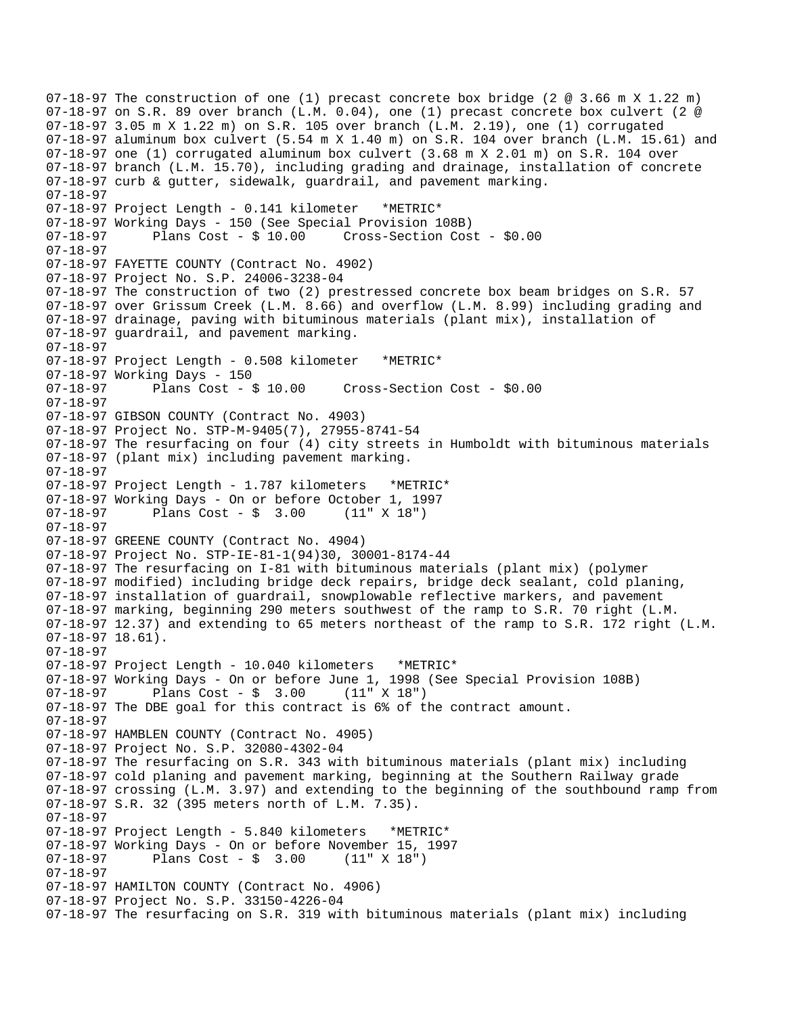```
07-18-97 The construction of one (1) precast concrete box bridge (2 @ 3.66 m X 1.22 m) 
07-18-97 on S.R. 89 over branch (L.M. 0.04), one (1) precast concrete box culvert (2 @ 
07-18-97 3.05 m X 1.22 m) on S.R. 105 over branch (L.M. 2.19), one (1) corrugated 
07-18-97 aluminum box culvert (5.54 m X 1.40 m) on S.R. 104 over branch (L.M. 15.61) and 
07-18-97 one (1) corrugated aluminum box culvert (3.68 m X 2.01 m) on S.R. 104 over 
07-18-97 branch (L.M. 15.70), including grading and drainage, installation of concrete 
07-18-97 curb & gutter, sidewalk, guardrail, and pavement marking. 
07-18-97 
07-18-97 Project Length - 0.141 kilometer *METRIC* 
07-18-97 Working Days - 150 (See Special Provision 108B) 
07-18-97 Plans Cost - $ 10.00 Cross-Section Cost - $0.00 
07-18-97  
07-18-97 FAYETTE COUNTY (Contract No. 4902) 
07-18-97 Project No. S.P. 24006-3238-04 
07-18-97 The construction of two (2) prestressed concrete box beam bridges on S.R. 57 
07-18-97 over Grissum Creek (L.M. 8.66) and overflow (L.M. 8.99) including grading and 
07-18-97 drainage, paving with bituminous materials (plant mix), installation of 
07-18-97 guardrail, and pavement marking. 
07-18-97 
07-18-97 Project Length - 0.508 kilometer *METRIC* 
07-18-97 Working Days - 150<br>07-18-97       Plans Cost - $ 10.00
07-18-97 Plans Cost - $ 10.00 Cross-Section Cost - $0.00 
07-18-97 
07-18-97 GIBSON COUNTY (Contract No. 4903) 
07-18-97 Project No. STP-M-9405(7), 27955-8741-54 
07-18-97 The resurfacing on four (4) city streets in Humboldt with bituminous materials 
07-18-97 (plant mix) including pavement marking. 
07-18-97 
07-18-97 Project Length - 1.787 kilometers *METRIC* 
07-18-97 Working Days - On or before October 1, 1997 
07-18-97 Plans Cost - $ 3.00 (11" X 18") 
07-18-97 
07-18-97 GREENE COUNTY (Contract No. 4904) 
07-18-97 Project No. STP-IE-81-1(94)30, 30001-8174-44 
07-18-97 The resurfacing on I-81 with bituminous materials (plant mix) (polymer 
07-18-97 modified) including bridge deck repairs, bridge deck sealant, cold planing, 
07-18-97 installation of guardrail, snowplowable reflective markers, and pavement 
07-18-97 marking, beginning 290 meters southwest of the ramp to S.R. 70 right (L.M. 
07-18-97 12.37) and extending to 65 meters northeast of the ramp to S.R. 172 right (L.M. 
07-18-97 18.61). 
07-18-97 
07-18-97 Project Length - 10.040 kilometers *METRIC* 
07-18-97 Working Days - On or before June 1, 1998 (See Special Provision 108B) 
07-18-97 Plans Cost - $ 3.00 (11" X 18") 
07-18-97 The DBE goal for this contract is 6% of the contract amount. 
07-18-97 
07-18-97 HAMBLEN COUNTY (Contract No. 4905) 
07-18-97 Project No. S.P. 32080-4302-04 
07-18-97 The resurfacing on S.R. 343 with bituminous materials (plant mix) including 
07-18-97 cold planing and pavement marking, beginning at the Southern Railway grade 
07-18-97 crossing (L.M. 3.97) and extending to the beginning of the southbound ramp from 
07-18-97 S.R. 32 (395 meters north of L.M. 7.35). 
07-18-97 
07-18-97 Project Length - 5.840 kilometers *METRIC* 
07-18-97 Working Days - On or before November 15, 1997<br>07-18-97       Plans Cost - $ 3.00   (11" X 18")
07-18-97 Plans Cost - $ 3.00
07-18-97 
07-18-97 HAMILTON COUNTY (Contract No. 4906) 
07-18-97 Project No. S.P. 33150-4226-04 
07-18-97 The resurfacing on S.R. 319 with bituminous materials (plant mix) including
```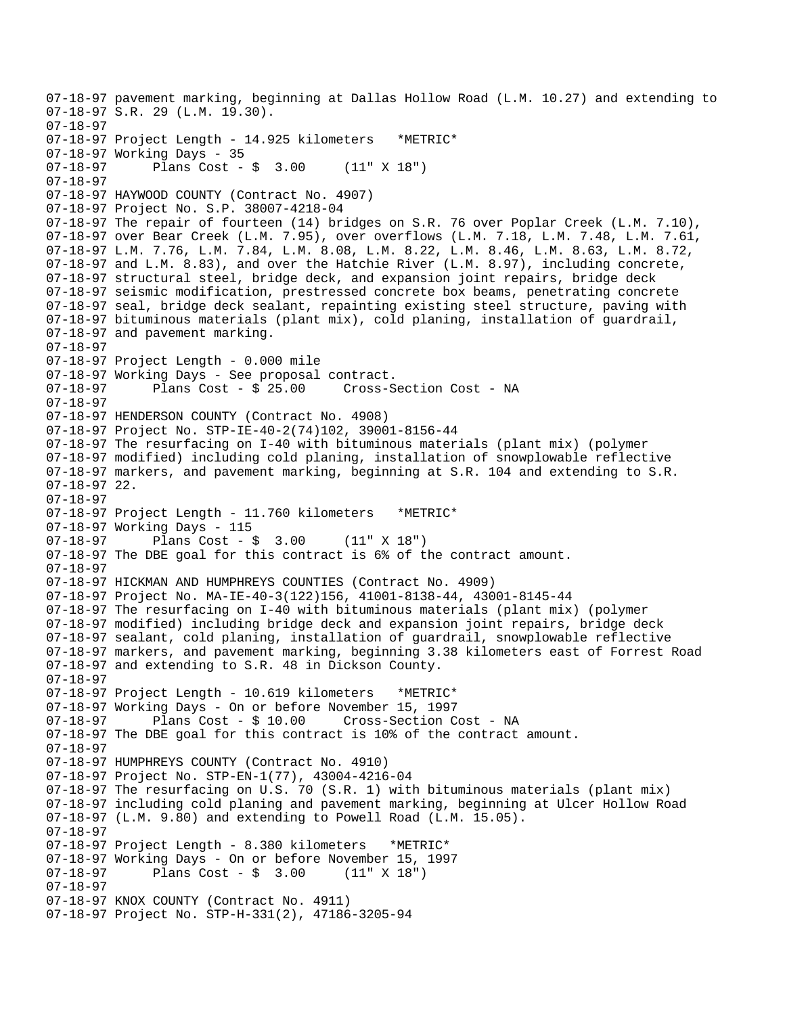```
07-18-97 pavement marking, beginning at Dallas Hollow Road (L.M. 10.27) and extending to 
07-18-97 S.R. 29 (L.M. 19.30). 
07-18-97 
07-18-97 Project Length - 14.925 kilometers *METRIC*
07-18-97 Working Days - 35 
07-18-97 Plans Cost - $ 3.00 (11" X 18") 
07-18-97  
07-18-97 HAYWOOD COUNTY (Contract No. 4907) 
07-18-97 Project No. S.P. 38007-4218-04 
07-18-97 The repair of fourteen (14) bridges on S.R. 76 over Poplar Creek (L.M. 7.10), 
07-18-97 over Bear Creek (L.M. 7.95), over overflows (L.M. 7.18, L.M. 7.48, L.M. 7.61, 
07-18-97 L.M. 7.76, L.M. 7.84, L.M. 8.08, L.M. 8.22, L.M. 8.46, L.M. 8.63, L.M. 8.72, 
07-18-97 and L.M. 8.83), and over the Hatchie River (L.M. 8.97), including concrete, 
07-18-97 structural steel, bridge deck, and expansion joint repairs, bridge deck 
07-18-97 seismic modification, prestressed concrete box beams, penetrating concrete 
07-18-97 seal, bridge deck sealant, repainting existing steel structure, paving with 
07-18-97 bituminous materials (plant mix), cold planing, installation of guardrail, 
07-18-97 and pavement marking. 
07-18-97 
07-18-97 Project Length - 0.000 mile 
07-18-97 Working Days - See proposal contract. 
07-18-97 Plans Cost - $ 25.00 Cross-Section Cost - NA 
07-18-97 
07-18-97 HENDERSON COUNTY (Contract No. 4908) 
07-18-97 Project No. STP-IE-40-2(74)102, 39001-8156-44 
07-18-97 The resurfacing on I-40 with bituminous materials (plant mix) (polymer 
07-18-97 modified) including cold planing, installation of snowplowable reflective 
07-18-97 markers, and pavement marking, beginning at S.R. 104 and extending to S.R. 
07-18-97 22. 
07-18-97 
07-18-97 Project Length - 11.760 kilometers *METRIC*
07-18-97 Working Days - 115<br>07-18-97 Plans Cost -
              Plans Cost - \frac{1}{2} 3.00 (11" X 18")
07-18-97 The DBE goal for this contract is 6% of the contract amount. 
07-18-97 
07-18-97 HICKMAN AND HUMPHREYS COUNTIES (Contract No. 4909) 
07-18-97 Project No. MA-IE-40-3(122)156, 41001-8138-44, 43001-8145-44 
07-18-97 The resurfacing on I-40 with bituminous materials (plant mix) (polymer 
07-18-97 modified) including bridge deck and expansion joint repairs, bridge deck 
07-18-97 sealant, cold planing, installation of guardrail, snowplowable reflective 
07-18-97 markers, and pavement marking, beginning 3.38 kilometers east of Forrest Road 
07-18-97 and extending to S.R. 48 in Dickson County. 
07-18-97 
07-18-97 Project Length - 10.619 kilometers *METRIC* 
07-18-97 Working Days - On or before November 15, 1997 
07-18-97 Plans Cost - $ 10.00 Cross-Section Cost - NA 
07-18-97 The DBE goal for this contract is 10% of the contract amount. 
07-18-97 
07-18-97 HUMPHREYS COUNTY (Contract No. 4910) 
07-18-97 Project No. STP-EN-1(77), 43004-4216-04 
07-18-97 The resurfacing on U.S. 70 (S.R. 1) with bituminous materials (plant mix) 
07-18-97 including cold planing and pavement marking, beginning at Ulcer Hollow Road 
07-18-97 (L.M. 9.80) and extending to Powell Road (L.M. 15.05). 
07-18-97 
07-18-97 Project Length - 8.380 kilometers *METRIC* 
07-18-97 Working Days - On or before November 15, 1997 
07-18-97 Plans Cost - $ 3.00 (11" X 18") 
07-18-97  
07-18-97 KNOX COUNTY (Contract No. 4911) 
07-18-97 Project No. STP-H-331(2), 47186-3205-94
```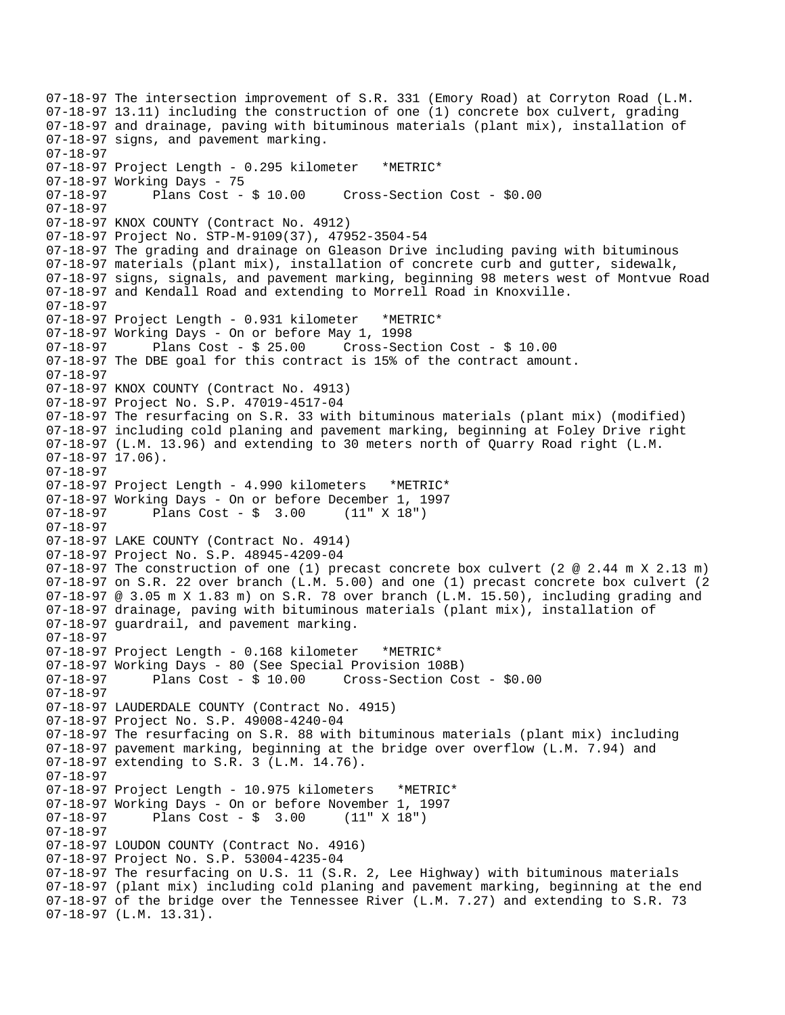07-18-97 The intersection improvement of S.R. 331 (Emory Road) at Corryton Road (L.M. 07-18-97 13.11) including the construction of one (1) concrete box culvert, grading 07-18-97 and drainage, paving with bituminous materials (plant mix), installation of 07-18-97 signs, and pavement marking. 07-18-97 07-18-97 Project Length - 0.295 kilometer \*METRIC\* 07-18-97 Working Days - 75 07-18-97 Plans Cost - \$ 10.00 Cross-Section Cost - \$0.00 07-18-97 07-18-97 KNOX COUNTY (Contract No. 4912) 07-18-97 Project No. STP-M-9109(37), 47952-3504-54 07-18-97 The grading and drainage on Gleason Drive including paving with bituminous 07-18-97 materials (plant mix), installation of concrete curb and gutter, sidewalk, 07-18-97 signs, signals, and pavement marking, beginning 98 meters west of Montvue Road 07-18-97 and Kendall Road and extending to Morrell Road in Knoxville. 07-18-97 07-18-97 Project Length - 0.931 kilometer \*METRIC\* 07-18-97 Working Days - On or before May 1, 1998 07-18-97 Plans Cost - \$ 25.00 Cross-Section Cost - \$ 10.00 07-18-97 The DBE goal for this contract is 15% of the contract amount. 07-18-97 07-18-97 KNOX COUNTY (Contract No. 4913) 07-18-97 Project No. S.P. 47019-4517-04 07-18-97 The resurfacing on S.R. 33 with bituminous materials (plant mix) (modified) 07-18-97 including cold planing and pavement marking, beginning at Foley Drive right 07-18-97 (L.M. 13.96) and extending to 30 meters north of Quarry Road right (L.M. 07-18-97 17.06). 07-18-97 07-18-97 Project Length - 4.990 kilometers \*METRIC\* 07-18-97 Working Days - On or before December 1, 1997  $07-18-97$  Plans Cost - \$ 3.00 07-18-97 07-18-97 LAKE COUNTY (Contract No. 4914) 07-18-97 Project No. S.P. 48945-4209-04 07-18-97 The construction of one (1) precast concrete box culvert (2 @ 2.44 m X 2.13 m) 07-18-97 on S.R. 22 over branch (L.M. 5.00) and one (1) precast concrete box culvert (2 07-18-97 @ 3.05 m X 1.83 m) on S.R. 78 over branch (L.M. 15.50), including grading and 07-18-97 drainage, paving with bituminous materials (plant mix), installation of 07-18-97 guardrail, and pavement marking. 07-18-97 07-18-97 Project Length - 0.168 kilometer \*METRIC\* 07-18-97 Working Days - 80 (See Special Provision 108B) 07-18-97 Plans Cost - \$ 10.00 Cross-Section Cost - \$0.00 07-18-97 07-18-97 LAUDERDALE COUNTY (Contract No. 4915) 07-18-97 Project No. S.P. 49008-4240-04 07-18-97 The resurfacing on S.R. 88 with bituminous materials (plant mix) including 07-18-97 pavement marking, beginning at the bridge over overflow (L.M. 7.94) and 07-18-97 extending to S.R. 3 (L.M. 14.76). 07-18-97 07-18-97 Project Length - 10.975 kilometers \*METRIC\* 07-18-97 Working Days - On or before November 1, 1997 07-18-97 Plans Cost - \$ 3.00 (11" X 18") 07-18-97  07-18-97 LOUDON COUNTY (Contract No. 4916) 07-18-97 Project No. S.P. 53004-4235-04 07-18-97 The resurfacing on U.S. 11 (S.R. 2, Lee Highway) with bituminous materials 07-18-97 (plant mix) including cold planing and pavement marking, beginning at the end 07-18-97 of the bridge over the Tennessee River (L.M. 7.27) and extending to S.R. 73 07-18-97 (L.M. 13.31).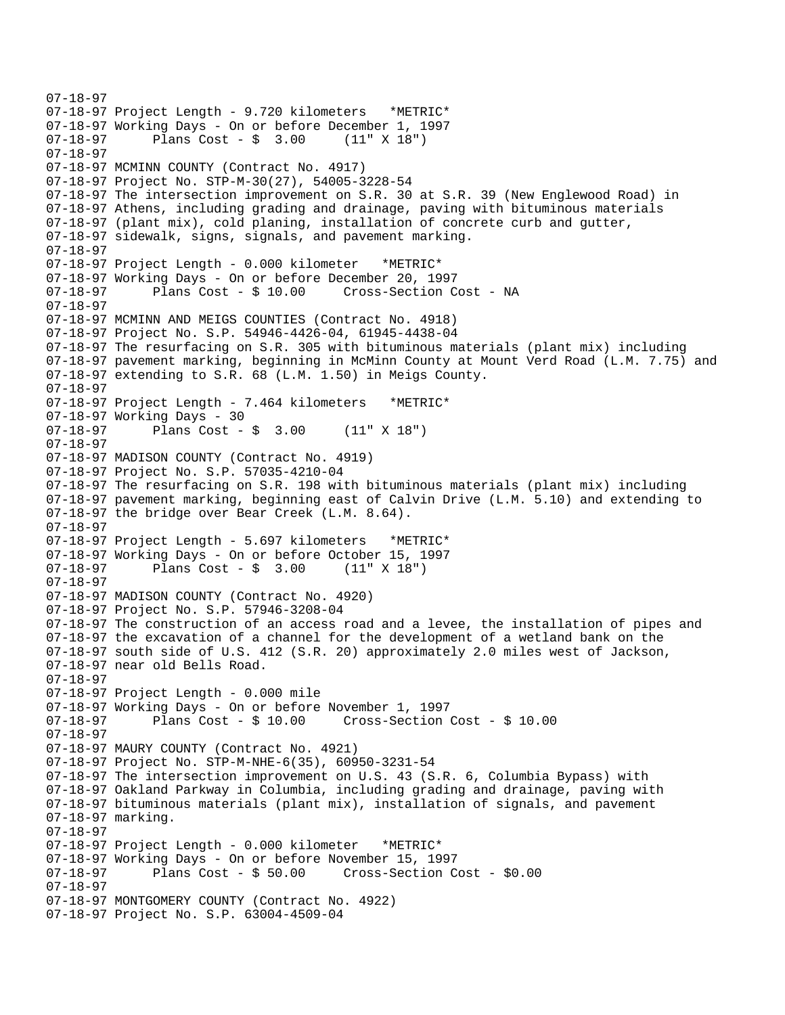```
07-18-97 
07-18-97 Project Length - 9.720 kilometers *METRIC* 
07-18-97 Working Days - On or before December 1, 1997 
07-18-97 Plans Cost - $ 3.00 (11" X 18") 
07-18-97 
07-18-97 MCMINN COUNTY (Contract No. 4917) 
07-18-97 Project No. STP-M-30(27), 54005-3228-54 
07-18-97 The intersection improvement on S.R. 30 at S.R. 39 (New Englewood Road) in 
07-18-97 Athens, including grading and drainage, paving with bituminous materials 
07-18-97 (plant mix), cold planing, installation of concrete curb and gutter, 
07-18-97 sidewalk, signs, signals, and pavement marking. 
07-18-97 
07-18-97 Project Length - 0.000 kilometer *METRIC* 
07-18-97 Working Days - On or before December 20, 1997 
07-18-97 Plans Cost - $ 10.00 Cross-Section Cost - NA 
07-18-97 
07-18-97 MCMINN AND MEIGS COUNTIES (Contract No. 4918) 
07-18-97 Project No. S.P. 54946-4426-04, 61945-4438-04 
07-18-97 The resurfacing on S.R. 305 with bituminous materials (plant mix) including 
07-18-97 pavement marking, beginning in McMinn County at Mount Verd Road (L.M. 7.75) and 
07-18-97 extending to S.R. 68 (L.M. 1.50) in Meigs County. 
07-18-97 
07-18-97 Project Length - 7.464 kilometers *METRIC* 
07-18-97 Working Days - 30<br>07-18-97 Plans Cost -
              Plans Cost - \frac{1}{2} 3.00 (11" X 18")
07-18-97 
07-18-97 MADISON COUNTY (Contract No. 4919) 
07-18-97 Project No. S.P. 57035-4210-04 
07-18-97 The resurfacing on S.R. 198 with bituminous materials (plant mix) including 
07-18-97 pavement marking, beginning east of Calvin Drive (L.M. 5.10) and extending to 
07-18-97 the bridge over Bear Creek (L.M. 8.64). 
07-18-97 
07-18-97 Project Length - 5.697 kilometers *METRIC* 
07-18-97 Working Days - On or before October 15, 1997 
              Plans Cost - $ 3.0007-18-97 
07-18-97 MADISON COUNTY (Contract No. 4920) 
07-18-97 Project No. S.P. 57946-3208-04 
07-18-97 The construction of an access road and a levee, the installation of pipes and 
07-18-97 the excavation of a channel for the development of a wetland bank on the 
07-18-97 south side of U.S. 412 (S.R. 20) approximately 2.0 miles west of Jackson, 
07-18-97 near old Bells Road. 
07-18-97 
07-18-97 Project Length - 0.000 mile 
07-18-97 Working Days - On or before November 1, 1997<br>07-18-97         Plans Cost - $ 10.00     Cross-Section
07-18-97 Plans Cost - $ 10.00 Cross-Section Cost - $ 10.00 
07-18-97  
07-18-97 MAURY COUNTY (Contract No. 4921) 
07-18-97 Project No. STP-M-NHE-6(35), 60950-3231-54 
07-18-97 The intersection improvement on U.S. 43 (S.R. 6, Columbia Bypass) with 
07-18-97 Oakland Parkway in Columbia, including grading and drainage, paving with 
07-18-97 bituminous materials (plant mix), installation of signals, and pavement 
07-18-97 marking. 
07-18-97 
07-18-97 Project Length - 0.000 kilometer *METRIC* 
07-18-97 Working Days - On or before November 15, 1997 
07-18-97 Plans Cost - $ 50.00 Cross-Section Cost - $0.00 
07-18-97 
07-18-97 MONTGOMERY COUNTY (Contract No. 4922) 
07-18-97 Project No. S.P. 63004-4509-04
```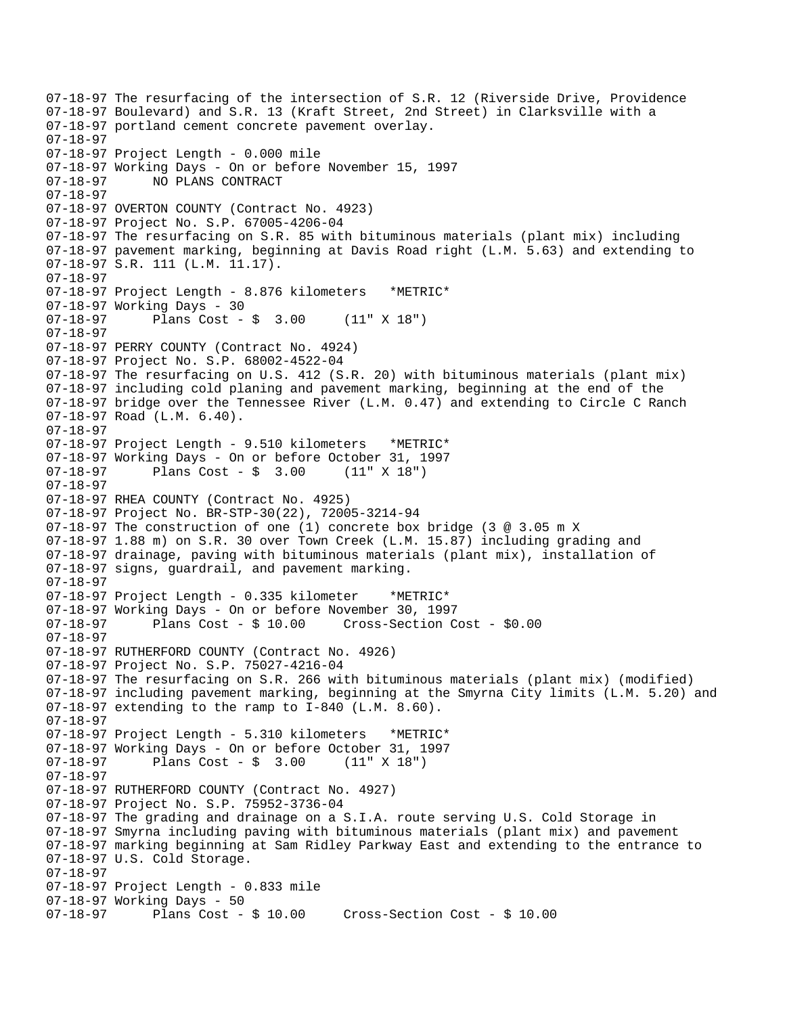07-18-97 The resurfacing of the intersection of S.R. 12 (Riverside Drive, Providence 07-18-97 Boulevard) and S.R. 13 (Kraft Street, 2nd Street) in Clarksville with a 07-18-97 portland cement concrete pavement overlay. 07-18-97 07-18-97 Project Length - 0.000 mile 07-18-97 Working Days - On or before November 15, 1997 07-18-97 NO PLANS CONTRACT 07-18-97 07-18-97 OVERTON COUNTY (Contract No. 4923) 07-18-97 Project No. S.P. 67005-4206-04 07-18-97 The resurfacing on S.R. 85 with bituminous materials (plant mix) including 07-18-97 pavement marking, beginning at Davis Road right (L.M. 5.63) and extending to 07-18-97 S.R. 111 (L.M. 11.17). 07-18-97 07-18-97 Project Length - 8.876 kilometers \*METRIC\* 07-18-97 Working Days - 30 07-18-97 Plans Cost - \$ 3.00 (11" X 18") 07-18-97 07-18-97 PERRY COUNTY (Contract No. 4924) 07-18-97 Project No. S.P. 68002-4522-04 07-18-97 The resurfacing on U.S. 412 (S.R. 20) with bituminous materials (plant mix) 07-18-97 including cold planing and pavement marking, beginning at the end of the 07-18-97 bridge over the Tennessee River (L.M. 0.47) and extending to Circle C Ranch 07-18-97 Road (L.M. 6.40). 07-18-97 07-18-97 Project Length - 9.510 kilometers \*METRIC\* 07-18-97 Working Days - On or before October 31, 1997 Plans Cost -  $\frac{1}{9}$  3.00 (11" X 18") 07-18-97 07-18-97 RHEA COUNTY (Contract No. 4925) 07-18-97 Project No. BR-STP-30(22), 72005-3214-94 07-18-97 The construction of one (1) concrete box bridge (3 @ 3.05 m X 07-18-97 1.88 m) on S.R. 30 over Town Creek (L.M. 15.87) including grading and 07-18-97 drainage, paving with bituminous materials (plant mix), installation of 07-18-97 signs, guardrail, and pavement marking. 07-18-97 07-18-97 Project Length - 0.335 kilometer \*METRIC\* 07-18-97 Working Days - On or before November 30, 1997 07-18-97 Plans Cost - \$ 10.00 Cross-Section Cost - \$0.00 07-18-97 07-18-97 RUTHERFORD COUNTY (Contract No. 4926) 07-18-97 Project No. S.P. 75027-4216-04 07-18-97 The resurfacing on S.R. 266 with bituminous materials (plant mix) (modified) 07-18-97 including pavement marking, beginning at the Smyrna City limits (L.M. 5.20) and 07-18-97 extending to the ramp to I-840 (L.M. 8.60). 07-18-97 07-18-97 Project Length - 5.310 kilometers \*METRIC\* 07-18-97 Working Days - On or before October 31, 1997 Plans  $Cost - $ 3.00$ 07-18-97 07-18-97 RUTHERFORD COUNTY (Contract No. 4927) 07-18-97 Project No. S.P. 75952-3736-04 07-18-97 The grading and drainage on a S.I.A. route serving U.S. Cold Storage in 07-18-97 Smyrna including paving with bituminous materials (plant mix) and pavement 07-18-97 marking beginning at Sam Ridley Parkway East and extending to the entrance to 07-18-97 U.S. Cold Storage. 07-18-97 07-18-97 Project Length - 0.833 mile 07-18-97 Working Days - 50 07-18-97 Plans Cost - \$ 10.00 Cross-Section Cost - \$ 10.00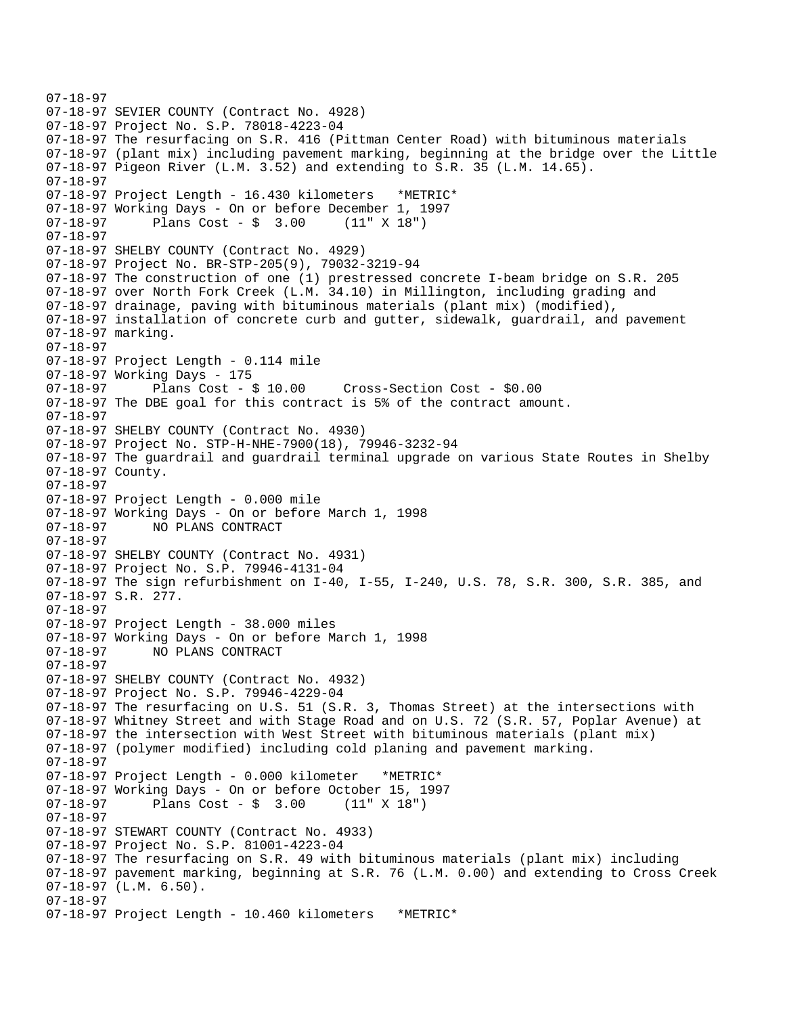```
07-18-97 
07-18-97 SEVIER COUNTY (Contract No. 4928) 
07-18-97 Project No. S.P. 78018-4223-04 
07-18-97 The resurfacing on S.R. 416 (Pittman Center Road) with bituminous materials 
07-18-97 (plant mix) including pavement marking, beginning at the bridge over the Little 
07-18-97 Pigeon River (L.M. 3.52) and extending to S.R. 35 (L.M. 14.65). 
07-18-97 
07-18-97 Project Length - 16.430 kilometers *METRIC* 
07-18-97 Working Days - On or before December 1, 1997 
07-18-97 Plans Cost - $ 3.00 (11" X 18") 
07-18-97 
07-18-97 SHELBY COUNTY (Contract No. 4929) 
07-18-97 Project No. BR-STP-205(9), 79032-3219-94 
07-18-97 The construction of one (1) prestressed concrete I-beam bridge on S.R. 205 
07-18-97 over North Fork Creek (L.M. 34.10) in Millington, including grading and 
07-18-97 drainage, paving with bituminous materials (plant mix) (modified), 
07-18-97 installation of concrete curb and gutter, sidewalk, guardrail, and pavement 
07-18-97 marking. 
07-18-97 
07-18-97 Project Length - 0.114 mile 
07-18-97 Working Days - 175<br>07-18-97        Plans Cost - $ 10.00
07-18-97 Plans Cost - $ 10.00 Cross-Section Cost - $0.00 
07-18-97 The DBE goal for this contract is 5% of the contract amount. 
07-18-97 
07-18-97 SHELBY COUNTY (Contract No. 4930) 
07-18-97 Project No. STP-H-NHE-7900(18), 79946-3232-94 
07-18-97 The guardrail and guardrail terminal upgrade on various State Routes in Shelby 
07-18-97 County. 
07-18-97 
07-18-97 Project Length - 0.000 mile 
07-18-97 Working Days - On or before March 1, 1998 
07-18-97 NO PLANS CONTRACT 
07-18-97  
07-18-97 SHELBY COUNTY (Contract No. 4931) 
07-18-97 Project No. S.P. 79946-4131-04 
07-18-97 The sign refurbishment on I-40, I-55, I-240, U.S. 78, S.R. 300, S.R. 385, and 
07-18-97 S.R. 277. 
07-18-97 
07-18-97 Project Length - 38.000 miles 
07-18-97 Working Days - On or before March 1, 1998 
07-18-97 NO PLANS CONTRACT 
07-18-97 
07-18-97 SHELBY COUNTY (Contract No. 4932) 
07-18-97 Project No. S.P. 79946-4229-04 
07-18-97 The resurfacing on U.S. 51 (S.R. 3, Thomas Street) at the intersections with 
07-18-97 Whitney Street and with Stage Road and on U.S. 72 (S.R. 57, Poplar Avenue) at 
07-18-97 the intersection with West Street with bituminous materials (plant mix) 
07-18-97 (polymer modified) including cold planing and pavement marking. 
07-18-97 
07-18-97 Project Length - 0.000 kilometer *METRIC* 
07-18-97 Working Days - On or before October 15, 1997 
07-18-97 Plans Cost - $ 3.00 (11" X 18") 
07-18-97 
07-18-97 STEWART COUNTY (Contract No. 4933) 
07-18-97 Project No. S.P. 81001-4223-04 
07-18-97 The resurfacing on S.R. 49 with bituminous materials (plant mix) including 
07-18-97 pavement marking, beginning at S.R. 76 (L.M. 0.00) and extending to Cross Creek 
07-18-97 (L.M. 6.50). 
07-18-97 
07-18-97 Project Length - 10.460 kilometers *METRIC*
```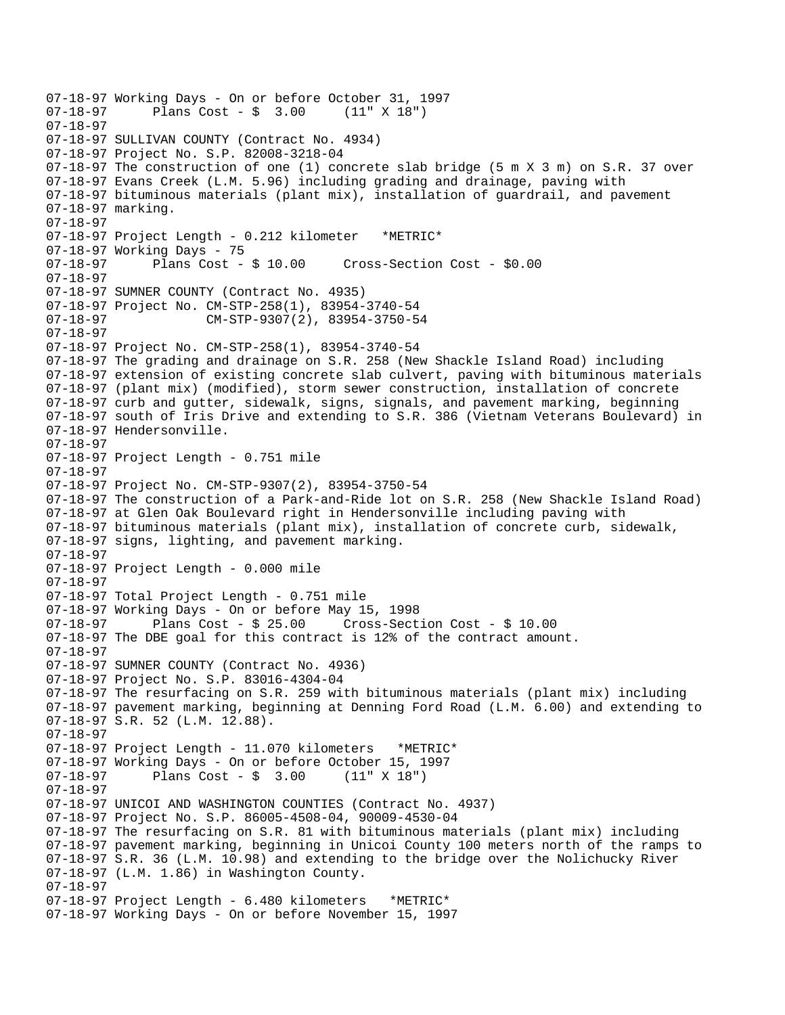07-18-97 Working Days - On or before October 31, 1997 Plans  $Cost - $ 3.00$ 07-18-97 07-18-97 SULLIVAN COUNTY (Contract No. 4934) 07-18-97 Project No. S.P. 82008-3218-04 07-18-97 The construction of one (1) concrete slab bridge (5 m X 3 m) on S.R. 37 over 07-18-97 Evans Creek (L.M. 5.96) including grading and drainage, paving with 07-18-97 bituminous materials (plant mix), installation of guardrail, and pavement 07-18-97 marking. 07-18-97 07-18-97 Project Length - 0.212 kilometer \*METRIC\* 07-18-97 Working Days - 75 07-18-97 Plans Cost - \$ 10.00 Cross-Section Cost - \$0.00 07-18-97  07-18-97 SUMNER COUNTY (Contract No. 4935) 07-18-97 Project No. CM-STP-258(1), 83954-3740-54 07-18-97 CM-STP-9307(2), 83954-3750-54 07-18-97 07-18-97 Project No. CM-STP-258(1), 83954-3740-54 07-18-97 The grading and drainage on S.R. 258 (New Shackle Island Road) including 07-18-97 extension of existing concrete slab culvert, paving with bituminous materials 07-18-97 (plant mix) (modified), storm sewer construction, installation of concrete 07-18-97 curb and gutter, sidewalk, signs, signals, and pavement marking, beginning 07-18-97 south of Iris Drive and extending to S.R. 386 (Vietnam Veterans Boulevard) in 07-18-97 Hendersonville. 07-18-97 07-18-97 Project Length - 0.751 mile 07-18-97 07-18-97 Project No. CM-STP-9307(2), 83954-3750-54 07-18-97 The construction of a Park-and-Ride lot on S.R. 258 (New Shackle Island Road) 07-18-97 at Glen Oak Boulevard right in Hendersonville including paving with 07-18-97 bituminous materials (plant mix), installation of concrete curb, sidewalk, 07-18-97 signs, lighting, and pavement marking. 07-18-97 07-18-97 Project Length - 0.000 mile 07-18-97 07-18-97 Total Project Length - 0.751 mile 07-18-97 Working Days - On or before May 15, 1998 07-18-97 Plans Cost - \$ 25.00 Cross-Section Cost - \$ 10.00 07-18-97 The DBE goal for this contract is 12% of the contract amount. 07-18-97 07-18-97 SUMNER COUNTY (Contract No. 4936) 07-18-97 Project No. S.P. 83016-4304-04 07-18-97 The resurfacing on S.R. 259 with bituminous materials (plant mix) including 07-18-97 pavement marking, beginning at Denning Ford Road (L.M. 6.00) and extending to 07-18-97 S.R. 52 (L.M. 12.88). 07-18-97 07-18-97 Project Length - 11.070 kilometers \*METRIC\* 07-18-97 Working Days - On or before October 15, 1997  $07-18-97$  Plans Cost - \$ 3.00 07-18-97 07-18-97 UNICOI AND WASHINGTON COUNTIES (Contract No. 4937) 07-18-97 Project No. S.P. 86005-4508-04, 90009-4530-04 07-18-97 The resurfacing on S.R. 81 with bituminous materials (plant mix) including 07-18-97 pavement marking, beginning in Unicoi County 100 meters north of the ramps to 07-18-97 S.R. 36 (L.M. 10.98) and extending to the bridge over the Nolichucky River 07-18-97 (L.M. 1.86) in Washington County. 07-18-97 07-18-97 Project Length - 6.480 kilometers \*METRIC\* 07-18-97 Working Days - On or before November 15, 1997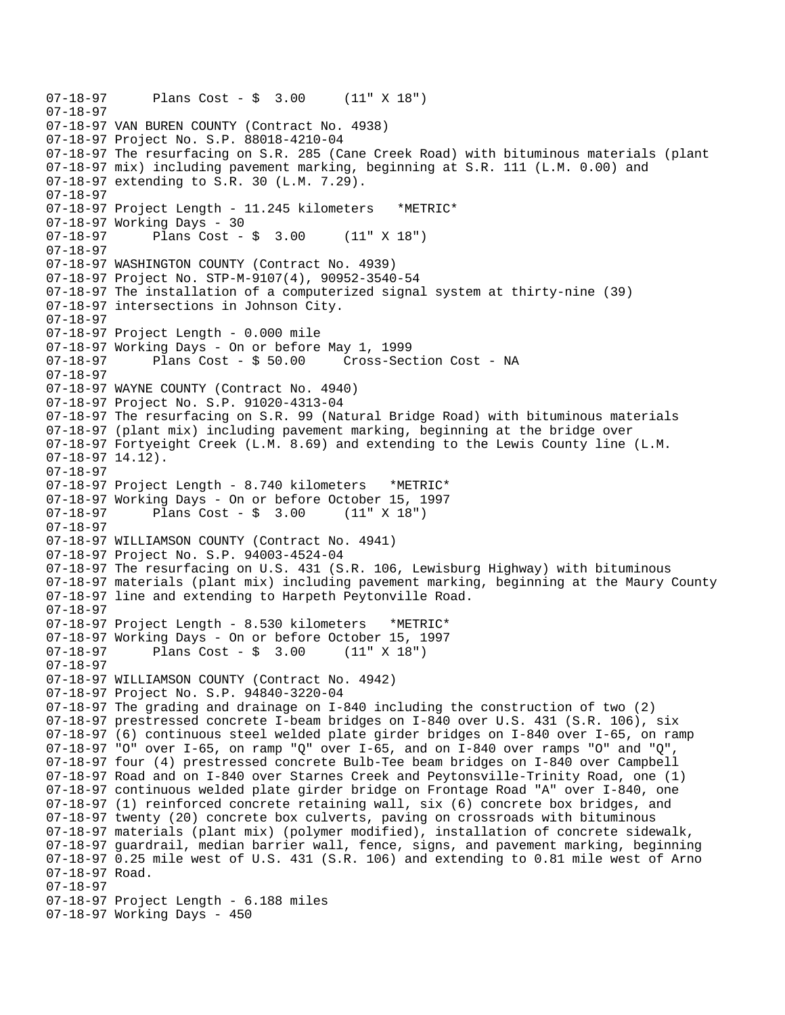```
07-18-97 Plans Cost - $ 3.00 (11" X 18") 
07-18-97  
07-18-97 VAN BUREN COUNTY (Contract No. 4938) 
07-18-97 Project No. S.P. 88018-4210-04 
07-18-97 The resurfacing on S.R. 285 (Cane Creek Road) with bituminous materials (plant 
07-18-97 mix) including pavement marking, beginning at S.R. 111 (L.M. 0.00) and 
07-18-97 extending to S.R. 30 (L.M. 7.29). 
07-18-97 
07-18-97 Project Length - 11.245 kilometers *METRIC* 
07-18-97 Working Days - 30 
07-18-97 Plans Cost - $ 3.00 (11" X 18") 
07-18-97 
07-18-97 WASHINGTON COUNTY (Contract No. 4939) 
07-18-97 Project No. STP-M-9107(4), 90952-3540-54 
07-18-97 The installation of a computerized signal system at thirty-nine (39) 
07-18-97 intersections in Johnson City. 
07-18-97 
07-18-97 Project Length - 0.000 mile 
07-18-97 Working Days - On or before May 1, 1999 
07-18-97 Plans Cost - $ 50.00 Cross-Section Cost - NA 
07-18-97 
07-18-97 WAYNE COUNTY (Contract No. 4940) 
07-18-97 Project No. S.P. 91020-4313-04 
07-18-97 The resurfacing on S.R. 99 (Natural Bridge Road) with bituminous materials 
07-18-97 (plant mix) including pavement marking, beginning at the bridge over 
07-18-97 Fortyeight Creek (L.M. 8.69) and extending to the Lewis County line (L.M. 
07-18-97 14.12). 
07-18-97 
07-18-97 Project Length - 8.740 kilometers *METRIC* 
07-18-97 Working Days - On or before October 15, 1997 
07-18-97 Plans Cost - $ 3.00 (11" X 18") 
07-18-97 
07-18-97 WILLIAMSON COUNTY (Contract No. 4941) 
07-18-97 Project No. S.P. 94003-4524-04 
07-18-97 The resurfacing on U.S. 431 (S.R. 106, Lewisburg Highway) with bituminous 
07-18-97 materials (plant mix) including pavement marking, beginning at the Maury County 
07-18-97 line and extending to Harpeth Peytonville Road. 
07-18-97 
07-18-97 Project Length - 8.530 kilometers *METRIC* 
07-18-97 Working Days - On or before October 15, 1997 
07-18-97 Plans Cost - $ 3.00 (11" X 18") 
07-18-97  
07-18-97 WILLIAMSON COUNTY (Contract No. 4942) 
07-18-97 Project No. S.P. 94840-3220-04 
07-18-97 The grading and drainage on I-840 including the construction of two (2) 
07-18-97 prestressed concrete I-beam bridges on I-840 over U.S. 431 (S.R. 106), six 
07-18-97 (6) continuous steel welded plate girder bridges on I-840 over I-65, on ramp 
07-18-97 "O" over I-65, on ramp "Q" over I-65, and on I-840 over ramps "O" and "Q",
07-18-97 four (4) prestressed concrete Bulb-Tee beam bridges on I-840 over Campbell 
07-18-97 Road and on I-840 over Starnes Creek and Peytonsville-Trinity Road, one (1) 
07-18-97 continuous welded plate girder bridge on Frontage Road "A" over I-840, one 
07-18-97 (1) reinforced concrete retaining wall, six (6) concrete box bridges, and 
07-18-97 twenty (20) concrete box culverts, paving on crossroads with bituminous 
07-18-97 materials (plant mix) (polymer modified), installation of concrete sidewalk, 
07-18-97 guardrail, median barrier wall, fence, signs, and pavement marking, beginning 
07-18-97 0.25 mile west of U.S. 431 (S.R. 106) and extending to 0.81 mile west of Arno 
07-18-97 Road. 
07-18-97 
07-18-97 Project Length - 6.188 miles 
07-18-97 Working Days - 450
```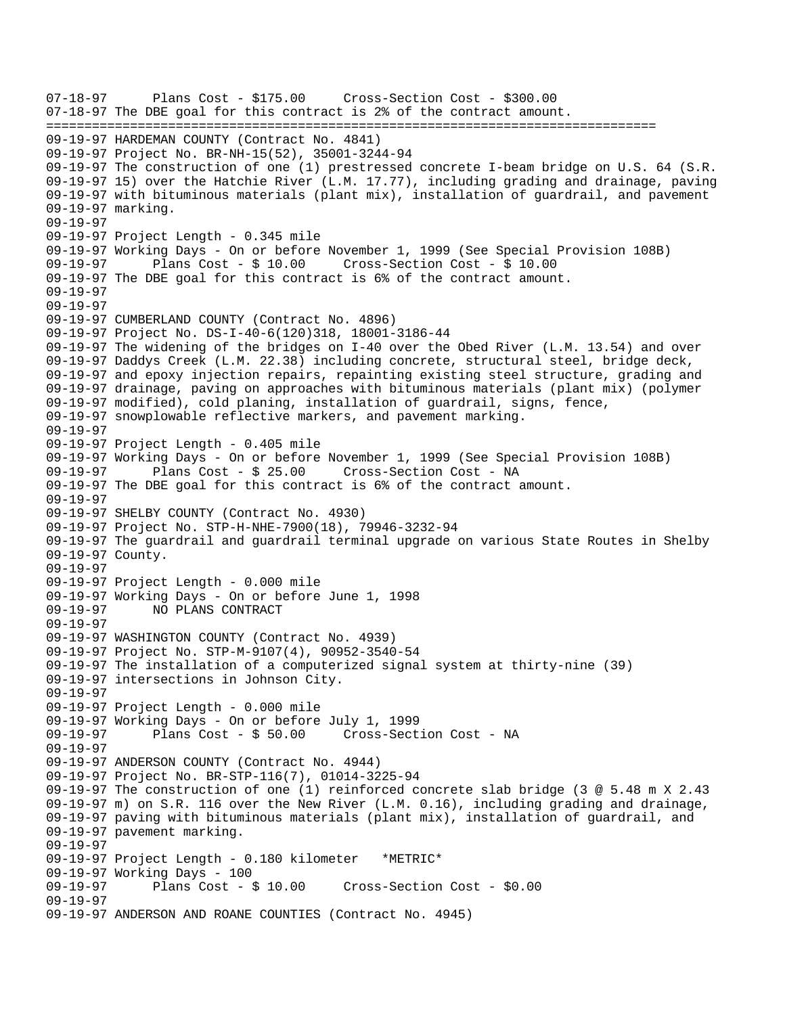07-18-97 Plans Cost - \$175.00 Cross-Section Cost - \$300.00 07-18-97 The DBE goal for this contract is 2% of the contract amount. ================================================================================ 09-19-97 HARDEMAN COUNTY (Contract No. 4841) 09-19-97 Project No. BR-NH-15(52), 35001-3244-94 09-19-97 The construction of one (1) prestressed concrete I-beam bridge on U.S. 64 (S.R. 09-19-97 15) over the Hatchie River (L.M. 17.77), including grading and drainage, paving 09-19-97 with bituminous materials (plant mix), installation of guardrail, and pavement 09-19-97 marking. 09-19-97 09-19-97 Project Length - 0.345 mile 09-19-97 Working Days - On or before November 1, 1999 (See Special Provision 108B) 09-19-97 Plans Cost - \$ 10.00 Cross-Section Cost - \$ 10.00 09-19-97 The DBE goal for this contract is 6% of the contract amount. 09-19-97 09-19-97 09-19-97 CUMBERLAND COUNTY (Contract No. 4896) 09-19-97 Project No. DS-I-40-6(120)318, 18001-3186-44 09-19-97 The widening of the bridges on I-40 over the Obed River (L.M. 13.54) and over 09-19-97 Daddys Creek (L.M. 22.38) including concrete, structural steel, bridge deck, 09-19-97 and epoxy injection repairs, repainting existing steel structure, grading and 09-19-97 drainage, paving on approaches with bituminous materials (plant mix) (polymer 09-19-97 modified), cold planing, installation of guardrail, signs, fence, 09-19-97 snowplowable reflective markers, and pavement marking. 09-19-97 09-19-97 Project Length - 0.405 mile 09-19-97 Working Days - On or before November 1, 1999 (See Special Provision 108B) 09-19-97 Plans Cost - \$ 25.00 Cross-Section Cost - NA 09-19-97 The DBE goal for this contract is 6% of the contract amount. 09-19-97 09-19-97 SHELBY COUNTY (Contract No. 4930) 09-19-97 Project No. STP-H-NHE-7900(18), 79946-3232-94 09-19-97 The guardrail and guardrail terminal upgrade on various State Routes in Shelby 09-19-97 County. 09-19-97 09-19-97 Project Length - 0.000 mile 09-19-97 Working Days - On or before June 1, 1998 09-19-97 NO PLANS CONTRACT 09-19-97 09-19-97 WASHINGTON COUNTY (Contract No. 4939) 09-19-97 Project No. STP-M-9107(4), 90952-3540-54 09-19-97 The installation of a computerized signal system at thirty-nine (39) 09-19-97 intersections in Johnson City. 09-19-97 09-19-97 Project Length - 0.000 mile 09-19-97 Working Days - On or before July 1, 1999 09-19-97 Plans Cost - \$ 50.00 Cross-Section Cost - NA 09-19-97  09-19-97 ANDERSON COUNTY (Contract No. 4944) 09-19-97 Project No. BR-STP-116(7), 01014-3225-94 09-19-97 The construction of one (1) reinforced concrete slab bridge (3 @ 5.48 m X 2.43 09-19-97 m) on S.R. 116 over the New River (L.M. 0.16), including grading and drainage, 09-19-97 paving with bituminous materials (plant mix), installation of guardrail, and 09-19-97 pavement marking. 09-19-97 09-19-97 Project Length - 0.180 kilometer \*METRIC\* 09-19-97 Working Days - 100<br>09-19-97 Plans Cost - \$ 10.00 Cross-Section Cost - \$0.00 09-19-97 09-19-97 ANDERSON AND ROANE COUNTIES (Contract No. 4945)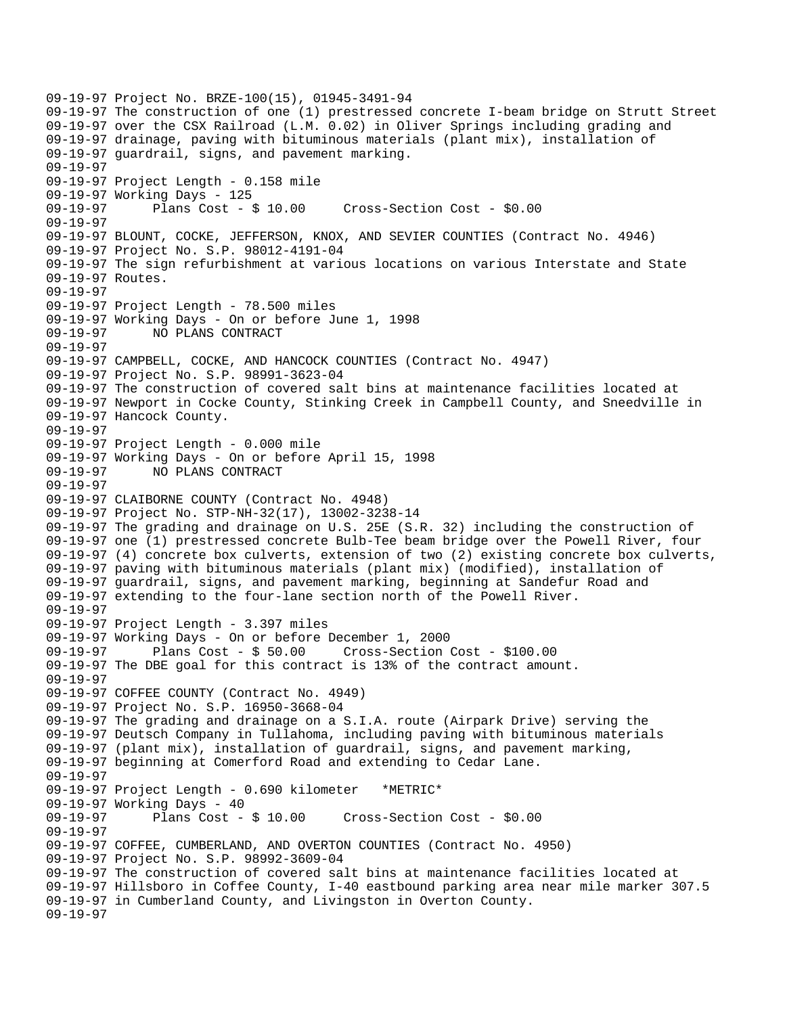09-19-97 Project No. BRZE-100(15), 01945-3491-94 09-19-97 The construction of one (1) prestressed concrete I-beam bridge on Strutt Street 09-19-97 over the CSX Railroad (L.M. 0.02) in Oliver Springs including grading and 09-19-97 drainage, paving with bituminous materials (plant mix), installation of 09-19-97 guardrail, signs, and pavement marking. 09-19-97 09-19-97 Project Length - 0.158 mile 09-19-97 Working Days - 125 09-19-97 Plans Cost - \$ 10.00 Cross-Section Cost - \$0.00 09-19-97 09-19-97 BLOUNT, COCKE, JEFFERSON, KNOX, AND SEVIER COUNTIES (Contract No. 4946) 09-19-97 Project No. S.P. 98012-4191-04 09-19-97 The sign refurbishment at various locations on various Interstate and State 09-19-97 Routes. 09-19-97 09-19-97 Project Length - 78.500 miles 09-19-97 Working Days - On or before June 1, 1998 09-19-97 NO PLANS CONTRACT 09-19-97 09-19-97 CAMPBELL, COCKE, AND HANCOCK COUNTIES (Contract No. 4947) 09-19-97 Project No. S.P. 98991-3623-04 09-19-97 The construction of covered salt bins at maintenance facilities located at 09-19-97 Newport in Cocke County, Stinking Creek in Campbell County, and Sneedville in 09-19-97 Hancock County. 09-19-97 09-19-97 Project Length - 0.000 mile 09-19-97 Working Days - On or before April 15, 1998 09-19-97 NO PLANS CONTRACT 09-19-97 09-19-97 CLAIBORNE COUNTY (Contract No. 4948) 09-19-97 Project No. STP-NH-32(17), 13002-3238-14 09-19-97 The grading and drainage on U.S. 25E (S.R. 32) including the construction of 09-19-97 one (1) prestressed concrete Bulb-Tee beam bridge over the Powell River, four 09-19-97 (4) concrete box culverts, extension of two (2) existing concrete box culverts, 09-19-97 paving with bituminous materials (plant mix) (modified), installation of 09-19-97 guardrail, signs, and pavement marking, beginning at Sandefur Road and 09-19-97 extending to the four-lane section north of the Powell River. 09-19-97 09-19-97 Project Length - 3.397 miles 09-19-97 Working Days - On or before December 1, 2000 09-19-97 Plans Cost - \$ 50.00 Cross-Section Cost - \$100.00 09-19-97 The DBE goal for this contract is 13% of the contract amount. 09-19-97 09-19-97 COFFEE COUNTY (Contract No. 4949) 09-19-97 Project No. S.P. 16950-3668-04 09-19-97 The grading and drainage on a S.I.A. route (Airpark Drive) serving the 09-19-97 Deutsch Company in Tullahoma, including paving with bituminous materials 09-19-97 (plant mix), installation of guardrail, signs, and pavement marking, 09-19-97 beginning at Comerford Road and extending to Cedar Lane. 09-19-97 09-19-97 Project Length - 0.690 kilometer \*METRIC\* 09-19-97 Working Days - 40 09-19-97 Plans Cost - \$ 10.00 Cross-Section Cost - \$0.00 09-19-97 09-19-97 COFFEE, CUMBERLAND, AND OVERTON COUNTIES (Contract No. 4950) 09-19-97 Project No. S.P. 98992-3609-04 09-19-97 The construction of covered salt bins at maintenance facilities located at 09-19-97 Hillsboro in Coffee County, I-40 eastbound parking area near mile marker 307.5 09-19-97 in Cumberland County, and Livingston in Overton County. 09-19-97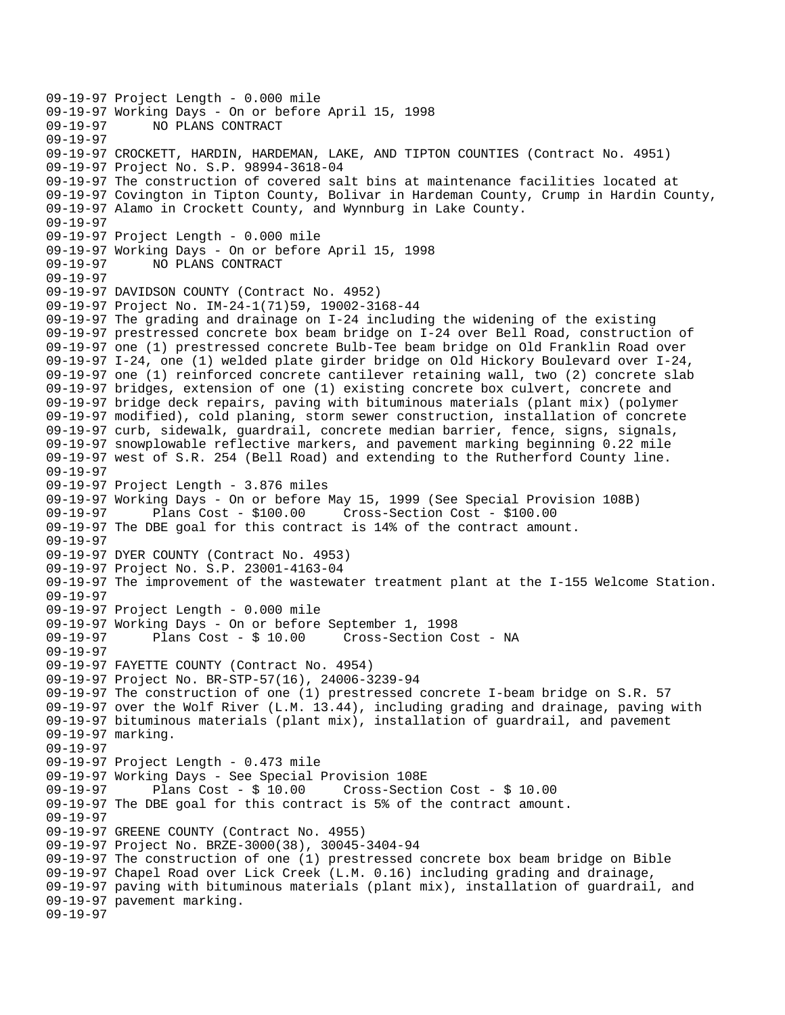09-19-97 Project Length - 0.000 mile 09-19-97 Working Days - On or before April 15, 1998 NO PLANS CONTRACT 09-19-97 09-19-97 CROCKETT, HARDIN, HARDEMAN, LAKE, AND TIPTON COUNTIES (Contract No. 4951) 09-19-97 Project No. S.P. 98994-3618-04 09-19-97 The construction of covered salt bins at maintenance facilities located at 09-19-97 Covington in Tipton County, Bolivar in Hardeman County, Crump in Hardin County, 09-19-97 Alamo in Crockett County, and Wynnburg in Lake County. 09-19-97 09-19-97 Project Length - 0.000 mile 09-19-97 Working Days - On or before April 15, 1998 09-19-97 NO PLANS CONTRACT 09-19-97 09-19-97 DAVIDSON COUNTY (Contract No. 4952) 09-19-97 Project No. IM-24-1(71)59, 19002-3168-44 09-19-97 The grading and drainage on I-24 including the widening of the existing 09-19-97 prestressed concrete box beam bridge on I-24 over Bell Road, construction of 09-19-97 one (1) prestressed concrete Bulb-Tee beam bridge on Old Franklin Road over 09-19-97 I-24, one (1) welded plate girder bridge on Old Hickory Boulevard over I-24, 09-19-97 one (1) reinforced concrete cantilever retaining wall, two (2) concrete slab 09-19-97 bridges, extension of one (1) existing concrete box culvert, concrete and 09-19-97 bridge deck repairs, paving with bituminous materials (plant mix) (polymer 09-19-97 modified), cold planing, storm sewer construction, installation of concrete 09-19-97 curb, sidewalk, guardrail, concrete median barrier, fence, signs, signals, 09-19-97 snowplowable reflective markers, and pavement marking beginning 0.22 mile 09-19-97 west of S.R. 254 (Bell Road) and extending to the Rutherford County line. 09-19-97 09-19-97 Project Length - 3.876 miles 09-19-97 Working Days - On or before May 15, 1999 (See Special Provision 108B) 09-19-97 Plans Cost - \$100.00 Cross-Section Cost - \$100.00 09-19-97 The DBE goal for this contract is 14% of the contract amount. 09-19-97 09-19-97 DYER COUNTY (Contract No. 4953) 09-19-97 Project No. S.P. 23001-4163-04 09-19-97 The improvement of the wastewater treatment plant at the I-155 Welcome Station. 09-19-97 09-19-97 Project Length - 0.000 mile 09-19-97 Working Days - On or before September 1, 1998 09-19-97 Plans Cost - \$ 10.00 Cross-Section Cost - NA 09-19-97 09-19-97 FAYETTE COUNTY (Contract No. 4954) 09-19-97 Project No. BR-STP-57(16), 24006-3239-94 09-19-97 The construction of one (1) prestressed concrete I-beam bridge on S.R. 57 09-19-97 over the Wolf River (L.M. 13.44), including grading and drainage, paving with 09-19-97 bituminous materials (plant mix), installation of guardrail, and pavement 09-19-97 marking. 09-19-97 09-19-97 Project Length - 0.473 mile 09-19-97 Working Days - See Special Provision 108E Plans  $Cost - $ 10.00$  Cross-Section Cost - \$ 10.00 09-19-97 The DBE goal for this contract is 5% of the contract amount. 09-19-97 09-19-97 GREENE COUNTY (Contract No. 4955) 09-19-97 Project No. BRZE-3000(38), 30045-3404-94 09-19-97 The construction of one (1) prestressed concrete box beam bridge on Bible 09-19-97 Chapel Road over Lick Creek (L.M. 0.16) including grading and drainage, 09-19-97 paving with bituminous materials (plant mix), installation of guardrail, and 09-19-97 pavement marking. 09-19-97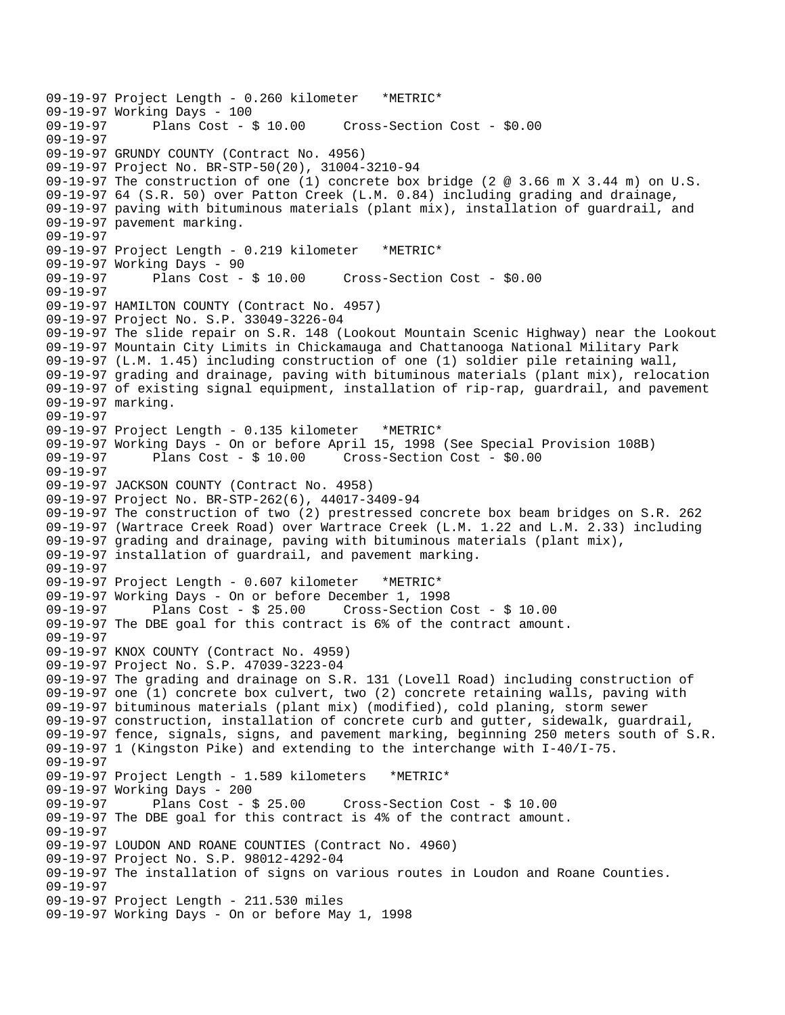09-19-97 Project Length - 0.260 kilometer \*METRIC\* 09-19-97 Working Days - 100 Cross-Section Cost - \$0.00 09-19-97 09-19-97 GRUNDY COUNTY (Contract No. 4956) 09-19-97 Project No. BR-STP-50(20), 31004-3210-94 09-19-97 The construction of one (1) concrete box bridge (2 @ 3.66 m X 3.44 m) on U.S. 09-19-97 64 (S.R. 50) over Patton Creek (L.M. 0.84) including grading and drainage, 09-19-97 paving with bituminous materials (plant mix), installation of guardrail, and 09-19-97 pavement marking. 09-19-97 09-19-97 Project Length - 0.219 kilometer \*METRIC\* 09-19-97 Working Days - 90 09-19-97 Plans Cost - \$ 10.00 Cross-Section Cost - \$0.00 09-19-97 09-19-97 HAMILTON COUNTY (Contract No. 4957) 09-19-97 Project No. S.P. 33049-3226-04 09-19-97 The slide repair on S.R. 148 (Lookout Mountain Scenic Highway) near the Lookout 09-19-97 Mountain City Limits in Chickamauga and Chattanooga National Military Park 09-19-97 (L.M. 1.45) including construction of one (1) soldier pile retaining wall, 09-19-97 grading and drainage, paving with bituminous materials (plant mix), relocation 09-19-97 of existing signal equipment, installation of rip-rap, guardrail, and pavement 09-19-97 marking. 09-19-97 09-19-97 Project Length - 0.135 kilometer \*METRIC\* 09-19-97 Working Days - On or before April 15, 1998 (See Special Provision 108B) 09-19-97 Plans Cost - \$ 10.00 Cross-Section Cost - \$0.00 09-19-97 09-19-97 JACKSON COUNTY (Contract No. 4958) 09-19-97 Project No. BR-STP-262(6), 44017-3409-94 09-19-97 The construction of two (2) prestressed concrete box beam bridges on S.R. 262 09-19-97 (Wartrace Creek Road) over Wartrace Creek (L.M. 1.22 and L.M. 2.33) including 09-19-97 grading and drainage, paving with bituminous materials (plant mix), 09-19-97 installation of guardrail, and pavement marking. 09-19-97 09-19-97 Project Length - 0.607 kilometer \*METRIC\* 09-19-97 Working Days - On or before December 1, 1998 09-19-97 Plans Cost - \$ 25.00 Cross-Section Cost - \$ 10.00 09-19-97 The DBE goal for this contract is 6% of the contract amount. 09-19-97 09-19-97 KNOX COUNTY (Contract No. 4959) 09-19-97 Project No. S.P. 47039-3223-04 09-19-97 The grading and drainage on S.R. 131 (Lovell Road) including construction of 09-19-97 one (1) concrete box culvert, two (2) concrete retaining walls, paving with 09-19-97 bituminous materials (plant mix) (modified), cold planing, storm sewer 09-19-97 construction, installation of concrete curb and gutter, sidewalk, guardrail, 09-19-97 fence, signals, signs, and pavement marking, beginning 250 meters south of S.R. 09-19-97 1 (Kingston Pike) and extending to the interchange with I-40/I-75. 09-19-97 09-19-97 Project Length - 1.589 kilometers \*METRIC\* 09-19-97 Working Days - 200 09-19-97 Plans Cost - \$ 25.00 Cross-Section Cost - \$ 10.00 09-19-97 The DBE goal for this contract is 4% of the contract amount. 09-19-97 09-19-97 LOUDON AND ROANE COUNTIES (Contract No. 4960) 09-19-97 Project No. S.P. 98012-4292-04 09-19-97 The installation of signs on various routes in Loudon and Roane Counties. 09-19-97 09-19-97 Project Length - 211.530 miles 09-19-97 Working Days - On or before May 1, 1998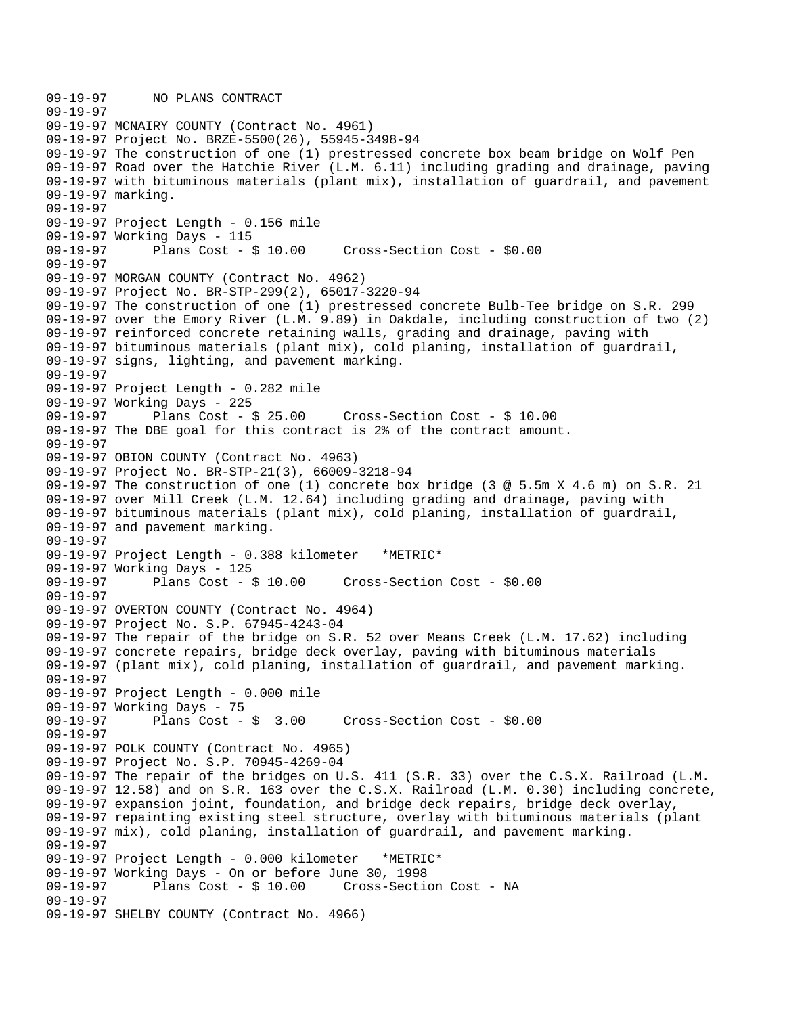09-19-97 NO PLANS CONTRACT 09-19-97 09-19-97 MCNAIRY COUNTY (Contract No. 4961) 09-19-97 Project No. BRZE-5500(26), 55945-3498-94 09-19-97 The construction of one (1) prestressed concrete box beam bridge on Wolf Pen 09-19-97 Road over the Hatchie River (L.M. 6.11) including grading and drainage, paving 09-19-97 with bituminous materials (plant mix), installation of guardrail, and pavement 09-19-97 marking. 09-19-97 09-19-97 Project Length - 0.156 mile 09-19-97 Working Days - 115 09-19-97 Plans Cost - \$ 10.00 Cross-Section Cost - \$0.00 09-19-97 09-19-97 MORGAN COUNTY (Contract No. 4962) 09-19-97 Project No. BR-STP-299(2), 65017-3220-94 09-19-97 The construction of one (1) prestressed concrete Bulb-Tee bridge on S.R. 299 09-19-97 over the Emory River (L.M. 9.89) in Oakdale, including construction of two (2) 09-19-97 reinforced concrete retaining walls, grading and drainage, paving with 09-19-97 bituminous materials (plant mix), cold planing, installation of guardrail, 09-19-97 signs, lighting, and pavement marking. 09-19-97 09-19-97 Project Length - 0.282 mile 09-19-97 Working Days - 225 09-19-97 Plans Cost - \$ 25.00 Cross-Section Cost - \$ 10.00 09-19-97 The DBE goal for this contract is 2% of the contract amount. 09-19-97 09-19-97 OBION COUNTY (Contract No. 4963) 09-19-97 Project No. BR-STP-21(3), 66009-3218-94 09-19-97 The construction of one (1) concrete box bridge (3 @ 5.5m X 4.6 m) on S.R. 21 09-19-97 over Mill Creek (L.M. 12.64) including grading and drainage, paving with 09-19-97 bituminous materials (plant mix), cold planing, installation of guardrail, 09-19-97 and pavement marking. 09-19-97 09-19-97 Project Length - 0.388 kilometer \*METRIC\* 09-19-97 Working Days - 125 09-19-97 Plans Cost - \$ 10.00 Cross-Section Cost - \$0.00 09-19-97 09-19-97 OVERTON COUNTY (Contract No. 4964) 09-19-97 Project No. S.P. 67945-4243-04 09-19-97 The repair of the bridge on S.R. 52 over Means Creek (L.M. 17.62) including 09-19-97 concrete repairs, bridge deck overlay, paving with bituminous materials 09-19-97 (plant mix), cold planing, installation of guardrail, and pavement marking. 09-19-97 09-19-97 Project Length - 0.000 mile 09-19-97 Working Days - 75<br>09-19-97 Plans Cost - \$ 3.00 09-19-97 Plans Cost - \$ 3.00 Cross-Section Cost - \$0.00 09-19-97 09-19-97 POLK COUNTY (Contract No. 4965) 09-19-97 Project No. S.P. 70945-4269-04 09-19-97 The repair of the bridges on U.S. 411 (S.R. 33) over the C.S.X. Railroad (L.M. 09-19-97 12.58) and on S.R. 163 over the C.S.X. Railroad (L.M. 0.30) including concrete, 09-19-97 expansion joint, foundation, and bridge deck repairs, bridge deck overlay, 09-19-97 repainting existing steel structure, overlay with bituminous materials (plant 09-19-97 mix), cold planing, installation of guardrail, and pavement marking. 09-19-97 09-19-97 Project Length - 0.000 kilometer \*METRIC\* 09-19-97 Working Days - On or before June 30, 1998 Cross-Section Cost - NA 09-19-97 09-19-97 SHELBY COUNTY (Contract No. 4966)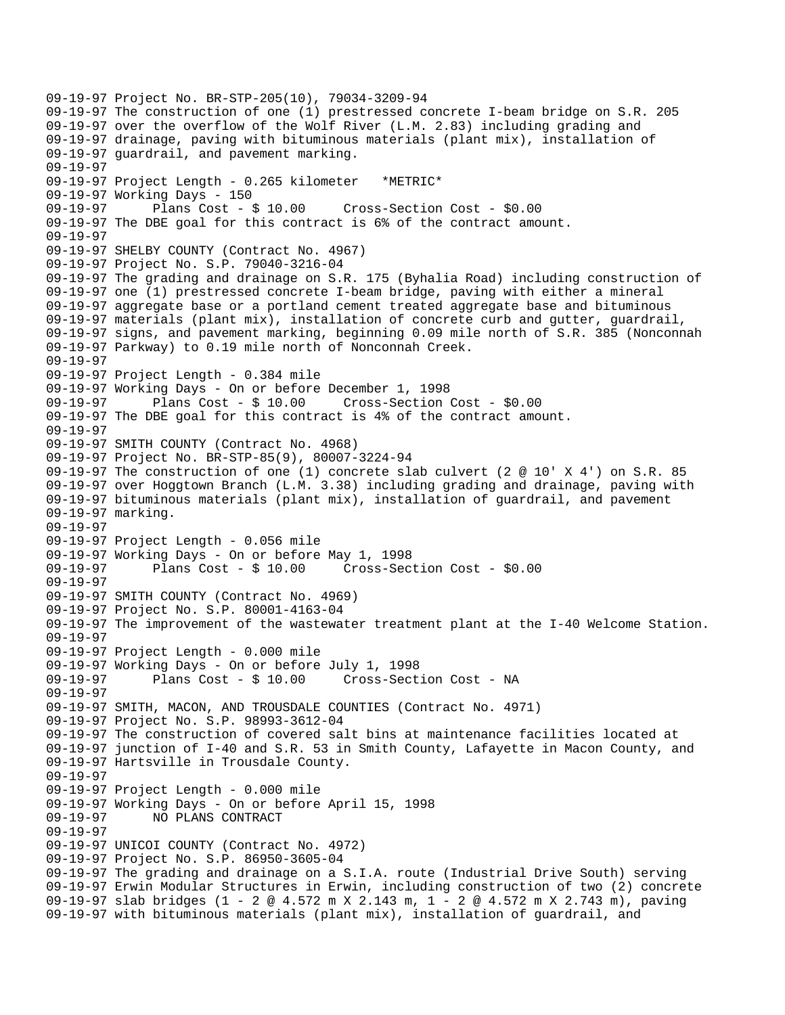09-19-97 Project No. BR-STP-205(10), 79034-3209-94 09-19-97 The construction of one (1) prestressed concrete I-beam bridge on S.R. 205 09-19-97 over the overflow of the Wolf River (L.M. 2.83) including grading and 09-19-97 drainage, paving with bituminous materials (plant mix), installation of 09-19-97 guardrail, and pavement marking. 09-19-97 09-19-97 Project Length - 0.265 kilometer \*METRIC\* 09-19-97 Working Days - 150 09-19-97 Plans Cost - \$ 10.00 Cross-Section Cost - \$0.00 09-19-97 The DBE goal for this contract is 6% of the contract amount. 09-19-97 09-19-97 SHELBY COUNTY (Contract No. 4967) 09-19-97 Project No. S.P. 79040-3216-04 09-19-97 The grading and drainage on S.R. 175 (Byhalia Road) including construction of 09-19-97 one (1) prestressed concrete I-beam bridge, paving with either a mineral 09-19-97 aggregate base or a portland cement treated aggregate base and bituminous 09-19-97 materials (plant mix), installation of concrete curb and gutter, guardrail, 09-19-97 signs, and pavement marking, beginning 0.09 mile north of S.R. 385 (Nonconnah 09-19-97 Parkway) to 0.19 mile north of Nonconnah Creek. 09-19-97 09-19-97 Project Length - 0.384 mile 09-19-97 Working Days - On or before December 1, 1998 09-19-97 Plans Cost - \$ 10.00 Cross-Section Cost - \$0.00 09-19-97 The DBE goal for this contract is 4% of the contract amount. 09-19-97 09-19-97 SMITH COUNTY (Contract No. 4968) 09-19-97 Project No. BR-STP-85(9), 80007-3224-94 09-19-97 The construction of one (1) concrete slab culvert (2 @ 10' X 4') on S.R. 85 09-19-97 over Hoggtown Branch (L.M. 3.38) including grading and drainage, paving with 09-19-97 bituminous materials (plant mix), installation of guardrail, and pavement 09-19-97 marking. 09-19-97 09-19-97 Project Length - 0.056 mile 09-19-97 Working Days - On or before May 1, 1998 Plans  $Cost - $ 10.00$  Cross-Section Cost -  $$0.00$ 09-19-97 09-19-97 SMITH COUNTY (Contract No. 4969) 09-19-97 Project No. S.P. 80001-4163-04 09-19-97 The improvement of the wastewater treatment plant at the I-40 Welcome Station. 09-19-97 09-19-97 Project Length - 0.000 mile 09-19-97 Working Days - On or before July 1, 1998 09-19-97 Plans Cost - \$ 10.00 Cross-Section Cost - NA 09-19-97 09-19-97 SMITH, MACON, AND TROUSDALE COUNTIES (Contract No. 4971) 09-19-97 Project No. S.P. 98993-3612-04 09-19-97 The construction of covered salt bins at maintenance facilities located at 09-19-97 junction of I-40 and S.R. 53 in Smith County, Lafayette in Macon County, and 09-19-97 Hartsville in Trousdale County. 09-19-97 09-19-97 Project Length - 0.000 mile 09-19-97 Working Days - On or before April 15, 1998 09-19-97 NO PLANS CONTRACT 09-19-97 09-19-97 UNICOI COUNTY (Contract No. 4972) 09-19-97 Project No. S.P. 86950-3605-04 09-19-97 The grading and drainage on a S.I.A. route (Industrial Drive South) serving 09-19-97 Erwin Modular Structures in Erwin, including construction of two (2) concrete 09-19-97 slab bridges (1 - 2 @ 4.572 m X 2.143 m, 1 - 2 @ 4.572 m X 2.743 m), paving 09-19-97 with bituminous materials (plant mix), installation of guardrail, and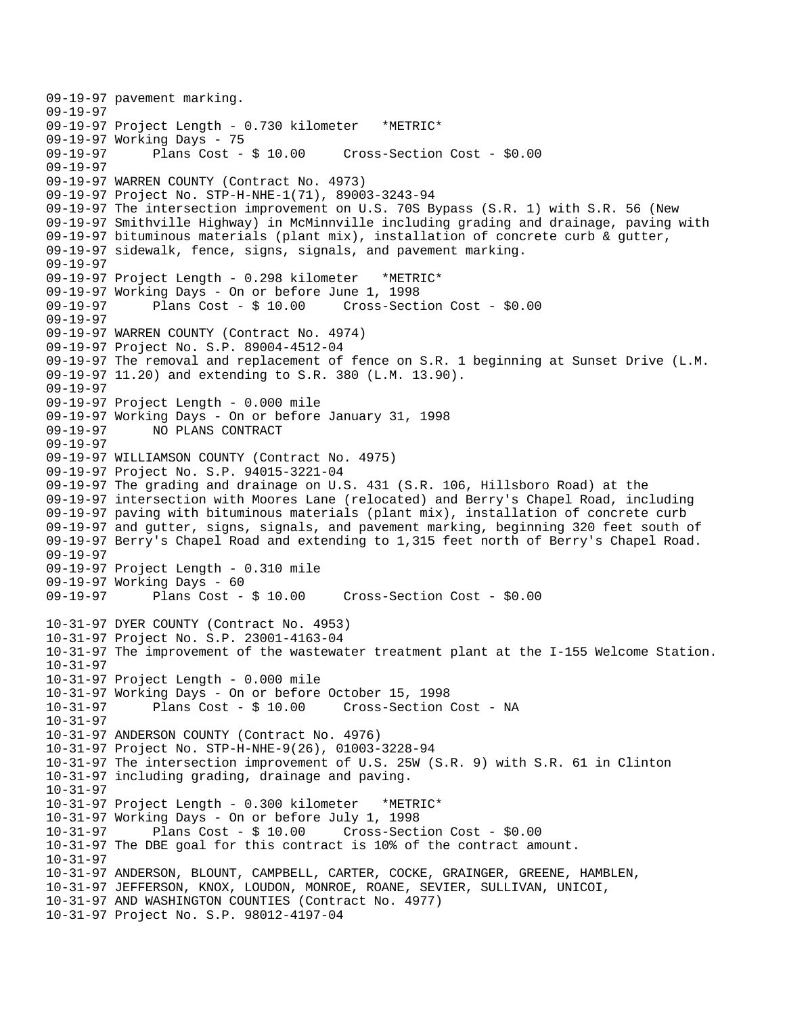```
09-19-97 pavement marking. 
09-19-97 
09-19-97 Project Length - 0.730 kilometer *METRIC* 
09-19-97 Working Days - 75<br>09-19-97        Plans Cost - $ 10.00
                                       Cross-Section Cost - $0.00
09-19-97 
09-19-97 WARREN COUNTY (Contract No. 4973) 
09-19-97 Project No. STP-H-NHE-1(71), 89003-3243-94 
09-19-97 The intersection improvement on U.S. 70S Bypass (S.R. 1) with S.R. 56 (New 
09-19-97 Smithville Highway) in McMinnville including grading and drainage, paving with 
09-19-97 bituminous materials (plant mix), installation of concrete curb & gutter, 
09-19-97 sidewalk, fence, signs, signals, and pavement marking. 
09-19-97 
09-19-97 Project Length - 0.298 kilometer *METRIC* 
09-19-97 Working Days - On or before June 1, 1998 
09-19-97 Plans Cost - $ 10.00 Cross-Section Cost - $0.00 
09-19-97 
09-19-97 WARREN COUNTY (Contract No. 4974) 
09-19-97 Project No. S.P. 89004-4512-04 
09-19-97 The removal and replacement of fence on S.R. 1 beginning at Sunset Drive (L.M. 
09-19-97 11.20) and extending to S.R. 380 (L.M. 13.90). 
09-19-97 
09-19-97 Project Length - 0.000 mile 
09-19-97 Working Days - On or before January 31, 1998 
              NO PLANS CONTRACT
09-19-97 
09-19-97 WILLIAMSON COUNTY (Contract No. 4975) 
09-19-97 Project No. S.P. 94015-3221-04 
09-19-97 The grading and drainage on U.S. 431 (S.R. 106, Hillsboro Road) at the 
09-19-97 intersection with Moores Lane (relocated) and Berry's Chapel Road, including 
09-19-97 paving with bituminous materials (plant mix), installation of concrete curb 
09-19-97 and gutter, signs, signals, and pavement marking, beginning 320 feet south of 
09-19-97 Berry's Chapel Road and extending to 1,315 feet north of Berry's Chapel Road. 
09-19-97 
09-19-97 Project Length - 0.310 mile 
09-19-97 Working Days - 60 
09-19-97 Plans Cost - $ 10.00 Cross-Section Cost - $0.00 
10-31-97 DYER COUNTY (Contract No. 4953) 
10-31-97 Project No. S.P. 23001-4163-04 
10-31-97 The improvement of the wastewater treatment plant at the I-155 Welcome Station. 
10-31-97 
10-31-97 Project Length - 0.000 mile 
10-31-97 Working Days - On or before October 15, 1998 
10-31-97 Plans Cost - $ 10.00 Cross-Section Cost - NA 
10-31-97 
10-31-97 ANDERSON COUNTY (Contract No. 4976) 
10-31-97 Project No. STP-H-NHE-9(26), 01003-3228-94 
10-31-97 The intersection improvement of U.S. 25W (S.R. 9) with S.R. 61 in Clinton 
10-31-97 including grading, drainage and paving. 
10-31-97 
10-31-97 Project Length - 0.300 kilometer *METRIC* 
10-31-97 Working Days - On or before July 1, 1998 
10-31-97 Plans Cost - $ 10.00 Cross-Section Cost - $0.00 
10-31-97 The DBE goal for this contract is 10% of the contract amount. 
10-31-97 
10-31-97 ANDERSON, BLOUNT, CAMPBELL, CARTER, COCKE, GRAINGER, GREENE, HAMBLEN, 
10-31-97 JEFFERSON, KNOX, LOUDON, MONROE, ROANE, SEVIER, SULLIVAN, UNICOI, 
10-31-97 AND WASHINGTON COUNTIES (Contract No. 4977) 
10-31-97 Project No. S.P. 98012-4197-04
```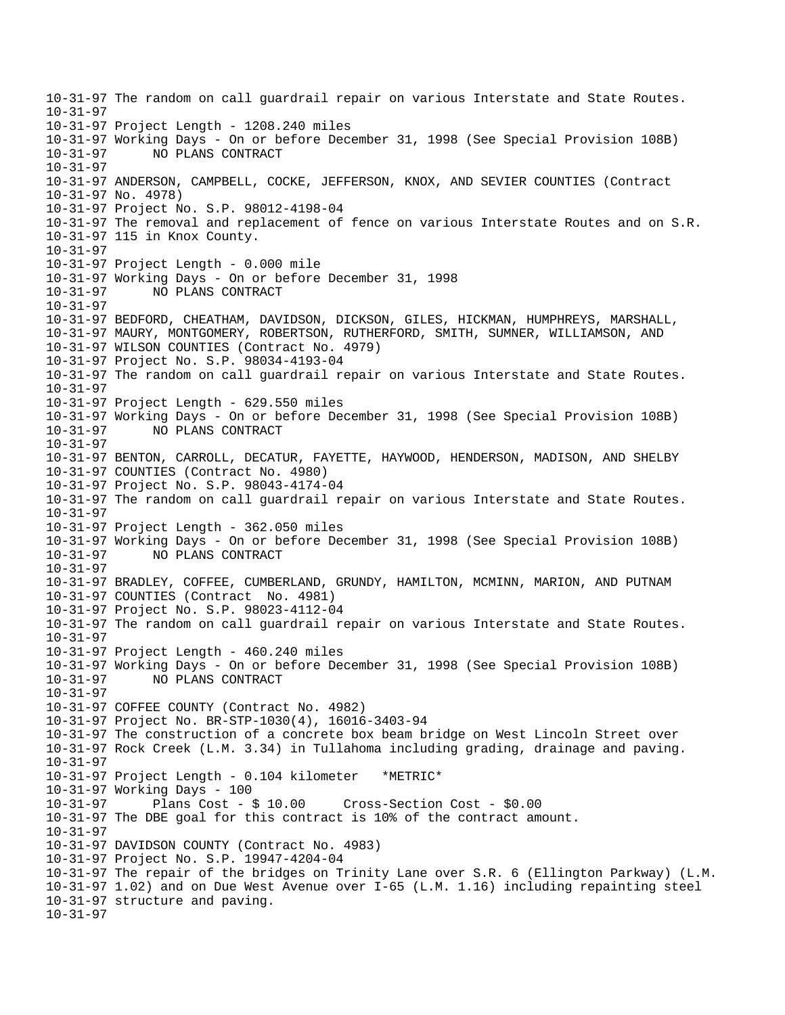10-31-97 The random on call guardrail repair on various Interstate and State Routes. 10-31-97 10-31-97 Project Length - 1208.240 miles 10-31-97 Working Days - On or before December 31, 1998 (See Special Provision 108B) 10-31-97 NO PLANS CONTRACT 10-31-97 10-31-97 ANDERSON, CAMPBELL, COCKE, JEFFERSON, KNOX, AND SEVIER COUNTIES (Contract 10-31-97 No. 4978) 10-31-97 Project No. S.P. 98012-4198-04 10-31-97 The removal and replacement of fence on various Interstate Routes and on S.R. 10-31-97 115 in Knox County. 10-31-97 10-31-97 Project Length - 0.000 mile 10-31-97 Working Days - On or before December 31, 1998 10-31-97 NO PLANS CONTRACT  $10 - 31 - 97$ 10-31-97 BEDFORD, CHEATHAM, DAVIDSON, DICKSON, GILES, HICKMAN, HUMPHREYS, MARSHALL, 10-31-97 MAURY, MONTGOMERY, ROBERTSON, RUTHERFORD, SMITH, SUMNER, WILLIAMSON, AND 10-31-97 WILSON COUNTIES (Contract No. 4979) 10-31-97 Project No. S.P. 98034-4193-04 10-31-97 The random on call guardrail repair on various Interstate and State Routes. 10-31-97 10-31-97 Project Length - 629.550 miles 10-31-97 Working Days - On or before December 31, 1998 (See Special Provision 108B) 10-31-97 NO PLANS CONTRACT 10-31-97  10-31-97 BENTON, CARROLL, DECATUR, FAYETTE, HAYWOOD, HENDERSON, MADISON, AND SHELBY 10-31-97 COUNTIES (Contract No. 4980) 10-31-97 Project No. S.P. 98043-4174-04 10-31-97 The random on call guardrail repair on various Interstate and State Routes. 10-31-97 10-31-97 Project Length - 362.050 miles 10-31-97 Working Days - On or before December 31, 1998 (See Special Provision 108B) 10-31-97 NO PLANS CONTRACT 10-31-97 10-31-97 BRADLEY, COFFEE, CUMBERLAND, GRUNDY, HAMILTON, MCMINN, MARION, AND PUTNAM 10-31-97 COUNTIES (Contract No. 4981) 10-31-97 Project No. S.P. 98023-4112-04 10-31-97 The random on call guardrail repair on various Interstate and State Routes. 10-31-97 10-31-97 Project Length - 460.240 miles 10-31-97 Working Days - On or before December 31, 1998 (See Special Provision 108B) 10-31-97 NO PLANS CONTRACT 10-31-97 10-31-97 COFFEE COUNTY (Contract No. 4982) 10-31-97 Project No. BR-STP-1030(4), 16016-3403-94 10-31-97 The construction of a concrete box beam bridge on West Lincoln Street over 10-31-97 Rock Creek (L.M. 3.34) in Tullahoma including grading, drainage and paving. 10-31-97 10-31-97 Project Length - 0.104 kilometer \*METRIC\* 10-31-97 Working Days - 100 10-31-97 Plans Cost - \$ 10.00 Cross-Section Cost - \$0.00 10-31-97 The DBE goal for this contract is 10% of the contract amount. 10-31-97 10-31-97 DAVIDSON COUNTY (Contract No. 4983) 10-31-97 Project No. S.P. 19947-4204-04 10-31-97 The repair of the bridges on Trinity Lane over S.R. 6 (Ellington Parkway) (L.M. 10-31-97 1.02) and on Due West Avenue over I-65 (L.M. 1.16) including repainting steel 10-31-97 structure and paving. 10-31-97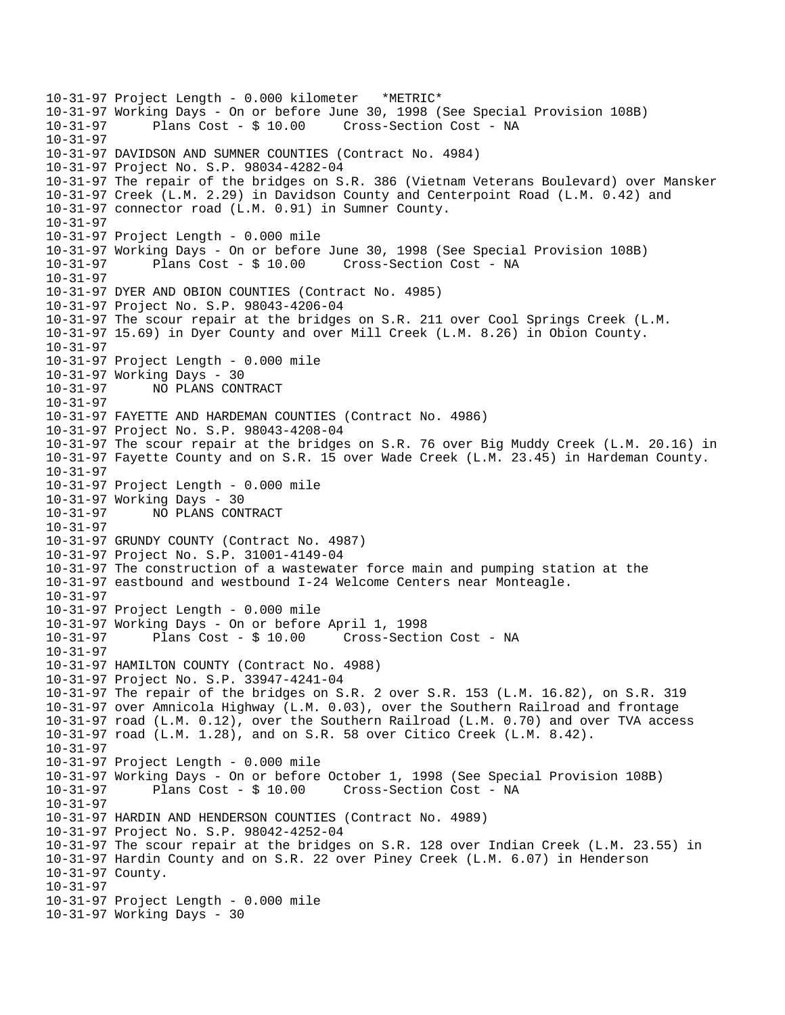10-31-97 Project Length - 0.000 kilometer \*METRIC\* 10-31-97 Working Days - On or before June 30, 1998 (See Special Provision 108B) Cross-Section Cost - NA 10-31-97 10-31-97 DAVIDSON AND SUMNER COUNTIES (Contract No. 4984) 10-31-97 Project No. S.P. 98034-4282-04 10-31-97 The repair of the bridges on S.R. 386 (Vietnam Veterans Boulevard) over Mansker 10-31-97 Creek (L.M. 2.29) in Davidson County and Centerpoint Road (L.M. 0.42) and 10-31-97 connector road (L.M. 0.91) in Sumner County. 10-31-97 10-31-97 Project Length - 0.000 mile 10-31-97 Working Days - On or before June 30, 1998 (See Special Provision 108B) 10-31-97 Plans Cost - \$ 10.00 Cross-Section Cost - NA 10-31-97 10-31-97 DYER AND OBION COUNTIES (Contract No. 4985) 10-31-97 Project No. S.P. 98043-4206-04 10-31-97 The scour repair at the bridges on S.R. 211 over Cool Springs Creek (L.M. 10-31-97 15.69) in Dyer County and over Mill Creek (L.M. 8.26) in Obion County. 10-31-97 10-31-97 Project Length - 0.000 mile 10-31-97 Working Days - 30 10-31-97 NO PLANS CONTRACT 10-31-97  10-31-97 FAYETTE AND HARDEMAN COUNTIES (Contract No. 4986) 10-31-97 Project No. S.P. 98043-4208-04 10-31-97 The scour repair at the bridges on S.R. 76 over Big Muddy Creek (L.M. 20.16) in 10-31-97 Fayette County and on S.R. 15 over Wade Creek (L.M. 23.45) in Hardeman County. 10-31-97 10-31-97 Project Length - 0.000 mile 10-31-97 Working Days - 30 10-31-97 NO PLANS CONTRACT 10-31-97 10-31-97 GRUNDY COUNTY (Contract No. 4987) 10-31-97 Project No. S.P. 31001-4149-04 10-31-97 The construction of a wastewater force main and pumping station at the 10-31-97 eastbound and westbound I-24 Welcome Centers near Monteagle. 10-31-97 10-31-97 Project Length - 0.000 mile 10-31-97 Working Days - On or before April 1, 1998 10-31-97 Plans Cost - \$ 10.00 Cross-Section Cost - NA  $10 - 31 - 97$ 10-31-97 HAMILTON COUNTY (Contract No. 4988) 10-31-97 Project No. S.P. 33947-4241-04 10-31-97 The repair of the bridges on S.R. 2 over S.R. 153 (L.M. 16.82), on S.R. 319 10-31-97 over Amnicola Highway (L.M. 0.03), over the Southern Railroad and frontage 10-31-97 road (L.M. 0.12), over the Southern Railroad (L.M. 0.70) and over TVA access 10-31-97 road (L.M. 1.28), and on S.R. 58 over Citico Creek (L.M. 8.42). 10-31-97 10-31-97 Project Length - 0.000 mile 10-31-97 Working Days - On or before October 1, 1998 (See Special Provision 108B) Plans Cost - \$ 10.00 Cross-Section Cost - NA 10-31-97 10-31-97 HARDIN AND HENDERSON COUNTIES (Contract No. 4989) 10-31-97 Project No. S.P. 98042-4252-04 10-31-97 The scour repair at the bridges on S.R. 128 over Indian Creek (L.M. 23.55) in 10-31-97 Hardin County and on S.R. 22 over Piney Creek (L.M. 6.07) in Henderson 10-31-97 County. 10-31-97 10-31-97 Project Length - 0.000 mile 10-31-97 Working Days - 30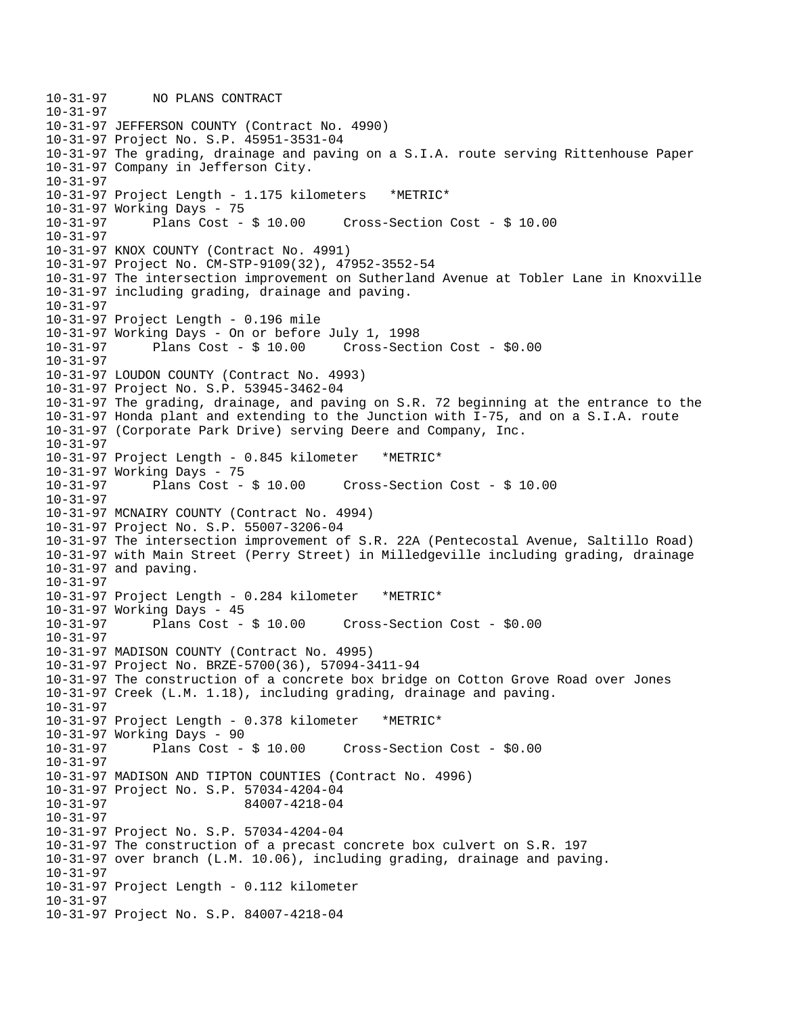10-31-97 NO PLANS CONTRACT 10-31-97 10-31-97 JEFFERSON COUNTY (Contract No. 4990) 10-31-97 Project No. S.P. 45951-3531-04 10-31-97 The grading, drainage and paving on a S.I.A. route serving Rittenhouse Paper 10-31-97 Company in Jefferson City. 10-31-97 10-31-97 Project Length - 1.175 kilometers \*METRIC\* 10-31-97 Working Days - 75 10-31-97 Plans Cost - \$ 10.00 Cross-Section Cost - \$ 10.00 10-31-97 10-31-97 KNOX COUNTY (Contract No. 4991) 10-31-97 Project No. CM-STP-9109(32), 47952-3552-54 10-31-97 The intersection improvement on Sutherland Avenue at Tobler Lane in Knoxville 10-31-97 including grading, drainage and paving. 10-31-97 10-31-97 Project Length - 0.196 mile 10-31-97 Working Days - On or before July 1, 1998 10-31-97 Plans Cost - \$ 10.00 Cross-Section Cost - \$0.00 10-31-97  10-31-97 LOUDON COUNTY (Contract No. 4993) 10-31-97 Project No. S.P. 53945-3462-04 10-31-97 The grading, drainage, and paving on S.R. 72 beginning at the entrance to the 10-31-97 Honda plant and extending to the Junction with I-75, and on a S.I.A. route 10-31-97 (Corporate Park Drive) serving Deere and Company, Inc. 10-31-97 10-31-97 Project Length - 0.845 kilometer \*METRIC\* 10-31-97 Working Days - 75 10-31-97 Plans Cost - \$ 10.00 Cross-Section Cost - \$ 10.00 10-31-97 10-31-97 MCNAIRY COUNTY (Contract No. 4994) 10-31-97 Project No. S.P. 55007-3206-04 10-31-97 The intersection improvement of S.R. 22A (Pentecostal Avenue, Saltillo Road) 10-31-97 with Main Street (Perry Street) in Milledgeville including grading, drainage 10-31-97 and paving. 10-31-97 10-31-97 Project Length - 0.284 kilometer \*METRIC\* 10-31-97 Working Days - 45 10-31-97 Plans Cost - \$ 10.00 Cross-Section Cost - \$0.00 10-31-97 10-31-97 MADISON COUNTY (Contract No. 4995) 10-31-97 Project No. BRZE-5700(36), 57094-3411-94 10-31-97 The construction of a concrete box bridge on Cotton Grove Road over Jones 10-31-97 Creek (L.M. 1.18), including grading, drainage and paving. 10-31-97 10-31-97 Project Length - 0.378 kilometer \*METRIC\* 10-31-97 Working Days - 90<br>10-31-97 Plans Cost - \$ 10.00  $Cross-Section Cost - $0.00$ 10-31-97 10-31-97 MADISON AND TIPTON COUNTIES (Contract No. 4996) 10-31-97 Project No. S.P. 57034-4204-04 10-31-97 84007-4218-04 10-31-97 10-31-97 Project No. S.P. 57034-4204-04 10-31-97 The construction of a precast concrete box culvert on S.R. 197 10-31-97 over branch (L.M. 10.06), including grading, drainage and paving. 10-31-97 10-31-97 Project Length - 0.112 kilometer 10-31-97 10-31-97 Project No. S.P. 84007-4218-04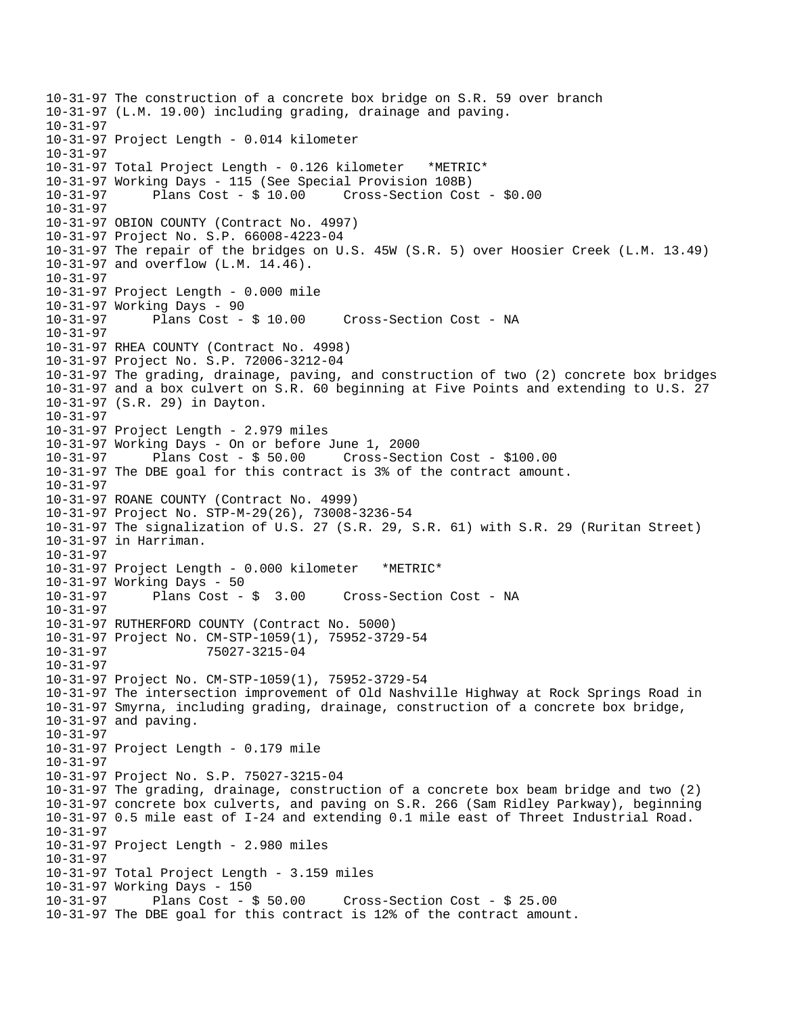10-31-97 The construction of a concrete box bridge on S.R. 59 over branch 10-31-97 (L.M. 19.00) including grading, drainage and paving. 10-31-97 10-31-97 Project Length - 0.014 kilometer 10-31-97 10-31-97 Total Project Length - 0.126 kilometer \*METRIC\* 10-31-97 Working Days - 115 (See Special Provision 108B) 10-31-97 Plans Cost - \$ 10.00 Cross-Section Cost - \$0.00 10-31-97  10-31-97 OBION COUNTY (Contract No. 4997) 10-31-97 Project No. S.P. 66008-4223-04 10-31-97 The repair of the bridges on U.S. 45W (S.R. 5) over Hoosier Creek (L.M. 13.49) 10-31-97 and overflow (L.M. 14.46). 10-31-97 10-31-97 Project Length - 0.000 mile 10-31-97 Working Days - 90 10-31-97 Plans Cost - \$ 10.00 Cross-Section Cost - NA 10-31-97 10-31-97 RHEA COUNTY (Contract No. 4998) 10-31-97 Project No. S.P. 72006-3212-04 10-31-97 The grading, drainage, paving, and construction of two (2) concrete box bridges 10-31-97 and a box culvert on S.R. 60 beginning at Five Points and extending to U.S. 27 10-31-97 (S.R. 29) in Dayton. 10-31-97 10-31-97 Project Length - 2.979 miles 10-31-97 Working Days - On or before June 1, 2000 10-31-97 Plans Cost - \$ 50.00 Cross-Section Cost - \$100.00 10-31-97 The DBE goal for this contract is 3% of the contract amount. 10-31-97 10-31-97 ROANE COUNTY (Contract No. 4999) 10-31-97 Project No. STP-M-29(26), 73008-3236-54 10-31-97 The signalization of U.S. 27 (S.R. 29, S.R. 61) with S.R. 29 (Ruritan Street) 10-31-97 in Harriman. 10-31-97 10-31-97 Project Length - 0.000 kilometer \*METRIC\* 10-31-97 Working Days - 50 10-31-97 Plans Cost - \$ 3.00 Cross-Section Cost - NA 10-31-97 10-31-97 RUTHERFORD COUNTY (Contract No. 5000) 10-31-97 Project No. CM-STP-1059(1), 75952-3729-54 10-31-97 75027-3215-04 10-31-97 10-31-97 Project No. CM-STP-1059(1), 75952-3729-54 10-31-97 The intersection improvement of Old Nashville Highway at Rock Springs Road in 10-31-97 Smyrna, including grading, drainage, construction of a concrete box bridge, 10-31-97 and paving. 10-31-97 10-31-97 Project Length - 0.179 mile 10-31-97 10-31-97 Project No. S.P. 75027-3215-04 10-31-97 The grading, drainage, construction of a concrete box beam bridge and two (2) 10-31-97 concrete box culverts, and paving on S.R. 266 (Sam Ridley Parkway), beginning 10-31-97 0.5 mile east of I-24 and extending 0.1 mile east of Threet Industrial Road. 10-31-97 10-31-97 Project Length - 2.980 miles 10-31-97 10-31-97 Total Project Length - 3.159 miles 10-31-97 Working Days - 150  $Cross-Section Cost - $ 25.00$ 10-31-97 The DBE goal for this contract is 12% of the contract amount.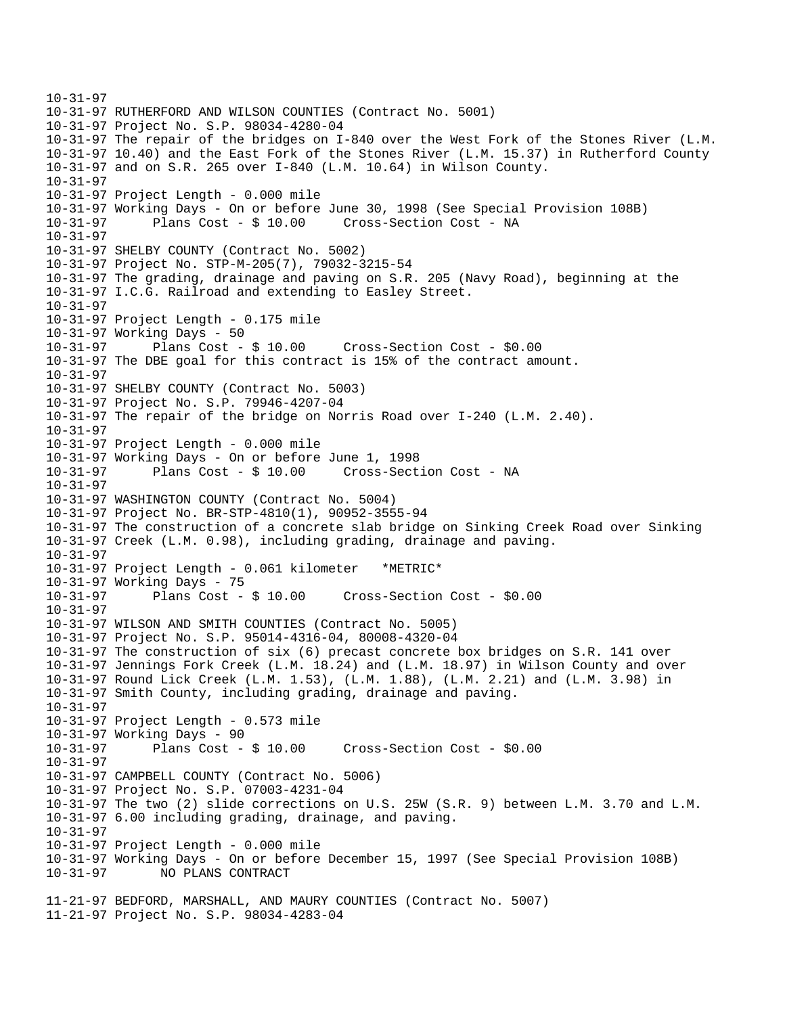```
10-31-97  
10-31-97 RUTHERFORD AND WILSON COUNTIES (Contract No. 5001) 
10-31-97 Project No. S.P. 98034-4280-04 
10-31-97 The repair of the bridges on I-840 over the West Fork of the Stones River (L.M. 
10-31-97 10.40) and the East Fork of the Stones River (L.M. 15.37) in Rutherford County 
10-31-97 and on S.R. 265 over I-840 (L.M. 10.64) in Wilson County. 
10-31-97 
10-31-97 Project Length - 0.000 mile 
10-31-97 Working Days - On or before June 30, 1998 (See Special Provision 108B) 
10-31-97 Plans Cost - $ 10.00 Cross-Section Cost - NA 
10-31-97 
10-31-97 SHELBY COUNTY (Contract No. 5002) 
10-31-97 Project No. STP-M-205(7), 79032-3215-54 
10-31-97 The grading, drainage and paving on S.R. 205 (Navy Road), beginning at the 
10-31-97 I.C.G. Railroad and extending to Easley Street. 
10-31-97 
10-31-97 Project Length - 0.175 mile 
10-31-97 Working Days - 50 
10-31-97 Plans Cost - $ 10.00 Cross-Section Cost - $0.00 
10-31-97 The DBE goal for this contract is 15% of the contract amount. 
10-31-97 
10-31-97 SHELBY COUNTY (Contract No. 5003) 
10-31-97 Project No. S.P. 79946-4207-04 
10-31-97 The repair of the bridge on Norris Road over I-240 (L.M. 2.40). 
10-31-97 
10-31-97 Project Length - 0.000 mile 
10-31-97 Working Days - On or before June 1, 1998 
10-31-97 Plans Cost - $ 10.00 Cross-Section Cost - NA 
10-31-97 
10-31-97 WASHINGTON COUNTY (Contract No. 5004) 
10-31-97 Project No. BR-STP-4810(1), 90952-3555-94 
10-31-97 The construction of a concrete slab bridge on Sinking Creek Road over Sinking 
10-31-97 Creek (L.M. 0.98), including grading, drainage and paving. 
10-31-97 
10-31-97 Project Length - 0.061 kilometer *METRIC* 
10-31-97 Working Days - 75 
10-31-97 Plans Cost - $ 10.00 Cross-Section Cost - $0.00 
10-31-97 
10-31-97 WILSON AND SMITH COUNTIES (Contract No. 5005) 
10-31-97 Project No. S.P. 95014-4316-04, 80008-4320-04 
10-31-97 The construction of six (6) precast concrete box bridges on S.R. 141 over 
10-31-97 Jennings Fork Creek (L.M. 18.24) and (L.M. 18.97) in Wilson County and over 
10-31-97 Round Lick Creek (L.M. 1.53), (L.M. 1.88), (L.M. 2.21) and (L.M. 3.98) in 
10-31-97 Smith County, including grading, drainage and paving. 
10-31-97 
10-31-97 Project Length - 0.573 mile 
10-31-97 Working Days - 90<br>10-31-97 Plans Cost - $ 10.00
                                       Cross-Section Cost - $0.00
10-31-97 
10-31-97 CAMPBELL COUNTY (Contract No. 5006) 
10-31-97 Project No. S.P. 07003-4231-04 
10-31-97 The two (2) slide corrections on U.S. 25W (S.R. 9) between L.M. 3.70 and L.M. 
10-31-97 6.00 including grading, drainage, and paving. 
10-31-97 
10-31-97 Project Length - 0.000 mile 
10-31-97 Working Days - On or before December 15, 1997 (See Special Provision 108B) 
10-31-97 NO PLANS CONTRACT 
11-21-97 BEDFORD, MARSHALL, AND MAURY COUNTIES (Contract No. 5007) 
11-21-97 Project No. S.P. 98034-4283-04
```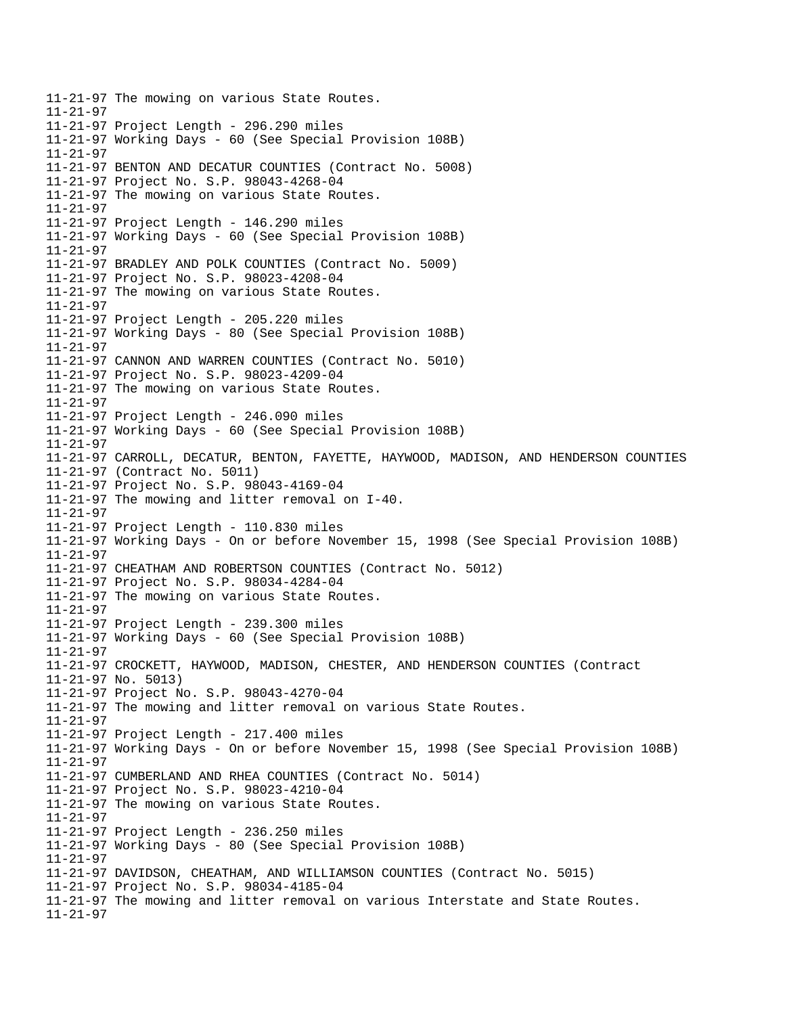11-21-97 The mowing on various State Routes.  $11 - 21 - 97$ 11-21-97 Project Length - 296.290 miles 11-21-97 Working Days - 60 (See Special Provision 108B) 11-21-97 11-21-97 BENTON AND DECATUR COUNTIES (Contract No. 5008) 11-21-97 Project No. S.P. 98043-4268-04 11-21-97 The mowing on various State Routes. 11-21-97 11-21-97 Project Length - 146.290 miles 11-21-97 Working Days - 60 (See Special Provision 108B) 11-21-97 11-21-97 BRADLEY AND POLK COUNTIES (Contract No. 5009) 11-21-97 Project No. S.P. 98023-4208-04 11-21-97 The mowing on various State Routes. 11-21-97 11-21-97 Project Length - 205.220 miles 11-21-97 Working Days - 80 (See Special Provision 108B) 11-21-97 11-21-97 CANNON AND WARREN COUNTIES (Contract No. 5010) 11-21-97 Project No. S.P. 98023-4209-04 11-21-97 The mowing on various State Routes. 11-21-97 11-21-97 Project Length - 246.090 miles 11-21-97 Working Days - 60 (See Special Provision 108B) 11-21-97 11-21-97 CARROLL, DECATUR, BENTON, FAYETTE, HAYWOOD, MADISON, AND HENDERSON COUNTIES 11-21-97 (Contract No. 5011) 11-21-97 Project No. S.P. 98043-4169-04 11-21-97 The mowing and litter removal on I-40. 11-21-97 11-21-97 Project Length - 110.830 miles 11-21-97 Working Days - On or before November 15, 1998 (See Special Provision 108B) 11-21-97 11-21-97 CHEATHAM AND ROBERTSON COUNTIES (Contract No. 5012) 11-21-97 Project No. S.P. 98034-4284-04 11-21-97 The mowing on various State Routes. 11-21-97 11-21-97 Project Length - 239.300 miles 11-21-97 Working Days - 60 (See Special Provision 108B) 11-21-97 11-21-97 CROCKETT, HAYWOOD, MADISON, CHESTER, AND HENDERSON COUNTIES (Contract 11-21-97 No. 5013) 11-21-97 Project No. S.P. 98043-4270-04 11-21-97 The mowing and litter removal on various State Routes. 11-21-97 11-21-97 Project Length - 217.400 miles 11-21-97 Working Days - On or before November 15, 1998 (See Special Provision 108B) 11-21-97  11-21-97 CUMBERLAND AND RHEA COUNTIES (Contract No. 5014) 11-21-97 Project No. S.P. 98023-4210-04 11-21-97 The mowing on various State Routes. 11-21-97 11-21-97 Project Length - 236.250 miles 11-21-97 Working Days - 80 (See Special Provision 108B) 11-21-97 11-21-97 DAVIDSON, CHEATHAM, AND WILLIAMSON COUNTIES (Contract No. 5015) 11-21-97 Project No. S.P. 98034-4185-04 11-21-97 The mowing and litter removal on various Interstate and State Routes. 11-21-97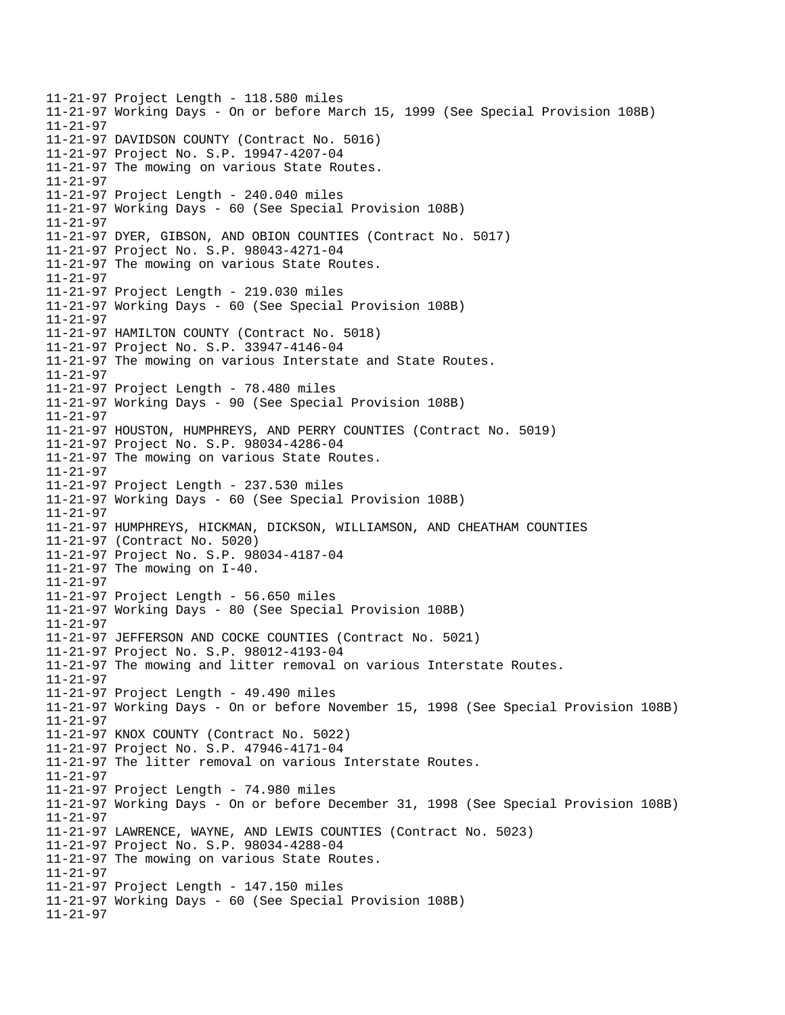11-21-97 Project Length - 118.580 miles 11-21-97 Working Days - On or before March 15, 1999 (See Special Provision 108B) 11-21-97 11-21-97 DAVIDSON COUNTY (Contract No. 5016) 11-21-97 Project No. S.P. 19947-4207-04 11-21-97 The mowing on various State Routes. 11-21-97 11-21-97 Project Length - 240.040 miles 11-21-97 Working Days - 60 (See Special Provision 108B) 11-21-97 11-21-97 DYER, GIBSON, AND OBION COUNTIES (Contract No. 5017) 11-21-97 Project No. S.P. 98043-4271-04 11-21-97 The mowing on various State Routes. 11-21-97 11-21-97 Project Length - 219.030 miles 11-21-97 Working Days - 60 (See Special Provision 108B) 11-21-97 11-21-97 HAMILTON COUNTY (Contract No. 5018) 11-21-97 Project No. S.P. 33947-4146-04 11-21-97 The mowing on various Interstate and State Routes. 11-21-97 11-21-97 Project Length - 78.480 miles 11-21-97 Working Days - 90 (See Special Provision 108B) 11-21-97 11-21-97 HOUSTON, HUMPHREYS, AND PERRY COUNTIES (Contract No. 5019) 11-21-97 Project No. S.P. 98034-4286-04 11-21-97 The mowing on various State Routes. 11-21-97 11-21-97 Project Length - 237.530 miles 11-21-97 Working Days - 60 (See Special Provision 108B) 11-21-97 11-21-97 HUMPHREYS, HICKMAN, DICKSON, WILLIAMSON, AND CHEATHAM COUNTIES 11-21-97 (Contract No. 5020) 11-21-97 Project No. S.P. 98034-4187-04 11-21-97 The mowing on I-40. 11-21-97 11-21-97 Project Length - 56.650 miles 11-21-97 Working Days - 80 (See Special Provision 108B) 11-21-97 11-21-97 JEFFERSON AND COCKE COUNTIES (Contract No. 5021) 11-21-97 Project No. S.P. 98012-4193-04 11-21-97 The mowing and litter removal on various Interstate Routes. 11-21-97 11-21-97 Project Length - 49.490 miles 11-21-97 Working Days - On or before November 15, 1998 (See Special Provision 108B) 11-21-97  11-21-97 KNOX COUNTY (Contract No. 5022) 11-21-97 Project No. S.P. 47946-4171-04 11-21-97 The litter removal on various Interstate Routes. 11-21-97 11-21-97 Project Length - 74.980 miles 11-21-97 Working Days - On or before December 31, 1998 (See Special Provision 108B) 11-21-97 11-21-97 LAWRENCE, WAYNE, AND LEWIS COUNTIES (Contract No. 5023) 11-21-97 Project No. S.P. 98034-4288-04 11-21-97 The mowing on various State Routes. 11-21-97 11-21-97 Project Length - 147.150 miles 11-21-97 Working Days - 60 (See Special Provision 108B) 11-21-97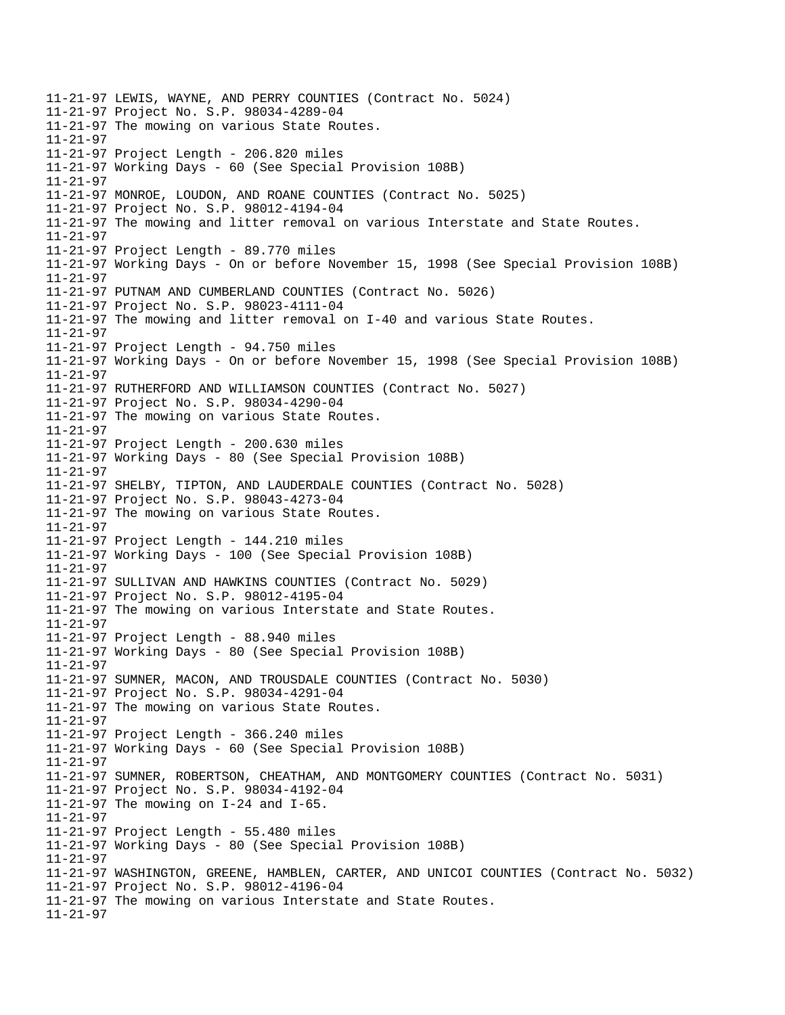11-21-97 LEWIS, WAYNE, AND PERRY COUNTIES (Contract No. 5024) 11-21-97 Project No. S.P. 98034-4289-04 11-21-97 The mowing on various State Routes. 11-21-97 11-21-97 Project Length - 206.820 miles 11-21-97 Working Days - 60 (See Special Provision 108B) 11-21-97 11-21-97 MONROE, LOUDON, AND ROANE COUNTIES (Contract No. 5025) 11-21-97 Project No. S.P. 98012-4194-04 11-21-97 The mowing and litter removal on various Interstate and State Routes. 11-21-97 11-21-97 Project Length - 89.770 miles 11-21-97 Working Days - On or before November 15, 1998 (See Special Provision 108B) 11-21-97 11-21-97 PUTNAM AND CUMBERLAND COUNTIES (Contract No. 5026) 11-21-97 Project No. S.P. 98023-4111-04 11-21-97 The mowing and litter removal on I-40 and various State Routes. 11-21-97 11-21-97 Project Length - 94.750 miles 11-21-97 Working Days - On or before November 15, 1998 (See Special Provision 108B) 11-21-97 11-21-97 RUTHERFORD AND WILLIAMSON COUNTIES (Contract No. 5027) 11-21-97 Project No. S.P. 98034-4290-04 11-21-97 The mowing on various State Routes.  $11 - 21 - 97$ 11-21-97 Project Length - 200.630 miles 11-21-97 Working Days - 80 (See Special Provision 108B) 11-21-97 11-21-97 SHELBY, TIPTON, AND LAUDERDALE COUNTIES (Contract No. 5028) 11-21-97 Project No. S.P. 98043-4273-04 11-21-97 The mowing on various State Routes. 11-21-97 11-21-97 Project Length - 144.210 miles 11-21-97 Working Days - 100 (See Special Provision 108B) 11-21-97 11-21-97 SULLIVAN AND HAWKINS COUNTIES (Contract No. 5029) 11-21-97 Project No. S.P. 98012-4195-04 11-21-97 The mowing on various Interstate and State Routes. 11-21-97 11-21-97 Project Length - 88.940 miles 11-21-97 Working Days - 80 (See Special Provision 108B) 11-21-97  11-21-97 SUMNER, MACON, AND TROUSDALE COUNTIES (Contract No. 5030) 11-21-97 Project No. S.P. 98034-4291-04 11-21-97 The mowing on various State Routes. 11-21-97 11-21-97 Project Length - 366.240 miles 11-21-97 Working Days - 60 (See Special Provision 108B) 11-21-97 11-21-97 SUMNER, ROBERTSON, CHEATHAM, AND MONTGOMERY COUNTIES (Contract No. 5031) 11-21-97 Project No. S.P. 98034-4192-04 11-21-97 The mowing on I-24 and I-65. 11-21-97 11-21-97 Project Length - 55.480 miles 11-21-97 Working Days - 80 (See Special Provision 108B) 11-21-97 11-21-97 WASHINGTON, GREENE, HAMBLEN, CARTER, AND UNICOI COUNTIES (Contract No. 5032) 11-21-97 Project No. S.P. 98012-4196-04 11-21-97 The mowing on various Interstate and State Routes. 11-21-97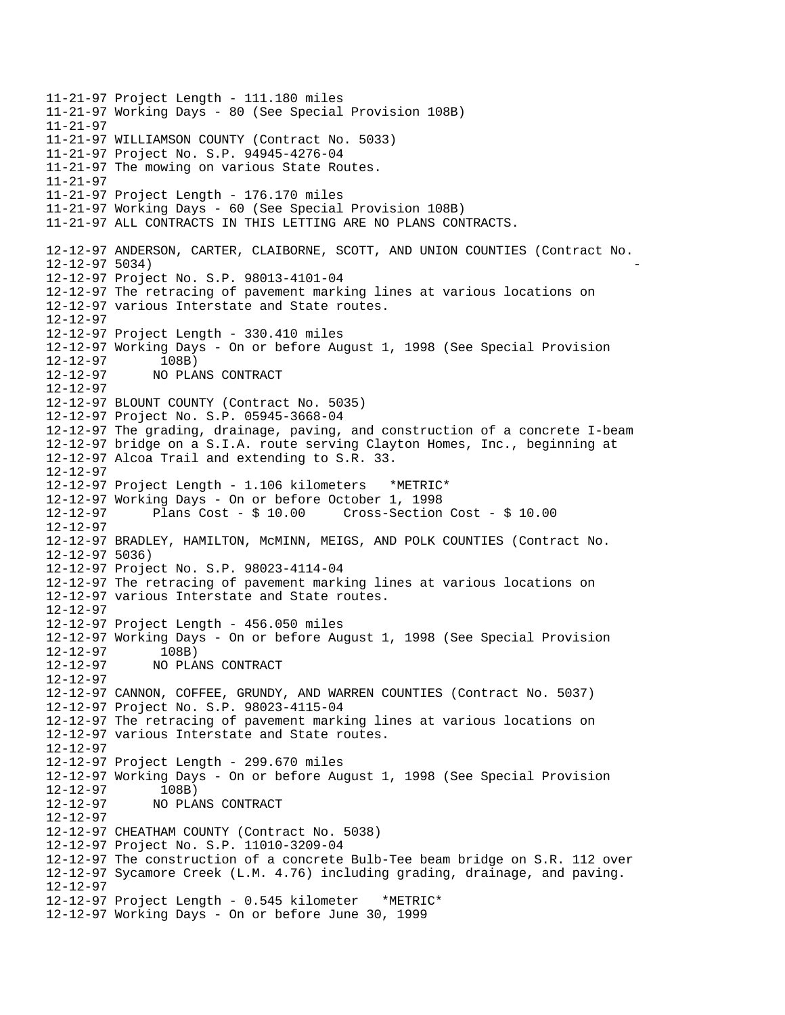11-21-97 Project Length - 111.180 miles 11-21-97 Working Days - 80 (See Special Provision 108B) 11-21-97 11-21-97 WILLIAMSON COUNTY (Contract No. 5033) 11-21-97 Project No. S.P. 94945-4276-04 11-21-97 The mowing on various State Routes. 11-21-97 11-21-97 Project Length - 176.170 miles 11-21-97 Working Days - 60 (See Special Provision 108B) 11-21-97 ALL CONTRACTS IN THIS LETTING ARE NO PLANS CONTRACTS. 12-12-97 ANDERSON, CARTER, CLAIBORNE, SCOTT, AND UNION COUNTIES (Contract No. 12-12-97 5034) 12-12-97 Project No. S.P. 98013-4101-04 12-12-97 The retracing of pavement marking lines at various locations on 12-12-97 various Interstate and State routes. 12-12-97 12-12-97 Project Length - 330.410 miles 12-12-97 Working Days - On or before August 1, 1998 (See Special Provision 12-12-97 108B) 12-12-97 NO PLANS CONTRACT 12-12-97 12-12-97 BLOUNT COUNTY (Contract No. 5035) 12-12-97 Project No. S.P. 05945-3668-04 12-12-97 The grading, drainage, paving, and construction of a concrete I-beam 12-12-97 bridge on a S.I.A. route serving Clayton Homes, Inc., beginning at 12-12-97 Alcoa Trail and extending to S.R. 33. 12-12-97 12-12-97 Project Length - 1.106 kilometers \*METRIC\* 12-12-97 Working Days - On or before October 1, 1998 12-12-97 Plans Cost - \$ 10.00 Cross-Section Cost - \$ 10.00 12-12-97 12-12-97 BRADLEY, HAMILTON, McMINN, MEIGS, AND POLK COUNTIES (Contract No. 12-12-97 5036) 12-12-97 Project No. S.P. 98023-4114-04 12-12-97 The retracing of pavement marking lines at various locations on 12-12-97 various Interstate and State routes. 12-12-97 12-12-97 Project Length - 456.050 miles 12-12-97 Working Days - On or before August 1, 1998 (See Special Provision 12-12-97 108B) 12-12-97 NO PLANS CONTRACT 12-12-97 12-12-97 CANNON, COFFEE, GRUNDY, AND WARREN COUNTIES (Contract No. 5037) 12-12-97 Project No. S.P. 98023-4115-04 12-12-97 The retracing of pavement marking lines at various locations on 12-12-97 various Interstate and State routes. 12-12-97 12-12-97 Project Length - 299.670 miles 12-12-97 Working Days - On or before August 1, 1998 (See Special Provision 12-12-97 108B) 12-12-97 NO PLANS CONTRACT 12-12-97 12-12-97 CHEATHAM COUNTY (Contract No. 5038) 12-12-97 Project No. S.P. 11010-3209-04 12-12-97 The construction of a concrete Bulb-Tee beam bridge on S.R. 112 over 12-12-97 Sycamore Creek (L.M. 4.76) including grading, drainage, and paving. 12-12-97 12-12-97 Project Length - 0.545 kilometer \*METRIC\* 12-12-97 Working Days - On or before June 30, 1999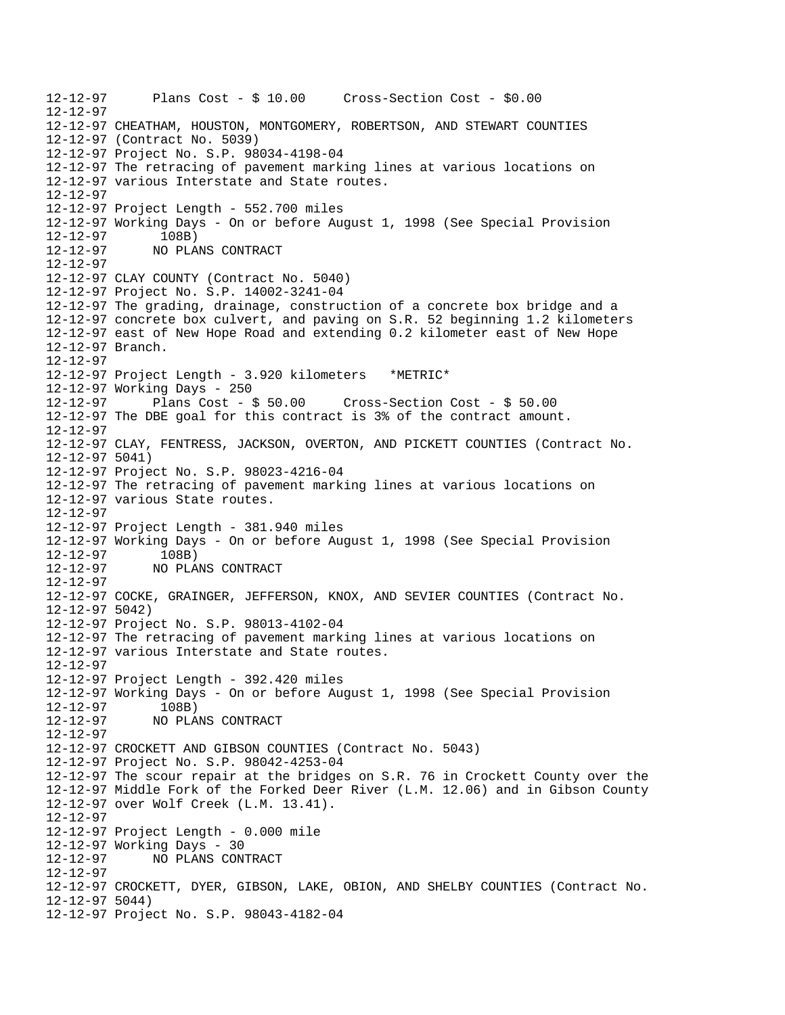12-12-97 Plans Cost - \$ 10.00 Cross-Section Cost - \$0.00 12-12-97 12-12-97 CHEATHAM, HOUSTON, MONTGOMERY, ROBERTSON, AND STEWART COUNTIES 12-12-97 (Contract No. 5039) 12-12-97 Project No. S.P. 98034-4198-04 12-12-97 The retracing of pavement marking lines at various locations on 12-12-97 various Interstate and State routes. 12-12-97 12-12-97 Project Length - 552.700 miles 12-12-97 Working Days - On or before August 1, 1998 (See Special Provision 12-12-97 108B) 12-12-97 NO PLANS CONTRACT 12-12-97 12-12-97 CLAY COUNTY (Contract No. 5040) 12-12-97 Project No. S.P. 14002-3241-04 12-12-97 The grading, drainage, construction of a concrete box bridge and a 12-12-97 concrete box culvert, and paving on S.R. 52 beginning 1.2 kilometers 12-12-97 east of New Hope Road and extending 0.2 kilometer east of New Hope 12-12-97 Branch. 12-12-97 12-12-97 Project Length - 3.920 kilometers \*METRIC\* 12-12-97 Working Days - 250 12-12-97 Plans Cost - \$ 50.00 Cross-Section Cost - \$ 50.00 12-12-97 The DBE goal for this contract is 3% of the contract amount. 12-12-97 12-12-97 CLAY, FENTRESS, JACKSON, OVERTON, AND PICKETT COUNTIES (Contract No. 12-12-97 5041) 12-12-97 Project No. S.P. 98023-4216-04 12-12-97 The retracing of pavement marking lines at various locations on 12-12-97 various State routes. 12-12-97 12-12-97 Project Length - 381.940 miles 12-12-97 Working Days - On or before August 1, 1998 (See Special Provision 12-12-97 108B)<br>12-12-97 NO PLA 12-12-97 NO PLANS CONTRACT 12-12-97 12-12-97 COCKE, GRAINGER, JEFFERSON, KNOX, AND SEVIER COUNTIES (Contract No. 12-12-97 5042) 12-12-97 Project No. S.P. 98013-4102-04 12-12-97 The retracing of pavement marking lines at various locations on 12-12-97 various Interstate and State routes. 12-12-97 12-12-97 Project Length - 392.420 miles 12-12-97 Working Days - On or before August 1, 1998 (See Special Provision 12-12-97 108B) 12-12-97 NO PLANS CONTRACT 12-12-97 12-12-97 CROCKETT AND GIBSON COUNTIES (Contract No. 5043) 12-12-97 Project No. S.P. 98042-4253-04 12-12-97 The scour repair at the bridges on S.R. 76 in Crockett County over the 12-12-97 Middle Fork of the Forked Deer River (L.M. 12.06) and in Gibson County 12-12-97 over Wolf Creek (L.M. 13.41). 12-12-97 12-12-97 Project Length - 0.000 mile 12-12-97 Working Days - 30 12-12-97 NO PLANS CONTRACT 12-12-97 12-12-97 CROCKETT, DYER, GIBSON, LAKE, OBION, AND SHELBY COUNTIES (Contract No. 12-12-97 5044) 12-12-97 Project No. S.P. 98043-4182-04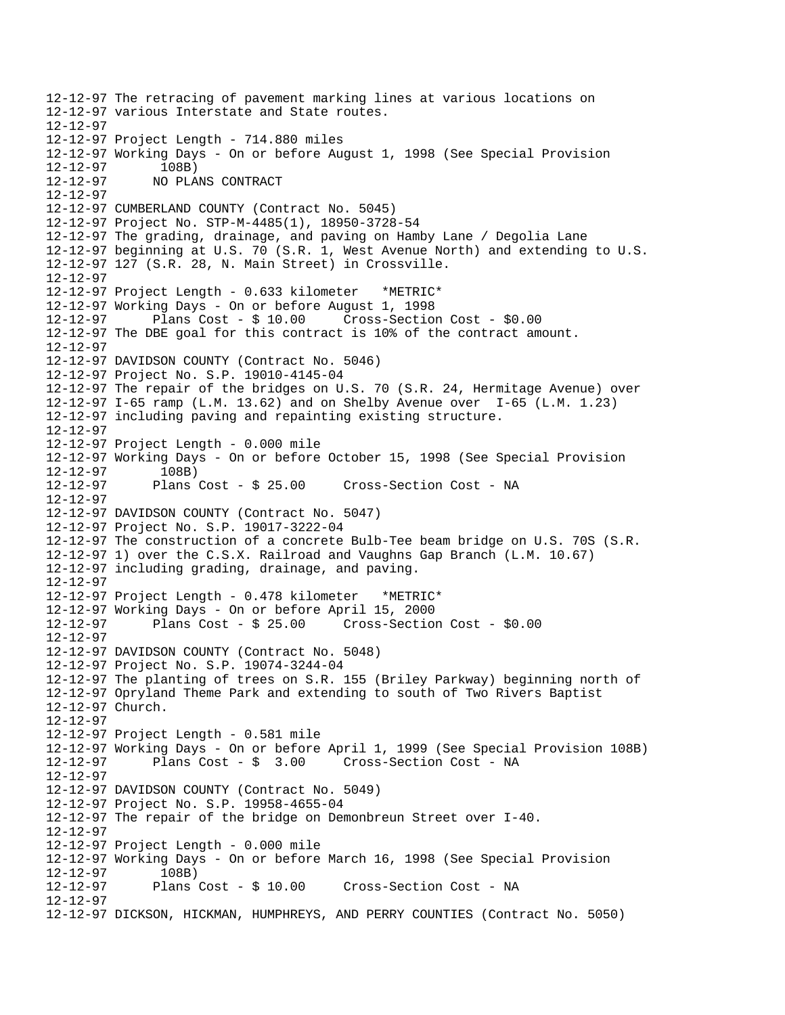```
12-12-97 The retracing of pavement marking lines at various locations on 
12-12-97 various Interstate and State routes. 
12-12-97 
12-12-97 Project Length - 714.880 miles 
12-12-97 Working Days - On or before August 1, 1998 (See Special Provision 
12-12-97 108B)<br>12-12-97 NOPLA
              12-12-97 NO PLANS CONTRACT 
12-12-97 
12-12-97 CUMBERLAND COUNTY (Contract No. 5045) 
12-12-97 Project No. STP-M-4485(1), 18950-3728-54 
12-12-97 The grading, drainage, and paving on Hamby Lane / Degolia Lane 
12-12-97 beginning at U.S. 70 (S.R. 1, West Avenue North) and extending to U.S. 
12-12-97 127 (S.R. 28, N. Main Street) in Crossville. 
12-12-97 
12-12-97 Project Length - 0.633 kilometer *METRIC* 
12-12-97 Working Days - On or before August 1, 1998 
12-12-97 Plans Cost - $ 10.00 Cross-Section Cost - $0.00 
12-12-97 The DBE goal for this contract is 10% of the contract amount. 
12-12-97 
12-12-97 DAVIDSON COUNTY (Contract No. 5046) 
12-12-97 Project No. S.P. 19010-4145-04 
12-12-97 The repair of the bridges on U.S. 70 (S.R. 24, Hermitage Avenue) over 
12-12-97 I-65 ramp (L.M. 13.62) and on Shelby Avenue over I-65 (L.M. 1.23) 
12-12-97 including paving and repainting existing structure. 
12-12-97 
12-12-97 Project Length - 0.000 mile 
12-12-97 Working Days - On or before October 15, 1998 (See Special Provision 
12-12-97 108B) 
12-12-97 Plans Cost - $ 25.00 Cross-Section Cost - NA 
12-12-97 
12-12-97 DAVIDSON COUNTY (Contract No. 5047) 
12-12-97 Project No. S.P. 19017-3222-04 
12-12-97 The construction of a concrete Bulb-Tee beam bridge on U.S. 70S (S.R. 
12-12-97 1) over the C.S.X. Railroad and Vaughns Gap Branch (L.M. 10.67) 
12-12-97 including grading, drainage, and paving. 
12-12-97 
12-12-97 Project Length - 0.478 kilometer *METRIC* 
12-12-97 Working Days - On or before April 15, 2000 
12-12-97 Plans Cost - $ 25.00 Cross-Section Cost - $0.00 
12-12-97 
12-12-97 DAVIDSON COUNTY (Contract No. 5048) 
12-12-97 Project No. S.P. 19074-3244-04 
12-12-97 The planting of trees on S.R. 155 (Briley Parkway) beginning north of 
12-12-97 Opryland Theme Park and extending to south of Two Rivers Baptist 
12-12-97 Church. 
12-12-97 
12-12-97 Project Length - 0.581 mile 
12-12-97 Working Days - On or before April 1, 1999 (See Special Provision 108B) 
                                      Cross-Section Cost - NA
12-12-97 
12-12-97 DAVIDSON COUNTY (Contract No. 5049) 
12-12-97 Project No. S.P. 19958-4655-04 
12-12-97 The repair of the bridge on Demonbreun Street over I-40. 
12-12-97 
12-12-97 Project Length - 0.000 mile 
12-12-97 Working Days - On or before March 16, 1998 (See Special Provision 
12-12-97 108B)<br>12-12-97 Plans Cost - $10.00
                                       Cross-Section Cost - NA
12-12-97 
12-12-97 DICKSON, HICKMAN, HUMPHREYS, AND PERRY COUNTIES (Contract No. 5050)
```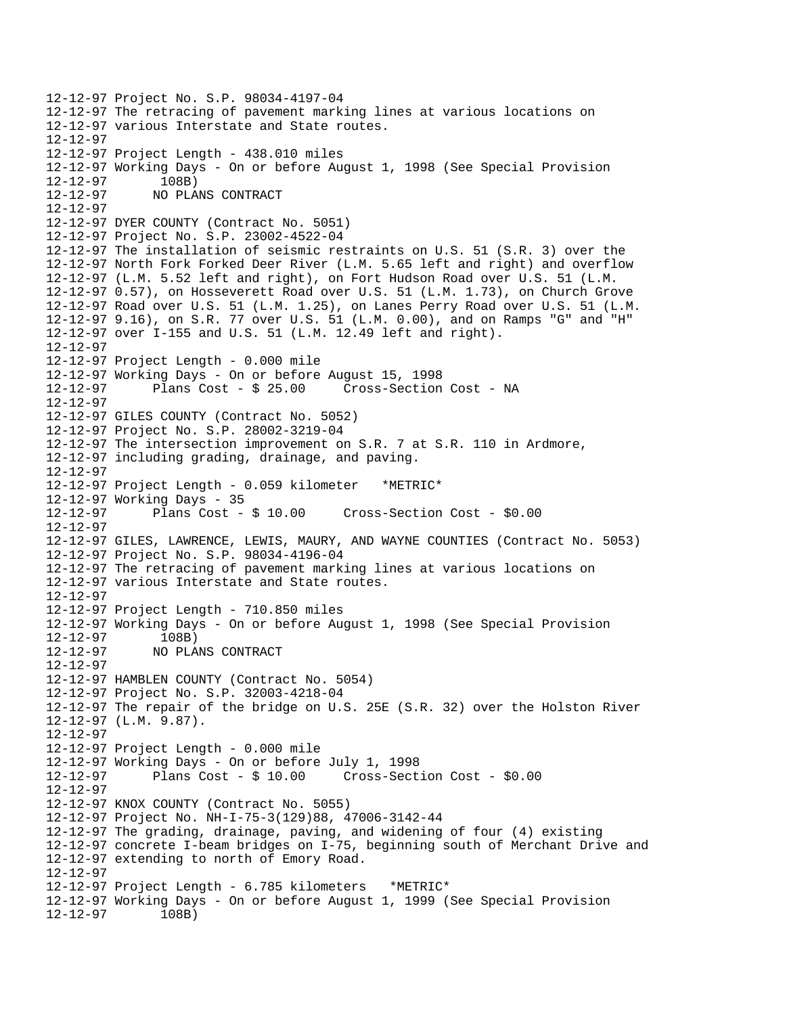```
12-12-97 Project No. S.P. 98034-4197-04 
12-12-97 The retracing of pavement marking lines at various locations on 
12-12-97 various Interstate and State routes. 
12-12-97 
12-12-97 Project Length - 438.010 miles 
12-12-97 Working Days - On or before August 1, 1998 (See Special Provision 
12-12-97 108B) 
12-12-97 NO PLANS CONTRACT 
12-12-97 
12-12-97 DYER COUNTY (Contract No. 5051) 
12-12-97 Project No. S.P. 23002-4522-04 
12-12-97 The installation of seismic restraints on U.S. 51 (S.R. 3) over the 
12-12-97 North Fork Forked Deer River (L.M. 5.65 left and right) and overflow 
12-12-97 (L.M. 5.52 left and right), on Fort Hudson Road over U.S. 51 (L.M. 
12-12-97 0.57), on Hosseverett Road over U.S. 51 (L.M. 1.73), on Church Grove 
12-12-97 Road over U.S. 51 (L.M. 1.25), on Lanes Perry Road over U.S. 51 (L.M. 
12-12-97 9.16), on S.R. 77 over U.S. 51 (L.M. 0.00), and on Ramps "G" and "H" 
12-12-97 over I-155 and U.S. 51 (L.M. 12.49 left and right). 
12-12-97 
12-12-97 Project Length - 0.000 mile 
12-12-97 Working Days - On or before August 15, 1998 
12-12-97 Plans Cost - $ 25.00 Cross-Section Cost - NA 
12-12-97 
12-12-97 GILES COUNTY (Contract No. 5052) 
12-12-97 Project No. S.P. 28002-3219-04 
12-12-97 The intersection improvement on S.R. 7 at S.R. 110 in Ardmore, 
12-12-97 including grading, drainage, and paving. 
12-12-97 
12-12-97 Project Length - 0.059 kilometer *METRIC* 
12-12-97 Working Days - 35 
12-12-97 Plans Cost - $ 10.00 Cross-Section Cost - $0.00 
12-12-97 
12-12-97 GILES, LAWRENCE, LEWIS, MAURY, AND WAYNE COUNTIES (Contract No. 5053) 
12-12-97 Project No. S.P. 98034-4196-04 
12-12-97 The retracing of pavement marking lines at various locations on 
12-12-97 various Interstate and State routes. 
12-12-97 
12-12-97 Project Length - 710.850 miles 
12-12-97 Working Days - On or before August 1, 1998 (See Special Provision 
12-12-97 108B) 
12-12-97 NO PLANS CONTRACT 
12-12-97 
12-12-97 HAMBLEN COUNTY (Contract No. 5054) 
12-12-97 Project No. S.P. 32003-4218-04 
12-12-97 The repair of the bridge on U.S. 25E (S.R. 32) over the Holston River 
12-12-97 (L.M. 9.87). 
12-12-97 
12-12-97 Project Length - 0.000 mile 
12-12-97 Working Days - On or before July 1, 1998 
12-12-97 Plans Cost - $ 10.00 Cross-Section Cost - $0.00 
12-12-97 
12-12-97 KNOX COUNTY (Contract No. 5055) 
12-12-97 Project No. NH-I-75-3(129)88, 47006-3142-44 
12-12-97 The grading, drainage, paving, and widening of four (4) existing 
12-12-97 concrete I-beam bridges on I-75, beginning south of Merchant Drive and 
12-12-97 extending to north of Emory Road. 
12-12-97 
12-12-97 Project Length - 6.785 kilometers *METRIC* 
12-12-97 Working Days - On or before August 1, 1999 (See Special Provision 
12-12-97 108B)
```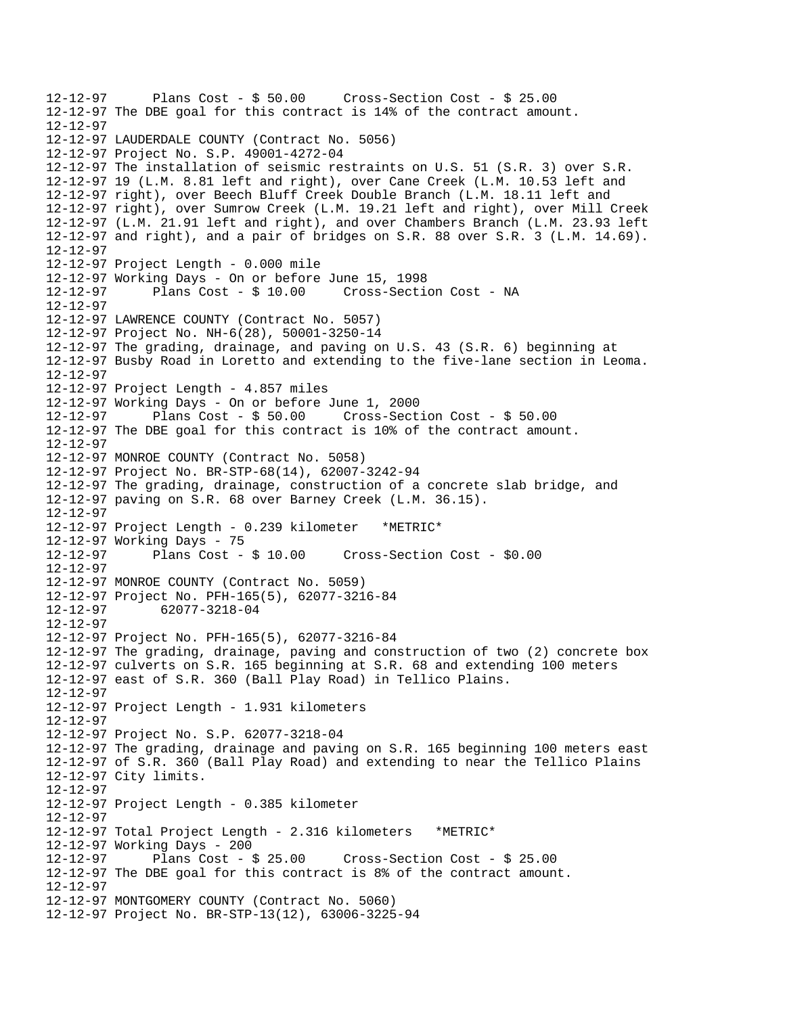12-12-97 Plans Cost - \$ 50.00 Cross-Section Cost - \$ 25.00 12-12-97 The DBE goal for this contract is 14% of the contract amount. 12-12-97 12-12-97 LAUDERDALE COUNTY (Contract No. 5056) 12-12-97 Project No. S.P. 49001-4272-04 12-12-97 The installation of seismic restraints on U.S. 51 (S.R. 3) over S.R. 12-12-97 19 (L.M. 8.81 left and right), over Cane Creek (L.M. 10.53 left and 12-12-97 right), over Beech Bluff Creek Double Branch (L.M. 18.11 left and 12-12-97 right), over Sumrow Creek (L.M. 19.21 left and right), over Mill Creek 12-12-97 (L.M. 21.91 left and right), and over Chambers Branch (L.M. 23.93 left 12-12-97 and right), and a pair of bridges on S.R. 88 over S.R. 3 (L.M. 14.69). 12-12-97 12-12-97 Project Length - 0.000 mile 12-12-97 Working Days - On or before June 15, 1998 12-12-97 Plans Cost - \$ 10.00 Cross-Section Cost - NA 12-12-97 12-12-97 LAWRENCE COUNTY (Contract No. 5057) 12-12-97 Project No. NH-6(28), 50001-3250-14 12-12-97 The grading, drainage, and paving on U.S. 43 (S.R. 6) beginning at 12-12-97 Busby Road in Loretto and extending to the five-lane section in Leoma. 12-12-97 12-12-97 Project Length - 4.857 miles 12-12-97 Working Days - On or before June 1, 2000 12-12-97 Plans Cost - \$ 50.00 Cross-Section Cost - \$ 50.00 12-12-97 The DBE goal for this contract is 10% of the contract amount. 12-12-97 12-12-97 MONROE COUNTY (Contract No. 5058) 12-12-97 Project No. BR-STP-68(14), 62007-3242-94 12-12-97 The grading, drainage, construction of a concrete slab bridge, and 12-12-97 paving on S.R. 68 over Barney Creek (L.M. 36.15). 12-12-97 12-12-97 Project Length - 0.239 kilometer \*METRIC\* 12-12-97 Working Days - 75 12-12-97 Plans Cost - \$ 10.00 Cross-Section Cost - \$0.00 12-12-97 12-12-97 MONROE COUNTY (Contract No. 5059) 12-12-97 Project No. PFH-165(5), 62077-3216-84 12-12-97 62077-3218-04 12-12-97 12-12-97 Project No. PFH-165(5), 62077-3216-84 12-12-97 The grading, drainage, paving and construction of two (2) concrete box 12-12-97 culverts on S.R. 165 beginning at S.R. 68 and extending 100 meters 12-12-97 east of S.R. 360 (Ball Play Road) in Tellico Plains. 12-12-97 12-12-97 Project Length - 1.931 kilometers 12-12-97 12-12-97 Project No. S.P. 62077-3218-04 12-12-97 The grading, drainage and paving on S.R. 165 beginning 100 meters east 12-12-97 of S.R. 360 (Ball Play Road) and extending to near the Tellico Plains 12-12-97 City limits. 12-12-97 12-12-97 Project Length - 0.385 kilometer 12-12-97 12-12-97 Total Project Length - 2.316 kilometers \*METRIC\* 12-12-97 Working Days - 200 12-12-97 Plans Cost - \$ 25.00 Cross-Section Cost - \$ 25.00 12-12-97 The DBE goal for this contract is 8% of the contract amount. 12-12-97 12-12-97 MONTGOMERY COUNTY (Contract No. 5060) 12-12-97 Project No. BR-STP-13(12), 63006-3225-94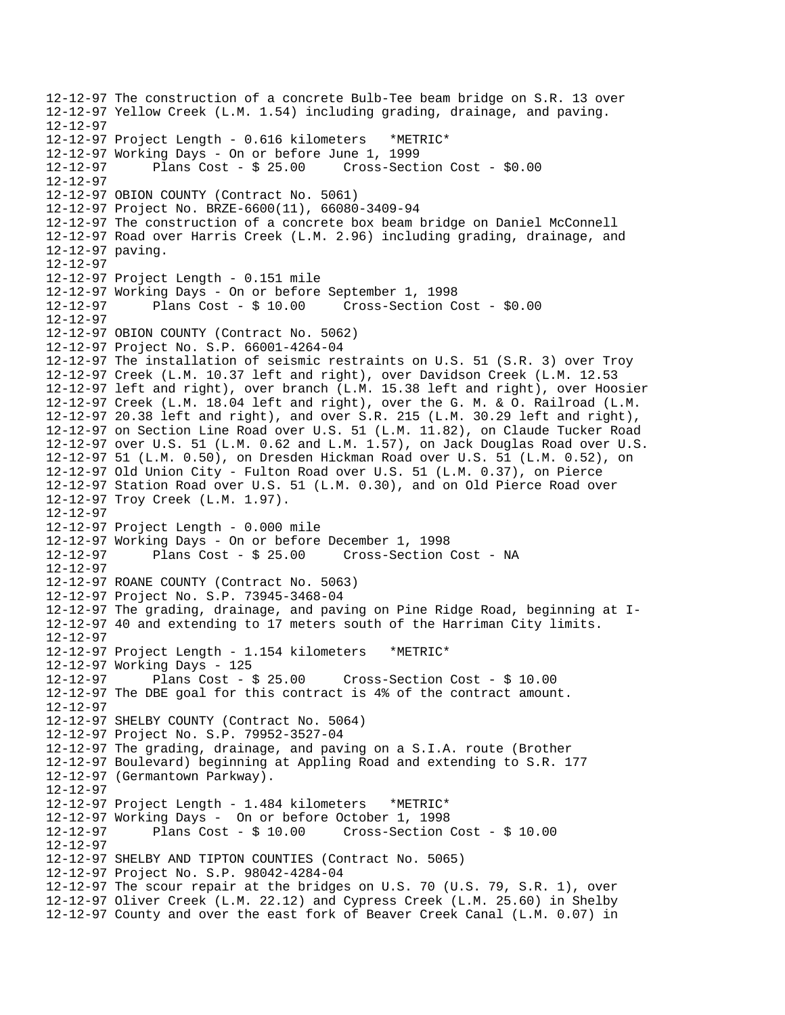12-12-97 The construction of a concrete Bulb-Tee beam bridge on S.R. 13 over 12-12-97 Yellow Creek (L.M. 1.54) including grading, drainage, and paving. 12-12-97 12-12-97 Project Length - 0.616 kilometers \*METRIC\* 12-12-97 Working Days - On or before June 1, 1999 12-12-97 Plans Cost - \$ 25.00 Cross-Section Cost - \$0.00 12-12-97 12-12-97 OBION COUNTY (Contract No. 5061) 12-12-97 Project No. BRZE-6600(11), 66080-3409-94 12-12-97 The construction of a concrete box beam bridge on Daniel McConnell 12-12-97 Road over Harris Creek (L.M. 2.96) including grading, drainage, and 12-12-97 paving. 12-12-97 12-12-97 Project Length - 0.151 mile 12-12-97 Working Days - On or before September 1, 1998 12-12-97 Plans Cost - \$ 10.00 Cross-Section Cost - \$0.00 12-12-97 12-12-97 OBION COUNTY (Contract No. 5062) 12-12-97 Project No. S.P. 66001-4264-04 12-12-97 The installation of seismic restraints on U.S. 51 (S.R. 3) over Troy 12-12-97 Creek (L.M. 10.37 left and right), over Davidson Creek (L.M. 12.53 12-12-97 left and right), over branch (L.M. 15.38 left and right), over Hoosier 12-12-97 Creek (L.M. 18.04 left and right), over the G. M. & O. Railroad (L.M. 12-12-97 20.38 left and right), and over S.R. 215 (L.M. 30.29 left and right), 12-12-97 on Section Line Road over U.S. 51 (L.M. 11.82), on Claude Tucker Road 12-12-97 over U.S. 51 (L.M. 0.62 and L.M. 1.57), on Jack Douglas Road over U.S. 12-12-97 51 (L.M. 0.50), on Dresden Hickman Road over U.S. 51 (L.M. 0.52), on 12-12-97 Old Union City - Fulton Road over U.S. 51 (L.M. 0.37), on Pierce 12-12-97 Station Road over U.S. 51 (L.M. 0.30), and on Old Pierce Road over 12-12-97 Troy Creek (L.M. 1.97). 12-12-97 12-12-97 Project Length - 0.000 mile 12-12-97 Working Days - On or before December 1, 1998 12-12-97 Plans Cost - \$ 25.00 Cross-Section Cost - NA 12-12-97 12-12-97 ROANE COUNTY (Contract No. 5063) 12-12-97 Project No. S.P. 73945-3468-04 12-12-97 The grading, drainage, and paving on Pine Ridge Road, beginning at I-12-12-97 40 and extending to 17 meters south of the Harriman City limits. 12-12-97 12-12-97 Project Length - 1.154 kilometers \*METRIC\* 12-12-97 Working Days - 125 12-12-97 Plans Cost - \$ 25.00 Cross-Section Cost - \$ 10.00 12-12-97 The DBE goal for this contract is 4% of the contract amount. 12-12-97 12-12-97 SHELBY COUNTY (Contract No. 5064) 12-12-97 Project No. S.P. 79952-3527-04 12-12-97 The grading, drainage, and paving on a S.I.A. route (Brother 12-12-97 Boulevard) beginning at Appling Road and extending to S.R. 177 12-12-97 (Germantown Parkway). 12-12-97 12-12-97 Project Length - 1.484 kilometers \*METRIC\* 12-12-97 Working Days - On or before October 1, 1998 12-12-97 Plans Cost - \$ 10.00 Cross-Section Cost - \$ 10.00 12-12-97 12-12-97 SHELBY AND TIPTON COUNTIES (Contract No. 5065) 12-12-97 Project No. S.P. 98042-4284-04 12-12-97 The scour repair at the bridges on U.S. 70 (U.S. 79, S.R. 1), over 12-12-97 Oliver Creek (L.M. 22.12) and Cypress Creek (L.M. 25.60) in Shelby 12-12-97 County and over the east fork of Beaver Creek Canal (L.M. 0.07) in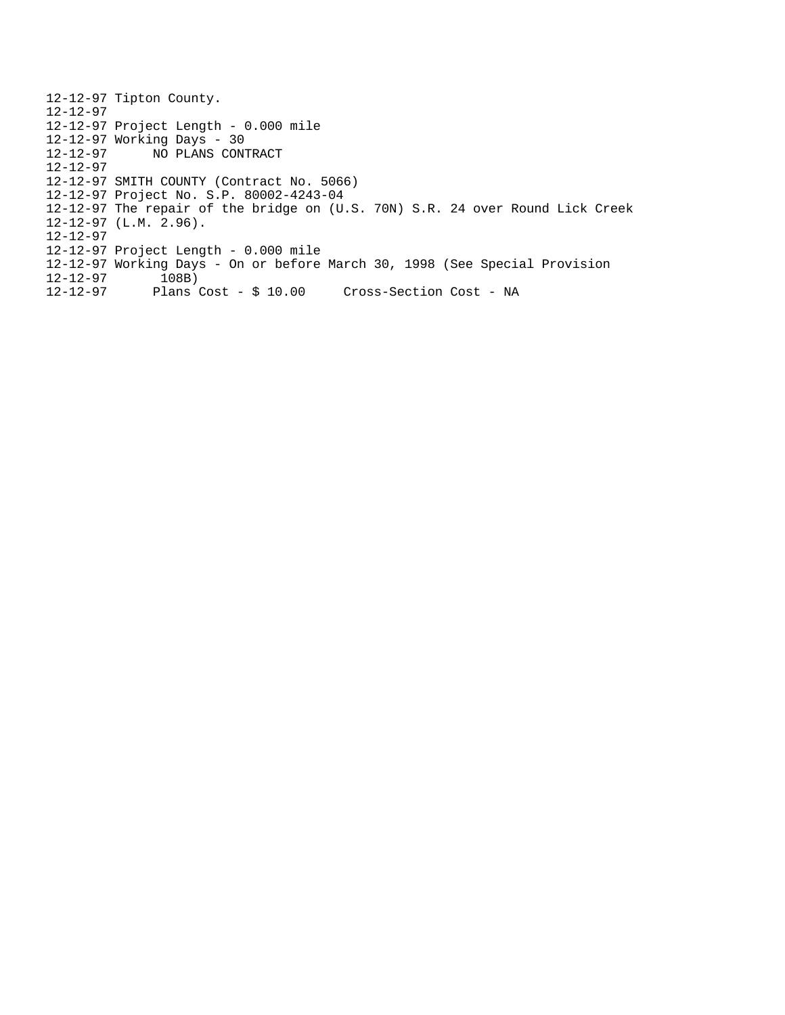12-12-97 Tipton County. 12-12-97 12-12-97 Project Length - 0.000 mile 12-12-97 Working Days - 30<br>12-12-97 NO PLANS CONT 12-12-97 NO PLANS CONTRACT 12-12-97 12-12-97 SMITH COUNTY (Contract No. 5066) 12-12-97 Project No. S.P. 80002-4243-04 12-12-97 The repair of the bridge on (U.S. 70N) S.R. 24 over Round Lick Creek 12-12-97 (L.M. 2.96). 12-12-97 12-12-97 Project Length - 0.000 mile  $12-12-97$  Working Days - On or before March 30, 1998 (See Special Provision  $12-12-97$  108B) 12-12-97<br>12-12-97 Plans Cost - \$ 10.00 Cross-Section Cost - NA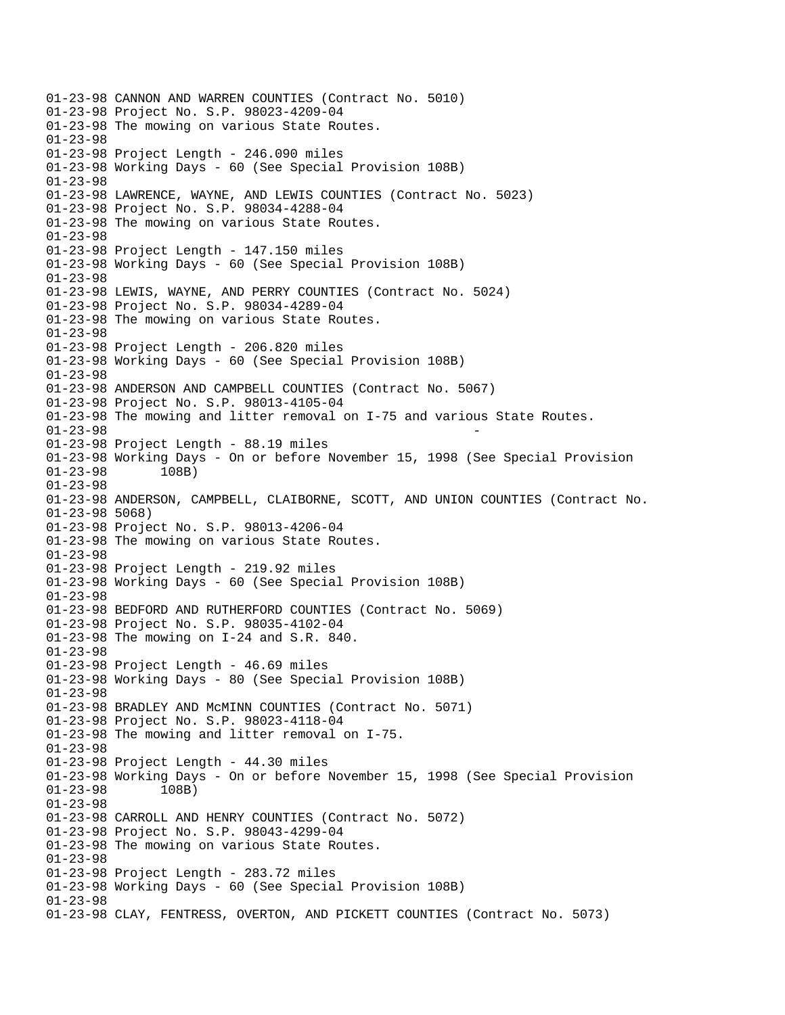01-23-98 CANNON AND WARREN COUNTIES (Contract No. 5010) 01-23-98 Project No. S.P. 98023-4209-04 01-23-98 The mowing on various State Routes. 01-23-98 01-23-98 Project Length - 246.090 miles 01-23-98 Working Days - 60 (See Special Provision 108B) 01-23-98 01-23-98 LAWRENCE, WAYNE, AND LEWIS COUNTIES (Contract No. 5023) 01-23-98 Project No. S.P. 98034-4288-04 01-23-98 The mowing on various State Routes. 01-23-98 01-23-98 Project Length - 147.150 miles 01-23-98 Working Days - 60 (See Special Provision 108B) 01-23-98 01-23-98 LEWIS, WAYNE, AND PERRY COUNTIES (Contract No. 5024) 01-23-98 Project No. S.P. 98034-4289-04 01-23-98 The mowing on various State Routes. 01-23-98 01-23-98 Project Length - 206.820 miles 01-23-98 Working Days - 60 (See Special Provision 108B) 01-23-98 01-23-98 ANDERSON AND CAMPBELL COUNTIES (Contract No. 5067) 01-23-98 Project No. S.P. 98013-4105-04 01-23-98 The mowing and litter removal on I-75 and various State Routes. 01-23-98 01-23-98 Project Length - 88.19 miles 01-23-98 Working Days - On or before November 15, 1998 (See Special Provision 01-23-98 108B) 01-23-98 01-23-98 ANDERSON, CAMPBELL, CLAIBORNE, SCOTT, AND UNION COUNTIES (Contract No. 01-23-98 5068) 01-23-98 Project No. S.P. 98013-4206-04 01-23-98 The mowing on various State Routes. 01-23-98 01-23-98 Project Length - 219.92 miles 01-23-98 Working Days - 60 (See Special Provision 108B) 01-23-98 01-23-98 BEDFORD AND RUTHERFORD COUNTIES (Contract No. 5069) 01-23-98 Project No. S.P. 98035-4102-04 01-23-98 The mowing on I-24 and S.R. 840. 01-23-98 01-23-98 Project Length - 46.69 miles 01-23-98 Working Days - 80 (See Special Provision 108B) 01-23-98 01-23-98 BRADLEY AND McMINN COUNTIES (Contract No. 5071) 01-23-98 Project No. S.P. 98023-4118-04 01-23-98 The mowing and litter removal on I-75. 01-23-98 01-23-98 Project Length - 44.30 miles 01-23-98 Working Days - On or before November 15, 1998 (See Special Provision 01-23-98 108B) 01-23-98 01-23-98 CARROLL AND HENRY COUNTIES (Contract No. 5072) 01-23-98 Project No. S.P. 98043-4299-04 01-23-98 The mowing on various State Routes. 01-23-98 01-23-98 Project Length - 283.72 miles 01-23-98 Working Days - 60 (See Special Provision 108B) 01-23-98 01-23-98 CLAY, FENTRESS, OVERTON, AND PICKETT COUNTIES (Contract No. 5073)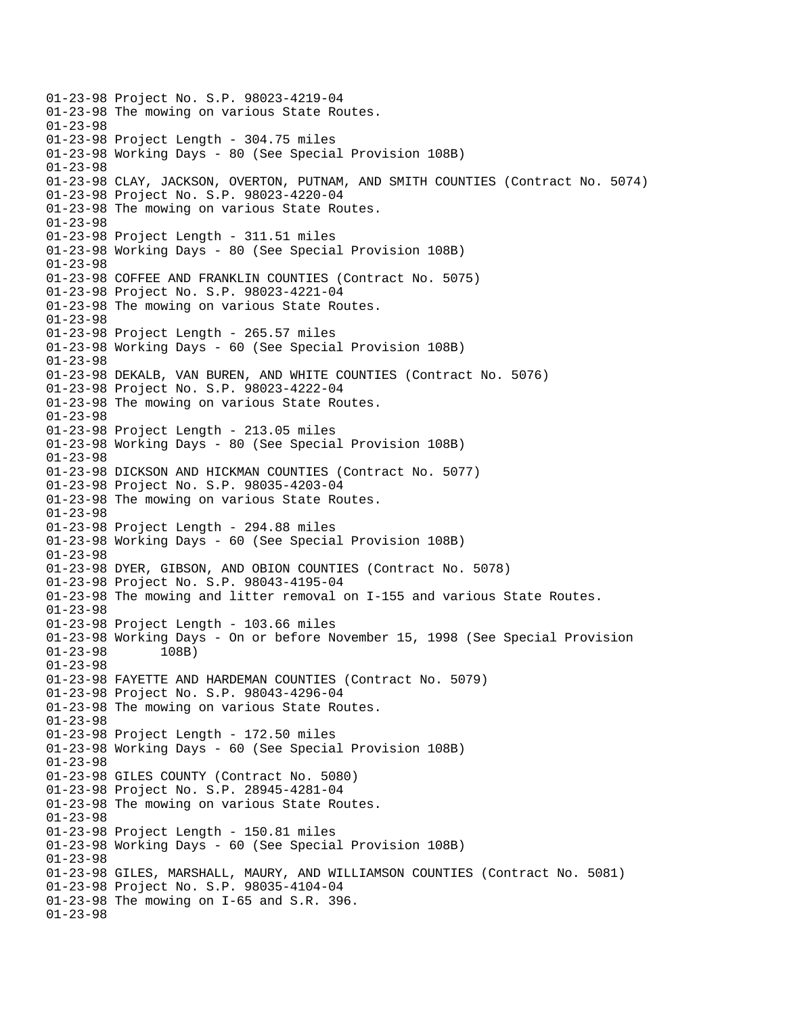01-23-98 Project No. S.P. 98023-4219-04 01-23-98 The mowing on various State Routes. 01-23-98 01-23-98 Project Length - 304.75 miles 01-23-98 Working Days - 80 (See Special Provision 108B) 01-23-98 01-23-98 CLAY, JACKSON, OVERTON, PUTNAM, AND SMITH COUNTIES (Contract No. 5074) 01-23-98 Project No. S.P. 98023-4220-04 01-23-98 The mowing on various State Routes. 01-23-98 01-23-98 Project Length - 311.51 miles 01-23-98 Working Days - 80 (See Special Provision 108B) 01-23-98 01-23-98 COFFEE AND FRANKLIN COUNTIES (Contract No. 5075) 01-23-98 Project No. S.P. 98023-4221-04 01-23-98 The mowing on various State Routes. 01-23-98 01-23-98 Project Length - 265.57 miles 01-23-98 Working Days - 60 (See Special Provision 108B) 01-23-98 01-23-98 DEKALB, VAN BUREN, AND WHITE COUNTIES (Contract No. 5076) 01-23-98 Project No. S.P. 98023-4222-04 01-23-98 The mowing on various State Routes. 01-23-98 01-23-98 Project Length - 213.05 miles 01-23-98 Working Days - 80 (See Special Provision 108B) 01-23-98 01-23-98 DICKSON AND HICKMAN COUNTIES (Contract No. 5077) 01-23-98 Project No. S.P. 98035-4203-04 01-23-98 The mowing on various State Routes. 01-23-98 01-23-98 Project Length - 294.88 miles 01-23-98 Working Days - 60 (See Special Provision 108B) 01-23-98 01-23-98 DYER, GIBSON, AND OBION COUNTIES (Contract No. 5078) 01-23-98 Project No. S.P. 98043-4195-04 01-23-98 The mowing and litter removal on I-155 and various State Routes. 01-23-98 01-23-98 Project Length - 103.66 miles 01-23-98 Working Days - On or before November 15, 1998 (See Special Provision 01-23-98 108B) 01-23-98 01-23-98 FAYETTE AND HARDEMAN COUNTIES (Contract No. 5079) 01-23-98 Project No. S.P. 98043-4296-04 01-23-98 The mowing on various State Routes. 01-23-98 01-23-98 Project Length - 172.50 miles 01-23-98 Working Days - 60 (See Special Provision 108B) 01-23-98 01-23-98 GILES COUNTY (Contract No. 5080) 01-23-98 Project No. S.P. 28945-4281-04 01-23-98 The mowing on various State Routes. 01-23-98 01-23-98 Project Length - 150.81 miles 01-23-98 Working Days - 60 (See Special Provision 108B) 01-23-98 01-23-98 GILES, MARSHALL, MAURY, AND WILLIAMSON COUNTIES (Contract No. 5081) 01-23-98 Project No. S.P. 98035-4104-04 01-23-98 The mowing on I-65 and S.R. 396. 01-23-98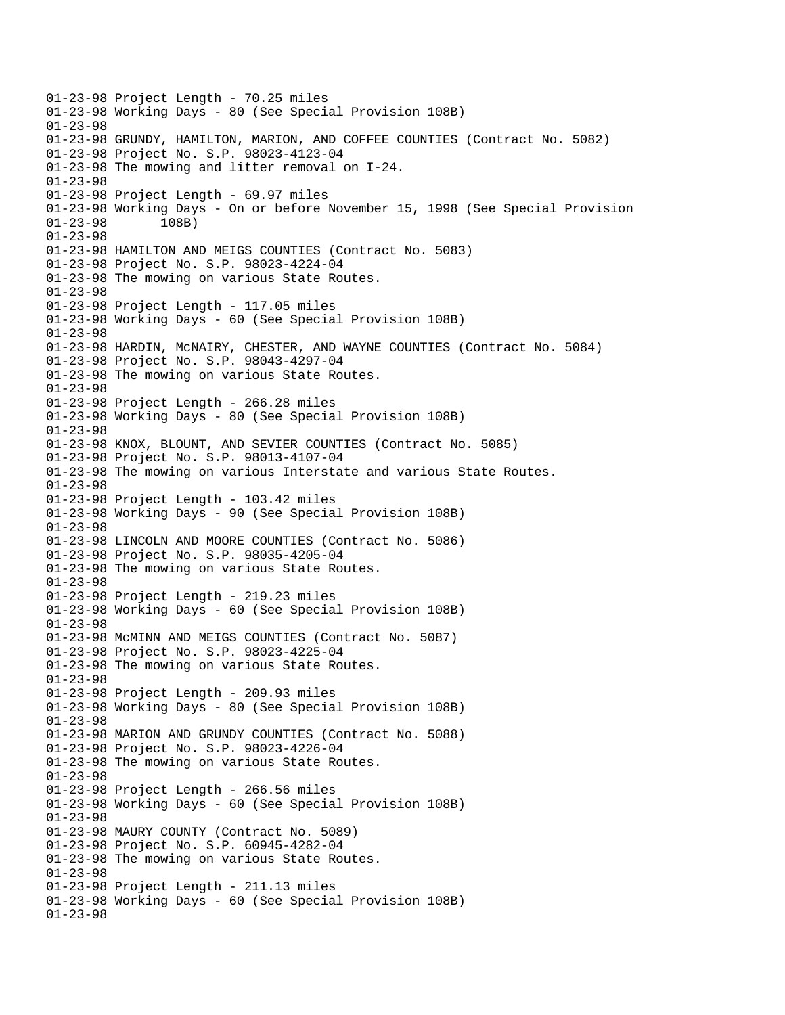01-23-98 Project Length - 70.25 miles 01-23-98 Working Days - 80 (See Special Provision 108B) 01-23-98 01-23-98 GRUNDY, HAMILTON, MARION, AND COFFEE COUNTIES (Contract No. 5082) 01-23-98 Project No. S.P. 98023-4123-04 01-23-98 The mowing and litter removal on I-24. 01-23-98 01-23-98 Project Length - 69.97 miles 01-23-98 Working Days - On or before November 15, 1998 (See Special Provision 01-23-98 108B) 01-23-98 01-23-98 HAMILTON AND MEIGS COUNTIES (Contract No. 5083) 01-23-98 Project No. S.P. 98023-4224-04 01-23-98 The mowing on various State Routes. 01-23-98 01-23-98 Project Length - 117.05 miles 01-23-98 Working Days - 60 (See Special Provision 108B) 01-23-98 01-23-98 HARDIN, McNAIRY, CHESTER, AND WAYNE COUNTIES (Contract No. 5084) 01-23-98 Project No. S.P. 98043-4297-04 01-23-98 The mowing on various State Routes. 01-23-98 01-23-98 Project Length - 266.28 miles 01-23-98 Working Days - 80 (See Special Provision 108B) 01-23-98 01-23-98 KNOX, BLOUNT, AND SEVIER COUNTIES (Contract No. 5085) 01-23-98 Project No. S.P. 98013-4107-04 01-23-98 The mowing on various Interstate and various State Routes. 01-23-98 01-23-98 Project Length - 103.42 miles 01-23-98 Working Days - 90 (See Special Provision 108B) 01-23-98 01-23-98 LINCOLN AND MOORE COUNTIES (Contract No. 5086) 01-23-98 Project No. S.P. 98035-4205-04 01-23-98 The mowing on various State Routes. 01-23-98 01-23-98 Project Length - 219.23 miles 01-23-98 Working Days - 60 (See Special Provision 108B) 01-23-98 01-23-98 McMINN AND MEIGS COUNTIES (Contract No. 5087) 01-23-98 Project No. S.P. 98023-4225-04 01-23-98 The mowing on various State Routes. 01-23-98 01-23-98 Project Length - 209.93 miles 01-23-98 Working Days - 80 (See Special Provision 108B) 01-23-98 01-23-98 MARION AND GRUNDY COUNTIES (Contract No. 5088) 01-23-98 Project No. S.P. 98023-4226-04 01-23-98 The mowing on various State Routes. 01-23-98 01-23-98 Project Length - 266.56 miles 01-23-98 Working Days - 60 (See Special Provision 108B) 01-23-98 01-23-98 MAURY COUNTY (Contract No. 5089) 01-23-98 Project No. S.P. 60945-4282-04 01-23-98 The mowing on various State Routes. 01-23-98 01-23-98 Project Length - 211.13 miles 01-23-98 Working Days - 60 (See Special Provision 108B) 01-23-98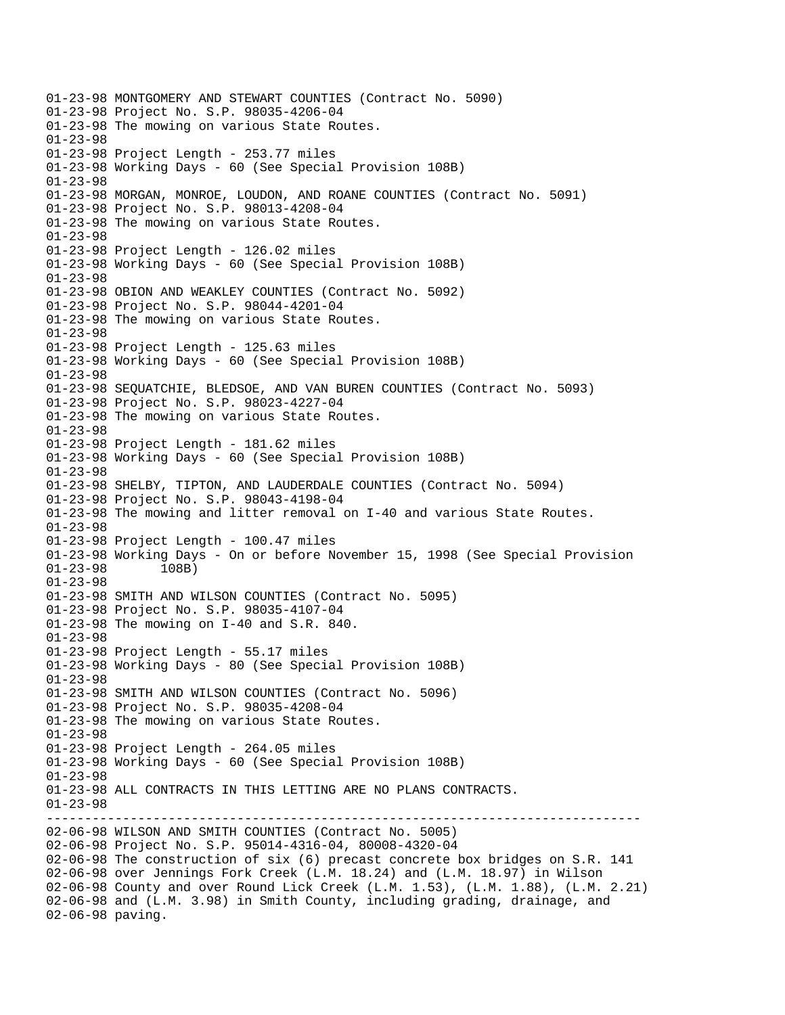------------------------------------------------------------------------------ 01-23-98 MONTGOMERY AND STEWART COUNTIES (Contract No. 5090) 01-23-98 Project No. S.P. 98035-4206-04 01-23-98 The mowing on various State Routes. 01-23-98 01-23-98 Project Length - 253.77 miles 01-23-98 Working Days - 60 (See Special Provision 108B) 01-23-98 01-23-98 MORGAN, MONROE, LOUDON, AND ROANE COUNTIES (Contract No. 5091) 01-23-98 Project No. S.P. 98013-4208-04 01-23-98 The mowing on various State Routes. 01-23-98 01-23-98 Project Length - 126.02 miles 01-23-98 Working Days - 60 (See Special Provision 108B) 01-23-98 01-23-98 OBION AND WEAKLEY COUNTIES (Contract No. 5092) 01-23-98 Project No. S.P. 98044-4201-04 01-23-98 The mowing on various State Routes. 01-23-98 01-23-98 Project Length - 125.63 miles 01-23-98 Working Days - 60 (See Special Provision 108B) 01-23-98 01-23-98 SEQUATCHIE, BLEDSOE, AND VAN BUREN COUNTIES (Contract No. 5093) 01-23-98 Project No. S.P. 98023-4227-04 01-23-98 The mowing on various State Routes. 01-23-98 01-23-98 Project Length - 181.62 miles 01-23-98 Working Days - 60 (See Special Provision 108B) 01-23-98 01-23-98 SHELBY, TIPTON, AND LAUDERDALE COUNTIES (Contract No. 5094) 01-23-98 Project No. S.P. 98043-4198-04 01-23-98 The mowing and litter removal on I-40 and various State Routes. 01-23-98 01-23-98 Project Length - 100.47 miles 01-23-98 Working Days - On or before November 15, 1998 (See Special Provision  $01-23-98$  108B)  $01 - 23 - 98$ 01-23-98 01-23-98 SMITH AND WILSON COUNTIES (Contract No. 5095) 01-23-98 Project No. S.P. 98035-4107-04 01-23-98 The mowing on I-40 and S.R. 840. 01-23-98 01-23-98 Project Length - 55.17 miles 01-23-98 Working Days - 80 (See Special Provision 108B) 01-23-98 01-23-98 SMITH AND WILSON COUNTIES (Contract No. 5096) 01-23-98 Project No. S.P. 98035-4208-04 01-23-98 The mowing on various State Routes. 01-23-98 01-23-98 Project Length - 264.05 miles 01-23-98 Working Days - 60 (See Special Provision 108B) 01-23-98 01-23-98 ALL CONTRACTS IN THIS LETTING ARE NO PLANS CONTRACTS. 01-23-98 02-06-98 WILSON AND SMITH COUNTIES (Contract No. 5005) 02-06-98 Project No. S.P. 95014-4316-04, 80008-4320-04 02-06-98 The construction of six (6) precast concrete box bridges on S.R. 141 02-06-98 over Jennings Fork Creek (L.M. 18.24) and (L.M. 18.97) in Wilson 02-06-98 County and over Round Lick Creek (L.M. 1.53), (L.M. 1.88), (L.M. 2.21) 02-06-98 and (L.M. 3.98) in Smith County, including grading, drainage, and 02-06-98 paving.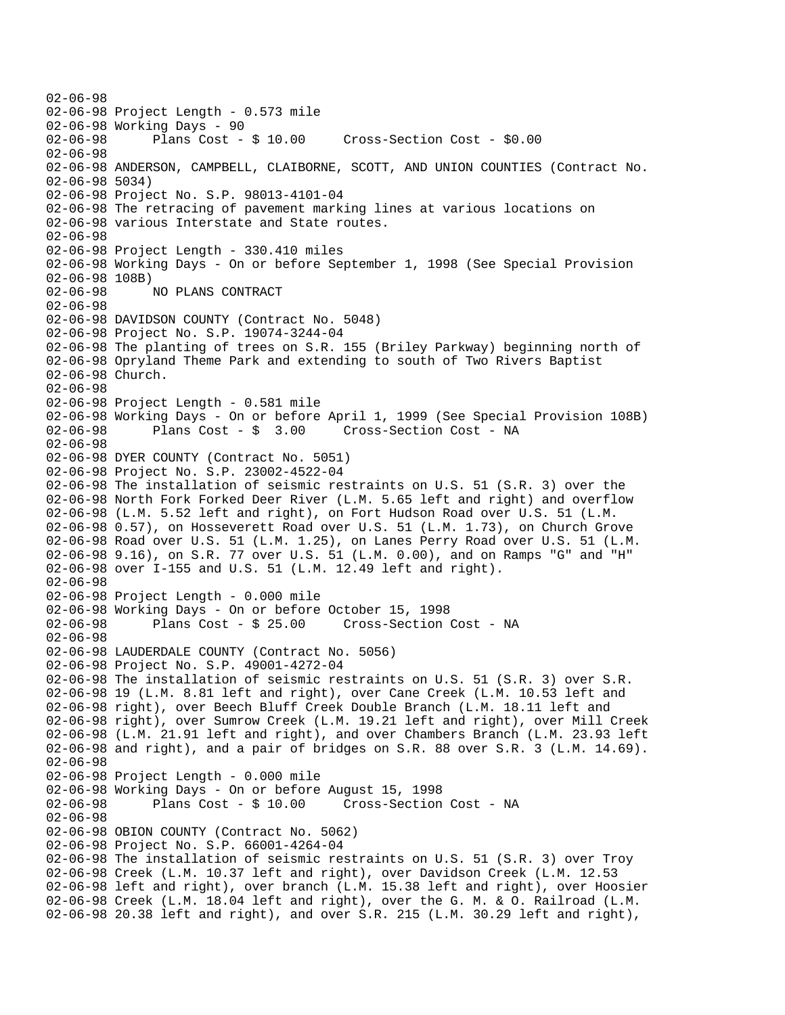02-06-98 02-06-98 Project Length - 0.573 mile 02-06-98 Working Days - 90 02-06-98 Plans Cost - \$ 10.00 Cross-Section Cost - \$0.00 02-06-98 02-06-98 ANDERSON, CAMPBELL, CLAIBORNE, SCOTT, AND UNION COUNTIES (Contract No. 02-06-98 5034) 02-06-98 Project No. S.P. 98013-4101-04 02-06-98 The retracing of pavement marking lines at various locations on 02-06-98 various Interstate and State routes. 02-06-98 02-06-98 Project Length - 330.410 miles 02-06-98 Working Days - On or before September 1, 1998 (See Special Provision  $02-06-98$  108B)<br>02-06-98 02-06-98 NO PLANS CONTRACT 02-06-98 02-06-98 DAVIDSON COUNTY (Contract No. 5048) 02-06-98 Project No. S.P. 19074-3244-04 02-06-98 The planting of trees on S.R. 155 (Briley Parkway) beginning north of 02-06-98 Opryland Theme Park and extending to south of Two Rivers Baptist 02-06-98 Church. 02-06-98 02-06-98 Project Length - 0.581 mile 02-06-98 Working Days - On or before April 1, 1999 (See Special Provision 108B) Cross-Section Cost - NA 02-06-98 02-06-98 DYER COUNTY (Contract No. 5051) 02-06-98 Project No. S.P. 23002-4522-04 02-06-98 The installation of seismic restraints on U.S. 51 (S.R. 3) over the 02-06-98 North Fork Forked Deer River (L.M. 5.65 left and right) and overflow 02-06-98 (L.M. 5.52 left and right), on Fort Hudson Road over U.S. 51 (L.M. 02-06-98 0.57), on Hosseverett Road over U.S. 51 (L.M. 1.73), on Church Grove 02-06-98 Road over U.S. 51 (L.M. 1.25), on Lanes Perry Road over U.S. 51 (L.M. 02-06-98 9.16), on S.R. 77 over U.S. 51 (L.M. 0.00), and on Ramps "G" and "H" 02-06-98 over I-155 and U.S. 51 (L.M. 12.49 left and right). 02-06-98 02-06-98 Project Length - 0.000 mile 02-06-98 Working Days - On or before October 15, 1998 02-06-98 Plans Cost - \$ 25.00 Cross-Section Cost - NA 02-06-98 02-06-98 LAUDERDALE COUNTY (Contract No. 5056) 02-06-98 Project No. S.P. 49001-4272-04 02-06-98 The installation of seismic restraints on U.S. 51 (S.R. 3) over S.R. 02-06-98 19 (L.M. 8.81 left and right), over Cane Creek (L.M. 10.53 left and 02-06-98 right), over Beech Bluff Creek Double Branch (L.M. 18.11 left and 02-06-98 right), over Sumrow Creek (L.M. 19.21 left and right), over Mill Creek 02-06-98 (L.M. 21.91 left and right), and over Chambers Branch (L.M. 23.93 left 02-06-98 and right), and a pair of bridges on S.R. 88 over S.R. 3 (L.M. 14.69). 02-06-98 02-06-98 Project Length - 0.000 mile 02-06-98 Working Days - On or before August 15, 1998 02-06-98 Plans Cost - \$ 10.00 Cross-Section Cost - NA 02-06-98 02-06-98 OBION COUNTY (Contract No. 5062) 02-06-98 Project No. S.P. 66001-4264-04 02-06-98 The installation of seismic restraints on U.S. 51 (S.R. 3) over Troy 02-06-98 Creek (L.M. 10.37 left and right), over Davidson Creek (L.M. 12.53 02-06-98 left and right), over branch (L.M. 15.38 left and right), over Hoosier 02-06-98 Creek (L.M. 18.04 left and right), over the G. M. & O. Railroad (L.M. 02-06-98 20.38 left and right), and over S.R. 215 (L.M. 30.29 left and right),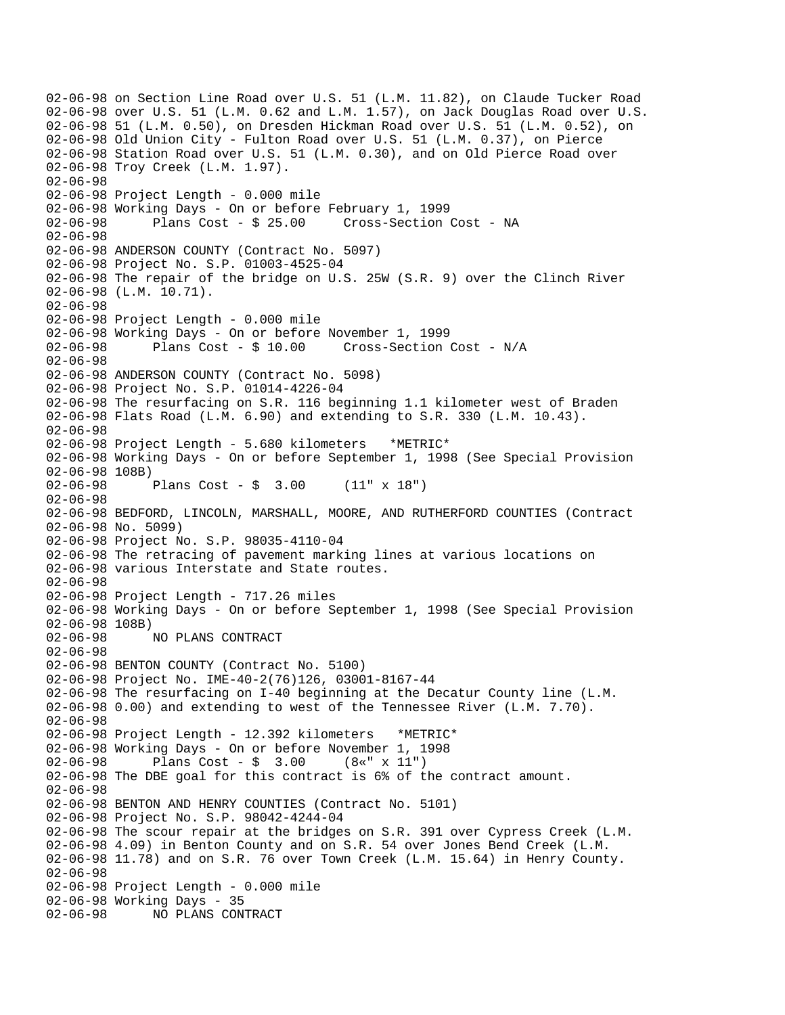02-06-98 on Section Line Road over U.S. 51 (L.M. 11.82), on Claude Tucker Road 02-06-98 over U.S. 51 (L.M. 0.62 and L.M. 1.57), on Jack Douglas Road over U.S. 02-06-98 51 (L.M. 0.50), on Dresden Hickman Road over U.S. 51 (L.M. 0.52), on 02-06-98 Old Union City - Fulton Road over U.S. 51 (L.M. 0.37), on Pierce 02-06-98 Station Road over U.S. 51 (L.M. 0.30), and on Old Pierce Road over 02-06-98 Troy Creek (L.M. 1.97). 02-06-98 02-06-98 Project Length - 0.000 mile 02-06-98 Working Days - On or before February 1, 1999 02-06-98 Plans Cost - \$ 25.00 Cross-Section Cost - NA 02-06-98 02-06-98 ANDERSON COUNTY (Contract No. 5097) 02-06-98 Project No. S.P. 01003-4525-04 02-06-98 The repair of the bridge on U.S. 25W (S.R. 9) over the Clinch River 02-06-98 (L.M. 10.71). 02-06-98 02-06-98 Project Length - 0.000 mile 02-06-98 Working Days - On or before November 1, 1999 02-06-98 Plans Cost - \$ 10.00 Cross-Section Cost - N/A 02-06-98 02-06-98 ANDERSON COUNTY (Contract No. 5098) 02-06-98 Project No. S.P. 01014-4226-04 02-06-98 The resurfacing on S.R. 116 beginning 1.1 kilometer west of Braden 02-06-98 Flats Road (L.M. 6.90) and extending to S.R. 330 (L.M. 10.43). 02-06-98 02-06-98 Project Length - 5.680 kilometers \*METRIC\* 02-06-98 Working Days - On or before September 1, 1998 (See Special Provision 02-06-98 108B) 02-06-98 Plans Cost - \$ 3.00 (11" x 18") 02-06-98 02-06-98 BEDFORD, LINCOLN, MARSHALL, MOORE, AND RUTHERFORD COUNTIES (Contract 02-06-98 No. 5099) 02-06-98 Project No. S.P. 98035-4110-04 02-06-98 The retracing of pavement marking lines at various locations on 02-06-98 various Interstate and State routes. 02-06-98 02-06-98 Project Length - 717.26 miles 02-06-98 Working Days - On or before September 1, 1998 (See Special Provision 02-06-98 108B) 02-06-98 NO PLANS CONTRACT 02-06-98 02-06-98 BENTON COUNTY (Contract No. 5100) 02-06-98 Project No. IME-40-2(76)126, 03001-8167-44 02-06-98 The resurfacing on I-40 beginning at the Decatur County line (L.M. 02-06-98 0.00) and extending to west of the Tennessee River (L.M. 7.70). 02-06-98 02-06-98 Project Length - 12.392 kilometers \*METRIC\* 02-06-98 Working Days - On or before November 1, 1998 02-06-98 Plans Cost - \$ 3.00 (8«" x 11") 02-06-98 The DBE goal for this contract is 6% of the contract amount. 02-06-98 02-06-98 BENTON AND HENRY COUNTIES (Contract No. 5101) 02-06-98 Project No. S.P. 98042-4244-04 02-06-98 The scour repair at the bridges on S.R. 391 over Cypress Creek (L.M. 02-06-98 4.09) in Benton County and on S.R. 54 over Jones Bend Creek (L.M. 02-06-98 11.78) and on S.R. 76 over Town Creek (L.M. 15.64) in Henry County. 02-06-98 02-06-98 Project Length - 0.000 mile 02-06-98 Working Days - 35 02-06-98 NO PLANS CONTRACT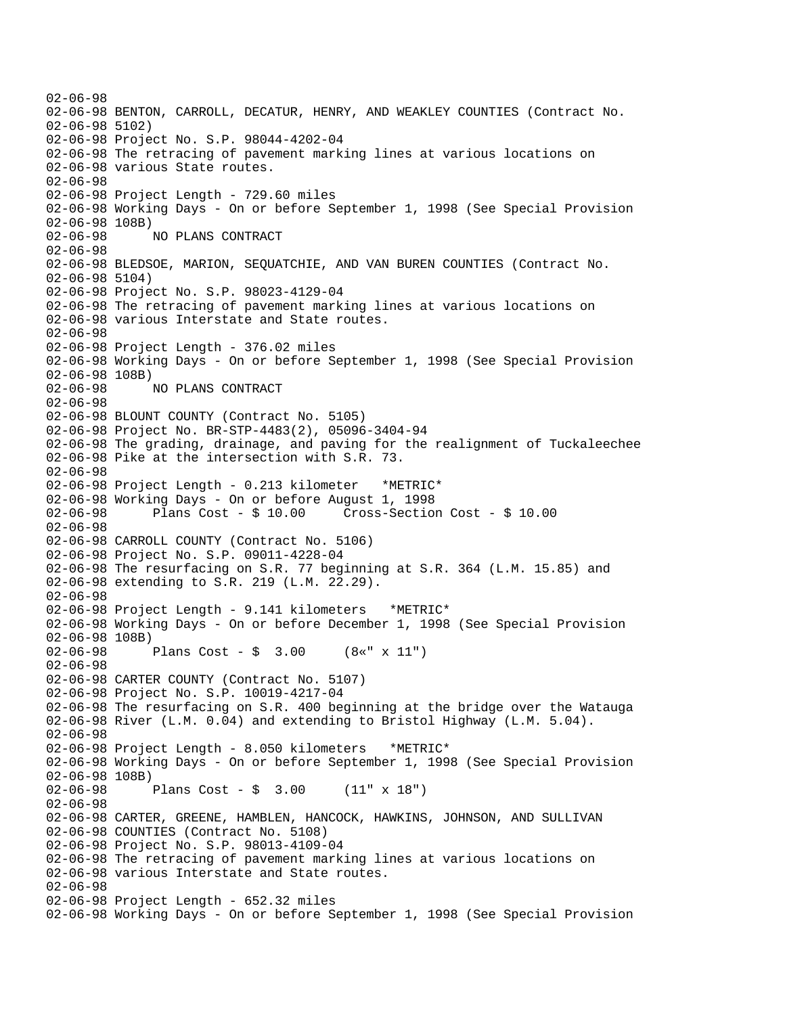02-06-98 02-06-98 BENTON, CARROLL, DECATUR, HENRY, AND WEAKLEY COUNTIES (Contract No. 02-06-98 5102) 02-06-98 Project No. S.P. 98044-4202-04 02-06-98 The retracing of pavement marking lines at various locations on 02-06-98 various State routes. 02-06-98 02-06-98 Project Length - 729.60 miles 02-06-98 Working Days - On or before September 1, 1998 (See Special Provision 02-06-98 108B) 02-06-98 NO PLANS CONTRACT 02-06-98 02-06-98 BLEDSOE, MARION, SEQUATCHIE, AND VAN BUREN COUNTIES (Contract No. 02-06-98 5104) 02-06-98 Project No. S.P. 98023-4129-04 02-06-98 The retracing of pavement marking lines at various locations on 02-06-98 various Interstate and State routes. 02-06-98 02-06-98 Project Length - 376.02 miles 02-06-98 Working Days - On or before September 1, 1998 (See Special Provision 02-06-98 108B)<br>02-06-98 1 02-06-98 NO PLANS CONTRACT 02-06-98 02-06-98 BLOUNT COUNTY (Contract No. 5105) 02-06-98 Project No. BR-STP-4483(2), 05096-3404-94 02-06-98 The grading, drainage, and paving for the realignment of Tuckaleechee 02-06-98 Pike at the intersection with S.R. 73. 02-06-98 02-06-98 Project Length - 0.213 kilometer \*METRIC\* 02-06-98 Working Days - On or before August 1, 1998 02-06-98 Plans Cost - \$ 10.00 Cross-Section Cost - \$ 10.00 02-06-98 02-06-98 CARROLL COUNTY (Contract No. 5106) 02-06-98 Project No. S.P. 09011-4228-04 02-06-98 The resurfacing on S.R. 77 beginning at S.R. 364 (L.M. 15.85) and 02-06-98 extending to S.R. 219 (L.M. 22.29). 02-06-98 02-06-98 Project Length - 9.141 kilometers \*METRIC\* 02-06-98 Working Days - On or before December 1, 1998 (See Special Provision 02-06-98 108B) 02-06-98 Plans Cost - \$ 3.00 (8«" x 11") 02-06-98 02-06-98 CARTER COUNTY (Contract No. 5107) 02-06-98 Project No. S.P. 10019-4217-04 02-06-98 The resurfacing on S.R. 400 beginning at the bridge over the Watauga 02-06-98 River (L.M. 0.04) and extending to Bristol Highway (L.M. 5.04). 02-06-98 02-06-98 Project Length - 8.050 kilometers \*METRIC\* 02-06-98 Working Days - On or before September 1, 1998 (See Special Provision 02-06-98 108B)<br>02-06-98 Plans Cost -  $$ 3.00$  (11" x 18") 02-06-98 02-06-98 CARTER, GREENE, HAMBLEN, HANCOCK, HAWKINS, JOHNSON, AND SULLIVAN 02-06-98 COUNTIES (Contract No. 5108) 02-06-98 Project No. S.P. 98013-4109-04 02-06-98 The retracing of pavement marking lines at various locations on 02-06-98 various Interstate and State routes. 02-06-98 02-06-98 Project Length - 652.32 miles 02-06-98 Working Days - On or before September 1, 1998 (See Special Provision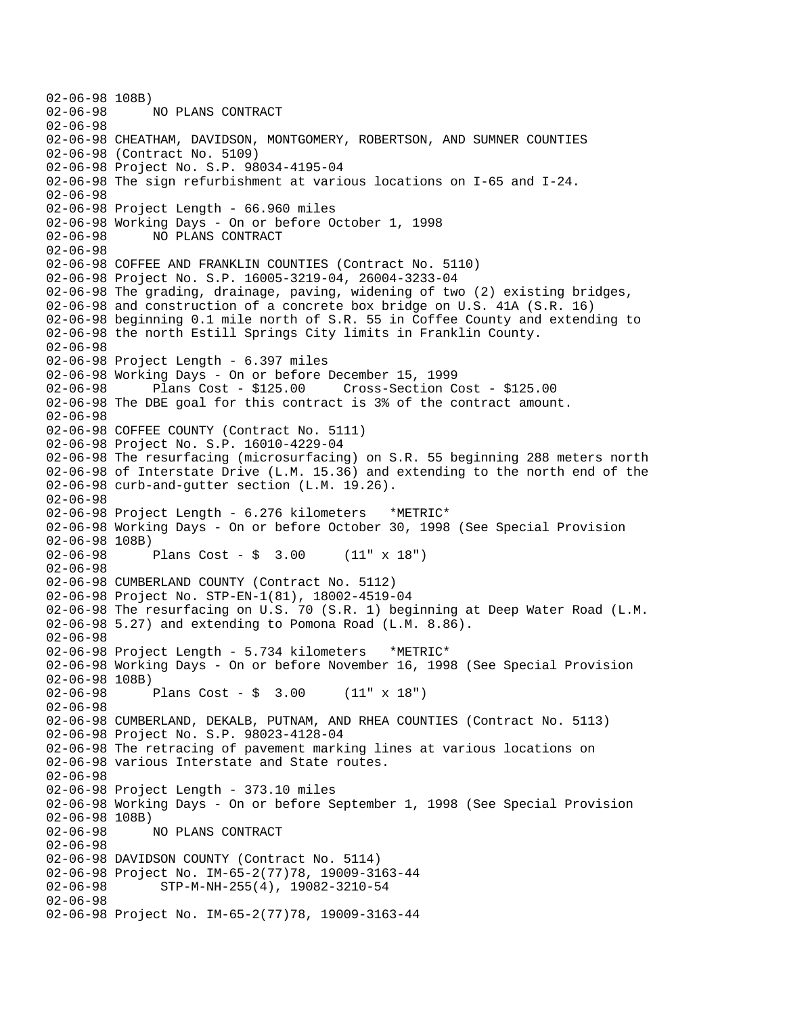02-06-98 108B)<br>02-06-98 02-06-98 NO PLANS CONTRACT 02-06-98 02-06-98 CHEATHAM, DAVIDSON, MONTGOMERY, ROBERTSON, AND SUMNER COUNTIES 02-06-98 (Contract No. 5109) 02-06-98 Project No. S.P. 98034-4195-04 02-06-98 The sign refurbishment at various locations on I-65 and I-24. 02-06-98 02-06-98 Project Length - 66.960 miles 02-06-98 Working Days - On or before October 1, 1998 02-06-98 NO PLANS CONTRACT 02-06-98 02-06-98 COFFEE AND FRANKLIN COUNTIES (Contract No. 5110) 02-06-98 Project No. S.P. 16005-3219-04, 26004-3233-04 02-06-98 The grading, drainage, paving, widening of two (2) existing bridges, 02-06-98 and construction of a concrete box bridge on U.S. 41A (S.R. 16) 02-06-98 beginning 0.1 mile north of S.R. 55 in Coffee County and extending to 02-06-98 the north Estill Springs City limits in Franklin County. 02-06-98 02-06-98 Project Length - 6.397 miles 02-06-98 Working Days - On or before December 15, 1999 02-06-98 Plans Cost - \$125.00 Cross-Section Cost - \$125.00 02-06-98 The DBE goal for this contract is 3% of the contract amount. 02-06-98 02-06-98 COFFEE COUNTY (Contract No. 5111) 02-06-98 Project No. S.P. 16010-4229-04 02-06-98 The resurfacing (microsurfacing) on S.R. 55 beginning 288 meters north 02-06-98 of Interstate Drive (L.M. 15.36) and extending to the north end of the 02-06-98 curb-and-gutter section (L.M. 19.26). 02-06-98 02-06-98 Project Length - 6.276 kilometers \*METRIC\* 02-06-98 Working Days - On or before October 30, 1998 (See Special Provision 02-06-98 108B) 02-06-98 Plans Cost - \$ 3.00 (11" x 18") 02-06-98 02-06-98 CUMBERLAND COUNTY (Contract No. 5112) 02-06-98 Project No. STP-EN-1(81), 18002-4519-04 02-06-98 The resurfacing on U.S. 70 (S.R. 1) beginning at Deep Water Road (L.M. 02-06-98 5.27) and extending to Pomona Road (L.M. 8.86). 02-06-98 02-06-98 Project Length - 5.734 kilometers \*METRIC\* 02-06-98 Working Days - On or before November 16, 1998 (See Special Provision 02-06-98 108B) 02-06-98 Plans Cost - \$ 3.00 (11" x 18") 02-06-98 02-06-98 CUMBERLAND, DEKALB, PUTNAM, AND RHEA COUNTIES (Contract No. 5113) 02-06-98 Project No. S.P. 98023-4128-04 02-06-98 The retracing of pavement marking lines at various locations on 02-06-98 various Interstate and State routes. 02-06-98 02-06-98 Project Length - 373.10 miles 02-06-98 Working Days - On or before September 1, 1998 (See Special Provision 02-06-98 108B) 02-06-98 NO PLANS CONTRACT 02-06-98 02-06-98 DAVIDSON COUNTY (Contract No. 5114) 02-06-98 Project No. IM-65-2(77)78, 19009-3163-44<br>02-06-98 STP-M-NH-255(4), 19082-3210-54 02-06-98 STP-M-NH-255(4), 19082-3210-54 02-06-98 02-06-98 Project No. IM-65-2(77)78, 19009-3163-44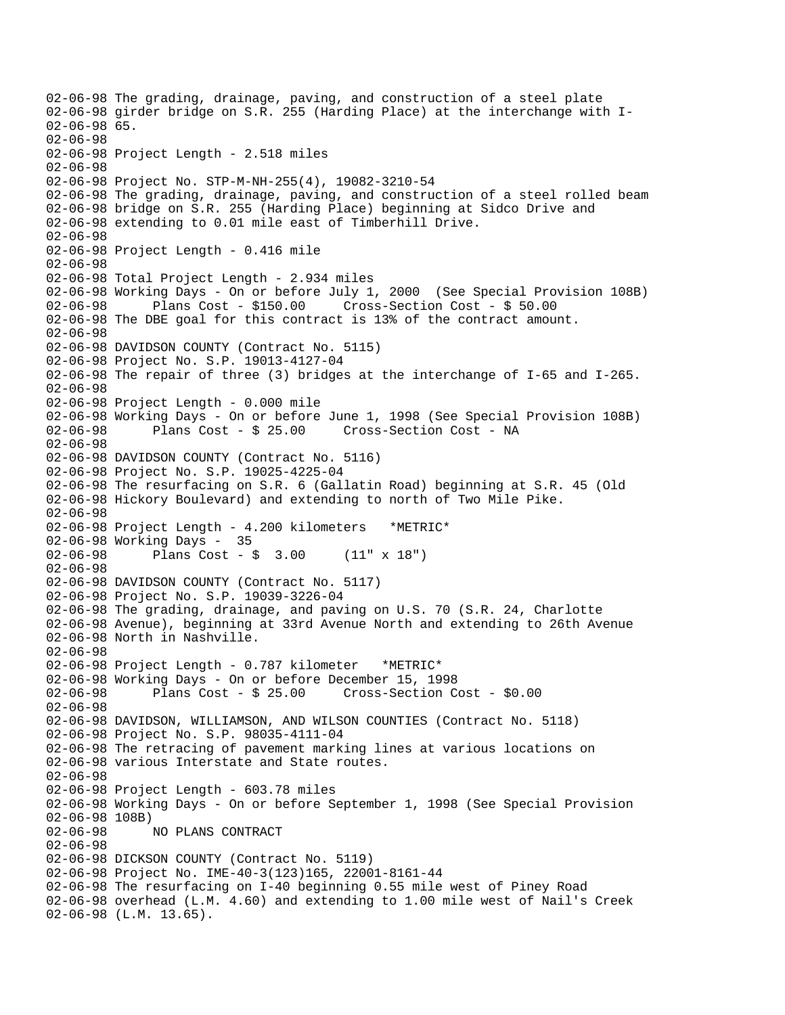02-06-98 The grading, drainage, paving, and construction of a steel plate 02-06-98 girder bridge on S.R. 255 (Harding Place) at the interchange with I-02-06-98 65. 02-06-98 02-06-98 Project Length - 2.518 miles 02-06-98 02-06-98 Project No. STP-M-NH-255(4), 19082-3210-54 02-06-98 The grading, drainage, paving, and construction of a steel rolled beam 02-06-98 bridge on S.R. 255 (Harding Place) beginning at Sidco Drive and 02-06-98 extending to 0.01 mile east of Timberhill Drive. 02-06-98 02-06-98 Project Length - 0.416 mile 02-06-98 02-06-98 Total Project Length - 2.934 miles 02-06-98 Working Days - On or before July 1, 2000 (See Special Provision 108B)<br>02-06-98 Plans Cost - \$150.00 Cross-Section Cost - \$ 50.00  $Cross-Section Cost - $50.00$ 02-06-98 The DBE goal for this contract is 13% of the contract amount. 02-06-98 02-06-98 DAVIDSON COUNTY (Contract No. 5115) 02-06-98 Project No. S.P. 19013-4127-04 02-06-98 The repair of three (3) bridges at the interchange of I-65 and I-265. 02-06-98 02-06-98 Project Length - 0.000 mile 02-06-98 Working Days - On or before June 1, 1998 (See Special Provision 108B)<br>02-06-98 Plans Cost - \$ 25.00 Cross-Section Cost - NA Cross-Section Cost - NA 02-06-98 02-06-98 DAVIDSON COUNTY (Contract No. 5116) 02-06-98 Project No. S.P. 19025-4225-04 02-06-98 The resurfacing on S.R. 6 (Gallatin Road) beginning at S.R. 45 (Old 02-06-98 Hickory Boulevard) and extending to north of Two Mile Pike. 02-06-98 02-06-98 Project Length - 4.200 kilometers \*METRIC\* 02-06-98 Working Days - 35 02-06-98 Plans Cost - \$ 3.00 (11" x 18") 02-06-98 02-06-98 DAVIDSON COUNTY (Contract No. 5117) 02-06-98 Project No. S.P. 19039-3226-04 02-06-98 The grading, drainage, and paving on U.S. 70 (S.R. 24, Charlotte 02-06-98 Avenue), beginning at 33rd Avenue North and extending to 26th Avenue 02-06-98 North in Nashville. 02-06-98 02-06-98 Project Length - 0.787 kilometer \*METRIC\* 02-06-98 Working Days - On or before December 15, 1998 02-06-98 Plans Cost - \$ 25.00 Cross-Section Cost - \$0.00 02-06-98 02-06-98 DAVIDSON, WILLIAMSON, AND WILSON COUNTIES (Contract No. 5118) 02-06-98 Project No. S.P. 98035-4111-04 02-06-98 The retracing of pavement marking lines at various locations on 02-06-98 various Interstate and State routes. 02-06-98 02-06-98 Project Length - 603.78 miles 02-06-98 Working Days - On or before September 1, 1998 (See Special Provision 02-06-98 108B) 02-06-98 NO PLANS CONTRACT 02-06-98 02-06-98 DICKSON COUNTY (Contract No. 5119) 02-06-98 Project No. IME-40-3(123)165, 22001-8161-44 02-06-98 The resurfacing on I-40 beginning 0.55 mile west of Piney Road 02-06-98 overhead (L.M. 4.60) and extending to 1.00 mile west of Nail's Creek 02-06-98 (L.M. 13.65).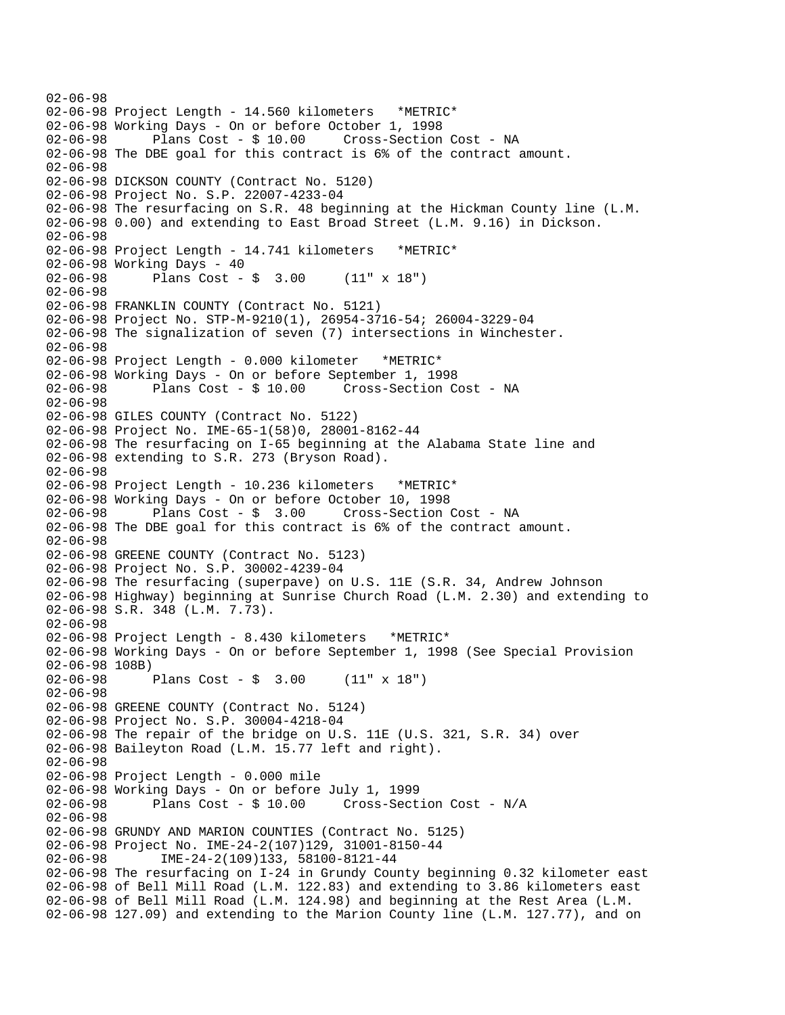02-06-98 02-06-98 Project Length - 14.560 kilometers \*METRIC\* 02-06-98 Working Days - On or before October 1, 1998 02-06-98 Plans Cost - \$ 10.00 Cross-Section Cost - NA 02-06-98 The DBE goal for this contract is 6% of the contract amount. 02-06-98 02-06-98 DICKSON COUNTY (Contract No. 5120) 02-06-98 Project No. S.P. 22007-4233-04 02-06-98 The resurfacing on S.R. 48 beginning at the Hickman County line (L.M. 02-06-98 0.00) and extending to East Broad Street (L.M. 9.16) in Dickson. 02-06-98 02-06-98 Project Length - 14.741 kilometers \*METRIC\* 02-06-98 Working Days - 40 02-06-98 Plans Cost - \$ 3.00 (11" x 18") 02-06-98 02-06-98 FRANKLIN COUNTY (Contract No. 5121) 02-06-98 Project No. STP-M-9210(1), 26954-3716-54; 26004-3229-04 02-06-98 The signalization of seven (7) intersections in Winchester. 02-06-98 02-06-98 Project Length - 0.000 kilometer \*METRIC\* 02-06-98 Working Days - On or before September 1, 1998 Plans Cost - \$ 10.00 Cross-Section Cost - NA 02-06-98 02-06-98 GILES COUNTY (Contract No. 5122) 02-06-98 Project No. IME-65-1(58)0, 28001-8162-44 02-06-98 The resurfacing on I-65 beginning at the Alabama State line and 02-06-98 extending to S.R. 273 (Bryson Road). 02-06-98 02-06-98 Project Length - 10.236 kilometers \*METRIC\* 02-06-98 Working Days - On or before October 10, 1998 02-06-98 Plans Cost - \$ 3.00 Cross-Section Cost - NA 02-06-98 The DBE goal for this contract is 6% of the contract amount. 02-06-98 02-06-98 GREENE COUNTY (Contract No. 5123) 02-06-98 Project No. S.P. 30002-4239-04 02-06-98 The resurfacing (superpave) on U.S. 11E (S.R. 34, Andrew Johnson 02-06-98 Highway) beginning at Sunrise Church Road (L.M. 2.30) and extending to 02-06-98 S.R. 348 (L.M. 7.73). 02-06-98 02-06-98 Project Length - 8.430 kilometers \*METRIC\* 02-06-98 Working Days - On or before September 1, 1998 (See Special Provision 02-06-98 108B) 02-06-98 Plans Cost - \$ 3.00 (11" x 18") 02-06-98 02-06-98 GREENE COUNTY (Contract No. 5124) 02-06-98 Project No. S.P. 30004-4218-04 02-06-98 The repair of the bridge on U.S. 11E (U.S. 321, S.R. 34) over 02-06-98 Baileyton Road (L.M. 15.77 left and right). 02-06-98 02-06-98 Project Length - 0.000 mile 02-06-98 Working Days - On or before July 1, 1999 02-06-98 Plans Cost - \$ 10.00 Cross-Section Cost - N/A 02-06-98 02-06-98 GRUNDY AND MARION COUNTIES (Contract No. 5125) 02-06-98 Project No. IME-24-2(107)129, 31001-8150-44 02-06-98 IME-24-2(109)133, 58100-8121-44 02-06-98 The resurfacing on I-24 in Grundy County beginning 0.32 kilometer east 02-06-98 of Bell Mill Road (L.M. 122.83) and extending to 3.86 kilometers east 02-06-98 of Bell Mill Road (L.M. 124.98) and beginning at the Rest Area (L.M. 02-06-98 127.09) and extending to the Marion County line (L.M. 127.77), and on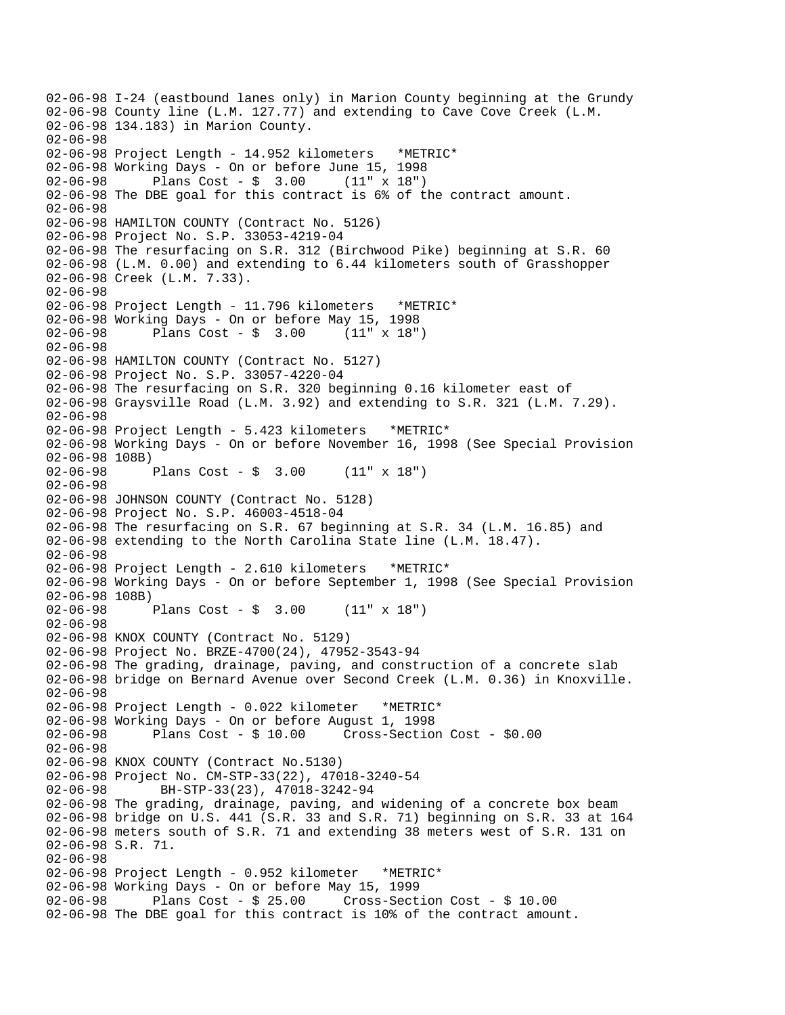02-06-98 I-24 (eastbound lanes only) in Marion County beginning at the Grundy 02-06-98 County line (L.M. 127.77) and extending to Cave Cove Creek (L.M. 02-06-98 134.183) in Marion County. 02-06-98 02-06-98 Project Length - 14.952 kilometers \*METRIC\* 02-06-98 Working Days - On or before June 15, 1998 02-06-98 Plans Cost - \$ 3.00 (11" x 18") 02-06-98 The DBE goal for this contract is 6% of the contract amount. 02-06-98 02-06-98 HAMILTON COUNTY (Contract No. 5126) 02-06-98 Project No. S.P. 33053-4219-04 02-06-98 The resurfacing on S.R. 312 (Birchwood Pike) beginning at S.R. 60 02-06-98 (L.M. 0.00) and extending to 6.44 kilometers south of Grasshopper 02-06-98 Creek (L.M. 7.33). 02-06-98 02-06-98 Project Length - 11.796 kilometers \*METRIC\* 02-06-98 Working Days - On or before May 15, 1998 02-06-98 Plans Cost - \$ 3.00 (11" x 18") 02-06-98 02-06-98 HAMILTON COUNTY (Contract No. 5127) 02-06-98 Project No. S.P. 33057-4220-04 02-06-98 The resurfacing on S.R. 320 beginning 0.16 kilometer east of 02-06-98 Graysville Road (L.M. 3.92) and extending to S.R. 321 (L.M. 7.29). 02-06-98 02-06-98 Project Length - 5.423 kilometers \*METRIC\* 02-06-98 Working Days - On or before November 16, 1998 (See Special Provision 02-06-98 108B)<br>02-06-98 Plans Cost -  $\frac{1}{2}$  3.00 (11" x 18") 02-06-98 02-06-98 JOHNSON COUNTY (Contract No. 5128) 02-06-98 Project No. S.P. 46003-4518-04 02-06-98 The resurfacing on S.R. 67 beginning at S.R. 34 (L.M. 16.85) and 02-06-98 extending to the North Carolina State line (L.M. 18.47). 02-06-98 02-06-98 Project Length - 2.610 kilometers \*METRIC\* 02-06-98 Working Days - On or before September 1, 1998 (See Special Provision 02-06-98 108B)<br>02-06-98 Plans Cost -  $\frac{1}{2}$  3.00 (11" x 18") 02-06-98 02-06-98 KNOX COUNTY (Contract No. 5129) 02-06-98 Project No. BRZE-4700(24), 47952-3543-94 02-06-98 The grading, drainage, paving, and construction of a concrete slab 02-06-98 bridge on Bernard Avenue over Second Creek (L.M. 0.36) in Knoxville. 02-06-98 02-06-98 Project Length - 0.022 kilometer \*METRIC\* 02-06-98 Working Days - On or before August 1, 1998 02-06-98 Plans Cost - \$ 10.00 Cross-Section Cost - \$0.00  $02 - 06 - 98$ 02-06-98 KNOX COUNTY (Contract No.5130) 02-06-98 Project No. CM-STP-33(22), 47018-3240-54 02-06-98 BH-STP-33(23), 47018-3242-94 02-06-98 The grading, drainage, paving, and widening of a concrete box beam 02-06-98 bridge on U.S. 441 (S.R. 33 and S.R. 71) beginning on S.R. 33 at 164 02-06-98 meters south of S.R. 71 and extending 38 meters west of S.R. 131 on 02-06-98 S.R. 71. 02-06-98 02-06-98 Project Length - 0.952 kilometer \*METRIC\* 02-06-98 Working Days - On or before May 15, 1999  $Cross-Section Cost - $ 10.00$ 02-06-98 The DBE goal for this contract is 10% of the contract amount.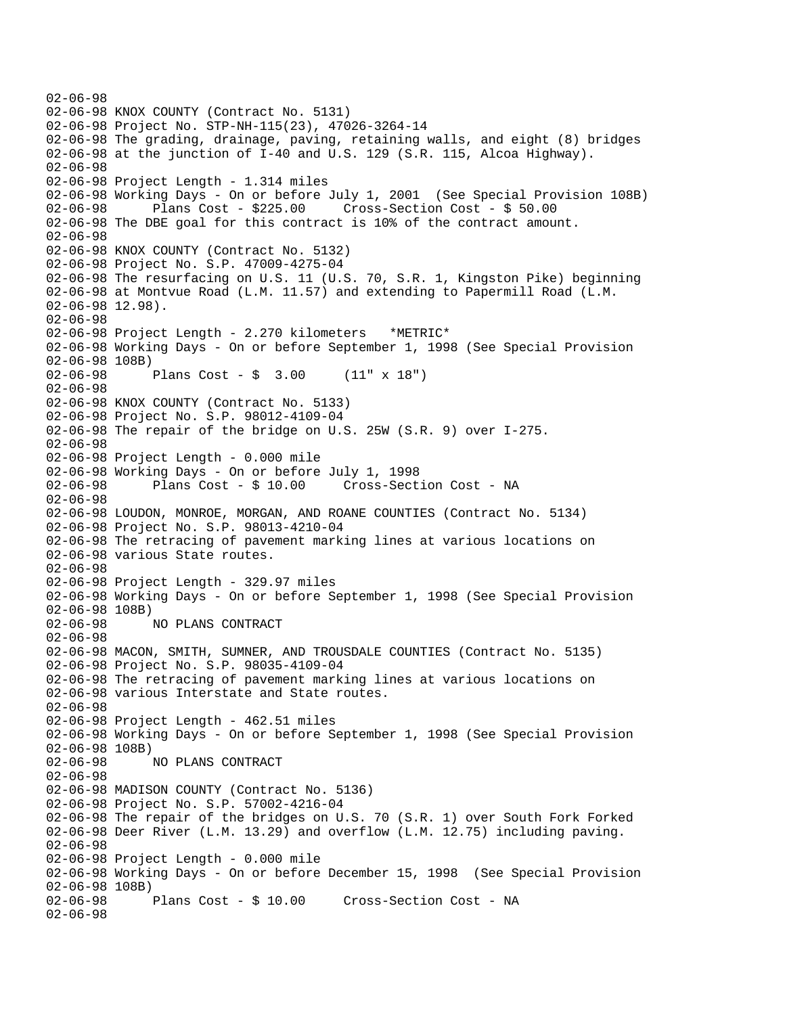```
02-06-98 
02-06-98 KNOX COUNTY (Contract No. 5131) 
02-06-98 Project No. STP-NH-115(23), 47026-3264-14 
02-06-98 The grading, drainage, paving, retaining walls, and eight (8) bridges 
02-06-98 at the junction of I-40 and U.S. 129 (S.R. 115, Alcoa Highway). 
02-06-98 
02-06-98 Project Length - 1.314 miles 
02-06-98 Working Days - On or before July 1, 2001 (See Special Provision 108B) 
02-06-98 Plans Cost - $225.00 Cross-Section Cost - $ 50.00 
02-06-98 The DBE goal for this contract is 10% of the contract amount. 
02-06-98 
02-06-98 KNOX COUNTY (Contract No. 5132) 
02-06-98 Project No. S.P. 47009-4275-04 
02-06-98 The resurfacing on U.S. 11 (U.S. 70, S.R. 1, Kingston Pike) beginning 
02-06-98 at Montvue Road (L.M. 11.57) and extending to Papermill Road (L.M. 
02-06-98 12.98). 
02-06-98 
02-06-98 Project Length - 2.270 kilometers *METRIC* 
02-06-98 Working Days - On or before September 1, 1998 (See Special Provision 
02-06-98 108B) 
02-06-98 Plans Cost - $ 3.00 (11" x 18") 
02-06-98 
02-06-98 KNOX COUNTY (Contract No. 5133) 
02-06-98 Project No. S.P. 98012-4109-04 
02-06-98 The repair of the bridge on U.S. 25W (S.R. 9) over I-275. 
02-06-98 
02-06-98 Project Length - 0.000 mile 
02-06-98 Working Days - On or before July 1, 1998 
02-06-98 Plans Cost - $ 10.00 Cross-Section Cost - NA 
02-06-98 
02-06-98 LOUDON, MONROE, MORGAN, AND ROANE COUNTIES (Contract No. 5134) 
02-06-98 Project No. S.P. 98013-4210-04 
02-06-98 The retracing of pavement marking lines at various locations on 
02-06-98 various State routes. 
02-06-98 
02-06-98 Project Length - 329.97 miles 
02-06-98 Working Days - On or before September 1, 1998 (See Special Provision 
02-06-98 108B) 
02-06-98 NO PLANS CONTRACT 
02-06-98 
02-06-98 MACON, SMITH, SUMNER, AND TROUSDALE COUNTIES (Contract No. 5135) 
02-06-98 Project No. S.P. 98035-4109-04 
02-06-98 The retracing of pavement marking lines at various locations on 
02-06-98 various Interstate and State routes. 
02-06-98 
02-06-98 Project Length - 462.51 miles 
02-06-98 Working Days - On or before September 1, 1998 (See Special Provision 
02-06-98 108B) 
              02-06-98 NO PLANS CONTRACT 
02-06-98 
02-06-98 MADISON COUNTY (Contract No. 5136) 
02-06-98 Project No. S.P. 57002-4216-04 
02-06-98 The repair of the bridges on U.S. 70 (S.R. 1) over South Fork Forked 
02-06-98 Deer River (L.M. 13.29) and overflow (L.M. 12.75) including paving. 
02-06-98 
02-06-98 Project Length - 0.000 mile 
02-06-98 Working Days - On or before December 15, 1998 (See Special Provision 
02-06-98 108B)<br>02-06-98
              Plans Cost - $ 10.00 Cross-Section Cost - NA
02-06-98
```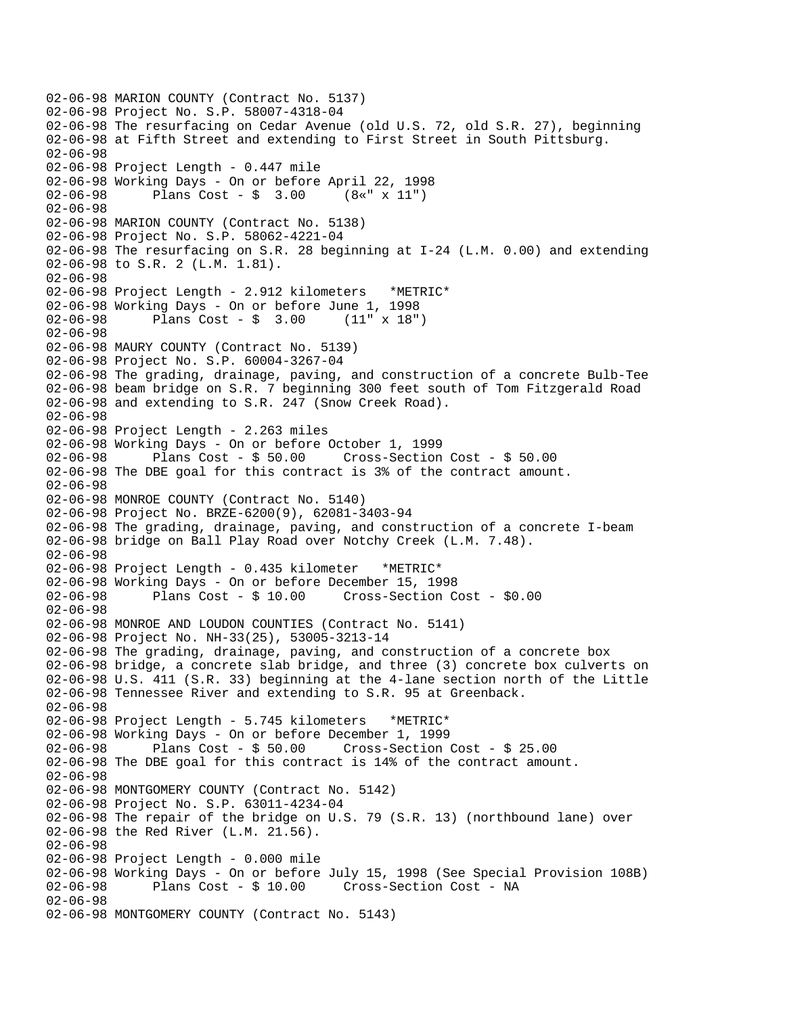02-06-98 MARION COUNTY (Contract No. 5137) 02-06-98 Project No. S.P. 58007-4318-04 02-06-98 The resurfacing on Cedar Avenue (old U.S. 72, old S.R. 27), beginning 02-06-98 at Fifth Street and extending to First Street in South Pittsburg. 02-06-98 02-06-98 Project Length - 0.447 mile 02-06-98 Working Days - On or before April 22, 1998 02-06-98 Plans Cost - \$ 3.00 (8«" x 11") 02-06-98 02-06-98 MARION COUNTY (Contract No. 5138) 02-06-98 Project No. S.P. 58062-4221-04 02-06-98 The resurfacing on S.R. 28 beginning at I-24 (L.M. 0.00) and extending 02-06-98 to S.R. 2 (L.M. 1.81). 02-06-98 02-06-98 Project Length - 2.912 kilometers \*METRIC\* 02-06-98 Working Days - On or before June 1, 1998 02-06-98 Plans Cost - \$ 3.00 (11" x 18") 02-06-98 02-06-98 MAURY COUNTY (Contract No. 5139) 02-06-98 Project No. S.P. 60004-3267-04 02-06-98 The grading, drainage, paving, and construction of a concrete Bulb-Tee 02-06-98 beam bridge on S.R. 7 beginning 300 feet south of Tom Fitzgerald Road 02-06-98 and extending to S.R. 247 (Snow Creek Road). 02-06-98 02-06-98 Project Length - 2.263 miles 02-06-98 Working Days - On or before October 1, 1999 02-06-98 Plans Cost - \$ 50.00 Cross-Section Cost - \$ 50.00 02-06-98 The DBE goal for this contract is 3% of the contract amount. 02-06-98 02-06-98 MONROE COUNTY (Contract No. 5140) 02-06-98 Project No. BRZE-6200(9), 62081-3403-94 02-06-98 The grading, drainage, paving, and construction of a concrete I-beam 02-06-98 bridge on Ball Play Road over Notchy Creek (L.M. 7.48). 02-06-98 02-06-98 Project Length - 0.435 kilometer \*METRIC\* 02-06-98 Working Days - On or before December 15, 1998 02-06-98 Plans Cost - \$ 10.00 Cross-Section Cost - \$0.00 02-06-98 02-06-98 MONROE AND LOUDON COUNTIES (Contract No. 5141) 02-06-98 Project No. NH-33(25), 53005-3213-14 02-06-98 The grading, drainage, paving, and construction of a concrete box 02-06-98 bridge, a concrete slab bridge, and three (3) concrete box culverts on 02-06-98 U.S. 411 (S.R. 33) beginning at the 4-lane section north of the Little 02-06-98 Tennessee River and extending to S.R. 95 at Greenback. 02-06-98 02-06-98 Project Length - 5.745 kilometers \*METRIC\* 02-06-98 Working Days - On or before December 1, 1999 02-06-98 Plans Cost - \$ 50.00 Cross-Section Cost - \$ 25.00 02-06-98 The DBE goal for this contract is 14% of the contract amount. 02-06-98 02-06-98 MONTGOMERY COUNTY (Contract No. 5142) 02-06-98 Project No. S.P. 63011-4234-04 02-06-98 The repair of the bridge on U.S. 79 (S.R. 13) (northbound lane) over 02-06-98 the Red River (L.M. 21.56). 02-06-98 02-06-98 Project Length - 0.000 mile 02-06-98 Working Days - On or before July 15, 1998 (See Special Provision 108B)<br>02-06-98 Plans Cost - \$ 10.00 Cross-Section Cost - NA Cross-Section Cost - NA 02-06-98 02-06-98 MONTGOMERY COUNTY (Contract No. 5143)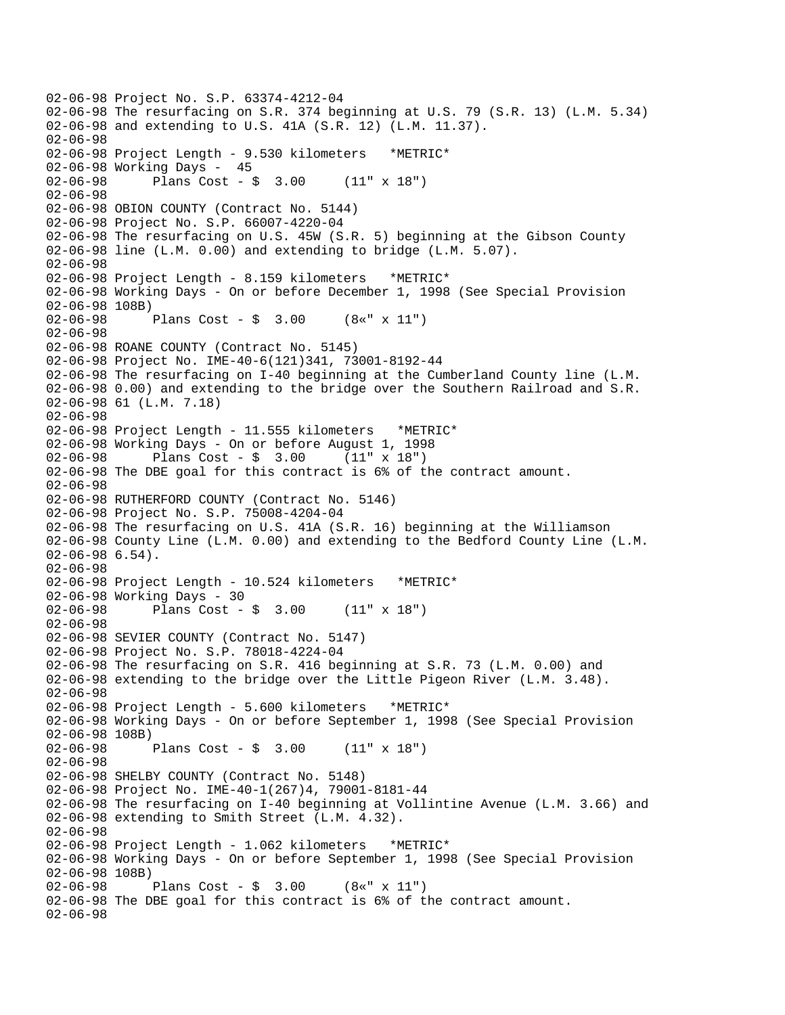```
02-06-98 Project No. S.P. 63374-4212-04
02-06-98 The resurfacing on S.R. 374 beginning at U.S. 79 (S.R. 13) (L.M. 5.34)
02-06-98 and extending to U.S. 41A (S.R. 12) (L.M. 11.37).
02-06-98
02-06-98 Project Length - 9.530 kilometers *METRIC*
02-06-98 Working Days - 45
02-06-98 Plans Cost - $ 3.00 (11" x 18")
02-06-98
02-06-98 OBION COUNTY (Contract No. 5144)
02-06-98 Project No. S.P. 66007-4220-04
02-06-98 The resurfacing on U.S. 45W (S.R. 5) beginning at the Gibson County
02-06-98 line (L.M. 0.00) and extending to bridge (L.M. 5.07).
02-06-98
02-06-98 Project Length - 8.159 kilometers *METRIC*
02-06-98 Working Days - On or before December 1, 1998 (See Special Provision
02-06-98 108B)<br>02-06-98
              Plans Cost - $ 3.00 (8*" x 11")02-06-98
02-06-98 ROANE COUNTY (Contract No. 5145)
02-06-98 Project No. IME-40-6(121)341, 73001-8192-44
02-06-98 The resurfacing on I-40 beginning at the Cumberland County line (L.M.
02-06-98 0.00) and extending to the bridge over the Southern Railroad and S.R.
02-06-98 61 (L.M. 7.18)
02-06-98
02-06-98 Project Length - 11.555 kilometers *METRIC*
02-06-98 Working Days - On or before August 1, 1998
02-06-98 Plans Cost - $ 3.00
02-06-98 The DBE goal for this contract is 6% of the contract amount.
02-06-98
02-06-98 RUTHERFORD COUNTY (Contract No. 5146)
02-06-98 Project No. S.P. 75008-4204-04
02-06-98 The resurfacing on U.S. 41A (S.R. 16) beginning at the Williamson
02-06-98 County Line (L.M. 0.00) and extending to the Bedford County Line (L.M.
02-06-98 6.54).
02-06-98
02-06-98 Project Length - 10.524 kilometers *METRIC*
02-06-98 Working Days - 30
02-06-98 Plans Cost - $ 3.00 (11" x 18")
02-06-98
02-06-98 SEVIER COUNTY (Contract No. 5147)
02-06-98 Project No. S.P. 78018-4224-04
02-06-98 The resurfacing on S.R. 416 beginning at S.R. 73 (L.M. 0.00) and
02-06-98 extending to the bridge over the Little Pigeon River (L.M. 3.48).
02-06-98
02-06-98 Project Length - 5.600 kilometers *METRIC*
02-06-98 Working Days - On or before September 1, 1998 (See Special Provision
02-06-98 108B)<br>02-06-98 1
             Plans Cost - \frac{1}{2} 3.00 (11" x 18")
02-06-98
02-06-98 SHELBY COUNTY (Contract No. 5148)
02-06-98 Project No. IME-40-1(267)4, 79001-8181-44
02-06-98 The resurfacing on I-40 beginning at Vollintine Avenue (L.M. 3.66) and
02-06-98 extending to Smith Street (L.M. 4.32).
02-06-98
02-06-98 Project Length - 1.062 kilometers *METRIC*
02-06-98 Working Days - On or before September 1, 1998 (See Special Provision
02-06-98 108B)<br>02-06-98
             Plans Cost - \frac{1}{2} 3.00 (8«" x 11")
02-06-98 The DBE goal for this contract is 6% of the contract amount.
02-06-98
```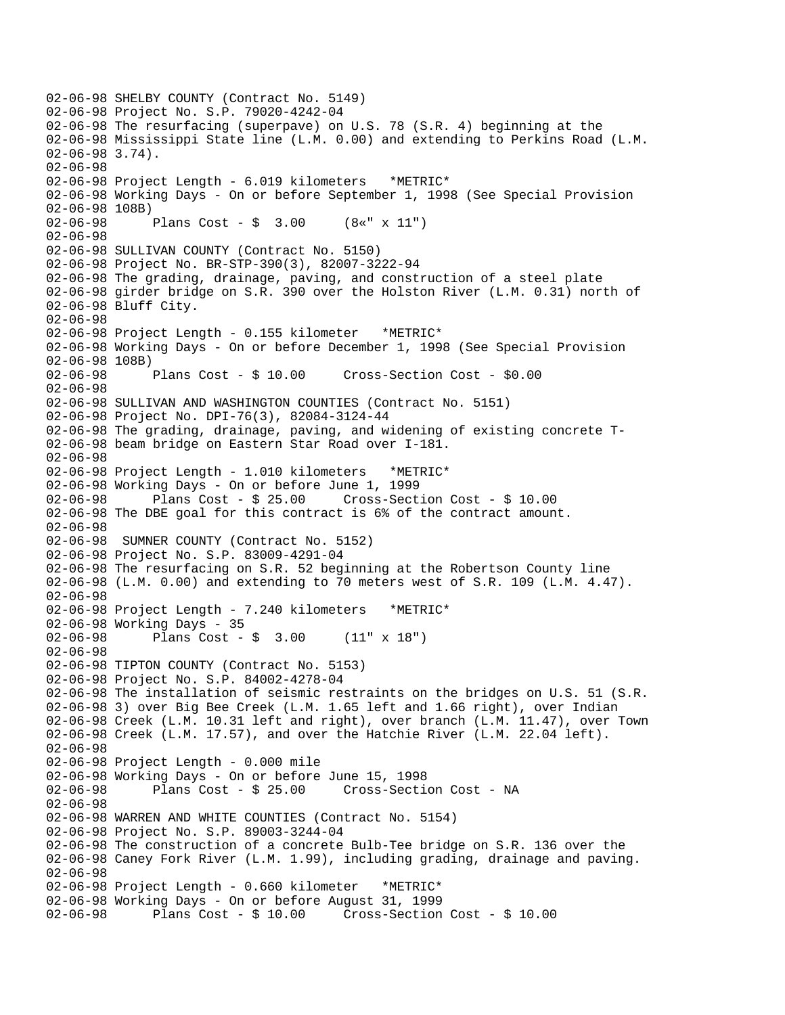```
02-06-98 SHELBY COUNTY (Contract No. 5149) 
02-06-98 Project No. S.P. 79020-4242-04 
02-06-98 The resurfacing (superpave) on U.S. 78 (S.R. 4) beginning at the 
02-06-98 Mississippi State line (L.M. 0.00) and extending to Perkins Road (L.M. 
02-06-98 3.74). 
02-06-98 
02-06-98 Project Length - 6.019 kilometers *METRIC* 
02-06-98 Working Days - On or before September 1, 1998 (See Special Provision 
02-06-98 108B) 
02-06-98 Plans Cost - $ 3.00 (8«" x 11") 
02-06-98 
02-06-98 SULLIVAN COUNTY (Contract No. 5150) 
02-06-98 Project No. BR-STP-390(3), 82007-3222-94 
02-06-98 The grading, drainage, paving, and construction of a steel plate 
02-06-98 girder bridge on S.R. 390 over the Holston River (L.M. 0.31) north of 
02-06-98 Bluff City. 
02-06-98 
02-06-98 Project Length - 0.155 kilometer *METRIC* 
02-06-98 Working Days - On or before December 1, 1998 (See Special Provision 
02-06-98 108B) 
02-06-98 Plans Cost - $ 10.00 Cross-Section Cost - $0.00 
02-06-98 
02-06-98 SULLIVAN AND WASHINGTON COUNTIES (Contract No. 5151) 
02-06-98 Project No. DPI-76(3), 82084-3124-44 
02-06-98 The grading, drainage, paving, and widening of existing concrete T-
02-06-98 beam bridge on Eastern Star Road over I-181. 
02-06-98 
02-06-98 Project Length - 1.010 kilometers *METRIC* 
02-06-98 Working Days - On or before June 1, 1999 
02-06-98 Plans Cost - $ 25.00 Cross-Section Cost - $ 10.00 
02-06-98 The DBE goal for this contract is 6% of the contract amount. 
02-06-98 
02-06-98 SUMNER COUNTY (Contract No. 5152) 
02-06-98 Project No. S.P. 83009-4291-04 
02-06-98 The resurfacing on S.R. 52 beginning at the Robertson County line 
02-06-98 (L.M. 0.00) and extending to 70 meters west of S.R. 109 (L.M. 4.47). 
02-06-98 
02-06-98 Project Length - 7.240 kilometers *METRIC* 
02-06-98 Working Days - 35 
02-06-98 Plans Cost - $ 3.00 (11" x 18") 
02-06-98 
02-06-98 TIPTON COUNTY (Contract No. 5153) 
02-06-98 Project No. S.P. 84002-4278-04 
02-06-98 The installation of seismic restraints on the bridges on U.S. 51 (S.R. 
02-06-98 3) over Big Bee Creek (L.M. 1.65 left and 1.66 right), over Indian 
02-06-98 Creek (L.M. 10.31 left and right), over branch (L.M. 11.47), over Town 
02-06-98 Creek (L.M. 17.57), and over the Hatchie River (L.M. 22.04 left). 
02-06-98 
02-06-98 Project Length - 0.000 mile 
02-06-98 Working Days - On or before June 15, 1998 
              Plans Cost - $ 25.00 Cross-Section Cost - NA
02-06-98 
02-06-98 WARREN AND WHITE COUNTIES (Contract No. 5154) 
02-06-98 Project No. S.P. 89003-3244-04 
02-06-98 The construction of a concrete Bulb-Tee bridge on S.R. 136 over the 
02-06-98 Caney Fork River (L.M. 1.99), including grading, drainage and paving. 
02-06-98 
02-06-98 Project Length - 0.660 kilometer *METRIC* 
02-06-98 Working Days - On or before August 31, 1999 
02-06-98 Plans Cost - $ 10.00 Cross-Section Cost - $ 10.00
```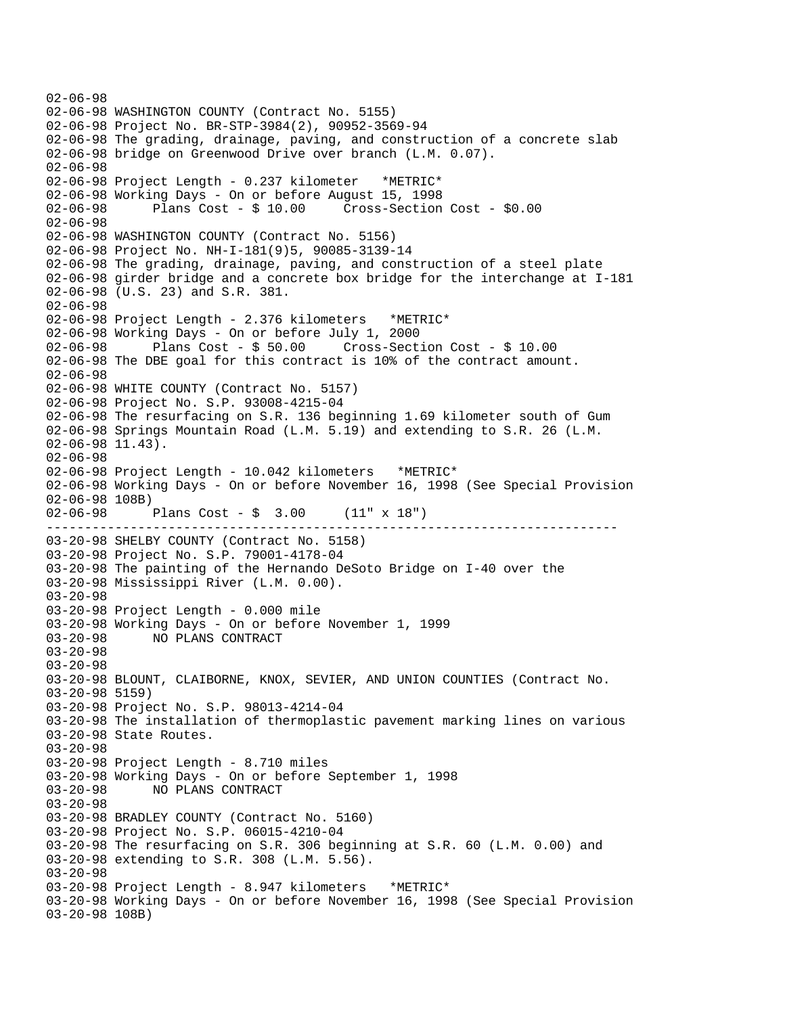--------------------------------------------------------------------------- 02-06-98 02-06-98 WASHINGTON COUNTY (Contract No. 5155) 02-06-98 Project No. BR-STP-3984(2), 90952-3569-94 02-06-98 The grading, drainage, paving, and construction of a concrete slab 02-06-98 bridge on Greenwood Drive over branch (L.M. 0.07). 02-06-98 02-06-98 Project Length - 0.237 kilometer \*METRIC\* 02-06-98 Working Days - On or before August 15, 1998 02-06-98 Plans Cost - \$ 10.00 Cross-Section Cost - \$0.00 02-06-98 02-06-98 WASHINGTON COUNTY (Contract No. 5156) 02-06-98 Project No. NH-I-181(9)5, 90085-3139-14 02-06-98 The grading, drainage, paving, and construction of a steel plate 02-06-98 girder bridge and a concrete box bridge for the interchange at I-181 02-06-98 (U.S. 23) and S.R. 381. 02-06-98 02-06-98 Project Length - 2.376 kilometers \*METRIC\* 02-06-98 Working Days - On or before July 1, 2000 02-06-98 Plans Cost - \$ 50.00 Cross-Section Cost - \$ 10.00 02-06-98 The DBE goal for this contract is 10% of the contract amount. 02-06-98 02-06-98 WHITE COUNTY (Contract No. 5157) 02-06-98 Project No. S.P. 93008-4215-04 02-06-98 The resurfacing on S.R. 136 beginning 1.69 kilometer south of Gum 02-06-98 Springs Mountain Road (L.M. 5.19) and extending to S.R. 26 (L.M. 02-06-98 11.43). 02-06-98 02-06-98 Project Length - 10.042 kilometers \*METRIC\* 02-06-98 Working Days - On or before November 16, 1998 (See Special Provision 02-06-98 108B) 02-06-98 Plans Cost - \$ 3.00 (11" x 18") 03-20-98 SHELBY COUNTY (Contract No. 5158) 03-20-98 Project No. S.P. 79001-4178-04 03-20-98 The painting of the Hernando DeSoto Bridge on I-40 over the 03-20-98 Mississippi River (L.M. 0.00). 03-20-98 03-20-98 Project Length - 0.000 mile 03-20-98 Working Days - On or before November 1, 1999 03-20-98 NO PLANS CONTRACT 03-20-98 03-20-98 03-20-98 BLOUNT, CLAIBORNE, KNOX, SEVIER, AND UNION COUNTIES (Contract No. 03-20-98 5159) 03-20-98 Project No. S.P. 98013-4214-04 03-20-98 The installation of thermoplastic pavement marking lines on various 03-20-98 State Routes. 03-20-98 03-20-98 Project Length - 8.710 miles 03-20-98 Working Days - On or before September 1, 1998 03-20-98 NO PLANS CONTRACT 03-20-98 03-20-98 BRADLEY COUNTY (Contract No. 5160) 03-20-98 Project No. S.P. 06015-4210-04 03-20-98 The resurfacing on S.R. 306 beginning at S.R. 60 (L.M. 0.00) and 03-20-98 extending to S.R. 308 (L.M. 5.56). 03-20-98 03-20-98 Project Length - 8.947 kilometers \*METRIC\* 03-20-98 Working Days - On or before November 16, 1998 (See Special Provision 03-20-98 108B)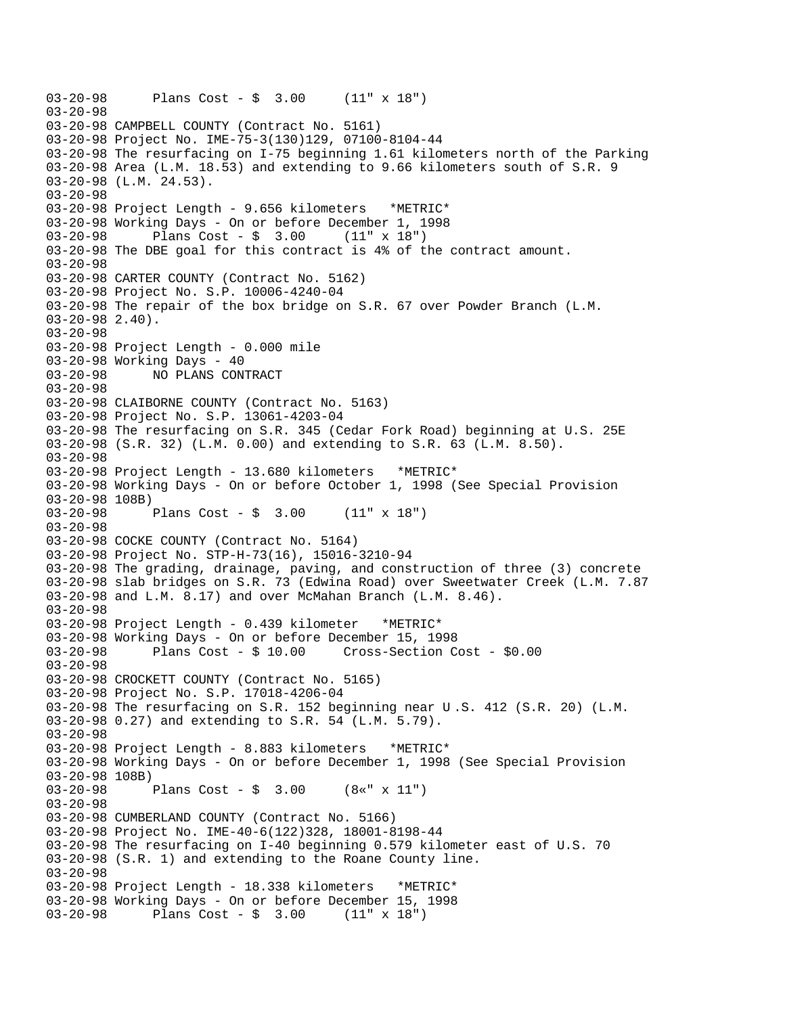```
03-20-98 Plans Cost - $ 3.00 (11" x 18") 
03-20-98 
03-20-98 CAMPBELL COUNTY (Contract No. 5161) 
03-20-98 Project No. IME-75-3(130)129, 07100-8104-44 
03-20-98 The resurfacing on I-75 beginning 1.61 kilometers north of the Parking 
03-20-98 Area (L.M. 18.53) and extending to 9.66 kilometers south of S.R. 9 
03-20-98 (L.M. 24.53). 
03-20-98 
03-20-98 Project Length - 9.656 kilometers *METRIC* 
03-20-98 Working Days - On or before December 1, 1998 
03-20-98 Plans Cost - $ 3.00 (11" x 18") 
03-20-98 The DBE goal for this contract is 4% of the contract amount. 
03-20-98 
03-20-98 CARTER COUNTY (Contract No. 5162) 
03-20-98 Project No. S.P. 10006-4240-04 
03-20-98 The repair of the box bridge on S.R. 67 over Powder Branch (L.M. 
03-20-98 2.40). 
03-20-98 
03-20-98 Project Length - 0.000 mile 
03-20-98 Working Days - 40 
03-20-98 NO PLANS CONTRACT 
03-20-98 
03-20-98 CLAIBORNE COUNTY (Contract No. 5163) 
03-20-98 Project No. S.P. 13061-4203-04 
03-20-98 The resurfacing on S.R. 345 (Cedar Fork Road) beginning at U.S. 25E 
03-20-98 (S.R. 32) (L.M. 0.00) and extending to S.R. 63 (L.M. 8.50). 
03-20-98 
03-20-98 Project Length - 13.680 kilometers *METRIC* 
03-20-98 Working Days - On or before October 1, 1998 (See Special Provision 
03-20-98 108B) 
03-20-98 Plans Cost - $ 3.00 (11" x 18") 
03-20-98 
03-20-98 COCKE COUNTY (Contract No. 5164) 
03-20-98 Project No. STP-H-73(16), 15016-3210-94 
03-20-98 The grading, drainage, paving, and construction of three (3) concrete 
03-20-98 slab bridges on S.R. 73 (Edwina Road) over Sweetwater Creek (L.M. 7.87 
03-20-98 and L.M. 8.17) and over McMahan Branch (L.M. 8.46). 
03-20-98 
03-20-98 Project Length - 0.439 kilometer *METRIC* 
03-20-98 Working Days - On or before December 15, 1998 
03-20-98 Plans Cost - $ 10.00 Cross-Section Cost - $0.00 
03-20-98 
03-20-98 CROCKETT COUNTY (Contract No. 5165) 
03-20-98 Project No. S.P. 17018-4206-04 
03-20-98 The resurfacing on S.R. 152 beginning near U .S. 412 (S.R. 20) (L.M. 
03-20-98 0.27) and extending to S.R. 54 (L.M. 5.79). 
03-20-98 
03-20-98 Project Length - 8.883 kilometers *METRIC* 
03-20-98 Working Days - On or before December 1, 1998 (See Special Provision 
03-20-98 108B)<br>03-20-98
             Plans Cost - $ 3.00 (8*" x 11")03-20-98 
03-20-98 CUMBERLAND COUNTY (Contract No. 5166) 
03-20-98 Project No. IME-40-6(122)328, 18001-8198-44 
03-20-98 The resurfacing on I-40 beginning 0.579 kilometer east of U.S. 70 
03-20-98 (S.R. 1) and extending to the Roane County line. 
03-20-98 
03-20-98 Project Length - 18.338 kilometers *METRIC* 
03-20-98 Working Days - On or before December 15, 1998 
03-20-98 Plans Cost - $ 3.00 (11" x 18")
```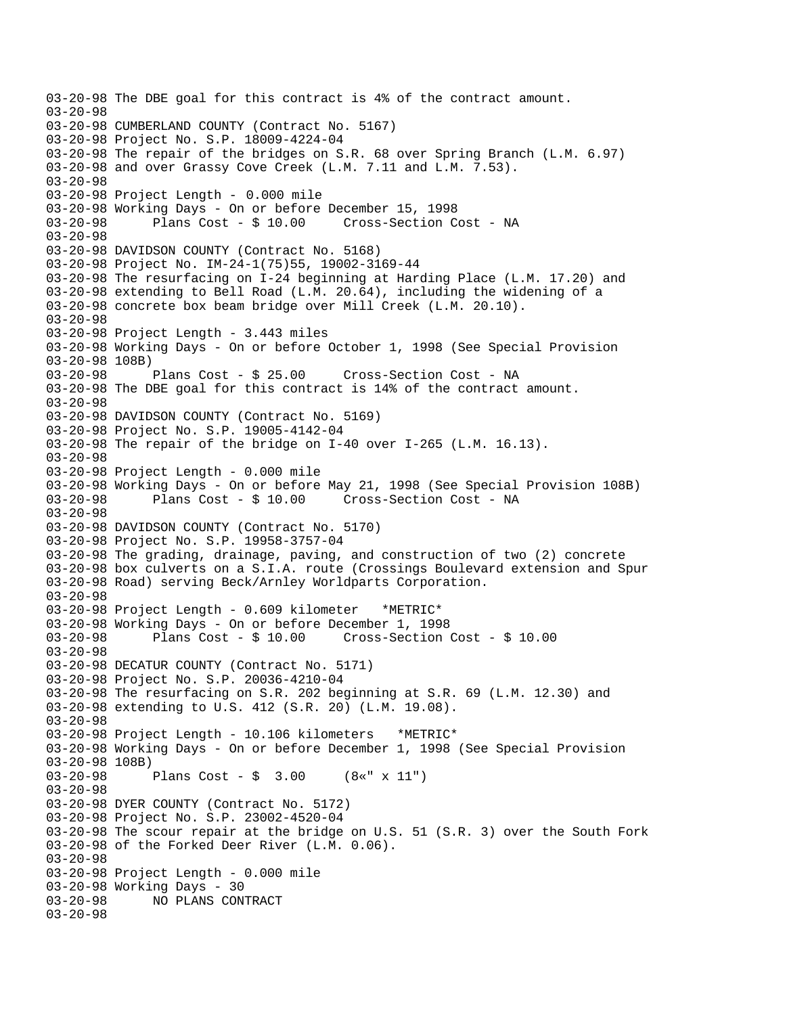03-20-98 The DBE goal for this contract is 4% of the contract amount. 03-20-98 03-20-98 CUMBERLAND COUNTY (Contract No. 5167) 03-20-98 Project No. S.P. 18009-4224-04 03-20-98 The repair of the bridges on S.R. 68 over Spring Branch (L.M. 6.97) 03-20-98 and over Grassy Cove Creek (L.M. 7.11 and L.M. 7.53). 03-20-98 03-20-98 Project Length - 0.000 mile 03-20-98 Working Days - On or before December 15, 1998 03-20-98 Plans Cost - \$ 10.00 Cross-Section Cost - NA 03-20-98 03-20-98 DAVIDSON COUNTY (Contract No. 5168) 03-20-98 Project No. IM-24-1(75)55, 19002-3169-44 03-20-98 The resurfacing on I-24 beginning at Harding Place (L.M. 17.20) and 03-20-98 extending to Bell Road (L.M. 20.64), including the widening of a 03-20-98 concrete box beam bridge over Mill Creek (L.M. 20.10). 03-20-98 03-20-98 Project Length - 3.443 miles 03-20-98 Working Days - On or before October 1, 1998 (See Special Provision 03-20-98 108B) 03-20-98 Plans Cost - \$ 25.00 Cross-Section Cost - NA 03-20-98 The DBE goal for this contract is 14% of the contract amount. 03-20-98 03-20-98 DAVIDSON COUNTY (Contract No. 5169) 03-20-98 Project No. S.P. 19005-4142-04 03-20-98 The repair of the bridge on I-40 over I-265 (L.M. 16.13). 03-20-98 03-20-98 Project Length - 0.000 mile 03-20-98 Working Days - On or before May 21, 1998 (See Special Provision 108B) 03-20-98 Plans Cost - \$ 10.00 Cross-Section Cost - NA 03-20-98 03-20-98 DAVIDSON COUNTY (Contract No. 5170) 03-20-98 Project No. S.P. 19958-3757-04 03-20-98 The grading, drainage, paving, and construction of two (2) concrete 03-20-98 box culverts on a S.I.A. route (Crossings Boulevard extension and Spur 03-20-98 Road) serving Beck/Arnley Worldparts Corporation. 03-20-98 03-20-98 Project Length - 0.609 kilometer \*METRIC\* 03-20-98 Working Days - On or before December 1, 1998 Plans  $Cost - $ 10.00$  Cross-Section Cost -  $$ 10.00$ 03-20-98 03-20-98 DECATUR COUNTY (Contract No. 5171) 03-20-98 Project No. S.P. 20036-4210-04 03-20-98 The resurfacing on S.R. 202 beginning at S.R. 69 (L.M. 12.30) and 03-20-98 extending to U.S. 412 (S.R. 20) (L.M. 19.08). 03-20-98 03-20-98 Project Length - 10.106 kilometers \*METRIC\* 03-20-98 Working Days - On or before December 1, 1998 (See Special Provision 03-20-98 108B)<br>03-20-98 1 Plans Cost -  $\frac{1}{2}$  3.00 (8«" x 11") 03-20-98 03-20-98 DYER COUNTY (Contract No. 5172) 03-20-98 Project No. S.P. 23002-4520-04 03-20-98 The scour repair at the bridge on U.S. 51 (S.R. 3) over the South Fork 03-20-98 of the Forked Deer River (L.M. 0.06). 03-20-98 03-20-98 Project Length - 0.000 mile 03-20-98 Working Days - 30<br>03-20-98 NO PLANS CON 03-20-98 NO PLANS CONTRACT 03-20-98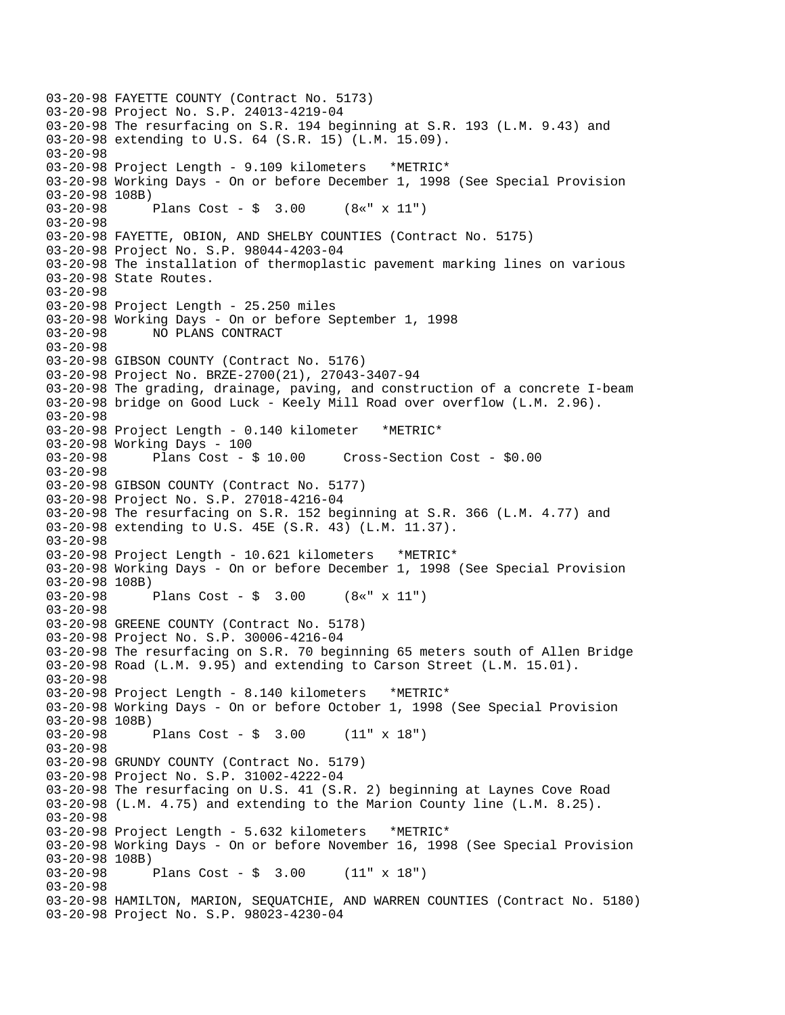03-20-98 FAYETTE COUNTY (Contract No. 5173) 03-20-98 Project No. S.P. 24013-4219-04 03-20-98 The resurfacing on S.R. 194 beginning at S.R. 193 (L.M. 9.43) and 03-20-98 extending to U.S. 64 (S.R. 15) (L.M. 15.09). 03-20-98 03-20-98 Project Length - 9.109 kilometers \*METRIC\* 03-20-98 Working Days - On or before December 1, 1998 (See Special Provision 03-20-98 108B) 03-20-98 Plans Cost - \$ 3.00 (8«" x 11") 03-20-98 03-20-98 FAYETTE, OBION, AND SHELBY COUNTIES (Contract No. 5175) 03-20-98 Project No. S.P. 98044-4203-04 03-20-98 The installation of thermoplastic pavement marking lines on various 03-20-98 State Routes. 03-20-98 03-20-98 Project Length - 25.250 miles 03-20-98 Working Days - On or before September 1, 1998 03-20-98 NO PLANS CONTRACT 03-20-98 03-20-98 GIBSON COUNTY (Contract No. 5176) 03-20-98 Project No. BRZE-2700(21), 27043-3407-94 03-20-98 The grading, drainage, paving, and construction of a concrete I-beam 03-20-98 bridge on Good Luck - Keely Mill Road over overflow (L.M. 2.96). 03-20-98 03-20-98 Project Length - 0.140 kilometer \*METRIC\* 03-20-98 Working Days - 100 03-20-98 Plans Cost - \$ 10.00 Cross-Section Cost - \$0.00 03-20-98 03-20-98 GIBSON COUNTY (Contract No. 5177) 03-20-98 Project No. S.P. 27018-4216-04 03-20-98 The resurfacing on S.R. 152 beginning at S.R. 366 (L.M. 4.77) and 03-20-98 extending to U.S. 45E (S.R. 43) (L.M. 11.37). 03-20-98 03-20-98 Project Length - 10.621 kilometers \*METRIC\* 03-20-98 Working Days - On or before December 1, 1998 (See Special Provision 03-20-98 108B) 03-20-98 Plans Cost - \$ 3.00 (8«" x 11") 03-20-98 03-20-98 GREENE COUNTY (Contract No. 5178) 03-20-98 Project No. S.P. 30006-4216-04 03-20-98 The resurfacing on S.R. 70 beginning 65 meters south of Allen Bridge 03-20-98 Road (L.M. 9.95) and extending to Carson Street (L.M. 15.01). 03-20-98 03-20-98 Project Length - 8.140 kilometers \*METRIC\* 03-20-98 Working Days - On or before October 1, 1998 (See Special Provision 03-20-98 108B) 03-20-98 Plans Cost - \$ 3.00 (11" x 18") 03-20-98 03-20-98 GRUNDY COUNTY (Contract No. 5179) 03-20-98 Project No. S.P. 31002-4222-04 03-20-98 The resurfacing on U.S. 41 (S.R. 2) beginning at Laynes Cove Road 03-20-98 (L.M. 4.75) and extending to the Marion County line (L.M. 8.25). 03-20-98 03-20-98 Project Length - 5.632 kilometers \*METRIC\* 03-20-98 Working Days - On or before November 16, 1998 (See Special Provision 03-20-98 108B) 03-20-98 Plans Cost - \$ 3.00 (11" x 18") 03-20-98 03-20-98 HAMILTON, MARION, SEQUATCHIE, AND WARREN COUNTIES (Contract No. 5180) 03-20-98 Project No. S.P. 98023-4230-04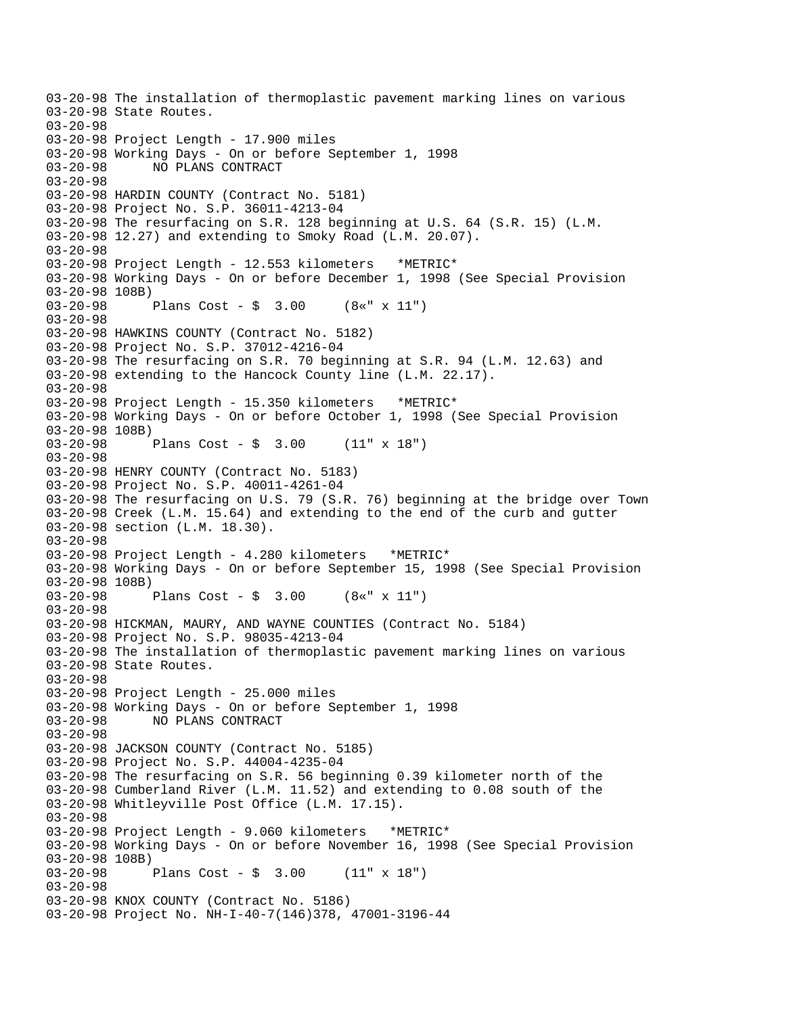03-20-98 The installation of thermoplastic pavement marking lines on various 03-20-98 State Routes. 03-20-98 03-20-98 Project Length - 17.900 miles 03-20-98 Working Days - On or before September 1, 1998 03-20-98 NO PLANS CONTRACT 03-20-98 03-20-98 HARDIN COUNTY (Contract No. 5181) 03-20-98 Project No. S.P. 36011-4213-04 03-20-98 The resurfacing on S.R. 128 beginning at U.S. 64 (S.R. 15) (L.M. 03-20-98 12.27) and extending to Smoky Road (L.M. 20.07). 03-20-98 03-20-98 Project Length - 12.553 kilometers \*METRIC\* 03-20-98 Working Days - On or before December 1, 1998 (See Special Provision  $03-20-98$  108B)<br>03-20-98 Plans  $Cost - $ 3.00 (8*" x 11")$ 03-20-98 03-20-98 HAWKINS COUNTY (Contract No. 5182) 03-20-98 Project No. S.P. 37012-4216-04 03-20-98 The resurfacing on S.R. 70 beginning at S.R. 94 (L.M. 12.63) and 03-20-98 extending to the Hancock County line (L.M. 22.17). 03-20-98 03-20-98 Project Length - 15.350 kilometers \*METRIC\* 03-20-98 Working Days - On or before October 1, 1998 (See Special Provision  $03-20-98$  108B)<br>03-20-98 Plans Cost -  $\frac{1}{2}$  3.00 (11" x 18") 03-20-98 03-20-98 HENRY COUNTY (Contract No. 5183) 03-20-98 Project No. S.P. 40011-4261-04 03-20-98 The resurfacing on U.S. 79 (S.R. 76) beginning at the bridge over Town 03-20-98 Creek (L.M. 15.64) and extending to the end of the curb and gutter 03-20-98 section (L.M. 18.30). 03-20-98 03-20-98 Project Length - 4.280 kilometers \*METRIC\* 03-20-98 Working Days - On or before September 15, 1998 (See Special Provision 03-20-98 108B) 03-20-98 Plans Cost - \$ 3.00 (8«" x 11") 03-20-98 03-20-98 HICKMAN, MAURY, AND WAYNE COUNTIES (Contract No. 5184) 03-20-98 Project No. S.P. 98035-4213-04 03-20-98 The installation of thermoplastic pavement marking lines on various 03-20-98 State Routes. 03-20-98 03-20-98 Project Length - 25.000 miles 03-20-98 Working Days - On or before September 1, 1998 03-20-98 NO PLANS CONTRACT 03-20-98 03-20-98 JACKSON COUNTY (Contract No. 5185) 03-20-98 Project No. S.P. 44004-4235-04 03-20-98 The resurfacing on S.R. 56 beginning 0.39 kilometer north of the 03-20-98 Cumberland River (L.M. 11.52) and extending to 0.08 south of the 03-20-98 Whitleyville Post Office (L.M. 17.15). 03-20-98 03-20-98 Project Length - 9.060 kilometers \*METRIC\* 03-20-98 Working Days - On or before November 16, 1998 (See Special Provision 03-20-98 108B) 03-20-98 Plans Cost - \$ 3.00 (11" x 18") 03-20-98 03-20-98 KNOX COUNTY (Contract No. 5186) 03-20-98 Project No. NH-I-40-7(146)378, 47001-3196-44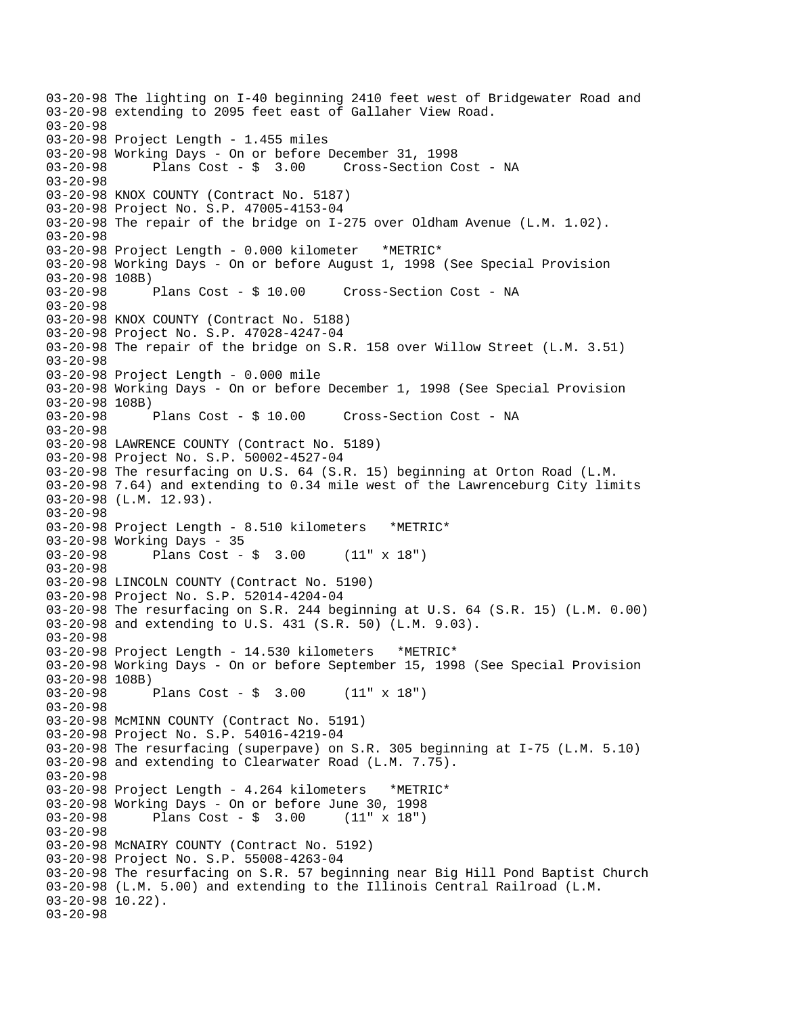```
03-20-98 The lighting on I-40 beginning 2410 feet west of Bridgewater Road and 
03-20-98 extending to 2095 feet east of Gallaher View Road. 
03-20-98 
03-20-98 Project Length - 1.455 miles 
03-20-98 Working Days - On or before December 31, 1998 
03-20-98 Plans Cost - $ 3.00 Cross-Section Cost - NA 
03-20-98 
03-20-98 KNOX COUNTY (Contract No. 5187) 
03-20-98 Project No. S.P. 47005-4153-04 
03-20-98 The repair of the bridge on I-275 over Oldham Avenue (L.M. 1.02). 
03-20-98 
03-20-98 Project Length - 0.000 kilometer *METRIC* 
03-20-98 Working Days - On or before August 1, 1998 (See Special Provision 
03-20-98 108B)<br>03-20-98 Plans Cost - $ 10.00
                                      Cross-Section Cost - NA
03-20-98 
03-20-98 KNOX COUNTY (Contract No. 5188) 
03-20-98 Project No. S.P. 47028-4247-04 
03-20-98 The repair of the bridge on S.R. 158 over Willow Street (L.M. 3.51) 
03-20-98 
03-20-98 Project Length - 0.000 mile 
03-20-98 Working Days - On or before December 1, 1998 (See Special Provision 
03-20-98 108B) 
03-20-98 Plans Cost - $ 10.00 Cross-Section Cost - NA 
03-20-98 
03-20-98 LAWRENCE COUNTY (Contract No. 5189) 
03-20-98 Project No. S.P. 50002-4527-04 
03-20-98 The resurfacing on U.S. 64 (S.R. 15) beginning at Orton Road (L.M. 
03-20-98 7.64) and extending to 0.34 mile west of the Lawrenceburg City limits 
03-20-98 (L.M. 12.93). 
03-20-98 
03-20-98 Project Length - 8.510 kilometers *METRIC* 
03-20-98 Working Days - 35 
03-20-98 Plans Cost - $ 3.00 (11" x 18") 
03-20-98 
03-20-98 LINCOLN COUNTY (Contract No. 5190) 
03-20-98 Project No. S.P. 52014-4204-04 
03-20-98 The resurfacing on S.R. 244 beginning at U.S. 64 (S.R. 15) (L.M. 0.00) 
03-20-98 and extending to U.S. 431 (S.R. 50) (L.M. 9.03). 
03-20-98 
03-20-98 Project Length - 14.530 kilometers *METRIC* 
03-20-98 Working Days - On or before September 15, 1998 (See Special Provision 
03-20-98 108B) 
03-20-98 Plans Cost - $ 3.00 (11" x 18") 
03-20-98 
03-20-98 McMINN COUNTY (Contract No. 5191) 
03-20-98 Project No. S.P. 54016-4219-04 
03-20-98 The resurfacing (superpave) on S.R. 305 beginning at I-75 (L.M. 5.10) 
03-20-98 and extending to Clearwater Road (L.M. 7.75).
03-20-98 
03-20-98 Project Length - 4.264 kilometers *METRIC* 
03-20-98 Working Days - On or before June 30, 1998 
03-20-98 Plans Cost - $ 3.00 (11" x 18") 
03-20-98 
03-20-98 McNAIRY COUNTY (Contract No. 5192) 
03-20-98 Project No. S.P. 55008-4263-04 
03-20-98 The resurfacing on S.R. 57 beginning near Big Hill Pond Baptist Church 
03-20-98 (L.M. 5.00) and extending to the Illinois Central Railroad (L.M. 
03-20-98 10.22). 
03-20-98
```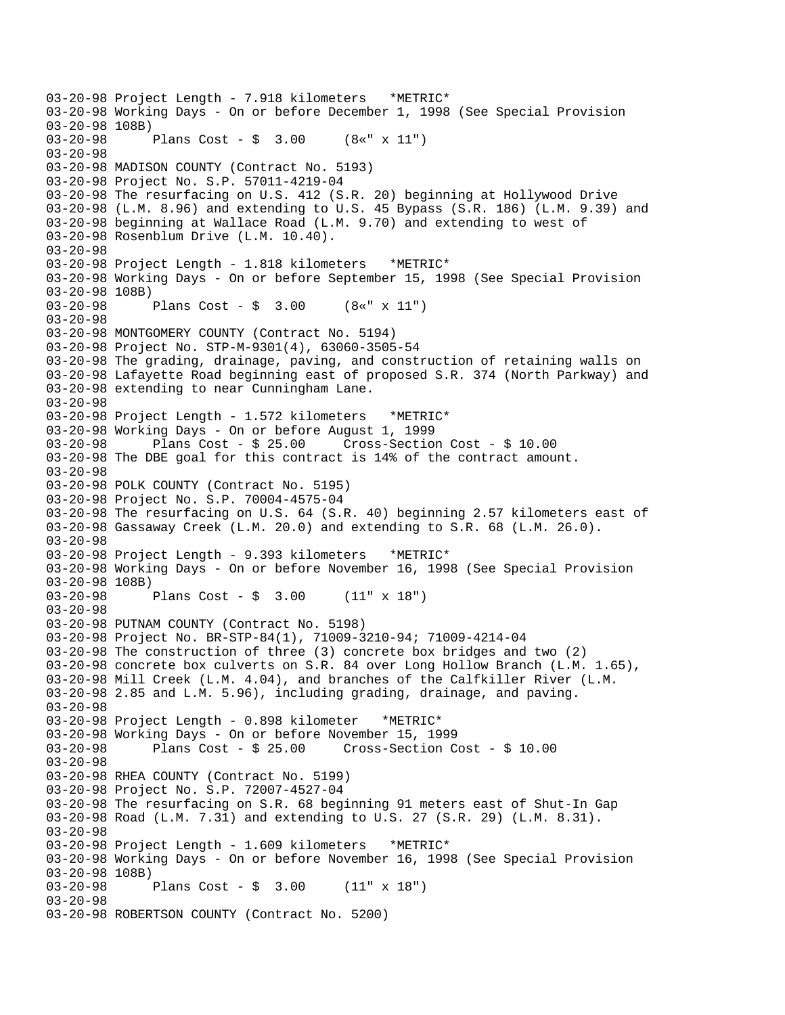03-20-98 Project Length - 7.918 kilometers \*METRIC\* 03-20-98 Working Days - On or before December 1, 1998 (See Special Provision 03-20-98 108B)<br>03-20-98 1 Plans Cost - \$ 3.00 (8«" x 11") 03-20-98 03-20-98 MADISON COUNTY (Contract No. 5193) 03-20-98 Project No. S.P. 57011-4219-04 03-20-98 The resurfacing on U.S. 412 (S.R. 20) beginning at Hollywood Drive 03-20-98 (L.M. 8.96) and extending to U.S. 45 Bypass (S.R. 186) (L.M. 9.39) and 03-20-98 beginning at Wallace Road (L.M. 9.70) and extending to west of 03-20-98 Rosenblum Drive (L.M. 10.40). 03-20-98 03-20-98 Project Length - 1.818 kilometers \*METRIC\* 03-20-98 Working Days - On or before September 15, 1998 (See Special Provision  $03-20-98$  108B)<br>03-20-98 Plans  $Cost - $ 3.00 (8*" x 11")$ 03-20-98 03-20-98 MONTGOMERY COUNTY (Contract No. 5194) 03-20-98 Project No. STP-M-9301(4), 63060-3505-54 03-20-98 The grading, drainage, paving, and construction of retaining walls on 03-20-98 Lafayette Road beginning east of proposed S.R. 374 (North Parkway) and 03-20-98 extending to near Cunningham Lane. 03-20-98 03-20-98 Project Length - 1.572 kilometers \*METRIC\* 03-20-98 Working Days - On or before August 1, 1999 03-20-98 Plans Cost - \$ 25.00 Cross-Section Cost - \$ 10.00 03-20-98 The DBE goal for this contract is 14% of the contract amount. 03-20-98 03-20-98 POLK COUNTY (Contract No. 5195) 03-20-98 Project No. S.P. 70004-4575-04 03-20-98 The resurfacing on U.S. 64 (S.R. 40) beginning 2.57 kilometers east of 03-20-98 Gassaway Creek (L.M. 20.0) and extending to S.R. 68 (L.M. 26.0). 03-20-98 03-20-98 Project Length - 9.393 kilometers \*METRIC\* 03-20-98 Working Days - On or before November 16, 1998 (See Special Provision 03-20-98 108B) 03-20-98 Plans Cost - \$ 3.00 (11" x 18") 03-20-98 03-20-98 PUTNAM COUNTY (Contract No. 5198) 03-20-98 Project No. BR-STP-84(1), 71009-3210-94; 71009-4214-04 03-20-98 The construction of three (3) concrete box bridges and two (2) 03-20-98 concrete box culverts on S.R. 84 over Long Hollow Branch (L.M. 1.65), 03-20-98 Mill Creek (L.M. 4.04), and branches of the Calfkiller River (L.M. 03-20-98 2.85 and L.M. 5.96), including grading, drainage, and paving. 03-20-98 03-20-98 Project Length - 0.898 kilometer \*METRIC\* 03-20-98 Working Days - On or before November 15, 1999 03-20-98 Plans Cost - \$ 25.00 Cross-Section Cost - \$ 10.00 03-20-98 03-20-98 RHEA COUNTY (Contract No. 5199) 03-20-98 Project No. S.P. 72007-4527-04 03-20-98 The resurfacing on S.R. 68 beginning 91 meters east of Shut-In Gap 03-20-98 Road (L.M. 7.31) and extending to U.S. 27 (S.R. 29) (L.M. 8.31). 03-20-98 03-20-98 Project Length - 1.609 kilometers \*METRIC\* 03-20-98 Working Days - On or before November 16, 1998 (See Special Provision 03-20-98 108B) Plans Cost -  $\frac{1}{2}$  3.00 (11" x 18") 03-20-98 03-20-98 ROBERTSON COUNTY (Contract No. 5200)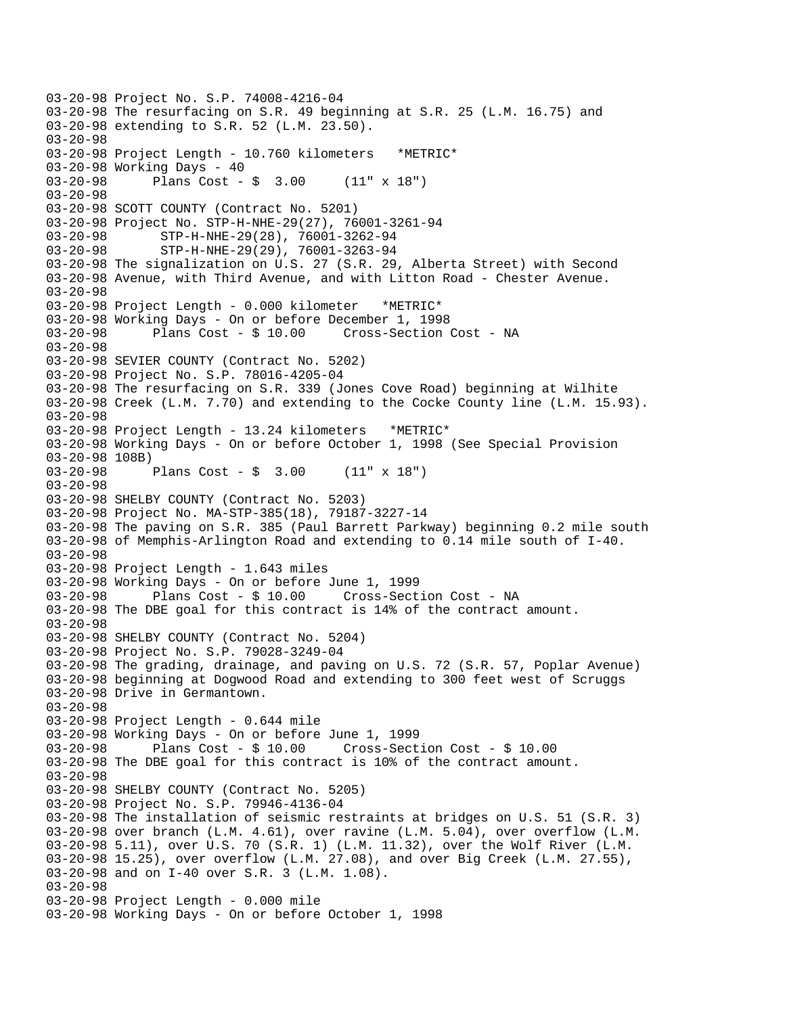```
03-20-98 Project No. S.P. 74008-4216-04 
03-20-98 The resurfacing on S.R. 49 beginning at S.R. 25 (L.M. 16.75) and 
03-20-98 extending to S.R. 52 (L.M. 23.50). 
03-20-98 
03-20-98 Project Length - 10.760 kilometers *METRIC* 
03-20-98 Working Days - 40 
03-20-98 Plans Cost - $ 3.00 (11" x 18") 
03-20-98 
03-20-98 SCOTT COUNTY (Contract No. 5201) 
03-20-98 Project No. STP-H-NHE-29(27), 76001-3261-94 
03-20-98 STP-H-NHE-29(28), 76001-3262-94 
03-20-98 STP-H-NHE-29(29), 76001-3263-94 
03-20-98 The signalization on U.S. 27 (S.R. 29, Alberta Street) with Second 
03-20-98 Avenue, with Third Avenue, and with Litton Road - Chester Avenue. 
03-20-98 
03-20-98 Project Length - 0.000 kilometer *METRIC* 
03-20-98 Working Days - On or before December 1, 1998 
03-20-98 Plans Cost - $ 10.00 Cross-Section Cost - NA 
03-20-98 
03-20-98 SEVIER COUNTY (Contract No. 5202) 
03-20-98 Project No. S.P. 78016-4205-04 
03-20-98 The resurfacing on S.R. 339 (Jones Cove Road) beginning at Wilhite 
03-20-98 Creek (L.M. 7.70) and extending to the Cocke County line (L.M. 15.93). 
03-20-98 
03-20-98 Project Length - 13.24 kilometers *METRIC* 
03-20-98 Working Days - On or before October 1, 1998 (See Special Provision 
03-20-98 108B)<br>03-20-98
              Plans Cost - \frac{1}{2} 3.00 (11" x 18")
03-20-98 
03-20-98 SHELBY COUNTY (Contract No. 5203) 
03-20-98 Project No. MA-STP-385(18), 79187-3227-14 
03-20-98 The paving on S.R. 385 (Paul Barrett Parkway) beginning 0.2 mile south 
03-20-98 of Memphis-Arlington Road and extending to 0.14 mile south of I-40. 
03-20-98 
03-20-98 Project Length - 1.643 miles 
03-20-98 Working Days - On or before June 1, 1999 
03-20-98 Plans Cost - $ 10.00 Cross-Section Cost - NA 
03-20-98 The DBE goal for this contract is 14% of the contract amount. 
03-20-98 
03-20-98 SHELBY COUNTY (Contract No. 5204) 
03-20-98 Project No. S.P. 79028-3249-04 
03-20-98 The grading, drainage, and paving on U.S. 72 (S.R. 57, Poplar Avenue) 
03-20-98 beginning at Dogwood Road and extending to 300 feet west of Scruggs 
03-20-98 Drive in Germantown. 
03-20-98 
03-20-98 Project Length - 0.644 mile 
03-20-98 Working Days - On or before June 1, 1999 
03-20-98 Plans Cost - $ 10.00 Cross-Section Cost - $ 10.00 
03-20-98 The DBE goal for this contract is 10% of the contract amount. 
03-20-98 
03-20-98 SHELBY COUNTY (Contract No. 5205) 
03-20-98 Project No. S.P. 79946-4136-04 
03-20-98 The installation of seismic restraints at bridges on U.S. 51 (S.R. 3) 
03-20-98 over branch (L.M. 4.61), over ravine (L.M. 5.04), over overflow (L.M. 
03-20-98 5.11), over U.S. 70 (S.R. 1) (L.M. 11.32), over the Wolf River (L.M. 
03-20-98 15.25), over overflow (L.M. 27.08), and over Big Creek (L.M. 27.55), 
03-20-98 and on I-40 over S.R. 3 (L.M. 1.08). 
03-20-98 
03-20-98 Project Length - 0.000 mile 
03-20-98 Working Days - On or before October 1, 1998
```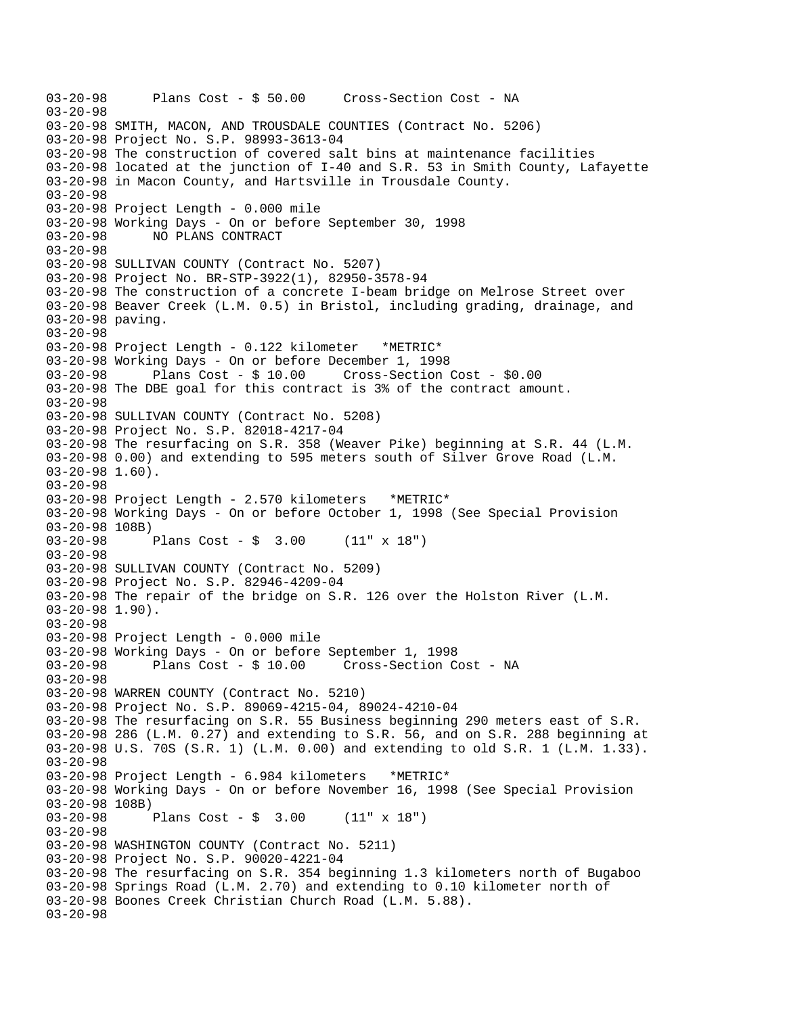```
03-20-98 Plans Cost - $ 50.00 Cross-Section Cost - NA 
03-20-98 
03-20-98 SMITH, MACON, AND TROUSDALE COUNTIES (Contract No. 5206) 
03-20-98 Project No. S.P. 98993-3613-04 
03-20-98 The construction of covered salt bins at maintenance facilities 
03-20-98 located at the junction of I-40 and S.R. 53 in Smith County, Lafayette 
03-20-98 in Macon County, and Hartsville in Trousdale County. 
03-20-98 
03-20-98 Project Length - 0.000 mile 
03-20-98 Working Days - On or before September 30, 1998 
03-20-98 NO PLANS CONTRACT 
03-20-98 
03-20-98 SULLIVAN COUNTY (Contract No. 5207) 
03-20-98 Project No. BR-STP-3922(1), 82950-3578-94 
03-20-98 The construction of a concrete I-beam bridge on Melrose Street over 
03-20-98 Beaver Creek (L.M. 0.5) in Bristol, including grading, drainage, and 
03-20-98 paving. 
03-20-98 
03-20-98 Project Length - 0.122 kilometer *METRIC* 
03-20-98 Working Days - On or before December 1, 1998 
03-20-98 Plans Cost - $ 10.00 Cross-Section Cost - $0.00 
03-20-98 The DBE goal for this contract is 3% of the contract amount. 
03-20-98 
03-20-98 SULLIVAN COUNTY (Contract No. 5208) 
03-20-98 Project No. S.P. 82018-4217-04 
03-20-98 The resurfacing on S.R. 358 (Weaver Pike) beginning at S.R. 44 (L.M. 
03-20-98 0.00) and extending to 595 meters south of Silver Grove Road (L.M. 
03-20-98 1.60). 
03-20-98 
03-20-98 Project Length - 2.570 kilometers *METRIC* 
03-20-98 Working Days - On or before October 1, 1998 (See Special Provision 
03-20-98 108B) 
              Plans Cost - \frac{1}{2} 3.00 (11" x 18")
03-20-98 
03-20-98 SULLIVAN COUNTY (Contract No. 5209) 
03-20-98 Project No. S.P. 82946-4209-04 
03-20-98 The repair of the bridge on S.R. 126 over the Holston River (L.M. 
03-20-98 1.90). 
03-20-98 
03-20-98 Project Length - 0.000 mile 
03-20-98 Working Days - On or before September 1, 1998 
03-20-98 Plans Cost - $ 10.00 Cross-Section Cost - NA 
03-20-98 
03-20-98 WARREN COUNTY (Contract No. 5210) 
03-20-98 Project No. S.P. 89069-4215-04, 89024-4210-04 
03-20-98 The resurfacing on S.R. 55 Business beginning 290 meters east of S.R. 
03-20-98 286 (L.M. 0.27) and extending to S.R. 56, and on S.R. 288 beginning at 
03-20-98 U.S. 70S (S.R. 1) (L.M. 0.00) and extending to old S.R. 1 (L.M. 1.33). 
03-20-98 
03-20-98 Project Length - 6.984 kilometers *METRIC* 
03-20-98 Working Days - On or before November 16, 1998 (See Special Provision 
03-20-98 108B)<br>03-20-98
              Plans Cost - \frac{1}{2} 3.00 (11" x 18")
03-20-98 
03-20-98 WASHINGTON COUNTY (Contract No. 5211) 
03-20-98 Project No. S.P. 90020-4221-04 
03-20-98 The resurfacing on S.R. 354 beginning 1.3 kilometers north of Bugaboo 
03-20-98 Springs Road (L.M. 2.70) and extending to 0.10 kilometer north of 
03-20-98 Boones Creek Christian Church Road (L.M. 5.88).
03-20-98
```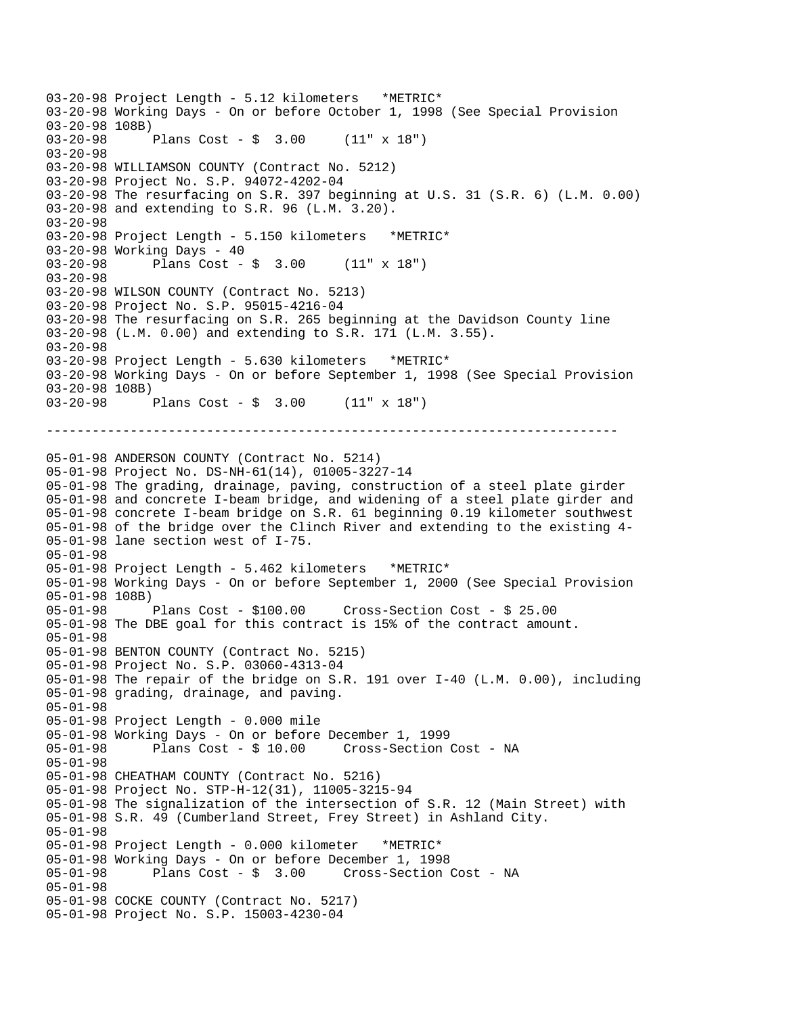--------------------------------------------------------------------------- 03-20-98 Project Length - 5.12 kilometers \*METRIC\* 03-20-98 Working Days - On or before October 1, 1998 (See Special Provision 03-20-98 108B) Plans Cost -  $\frac{1}{2}$  3.00 (11" x 18") 03-20-98 03-20-98 WILLIAMSON COUNTY (Contract No. 5212) 03-20-98 Project No. S.P. 94072-4202-04 03-20-98 The resurfacing on S.R. 397 beginning at U.S. 31 (S.R. 6) (L.M. 0.00) 03-20-98 and extending to S.R. 96 (L.M. 3.20). 03-20-98 03-20-98 Project Length - 5.150 kilometers \*METRIC\* 03-20-98 Working Days - 40 03-20-98 Plans Cost - \$ 3.00 (11" x 18") 03-20-98 03-20-98 WILSON COUNTY (Contract No. 5213) 03-20-98 Project No. S.P. 95015-4216-04 03-20-98 The resurfacing on S.R. 265 beginning at the Davidson County line 03-20-98 (L.M. 0.00) and extending to S.R. 171 (L.M. 3.55). 03-20-98 03-20-98 Project Length - 5.630 kilometers \*METRIC\* 03-20-98 Working Days - On or before September 1, 1998 (See Special Provision 03-20-98 108B) 03-20-98 Plans Cost - \$ 3.00 (11" x 18") 05-01-98 ANDERSON COUNTY (Contract No. 5214) 05-01-98 Project No. DS-NH-61(14), 01005-3227-14 05-01-98 The grading, drainage, paving, construction of a steel plate girder 05-01-98 and concrete I-beam bridge, and widening of a steel plate girder and 05-01-98 concrete I-beam bridge on S.R. 61 beginning 0.19 kilometer southwest 05-01-98 of the bridge over the Clinch River and extending to the existing 4 05-01-98 lane section west of I-75. 05-01-98 05-01-98 Project Length - 5.462 kilometers \*METRIC\* 05-01-98 Working Days - On or before September 1, 2000 (See Special Provision 05-01-98 108B)<br>05-01-98 Plans Cost - \$100.00 05-01-98 Plans Cost - \$100.00 Cross-Section Cost - \$ 25.00 05-01-98 The DBE goal for this contract is 15% of the contract amount. 05-01-98 05-01-98 BENTON COUNTY (Contract No. 5215) 05-01-98 Project No. S.P. 03060-4313-04 05-01-98 The repair of the bridge on S.R. 191 over I-40 (L.M. 0.00), including 05-01-98 grading, drainage, and paving. 05-01-98 05-01-98 Project Length - 0.000 mile 05-01-98 Working Days - On or before December 1, 1999 05-01-98 Plans Cost - \$ 10.00 Cross-Section Cost - NA 05-01-98 05-01-98 CHEATHAM COUNTY (Contract No. 5216) 05-01-98 Project No. STP-H-12(31), 11005-3215-94 05-01-98 The signalization of the intersection of S.R. 12 (Main Street) with 05-01-98 S.R. 49 (Cumberland Street, Frey Street) in Ashland City. 05-01-98 05-01-98 Project Length - 0.000 kilometer \*METRIC\* 05-01-98 Working Days - On or before December 1, 1998 05-01-98 Plans Cost - \$ 3.00 Cross-Section Cost - NA 05-01-98 05-01-98 COCKE COUNTY (Contract No. 5217) 05-01-98 Project No. S.P. 15003-4230-04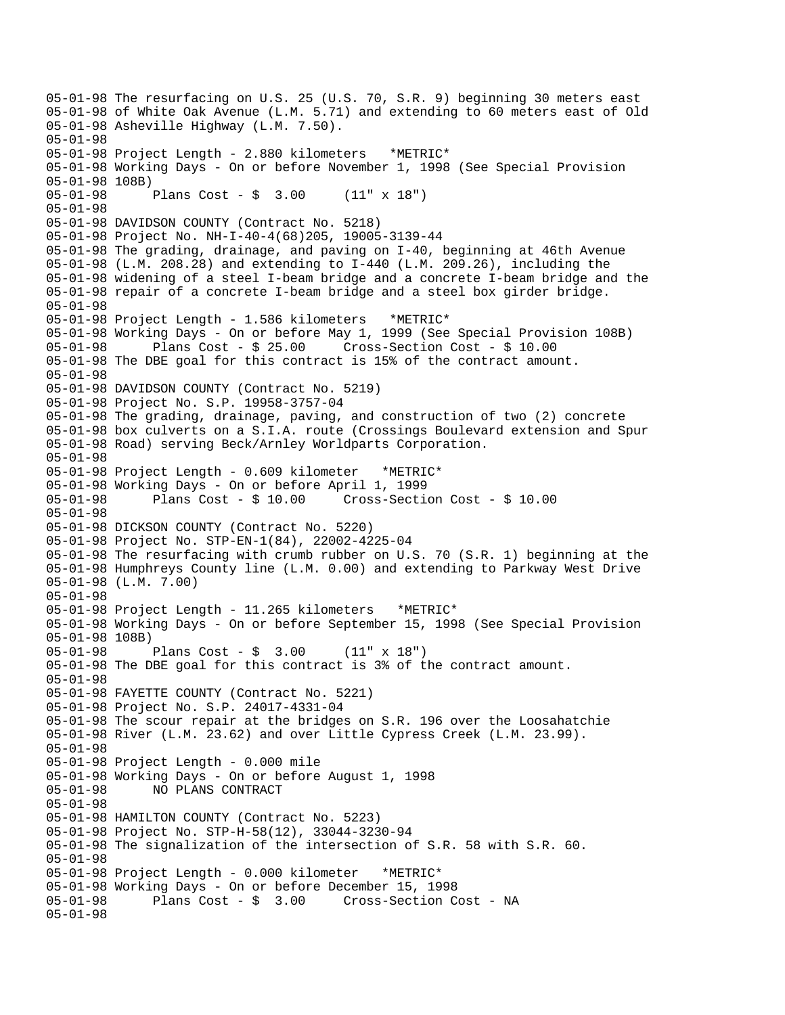05-01-98 The resurfacing on U.S. 25 (U.S. 70, S.R. 9) beginning 30 meters east 05-01-98 of White Oak Avenue (L.M. 5.71) and extending to 60 meters east of Old 05-01-98 Asheville Highway (L.M. 7.50). 05-01-98 05-01-98 Project Length - 2.880 kilometers \*METRIC\* 05-01-98 Working Days - On or before November 1, 1998 (See Special Provision 05-01-98 108B) 05-01-98 Plans Cost - \$ 3.00 (11" x 18") 05-01-98 05-01-98 DAVIDSON COUNTY (Contract No. 5218) 05-01-98 Project No. NH-I-40-4(68)205, 19005-3139-44 05-01-98 The grading, drainage, and paving on I-40, beginning at 46th Avenue 05-01-98 (L.M. 208.28) and extending to I-440 (L.M. 209.26), including the 05-01-98 widening of a steel I-beam bridge and a concrete I-beam bridge and the 05-01-98 repair of a concrete I-beam bridge and a steel box girder bridge. 05-01-98 05-01-98 Project Length - 1.586 kilometers \*METRIC\* 05-01-98 Working Days - On or before May 1, 1999 (See Special Provision 108B) 05-01-98 Plans Cost - \$ 25.00 Cross-Section Cost - \$ 10.00 05-01-98 The DBE goal for this contract is 15% of the contract amount. 05-01-98 05-01-98 DAVIDSON COUNTY (Contract No. 5219) 05-01-98 Project No. S.P. 19958-3757-04 05-01-98 The grading, drainage, paving, and construction of two (2) concrete 05-01-98 box culverts on a S.I.A. route (Crossings Boulevard extension and Spur 05-01-98 Road) serving Beck/Arnley Worldparts Corporation. 05-01-98 05-01-98 Project Length - 0.609 kilometer \*METRIC\* 05-01-98 Working Days - On or before April 1, 1999 05-01-98 Plans Cost - \$ 10.00 Cross-Section Cost - \$ 10.00 05-01-98 05-01-98 DICKSON COUNTY (Contract No. 5220) 05-01-98 Project No. STP-EN-1(84), 22002-4225-04 05-01-98 The resurfacing with crumb rubber on U.S. 70 (S.R. 1) beginning at the 05-01-98 Humphreys County line (L.M. 0.00) and extending to Parkway West Drive 05-01-98 (L.M. 7.00) 05-01-98 05-01-98 Project Length - 11.265 kilometers \*METRIC\* 05-01-98 Working Days - On or before September 15, 1998 (See Special Provision 05-01-98 108B) 05-01-98 Plans Cost - \$ 3.00 (11" x 18") 05-01-98 The DBE goal for this contract is 3% of the contract amount. 05-01-98 05-01-98 FAYETTE COUNTY (Contract No. 5221) 05-01-98 Project No. S.P. 24017-4331-04 05-01-98 The scour repair at the bridges on S.R. 196 over the Loosahatchie 05-01-98 River (L.M. 23.62) and over Little Cypress Creek (L.M. 23.99). 05-01-98 05-01-98 Project Length - 0.000 mile 05-01-98 Working Days - On or before August 1, 1998 05-01-98 NO PLANS CONTRACT 05-01-98 05-01-98 HAMILTON COUNTY (Contract No. 5223) 05-01-98 Project No. STP-H-58(12), 33044-3230-94 05-01-98 The signalization of the intersection of S.R. 58 with S.R. 60. 05-01-98 05-01-98 Project Length - 0.000 kilometer \*METRIC\* 05-01-98 Working Days - On or before December 15, 1998 Plans  $Cost - $ 3.00$  Cross-Section Cost - NA 05-01-98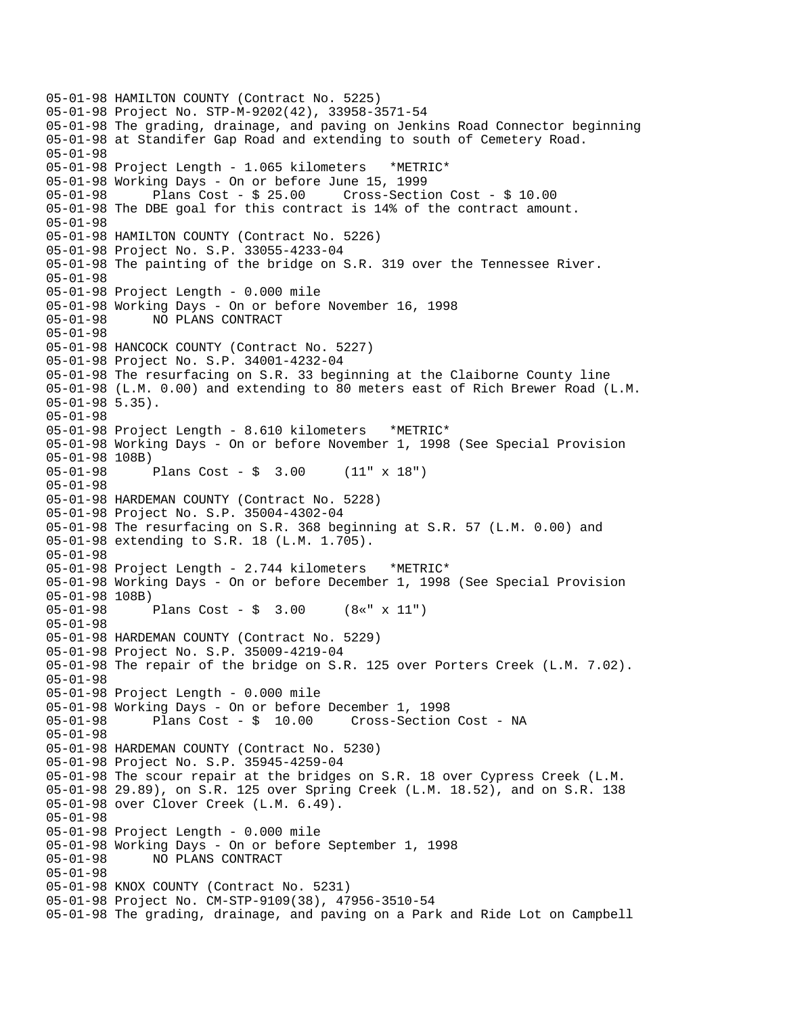05-01-98 HAMILTON COUNTY (Contract No. 5225) 05-01-98 Project No. STP-M-9202(42), 33958-3571-54 05-01-98 The grading, drainage, and paving on Jenkins Road Connector beginning 05-01-98 at Standifer Gap Road and extending to south of Cemetery Road. 05-01-98 05-01-98 Project Length - 1.065 kilometers \*METRIC\* 05-01-98 Working Days - On or before June 15, 1999 05-01-98 Plans Cost - \$ 25.00 Cross-Section Cost - \$ 10.00 05-01-98 The DBE goal for this contract is 14% of the contract amount. 05-01-98 05-01-98 HAMILTON COUNTY (Contract No. 5226) 05-01-98 Project No. S.P. 33055-4233-04 05-01-98 The painting of the bridge on S.R. 319 over the Tennessee River. 05-01-98 05-01-98 Project Length - 0.000 mile 05-01-98 Working Days - On or before November 16, 1998 05-01-98 NO PLANS CONTRACT 05-01-98 05-01-98 HANCOCK COUNTY (Contract No. 5227) 05-01-98 Project No. S.P. 34001-4232-04 05-01-98 The resurfacing on S.R. 33 beginning at the Claiborne County line 05-01-98 (L.M. 0.00) and extending to 80 meters east of Rich Brewer Road (L.M. 05-01-98 5.35). 05-01-98 05-01-98 Project Length - 8.610 kilometers \*METRIC\* 05-01-98 Working Days - On or before November 1, 1998 (See Special Provision 05-01-98 108B)<br>05-01-98 Plans Cost -  $\frac{1}{7}$  3.00 (11" x 18") 05-01-98 05-01-98 HARDEMAN COUNTY (Contract No. 5228) 05-01-98 Project No. S.P. 35004-4302-04 05-01-98 The resurfacing on S.R. 368 beginning at S.R. 57 (L.M. 0.00) and 05-01-98 extending to S.R. 18 (L.M. 1.705). 05-01-98 05-01-98 Project Length - 2.744 kilometers \*METRIC\* 05-01-98 Working Days - On or before December 1, 1998 (See Special Provision 05-01-98 108B) 05-01-98 Plans Cost - \$ 3.00 (8«" x 11") 05-01-98 05-01-98 HARDEMAN COUNTY (Contract No. 5229) 05-01-98 Project No. S.P. 35009-4219-04 05-01-98 The repair of the bridge on S.R. 125 over Porters Creek (L.M. 7.02). 05-01-98 05-01-98 Project Length - 0.000 mile 05-01-98 Working Days - On or before December 1, 1998 05-01-98 Plans Cost - \$ 10.00 Cross-Section Cost - NA 05-01-98 05-01-98 HARDEMAN COUNTY (Contract No. 5230) 05-01-98 Project No. S.P. 35945-4259-04 05-01-98 The scour repair at the bridges on S.R. 18 over Cypress Creek (L.M. 05-01-98 29.89), on S.R. 125 over Spring Creek (L.M. 18.52), and on S.R. 138 05-01-98 over Clover Creek (L.M. 6.49). 05-01-98 05-01-98 Project Length - 0.000 mile 05-01-98 Working Days - On or before September 1, 1998 05-01-98 NO PLANS CONTRACT 05-01-98 05-01-98 KNOX COUNTY (Contract No. 5231) 05-01-98 Project No. CM-STP-9109(38), 47956-3510-54 05-01-98 The grading, drainage, and paving on a Park and Ride Lot on Campbell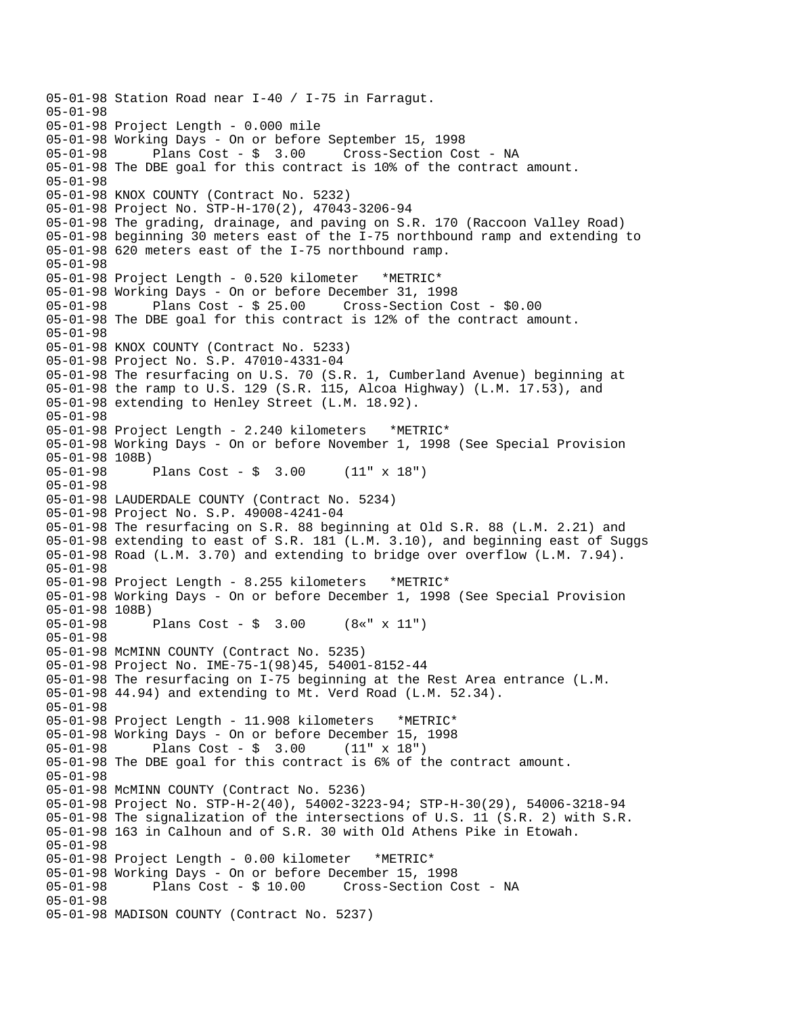05-01-98 Station Road near I-40 / I-75 in Farragut. 05-01-98 05-01-98 Project Length - 0.000 mile 05-01-98 Working Days - On or before September 15, 1998 05-01-98 Plans Cost - \$ 3.00 Cross-Section Cost - NA 05-01-98 The DBE goal for this contract is 10% of the contract amount. 05-01-98 05-01-98 KNOX COUNTY (Contract No. 5232) 05-01-98 Project No. STP-H-170(2), 47043-3206-94 05-01-98 The grading, drainage, and paving on S.R. 170 (Raccoon Valley Road) 05-01-98 beginning 30 meters east of the I-75 northbound ramp and extending to 05-01-98 620 meters east of the I-75 northbound ramp. 05-01-98 05-01-98 Project Length - 0.520 kilometer \*METRIC\* 05-01-98 Working Days - On or before December 31, 1998 05-01-98 Plans Cost - \$ 25.00 Cross-Section Cost - \$0.00 05-01-98 The DBE goal for this contract is 12% of the contract amount. 05-01-98 05-01-98 KNOX COUNTY (Contract No. 5233) 05-01-98 Project No. S.P. 47010-4331-04 05-01-98 The resurfacing on U.S. 70 (S.R. 1, Cumberland Avenue) beginning at 05-01-98 the ramp to U.S. 129 (S.R. 115, Alcoa Highway) (L.M. 17.53), and 05-01-98 extending to Henley Street (L.M. 18.92). 05-01-98 05-01-98 Project Length - 2.240 kilometers \*METRIC\* 05-01-98 Working Days - On or before November 1, 1998 (See Special Provision 05-01-98 108B)<br>05-01-98 Plans Cost -  $\frac{1}{7}$  3.00 (11" x 18") 05-01-98 05-01-98 LAUDERDALE COUNTY (Contract No. 5234) 05-01-98 Project No. S.P. 49008-4241-04 05-01-98 The resurfacing on S.R. 88 beginning at Old S.R. 88 (L.M. 2.21) and 05-01-98 extending to east of S.R. 181 (L.M. 3.10), and beginning east of Suggs 05-01-98 Road (L.M. 3.70) and extending to bridge over overflow (L.M. 7.94). 05-01-98 05-01-98 Project Length - 8.255 kilometers \*METRIC\* 05-01-98 Working Days - On or before December 1, 1998 (See Special Provision 05-01-98 108B) 05-01-98 Plans Cost - \$ 3.00 (8«" x 11") 05-01-98 05-01-98 McMINN COUNTY (Contract No. 5235) 05-01-98 Project No. IME-75-1(98)45, 54001-8152-44 05-01-98 The resurfacing on I-75 beginning at the Rest Area entrance (L.M. 05-01-98 44.94) and extending to Mt. Verd Road (L.M. 52.34). 05-01-98 05-01-98 Project Length - 11.908 kilometers \*METRIC\* 05-01-98 Working Days - On or before December 15, 1998 05-01-98 Plans Cost - \$ 3.00 (11" x 18") 05-01-98 The DBE goal for this contract is 6% of the contract amount. 05-01-98 05-01-98 McMINN COUNTY (Contract No. 5236) 05-01-98 Project No. STP-H-2(40), 54002-3223-94; STP-H-30(29), 54006-3218-94 05-01-98 The signalization of the intersections of U.S. 11 (S.R. 2) with S.R. 05-01-98 163 in Calhoun and of S.R. 30 with Old Athens Pike in Etowah. 05-01-98 05-01-98 Project Length - 0.00 kilometer \*METRIC\* 05-01-98 Working Days - On or before December 15, 1998 Cross-Section Cost - NA 05-01-98 05-01-98 MADISON COUNTY (Contract No. 5237)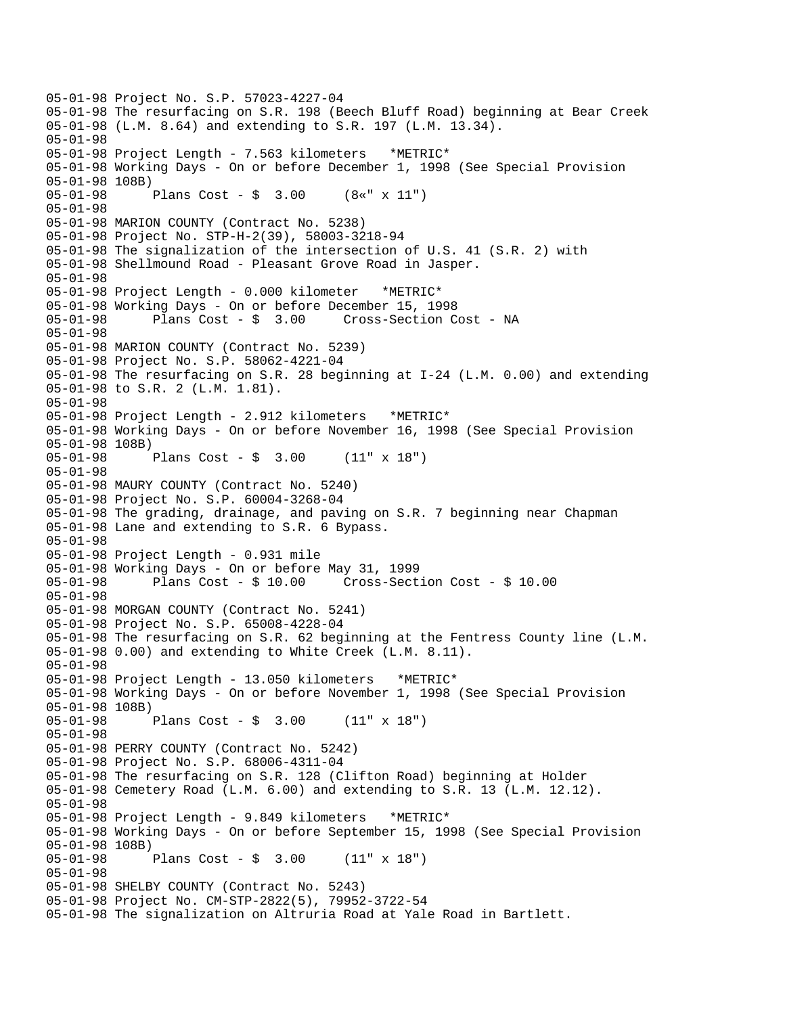05-01-98 Project No. S.P. 57023-4227-04 05-01-98 The resurfacing on S.R. 198 (Beech Bluff Road) beginning at Bear Creek 05-01-98 (L.M. 8.64) and extending to S.R. 197 (L.M. 13.34). 05-01-98 05-01-98 Project Length - 7.563 kilometers \*METRIC\* 05-01-98 Working Days - On or before December 1, 1998 (See Special Provision 05-01-98 108B) 05-01-98 Plans Cost - \$ 3.00 (8«" x 11") 05-01-98 05-01-98 MARION COUNTY (Contract No. 5238) 05-01-98 Project No. STP-H-2(39), 58003-3218-94 05-01-98 The signalization of the intersection of U.S. 41 (S.R. 2) with 05-01-98 Shellmound Road - Pleasant Grove Road in Jasper. 05-01-98 05-01-98 Project Length - 0.000 kilometer \*METRIC\* 05-01-98 Working Days - On or before December 15, 1998 05-01-98 Plans Cost - \$ 3.00 Cross-Section Cost - NA 05-01-98 05-01-98 MARION COUNTY (Contract No. 5239) 05-01-98 Project No. S.P. 58062-4221-04 05-01-98 The resurfacing on S.R. 28 beginning at I-24 (L.M. 0.00) and extending 05-01-98 to S.R. 2 (L.M. 1.81). 05-01-98 05-01-98 Project Length - 2.912 kilometers \*METRIC\* 05-01-98 Working Days - On or before November 16, 1998 (See Special Provision 05-01-98 108B) 05-01-98 Plans Cost - \$ 3.00 (11" x 18") 05-01-98 05-01-98 MAURY COUNTY (Contract No. 5240) 05-01-98 Project No. S.P. 60004-3268-04 05-01-98 The grading, drainage, and paving on S.R. 7 beginning near Chapman 05-01-98 Lane and extending to S.R. 6 Bypass. 05-01-98 05-01-98 Project Length - 0.931 mile 05-01-98 Working Days - On or before May 31, 1999 05-01-98 Plans Cost - \$ 10.00 Cross-Section Cost - \$ 10.00 05-01-98 05-01-98 MORGAN COUNTY (Contract No. 5241) 05-01-98 Project No. S.P. 65008-4228-04 05-01-98 The resurfacing on S.R. 62 beginning at the Fentress County line (L.M. 05-01-98 0.00) and extending to White Creek (L.M. 8.11). 05-01-98 05-01-98 Project Length - 13.050 kilometers \*METRIC\* 05-01-98 Working Days - On or before November 1, 1998 (See Special Provision 05-01-98 108B) 05-01-98 Plans Cost - \$ 3.00 (11" x 18") 05-01-98 05-01-98 PERRY COUNTY (Contract No. 5242) 05-01-98 Project No. S.P. 68006-4311-04 05-01-98 The resurfacing on S.R. 128 (Clifton Road) beginning at Holder 05-01-98 Cemetery Road (L.M. 6.00) and extending to S.R. 13 (L.M. 12.12). 05-01-98 05-01-98 Project Length - 9.849 kilometers \*METRIC\* 05-01-98 Working Days - On or before September 15, 1998 (See Special Provision 05-01-98 108B) Plans Cost -  $\frac{1}{2}$  3.00 (11" x 18") 05-01-98 05-01-98 SHELBY COUNTY (Contract No. 5243) 05-01-98 Project No. CM-STP-2822(5), 79952-3722-54 05-01-98 The signalization on Altruria Road at Yale Road in Bartlett.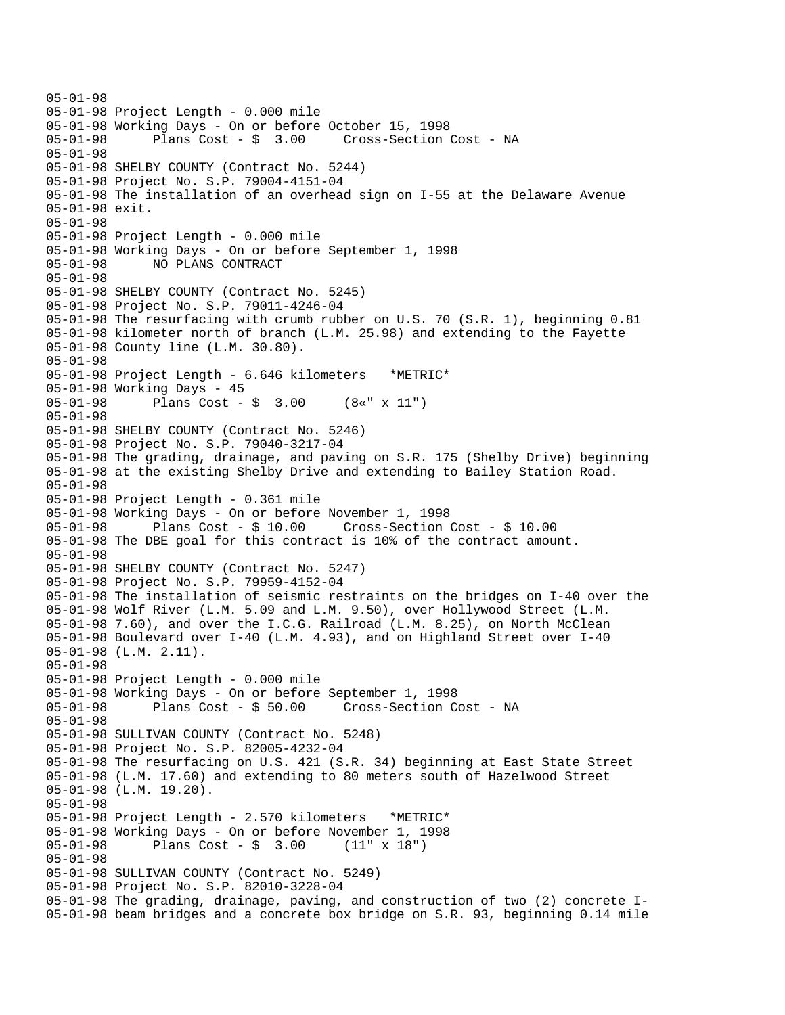05-01-98 05-01-98 Project Length - 0.000 mile 05-01-98 Working Days - On or before October 15, 1998 05-01-98 Plans Cost - \$ 3.00 Cross-Section Cost - NA 05-01-98 05-01-98 SHELBY COUNTY (Contract No. 5244) 05-01-98 Project No. S.P. 79004-4151-04 05-01-98 The installation of an overhead sign on I-55 at the Delaware Avenue 05-01-98 exit. 05-01-98 05-01-98 Project Length - 0.000 mile 05-01-98 Working Days - On or before September 1, 1998 05-01-98 NO PLANS CONTRACT 05-01-98 05-01-98 SHELBY COUNTY (Contract No. 5245) 05-01-98 Project No. S.P. 79011-4246-04 05-01-98 The resurfacing with crumb rubber on U.S. 70 (S.R. 1), beginning 0.81 05-01-98 kilometer north of branch (L.M. 25.98) and extending to the Fayette 05-01-98 County line (L.M. 30.80). 05-01-98 05-01-98 Project Length - 6.646 kilometers \*METRIC\* 05-01-98 Working Days - 45 05-01-98 Plans Cost - \$ 3.00 (8«" x 11") 05-01-98 05-01-98 SHELBY COUNTY (Contract No. 5246) 05-01-98 Project No. S.P. 79040-3217-04 05-01-98 The grading, drainage, and paving on S.R. 175 (Shelby Drive) beginning 05-01-98 at the existing Shelby Drive and extending to Bailey Station Road. 05-01-98 05-01-98 Project Length - 0.361 mile 05-01-98 Working Days - On or before November 1, 1998 05-01-98 Plans Cost - \$ 10.00 Cross-Section Cost - \$ 10.00 05-01-98 The DBE goal for this contract is 10% of the contract amount. 05-01-98 05-01-98 SHELBY COUNTY (Contract No. 5247) 05-01-98 Project No. S.P. 79959-4152-04 05-01-98 The installation of seismic restraints on the bridges on I-40 over the 05-01-98 Wolf River (L.M. 5.09 and L.M. 9.50), over Hollywood Street (L.M. 05-01-98 7.60), and over the I.C.G. Railroad (L.M. 8.25), on North McClean 05-01-98 Boulevard over I-40 (L.M. 4.93), and on Highland Street over I-40 05-01-98 (L.M. 2.11). 05-01-98 05-01-98 Project Length - 0.000 mile 05-01-98 Working Days - On or before September 1, 1998 05-01-98 Plans Cost - \$ 50.00 Cross-Section Cost - NA 05-01-98 05-01-98 SULLIVAN COUNTY (Contract No. 5248) 05-01-98 Project No. S.P. 82005-4232-04 05-01-98 The resurfacing on U.S. 421 (S.R. 34) beginning at East State Street 05-01-98 (L.M. 17.60) and extending to 80 meters south of Hazelwood Street 05-01-98 (L.M. 19.20). 05-01-98 05-01-98 Project Length - 2.570 kilometers \*METRIC\* 05-01-98 Working Days - On or before November 1, 1998 Plans  $Cost - $ 3.00$ 05-01-98 05-01-98 SULLIVAN COUNTY (Contract No. 5249) 05-01-98 Project No. S.P. 82010-3228-04 05-01-98 The grading, drainage, paving, and construction of two (2) concrete I-05-01-98 beam bridges and a concrete box bridge on S.R. 93, beginning 0.14 mile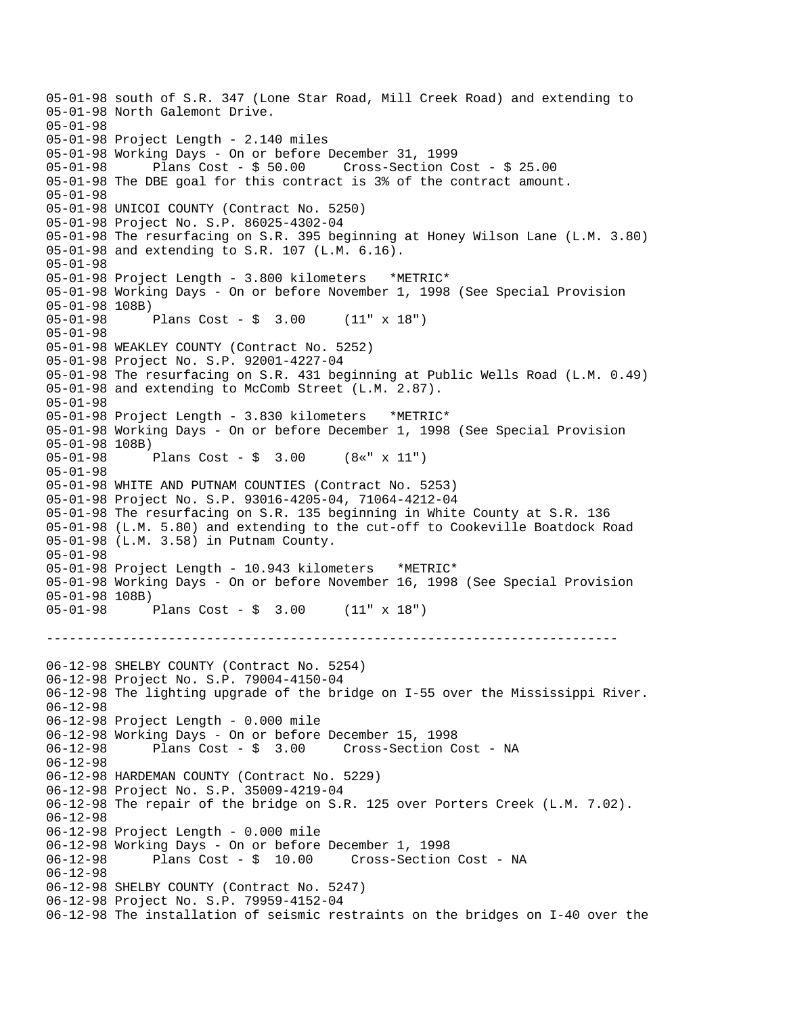--------------------------------------------------------------------------- 05-01-98 south of S.R. 347 (Lone Star Road, Mill Creek Road) and extending to 05-01-98 North Galemont Drive. 05-01-98 05-01-98 Project Length - 2.140 miles 05-01-98 Working Days - On or before December 31, 1999 05-01-98 Plans Cost - \$ 50.00 Cross-Section Cost - \$ 25.00 05-01-98 The DBE goal for this contract is 3% of the contract amount. 05-01-98 05-01-98 UNICOI COUNTY (Contract No. 5250) 05-01-98 Project No. S.P. 86025-4302-04 05-01-98 The resurfacing on S.R. 395 beginning at Honey Wilson Lane (L.M. 3.80) 05-01-98 and extending to S.R. 107 (L.M. 6.16). 05-01-98 05-01-98 Project Length - 3.800 kilometers \*METRIC\* 05-01-98 Working Days - On or before November 1, 1998 (See Special Provision 05-01-98 108B) 05-01-98 Plans Cost - \$ 3.00 (11" x 18") 05-01-98 05-01-98 WEAKLEY COUNTY (Contract No. 5252) 05-01-98 Project No. S.P. 92001-4227-04 05-01-98 The resurfacing on S.R. 431 beginning at Public Wells Road (L.M. 0.49) 05-01-98 and extending to McComb Street (L.M. 2.87). 05-01-98 05-01-98 Project Length - 3.830 kilometers \*METRIC\* 05-01-98 Working Days - On or before December 1, 1998 (See Special Provision 05-01-98 108B) 05-01-98 Plans Cost - \$ 3.00 (8«" x 11") 05-01-98 05-01-98 WHITE AND PUTNAM COUNTIES (Contract No. 5253) 05-01-98 Project No. S.P. 93016-4205-04, 71064-4212-04 05-01-98 The resurfacing on S.R. 135 beginning in White County at S.R. 136 05-01-98 (L.M. 5.80) and extending to the cut-off to Cookeville Boatdock Road 05-01-98 (L.M. 3.58) in Putnam County. 05-01-98 05-01-98 Project Length - 10.943 kilometers \*METRIC\* 05-01-98 Working Days - On or before November 16, 1998 (See Special Provision 05-01-98 108B) Plans Cost -  $\frac{1}{2}$  3.00 (11" x 18") 06-12-98 SHELBY COUNTY (Contract No. 5254) 06-12-98 Project No. S.P. 79004-4150-04 06-12-98 The lighting upgrade of the bridge on I-55 over the Mississippi River. 06-12-98 06-12-98 Project Length - 0.000 mile 06-12-98 Working Days - On or before December 15, 1998 06-12-98 Plans Cost - \$ 3.00 Cross-Section Cost - NA 06-12-98 06-12-98 HARDEMAN COUNTY (Contract No. 5229) 06-12-98 Project No. S.P. 35009-4219-04 06-12-98 The repair of the bridge on S.R. 125 over Porters Creek (L.M. 7.02). 06-12-98 06-12-98 Project Length - 0.000 mile 06-12-98 Working Days - On or before December 1, 1998 06-12-98 Plans Cost - \$ 10.00 Cross-Section Cost - NA 06-12-98 06-12-98 SHELBY COUNTY (Contract No. 5247) 06-12-98 Project No. S.P. 79959-4152-04 06-12-98 The installation of seismic restraints on the bridges on I-40 over the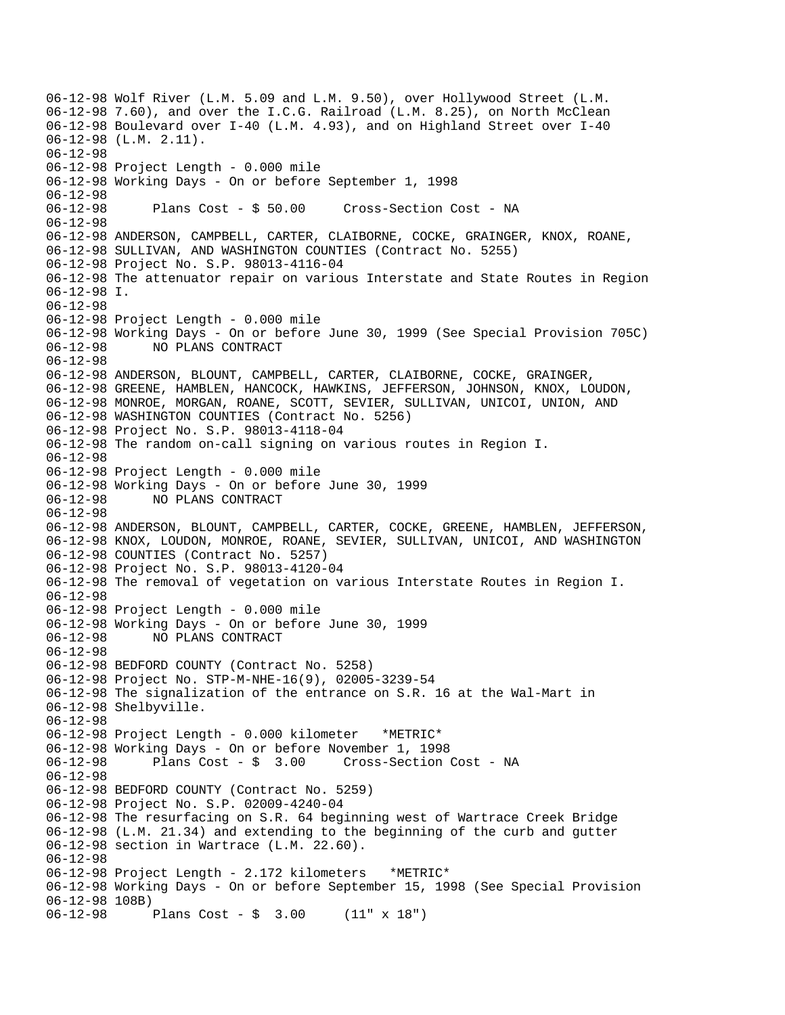06-12-98 Wolf River (L.M. 5.09 and L.M. 9.50), over Hollywood Street (L.M. 06-12-98 7.60), and over the I.C.G. Railroad (L.M. 8.25), on North McClean 06-12-98 Boulevard over I-40 (L.M. 4.93), and on Highland Street over I-40 06-12-98 (L.M. 2.11). 06-12-98 06-12-98 Project Length - 0.000 mile 06-12-98 Working Days - On or before September 1, 1998 06-12-98 06-12-98 Plans Cost - \$ 50.00 Cross-Section Cost - NA 06-12-98 06-12-98 ANDERSON, CAMPBELL, CARTER, CLAIBORNE, COCKE, GRAINGER, KNOX, ROANE, 06-12-98 SULLIVAN, AND WASHINGTON COUNTIES (Contract No. 5255) 06-12-98 Project No. S.P. 98013-4116-04 06-12-98 The attenuator repair on various Interstate and State Routes in Region 06-12-98 I. 06-12-98 06-12-98 Project Length - 0.000 mile 06-12-98 Working Days - On or before June 30, 1999 (See Special Provision 705C) 06-12-98 NO PLANS CONTRACT 06-12-98 06-12-98 ANDERSON, BLOUNT, CAMPBELL, CARTER, CLAIBORNE, COCKE, GRAINGER, 06-12-98 GREENE, HAMBLEN, HANCOCK, HAWKINS, JEFFERSON, JOHNSON, KNOX, LOUDON, 06-12-98 MONROE, MORGAN, ROANE, SCOTT, SEVIER, SULLIVAN, UNICOI, UNION, AND 06-12-98 WASHINGTON COUNTIES (Contract No. 5256) 06-12-98 Project No. S.P. 98013-4118-04 06-12-98 The random on-call signing on various routes in Region I. 06-12-98 06-12-98 Project Length - 0.000 mile 06-12-98 Working Days - On or before June 30, 1999 06-12-98 NO PLANS CONTRACT 06-12-98 06-12-98 ANDERSON, BLOUNT, CAMPBELL, CARTER, COCKE, GREENE, HAMBLEN, JEFFERSON, 06-12-98 KNOX, LOUDON, MONROE, ROANE, SEVIER, SULLIVAN, UNICOI, AND WASHINGTON 06-12-98 COUNTIES (Contract No. 5257) 06-12-98 Project No. S.P. 98013-4120-04 06-12-98 The removal of vegetation on various Interstate Routes in Region I. 06-12-98 06-12-98 Project Length - 0.000 mile 06-12-98 Working Days - On or before June 30, 1999 06-12-98 NO PLANS CONTRACT 06-12-98 06-12-98 BEDFORD COUNTY (Contract No. 5258) 06-12-98 Project No. STP-M-NHE-16(9), 02005-3239-54 06-12-98 The signalization of the entrance on S.R. 16 at the Wal-Mart in 06-12-98 Shelbyville. 06-12-98 06-12-98 Project Length - 0.000 kilometer \*METRIC\* 06-12-98 Working Days - On or before November 1, 1998 Plans Cost - \$ 3.00 Cross-Section Cost - NA 06-12-98 06-12-98 BEDFORD COUNTY (Contract No. 5259) 06-12-98 Project No. S.P. 02009-4240-04 06-12-98 The resurfacing on S.R. 64 beginning west of Wartrace Creek Bridge 06-12-98 (L.M. 21.34) and extending to the beginning of the curb and gutter 06-12-98 section in Wartrace (L.M. 22.60). 06-12-98 06-12-98 Project Length - 2.172 kilometers \*METRIC\* 06-12-98 Working Days - On or before September 15, 1998 (See Special Provision 06-12-98 108B) 06-12-98 Plans Cost - \$ 3.00 (11" x 18")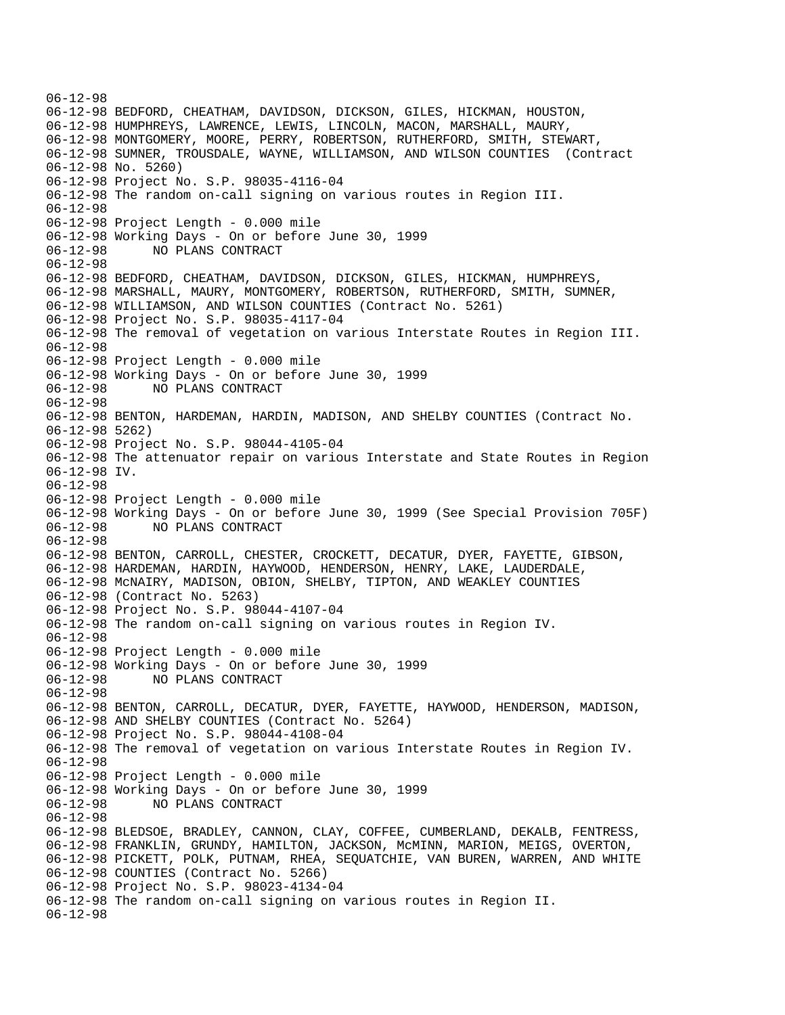06-12-98 06-12-98 BEDFORD, CHEATHAM, DAVIDSON, DICKSON, GILES, HICKMAN, HOUSTON, 06-12-98 HUMPHREYS, LAWRENCE, LEWIS, LINCOLN, MACON, MARSHALL, MAURY, 06-12-98 MONTGOMERY, MOORE, PERRY, ROBERTSON, RUTHERFORD, SMITH, STEWART, 06-12-98 SUMNER, TROUSDALE, WAYNE, WILLIAMSON, AND WILSON COUNTIES (Contract 06-12-98 No. 5260) 06-12-98 Project No. S.P. 98035-4116-04 06-12-98 The random on-call signing on various routes in Region III. 06-12-98 06-12-98 Project Length - 0.000 mile 06-12-98 Working Days - On or before June 30, 1999 06-12-98 NO PLANS CONTRACT 06-12-98 06-12-98 BEDFORD, CHEATHAM, DAVIDSON, DICKSON, GILES, HICKMAN, HUMPHREYS, 06-12-98 MARSHALL, MAURY, MONTGOMERY, ROBERTSON, RUTHERFORD, SMITH, SUMNER, 06-12-98 WILLIAMSON, AND WILSON COUNTIES (Contract No. 5261) 06-12-98 Project No. S.P. 98035-4117-04 06-12-98 The removal of vegetation on various Interstate Routes in Region III. 06-12-98 06-12-98 Project Length - 0.000 mile 06-12-98 Working Days - On or before June 30, 1999 06-12-98 NO PLANS CONTRACT 06-12-98 06-12-98 BENTON, HARDEMAN, HARDIN, MADISON, AND SHELBY COUNTIES (Contract No. 06-12-98 5262) 06-12-98 Project No. S.P. 98044-4105-04 06-12-98 The attenuator repair on various Interstate and State Routes in Region 06-12-98 IV. 06-12-98 06-12-98 Project Length - 0.000 mile 06-12-98 Working Days - On or before June 30, 1999 (See Special Provision 705F) 06-12-98 NO PLANS CONTRACT 06-12-98 06-12-98 BENTON, CARROLL, CHESTER, CROCKETT, DECATUR, DYER, FAYETTE, GIBSON, 06-12-98 HARDEMAN, HARDIN, HAYWOOD, HENDERSON, HENRY, LAKE, LAUDERDALE, 06-12-98 McNAIRY, MADISON, OBION, SHELBY, TIPTON, AND WEAKLEY COUNTIES 06-12-98 (Contract No. 5263) 06-12-98 Project No. S.P. 98044-4107-04 06-12-98 The random on-call signing on various routes in Region IV. 06-12-98 06-12-98 Project Length - 0.000 mile 06-12-98 Working Days - On or before June 30, 1999 06-12-98 NO PLANS CONTRACT 06-12-98 06-12-98 BENTON, CARROLL, DECATUR, DYER, FAYETTE, HAYWOOD, HENDERSON, MADISON, 06-12-98 AND SHELBY COUNTIES (Contract No. 5264) 06-12-98 Project No. S.P. 98044-4108-04 06-12-98 The removal of vegetation on various Interstate Routes in Region IV. 06-12-98 06-12-98 Project Length - 0.000 mile 06-12-98 Working Days - On or before June 30, 1999 06-12-98 NO PLANS CONTRACT 06-12-98 06-12-98 BLEDSOE, BRADLEY, CANNON, CLAY, COFFEE, CUMBERLAND, DEKALB, FENTRESS, 06-12-98 FRANKLIN, GRUNDY, HAMILTON, JACKSON, McMINN, MARION, MEIGS, OVERTON, 06-12-98 PICKETT, POLK, PUTNAM, RHEA, SEQUATCHIE, VAN BUREN, WARREN, AND WHITE 06-12-98 COUNTIES (Contract No. 5266) 06-12-98 Project No. S.P. 98023-4134-04 06-12-98 The random on-call signing on various routes in Region II. 06-12-98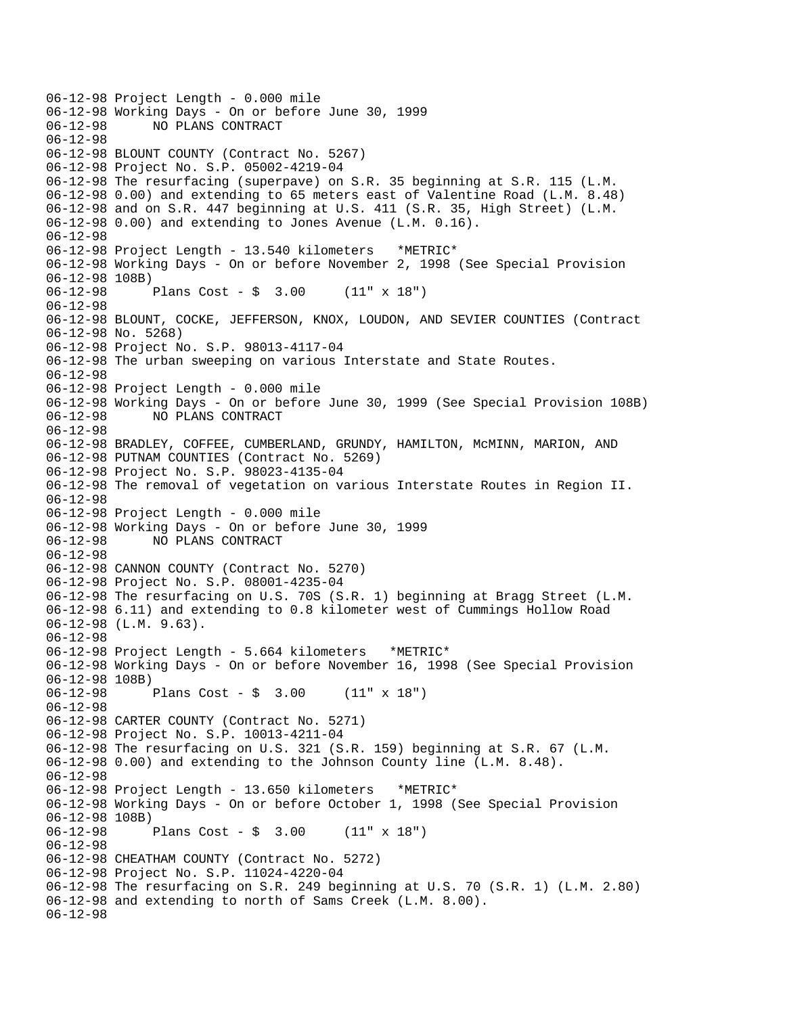06-12-98 Project Length - 0.000 mile 06-12-98 Working Days - On or before June 30, 1999 06-12-98 NO PLANS CONTRACT 06-12-98 06-12-98 BLOUNT COUNTY (Contract No. 5267) 06-12-98 Project No. S.P. 05002-4219-04 06-12-98 The resurfacing (superpave) on S.R. 35 beginning at S.R. 115 (L.M. 06-12-98 0.00) and extending to 65 meters east of Valentine Road (L.M. 8.48) 06-12-98 and on S.R. 447 beginning at U.S. 411 (S.R. 35, High Street) (L.M. 06-12-98 0.00) and extending to Jones Avenue (L.M. 0.16). 06-12-98 06-12-98 Project Length - 13.540 kilometers \*METRIC\* 06-12-98 Working Days - On or before November 2, 1998 (See Special Provision 06-12-98 108B)<br>06-12-98 Plans Cost -  $\frac{1}{2}$  3.00 (11" x 18") 06-12-98 06-12-98 BLOUNT, COCKE, JEFFERSON, KNOX, LOUDON, AND SEVIER COUNTIES (Contract 06-12-98 No. 5268) 06-12-98 Project No. S.P. 98013-4117-04 06-12-98 The urban sweeping on various Interstate and State Routes. 06-12-98 06-12-98 Project Length - 0.000 mile 06-12-98 Working Days - On or before June 30, 1999 (See Special Provision 108B) 06-12-98 NO PLANS CONTRACT 06-12-98 06-12-98 BRADLEY, COFFEE, CUMBERLAND, GRUNDY, HAMILTON, McMINN, MARION, AND 06-12-98 PUTNAM COUNTIES (Contract No. 5269) 06-12-98 Project No. S.P. 98023-4135-04 06-12-98 The removal of vegetation on various Interstate Routes in Region II. 06-12-98 06-12-98 Project Length - 0.000 mile 06-12-98 Working Days - On or before June 30, 1999 06-12-98 NO PLANS CONTRACT 06-12-98 06-12-98 CANNON COUNTY (Contract No. 5270) 06-12-98 Project No. S.P. 08001-4235-04 06-12-98 The resurfacing on U.S. 70S (S.R. 1) beginning at Bragg Street (L.M. 06-12-98 6.11) and extending to 0.8 kilometer west of Cummings Hollow Road 06-12-98 (L.M. 9.63). 06-12-98 06-12-98 Project Length - 5.664 kilometers \*METRIC\* 06-12-98 Working Days - On or before November 16, 1998 (See Special Provision 06-12-98 108B) 06-12-98 Plans Cost - \$ 3.00 (11" x 18") 06-12-98 06-12-98 CARTER COUNTY (Contract No. 5271) 06-12-98 Project No. S.P. 10013-4211-04 06-12-98 The resurfacing on U.S. 321 (S.R. 159) beginning at S.R. 67 (L.M. 06-12-98 0.00) and extending to the Johnson County line (L.M. 8.48). 06-12-98 06-12-98 Project Length - 13.650 kilometers \*METRIC\* 06-12-98 Working Days - On or before October 1, 1998 (See Special Provision 06-12-98 108B) 06-12-98 Plans Cost - \$ 3.00 (11" x 18") 06-12-98 06-12-98 CHEATHAM COUNTY (Contract No. 5272) 06-12-98 Project No. S.P. 11024-4220-04 06-12-98 The resurfacing on S.R. 249 beginning at U.S. 70 (S.R. 1) (L.M. 2.80) 06-12-98 and extending to north of Sams Creek (L.M. 8.00). 06-12-98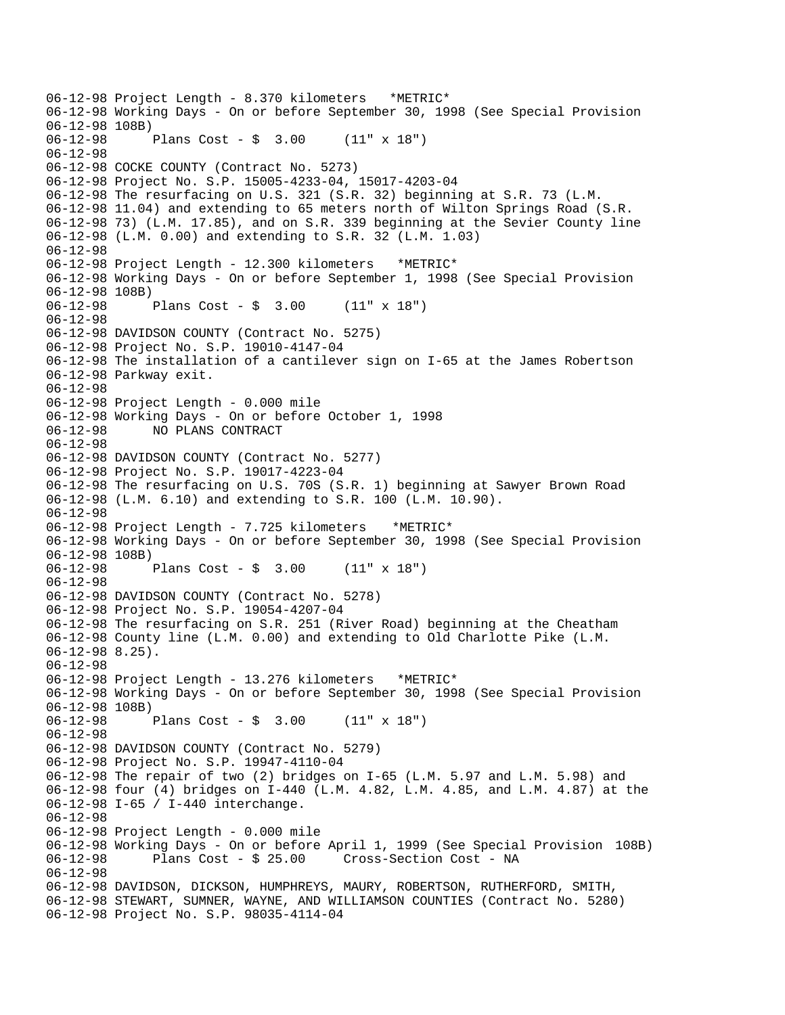06-12-98 Project Length - 8.370 kilometers \*METRIC\* 06-12-98 Working Days - On or before September 30, 1998 (See Special Provision 06-12-98 108B)<br>06-12-98 1 Plans Cost - \$ 3.00 (11" x 18") 06-12-98 06-12-98 COCKE COUNTY (Contract No. 5273) 06-12-98 Project No. S.P. 15005-4233-04, 15017-4203-04 06-12-98 The resurfacing on U.S. 321 (S.R. 32) beginning at S.R. 73 (L.M. 06-12-98 11.04) and extending to 65 meters north of Wilton Springs Road (S.R. 06-12-98 73) (L.M. 17.85), and on S.R. 339 beginning at the Sevier County line 06-12-98 (L.M. 0.00) and extending to S.R. 32 (L.M. 1.03) 06-12-98 06-12-98 Project Length - 12.300 kilometers \*METRIC\* 06-12-98 Working Days - On or before September 1, 1998 (See Special Provision 06-12-98 108B)<br>06-12-98 Plans  $Cost - $ 3.00 (11" x 18")$ 06-12-98 06-12-98 DAVIDSON COUNTY (Contract No. 5275) 06-12-98 Project No. S.P. 19010-4147-04 06-12-98 The installation of a cantilever sign on I-65 at the James Robertson 06-12-98 Parkway exit. 06-12-98 06-12-98 Project Length - 0.000 mile 06-12-98 Working Days - On or before October 1, 1998 06-12-98 NO PLANS CONTRACT 06-12-98 06-12-98 DAVIDSON COUNTY (Contract No. 5277) 06-12-98 Project No. S.P. 19017-4223-04 06-12-98 The resurfacing on U.S. 70S (S.R. 1) beginning at Sawyer Brown Road 06-12-98 (L.M. 6.10) and extending to S.R. 100 (L.M. 10.90). 06-12-98 06-12-98 Project Length - 7.725 kilometers \*METRIC\* 06-12-98 Working Days - On or before September 30, 1998 (See Special Provision 06-12-98 108B)<br>06-12-98 Plans Cost -  $$ 3.00$  (11" x 18") 06-12-98 06-12-98 DAVIDSON COUNTY (Contract No. 5278) 06-12-98 Project No. S.P. 19054-4207-04 06-12-98 The resurfacing on S.R. 251 (River Road) beginning at the Cheatham 06-12-98 County line (L.M. 0.00) and extending to Old Charlotte Pike (L.M. 06-12-98 8.25). 06-12-98 06-12-98 Project Length - 13.276 kilometers \*METRIC\* 06-12-98 Working Days - On or before September 30, 1998 (See Special Provision 06-12-98 108B) 06-12-98 Plans Cost - \$ 3.00 (11" x 18") 06-12-98 06-12-98 DAVIDSON COUNTY (Contract No. 5279) 06-12-98 Project No. S.P. 19947-4110-04 06-12-98 The repair of two (2) bridges on I-65 (L.M. 5.97 and L.M. 5.98) and 06-12-98 four (4) bridges on I-440 (L.M. 4.82, L.M. 4.85, and L.M. 4.87) at the 06-12-98 I-65 / I-440 interchange. 06-12-98 06-12-98 Project Length - 0.000 mile 06-12-98 Working Days - On or before April 1, 1999 (See Special Provision 108B)<br>06-12-98 Plans Cost - \$ 25.00 Cross-Section Cost - NA Cross-Section Cost - NA 06-12-98 06-12-98 DAVIDSON, DICKSON, HUMPHREYS, MAURY, ROBERTSON, RUTHERFORD, SMITH, 06-12-98 STEWART, SUMNER, WAYNE, AND WILLIAMSON COUNTIES (Contract No. 5280) 06-12-98 Project No. S.P. 98035-4114-04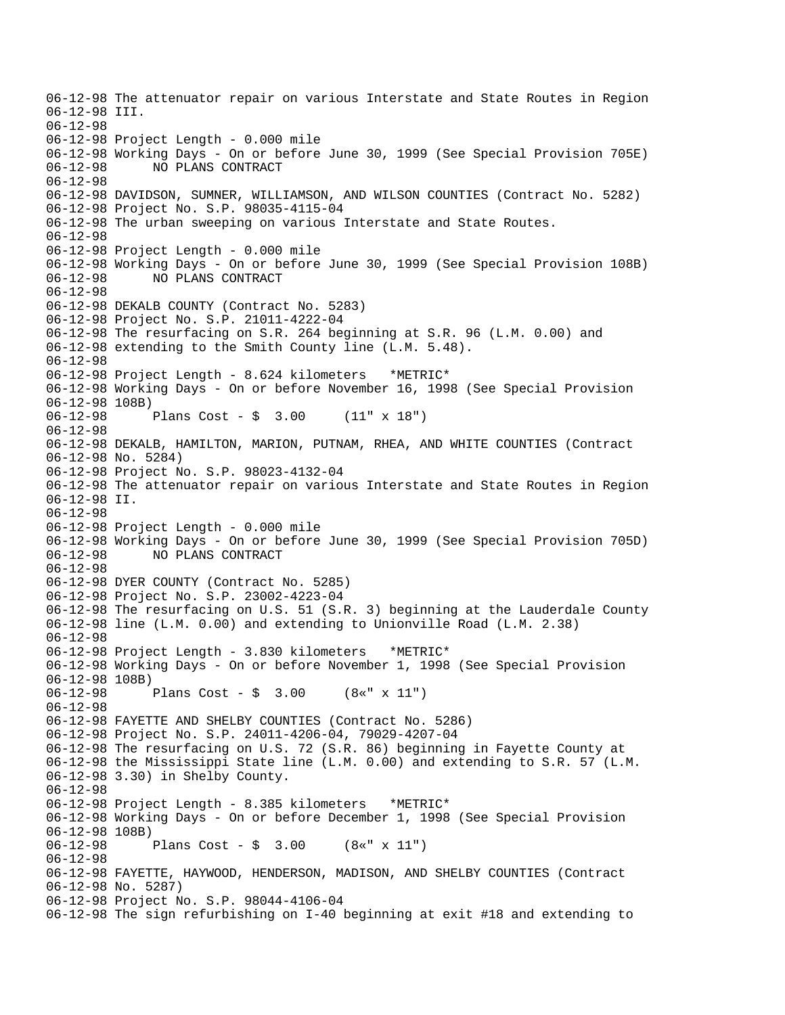06-12-98 The attenuator repair on various Interstate and State Routes in Region 06-12-98 III. 06-12-98 06-12-98 Project Length - 0.000 mile 06-12-98 Working Days - On or before June 30, 1999 (See Special Provision 705E) 06-12-98 NO PLANS CONTRACT 06-12-98 06-12-98 DAVIDSON, SUMNER, WILLIAMSON, AND WILSON COUNTIES (Contract No. 5282) 06-12-98 Project No. S.P. 98035-4115-04 06-12-98 The urban sweeping on various Interstate and State Routes. 06-12-98 06-12-98 Project Length - 0.000 mile 06-12-98 Working Days - On or before June 30, 1999 (See Special Provision 108B) 06-12-98 NO PLANS CONTRACT 06-12-98 06-12-98 DEKALB COUNTY (Contract No. 5283) 06-12-98 Project No. S.P. 21011-4222-04 06-12-98 The resurfacing on S.R. 264 beginning at S.R. 96 (L.M. 0.00) and 06-12-98 extending to the Smith County line (L.M. 5.48). 06-12-98 06-12-98 Project Length - 8.624 kilometers \*METRIC\* 06-12-98 Working Days - On or before November 16, 1998 (See Special Provision 06-12-98 108B) 06-12-98 Plans Cost - \$ 3.00 (11" x 18") 06-12-98 06-12-98 DEKALB, HAMILTON, MARION, PUTNAM, RHEA, AND WHITE COUNTIES (Contract 06-12-98 No. 5284) 06-12-98 Project No. S.P. 98023-4132-04 06-12-98 The attenuator repair on various Interstate and State Routes in Region 06-12-98 II. 06-12-98 06-12-98 Project Length - 0.000 mile 06-12-98 Working Days - On or before June 30, 1999 (See Special Provision 705D) 06-12-98 NO PLANS CONTRACT 06-12-98 06-12-98 DYER COUNTY (Contract No. 5285) 06-12-98 Project No. S.P. 23002-4223-04 06-12-98 The resurfacing on U.S. 51 (S.R. 3) beginning at the Lauderdale County 06-12-98 line (L.M. 0.00) and extending to Unionville Road (L.M. 2.38) 06-12-98 06-12-98 Project Length - 3.830 kilometers \*METRIC\* 06-12-98 Working Days - On or before November 1, 1998 (See Special Provision 06-12-98 108B) 06-12-98 Plans Cost - \$ 3.00 (8«" x 11") 06-12-98 06-12-98 FAYETTE AND SHELBY COUNTIES (Contract No. 5286) 06-12-98 Project No. S.P. 24011-4206-04, 79029-4207-04 06-12-98 The resurfacing on U.S. 72 (S.R. 86) beginning in Fayette County at 06-12-98 the Mississippi State line (L.M. 0.00) and extending to S.R. 57 (L.M. 06-12-98 3.30) in Shelby County. 06-12-98 06-12-98 Project Length - 8.385 kilometers \*METRIC\* 06-12-98 Working Days - On or before December 1, 1998 (See Special Provision 06-12-98 108B)<br>06-12-98 Plans Cost -  $\frac{1}{2}$  3.00 (8«" x 11") 06-12-98 06-12-98 FAYETTE, HAYWOOD, HENDERSON, MADISON, AND SHELBY COUNTIES (Contract 06-12-98 No. 5287) 06-12-98 Project No. S.P. 98044-4106-04 06-12-98 The sign refurbishing on I-40 beginning at exit #18 and extending to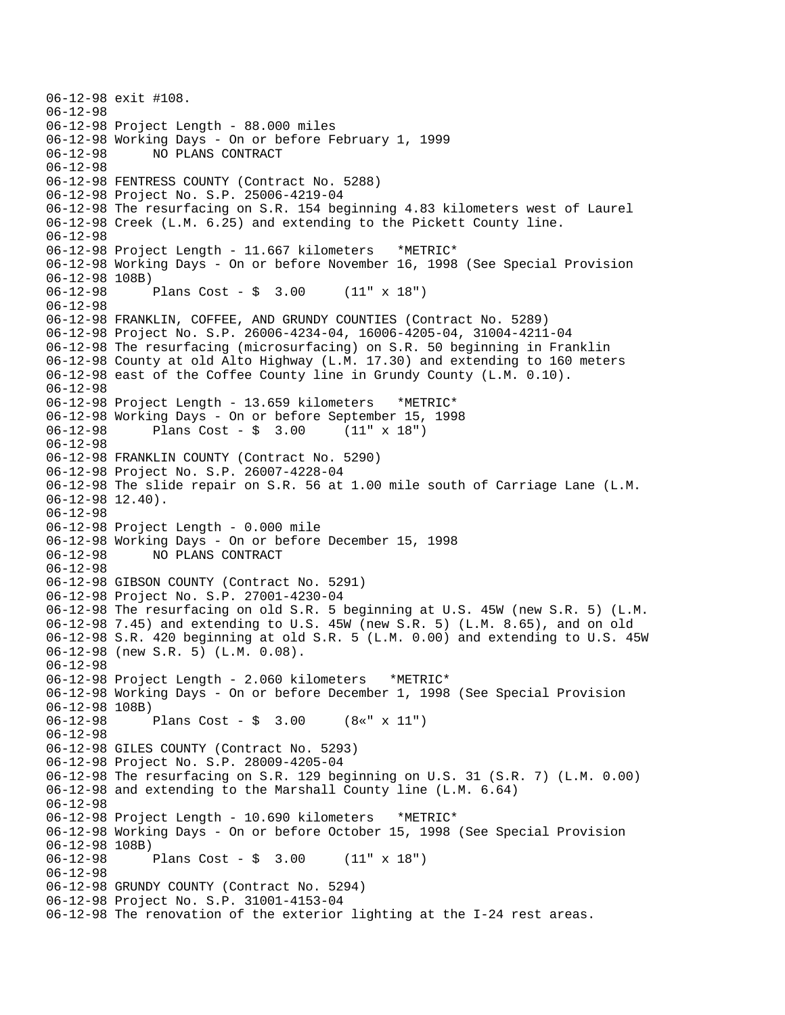```
06-12-98 exit #108. 
06-12-98 
06-12-98 Project Length - 88.000 miles 
06-12-98 Working Days - On or before February 1, 1999 
              06-12-98 NO PLANS CONTRACT 
06-12-98 
06-12-98 FENTRESS COUNTY (Contract No. 5288) 
06-12-98 Project No. S.P. 25006-4219-04 
06-12-98 The resurfacing on S.R. 154 beginning 4.83 kilometers west of Laurel 
06-12-98 Creek (L.M. 6.25) and extending to the Pickett County line. 
06-12-98 
06-12-98 Project Length - 11.667 kilometers *METRIC* 
06-12-98 Working Days - On or before November 16, 1998 (See Special Provision 
06-12-98 108B)<br>06-12-98
              Plans Cost - \frac{1}{2} 3.00 (11" x 18")
06-12-98 
06-12-98 FRANKLIN, COFFEE, AND GRUNDY COUNTIES (Contract No. 5289) 
06-12-98 Project No. S.P. 26006-4234-04, 16006-4205-04, 31004-4211-04 
06-12-98 The resurfacing (microsurfacing) on S.R. 50 beginning in Franklin 
06-12-98 County at old Alto Highway (L.M. 17.30) and extending to 160 meters 
06-12-98 east of the Coffee County line in Grundy County (L.M. 0.10). 
06-12-98 
06-12-98 Project Length - 13.659 kilometers *METRIC* 
06-12-98 Working Days - On or before September 15, 1998<br>06-12-98 Plans Cost - $ 3.00 (11" x 18")
              Plans Cost - $ 3.0006-12-98 
06-12-98 FRANKLIN COUNTY (Contract No. 5290) 
06-12-98 Project No. S.P. 26007-4228-04 
06-12-98 The slide repair on S.R. 56 at 1.00 mile south of Carriage Lane (L.M. 
06-12-98 12.40).
06-12-98 
06-12-98 Project Length - 0.000 mile 
06-12-98 Working Days - On or before December 15, 1998 
06-12-98 NO PLANS CONTRACT 
06-12-98 
06-12-98 GIBSON COUNTY (Contract No. 5291) 
06-12-98 Project No. S.P. 27001-4230-04 
06-12-98 The resurfacing on old S.R. 5 beginning at U.S. 45W (new S.R. 5) (L.M. 
06-12-98 7.45) and extending to U.S. 45W (new S.R. 5) (L.M. 8.65), and on old 
06-12-98 S.R. 420 beginning at old S.R. 5 (L.M. 0.00) and extending to U.S. 45W 
06-12-98 (new S.R. 5) (L.M. 0.08). 
06-12-98 
06-12-98 Project Length - 2.060 kilometers *METRIC* 
06-12-98 Working Days - On or before December 1, 1998 (See Special Provision 
06-12-98 108B) 
06-12-98 Plans Cost - $ 3.00 (8«" x 11") 
06-12-98 
06-12-98 GILES COUNTY (Contract No. 5293) 
06-12-98 Project No. S.P. 28009-4205-04 
06-12-98 The resurfacing on S.R. 129 beginning on U.S. 31 (S.R. 7) (L.M. 0.00) 
06-12-98 and extending to the Marshall County line (L.M. 6.64) 
06-12-98 
06-12-98 Project Length - 10.690 kilometers *METRIC* 
06-12-98 Working Days - On or before October 15, 1998 (See Special Provision 
06-12-98 108B)<br>06-12-98
              Plans Cost - \frac{1}{2} 3.00 (11" x 18")
06-12-98 
06-12-98 GRUNDY COUNTY (Contract No. 5294) 
06-12-98 Project No. S.P. 31001-4153-04 
06-12-98 The renovation of the exterior lighting at the I-24 rest areas.
```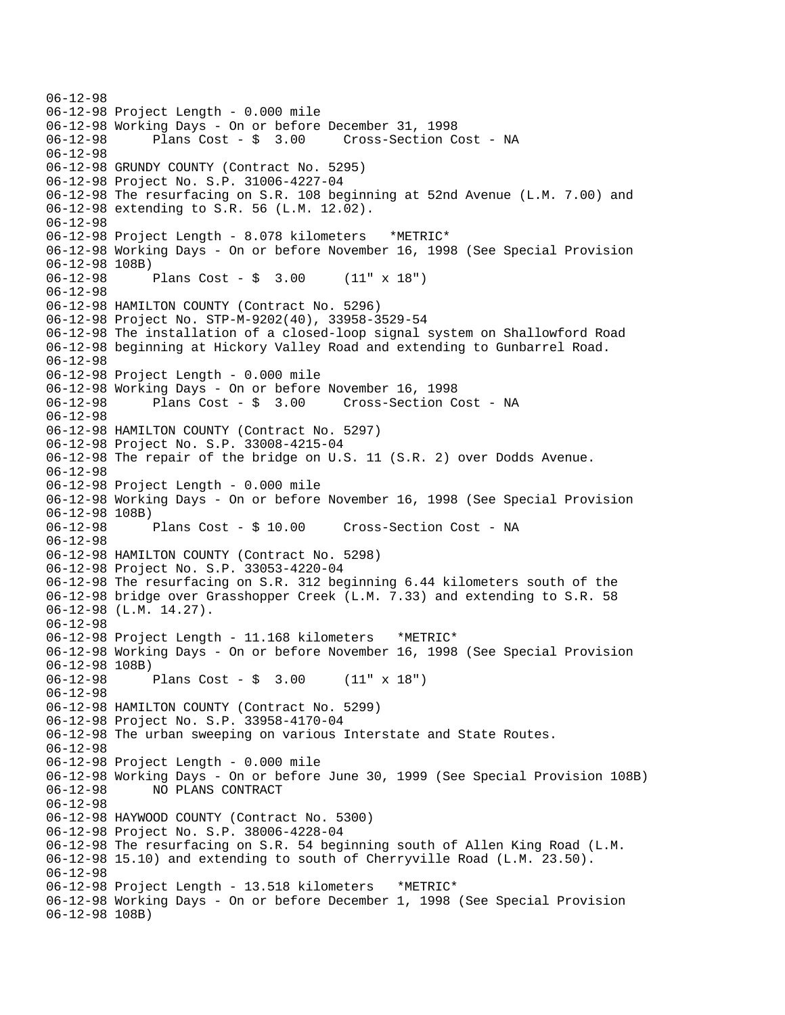06-12-98 06-12-98 Project Length - 0.000 mile 06-12-98 Working Days - On or before December 31, 1998 06-12-98 Plans Cost - \$ 3.00 Cross-Section Cost - NA 06-12-98 06-12-98 GRUNDY COUNTY (Contract No. 5295) 06-12-98 Project No. S.P. 31006-4227-04 06-12-98 The resurfacing on S.R. 108 beginning at 52nd Avenue (L.M. 7.00) and 06-12-98 extending to S.R. 56 (L.M. 12.02). 06-12-98 06-12-98 Project Length - 8.078 kilometers \*METRIC\* 06-12-98 Working Days - On or before November 16, 1998 (See Special Provision 06-12-98 108B) 06-12-98 Plans Cost - \$ 3.00 (11" x 18") 06-12-98 06-12-98 HAMILTON COUNTY (Contract No. 5296) 06-12-98 Project No. STP-M-9202(40), 33958-3529-54 06-12-98 The installation of a closed-loop signal system on Shallowford Road 06-12-98 beginning at Hickory Valley Road and extending to Gunbarrel Road. 06-12-98 06-12-98 Project Length - 0.000 mile 06-12-98 Working Days - On or before November 16, 1998 06-12-98 Plans Cost - \$ 3.00 Cross-Section Cost - NA 06-12-98 06-12-98 HAMILTON COUNTY (Contract No. 5297) 06-12-98 Project No. S.P. 33008-4215-04 06-12-98 The repair of the bridge on U.S. 11 (S.R. 2) over Dodds Avenue. 06-12-98 06-12-98 Project Length - 0.000 mile 06-12-98 Working Days - On or before November 16, 1998 (See Special Provision 06-12-98 108B) 06-12-98 Plans Cost - \$ 10.00 Cross-Section Cost - NA 06-12-98 06-12-98 HAMILTON COUNTY (Contract No. 5298) 06-12-98 Project No. S.P. 33053-4220-04 06-12-98 The resurfacing on S.R. 312 beginning 6.44 kilometers south of the 06-12-98 bridge over Grasshopper Creek (L.M. 7.33) and extending to S.R. 58 06-12-98 (L.M. 14.27). 06-12-98 06-12-98 Project Length - 11.168 kilometers \*METRIC\* 06-12-98 Working Days - On or before November 16, 1998 (See Special Provision 06-12-98 108B) 06-12-98 Plans Cost - \$ 3.00 (11" x 18") 06-12-98 06-12-98 HAMILTON COUNTY (Contract No. 5299) 06-12-98 Project No. S.P. 33958-4170-04 06-12-98 The urban sweeping on various Interstate and State Routes. 06-12-98 06-12-98 Project Length - 0.000 mile 06-12-98 Working Days - On or before June 30, 1999 (See Special Provision 108B) 06-12-98 NO PLANS CONTRACT 06-12-98 06-12-98 HAYWOOD COUNTY (Contract No. 5300) 06-12-98 Project No. S.P. 38006-4228-04 06-12-98 The resurfacing on S.R. 54 beginning south of Allen King Road (L.M. 06-12-98 15.10) and extending to south of Cherryville Road (L.M. 23.50). 06-12-98 06-12-98 Project Length - 13.518 kilometers \*METRIC\* 06-12-98 Working Days - On or before December 1, 1998 (See Special Provision 06-12-98 108B)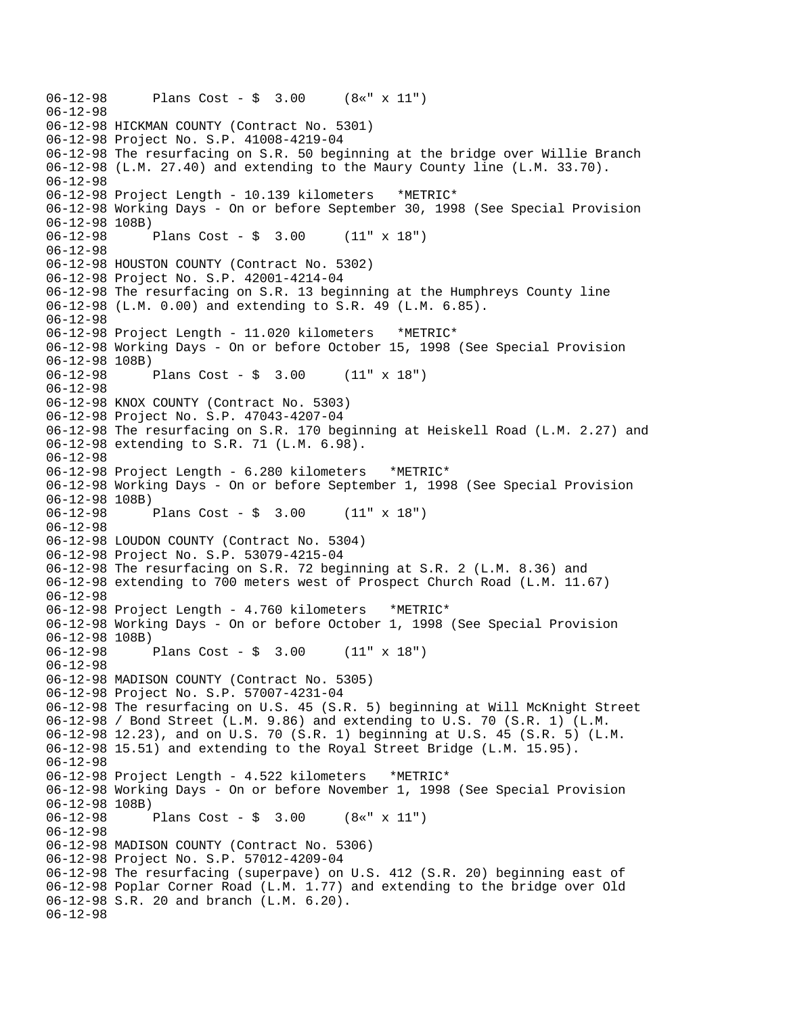```
06-12-98 Plans Cost - $ 3.00 (8«" x 11")
06-12-98
06-12-98 HICKMAN COUNTY (Contract No. 5301)
06-12-98 Project No. S.P. 41008-4219-04
06-12-98 The resurfacing on S.R. 50 beginning at the bridge over Willie Branch
06-12-98 (L.M. 27.40) and extending to the Maury County line (L.M. 33.70).
06-12-98
06-12-98 Project Length - 10.139 kilometers *METRIC*
06-12-98 Working Days - On or before September 30, 1998 (See Special Provision
06-12-98 108B)
06-12-98 Plans Cost - $ 3.00 (11" x 18")
06-12-98
06-12-98 HOUSTON COUNTY (Contract No. 5302)
06-12-98 Project No. S.P. 42001-4214-04
06-12-98 The resurfacing on S.R. 13 beginning at the Humphreys County line
06-12-98 (L.M. 0.00) and extending to S.R. 49 (L.M. 6.85).
06-12-98
06-12-98 Project Length - 11.020 kilometers *METRIC*
06-12-98 Working Days - On or before October 15, 1998 (See Special Provision
06-12-98 108B)
06-12-98 Plans Cost - $ 3.00 (11" x 18")
06-12-98
06-12-98 KNOX COUNTY (Contract No. 5303)
06-12-98 Project No. S.P. 47043-4207-04
06-12-98 The resurfacing on S.R. 170 beginning at Heiskell Road (L.M. 2.27) and
06-12-98 extending to S.R. 71 (L.M. 6.98).
06-12-98
06-12-98 Project Length - 6.280 kilometers *METRIC*
06-12-98 Working Days - On or before September 1, 1998 (See Special Provision
06-12-98 108B)<br>06-12-98
             Plans Cost - \sin 3.00 (11" x 18")
06-12-98
06-12-98 LOUDON COUNTY (Contract No. 5304)
06-12-98 Project No. S.P. 53079-4215-04
06-12-98 The resurfacing on S.R. 72 beginning at S.R. 2 (L.M. 8.36) and
06-12-98 extending to 700 meters west of Prospect Church Road (L.M. 11.67)
06-12-98
06-12-98 Project Length - 4.760 kilometers *METRIC*
06-12-98 Working Days - On or before October 1, 1998 (See Special Provision
06-12-98 108B)
06-12-98 Plans Cost - $ 3.00 (11" x 18")
06-12-98
06-12-98 MADISON COUNTY (Contract No. 5305)
06-12-98 Project No. S.P. 57007-4231-04
06-12-98 The resurfacing on U.S. 45 (S.R. 5) beginning at Will McKnight Street
06-12-98 / Bond Street (L.M. 9.86) and extending to U.S. 70 (S.R. 1) (L.M.
06-12-98 12.23), and on U.S. 70 (S.R. 1) beginning at U.S. 45 (S.R. 5) (L.M.
06-12-98 15.51) and extending to the Royal Street Bridge (L.M. 15.95).
06-12-98
06-12-98 Project Length - 4.522 kilometers *METRIC*
06-12-98 Working Days - On or before November 1, 1998 (See Special Provision
06-12-98 108B)<br>06-12-98
             Plans Cost - $ 3.00 (8«" x 11")
06-12-98
06-12-98 MADISON COUNTY (Contract No. 5306)
06-12-98 Project No. S.P. 57012-4209-04
06-12-98 The resurfacing (superpave) on U.S. 412 (S.R. 20) beginning east of
06-12-98 Poplar Corner Road (L.M. 1.77) and extending to the bridge over Old
06-12-98 S.R. 20 and branch (L.M. 6.20).
06-12-98
```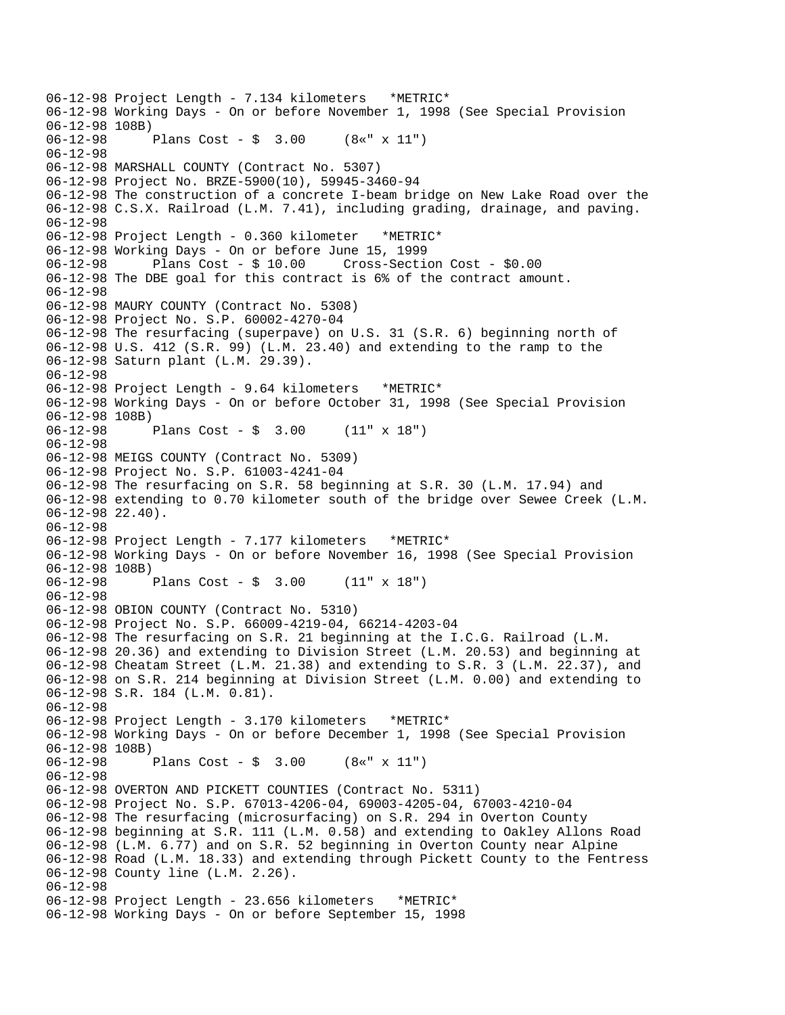06-12-98 Project Length - 7.134 kilometers \*METRIC\* 06-12-98 Working Days - On or before November 1, 1998 (See Special Provision 06-12-98 108B)<br>06-12-98 1 Plans Cost - \$ 3.00 (8«" x 11") 06-12-98 06-12-98 MARSHALL COUNTY (Contract No. 5307) 06-12-98 Project No. BRZE-5900(10), 59945-3460-94 06-12-98 The construction of a concrete I-beam bridge on New Lake Road over the 06-12-98 C.S.X. Railroad (L.M. 7.41), including grading, drainage, and paving. 06-12-98 06-12-98 Project Length - 0.360 kilometer \*METRIC\* 06-12-98 Working Days - On or before June 15, 1999 06-12-98 Plans Cost - \$ 10.00 Cross-Section Cost - \$0.00 06-12-98 The DBE goal for this contract is 6% of the contract amount. 06-12-98 06-12-98 MAURY COUNTY (Contract No. 5308) 06-12-98 Project No. S.P. 60002-4270-04 06-12-98 The resurfacing (superpave) on U.S. 31 (S.R. 6) beginning north of 06-12-98 U.S. 412 (S.R. 99) (L.M. 23.40) and extending to the ramp to the 06-12-98 Saturn plant (L.M. 29.39). 06-12-98 06-12-98 Project Length - 9.64 kilometers \*METRIC\* 06-12-98 Working Days - On or before October 31, 1998 (See Special Provision 06-12-98 108B)<br>06-12-98 Plans Cost -  $\frac{1}{2}$  3.00 (11" x 18") 06-12-98 06-12-98 MEIGS COUNTY (Contract No. 5309) 06-12-98 Project No. S.P. 61003-4241-04 06-12-98 The resurfacing on S.R. 58 beginning at S.R. 30 (L.M. 17.94) and 06-12-98 extending to 0.70 kilometer south of the bridge over Sewee Creek (L.M. 06-12-98 22.40). 06-12-98 06-12-98 Project Length - 7.177 kilometers \*METRIC\* 06-12-98 Working Days - On or before November 16, 1998 (See Special Provision 06-12-98 108B) 06-12-98 Plans Cost - \$ 3.00 (11" x 18") 06-12-98 06-12-98 OBION COUNTY (Contract No. 5310) 06-12-98 Project No. S.P. 66009-4219-04, 66214-4203-04 06-12-98 The resurfacing on S.R. 21 beginning at the I.C.G. Railroad (L.M. 06-12-98 20.36) and extending to Division Street (L.M. 20.53) and beginning at 06-12-98 Cheatam Street (L.M. 21.38) and extending to S.R. 3 (L.M. 22.37), and 06-12-98 on S.R. 214 beginning at Division Street (L.M. 0.00) and extending to 06-12-98 S.R. 184 (L.M. 0.81). 06-12-98 06-12-98 Project Length - 3.170 kilometers \*METRIC\* 06-12-98 Working Days - On or before December 1, 1998 (See Special Provision 06-12-98 108B)<br>06-12-98 1 Plans Cost -  $\frac{1}{2}$  3.00 (8«" x 11") 06-12-98 06-12-98 OVERTON AND PICKETT COUNTIES (Contract No. 5311) 06-12-98 Project No. S.P. 67013-4206-04, 69003-4205-04, 67003-4210-04 06-12-98 The resurfacing (microsurfacing) on S.R. 294 in Overton County 06-12-98 beginning at S.R. 111 (L.M. 0.58) and extending to Oakley Allons Road 06-12-98 (L.M. 6.77) and on S.R. 52 beginning in Overton County near Alpine 06-12-98 Road (L.M. 18.33) and extending through Pickett County to the Fentress 06-12-98 County line (L.M. 2.26). 06-12-98 06-12-98 Project Length - 23.656 kilometers \*METRIC\* 06-12-98 Working Days - On or before September 15, 1998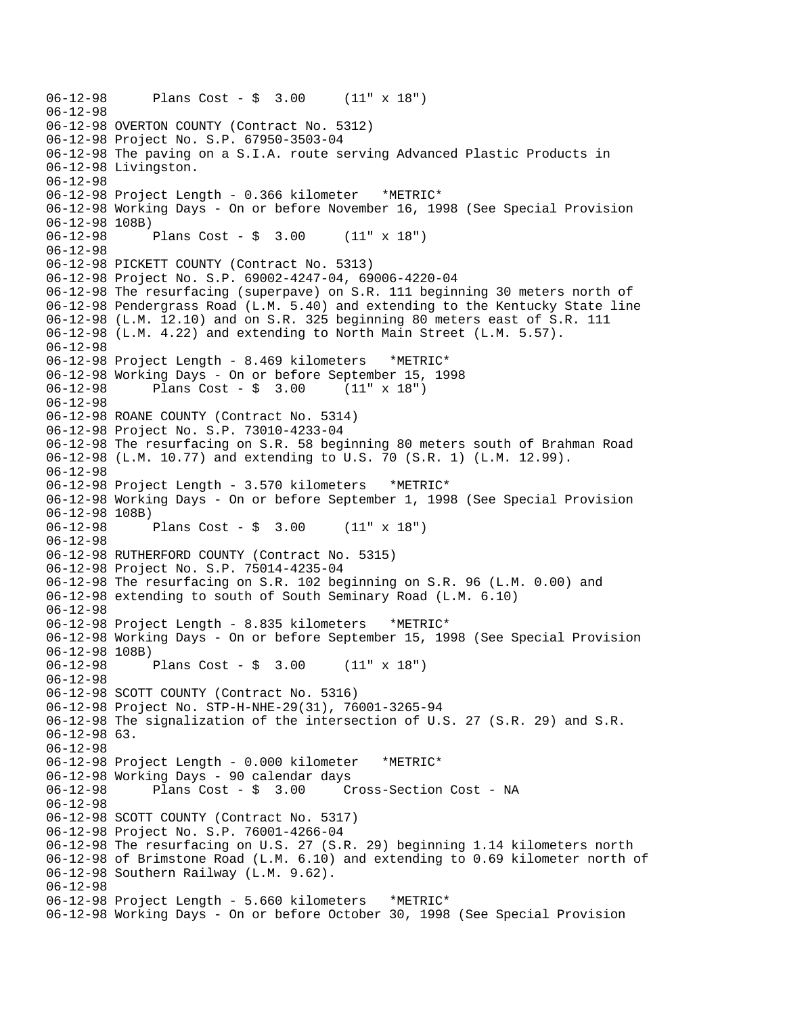```
06-12-98 Plans Cost - $ 3.00 (11" x 18") 
06-12-98 
06-12-98 OVERTON COUNTY (Contract No. 5312) 
06-12-98 Project No. S.P. 67950-3503-04 
06-12-98 The paving on a S.I.A. route serving Advanced Plastic Products in 
06-12-98 Livingston. 
06-12-98 
06-12-98 Project Length - 0.366 kilometer *METRIC* 
06-12-98 Working Days - On or before November 16, 1998 (See Special Provision 
06-12-98 108B) 
06-12-98 Plans Cost - $ 3.00 (11" x 18") 
06-12-98 
06-12-98 PICKETT COUNTY (Contract No. 5313) 
06-12-98 Project No. S.P. 69002-4247-04, 69006-4220-04 
06-12-98 The resurfacing (superpave) on S.R. 111 beginning 30 meters north of 
06-12-98 Pendergrass Road (L.M. 5.40) and extending to the Kentucky State line 
06-12-98 (L.M. 12.10) and on S.R. 325 beginning 80 meters east of S.R. 111 
06-12-98 (L.M. 4.22) and extending to North Main Street (L.M. 5.57). 
06-12-98 
06-12-98 Project Length - 8.469 kilometers *METRIC* 
06-12-98 Working Days - On or before September 15, 1998 
06-12-98 Plans Cost - $ 3.00 (11" x 18") 
06-12-98 
06-12-98 ROANE COUNTY (Contract No. 5314) 
06-12-98 Project No. S.P. 73010-4233-04 
06-12-98 The resurfacing on S.R. 58 beginning 80 meters south of Brahman Road 
06-12-98 (L.M. 10.77) and extending to U.S. 70 (S.R. 1) (L.M. 12.99). 
06-12-98 
06-12-98 Project Length - 3.570 kilometers *METRIC* 
06-12-98 Working Days - On or before September 1, 1998 (See Special Provision 
06-12-98 108B) 
06-12-98 Plans Cost - $ 3.00 (11" x 18") 
06-12-98 
06-12-98 RUTHERFORD COUNTY (Contract No. 5315) 
06-12-98 Project No. S.P. 75014-4235-04 
06-12-98 The resurfacing on S.R. 102 beginning on S.R. 96 (L.M. 0.00) and 
06-12-98 extending to south of South Seminary Road (L.M. 6.10) 
06-12-98 
06-12-98 Project Length - 8.835 kilometers *METRIC* 
06-12-98 Working Days - On or before September 15, 1998 (See Special Provision 
06-12-98 108B) 
06-12-98 Plans Cost - $ 3.00 (11" x 18") 
06-12-98 
06-12-98 SCOTT COUNTY (Contract No. 5316) 
06-12-98 Project No. STP-H-NHE-29(31), 76001-3265-94 
06-12-98 The signalization of the intersection of U.S. 27 (S.R. 29) and S.R. 
06-12-98 63. 
06-12-98 
06-12-98 Project Length - 0.000 kilometer *METRIC* 
06-12-98 Working Days - 90 calendar days 
              Plans Cost - \dot{S} 3.00 Cross-Section Cost - NA
06-12-98 
06-12-98 SCOTT COUNTY (Contract No. 5317) 
06-12-98 Project No. S.P. 76001-4266-04 
06-12-98 The resurfacing on U.S. 27 (S.R. 29) beginning 1.14 kilometers north 
06-12-98 of Brimstone Road (L.M. 6.10) and extending to 0.69 kilometer north of 
06-12-98 Southern Railway (L.M. 9.62). 
06-12-98 
06-12-98 Project Length - 5.660 kilometers *METRIC* 
06-12-98 Working Days - On or before October 30, 1998 (See Special Provision
```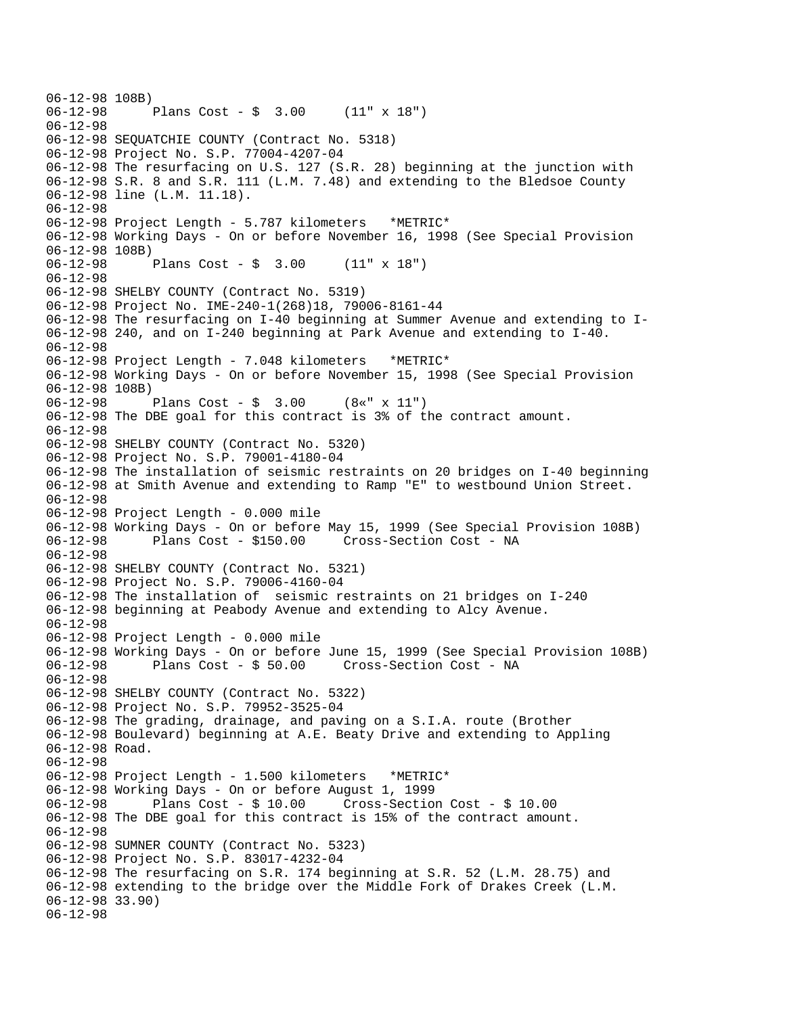```
06-12-98 108B)<br>06-12-98
              Plans Cost - \sin 3.00 (11" x 18")
06-12-98 
06-12-98 SEQUATCHIE COUNTY (Contract No. 5318) 
06-12-98 Project No. S.P. 77004-4207-04 
06-12-98 The resurfacing on U.S. 127 (S.R. 28) beginning at the junction with 
06-12-98 S.R. 8 and S.R. 111 (L.M. 7.48) and extending to the Bledsoe County 
06-12-98 line (L.M. 11.18). 
06-12-98 
06-12-98 Project Length - 5.787 kilometers *METRIC* 
06-12-98 Working Days - On or before November 16, 1998 (See Special Provision 
06-12-98 108B) 
06-12-98 Plans Cost - $ 3.00 (11" x 18") 
06-12-98 
06-12-98 SHELBY COUNTY (Contract No. 5319) 
06-12-98 Project No. IME-240-1(268)18, 79006-8161-44 
06-12-98 The resurfacing on I-40 beginning at Summer Avenue and extending to I-
06-12-98 240, and on I-240 beginning at Park Avenue and extending to I-40. 
06-12-98 
06-12-98 Project Length - 7.048 kilometers *METRIC* 
06-12-98 Working Days - On or before November 15, 1998 (See Special Provision 
06-12-98 108B) 
06-12-98 Plans Cost - $ 3.00 (8«" x 11") 
06-12-98 The DBE goal for this contract is 3% of the contract amount. 
06-12-98 
06-12-98 SHELBY COUNTY (Contract No. 5320) 
06-12-98 Project No. S.P. 79001-4180-04 
06-12-98 The installation of seismic restraints on 20 bridges on I-40 beginning 
06-12-98 at Smith Avenue and extending to Ramp "E" to westbound Union Street. 
06-12-98 
06-12-98 Project Length - 0.000 mile 
06-12-98 Working Days - On or before May 15, 1999 (See Special Provision 108B) 
                                      Cross-Section Cost - NA
06-12-98 
06-12-98 SHELBY COUNTY (Contract No. 5321) 
06-12-98 Project No. S.P. 79006-4160-04 
06-12-98 The installation of seismic restraints on 21 bridges on I-240 
06-12-98 beginning at Peabody Avenue and extending to Alcy Avenue. 
06-12-98 
06-12-98 Project Length - 0.000 mile 
06-12-98 Working Days - On or before June 15, 1999 (See Special Provision 108B) 
06-12-98 Plans Cost - $ 50.00 Cross-Section Cost - NA 
06-12-98 
06-12-98 SHELBY COUNTY (Contract No. 5322) 
06-12-98 Project No. S.P. 79952-3525-04 
06-12-98 The grading, drainage, and paving on a S.I.A. route (Brother 
06-12-98 Boulevard) beginning at A.E. Beaty Drive and extending to Appling 
06-12-98 Road. 
06-12-98 
06-12-98 Project Length - 1.500 kilometers *METRIC* 
06-12-98 Working Days - On or before August 1, 1999 
06-12-98 Plans Cost - $ 10.00 Cross-Section Cost - $ 10.00 
06-12-98 The DBE goal for this contract is 15% of the contract amount. 
06-12-98 
06-12-98 SUMNER COUNTY (Contract No. 5323) 
06-12-98 Project No. S.P. 83017-4232-04 
06-12-98 The resurfacing on S.R. 174 beginning at S.R. 52 (L.M. 28.75) and 
06-12-98 extending to the bridge over the Middle Fork of Drakes Creek (L.M. 
06-12-98 33.90) 
06-12-98
```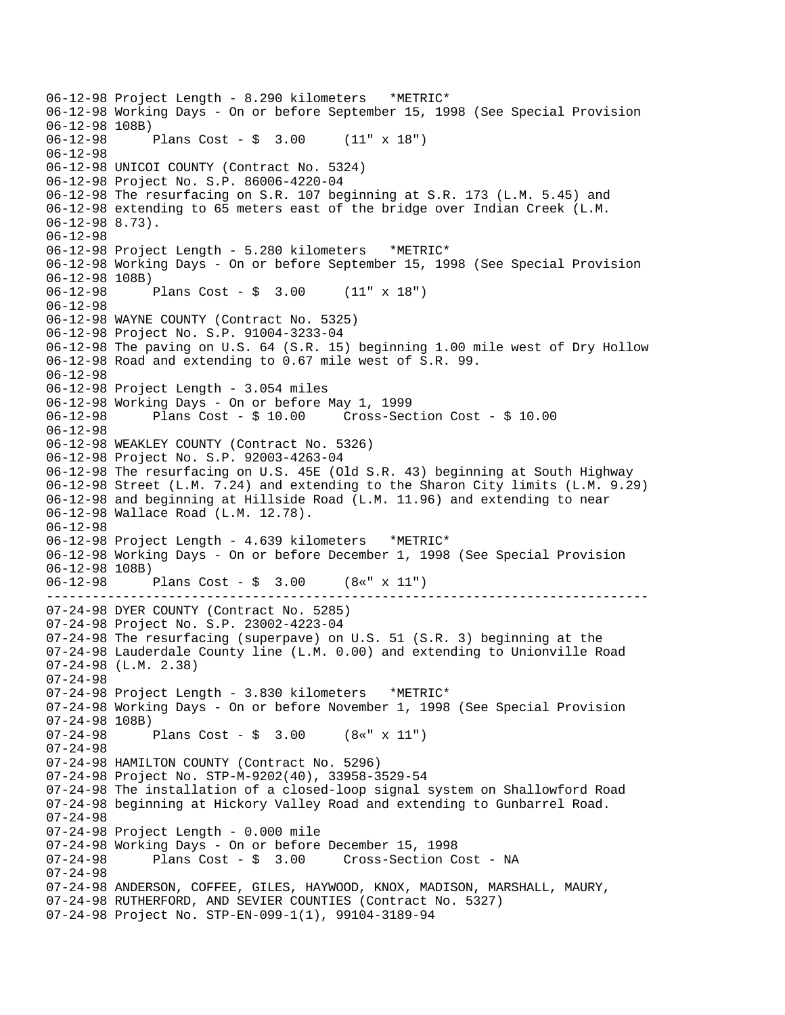------------------------------------------------------------------------------- 06-12-98 Project Length - 8.290 kilometers \*METRIC\* 06-12-98 Working Days - On or before September 15, 1998 (See Special Provision 06-12-98 108B)<br>06-12-98 1 Plans Cost -  $\frac{1}{2}$  3.00 (11" x 18") 06-12-98 06-12-98 UNICOI COUNTY (Contract No. 5324) 06-12-98 Project No. S.P. 86006-4220-04 06-12-98 The resurfacing on S.R. 107 beginning at S.R. 173 (L.M. 5.45) and 06-12-98 extending to 65 meters east of the bridge over Indian Creek (L.M. 06-12-98 8.73). 06-12-98 06-12-98 Project Length - 5.280 kilometers \*METRIC\* 06-12-98 Working Days - On or before September 15, 1998 (See Special Provision 06-12-98 108B)<br>06-12-98 Plans Cost -  $\frac{1}{2}$  3.00 (11" x 18") 06-12-98 06-12-98 WAYNE COUNTY (Contract No. 5325) 06-12-98 Project No. S.P. 91004-3233-04 06-12-98 The paving on U.S. 64 (S.R. 15) beginning 1.00 mile west of Dry Hollow 06-12-98 Road and extending to 0.67 mile west of S.R. 99. 06-12-98 06-12-98 Project Length - 3.054 miles 06-12-98 Working Days - On or before May 1, 1999 06-12-98 Plans Cost - \$ 10.00 Cross-Section Cost - \$ 10.00 06-12-98 06-12-98 WEAKLEY COUNTY (Contract No. 5326) 06-12-98 Project No. S.P. 92003-4263-04 06-12-98 The resurfacing on U.S. 45E (Old S.R. 43) beginning at South Highway 06-12-98 Street (L.M. 7.24) and extending to the Sharon City limits (L.M. 9.29) 06-12-98 and beginning at Hillside Road (L.M. 11.96) and extending to near 06-12-98 Wallace Road (L.M. 12.78). 06-12-98 06-12-98 Project Length - 4.639 kilometers \*METRIC\* 06-12-98 Working Days - On or before December 1, 1998 (See Special Provision 06-12-98 108B) 06-12-98 Plans Cost - \$ 3.00 (8«" x 11") 07-24-98 DYER COUNTY (Contract No. 5285) 07-24-98 Project No. S.P. 23002-4223-04 07-24-98 The resurfacing (superpave) on U.S. 51 (S.R. 3) beginning at the 07-24-98 Lauderdale County line (L.M. 0.00) and extending to Unionville Road 07-24-98 (L.M. 2.38) 07-24-98 07-24-98 Project Length - 3.830 kilometers \*METRIC\* 07-24-98 Working Days - On or before November 1, 1998 (See Special Provision 07-24-98 108B)<br>07-24-98 F Plans Cost -  $\frac{1}{2}$  3.00 (8«" x 11") 07-24-98 07-24-98 HAMILTON COUNTY (Contract No. 5296) 07-24-98 Project No. STP-M-9202(40), 33958-3529-54 07-24-98 The installation of a closed-loop signal system on Shallowford Road 07-24-98 beginning at Hickory Valley Road and extending to Gunbarrel Road. 07-24-98 07-24-98 Project Length - 0.000 mile 07-24-98 Working Days - On or before December 15, 1998<br>07-24-98 Plans Cost - \$ 3.00 Cross-Section C Cross-Section Cost - NA 07-24-98 07-24-98 ANDERSON, COFFEE, GILES, HAYWOOD, KNOX, MADISON, MARSHALL, MAURY, 07-24-98 RUTHERFORD, AND SEVIER COUNTIES (Contract No. 5327) 07-24-98 Project No. STP-EN-099-1(1), 99104-3189-94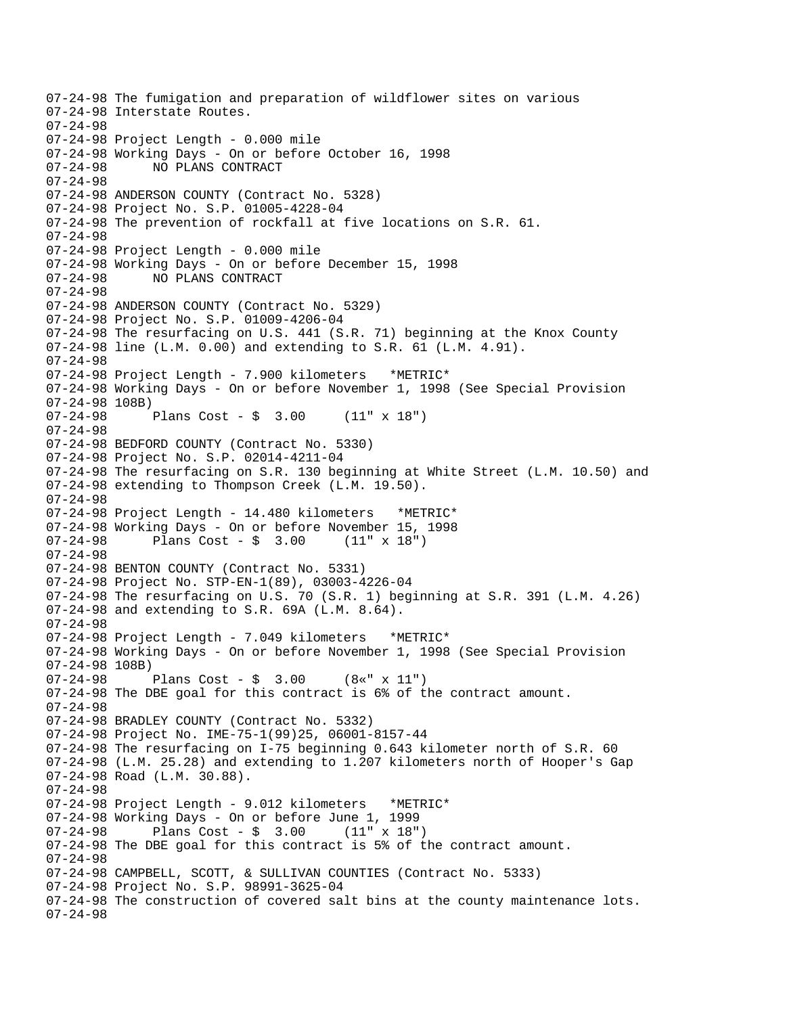07-24-98 The fumigation and preparation of wildflower sites on various 07-24-98 Interstate Routes. 07-24-98 07-24-98 Project Length - 0.000 mile 07-24-98 Working Days - On or before October 16, 1998 07-24-98 NO PLANS CONTRACT 07-24-98 07-24-98 ANDERSON COUNTY (Contract No. 5328) 07-24-98 Project No. S.P. 01005-4228-04 07-24-98 The prevention of rockfall at five locations on S.R. 61. 07-24-98 07-24-98 Project Length - 0.000 mile 07-24-98 Working Days - On or before December 15, 1998 07-24-98 NO PLANS CONTRACT 07-24-98 07-24-98 ANDERSON COUNTY (Contract No. 5329) 07-24-98 Project No. S.P. 01009-4206-04 07-24-98 The resurfacing on U.S. 441 (S.R. 71) beginning at the Knox County 07-24-98 line (L.M. 0.00) and extending to S.R. 61 (L.M. 4.91). 07-24-98 07-24-98 Project Length - 7.900 kilometers \*METRIC\* 07-24-98 Working Days - On or before November 1, 1998 (See Special Provision 07-24-98 108B) 07-24-98 Plans Cost - \$ 3.00 (11" x 18") 07-24-98 07-24-98 BEDFORD COUNTY (Contract No. 5330) 07-24-98 Project No. S.P. 02014-4211-04 07-24-98 The resurfacing on S.R. 130 beginning at White Street (L.M. 10.50) and 07-24-98 extending to Thompson Creek (L.M. 19.50). 07-24-98 07-24-98 Project Length - 14.480 kilometers \*METRIC\* 07-24-98 Working Days - On or before November 15, 1998<br>07-24-98 Plans Cost -  $\frac{1}{2}$  3.00 (11" x 18") Plans Cost -  $\frac{1}{2}$  3.00 07-24-98 07-24-98 BENTON COUNTY (Contract No. 5331) 07-24-98 Project No. STP-EN-1(89), 03003-4226-04 07-24-98 The resurfacing on U.S. 70 (S.R. 1) beginning at S.R. 391 (L.M. 4.26) 07-24-98 and extending to S.R. 69A (L.M. 8.64). 07-24-98 07-24-98 Project Length - 7.049 kilometers \*METRIC\* 07-24-98 Working Days - On or before November 1, 1998 (See Special Provision 07-24-98 108B) 07-24-98 Plans Cost - \$ 3.00 (8«" x 11") 07-24-98 The DBE goal for this contract is 6% of the contract amount. 07-24-98 07-24-98 BRADLEY COUNTY (Contract No. 5332) 07-24-98 Project No. IME-75-1(99)25, 06001-8157-44 07-24-98 The resurfacing on I-75 beginning 0.643 kilometer north of S.R. 60 07-24-98 (L.M. 25.28) and extending to 1.207 kilometers north of Hooper's Gap 07-24-98 Road (L.M. 30.88). 07-24-98 07-24-98 Project Length - 9.012 kilometers \*METRIC\* 07-24-98 Working Days - On or before June 1, 1999  $07 - 24 - 98$  Plans Cost - \$ 3.00 07-24-98 The DBE goal for this contract is 5% of the contract amount. 07-24-98 07-24-98 CAMPBELL, SCOTT, & SULLIVAN COUNTIES (Contract No. 5333) 07-24-98 Project No. S.P. 98991-3625-04 07-24-98 The construction of covered salt bins at the county maintenance lots. 07-24-98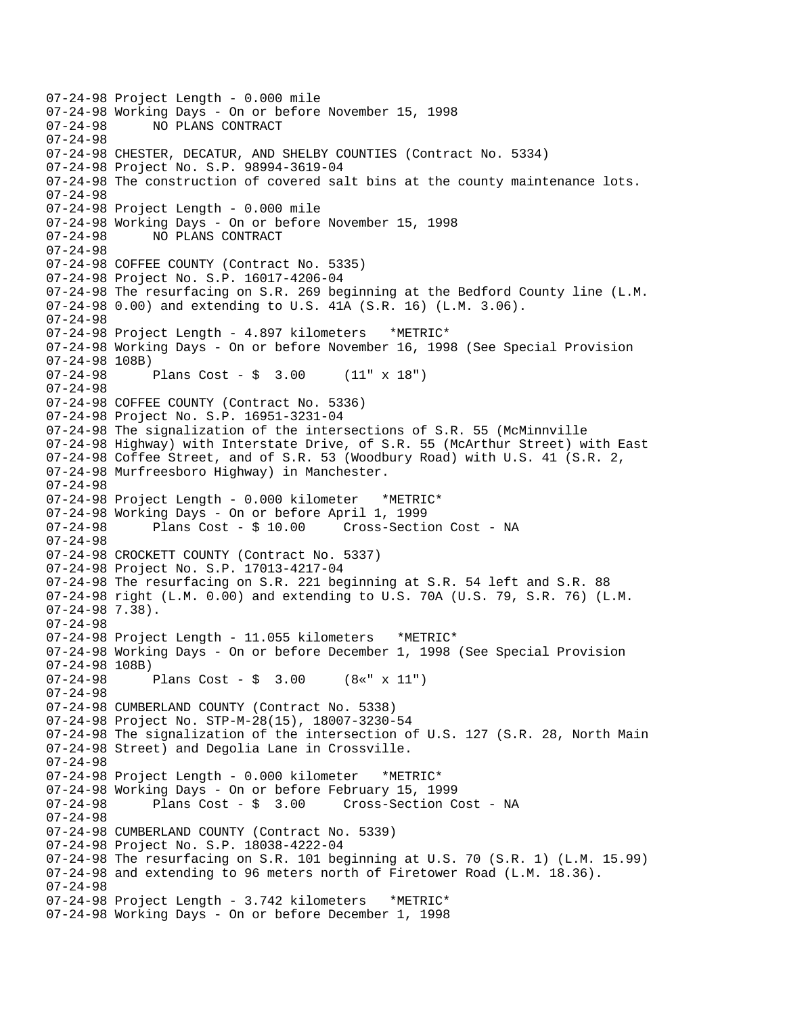07-24-98 Project Length - 0.000 mile 07-24-98 Working Days - On or before November 15, 1998<br>07-24-98 NO PLANS CONTRACT NO PLANS CONTRACT 07-24-98 07-24-98 CHESTER, DECATUR, AND SHELBY COUNTIES (Contract No. 5334) 07-24-98 Project No. S.P. 98994-3619-04 07-24-98 The construction of covered salt bins at the county maintenance lots. 07-24-98 07-24-98 Project Length - 0.000 mile 07-24-98 Working Days - On or before November 15, 1998 07-24-98 NO PLANS CONTRACT 07-24-98 07-24-98 COFFEE COUNTY (Contract No. 5335) 07-24-98 Project No. S.P. 16017-4206-04 07-24-98 The resurfacing on S.R. 269 beginning at the Bedford County line (L.M. 07-24-98 0.00) and extending to U.S. 41A (S.R. 16) (L.M. 3.06). 07-24-98 07-24-98 Project Length - 4.897 kilometers \*METRIC\* 07-24-98 Working Days - On or before November 16, 1998 (See Special Provision 07-24-98 108B) 07-24-98 Plans Cost - \$ 3.00 (11" x 18") 07-24-98 07-24-98 COFFEE COUNTY (Contract No. 5336) 07-24-98 Project No. S.P. 16951-3231-04 07-24-98 The signalization of the intersections of S.R. 55 (McMinnville 07-24-98 Highway) with Interstate Drive, of S.R. 55 (McArthur Street) with East 07-24-98 Coffee Street, and of S.R. 53 (Woodbury Road) with U.S. 41 (S.R. 2, 07-24-98 Murfreesboro Highway) in Manchester. 07-24-98 07-24-98 Project Length - 0.000 kilometer \*METRIC\* 07-24-98 Working Days - On or before April 1, 1999 07-24-98 Plans Cost - \$ 10.00 Cross-Section Cost - NA 07-24-98 07-24-98 CROCKETT COUNTY (Contract No. 5337) 07-24-98 Project No. S.P. 17013-4217-04 07-24-98 The resurfacing on S.R. 221 beginning at S.R. 54 left and S.R. 88 07-24-98 right (L.M. 0.00) and extending to U.S. 70A (U.S. 79, S.R. 76) (L.M. 07-24-98 7.38). 07-24-98 07-24-98 Project Length - 11.055 kilometers \*METRIC\* 07-24-98 Working Days - On or before December 1, 1998 (See Special Provision 07-24-98 108B) 07-24-98 Plans Cost - \$ 3.00 (8«" x 11") 07-24-98 07-24-98 CUMBERLAND COUNTY (Contract No. 5338) 07-24-98 Project No. STP-M-28(15), 18007-3230-54 07-24-98 The signalization of the intersection of U.S. 127 (S.R. 28, North Main 07-24-98 Street) and Degolia Lane in Crossville. 07-24-98 07-24-98 Project Length - 0.000 kilometer \*METRIC\* 07-24-98 Working Days - On or before February 15, 1999 07-24-98 Plans Cost - \$ 3.00 Cross-Section Cost - NA 07-24-98 07-24-98 CUMBERLAND COUNTY (Contract No. 5339) 07-24-98 Project No. S.P. 18038-4222-04 07-24-98 The resurfacing on S.R. 101 beginning at U.S. 70 (S.R. 1) (L.M. 15.99) 07-24-98 and extending to 96 meters north of Firetower Road (L.M. 18.36). 07-24-98 07-24-98 Project Length - 3.742 kilometers \*METRIC\* 07-24-98 Working Days - On or before December 1, 1998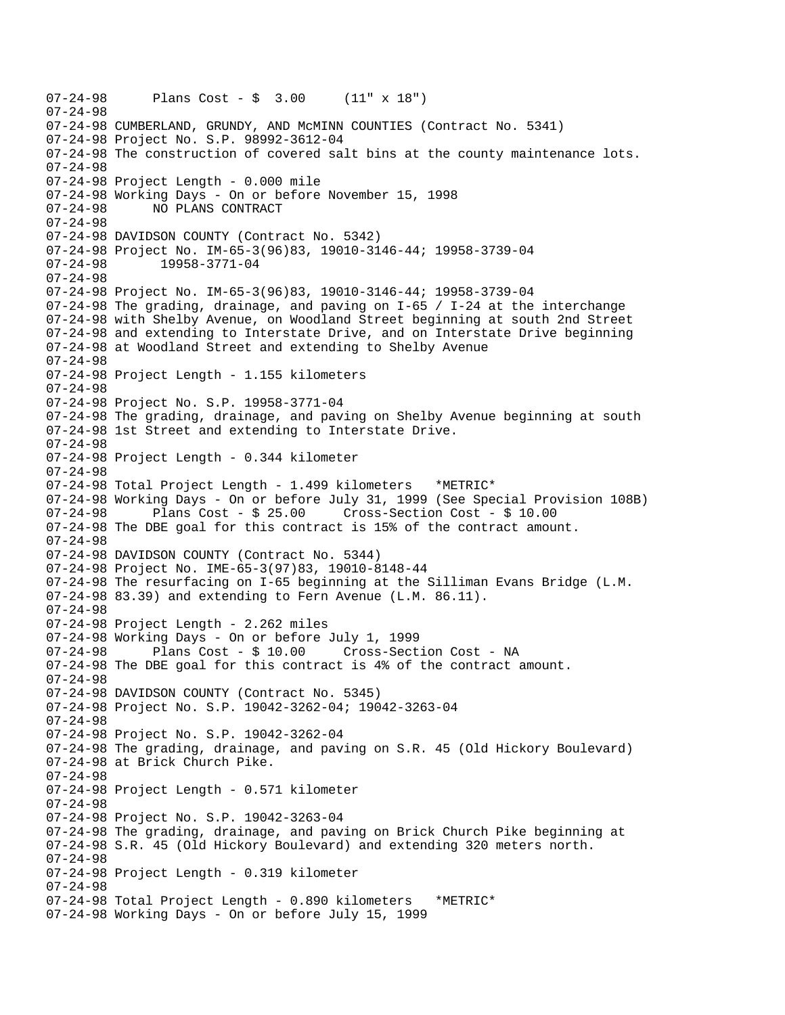07-24-98 Plans Cost - \$ 3.00 (11" x 18") 07-24-98 07-24-98 CUMBERLAND, GRUNDY, AND McMINN COUNTIES (Contract No. 5341) 07-24-98 Project No. S.P. 98992-3612-04 07-24-98 The construction of covered salt bins at the county maintenance lots. 07-24-98 07-24-98 Project Length - 0.000 mile 07-24-98 Working Days - On or before November 15, 1998 07-24-98 NO PLANS CONTRACT 07-24-98 07-24-98 DAVIDSON COUNTY (Contract No. 5342) 07-24-98 Project No. IM-65-3(96)83, 19010-3146-44; 19958-3739-04 07-24-98 19958-3771-04 07-24-98 07-24-98 Project No. IM-65-3(96)83, 19010-3146-44; 19958-3739-04 07-24-98 The grading, drainage, and paving on I-65 / I-24 at the interchange 07-24-98 with Shelby Avenue, on Woodland Street beginning at south 2nd Street 07-24-98 and extending to Interstate Drive, and on Interstate Drive beginning 07-24-98 at Woodland Street and extending to Shelby Avenue 07-24-98 07-24-98 Project Length - 1.155 kilometers 07-24-98 07-24-98 Project No. S.P. 19958-3771-04 07-24-98 The grading, drainage, and paving on Shelby Avenue beginning at south 07-24-98 1st Street and extending to Interstate Drive. 07-24-98 07-24-98 Project Length - 0.344 kilometer 07-24-98 07-24-98 Total Project Length - 1.499 kilometers \*METRIC\* 07-24-98 Working Days - On or before July 31, 1999 (See Special Provision 108B) 07-24-98 Plans Cost - \$ 25.00 Cross-Section Cost - \$ 10.00 07-24-98 The DBE goal for this contract is 15% of the contract amount. 07-24-98 07-24-98 DAVIDSON COUNTY (Contract No. 5344) 07-24-98 Project No. IME-65-3(97)83, 19010-8148-44 07-24-98 The resurfacing on I-65 beginning at the Silliman Evans Bridge (L.M. 07-24-98 83.39) and extending to Fern Avenue (L.M. 86.11). 07-24-98 07-24-98 Project Length - 2.262 miles 07-24-98 Working Days - On or before July 1, 1999 07-24-98 Plans Cost - \$ 10.00 Cross-Section Cost - NA 07-24-98 The DBE goal for this contract is 4% of the contract amount. 07-24-98 07-24-98 DAVIDSON COUNTY (Contract No. 5345) 07-24-98 Project No. S.P. 19042-3262-04; 19042-3263-04 07-24-98 07-24-98 Project No. S.P. 19042-3262-04 07-24-98 The grading, drainage, and paving on S.R. 45 (Old Hickory Boulevard) 07-24-98 at Brick Church Pike. 07-24-98 07-24-98 Project Length - 0.571 kilometer 07-24-98 07-24-98 Project No. S.P. 19042-3263-04 07-24-98 The grading, drainage, and paving on Brick Church Pike beginning at 07-24-98 S.R. 45 (Old Hickory Boulevard) and extending 320 meters north. 07-24-98 07-24-98 Project Length - 0.319 kilometer 07-24-98 07-24-98 Total Project Length - 0.890 kilometers \*METRIC\* 07-24-98 Working Days - On or before July 15, 1999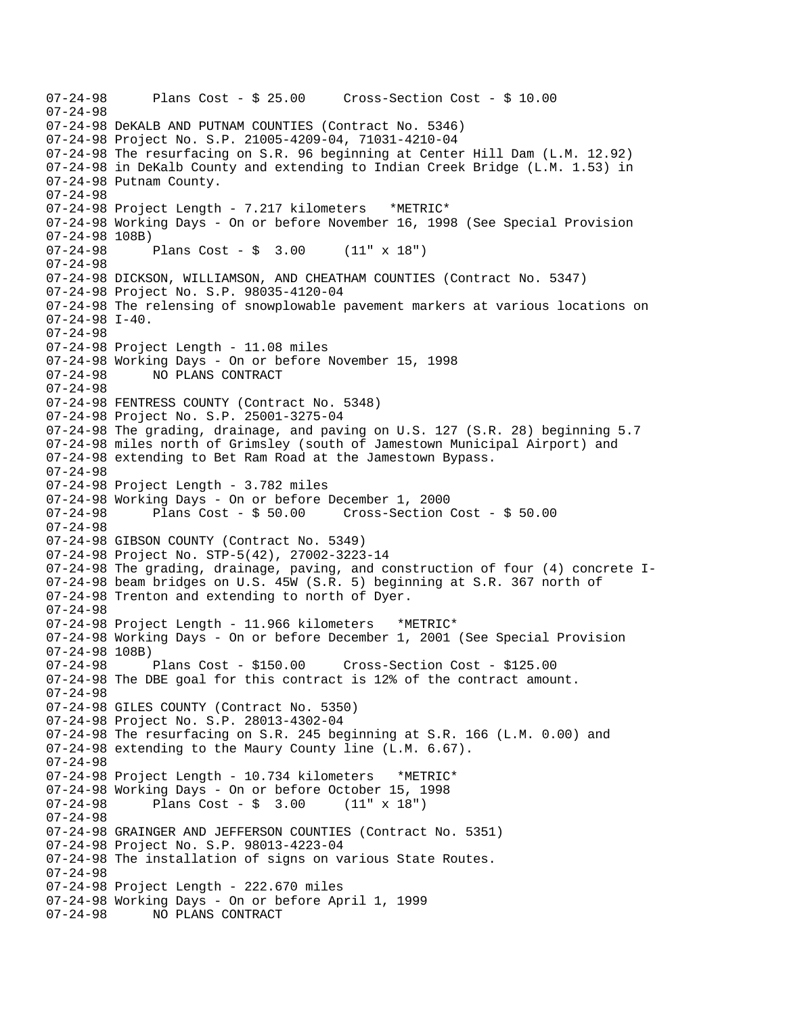```
07-24-98 Plans Cost - $ 25.00 Cross-Section Cost - $ 10.00 
07-24-98 
07-24-98 DeKALB AND PUTNAM COUNTIES (Contract No. 5346) 
07-24-98 Project No. S.P. 21005-4209-04, 71031-4210-04 
07-24-98 The resurfacing on S.R. 96 beginning at Center Hill Dam (L.M. 12.92) 
07-24-98 in DeKalb County and extending to Indian Creek Bridge (L.M. 1.53) in 
07-24-98 Putnam County. 
07-24-98 
07-24-98 Project Length - 7.217 kilometers *METRIC* 
07-24-98 Working Days - On or before November 16, 1998 (See Special Provision 
07-24-98 108B) 
07-24-98 Plans Cost - $ 3.00 (11" x 18") 
07-24-98 
07-24-98 DICKSON, WILLIAMSON, AND CHEATHAM COUNTIES (Contract No. 5347) 
07-24-98 Project No. S.P. 98035-4120-04 
07-24-98 The relensing of snowplowable pavement markers at various locations on 
07-24-98 I-40. 
07-24-98 
07-24-98 Project Length - 11.08 miles 
07-24-98 Working Days - On or before November 15, 1998 
07-24-98 NO PLANS CONTRACT 
07-24-98 
07-24-98 FENTRESS COUNTY (Contract No. 5348) 
07-24-98 Project No. S.P. 25001-3275-04 
07-24-98 The grading, drainage, and paving on U.S. 127 (S.R. 28) beginning 5.7 
07-24-98 miles north of Grimsley (south of Jamestown Municipal Airport) and 
07-24-98 extending to Bet Ram Road at the Jamestown Bypass. 
07-24-98 
07-24-98 Project Length - 3.782 miles
07-24-98 Working Days - On or before December 1, 2000 
07-24-98 Plans Cost - $ 50.00 Cross-Section Cost - $ 50.00 
07-24-98 
07-24-98 GIBSON COUNTY (Contract No. 5349) 
07-24-98 Project No. STP-5(42), 27002-3223-14 
07-24-98 The grading, drainage, paving, and construction of four (4) concrete I-
07-24-98 beam bridges on U.S. 45W (S.R. 5) beginning at S.R. 367 north of 
07-24-98 Trenton and extending to north of Dyer. 
07-24-98 
07-24-98 Project Length - 11.966 kilometers *METRIC* 
07-24-98 Working Days - On or before December 1, 2001 (See Special Provision 
07-24-98 108B) 
07-24-98 Plans Cost - $150.00 Cross-Section Cost - $125.00 
07-24-98 The DBE goal for this contract is 12% of the contract amount. 
07-24-98 
07-24-98 GILES COUNTY (Contract No. 5350) 
07-24-98 Project No. S.P. 28013-4302-04 
07-24-98 The resurfacing on S.R. 245 beginning at S.R. 166 (L.M. 0.00) and 
07-24-98 extending to the Maury County line (L.M. 6.67). 
07-24-98 
07-24-98 Project Length - 10.734 kilometers *METRIC* 
07-24-98 Working Days - On or before October 15, 1998 
07-24-98 Plans Cost - $ 3.00 (11" x 18") 
07-24-98 
07-24-98 GRAINGER AND JEFFERSON COUNTIES (Contract No. 5351) 
07-24-98 Project No. S.P. 98013-4223-04 
07-24-98 The installation of signs on various State Routes. 
07-24-98 
07-24-98 Project Length - 222.670 miles 
07-24-98 Working Days - On or before April 1, 1999 
07-24-98 NO PLANS CONTRACT
```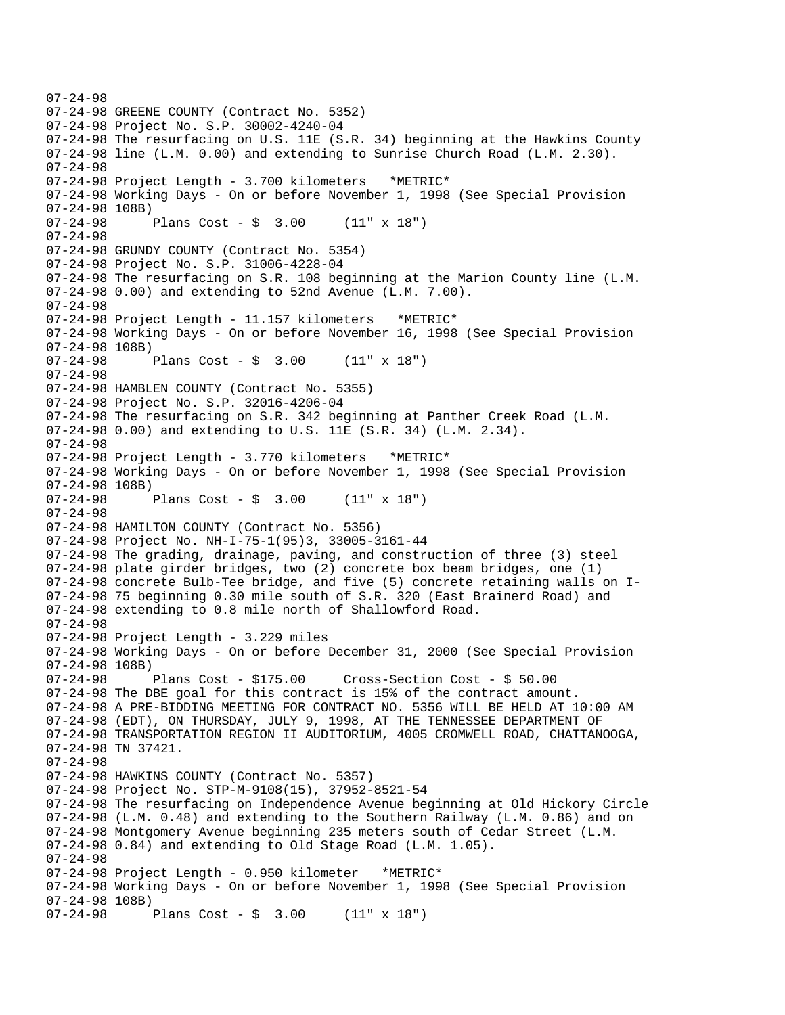07-24-98 07-24-98 GREENE COUNTY (Contract No. 5352) 07-24-98 Project No. S.P. 30002-4240-04 07-24-98 The resurfacing on U.S. 11E (S.R. 34) beginning at the Hawkins County 07-24-98 line (L.M. 0.00) and extending to Sunrise Church Road (L.M. 2.30). 07-24-98 07-24-98 Project Length - 3.700 kilometers \*METRIC\* 07-24-98 Working Days - On or before November 1, 1998 (See Special Provision 07-24-98 108B) 07-24-98 Plans Cost - \$ 3.00 (11" x 18") 07-24-98 07-24-98 GRUNDY COUNTY (Contract No. 5354) 07-24-98 Project No. S.P. 31006-4228-04 07-24-98 The resurfacing on S.R. 108 beginning at the Marion County line (L.M. 07-24-98 0.00) and extending to 52nd Avenue (L.M. 7.00). 07-24-98 07-24-98 Project Length - 11.157 kilometers \*METRIC\* 07-24-98 Working Days - On or before November 16, 1998 (See Special Provision 07-24-98 108B) 07-24-98 Plans Cost - \$ 3.00 (11" x 18") 07-24-98 07-24-98 HAMBLEN COUNTY (Contract No. 5355) 07-24-98 Project No. S.P. 32016-4206-04 07-24-98 The resurfacing on S.R. 342 beginning at Panther Creek Road (L.M. 07-24-98 0.00) and extending to U.S. 11E (S.R. 34) (L.M. 2.34). 07-24-98 07-24-98 Project Length - 3.770 kilometers \*METRIC\* 07-24-98 Working Days - On or before November 1, 1998 (See Special Provision 07-24-98 108B) Plans Cost -  $\frac{1}{2}$  3.00 (11" x 18") 07-24-98 07-24-98 HAMILTON COUNTY (Contract No. 5356) 07-24-98 Project No. NH-I-75-1(95)3, 33005-3161-44 07-24-98 The grading, drainage, paving, and construction of three (3) steel 07-24-98 plate girder bridges, two (2) concrete box beam bridges, one (1) 07-24-98 concrete Bulb-Tee bridge, and five (5) concrete retaining walls on I-07-24-98 75 beginning 0.30 mile south of S.R. 320 (East Brainerd Road) and 07-24-98 extending to 0.8 mile north of Shallowford Road. 07-24-98 07-24-98 Project Length - 3.229 miles 07-24-98 Working Days - On or before December 31, 2000 (See Special Provision 07-24-98 108B) 07-24-98 Plans Cost - \$175.00 Cross-Section Cost - \$ 50.00 07-24-98 The DBE goal for this contract is 15% of the contract amount. 07-24-98 A PRE-BIDDING MEETING FOR CONTRACT NO. 5356 WILL BE HELD AT 10:00 AM 07-24-98 (EDT), ON THURSDAY, JULY 9, 1998, AT THE TENNESSEE DEPARTMENT OF 07-24-98 TRANSPORTATION REGION II AUDITORIUM, 4005 CROMWELL ROAD, CHATTANOOGA, 07-24-98 TN 37421. 07-24-98 07-24-98 HAWKINS COUNTY (Contract No. 5357) 07-24-98 Project No. STP-M-9108(15), 37952-8521-54 07-24-98 The resurfacing on Independence Avenue beginning at Old Hickory Circle 07-24-98 (L.M. 0.48) and extending to the Southern Railway (L.M. 0.86) and on 07-24-98 Montgomery Avenue beginning 235 meters south of Cedar Street (L.M. 07-24-98 0.84) and extending to Old Stage Road (L.M. 1.05). 07-24-98 07-24-98 Project Length - 0.950 kilometer \*METRIC\* 07-24-98 Working Days - On or before November 1, 1998 (See Special Provision 07-24-98 108B) 07-24-98 Plans Cost - \$ 3.00 (11" x 18")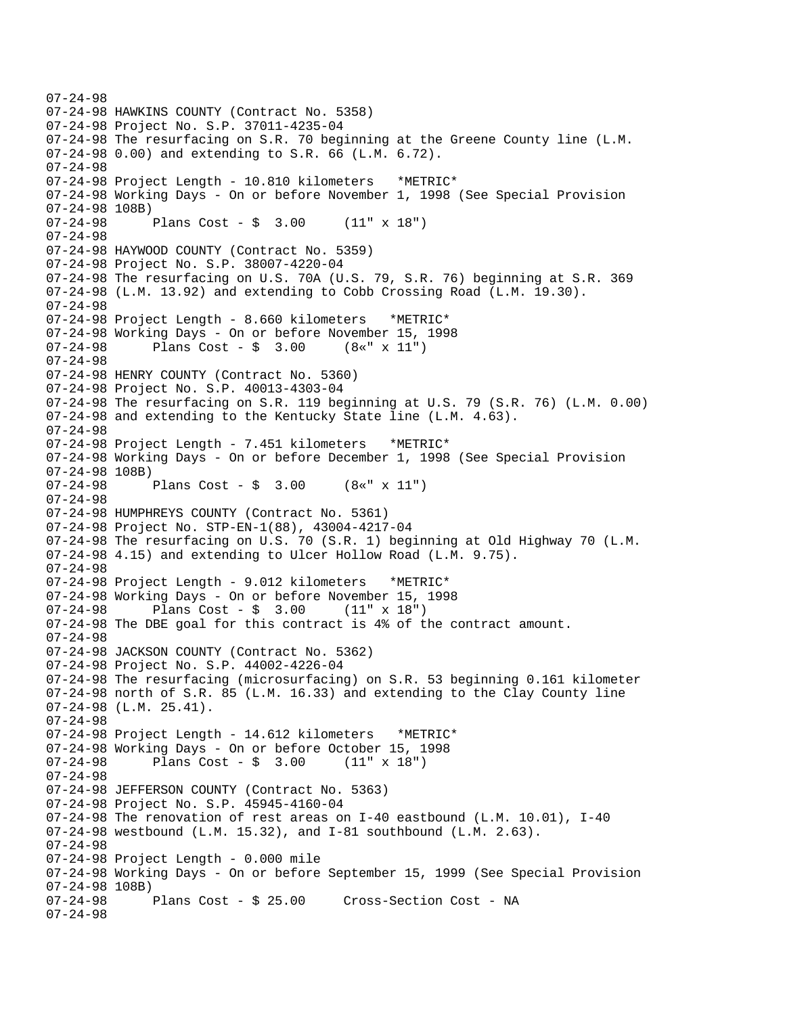```
07-24-98 
07-24-98 HAWKINS COUNTY (Contract No. 5358) 
07-24-98 Project No. S.P. 37011-4235-04 
07-24-98 The resurfacing on S.R. 70 beginning at the Greene County line (L.M. 
07-24-98 0.00) and extending to S.R. 66 (L.M. 6.72). 
07-24-98 
07-24-98 Project Length - 10.810 kilometers *METRIC* 
07-24-98 Working Days - On or before November 1, 1998 (See Special Provision 
07-24-98 108B) 
07-24-98 Plans Cost - $ 3.00 (11" x 18") 
07-24-98 
07-24-98 HAYWOOD COUNTY (Contract No. 5359) 
07-24-98 Project No. S.P. 38007-4220-04 
07-24-98 The resurfacing on U.S. 70A (U.S. 79, S.R. 76) beginning at S.R. 369 
07-24-98 (L.M. 13.92) and extending to Cobb Crossing Road (L.M. 19.30). 
07-24-98 
07-24-98 Project Length - 8.660 kilometers *METRIC*
07-24-98 Working Days - On or before November 15, 1998 
07-24-98 Plans Cost - $ 3.00 (8«" x 11") 
07-24-98 
07-24-98 HENRY COUNTY (Contract No. 5360) 
07-24-98 Project No. S.P. 40013-4303-04 
07-24-98 The resurfacing on S.R. 119 beginning at U.S. 79 (S.R. 76) (L.M. 0.00) 
07-24-98 and extending to the Kentucky State line (L.M. 4.63). 
07-24-98 
07-24-98 Project Length - 7.451 kilometers *METRIC* 
07-24-98 Working Days - On or before December 1, 1998 (See Special Provision 
07-24-98 108B) 
07-24-98 Plans Cost - $ 3.00 (8«" x 11") 
07-24-98 
07-24-98 HUMPHREYS COUNTY (Contract No. 5361) 
07-24-98 Project No. STP-EN-1(88), 43004-4217-04 
07-24-98 The resurfacing on U.S. 70 (S.R. 1) beginning at Old Highway 70 (L.M. 
07-24-98 4.15) and extending to Ulcer Hollow Road (L.M. 9.75). 
07-24-98 
07-24-98 Project Length - 9.012 kilometers *METRIC* 
07-24-98 Working Days - On or before November 15, 1998 
07-24-98 Plans Cost - $ 3.00 (11" x 18") 
07-24-98 The DBE goal for this contract is 4% of the contract amount. 
07-24-98 
07-24-98 JACKSON COUNTY (Contract No. 5362) 
07-24-98 Project No. S.P. 44002-4226-04 
07-24-98 The resurfacing (microsurfacing) on S.R. 53 beginning 0.161 kilometer 
07-24-98 north of S.R. 85 (L.M. 16.33) and extending to the Clay County line 
07-24-98 (L.M. 25.41).
07-24-98 
07-24-98 Project Length - 14.612 kilometers *METRIC* 
07-24-98 Working Days - On or before October 15, 1998<br>07-24-98        Plans Cost - $ 3.00     (11" x 18")
              Plans Cost - $ 3.0007-24-98 
07-24-98 JEFFERSON COUNTY (Contract No. 5363) 
07-24-98 Project No. S.P. 45945-4160-04 
07-24-98 The renovation of rest areas on I-40 eastbound (L.M. 10.01), I-40 
07-24-98 westbound (L.M. 15.32), and I-81 southbound (L.M. 2.63).
07-24-98 
07-24-98 Project Length - 0.000 mile 
07-24-98 Working Days - On or before September 15, 1999 (See Special Provision 
07-24-98 108B) 
              Plans Cost - $ 25.00 Cross-Section Cost - NA
07-24-98
```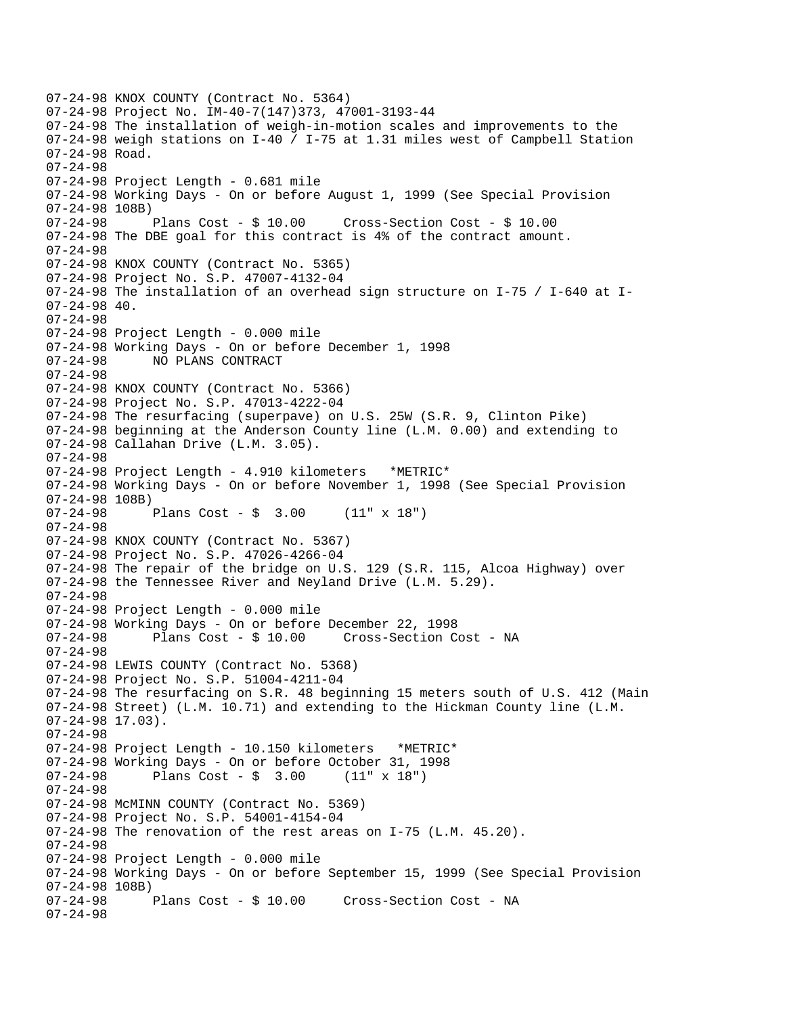```
07-24-98 KNOX COUNTY (Contract No. 5364) 
07-24-98 Project No. IM-40-7(147)373, 47001-3193-44 
07-24-98 The installation of weigh-in-motion scales and improvements to the 
07-24-98 weigh stations on I-40 / I-75 at 1.31 miles west of Campbell Station 
07-24-98 Road. 
07-24-98 
07-24-98 Project Length - 0.681 mile 
07-24-98 Working Days - On or before August 1, 1999 (See Special Provision 
07-24-98 108B) 
07-24-98 Plans Cost - $ 10.00 Cross-Section Cost - $ 10.00 
07-24-98 The DBE goal for this contract is 4% of the contract amount. 
07-24-98 
07-24-98 KNOX COUNTY (Contract No. 5365) 
07-24-98 Project No. S.P. 47007-4132-04 
07-24-98 The installation of an overhead sign structure on I-75 / I-640 at I-
07-24-98 40. 
07-24-98 
07-24-98 Project Length - 0.000 mile 
07-24-98 Working Days - On or before December 1, 1998 
07-24-98 NO PLANS CONTRACT 
07-24-98 
07-24-98 KNOX COUNTY (Contract No. 5366) 
07-24-98 Project No. S.P. 47013-4222-04 
07-24-98 The resurfacing (superpave) on U.S. 25W (S.R. 9, Clinton Pike) 
07-24-98 beginning at the Anderson County line (L.M. 0.00) and extending to 
07-24-98 Callahan Drive (L.M. 3.05). 
07-24-98 
07-24-98 Project Length - 4.910 kilometers *METRIC* 
07-24-98 Working Days - On or before November 1, 1998 (See Special Provision 
07-24-98 108B) 
              Plans Cost - \sin 3.00 (11" x 18")
07-24-98 
07-24-98 KNOX COUNTY (Contract No. 5367) 
07-24-98 Project No. S.P. 47026-4266-04 
07-24-98 The repair of the bridge on U.S. 129 (S.R. 115, Alcoa Highway) over 
07-24-98 the Tennessee River and Neyland Drive (L.M. 5.29). 
07-24-98 
07-24-98 Project Length - 0.000 mile 
07-24-98 Working Days - On or before December 22, 1998 
07-24-98 Plans Cost - $ 10.00 Cross-Section Cost - NA 
07-24-98 
07-24-98 LEWIS COUNTY (Contract No. 5368) 
07-24-98 Project No. S.P. 51004-4211-04 
07-24-98 The resurfacing on S.R. 48 beginning 15 meters south of U.S. 412 (Main 
07-24-98 Street) (L.M. 10.71) and extending to the Hickman County line (L.M. 
07-24-98 17.03). 
07-24-98 
07-24-98 Project Length - 10.150 kilometers *METRIC* 
07-24-98 Working Days - On or before October 31, 1998<br>07-24-98 Plans Cost - $ 3.00 (11" x 18")
              Plans Cost - $ 3.0007-24-98 
07-24-98 McMINN COUNTY (Contract No. 5369) 
07-24-98 Project No. S.P. 54001-4154-04 
07-24-98 The renovation of the rest areas on I-75 (L.M. 45.20). 
07-24-98 
07-24-98 Project Length - 0.000 mile 
07-24-98 Working Days - On or before September 15, 1999 (See Special Provision 
07-24-98 108B)<br>07-24-98
              Plans Cost - $ 10.00 Cross-Section Cost - NA
07-24-98
```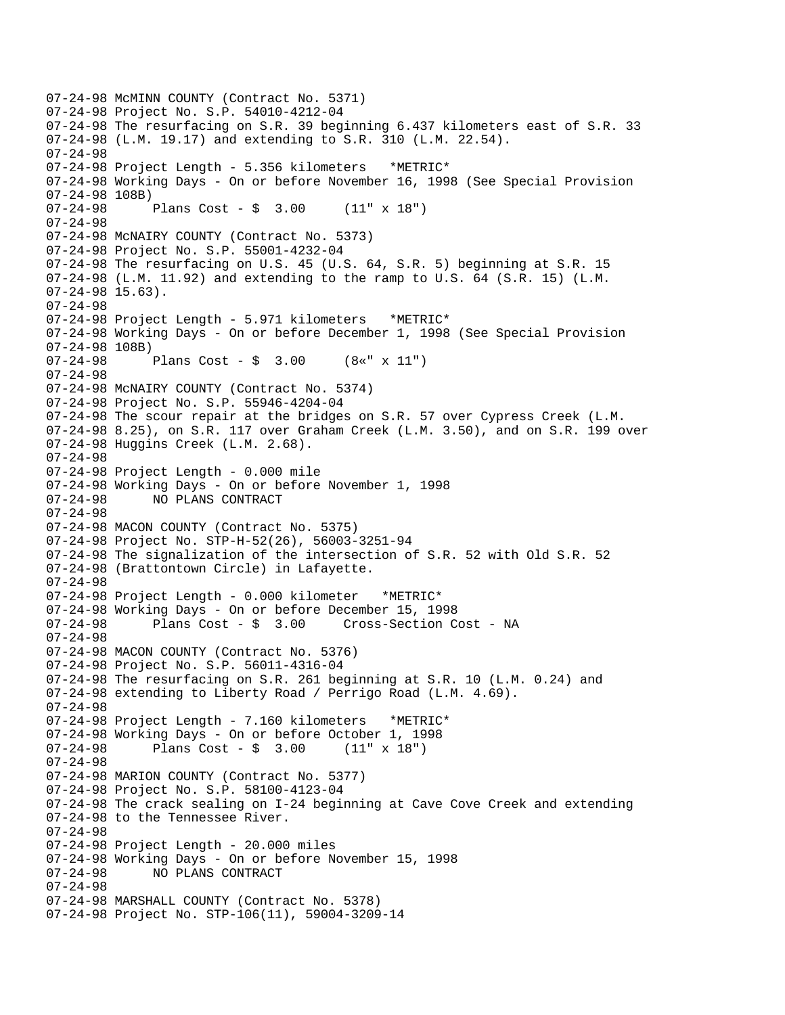07-24-98 McMINN COUNTY (Contract No. 5371) 07-24-98 Project No. S.P. 54010-4212-04 07-24-98 The resurfacing on S.R. 39 beginning 6.437 kilometers east of S.R. 33 07-24-98 (L.M. 19.17) and extending to S.R. 310 (L.M. 22.54). 07-24-98 07-24-98 Project Length - 5.356 kilometers \*METRIC\* 07-24-98 Working Days - On or before November 16, 1998 (See Special Provision 07-24-98 108B) 07-24-98 Plans Cost - \$ 3.00 (11" x 18") 07-24-98 07-24-98 McNAIRY COUNTY (Contract No. 5373) 07-24-98 Project No. S.P. 55001-4232-04 07-24-98 The resurfacing on U.S. 45 (U.S. 64, S.R. 5) beginning at S.R. 15 07-24-98 (L.M. 11.92) and extending to the ramp to U.S. 64 (S.R. 15) (L.M. 07-24-98 15.63). 07-24-98 07-24-98 Project Length - 5.971 kilometers \*METRIC\* 07-24-98 Working Days - On or before December 1, 1998 (See Special Provision 07-24-98 108B) 07-24-98 Plans Cost - \$ 3.00 (8«" x 11") 07-24-98 07-24-98 McNAIRY COUNTY (Contract No. 5374) 07-24-98 Project No. S.P. 55946-4204-04 07-24-98 The scour repair at the bridges on S.R. 57 over Cypress Creek (L.M. 07-24-98 8.25), on S.R. 117 over Graham Creek (L.M. 3.50), and on S.R. 199 over 07-24-98 Huggins Creek (L.M. 2.68). 07-24-98 07-24-98 Project Length - 0.000 mile 07-24-98 Working Days - On or before November 1, 1998 07-24-98 NO PLANS CONTRACT 07-24-98 07-24-98 MACON COUNTY (Contract No. 5375) 07-24-98 Project No. STP-H-52(26), 56003-3251-94 07-24-98 The signalization of the intersection of S.R. 52 with Old S.R. 52 07-24-98 (Brattontown Circle) in Lafayette. 07-24-98 07-24-98 Project Length - 0.000 kilometer \*METRIC\* 07-24-98 Working Days - On or before December 15, 1998 07-24-98 Plans Cost - \$ 3.00 Cross-Section Cost - NA 07-24-98 07-24-98 MACON COUNTY (Contract No. 5376) 07-24-98 Project No. S.P. 56011-4316-04 07-24-98 The resurfacing on S.R. 261 beginning at S.R. 10 (L.M. 0.24) and 07-24-98 extending to Liberty Road / Perrigo Road (L.M. 4.69). 07-24-98 07-24-98 Project Length - 7.160 kilometers \*METRIC\* 07-24-98 Working Days - On or before October 1, 1998<br>07-24-98 Plans Cost - \$ 3.00 (11" x 18") Plans Cost -  $\frac{1}{2}$  3.00 (11" x 18") 07-24-98 07-24-98 MARION COUNTY (Contract No. 5377) 07-24-98 Project No. S.P. 58100-4123-04 07-24-98 The crack sealing on I-24 beginning at Cave Cove Creek and extending 07-24-98 to the Tennessee River. 07-24-98 07-24-98 Project Length - 20.000 miles 07-24-98 Working Days - On or before November 15, 1998 07-24-98 NO PLANS CONTRACT 07-24-98 07-24-98 MARSHALL COUNTY (Contract No. 5378) 07-24-98 Project No. STP-106(11), 59004-3209-14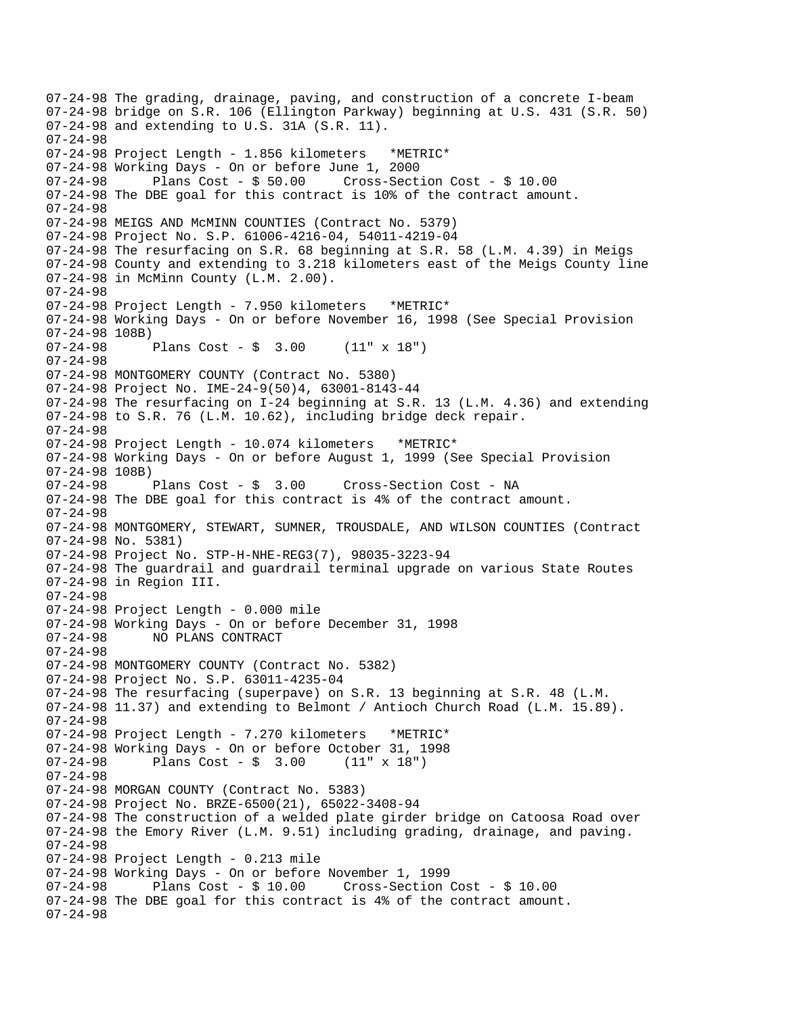07-24-98 The grading, drainage, paving, and construction of a concrete I-beam 07-24-98 bridge on S.R. 106 (Ellington Parkway) beginning at U.S. 431 (S.R. 50) 07-24-98 and extending to U.S. 31A (S.R. 11). 07-24-98 07-24-98 Project Length - 1.856 kilometers \*METRIC\* 07-24-98 Working Days - On or before June 1, 2000 07-24-98 Plans Cost - \$ 50.00 Cross-Section Cost - \$ 10.00 07-24-98 The DBE goal for this contract is 10% of the contract amount. 07-24-98 07-24-98 MEIGS AND McMINN COUNTIES (Contract No. 5379) 07-24-98 Project No. S.P. 61006-4216-04, 54011-4219-04 07-24-98 The resurfacing on S.R. 68 beginning at S.R. 58 (L.M. 4.39) in Meigs 07-24-98 County and extending to 3.218 kilometers east of the Meigs County line 07-24-98 in McMinn County (L.M. 2.00). 07-24-98 07-24-98 Project Length - 7.950 kilometers \*METRIC\* 07-24-98 Working Days - On or before November 16, 1998 (See Special Provision 07-24-98 108B) 07-24-98 Plans Cost - \$ 3.00 (11" x 18") 07-24-98 07-24-98 MONTGOMERY COUNTY (Contract No. 5380) 07-24-98 Project No. IME-24-9(50)4, 63001-8143-44 07-24-98 The resurfacing on I-24 beginning at S.R. 13 (L.M. 4.36) and extending 07-24-98 to S.R. 76 (L.M. 10.62), including bridge deck repair. 07-24-98 07-24-98 Project Length - 10.074 kilometers \*METRIC\* 07-24-98 Working Days - On or before August 1, 1999 (See Special Provision 07-24-98 108B) 07-24-98 Plans Cost - \$ 3.00 Cross-Section Cost - NA 07-24-98 The DBE goal for this contract is 4% of the contract amount. 07-24-98 07-24-98 MONTGOMERY, STEWART, SUMNER, TROUSDALE, AND WILSON COUNTIES (Contract 07-24-98 No. 5381) 07-24-98 Project No. STP-H-NHE-REG3(7), 98035-3223-94 07-24-98 The guardrail and guardrail terminal upgrade on various State Routes 07-24-98 in Region III. 07-24-98 07-24-98 Project Length - 0.000 mile 07-24-98 Working Days - On or before December 31, 1998 07-24-98 NO PLANS CONTRACT 07-24-98 07-24-98 MONTGOMERY COUNTY (Contract No. 5382) 07-24-98 Project No. S.P. 63011-4235-04 07-24-98 The resurfacing (superpave) on S.R. 13 beginning at S.R. 48 (L.M. 07-24-98 11.37) and extending to Belmont / Antioch Church Road (L.M. 15.89). 07-24-98 07-24-98 Project Length - 7.270 kilometers \*METRIC\* 07-24-98 Working Days - On or before October 31, 1998<br>07-24-98 Plans Cost - \$ 3.00 (11" x 18") Plans  $Cost - $ 3.00$ 07-24-98 07-24-98 MORGAN COUNTY (Contract No. 5383) 07-24-98 Project No. BRZE-6500(21), 65022-3408-94 07-24-98 The construction of a welded plate girder bridge on Catoosa Road over 07-24-98 the Emory River (L.M. 9.51) including grading, drainage, and paving. 07-24-98 07-24-98 Project Length - 0.213 mile 07-24-98 Working Days - On or before November 1, 1999 07-24-98 Plans Cost - \$ 10.00 Cross-Section Cost - \$ 10.00 07-24-98 The DBE goal for this contract is 4% of the contract amount. 07-24-98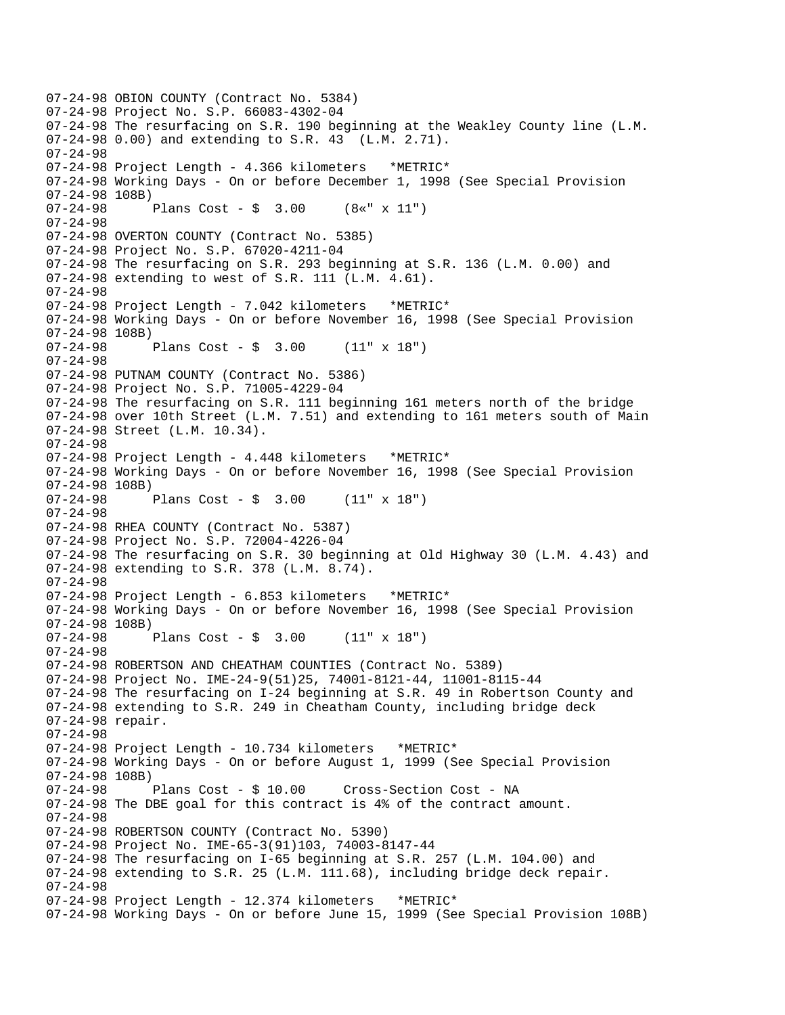07-24-98 OBION COUNTY (Contract No. 5384) 07-24-98 Project No. S.P. 66083-4302-04 07-24-98 The resurfacing on S.R. 190 beginning at the Weakley County line (L.M. 07-24-98 0.00) and extending to S.R. 43 (L.M. 2.71). 07-24-98 07-24-98 Project Length - 4.366 kilometers \*METRIC\* 07-24-98 Working Days - On or before December 1, 1998 (See Special Provision 07-24-98 108B) 07-24-98 Plans Cost - \$ 3.00 (8«" x 11") 07-24-98 07-24-98 OVERTON COUNTY (Contract No. 5385) 07-24-98 Project No. S.P. 67020-4211-04 07-24-98 The resurfacing on S.R. 293 beginning at S.R. 136 (L.M. 0.00) and 07-24-98 extending to west of S.R. 111 (L.M. 4.61). 07-24-98 07-24-98 Project Length - 7.042 kilometers \*METRIC\* 07-24-98 Working Days - On or before November 16, 1998 (See Special Provision 07-24-98 108B)  $07-24-98$  Plans Cost - \$ 3.00 (11" x 18") 07-24-98 07-24-98 PUTNAM COUNTY (Contract No. 5386) 07-24-98 Project No. S.P. 71005-4229-04 07-24-98 The resurfacing on S.R. 111 beginning 161 meters north of the bridge 07-24-98 over 10th Street (L.M. 7.51) and extending to 161 meters south of Main 07-24-98 Street (L.M. 10.34). 07-24-98 07-24-98 Project Length - 4.448 kilometers \*METRIC\* 07-24-98 Working Days - On or before November 16, 1998 (See Special Provision 07-24-98 108B) Plans Cost -  $\frac{1}{2}$  3.00 (11" x 18") 07-24-98 07-24-98 RHEA COUNTY (Contract No. 5387) 07-24-98 Project No. S.P. 72004-4226-04 07-24-98 The resurfacing on S.R. 30 beginning at Old Highway 30 (L.M. 4.43) and 07-24-98 extending to S.R. 378 (L.M. 8.74). 07-24-98 07-24-98 Project Length - 6.853 kilometers \*METRIC\* 07-24-98 Working Days - On or before November 16, 1998 (See Special Provision 07-24-98 108B) 07-24-98 Plans Cost - \$ 3.00 (11" x 18") 07-24-98 07-24-98 ROBERTSON AND CHEATHAM COUNTIES (Contract No. 5389) 07-24-98 Project No. IME-24-9(51)25, 74001-8121-44, 11001-8115-44 07-24-98 The resurfacing on I-24 beginning at S.R. 49 in Robertson County and 07-24-98 extending to S.R. 249 in Cheatham County, including bridge deck 07-24-98 repair. 07-24-98 07-24-98 Project Length - 10.734 kilometers \*METRIC\* 07-24-98 Working Days - On or before August 1, 1999 (See Special Provision 07-24-98 108B)<br>07-24-98 Plans Cost - \$ 10.00 Cross-Section Cost - NA 07-24-98 The DBE goal for this contract is 4% of the contract amount. 07-24-98 07-24-98 ROBERTSON COUNTY (Contract No. 5390) 07-24-98 Project No. IME-65-3(91)103, 74003-8147-44 07-24-98 The resurfacing on I-65 beginning at S.R. 257 (L.M. 104.00) and 07-24-98 extending to S.R. 25 (L.M. 111.68), including bridge deck repair. 07-24-98 07-24-98 Project Length - 12.374 kilometers \*METRIC\* 07-24-98 Working Days - On or before June 15, 1999 (See Special Provision 108B)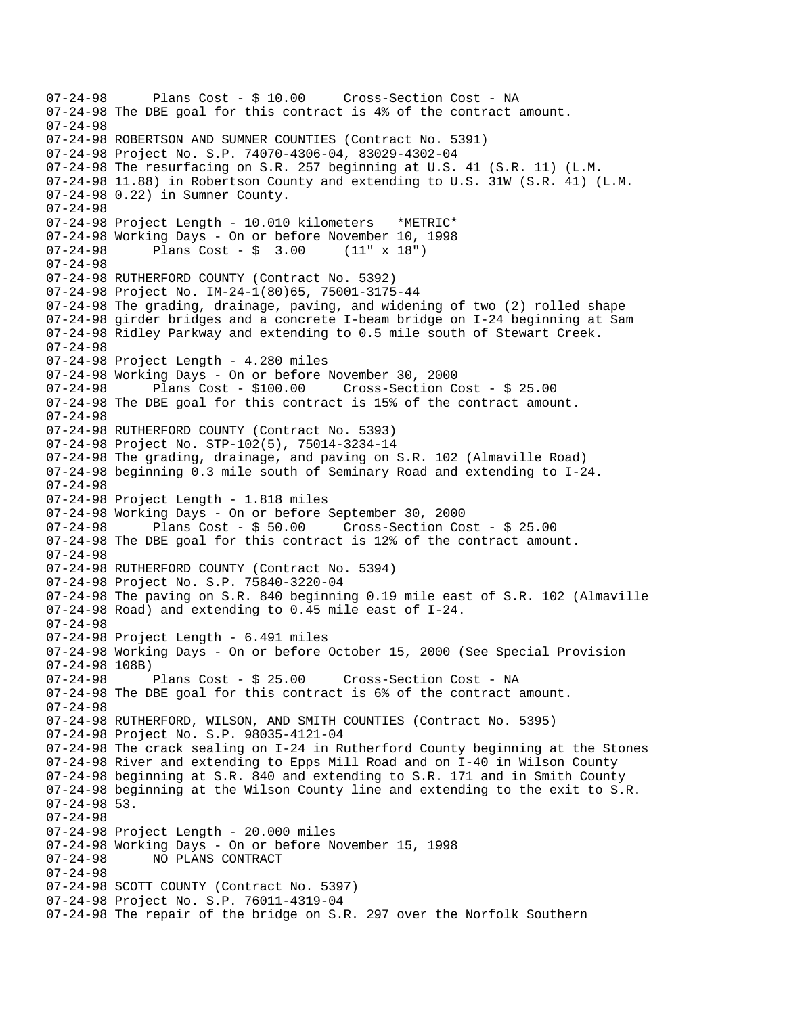07-24-98 Plans Cost - \$ 10.00 Cross-Section Cost - NA 07-24-98 The DBE goal for this contract is 4% of the contract amount. 07-24-98 07-24-98 ROBERTSON AND SUMNER COUNTIES (Contract No. 5391) 07-24-98 Project No. S.P. 74070-4306-04, 83029-4302-04 07-24-98 The resurfacing on S.R. 257 beginning at U.S. 41 (S.R. 11) (L.M. 07-24-98 11.88) in Robertson County and extending to U.S. 31W (S.R. 41) (L.M. 07-24-98 0.22) in Sumner County. 07-24-98 07-24-98 Project Length - 10.010 kilometers \*METRIC\* 07-24-98 Working Days - On or before November 10, 1998 07-24-98 Plans Cost - \$ 3.00 (11" x 18") 07-24-98 07-24-98 RUTHERFORD COUNTY (Contract No. 5392) 07-24-98 Project No. IM-24-1(80)65, 75001-3175-44 07-24-98 The grading, drainage, paving, and widening of two (2) rolled shape 07-24-98 girder bridges and a concrete I-beam bridge on I-24 beginning at Sam 07-24-98 Ridley Parkway and extending to 0.5 mile south of Stewart Creek. 07-24-98 07-24-98 Project Length - 4.280 miles 07-24-98 Working Days - On or before November 30, 2000 Plans Cost - \$100.00 Cross-Section Cost - \$ 25.00 07-24-98 The DBE goal for this contract is 15% of the contract amount. 07-24-98 07-24-98 RUTHERFORD COUNTY (Contract No. 5393) 07-24-98 Project No. STP-102(5), 75014-3234-14 07-24-98 The grading, drainage, and paving on S.R. 102 (Almaville Road) 07-24-98 beginning 0.3 mile south of Seminary Road and extending to I-24. 07-24-98 07-24-98 Project Length - 1.818 miles 07-24-98 Working Days - On or before September 30, 2000 07-24-98 Plans Cost - \$ 50.00 Cross-Section Cost - \$ 25.00 07-24-98 The DBE goal for this contract is 12% of the contract amount. 07-24-98 07-24-98 RUTHERFORD COUNTY (Contract No. 5394) 07-24-98 Project No. S.P. 75840-3220-04 07-24-98 The paving on S.R. 840 beginning 0.19 mile east of S.R. 102 (Almaville 07-24-98 Road) and extending to 0.45 mile east of I-24. 07-24-98 07-24-98 Project Length - 6.491 miles 07-24-98 Working Days - On or before October 15, 2000 (See Special Provision 07-24-98 108B) 07-24-98 Plans Cost - \$ 25.00 Cross-Section Cost - NA 07-24-98 The DBE goal for this contract is 6% of the contract amount. 07-24-98 07-24-98 RUTHERFORD, WILSON, AND SMITH COUNTIES (Contract No. 5395) 07-24-98 Project No. S.P. 98035-4121-04 07-24-98 The crack sealing on I-24 in Rutherford County beginning at the Stones 07-24-98 River and extending to Epps Mill Road and on I-40 in Wilson County 07-24-98 beginning at S.R. 840 and extending to S.R. 171 and in Smith County 07-24-98 beginning at the Wilson County line and extending to the exit to S.R. 07-24-98 53. 07-24-98 07-24-98 Project Length - 20.000 miles 07-24-98 Working Days - On or before November 15, 1998 NO PLANS CONTRACT 07-24-98 07-24-98 SCOTT COUNTY (Contract No. 5397) 07-24-98 Project No. S.P. 76011-4319-04 07-24-98 The repair of the bridge on S.R. 297 over the Norfolk Southern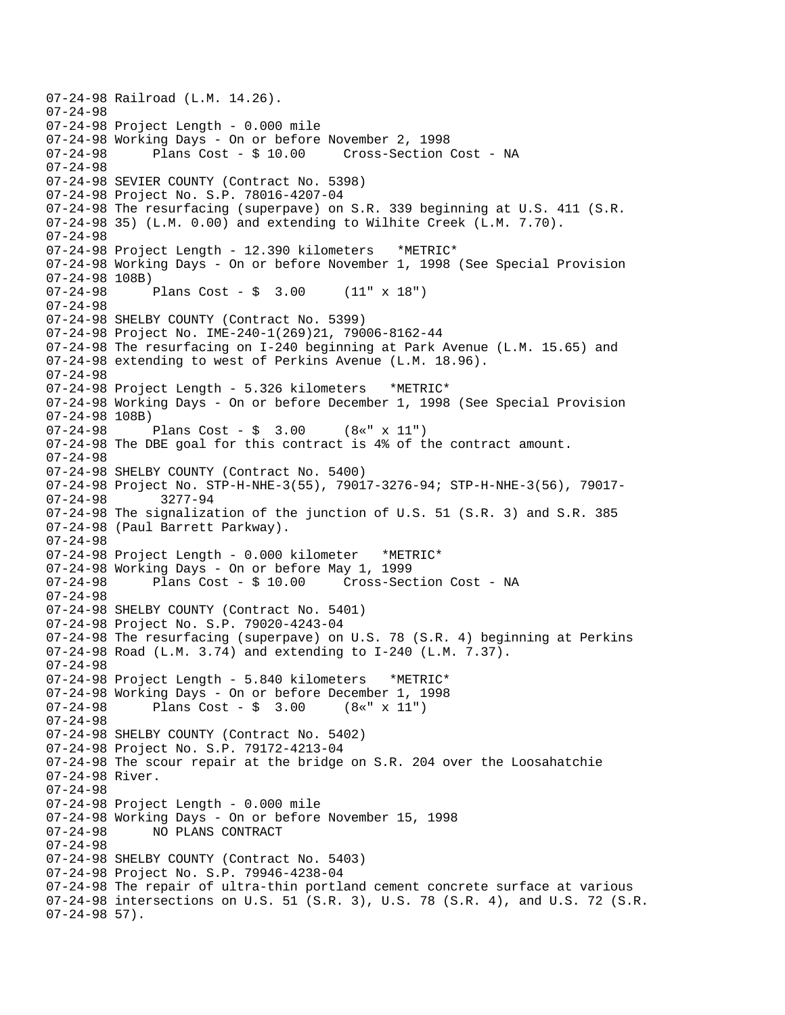```
07-24-98 Railroad (L.M. 14.26). 
07-24-98 
07-24-98 Project Length - 0.000 mile 
07-24-98 Working Days - On or before November 2, 1998<br>07-24-98      Plans Cost - $ 10.00    Cross-Section Cost - NA
              Plans Cost - $ 10.0007-24-98 
07-24-98 SEVIER COUNTY (Contract No. 5398) 
07-24-98 Project No. S.P. 78016-4207-04 
07-24-98 The resurfacing (superpave) on S.R. 339 beginning at U.S. 411 (S.R. 
07-24-98 35) (L.M. 0.00) and extending to Wilhite Creek (L.M. 7.70).
07-24-98 
07-24-98 Project Length - 12.390 kilometers *METRIC* 
07-24-98 Working Days - On or before November 1, 1998 (See Special Provision 
07-24-98 108B)<br>07-24-98
              Plans Cost - \frac{1}{2} 3.00 (11" x 18")
07-24-98 
07-24-98 SHELBY COUNTY (Contract No. 5399) 
07-24-98 Project No. IME-240-1(269)21, 79006-8162-44 
07-24-98 The resurfacing on I-240 beginning at Park Avenue (L.M. 15.65) and 
07-24-98 extending to west of Perkins Avenue (L.M. 18.96). 
07-24-98 
07-24-98 Project Length - 5.326 kilometers *METRIC* 
07-24-98 Working Days - On or before December 1, 1998 (See Special Provision 
07-24-98 108B)<br>07-24-98 1
              Plans Cost - \sin 3.00 (8«" x 11")
07-24-98 The DBE goal for this contract is 4% of the contract amount. 
07-24-98 
07-24-98 SHELBY COUNTY (Contract No. 5400) 
07-24-98 Project No. STP-H-NHE-3(55), 79017-3276-94; STP-H-NHE-3(56), 79017
07-24-98 3277-94 
07-24-98 The signalization of the junction of U.S. 51 (S.R. 3) and S.R. 385 
07-24-98 (Paul Barrett Parkway). 
07-24-98 
07-24-98 Project Length - 0.000 kilometer *METRIC* 
07-24-98 Working Days - On or before May 1, 1999 
07-24-98 Plans Cost - $ 10.00 Cross-Section Cost - NA 
07-24-98 
07-24-98 SHELBY COUNTY (Contract No. 5401) 
07-24-98 Project No. S.P. 79020-4243-04 
07-24-98 The resurfacing (superpave) on U.S. 78 (S.R. 4) beginning at Perkins 
07-24-98 Road (L.M. 3.74) and extending to I-240 (L.M. 7.37). 
07-24-98 
07-24-98 Project Length - 5.840 kilometers *METRIC* 
07-24-98 Working Days - On or before December 1, 1998 
07-24-98 Plans Cost - $ 3.00 (8«" x 11") 
07-24-98 
07-24-98 SHELBY COUNTY (Contract No. 5402) 
07-24-98 Project No. S.P. 79172-4213-04 
07-24-98 The scour repair at the bridge on S.R. 204 over the Loosahatchie 
07-24-98 River. 
07-24-98 
07-24-98 Project Length - 0.000 mile 
07-24-98 Working Days - On or before November 15, 1998 
07-24-98 NO PLANS CONTRACT 
07-24-98 
07-24-98 SHELBY COUNTY (Contract No. 5403) 
07-24-98 Project No. S.P. 79946-4238-04 
07-24-98 The repair of ultra-thin portland cement concrete surface at various 
07-24-98 intersections on U.S. 51 (S.R. 3), U.S. 78 (S.R. 4), and U.S. 72 (S.R. 
07-24-98 57).
```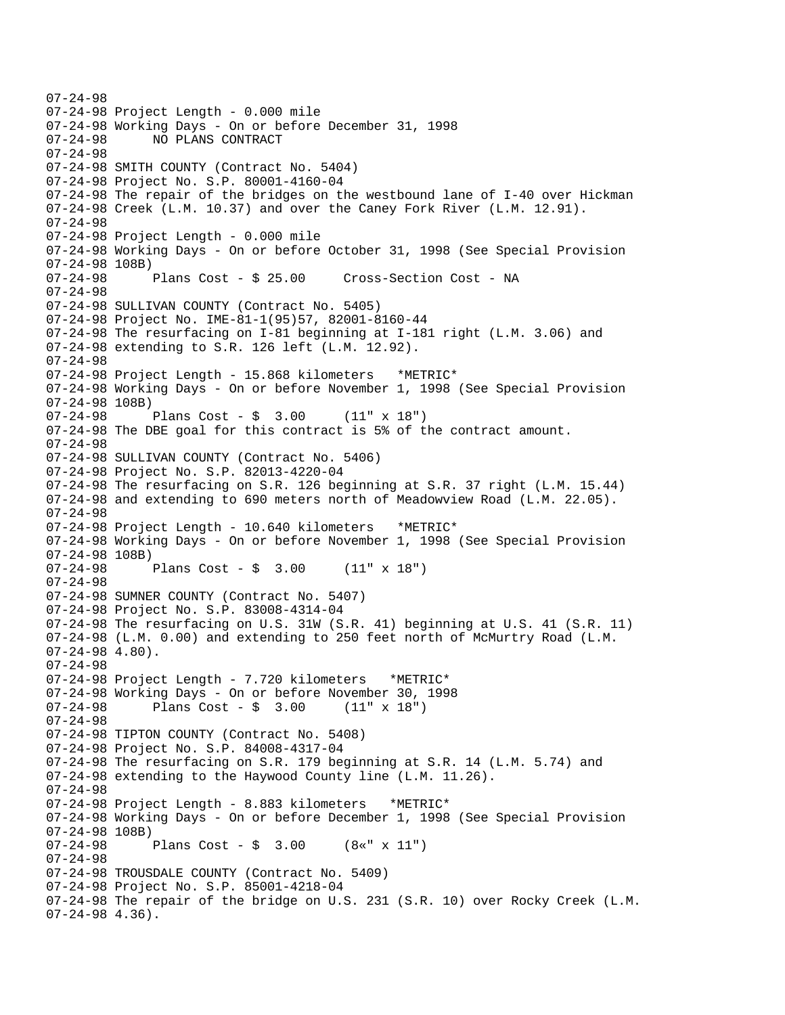07-24-98 07-24-98 Project Length - 0.000 mile 07-24-98 Working Days - On or before December 31, 1998 NO PLANS CONTRACT 07-24-98 07-24-98 SMITH COUNTY (Contract No. 5404) 07-24-98 Project No. S.P. 80001-4160-04 07-24-98 The repair of the bridges on the westbound lane of I-40 over Hickman 07-24-98 Creek (L.M. 10.37) and over the Caney Fork River (L.M. 12.91). 07-24-98 07-24-98 Project Length - 0.000 mile 07-24-98 Working Days - On or before October 31, 1998 (See Special Provision 07-24-98 108B) 07-24-98 Plans Cost - \$ 25.00 Cross-Section Cost - NA 07-24-98 07-24-98 SULLIVAN COUNTY (Contract No. 5405) 07-24-98 Project No. IME-81-1(95)57, 82001-8160-44 07-24-98 The resurfacing on I-81 beginning at I-181 right (L.M. 3.06) and 07-24-98 extending to S.R. 126 left (L.M. 12.92). 07-24-98 07-24-98 Project Length - 15.868 kilometers \*METRIC\* 07-24-98 Working Days - On or before November 1, 1998 (See Special Provision 07-24-98 108B) 07-24-98 Plans Cost - \$ 3.00 (11" x 18") 07-24-98 The DBE goal for this contract is 5% of the contract amount. 07-24-98 07-24-98 SULLIVAN COUNTY (Contract No. 5406) 07-24-98 Project No. S.P. 82013-4220-04 07-24-98 The resurfacing on S.R. 126 beginning at S.R. 37 right (L.M. 15.44) 07-24-98 and extending to 690 meters north of Meadowview Road (L.M. 22.05). 07-24-98 07-24-98 Project Length - 10.640 kilometers \*METRIC\* 07-24-98 Working Days - On or before November 1, 1998 (See Special Provision 07-24-98 108B)<br>07-24-98 Plans Cost -  $\frac{1}{2}$  3.00 (11" x 18") 07-24-98 07-24-98 SUMNER COUNTY (Contract No. 5407) 07-24-98 Project No. S.P. 83008-4314-04 07-24-98 The resurfacing on U.S. 31W (S.R. 41) beginning at U.S. 41 (S.R. 11) 07-24-98 (L.M. 0.00) and extending to 250 feet north of McMurtry Road (L.M. 07-24-98 4.80). 07-24-98 07-24-98 Project Length - 7.720 kilometers \*METRIC\* 07-24-98 Working Days - On or before November 30, 1998 07-24-98 Plans Cost - \$ 3.00 (11" x 18") 07-24-98 07-24-98 TIPTON COUNTY (Contract No. 5408) 07-24-98 Project No. S.P. 84008-4317-04 07-24-98 The resurfacing on S.R. 179 beginning at S.R. 14 (L.M. 5.74) and 07-24-98 extending to the Haywood County line (L.M. 11.26). 07-24-98 07-24-98 Project Length - 8.883 kilometers \*METRIC\* 07-24-98 Working Days - On or before December 1, 1998 (See Special Provision 07-24-98 108B) Plans Cost -  $\frac{1}{2}$  3.00 (8«" x 11") 07-24-98 07-24-98 TROUSDALE COUNTY (Contract No. 5409) 07-24-98 Project No. S.P. 85001-4218-04 07-24-98 The repair of the bridge on U.S. 231 (S.R. 10) over Rocky Creek (L.M. 07-24-98 4.36).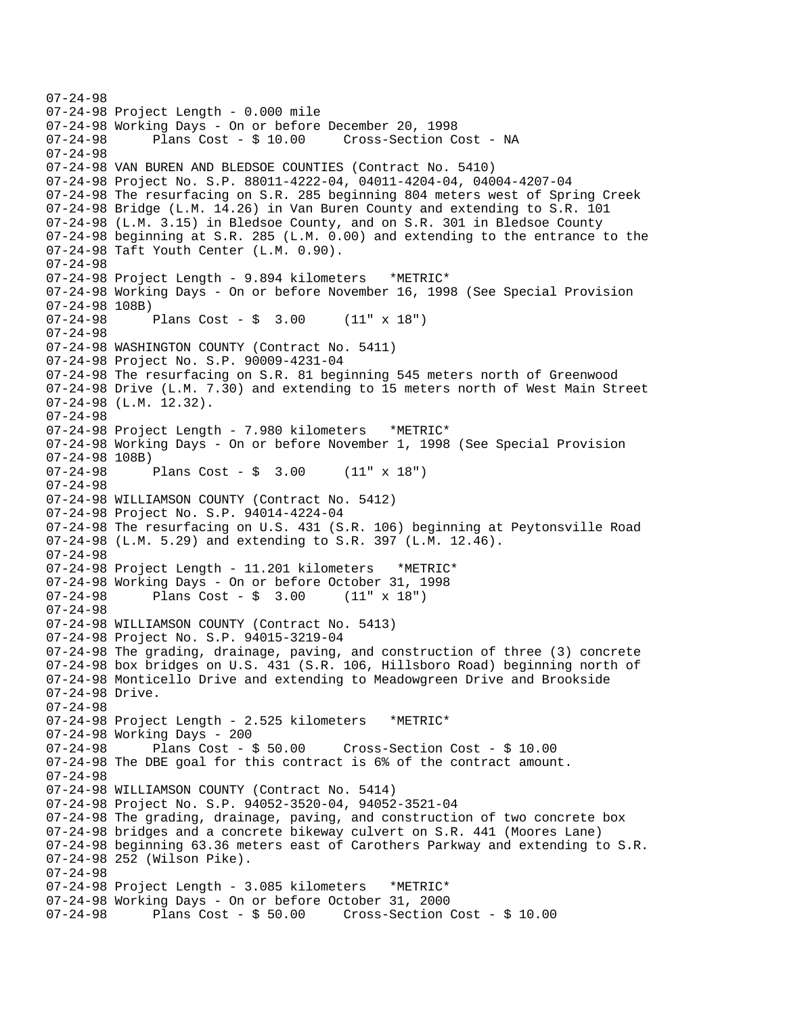```
07-24-98 
07-24-98 Project Length - 0.000 mile 
07-24-98 Working Days - On or before December 20, 1998 
                                        Cross-Section Cost - NA
07-24-98 
07-24-98 VAN BUREN AND BLEDSOE COUNTIES (Contract No. 5410) 
07-24-98 Project No. S.P. 88011-4222-04, 04011-4204-04, 04004-4207-04 
07-24-98 The resurfacing on S.R. 285 beginning 804 meters west of Spring Creek 
07-24-98 Bridge (L.M. 14.26) in Van Buren County and extending to S.R. 101 
07-24-98 (L.M. 3.15) in Bledsoe County, and on S.R. 301 in Bledsoe County 
07-24-98 beginning at S.R. 285 (L.M. 0.00) and extending to the entrance to the 
07-24-98 Taft Youth Center (L.M. 0.90). 
07-24-98 
07-24-98 Project Length - 9.894 kilometers *METRIC* 
07-24-98 Working Days - On or before November 16, 1998 (See Special Provision 
07-24-98 108B)<br>07-24-98 1
              Plans Cost - \frac{1}{2} 3.00 (11" x 18")
07-24-98 
07-24-98 WASHINGTON COUNTY (Contract No. 5411) 
07-24-98 Project No. S.P. 90009-4231-04 
07-24-98 The resurfacing on S.R. 81 beginning 545 meters north of Greenwood 
07-24-98 Drive (L.M. 7.30) and extending to 15 meters north of West Main Street 
07-24-98 (L.M. 12.32). 
07-24-98 
07-24-98 Project Length - 7.980 kilometers *METRIC* 
07-24-98 Working Days - On or before November 1, 1998 (See Special Provision 
07-24-98 108B)<br>07-24-98
              Plans Cost - \frac{1}{7} 3.00 (11" x 18")
07-24-98 
07-24-98 WILLIAMSON COUNTY (Contract No. 5412) 
07-24-98 Project No. S.P. 94014-4224-04 
07-24-98 The resurfacing on U.S. 431 (S.R. 106) beginning at Peytonsville Road 
07-24-98 (L.M. 5.29) and extending to S.R. 397 (L.M. 12.46). 
07-24-98 
07-24-98 Project Length - 11.201 kilometers *METRIC* 
07-24-98 Working Days - On or before October 31, 1998 
07-24-98 Plans Cost - $ 3.00 (11" x 18") 
07-24-98 
07-24-98 WILLIAMSON COUNTY (Contract No. 5413) 
07-24-98 Project No. S.P. 94015-3219-04 
07-24-98 The grading, drainage, paving, and construction of three (3) concrete 
07-24-98 box bridges on U.S. 431 (S.R. 106, Hillsboro Road) beginning north of 
07-24-98 Monticello Drive and extending to Meadowgreen Drive and Brookside 
07-24-98 Drive. 
07-24-98 
07-24-98 Project Length - 2.525 kilometers *METRIC* 
07-24-98 Working Days - 200<br>07-24-98 Plans Cost - $ 50.00
                                       07-24-98 Plans Cost - $ 50.00 Cross-Section Cost - $ 10.00 
07-24-98 The DBE goal for this contract is 6% of the contract amount. 
07-24-98 
07-24-98 WILLIAMSON COUNTY (Contract No. 5414) 
07-24-98 Project No. S.P. 94052-3520-04, 94052-3521-04 
07-24-98 The grading, drainage, paving, and construction of two concrete box 
07-24-98 bridges and a concrete bikeway culvert on S.R. 441 (Moores Lane) 
07-24-98 beginning 63.36 meters east of Carothers Parkway and extending to S.R. 
07-24-98 252 (Wilson Pike). 
07-24-98 
07-24-98 Project Length - 3.085 kilometers *METRIC* 
07-24-98 Working Days - On or before October 31, 2000 
07-24-98 Plans Cost - $ 50.00 Cross-Section Cost - $ 10.00
```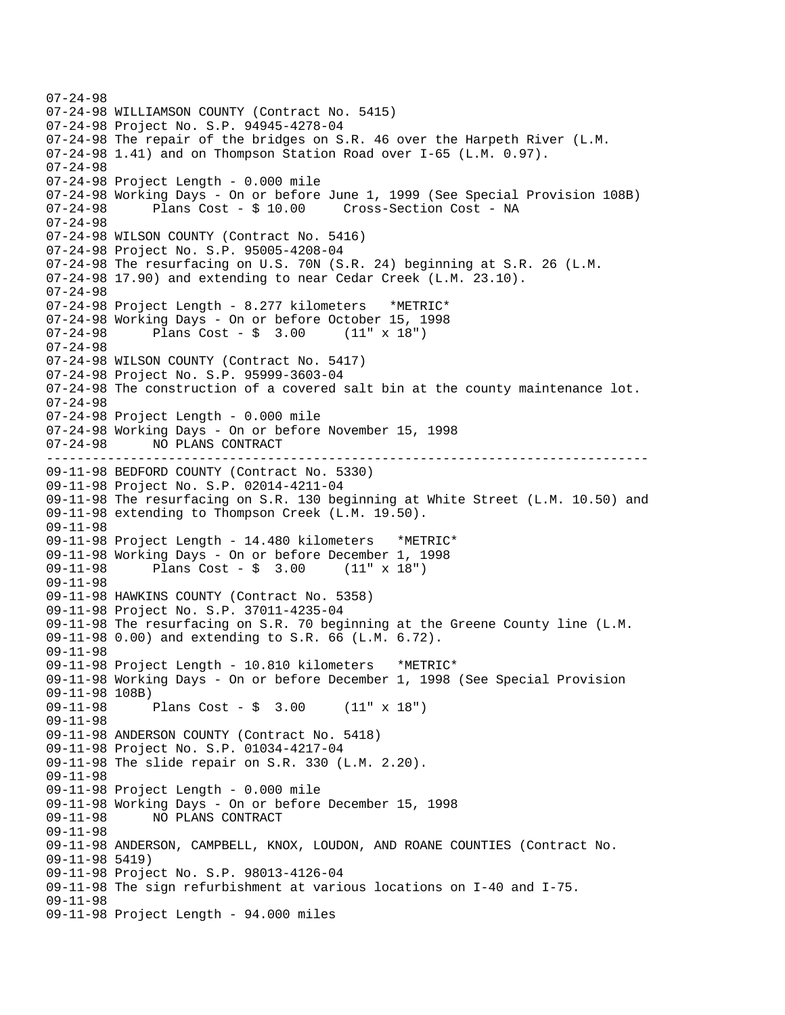```
-------------------------------------------------------------------------------
07-24-98 
07-24-98 WILLIAMSON COUNTY (Contract No. 5415) 
07-24-98 Project No. S.P. 94945-4278-04 
07-24-98 The repair of the bridges on S.R. 46 over the Harpeth River (L.M. 
07-24-98 1.41) and on Thompson Station Road over I-65 (L.M. 0.97). 
07-24-98 
07-24-98 Project Length - 0.000 mile 
07-24-98 Working Days - On or before June 1, 1999 (See Special Provision 108B) 
07-24-98 Plans Cost - $ 10.00 Cross-Section Cost - NA 
07-24-98 
07-24-98 WILSON COUNTY (Contract No. 5416) 
07-24-98 Project No. S.P. 95005-4208-04 
07-24-98 The resurfacing on U.S. 70N (S.R. 24) beginning at S.R. 26 (L.M. 
07-24-98 17.90) and extending to near Cedar Creek (L.M. 23.10). 
07-24-98 
07-24-98 Project Length - 8.277 kilometers *METRIC* 
07-24-98 Working Days - On or before October 15, 1998 
07-24-98 Plans Cost - $ 3.00 (11" x 18") 
07-24-98 
07-24-98 WILSON COUNTY (Contract No. 5417) 
07-24-98 Project No. S.P. 95999-3603-04 
07-24-98 The construction of a covered salt bin at the county maintenance lot. 
07-24-98 
07-24-98 Project Length - 0.000 mile 
07-24-98 Working Days - On or before November 15, 1998 
07-24-98 NO PLANS CONTRACT 
09-11-98 BEDFORD COUNTY (Contract No. 5330) 
09-11-98 Project No. S.P. 02014-4211-04 
09-11-98 The resurfacing on S.R. 130 beginning at White Street (L.M. 10.50) and 
09-11-98 extending to Thompson Creek (L.M. 19.50). 
09-11-98 
09-11-98 Project Length - 14.480 kilometers *METRIC* 
09-11-98 Working Days - On or before December 1, 1998 
            Plans Cost - \frac{1}{2} 3.00 (11" x 18")
09-11-98 
09-11-98 HAWKINS COUNTY (Contract No. 5358) 
09-11-98 Project No. S.P. 37011-4235-04 
09-11-98 The resurfacing on S.R. 70 beginning at the Greene County line (L.M. 
09-11-98 0.00) and extending to S.R. 66 (L.M. 6.72). 
09-11-98 
09-11-98 Project Length - 10.810 kilometers *METRIC* 
09-11-98 Working Days - On or before December 1, 1998 (See Special Provision 
09-11-98 108B) 
09-11-98 Plans Cost - $ 3.00 (11" x 18") 
09-11-98 
09-11-98 ANDERSON COUNTY (Contract No. 5418) 
09-11-98 Project No. S.P. 01034-4217-04 
09-11-98 The slide repair on S.R. 330 (L.M. 2.20). 
09-11-98 
09-11-98 Project Length - 0.000 mile 
09-11-98 Working Days - On or before December 15, 1998 
09-11-98 NO PLANS CONTRACT 
09-11-98 
09-11-98 ANDERSON, CAMPBELL, KNOX, LOUDON, AND ROANE COUNTIES (Contract No. 
09-11-98 5419) 
09-11-98 Project No. S.P. 98013-4126-04 
09-11-98 The sign refurbishment at various locations on I-40 and I-75. 
09-11-98 
09-11-98 Project Length - 94.000 miles
```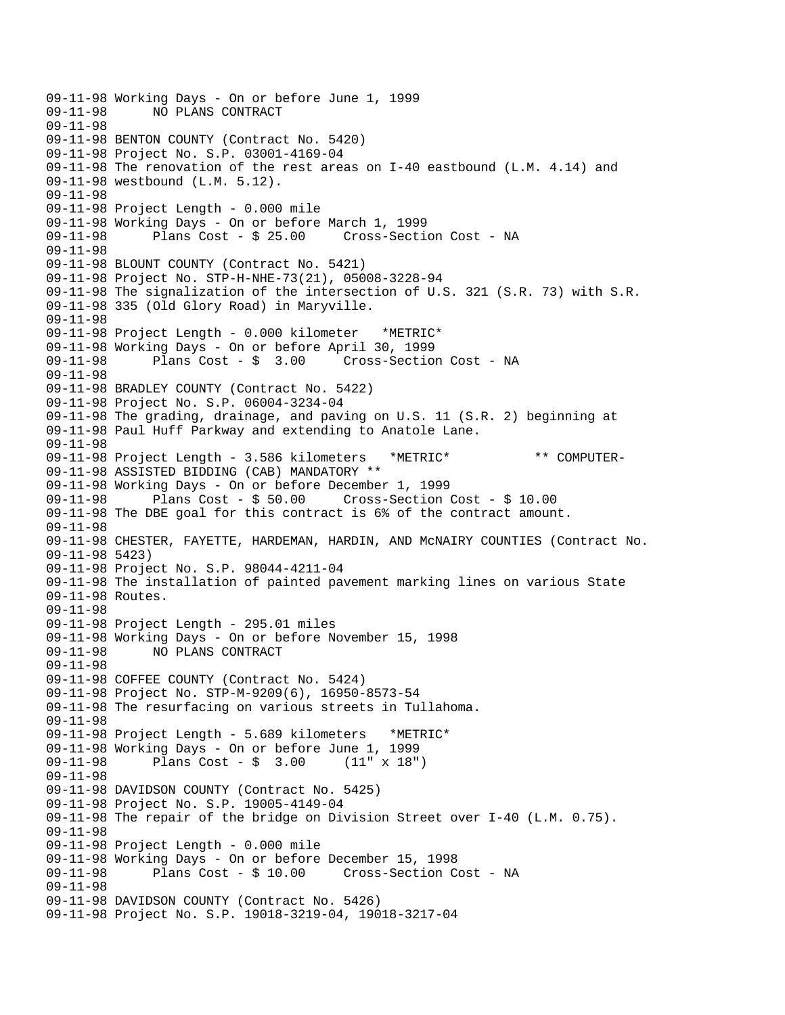```
09-11-98 Working Days - On or before June 1, 1999 
             09-11-98 NO PLANS CONTRACT 
09-11-98 
09-11-98 BENTON COUNTY (Contract No. 5420) 
09-11-98 Project No. S.P. 03001-4169-04 
09-11-98 The renovation of the rest areas on I-40 eastbound (L.M. 4.14) and 
09-11-98 westbound (L.M. 5.12). 
09-11-98 
09-11-98 Project Length - 0.000 mile 
09-11-98 Working Days - On or before March 1, 1999 
09-11-98 Plans Cost - $ 25.00 Cross-Section Cost - NA 
09-11-98 
09-11-98 BLOUNT COUNTY (Contract No. 5421) 
09-11-98 Project No. STP-H-NHE-73(21), 05008-3228-94 
09-11-98 The signalization of the intersection of U.S. 321 (S.R. 73) with S.R. 
09-11-98 335 (Old Glory Road) in Maryville. 
09-11-98 
09-11-98 Project Length - 0.000 kilometer *METRIC* 
09-11-98 Working Days - On or before April 30, 1999 
09-11-98 Plans Cost - $ 3.00 Cross-Section Cost - NA 
09-11-98 
09-11-98 BRADLEY COUNTY (Contract No. 5422) 
09-11-98 Project No. S.P. 06004-3234-04 
09-11-98 The grading, drainage, and paving on U.S. 11 (S.R. 2) beginning at 
09-11-98 Paul Huff Parkway and extending to Anatole Lane. 
09-11-98 
09-11-98 Project Length - 3.586 kilometers *METRIC* ** COMPUTER-
09-11-98 ASSISTED BIDDING (CAB) MANDATORY ** 
09-11-98 Working Days - On or before December 1, 1999 
09-11-98 Plans Cost - $ 50.00 Cross-Section Cost - $ 10.00 
09-11-98 The DBE goal for this contract is 6% of the contract amount. 
09-11-98 
09-11-98 CHESTER, FAYETTE, HARDEMAN, HARDIN, AND McNAIRY COUNTIES (Contract No. 
09-11-98 5423) 
09-11-98 Project No. S.P. 98044-4211-04 
09-11-98 The installation of painted pavement marking lines on various State 
09-11-98 Routes. 
09-11-98 
09-11-98 Project Length - 295.01 miles 
09-11-98 Working Days - On or before November 15, 1998 
09-11-98 NO PLANS CONTRACT 
09-11-98 
09-11-98 COFFEE COUNTY (Contract No. 5424) 
09-11-98 Project No. STP-M-9209(6), 16950-8573-54 
09-11-98 The resurfacing on various streets in Tullahoma. 
09-11-98 
09-11-98 Project Length - 5.689 kilometers *METRIC* 
09-11-98 Working Days - On or before June 1, 1999 
              Plans Cost - $ 3.0009-11-98 
09-11-98 DAVIDSON COUNTY (Contract No. 5425) 
09-11-98 Project No. S.P. 19005-4149-04 
09-11-98 The repair of the bridge on Division Street over I-40 (L.M. 0.75). 
09-11-98 
09-11-98 Project Length - 0.000 mile 
09-11-98 Working Days - On or before December 15, 1998 
09-11-98 Plans Cost - $ 10.00 Cross-Section Cost - NA 
09-11-98 
09-11-98 DAVIDSON COUNTY (Contract No. 5426) 
09-11-98 Project No. S.P. 19018-3219-04, 19018-3217-04
```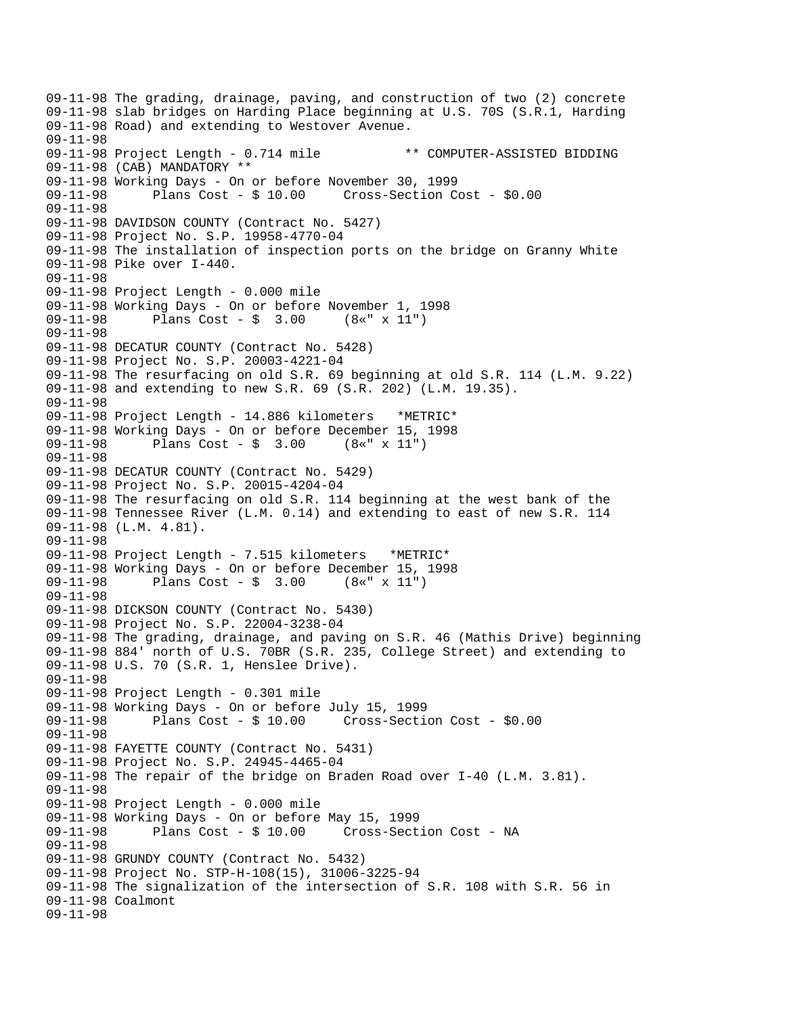09-11-98 The grading, drainage, paving, and construction of two (2) concrete 09-11-98 slab bridges on Harding Place beginning at U.S. 70S (S.R.1, Harding 09-11-98 Road) and extending to Westover Avenue. 09-11-98 09-11-98 Project Length - 0.714 mile \*\* COMPUTER-ASSISTED BIDDING 09-11-98 (CAB) MANDATORY \*\* 09-11-98 Working Days - On or before November 30, 1999 09-11-98 Plans Cost - \$ 10.00 Cross-Section Cost - \$0.00 09-11-98 09-11-98 DAVIDSON COUNTY (Contract No. 5427) 09-11-98 Project No. S.P. 19958-4770-04 09-11-98 The installation of inspection ports on the bridge on Granny White 09-11-98 Pike over I-440. 09-11-98 09-11-98 Project Length - 0.000 mile 09-11-98 Working Days - On or before November 1, 1998 Plans  $Cost - $ 3.00$ 09-11-98 09-11-98 DECATUR COUNTY (Contract No. 5428) 09-11-98 Project No. S.P. 20003-4221-04 09-11-98 The resurfacing on old S.R. 69 beginning at old S.R. 114 (L.M. 9.22) 09-11-98 and extending to new S.R. 69 (S.R. 202) (L.M. 19.35). 09-11-98 09-11-98 Project Length - 14.886 kilometers \*METRIC\* 09-11-98 Working Days - On or before December 15, 1998 09-11-98 Plans Cost - \$ 3.00 (8«" x 11") 09-11-98 09-11-98 DECATUR COUNTY (Contract No. 5429) 09-11-98 Project No. S.P. 20015-4204-04 09-11-98 The resurfacing on old S.R. 114 beginning at the west bank of the 09-11-98 Tennessee River (L.M. 0.14) and extending to east of new S.R. 114 09-11-98 (L.M. 4.81). 09-11-98 09-11-98 Project Length - 7.515 kilometers \*METRIC\* 09-11-98 Working Days - On or before December 15, 1998 09-11-98 Plans Cost - \$ 3.00 (8«" x 11") 09-11-98 09-11-98 DICKSON COUNTY (Contract No. 5430) 09-11-98 Project No. S.P. 22004-3238-04 09-11-98 The grading, drainage, and paving on S.R. 46 (Mathis Drive) beginning 09-11-98 884' north of U.S. 70BR (S.R. 235, College Street) and extending to 09-11-98 U.S. 70 (S.R. 1, Henslee Drive). 09-11-98 09-11-98 Project Length - 0.301 mile 09-11-98 Working Days - On or before July 15, 1999 09-11-98 Plans Cost - \$ 10.00 Cross-Section Cost - \$0.00 09-11-98 09-11-98 FAYETTE COUNTY (Contract No. 5431) 09-11-98 Project No. S.P. 24945-4465-04 09-11-98 The repair of the bridge on Braden Road over I-40 (L.M. 3.81). 09-11-98 09-11-98 Project Length - 0.000 mile 09-11-98 Working Days - On or before May 15, 1999 09-11-98 Plans Cost - \$ 10.00 Cross-Section Cost - NA 09-11-98 09-11-98 GRUNDY COUNTY (Contract No. 5432) 09-11-98 Project No. STP-H-108(15), 31006-3225-94 09-11-98 The signalization of the intersection of S.R. 108 with S.R. 56 in 09-11-98 Coalmont 09-11-98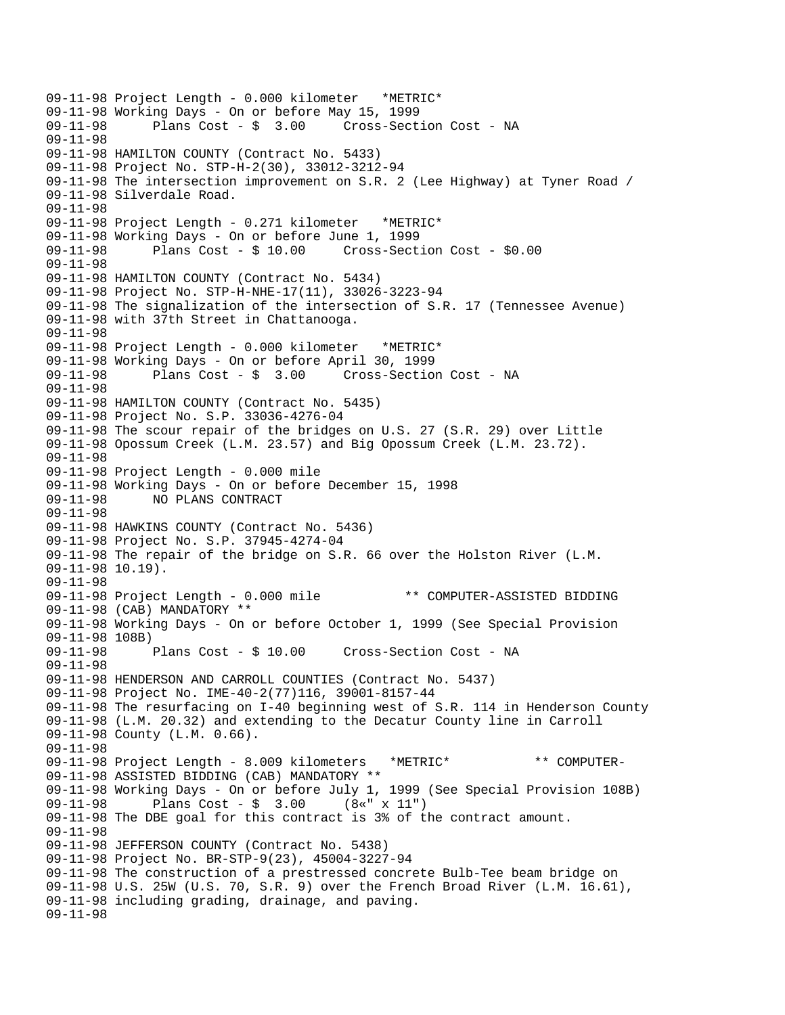```
09-11-98 Project Length - 0.000 kilometer *METRIC* 
09-11-98 Working Days - On or before May 15, 1999 
                                      Cross-Section Cost - NA
09-11-98 
09-11-98 HAMILTON COUNTY (Contract No. 5433) 
09-11-98 Project No. STP-H-2(30), 33012-3212-94 
09-11-98 The intersection improvement on S.R. 2 (Lee Highway) at Tyner Road / 
09-11-98 Silverdale Road. 
09-11-98 
09-11-98 Project Length - 0.271 kilometer *METRIC* 
09-11-98 Working Days - On or before June 1, 1999 
09-11-98 Plans Cost - $ 10.00 Cross-Section Cost - $0.00 
09-11-98 
09-11-98 HAMILTON COUNTY (Contract No. 5434) 
09-11-98 Project No. STP-H-NHE-17(11), 33026-3223-94 
09-11-98 The signalization of the intersection of S.R. 17 (Tennessee Avenue) 
09-11-98 with 37th Street in Chattanooga. 
09-11-98 
09-11-98 Project Length - 0.000 kilometer *METRIC* 
09-11-98 Working Days - On or before April 30, 1999 
09-11-98 Plans Cost - $ 3.00 Cross-Section Cost - NA 
09-11-98 
09-11-98 HAMILTON COUNTY (Contract No. 5435) 
09-11-98 Project No. S.P. 33036-4276-04 
09-11-98 The scour repair of the bridges on U.S. 27 (S.R. 29) over Little 
09-11-98 Opossum Creek (L.M. 23.57) and Big Opossum Creek (L.M. 23.72). 
09-11-98 
09-11-98 Project Length - 0.000 mile 
09-11-98 Working Days - On or before December 15, 1998 
09-11-98 NO PLANS CONTRACT 
09-11-98 
09-11-98 HAWKINS COUNTY (Contract No. 5436) 
09-11-98 Project No. S.P. 37945-4274-04 
09-11-98 The repair of the bridge on S.R. 66 over the Holston River (L.M. 
09-11-98 10.19). 
09-11-98 
09-11-98 Project Length - 0.000 mile ** COMPUTER-ASSISTED BIDDING 
09-11-98 (CAB) MANDATORY ** 
09-11-98 Working Days - On or before October 1, 1999 (See Special Provision 
09-11-98 108B)<br>09-11-98        Plans Cost - $ 10.00
09-11-98 Plans Cost - $ 10.00 Cross-Section Cost - NA 
09-11-98 
09-11-98 HENDERSON AND CARROLL COUNTIES (Contract No. 5437) 
09-11-98 Project No. IME-40-2(77)116, 39001-8157-44 
09-11-98 The resurfacing on I-40 beginning west of S.R. 114 in Henderson County 
09-11-98 (L.M. 20.32) and extending to the Decatur County line in Carroll 
09-11-98 County (L.M. 0.66). 
09-11-98 
09-11-98 Project Length - 8.009 kilometers *METRIC* ** COMPUTER-
09-11-98 ASSISTED BIDDING (CAB) MANDATORY ** 
09-11-98 Working Days - On or before July 1, 1999 (See Special Provision 108B) 
09-11-98 Plans Cost - $ 3.00 (8«" x 11") 
09-11-98 The DBE goal for this contract is 3% of the contract amount. 
09-11-98 
09-11-98 JEFFERSON COUNTY (Contract No. 5438) 
09-11-98 Project No. BR-STP-9(23), 45004-3227-94 
09-11-98 The construction of a prestressed concrete Bulb-Tee beam bridge on 
09-11-98 U.S. 25W (U.S. 70, S.R. 9) over the French Broad River (L.M. 16.61), 
09-11-98 including grading, drainage, and paving. 
09-11-98
```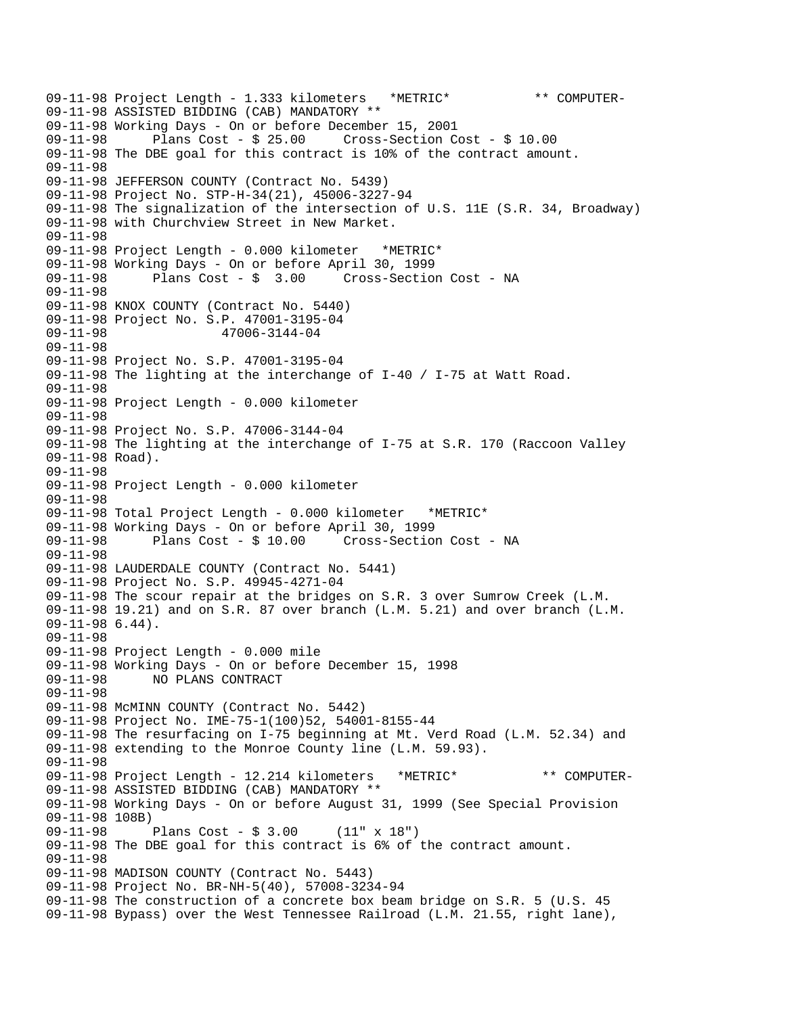```
09-11-98 Project Length - 1.333 kilometers *METRIC* ** COMPUTER-
09-11-98 ASSISTED BIDDING (CAB) MANDATORY ** 
09-11-98 Working Days - On or before December 15, 2001 
09-11-98 Plans Cost - $ 25.00 Cross-Section Cost - $ 10.00 
09-11-98 The DBE goal for this contract is 10% of the contract amount. 
09-11-98 
09-11-98 JEFFERSON COUNTY (Contract No. 5439) 
09-11-98 Project No. STP-H-34(21), 45006-3227-94 
09-11-98 The signalization of the intersection of U.S. 11E (S.R. 34, Broadway) 
09-11-98 with Churchview Street in New Market. 
09-11-98 
09-11-98 Project Length - 0.000 kilometer *METRIC* 
09-11-98 Working Days - On or before April 30, 1999 
09-11-98 Plans Cost - $ 3.00 Cross-Section Cost - NA 
09-11-98 
09-11-98 KNOX COUNTY (Contract No. 5440) 
09-11-98 Project No. S.P. 47001-3195-04 
09-11-98 47006-3144-04 
09-11-98 
09-11-98 Project No. S.P. 47001-3195-04 
09-11-98 The lighting at the interchange of I-40 / I-75 at Watt Road. 
09-11-98 
09-11-98 Project Length - 0.000 kilometer 
09-11-98 
09-11-98 Project No. S.P. 47006-3144-04 
09-11-98 The lighting at the interchange of I-75 at S.R. 170 (Raccoon Valley 
09-11-98 Road). 
09-11-98 
09-11-98 Project Length - 0.000 kilometer 
09-11-98 
09-11-98 Total Project Length - 0.000 kilometer *METRIC* 
09-11-98 Working Days - On or before April 30, 1999 
                                      Cross-Section Cost - NA
09-11-98 
09-11-98 LAUDERDALE COUNTY (Contract No. 5441) 
09-11-98 Project No. S.P. 49945-4271-04 
09-11-98 The scour repair at the bridges on S.R. 3 over Sumrow Creek (L.M. 
09-11-98 19.21) and on S.R. 87 over branch (L.M. 5.21) and over branch (L.M. 
09-11-98 6.44). 
09-11-98 
09-11-98 Project Length - 0.000 mile 
09-11-98 Working Days - On or before December 15, 1998 
09-11-98 NO PLANS CONTRACT 
09-11-98 
09-11-98 McMINN COUNTY (Contract No. 5442) 
09-11-98 Project No. IME-75-1(100)52, 54001-8155-44 
09-11-98 The resurfacing on I-75 beginning at Mt. Verd Road (L.M. 52.34) and 
09-11-98 extending to the Monroe County line (L.M. 59.93). 
09-11-98 
09-11-98 Project Length - 12.214 kilometers *METRIC* ** COMPUTER-
09-11-98 ASSISTED BIDDING (CAB) MANDATORY ** 
09-11-98 Working Days - On or before August 31, 1999 (See Special Provision 
09-11-98 108B) 
09-11-98 Plans Cost - $ 3.00 (11" x 18") 
09-11-98 The DBE goal for this contract is 6% of the contract amount. 
09-11-98 
09-11-98 MADISON COUNTY (Contract No. 5443) 
09-11-98 Project No. BR-NH-5(40), 57008-3234-94 
09-11-98 The construction of a concrete box beam bridge on S.R. 5 (U.S. 45 
09-11-98 Bypass) over the West Tennessee Railroad (L.M. 21.55, right lane),
```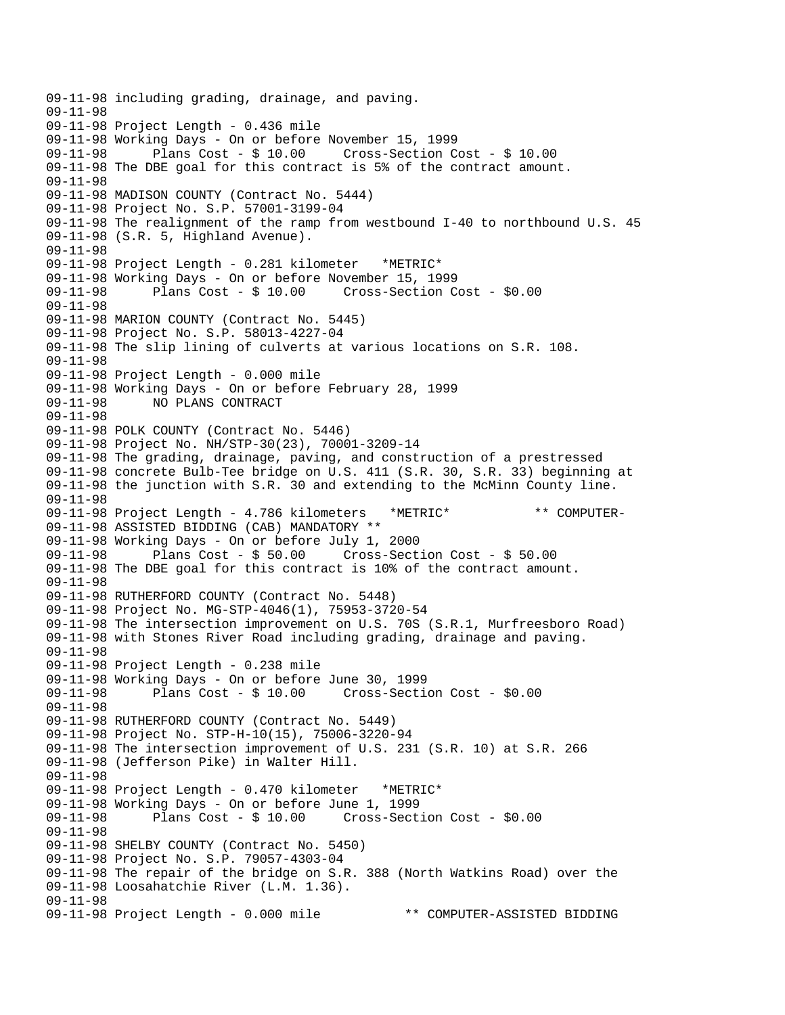```
09-11-98 including grading, drainage, and paving. 
09-11-98 
09-11-98 Project Length - 0.436 mile 
09-11-98 Working Days - On or before November 15, 1999 
              Plans Cost - $10.00 Cross-Section Cost - $10.0009-11-98 The DBE goal for this contract is 5% of the contract amount. 
09-11-98 
09-11-98 MADISON COUNTY (Contract No. 5444) 
09-11-98 Project No. S.P. 57001-3199-04 
09-11-98 The realignment of the ramp from westbound I-40 to northbound U.S. 45 
09-11-98 (S.R. 5, Highland Avenue). 
09-11-98 
09-11-98 Project Length - 0.281 kilometer *METRIC* 
09-11-98 Working Days - On or before November 15, 1999 
09-11-98 Plans Cost - $ 10.00 Cross-Section Cost - $0.00 
09-11-98 
09-11-98 MARION COUNTY (Contract No. 5445) 
09-11-98 Project No. S.P. 58013-4227-04 
09-11-98 The slip lining of culverts at various locations on S.R. 108. 
09-11-98 
09-11-98 Project Length - 0.000 mile 
09-11-98 Working Days - On or before February 28, 1999 
09-11-98 NO PLANS CONTRACT 
09-11-98 
09-11-98 POLK COUNTY (Contract No. 5446) 
09-11-98 Project No. NH/STP-30(23), 70001-3209-14 
09-11-98 The grading, drainage, paving, and construction of a prestressed 
09-11-98 concrete Bulb-Tee bridge on U.S. 411 (S.R. 30, S.R. 33) beginning at 
09-11-98 the junction with S.R. 30 and extending to the McMinn County line. 
09-11-98 
09-11-98 Project Length - 4.786 kilometers *METRIC* ** COMPUTER-
09-11-98 ASSISTED BIDDING (CAB) MANDATORY ** 
09-11-98 Working Days - On or before July 1, 2000 
09-11-98 Plans Cost - $ 50.00 Cross-Section Cost - $ 50.00 
09-11-98 The DBE goal for this contract is 10% of the contract amount. 
09-11-98 
09-11-98 RUTHERFORD COUNTY (Contract No. 5448) 
09-11-98 Project No. MG-STP-4046(1), 75953-3720-54 
09-11-98 The intersection improvement on U.S. 70S (S.R.1, Murfreesboro Road) 
09-11-98 with Stones River Road including grading, drainage and paving. 
09-11-98 
09-11-98 Project Length - 0.238 mile 
09-11-98 Working Days - On or before June 30, 1999 
09-11-98 Plans Cost - $ 10.00 Cross-Section Cost - $0.00 
09-11-98 
09-11-98 RUTHERFORD COUNTY (Contract No. 5449) 
09-11-98 Project No. STP-H-10(15), 75006-3220-94 
09-11-98 The intersection improvement of U.S. 231 (S.R. 10) at S.R. 266 
09-11-98 (Jefferson Pike) in Walter Hill. 
09-11-98 
09-11-98 Project Length - 0.470 kilometer *METRIC* 
09-11-98 Working Days - On or before June 1, 1999 
09-11-98 Plans Cost - $ 10.00 Cross-Section Cost - $0.00 
09-11-98 
09-11-98 SHELBY COUNTY (Contract No. 5450) 
09-11-98 Project No. S.P. 79057-4303-04 
09-11-98 The repair of the bridge on S.R. 388 (North Watkins Road) over the 
09-11-98 Loosahatchie River (L.M. 1.36). 
09-11-98 
09-11-98 Project Length - 0.000 mile ** COMPUTER-ASSISTED BIDDING
```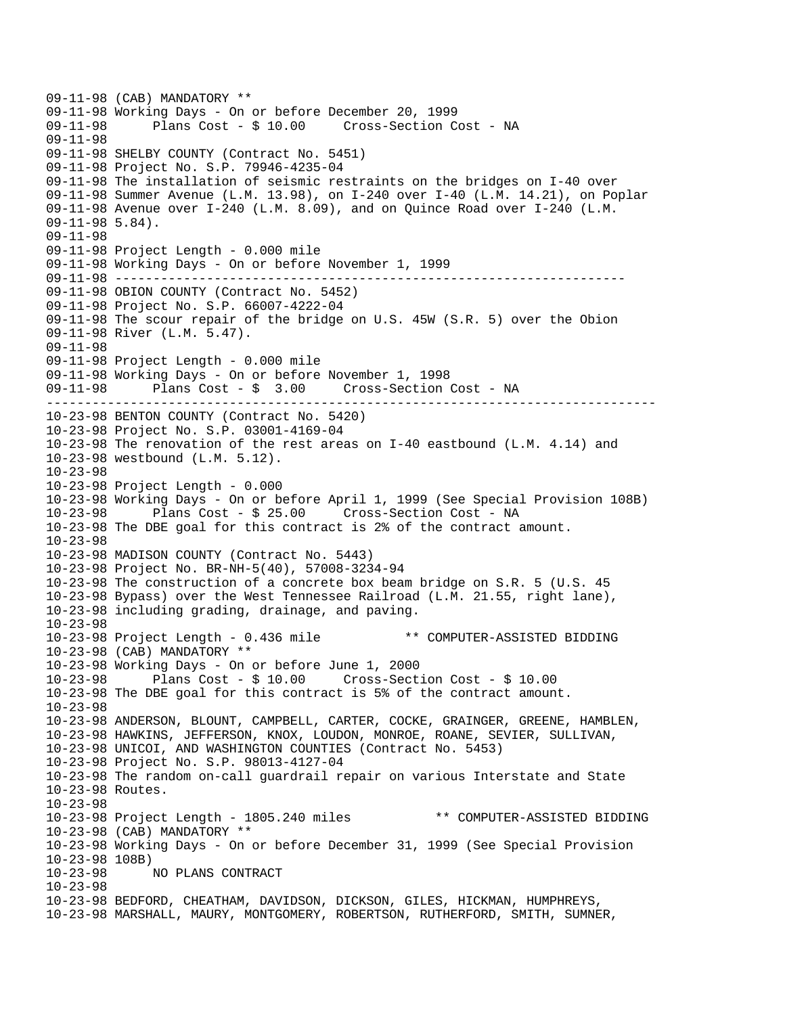-------------------------------------------------------------------------------- 09-11-98 (CAB) MANDATORY \*\* 09-11-98 Working Days - On or before December 20, 1999 Plans Cost - \$ 10.00 Cross-Section Cost - NA 09-11-98 09-11-98 SHELBY COUNTY (Contract No. 5451) 09-11-98 Project No. S.P. 79946-4235-04 09-11-98 The installation of seismic restraints on the bridges on I-40 over 09-11-98 Summer Avenue (L.M. 13.98), on I-240 over I-40 (L.M. 14.21), on Poplar 09-11-98 Avenue over I-240 (L.M. 8.09), and on Quince Road over I-240 (L.M. 09-11-98 5.84). 09-11-98 09-11-98 Project Length - 0.000 mile 09-11-98 Working Days - On or before November 1, 1999 09-11-98 ------------------------------------------------------------------ 09-11-98 OBION COUNTY (Contract No. 5452) 09-11-98 Project No. S.P. 66007-4222-04 09-11-98 The scour repair of the bridge on U.S. 45W (S.R. 5) over the Obion 09-11-98 River (L.M. 5.47). 09-11-98 09-11-98 Project Length - 0.000 mile 09-11-98 Working Days - On or before November 1, 1998 09-11-98 Plans Cost - \$ 3.00 Cross-Section Cost - NA 10-23-98 BENTON COUNTY (Contract No. 5420) 10-23-98 Project No. S.P. 03001-4169-04 10-23-98 The renovation of the rest areas on I-40 eastbound (L.M. 4.14) and 10-23-98 westbound (L.M. 5.12). 10-23-98 10-23-98 Project Length - 0.000 10-23-98 Working Days - On or before April 1, 1999 (See Special Provision 108B) 10-23-98 Plans Cost - \$ 25.00 Cross-Section Cost - NA 10-23-98 The DBE goal for this contract is 2% of the contract amount. 10-23-98 10-23-98 MADISON COUNTY (Contract No. 5443) 10-23-98 Project No. BR-NH-5(40), 57008-3234-94 10-23-98 The construction of a concrete box beam bridge on S.R. 5 (U.S. 45 10-23-98 Bypass) over the West Tennessee Railroad (L.M. 21.55, right lane), 10-23-98 including grading, drainage, and paving. 10-23-98 10-23-98 Project Length - 0.436 mile \*\* COMPUTER-ASSISTED BIDDING 10-23-98 (CAB) MANDATORY \*\* 10-23-98 Working Days - On or before June 1, 2000 10-23-98 Plans Cost - \$ 10.00 Cross-Section Cost - \$ 10.00 10-23-98 The DBE goal for this contract is 5% of the contract amount. 10-23-98 10-23-98 ANDERSON, BLOUNT, CAMPBELL, CARTER, COCKE, GRAINGER, GREENE, HAMBLEN, 10-23-98 HAWKINS, JEFFERSON, KNOX, LOUDON, MONROE, ROANE, SEVIER, SULLIVAN, 10-23-98 UNICOI, AND WASHINGTON COUNTIES (Contract No. 5453) 10-23-98 Project No. S.P. 98013-4127-04 10-23-98 The random on-call guardrail repair on various Interstate and State 10-23-98 Routes. 10-23-98 10-23-98 Project Length - 1805.240 miles \*\* COMPUTER-ASSISTED BIDDING 10-23-98 (CAB) MANDATORY \*\* 10-23-98 Working Days - On or before December 31, 1999 (See Special Provision 10-23-98 108B) 10-23-98 NO PLANS CONTRACT 10-23-98 10-23-98 BEDFORD, CHEATHAM, DAVIDSON, DICKSON, GILES, HICKMAN, HUMPHREYS, 10-23-98 MARSHALL, MAURY, MONTGOMERY, ROBERTSON, RUTHERFORD, SMITH, SUMNER,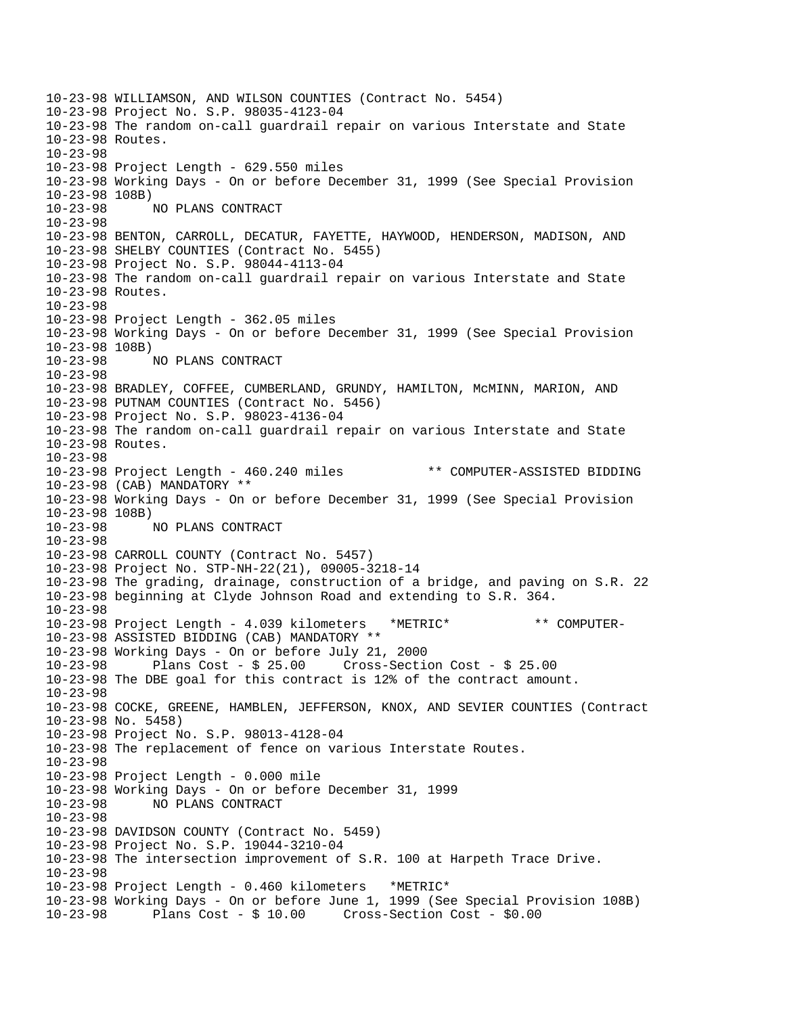10-23-98 WILLIAMSON, AND WILSON COUNTIES (Contract No. 5454) 10-23-98 Project No. S.P. 98035-4123-04 10-23-98 The random on-call guardrail repair on various Interstate and State 10-23-98 Routes. 10-23-98 10-23-98 Project Length - 629.550 miles 10-23-98 Working Days - On or before December 31, 1999 (See Special Provision 10-23-98 108B) 10-23-98 NO PLANS CONTRACT 10-23-98 10-23-98 BENTON, CARROLL, DECATUR, FAYETTE, HAYWOOD, HENDERSON, MADISON, AND 10-23-98 SHELBY COUNTIES (Contract No. 5455) 10-23-98 Project No. S.P. 98044-4113-04 10-23-98 The random on-call guardrail repair on various Interstate and State 10-23-98 Routes. 10-23-98 10-23-98 Project Length - 362.05 miles 10-23-98 Working Days - On or before December 31, 1999 (See Special Provision 10-23-98 108B) 10-23-98 NO PLANS CONTRACT 10-23-98 10-23-98 BRADLEY, COFFEE, CUMBERLAND, GRUNDY, HAMILTON, McMINN, MARION, AND 10-23-98 PUTNAM COUNTIES (Contract No. 5456) 10-23-98 Project No. S.P. 98023-4136-04 10-23-98 The random on-call guardrail repair on various Interstate and State 10-23-98 Routes. 10-23-98 10-23-98 Project Length - 460.240 miles \*\* COMPUTER-ASSISTED BIDDING 10-23-98 (CAB) MANDATORY \*\* 10-23-98 Working Days - On or before December 31, 1999 (See Special Provision 10-23-98 108B) 10-23-98 NO PLANS CONTRACT 10-23-98 10-23-98 CARROLL COUNTY (Contract No. 5457) 10-23-98 Project No. STP-NH-22(21), 09005-3218-14 10-23-98 The grading, drainage, construction of a bridge, and paving on S.R. 22 10-23-98 beginning at Clyde Johnson Road and extending to S.R. 364. 10-23-98 10-23-98 Project Length - 4.039 kilometers \*METRIC\* \*\* COMPUTER-10-23-98 ASSISTED BIDDING (CAB) MANDATORY \*\* 10-23-98 Working Days - On or before July 21, 2000 10-23-98 Plans Cost - \$ 25.00 Cross-Section Cost - \$ 25.00 10-23-98 The DBE goal for this contract is 12% of the contract amount. 10-23-98 10-23-98 COCKE, GREENE, HAMBLEN, JEFFERSON, KNOX, AND SEVIER COUNTIES (Contract 10-23-98 No. 5458) 10-23-98 Project No. S.P. 98013-4128-04 10-23-98 The replacement of fence on various Interstate Routes. 10-23-98 10-23-98 Project Length - 0.000 mile 10-23-98 Working Days - On or before December 31, 1999 10-23-98 NO PLANS CONTRACT 10-23-98 10-23-98 DAVIDSON COUNTY (Contract No. 5459) 10-23-98 Project No. S.P. 19044-3210-04 10-23-98 The intersection improvement of S.R. 100 at Harpeth Trace Drive. 10-23-98 10-23-98 Project Length - 0.460 kilometers \*METRIC\* 10-23-98 Working Days - On or before June 1, 1999 (See Special Provision 108B) 10-23-98 Plans Cost - \$ 10.00 Cross-Section Cost - \$0.00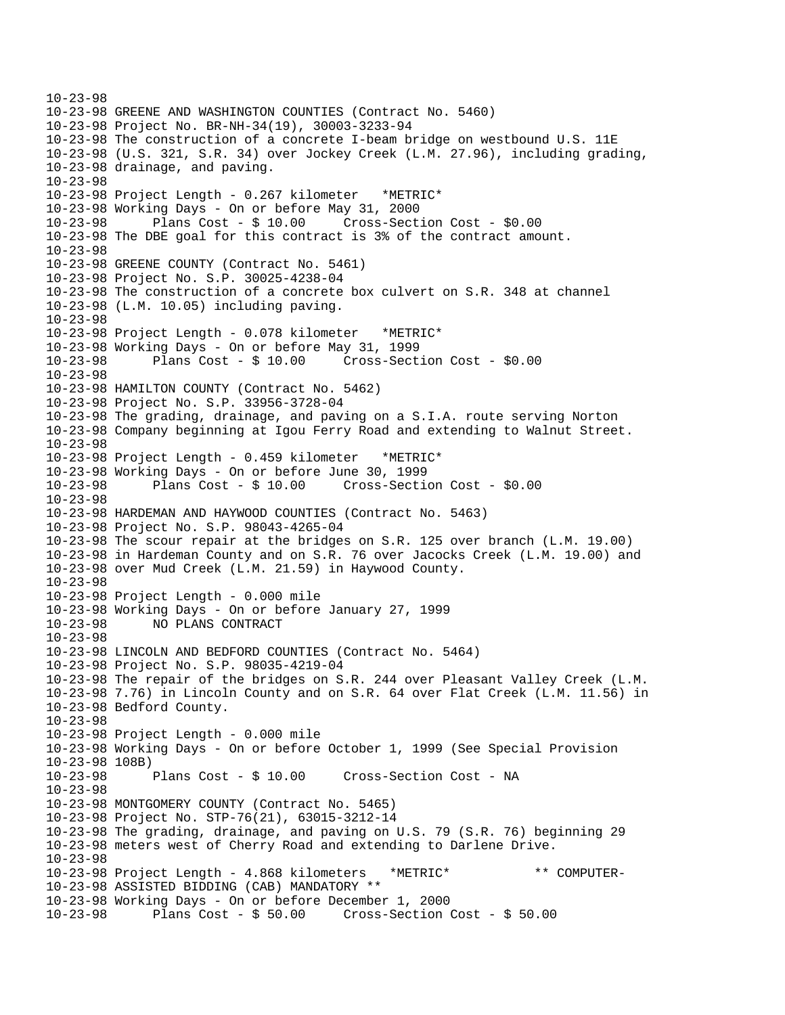10-23-98 10-23-98 GREENE AND WASHINGTON COUNTIES (Contract No. 5460) 10-23-98 Project No. BR-NH-34(19), 30003-3233-94 10-23-98 The construction of a concrete I-beam bridge on westbound U.S. 11E 10-23-98 (U.S. 321, S.R. 34) over Jockey Creek (L.M. 27.96), including grading, 10-23-98 drainage, and paving. 10-23-98 10-23-98 Project Length - 0.267 kilometer \*METRIC\* 10-23-98 Working Days - On or before May 31, 2000 10-23-98 Plans Cost - \$ 10.00 Cross-Section Cost - \$0.00 10-23-98 The DBE goal for this contract is 3% of the contract amount. 10-23-98 10-23-98 GREENE COUNTY (Contract No. 5461) 10-23-98 Project No. S.P. 30025-4238-04 10-23-98 The construction of a concrete box culvert on S.R. 348 at channel 10-23-98 (L.M. 10.05) including paving. 10-23-98 10-23-98 Project Length - 0.078 kilometer \*METRIC\* 10-23-98 Working Days - On or before May 31, 1999 10-23-98 Plans Cost - \$ 10.00 Cross-Section Cost - \$0.00 10-23-98 10-23-98 HAMILTON COUNTY (Contract No. 5462) 10-23-98 Project No. S.P. 33956-3728-04 10-23-98 The grading, drainage, and paving on a S.I.A. route serving Norton 10-23-98 Company beginning at Igou Ferry Road and extending to Walnut Street. 10-23-98 10-23-98 Project Length - 0.459 kilometer \*METRIC\* 10-23-98 Working Days - On or before June 30, 1999 10-23-98 Plans Cost - \$ 10.00 Cross-Section Cost - \$0.00 10-23-98 10-23-98 HARDEMAN AND HAYWOOD COUNTIES (Contract No. 5463) 10-23-98 Project No. S.P. 98043-4265-04 10-23-98 The scour repair at the bridges on S.R. 125 over branch (L.M. 19.00) 10-23-98 in Hardeman County and on S.R. 76 over Jacocks Creek (L.M. 19.00) and 10-23-98 over Mud Creek (L.M. 21.59) in Haywood County.  $10 - 23 - 98$ 10-23-98 Project Length - 0.000 mile 10-23-98 Working Days - On or before January 27, 1999 10-23-98 NO PLANS CONTRACT 10-23-98 10-23-98 LINCOLN AND BEDFORD COUNTIES (Contract No. 5464) 10-23-98 Project No. S.P. 98035-4219-04 10-23-98 The repair of the bridges on S.R. 244 over Pleasant Valley Creek (L.M. 10-23-98 7.76) in Lincoln County and on S.R. 64 over Flat Creek (L.M. 11.56) in 10-23-98 Bedford County. 10-23-98 10-23-98 Project Length - 0.000 mile 10-23-98 Working Days - On or before October 1, 1999 (See Special Provision 10-23-98 108B)<br>10-23-98 Plans Cost - \$ 10.00 Cross-Section Cost - NA 10-23-98 10-23-98 MONTGOMERY COUNTY (Contract No. 5465) 10-23-98 Project No. STP-76(21), 63015-3212-14 10-23-98 The grading, drainage, and paving on U.S. 79 (S.R. 76) beginning 29 10-23-98 meters west of Cherry Road and extending to Darlene Drive. 10-23-98 10-23-98 Project Length - 4.868 kilometers \*METRIC\* \*\* COMPUTER-10-23-98 ASSISTED BIDDING (CAB) MANDATORY \*\* 10-23-98 Working Days - On or before December 1, 2000 10-23-98 Plans Cost - \$ 50.00 Cross-Section Cost - \$ 50.00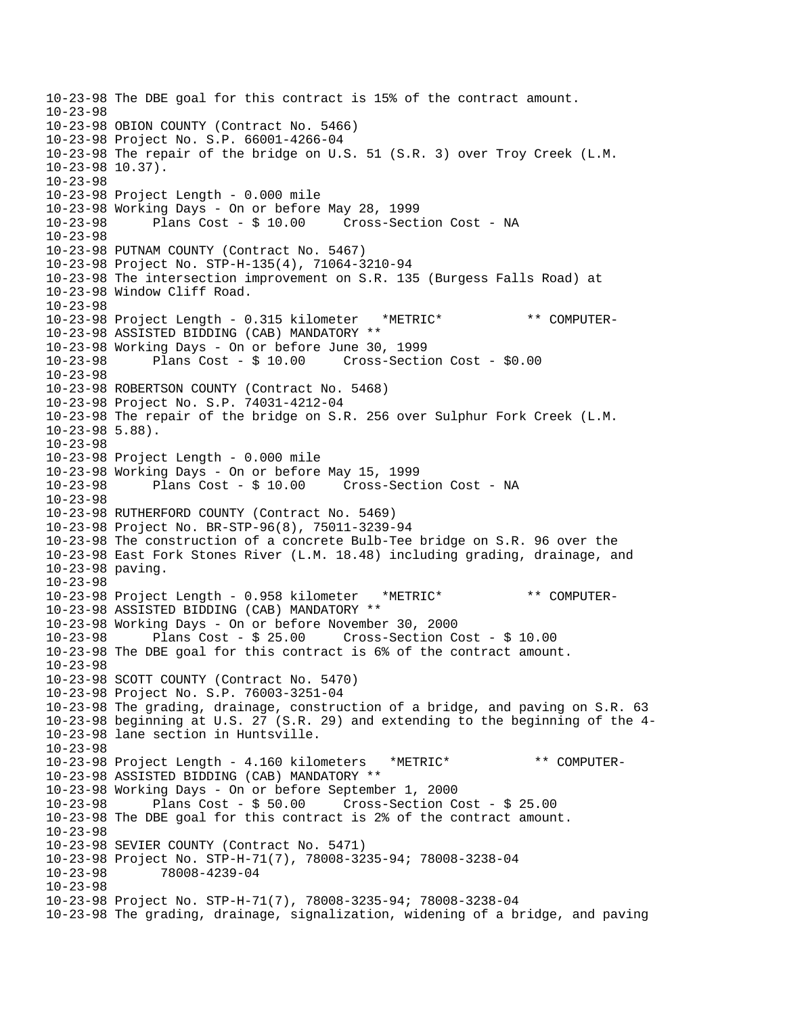10-23-98 The DBE goal for this contract is 15% of the contract amount. 10-23-98 10-23-98 OBION COUNTY (Contract No. 5466) 10-23-98 Project No. S.P. 66001-4266-04 10-23-98 The repair of the bridge on U.S. 51 (S.R. 3) over Troy Creek (L.M. 10-23-98 10.37). 10-23-98 10-23-98 Project Length - 0.000 mile 10-23-98 Working Days - On or before May 28, 1999 10-23-98 Plans Cost - \$ 10.00 Cross-Section Cost - NA 10-23-98 10-23-98 PUTNAM COUNTY (Contract No. 5467) 10-23-98 Project No. STP-H-135(4), 71064-3210-94 10-23-98 The intersection improvement on S.R. 135 (Burgess Falls Road) at 10-23-98 Window Cliff Road. 10-23-98 10-23-98 Project Length - 0.315 kilometer \*METRIC\* \*\* COMPUTER-10-23-98 ASSISTED BIDDING (CAB) MANDATORY \*\* 10-23-98 Working Days - On or before June 30, 1999 10-23-98 Plans Cost - \$ 10.00 Cross-Section Cost - \$0.00 10-23-98 10-23-98 ROBERTSON COUNTY (Contract No. 5468) 10-23-98 Project No. S.P. 74031-4212-04 10-23-98 The repair of the bridge on S.R. 256 over Sulphur Fork Creek (L.M. 10-23-98 5.88). 10-23-98 10-23-98 Project Length - 0.000 mile 10-23-98 Working Days - On or before May 15, 1999 10-23-98 Plans Cost - \$ 10.00 Cross-Section Cost - NA 10-23-98 10-23-98 RUTHERFORD COUNTY (Contract No. 5469) 10-23-98 Project No. BR-STP-96(8), 75011-3239-94 10-23-98 The construction of a concrete Bulb-Tee bridge on S.R. 96 over the 10-23-98 East Fork Stones River (L.M. 18.48) including grading, drainage, and 10-23-98 paving.  $10 - 23 - 98$ 10-23-98 Project Length - 0.958 kilometer \*METRIC\* \*\* COMPUTER-10-23-98 ASSISTED BIDDING (CAB) MANDATORY \*\* 10-23-98 Working Days - On or before November 30, 2000 10-23-98 Plans Cost - \$ 25.00 Cross-Section Cost - \$ 10.00 10-23-98 The DBE goal for this contract is 6% of the contract amount. 10-23-98 10-23-98 SCOTT COUNTY (Contract No. 5470) 10-23-98 Project No. S.P. 76003-3251-04 10-23-98 The grading, drainage, construction of a bridge, and paving on S.R. 63 10-23-98 beginning at U.S. 27 (S.R. 29) and extending to the beginning of the 4 10-23-98 lane section in Huntsville. 10-23-98 10-23-98 Project Length - 4.160 kilometers \*METRIC\* \*\* COMPUTER-10-23-98 ASSISTED BIDDING (CAB) MANDATORY \*\* 10-23-98 Working Days - On or before September 1, 2000 10-23-98 Plans Cost - \$ 50.00 Cross-Section Cost - \$ 25.00 10-23-98 The DBE goal for this contract is 2% of the contract amount. 10-23-98 10-23-98 SEVIER COUNTY (Contract No. 5471) 10-23-98 Project No. STP-H-71(7), 78008-3235-94; 78008-3238-04 10-23-98 78008-4239-04 10-23-98 10-23-98 Project No. STP-H-71(7), 78008-3235-94; 78008-3238-04 10-23-98 The grading, drainage, signalization, widening of a bridge, and paving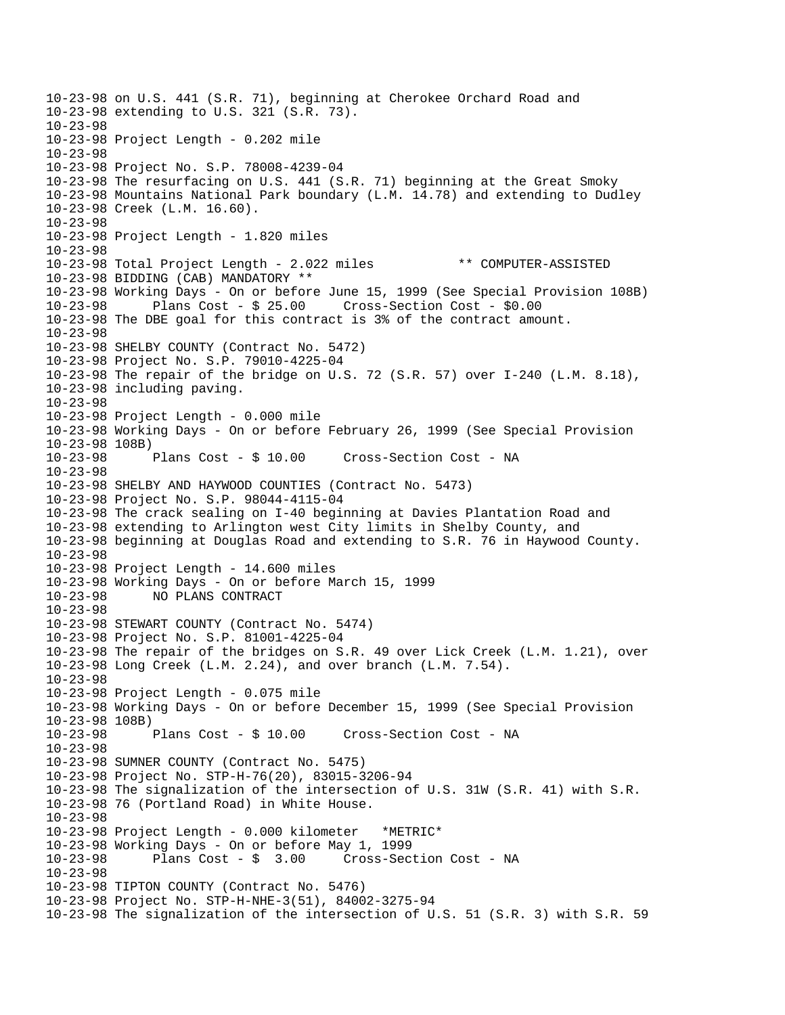10-23-98 on U.S. 441 (S.R. 71), beginning at Cherokee Orchard Road and 10-23-98 extending to U.S. 321 (S.R. 73).  $10 - 23 - 98$ 10-23-98 Project Length - 0.202 mile 10-23-98 10-23-98 Project No. S.P. 78008-4239-04 10-23-98 The resurfacing on U.S. 441 (S.R. 71) beginning at the Great Smoky 10-23-98 Mountains National Park boundary (L.M. 14.78) and extending to Dudley 10-23-98 Creek (L.M. 16.60). 10-23-98 10-23-98 Project Length - 1.820 miles 10-23-98 10-23-98 Total Project Length - 2.022 miles \*\* COMPUTER-ASSISTED 10-23-98 BIDDING (CAB) MANDATORY \*\* 10-23-98 Working Days - On or before June 15, 1999 (See Special Provision 108B) Plans  $Cost - $ 25.00$  Cross-Section Cost -  $$0.00$ 10-23-98 The DBE goal for this contract is 3% of the contract amount. 10-23-98 10-23-98 SHELBY COUNTY (Contract No. 5472) 10-23-98 Project No. S.P. 79010-4225-04 10-23-98 The repair of the bridge on U.S. 72 (S.R. 57) over I-240 (L.M. 8.18), 10-23-98 including paving. 10-23-98 10-23-98 Project Length - 0.000 mile 10-23-98 Working Days - On or before February 26, 1999 (See Special Provision 10-23-98 108B) 10-23-98 Plans Cost - \$ 10.00 Cross-Section Cost - NA 10-23-98 10-23-98 SHELBY AND HAYWOOD COUNTIES (Contract No. 5473) 10-23-98 Project No. S.P. 98044-4115-04 10-23-98 The crack sealing on I-40 beginning at Davies Plantation Road and 10-23-98 extending to Arlington west City limits in Shelby County, and 10-23-98 beginning at Douglas Road and extending to S.R. 76 in Haywood County. 10-23-98 10-23-98 Project Length - 14.600 miles 10-23-98 Working Days - On or before March 15, 1999 10-23-98 NO PLANS CONTRACT 10-23-98 10-23-98 STEWART COUNTY (Contract No. 5474) 10-23-98 Project No. S.P. 81001-4225-04 10-23-98 The repair of the bridges on S.R. 49 over Lick Creek (L.M. 1.21), over 10-23-98 Long Creek (L.M. 2.24), and over branch (L.M. 7.54). 10-23-98 10-23-98 Project Length - 0.075 mile 10-23-98 Working Days - On or before December 15, 1999 (See Special Provision 10-23-98 108B) 10-23-98 Plans Cost - \$ 10.00 Cross-Section Cost - NA 10-23-98 10-23-98 SUMNER COUNTY (Contract No. 5475) 10-23-98 Project No. STP-H-76(20), 83015-3206-94 10-23-98 The signalization of the intersection of U.S. 31W (S.R. 41) with S.R. 10-23-98 76 (Portland Road) in White House. 10-23-98 10-23-98 Project Length - 0.000 kilometer \*METRIC\* 10-23-98 Working Days - On or before May 1, 1999 10-23-98 Plans Cost - \$ 3.00 Cross-Section Cost - NA 10-23-98 10-23-98 TIPTON COUNTY (Contract No. 5476) 10-23-98 Project No. STP-H-NHE-3(51), 84002-3275-94 10-23-98 The signalization of the intersection of U.S. 51 (S.R. 3) with S.R. 59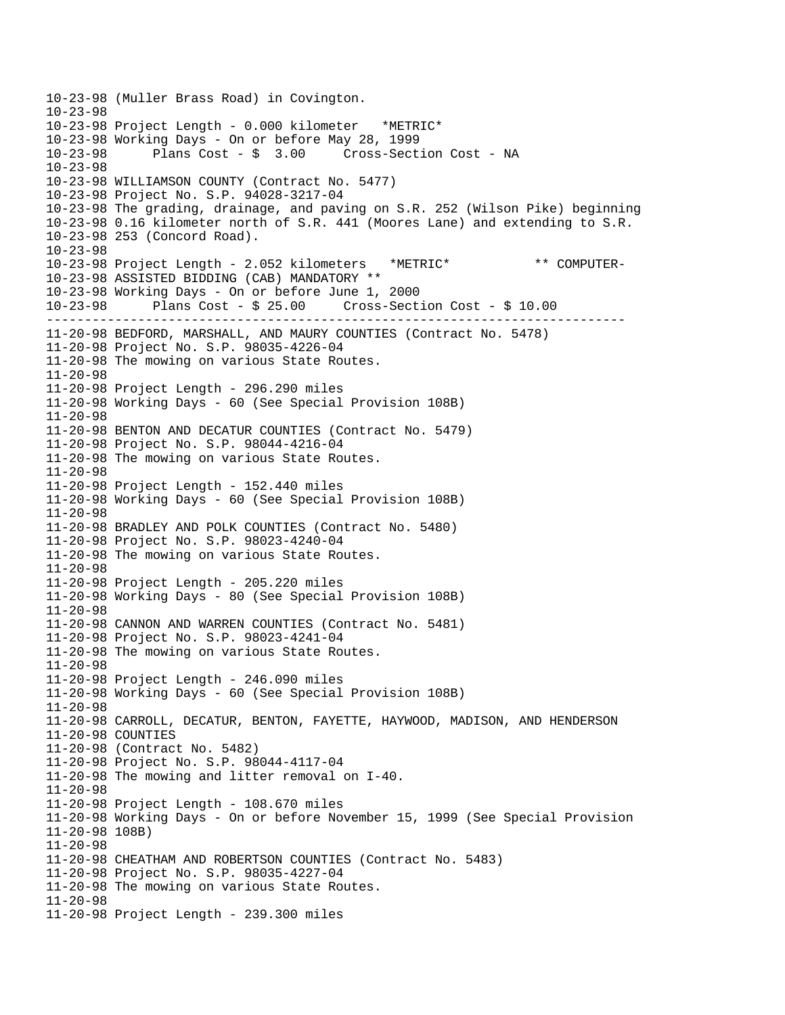```
----------------------------------------------------------------------------
10-23-98 (Muller Brass Road) in Covington. 
10-23-98 
10-23-98 Project Length - 0.000 kilometer *METRIC* 
10-23-98 Working Days - On or before May 28, 1999 
                                     Cross-Section Cost - NA
10-23-98 
10-23-98 WILLIAMSON COUNTY (Contract No. 5477) 
10-23-98 Project No. S.P. 94028-3217-04 
10-23-98 The grading, drainage, and paving on S.R. 252 (Wilson Pike) beginning 
10-23-98 0.16 kilometer north of S.R. 441 (Moores Lane) and extending to S.R. 
10-23-98 253 (Concord Road). 
10-23-98 
10-23-98 Project Length - 2.052 kilometers *METRIC* ** COMPUTER-
10-23-98 ASSISTED BIDDING (CAB) MANDATORY ** 
10-23-98 Working Days - On or before June 1, 2000 
10-23-98 Plans Cost - $ 25.00 Cross-Section Cost - $ 10.00 
11-20-98 BEDFORD, MARSHALL, AND MAURY COUNTIES (Contract No. 5478) 
11-20-98 Project No. S.P. 98035-4226-04 
11-20-98 The mowing on various State Routes. 
11-20-98 
11-20-98 Project Length - 296.290 miles 
11-20-98 Working Days - 60 (See Special Provision 108B) 
11-20-98 
11-20-98 BENTON AND DECATUR COUNTIES (Contract No. 5479) 
11-20-98 Project No. S.P. 98044-4216-04 
11-20-98 The mowing on various State Routes. 
11-20-98 
11-20-98 Project Length - 152.440 miles 
11-20-98 Working Days - 60 (See Special Provision 108B) 
11-20-98 
11-20-98 BRADLEY AND POLK COUNTIES (Contract No. 5480) 
11-20-98 Project No. S.P. 98023-4240-04 
11-20-98 The mowing on various State Routes. 
11-20-98 
11-20-98 Project Length - 205.220 miles 
11-20-98 Working Days - 80 (See Special Provision 108B) 
11-20-98 
11-20-98 CANNON AND WARREN COUNTIES (Contract No. 5481) 
11-20-98 Project No. S.P. 98023-4241-04 
11-20-98 The mowing on various State Routes. 
11-20-98 
11-20-98 Project Length - 246.090 miles 
11-20-98 Working Days - 60 (See Special Provision 108B) 
11-20-98 
11-20-98 CARROLL, DECATUR, BENTON, FAYETTE, HAYWOOD, MADISON, AND HENDERSON 
11-20-98 COUNTIES 
11-20-98 (Contract No. 5482) 
11-20-98 Project No. S.P. 98044-4117-04 
11-20-98 The mowing and litter removal on I-40. 
11-20-98 
11-20-98 Project Length - 108.670 miles 
11-20-98 Working Days - On or before November 15, 1999 (See Special Provision 
11-20-98 108B) 
11-20-98 
11-20-98 CHEATHAM AND ROBERTSON COUNTIES (Contract No. 5483) 
11-20-98 Project No. S.P. 98035-4227-04 
11-20-98 The mowing on various State Routes. 
11-20-98 
11-20-98 Project Length - 239.300 miles
```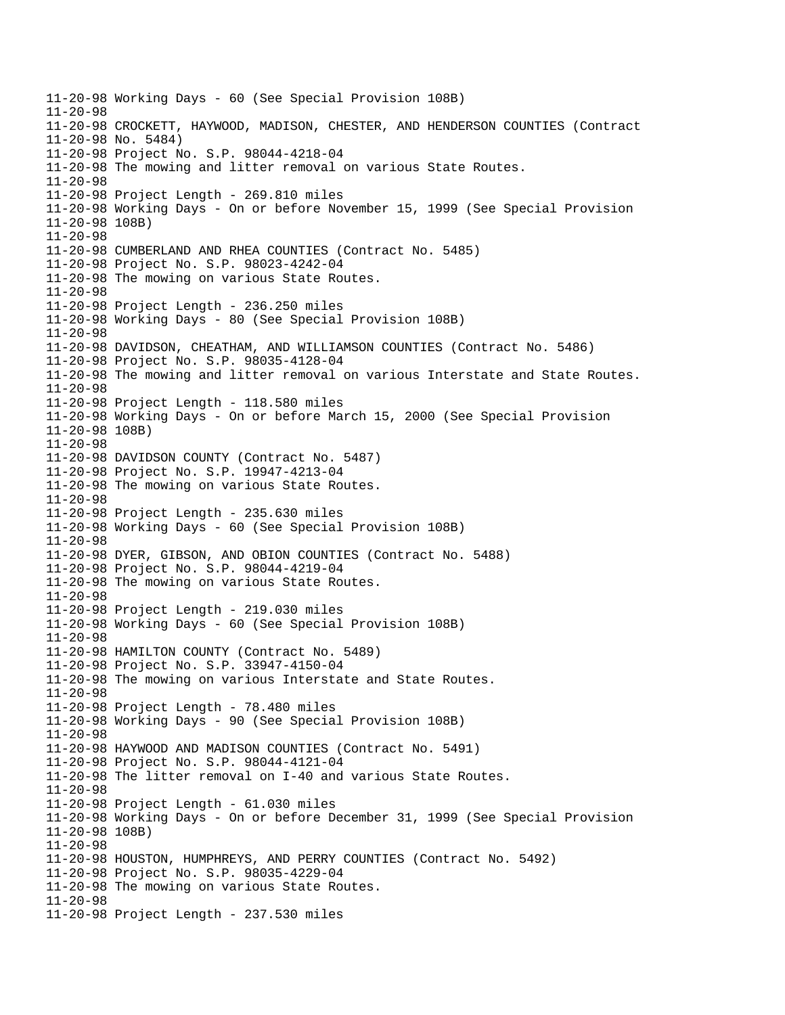11-20-98 Working Days - 60 (See Special Provision 108B) 11-20-98 11-20-98 CROCKETT, HAYWOOD, MADISON, CHESTER, AND HENDERSON COUNTIES (Contract 11-20-98 No. 5484) 11-20-98 Project No. S.P. 98044-4218-04 11-20-98 The mowing and litter removal on various State Routes. 11-20-98 11-20-98 Project Length - 269.810 miles 11-20-98 Working Days - On or before November 15, 1999 (See Special Provision 11-20-98 108B) 11-20-98 11-20-98 CUMBERLAND AND RHEA COUNTIES (Contract No. 5485) 11-20-98 Project No. S.P. 98023-4242-04 11-20-98 The mowing on various State Routes. 11-20-98 11-20-98 Project Length - 236.250 miles 11-20-98 Working Days - 80 (See Special Provision 108B) 11-20-98 11-20-98 DAVIDSON, CHEATHAM, AND WILLIAMSON COUNTIES (Contract No. 5486) 11-20-98 Project No. S.P. 98035-4128-04 11-20-98 The mowing and litter removal on various Interstate and State Routes. 11-20-98 11-20-98 Project Length - 118.580 miles 11-20-98 Working Days - On or before March 15, 2000 (See Special Provision 11-20-98 108B) 11-20-98 11-20-98 DAVIDSON COUNTY (Contract No. 5487) 11-20-98 Project No. S.P. 19947-4213-04 11-20-98 The mowing on various State Routes. 11-20-98 11-20-98 Project Length - 235.630 miles 11-20-98 Working Days - 60 (See Special Provision 108B) 11-20-98 11-20-98 DYER, GIBSON, AND OBION COUNTIES (Contract No. 5488) 11-20-98 Project No. S.P. 98044-4219-04 11-20-98 The mowing on various State Routes. 11-20-98 11-20-98 Project Length - 219.030 miles 11-20-98 Working Days - 60 (See Special Provision 108B) 11-20-98 11-20-98 HAMILTON COUNTY (Contract No. 5489) 11-20-98 Project No. S.P. 33947-4150-04 11-20-98 The mowing on various Interstate and State Routes. 11-20-98 11-20-98 Project Length - 78.480 miles 11-20-98 Working Days - 90 (See Special Provision 108B) 11-20-98 11-20-98 HAYWOOD AND MADISON COUNTIES (Contract No. 5491) 11-20-98 Project No. S.P. 98044-4121-04 11-20-98 The litter removal on I-40 and various State Routes. 11-20-98 11-20-98 Project Length - 61.030 miles 11-20-98 Working Days - On or before December 31, 1999 (See Special Provision 11-20-98 108B) 11-20-98 11-20-98 HOUSTON, HUMPHREYS, AND PERRY COUNTIES (Contract No. 5492) 11-20-98 Project No. S.P. 98035-4229-04 11-20-98 The mowing on various State Routes. 11-20-98 11-20-98 Project Length - 237.530 miles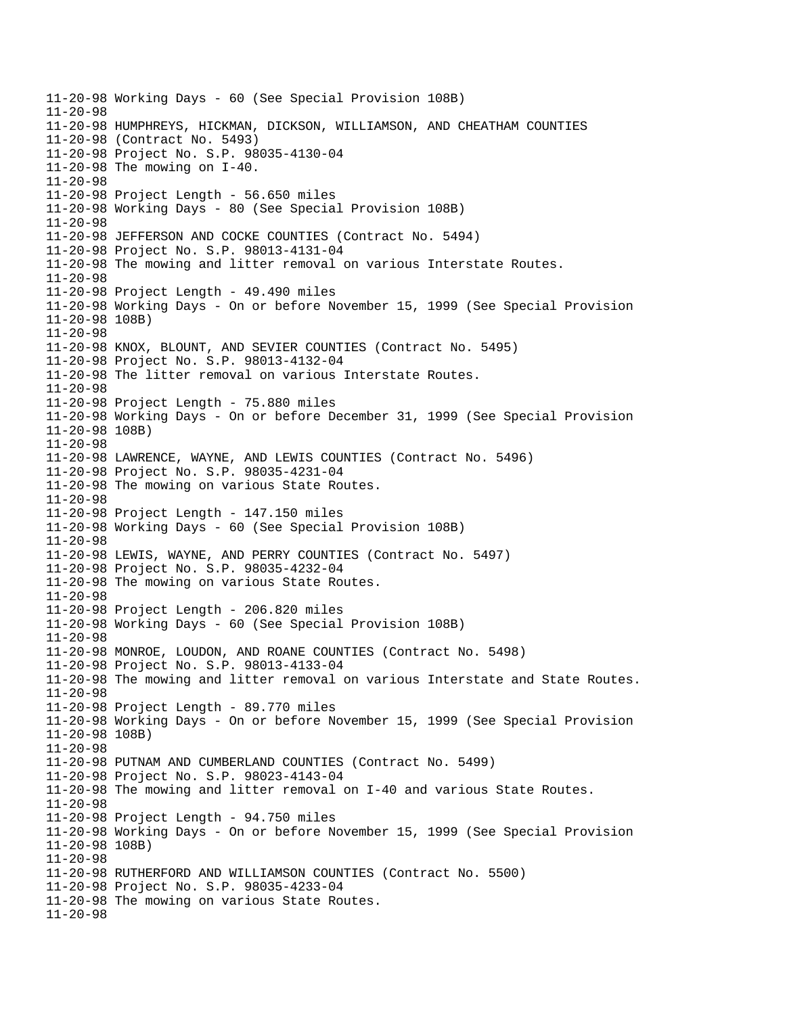11-20-98 Working Days - 60 (See Special Provision 108B) 11-20-98 11-20-98 HUMPHREYS, HICKMAN, DICKSON, WILLIAMSON, AND CHEATHAM COUNTIES 11-20-98 (Contract No. 5493) 11-20-98 Project No. S.P. 98035-4130-04 11-20-98 The mowing on I-40. 11-20-98 11-20-98 Project Length - 56.650 miles 11-20-98 Working Days - 80 (See Special Provision 108B) 11-20-98 11-20-98 JEFFERSON AND COCKE COUNTIES (Contract No. 5494) 11-20-98 Project No. S.P. 98013-4131-04 11-20-98 The mowing and litter removal on various Interstate Routes. 11-20-98 11-20-98 Project Length - 49.490 miles 11-20-98 Working Days - On or before November 15, 1999 (See Special Provision 11-20-98 108B) 11-20-98 11-20-98 KNOX, BLOUNT, AND SEVIER COUNTIES (Contract No. 5495) 11-20-98 Project No. S.P. 98013-4132-04 11-20-98 The litter removal on various Interstate Routes. 11-20-98 11-20-98 Project Length - 75.880 miles 11-20-98 Working Days - On or before December 31, 1999 (See Special Provision 11-20-98 108B) 11-20-98 11-20-98 LAWRENCE, WAYNE, AND LEWIS COUNTIES (Contract No. 5496) 11-20-98 Project No. S.P. 98035-4231-04 11-20-98 The mowing on various State Routes. 11-20-98 11-20-98 Project Length - 147.150 miles 11-20-98 Working Days - 60 (See Special Provision 108B) 11-20-98 11-20-98 LEWIS, WAYNE, AND PERRY COUNTIES (Contract No. 5497) 11-20-98 Project No. S.P. 98035-4232-04 11-20-98 The mowing on various State Routes. 11-20-98 11-20-98 Project Length - 206.820 miles 11-20-98 Working Days - 60 (See Special Provision 108B) 11-20-98 11-20-98 MONROE, LOUDON, AND ROANE COUNTIES (Contract No. 5498) 11-20-98 Project No. S.P. 98013-4133-04 11-20-98 The mowing and litter removal on various Interstate and State Routes. 11-20-98 11-20-98 Project Length - 89.770 miles 11-20-98 Working Days - On or before November 15, 1999 (See Special Provision 11-20-98 108B) 11-20-98 11-20-98 PUTNAM AND CUMBERLAND COUNTIES (Contract No. 5499) 11-20-98 Project No. S.P. 98023-4143-04 11-20-98 The mowing and litter removal on I-40 and various State Routes. 11-20-98 11-20-98 Project Length - 94.750 miles 11-20-98 Working Days - On or before November 15, 1999 (See Special Provision 11-20-98 108B) 11-20-98 11-20-98 RUTHERFORD AND WILLIAMSON COUNTIES (Contract No. 5500) 11-20-98 Project No. S.P. 98035-4233-04 11-20-98 The mowing on various State Routes. 11-20-98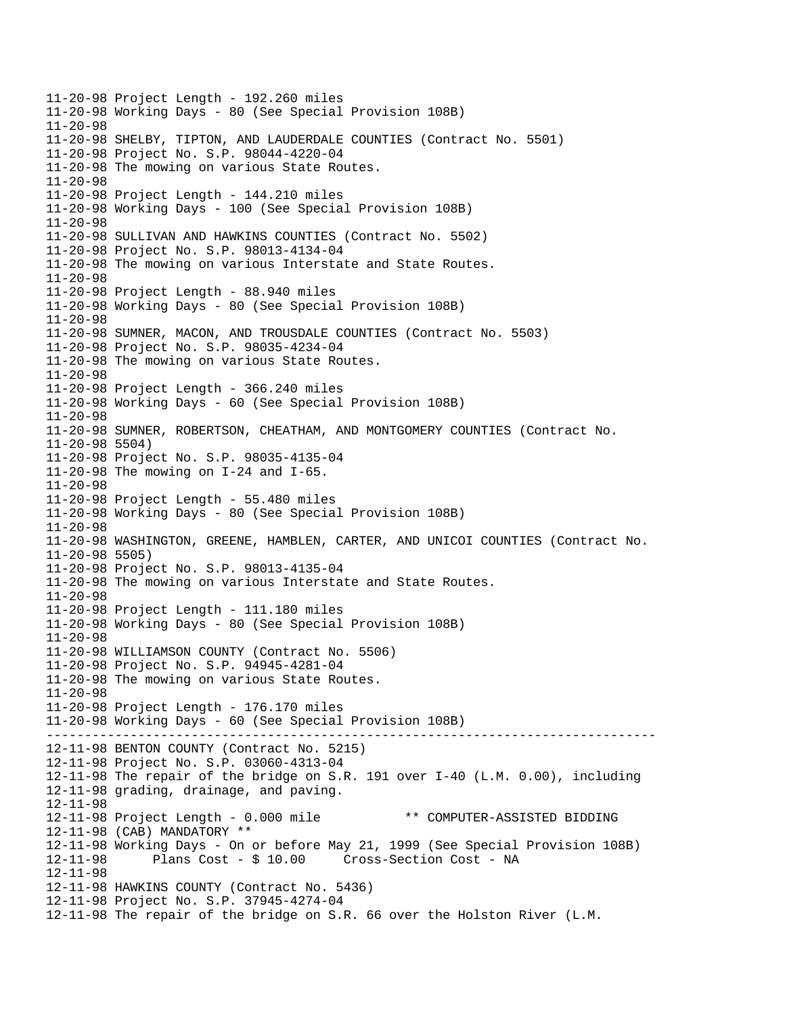-------------------------------------------------------------------------------- 11-20-98 Project Length - 192.260 miles 11-20-98 Working Days - 80 (See Special Provision 108B) 11-20-98 11-20-98 SHELBY, TIPTON, AND LAUDERDALE COUNTIES (Contract No. 5501) 11-20-98 Project No. S.P. 98044-4220-04 11-20-98 The mowing on various State Routes. 11-20-98 11-20-98 Project Length - 144.210 miles 11-20-98 Working Days - 100 (See Special Provision 108B) 11-20-98 11-20-98 SULLIVAN AND HAWKINS COUNTIES (Contract No. 5502) 11-20-98 Project No. S.P. 98013-4134-04 11-20-98 The mowing on various Interstate and State Routes. 11-20-98 11-20-98 Project Length - 88.940 miles 11-20-98 Working Days - 80 (See Special Provision 108B) 11-20-98 11-20-98 SUMNER, MACON, AND TROUSDALE COUNTIES (Contract No. 5503) 11-20-98 Project No. S.P. 98035-4234-04 11-20-98 The mowing on various State Routes. 11-20-98 11-20-98 Project Length - 366.240 miles 11-20-98 Working Days - 60 (See Special Provision 108B) 11-20-98 11-20-98 SUMNER, ROBERTSON, CHEATHAM, AND MONTGOMERY COUNTIES (Contract No. 11-20-98 5504) 11-20-98 Project No. S.P. 98035-4135-04 11-20-98 The mowing on I-24 and I-65. 11-20-98 11-20-98 Project Length - 55.480 miles 11-20-98 Working Days - 80 (See Special Provision 108B) 11-20-98 11-20-98 WASHINGTON, GREENE, HAMBLEN, CARTER, AND UNICOI COUNTIES (Contract No. 11-20-98 5505) 11-20-98 Project No. S.P. 98013-4135-04 11-20-98 The mowing on various Interstate and State Routes. 11-20-98 11-20-98 Project Length - 111.180 miles 11-20-98 Working Days - 80 (See Special Provision 108B) 11-20-98 11-20-98 WILLIAMSON COUNTY (Contract No. 5506) 11-20-98 Project No. S.P. 94945-4281-04 11-20-98 The mowing on various State Routes. 11-20-98 11-20-98 Project Length - 176.170 miles 11-20-98 Working Days - 60 (See Special Provision 108B) 12-11-98 BENTON COUNTY (Contract No. 5215) 12-11-98 Project No. S.P. 03060-4313-04 12-11-98 The repair of the bridge on S.R. 191 over I-40 (L.M. 0.00), including 12-11-98 grading, drainage, and paving. 12-11-98 12-11-98 Project Length - 0.000 mile \*\* COMPUTER-ASSISTED BIDDING 12-11-98 (CAB) MANDATORY \*\* 12-11-98 Working Days - On or before May 21, 1999 (See Special Provision 108B) 12-11-98 Plans Cost - \$ 10.00 Cross-Section Cost - NA 12-11-98 12-11-98 HAWKINS COUNTY (Contract No. 5436) 12-11-98 Project No. S.P. 37945-4274-04 12-11-98 The repair of the bridge on S.R. 66 over the Holston River (L.M.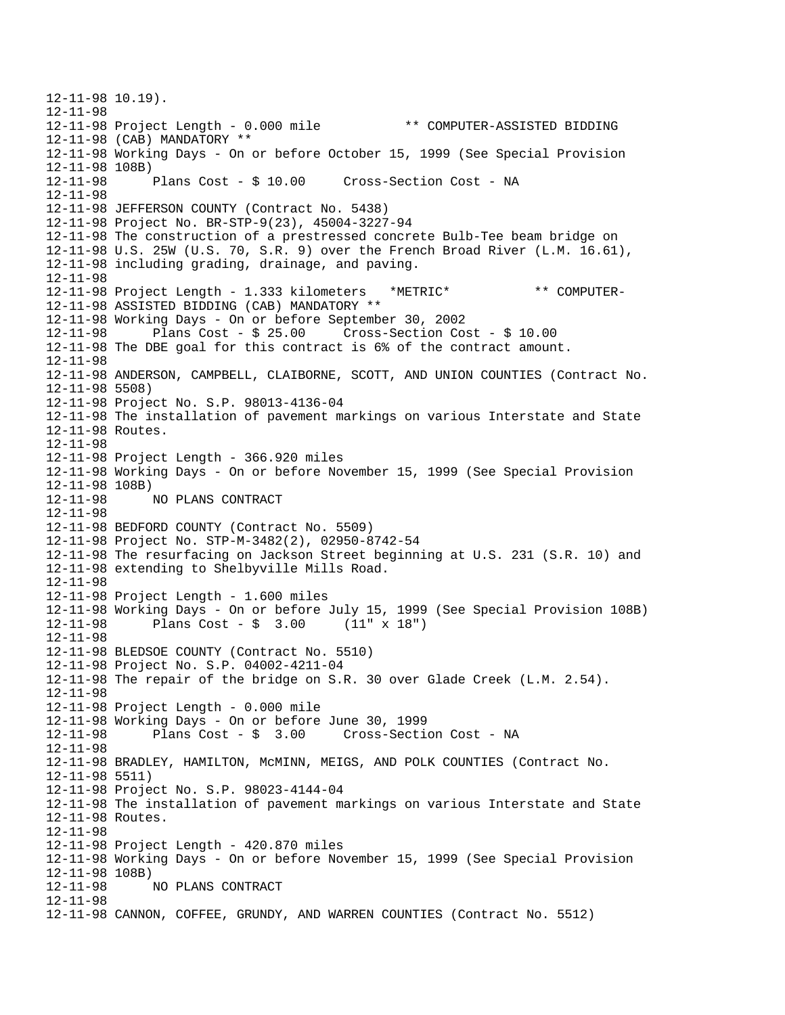12-11-98 10.19). 12-11-98 12-11-98 Project Length - 0.000 mile \*\* COMPUTER-ASSISTED BIDDING 12-11-98 (CAB) MANDATORY \*\* 12-11-98 Working Days - On or before October 15, 1999 (See Special Provision 12-11-98 108B)<br>12-11-98 Plans Cost - \$ 10.00 12-11-98 Plans Cost - \$ 10.00 Cross-Section Cost - NA 12-11-98 12-11-98 JEFFERSON COUNTY (Contract No. 5438) 12-11-98 Project No. BR-STP-9(23), 45004-3227-94 12-11-98 The construction of a prestressed concrete Bulb-Tee beam bridge on 12-11-98 U.S. 25W (U.S. 70, S.R. 9) over the French Broad River (L.M. 16.61), 12-11-98 including grading, drainage, and paving. 12-11-98 12-11-98 Project Length - 1.333 kilometers \*METRIC\* \*\* COMPUTER-12-11-98 ASSISTED BIDDING (CAB) MANDATORY \*\* 12-11-98 Working Days - On or before September 30, 2002 12-11-98 Plans Cost - \$ 25.00 Cross-Section Cost - \$ 10.00 12-11-98 The DBE goal for this contract is 6% of the contract amount. 12-11-98 12-11-98 ANDERSON, CAMPBELL, CLAIBORNE, SCOTT, AND UNION COUNTIES (Contract No. 12-11-98 5508) 12-11-98 Project No. S.P. 98013-4136-04 12-11-98 The installation of pavement markings on various Interstate and State 12-11-98 Routes. 12-11-98 12-11-98 Project Length - 366.920 miles 12-11-98 Working Days - On or before November 15, 1999 (See Special Provision 12-11-98 108B)<br>12-11-98 NO PLANS CONTRACT 12-11-98 12-11-98 BEDFORD COUNTY (Contract No. 5509) 12-11-98 Project No. STP-M-3482(2), 02950-8742-54 12-11-98 The resurfacing on Jackson Street beginning at U.S. 231 (S.R. 10) and 12-11-98 extending to Shelbyville Mills Road. 12-11-98 12-11-98 Project Length - 1.600 miles 12-11-98 Working Days - On or before July 15, 1999 (See Special Provision 108B) 12-11-98 Plans Cost - \$ 3.00 (11" x 18") 12-11-98 12-11-98 BLEDSOE COUNTY (Contract No. 5510) 12-11-98 Project No. S.P. 04002-4211-04 12-11-98 The repair of the bridge on S.R. 30 over Glade Creek (L.M. 2.54). 12-11-98 12-11-98 Project Length - 0.000 mile 12-11-98 Working Days - On or before June 30, 1999 Plans  $Cost - $ 3.00$  Cross-Section Cost - NA 12-11-98 12-11-98 BRADLEY, HAMILTON, McMINN, MEIGS, AND POLK COUNTIES (Contract No. 12-11-98 5511) 12-11-98 Project No. S.P. 98023-4144-04 12-11-98 The installation of pavement markings on various Interstate and State 12-11-98 Routes. 12-11-98 12-11-98 Project Length - 420.870 miles 12-11-98 Working Days - On or before November 15, 1999 (See Special Provision 12-11-98 108B)<br>12-11-98 NO PLANS CONTRACT 12-11-98 12-11-98 CANNON, COFFEE, GRUNDY, AND WARREN COUNTIES (Contract No. 5512)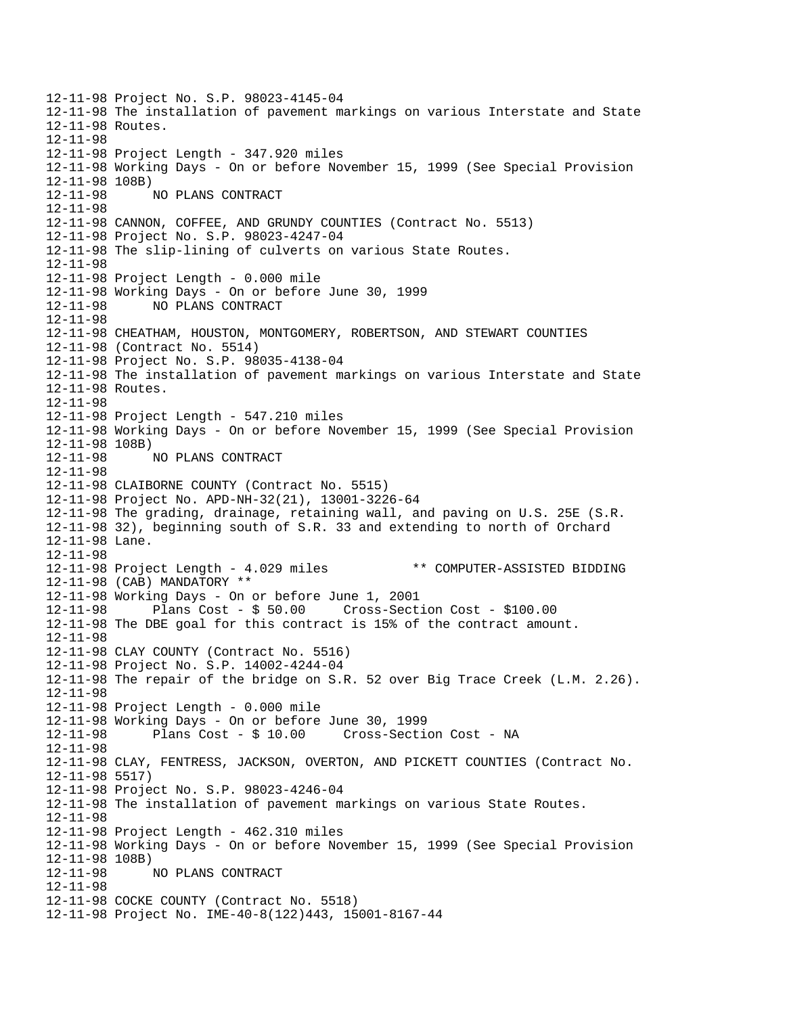12-11-98 Project No. S.P. 98023-4145-04 12-11-98 The installation of pavement markings on various Interstate and State 12-11-98 Routes. 12-11-98 12-11-98 Project Length - 347.920 miles 12-11-98 Working Days - On or before November 15, 1999 (See Special Provision 12-11-98 108B) 12-11-98 NO PLANS CONTRACT 12-11-98 12-11-98 CANNON, COFFEE, AND GRUNDY COUNTIES (Contract No. 5513) 12-11-98 Project No. S.P. 98023-4247-04 12-11-98 The slip-lining of culverts on various State Routes. 12-11-98 12-11-98 Project Length - 0.000 mile 12-11-98 Working Days - On or before June 30, 1999 12-11-98 NO PLANS CONTRACT 12-11-98 12-11-98 CHEATHAM, HOUSTON, MONTGOMERY, ROBERTSON, AND STEWART COUNTIES 12-11-98 (Contract No. 5514) 12-11-98 Project No. S.P. 98035-4138-04 12-11-98 The installation of pavement markings on various Interstate and State 12-11-98 Routes. 12-11-98 12-11-98 Project Length - 547.210 miles 12-11-98 Working Days - On or before November 15, 1999 (See Special Provision 12-11-98 108B) 12-11-98 NO PLANS CONTRACT 12-11-98 12-11-98 CLAIBORNE COUNTY (Contract No. 5515) 12-11-98 Project No. APD-NH-32(21), 13001-3226-64 12-11-98 The grading, drainage, retaining wall, and paving on U.S. 25E (S.R. 12-11-98 32), beginning south of S.R. 33 and extending to north of Orchard 12-11-98 Lane. 12-11-98 12-11-98 Project Length - 4.029 miles \*\* COMPUTER-ASSISTED BIDDING 12-11-98 (CAB) MANDATORY \*\* 12-11-98 Working Days - On or before June 1, 2001 12-11-98 Plans Cost - \$ 50.00 Cross-Section Cost - \$100.00 12-11-98 The DBE goal for this contract is 15% of the contract amount. 12-11-98 12-11-98 CLAY COUNTY (Contract No. 5516) 12-11-98 Project No. S.P. 14002-4244-04 12-11-98 The repair of the bridge on S.R. 52 over Big Trace Creek (L.M. 2.26). 12-11-98 12-11-98 Project Length - 0.000 mile 12-11-98 Working Days - On or before June 30, 1999 Plans Cost - \$ 10.00 Cross-Section Cost - NA 12-11-98 12-11-98 CLAY, FENTRESS, JACKSON, OVERTON, AND PICKETT COUNTIES (Contract No. 12-11-98 5517) 12-11-98 Project No. S.P. 98023-4246-04 12-11-98 The installation of pavement markings on various State Routes. 12-11-98 12-11-98 Project Length - 462.310 miles 12-11-98 Working Days - On or before November 15, 1999 (See Special Provision 12-11-98 108B) 12-11-98 NO PLANS CONTRACT 12-11-98 12-11-98 COCKE COUNTY (Contract No. 5518) 12-11-98 Project No. IME-40-8(122)443, 15001-8167-44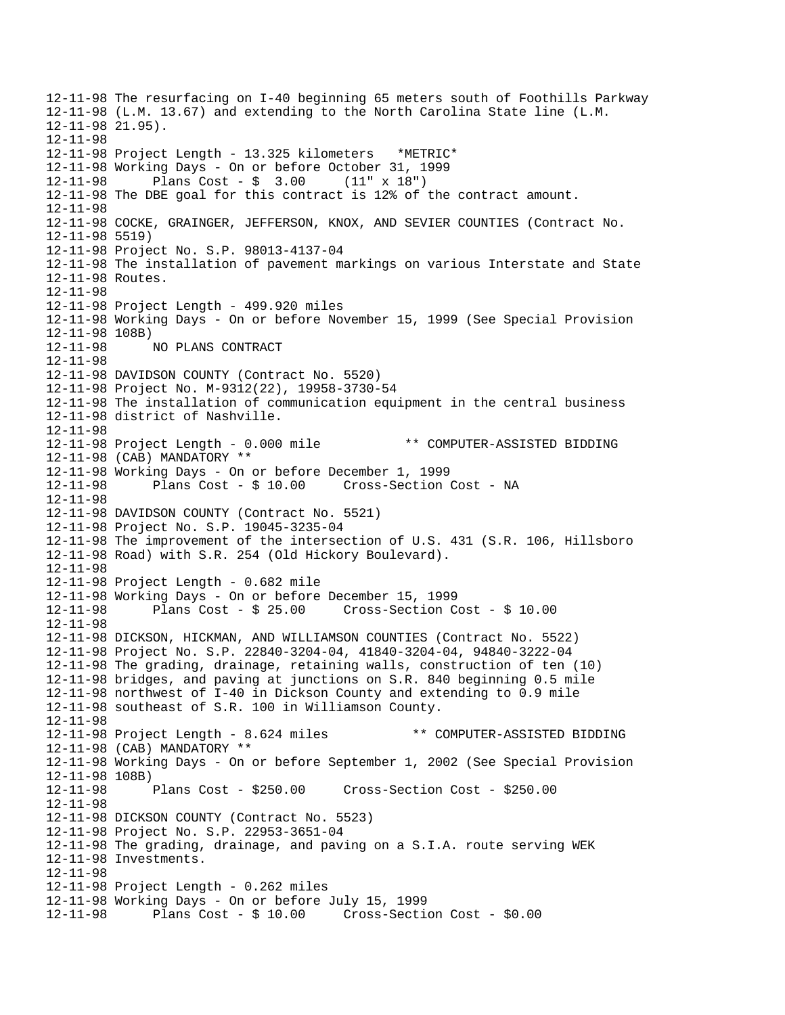12-11-98 The resurfacing on I-40 beginning 65 meters south of Foothills Parkway 12-11-98 (L.M. 13.67) and extending to the North Carolina State line (L.M. 12-11-98 21.95). 12-11-98 12-11-98 Project Length - 13.325 kilometers \*METRIC\* 12-11-98 Working Days - On or before October 31, 1999 12-11-98 Plans Cost - \$ 3.00 (11" x 18") 12-11-98 The DBE goal for this contract is 12% of the contract amount. 12-11-98 12-11-98 COCKE, GRAINGER, JEFFERSON, KNOX, AND SEVIER COUNTIES (Contract No. 12-11-98 5519) 12-11-98 Project No. S.P. 98013-4137-04 12-11-98 The installation of pavement markings on various Interstate and State 12-11-98 Routes. 12-11-98 12-11-98 Project Length - 499.920 miles 12-11-98 Working Days - On or before November 15, 1999 (See Special Provision 12-11-98 108B) 12-11-98 NO PLANS CONTRACT 12-11-98 12-11-98 DAVIDSON COUNTY (Contract No. 5520) 12-11-98 Project No. M-9312(22), 19958-3730-54 12-11-98 The installation of communication equipment in the central business 12-11-98 district of Nashville. 12-11-98 12-11-98 Project Length - 0.000 mile \*\* COMPUTER-ASSISTED BIDDING 12-11-98 (CAB) MANDATORY \*\* 12-11-98 Working Days - On or before December 1, 1999 12-11-98 Plans Cost - \$ 10.00 Cross-Section Cost - NA 12-11-98 12-11-98 DAVIDSON COUNTY (Contract No. 5521) 12-11-98 Project No. S.P. 19045-3235-04 12-11-98 The improvement of the intersection of U.S. 431 (S.R. 106, Hillsboro 12-11-98 Road) with S.R. 254 (Old Hickory Boulevard). 12-11-98 12-11-98 Project Length - 0.682 mile 12-11-98 Working Days - On or before December 15, 1999 12-11-98 Plans Cost - \$ 25.00 Cross-Section Cost - \$ 10.00 12-11-98 12-11-98 DICKSON, HICKMAN, AND WILLIAMSON COUNTIES (Contract No. 5522) 12-11-98 Project No. S.P. 22840-3204-04, 41840-3204-04, 94840-3222-04 12-11-98 The grading, drainage, retaining walls, construction of ten (10) 12-11-98 bridges, and paving at junctions on S.R. 840 beginning 0.5 mile 12-11-98 northwest of I-40 in Dickson County and extending to 0.9 mile 12-11-98 southeast of S.R. 100 in Williamson County. 12-11-98 12-11-98 Project Length - 8.624 miles \*\* COMPUTER-ASSISTED BIDDING 12-11-98 (CAB) MANDATORY \*\* 12-11-98 Working Days - On or before September 1, 2002 (See Special Provision 12-11-98 108B) Plans  $Cost - $250.00$   $Cross-Section Cost - $250.00$ 12-11-98 12-11-98 DICKSON COUNTY (Contract No. 5523) 12-11-98 Project No. S.P. 22953-3651-04 12-11-98 The grading, drainage, and paving on a S.I.A. route serving WEK 12-11-98 Investments. 12-11-98 12-11-98 Project Length - 0.262 miles 12-11-98 Working Days - On or before July 15, 1999 12-11-98 Plans Cost - \$ 10.00 Cross-Section Cost - \$0.00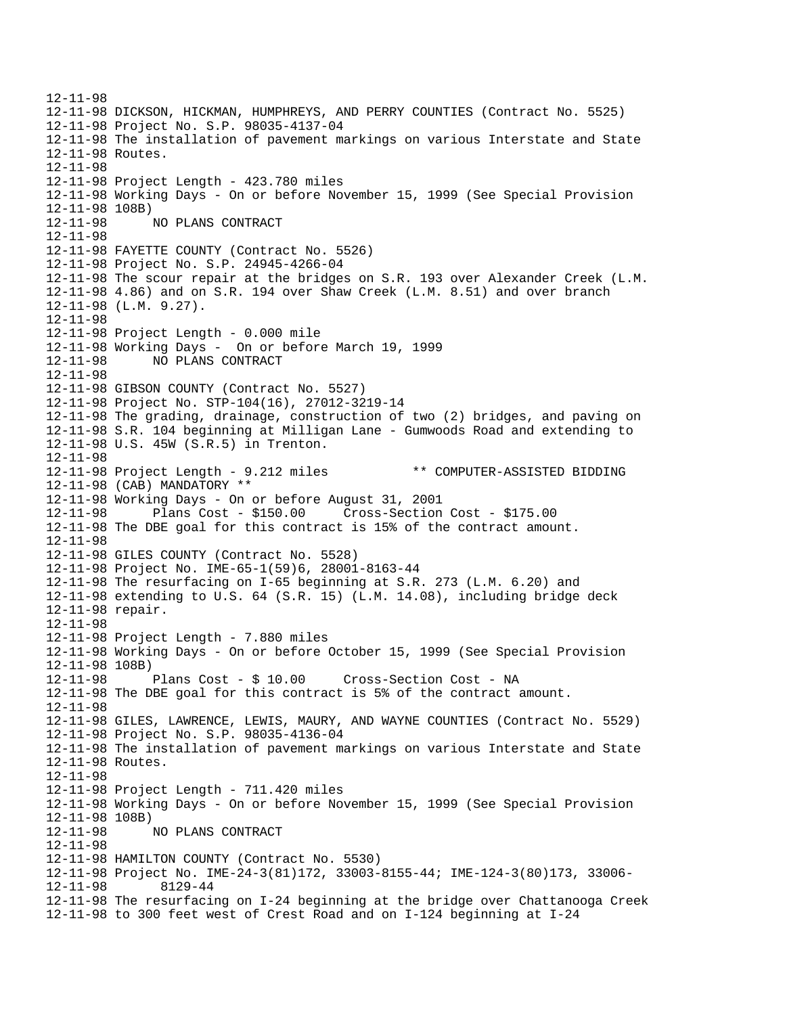12-11-98 12-11-98 DICKSON, HICKMAN, HUMPHREYS, AND PERRY COUNTIES (Contract No. 5525) 12-11-98 Project No. S.P. 98035-4137-04 12-11-98 The installation of pavement markings on various Interstate and State 12-11-98 Routes. 12-11-98 12-11-98 Project Length - 423.780 miles 12-11-98 Working Days - On or before November 15, 1999 (See Special Provision 12-11-98 108B) 12-11-98 NO PLANS CONTRACT 12-11-98 12-11-98 FAYETTE COUNTY (Contract No. 5526) 12-11-98 Project No. S.P. 24945-4266-04 12-11-98 The scour repair at the bridges on S.R. 193 over Alexander Creek (L.M. 12-11-98 4.86) and on S.R. 194 over Shaw Creek (L.M. 8.51) and over branch 12-11-98 (L.M. 9.27). 12-11-98 12-11-98 Project Length - 0.000 mile 12-11-98 Working Days - On or before March 19, 1999 12-11-98 NO PLANS CONTRACT 12-11-98 12-11-98 GIBSON COUNTY (Contract No. 5527) 12-11-98 Project No. STP-104(16), 27012-3219-14 12-11-98 The grading, drainage, construction of two (2) bridges, and paving on 12-11-98 S.R. 104 beginning at Milligan Lane - Gumwoods Road and extending to 12-11-98 U.S. 45W (S.R.5) in Trenton. 12-11-98 12-11-98 Project Length - 9.212 miles \*\* COMPUTER-ASSISTED BIDDING 12-11-98 (CAB) MANDATORY \*\* 12-11-98 Working Days - On or before August 31, 2001 12-11-98 Plans Cost - \$150.00 Cross-Section Cost - \$175.00 12-11-98 The DBE goal for this contract is 15% of the contract amount. 12-11-98 12-11-98 GILES COUNTY (Contract No. 5528) 12-11-98 Project No. IME-65-1(59)6, 28001-8163-44 12-11-98 The resurfacing on I-65 beginning at S.R. 273 (L.M. 6.20) and 12-11-98 extending to U.S. 64 (S.R. 15) (L.M. 14.08), including bridge deck 12-11-98 repair. 12-11-98 12-11-98 Project Length - 7.880 miles 12-11-98 Working Days - On or before October 15, 1999 (See Special Provision 12-11-98 108B) 12-11-98 Plans Cost - \$ 10.00 Cross-Section Cost - NA 12-11-98 The DBE goal for this contract is 5% of the contract amount. 12-11-98 12-11-98 GILES, LAWRENCE, LEWIS, MAURY, AND WAYNE COUNTIES (Contract No. 5529) 12-11-98 Project No. S.P. 98035-4136-04 12-11-98 The installation of pavement markings on various Interstate and State 12-11-98 Routes. 12-11-98 12-11-98 Project Length - 711.420 miles 12-11-98 Working Days - On or before November 15, 1999 (See Special Provision 12-11-98 108B) 12-11-98 NO PLANS CONTRACT 12-11-98 12-11-98 HAMILTON COUNTY (Contract No. 5530) 12-11-98 Project No. IME-24-3(81)172, 33003-8155-44; IME-124-3(80)173, 33006  $12 - 11 - 98$ 12-11-98 The resurfacing on I-24 beginning at the bridge over Chattanooga Creek 12-11-98 to 300 feet west of Crest Road and on I-124 beginning at I-24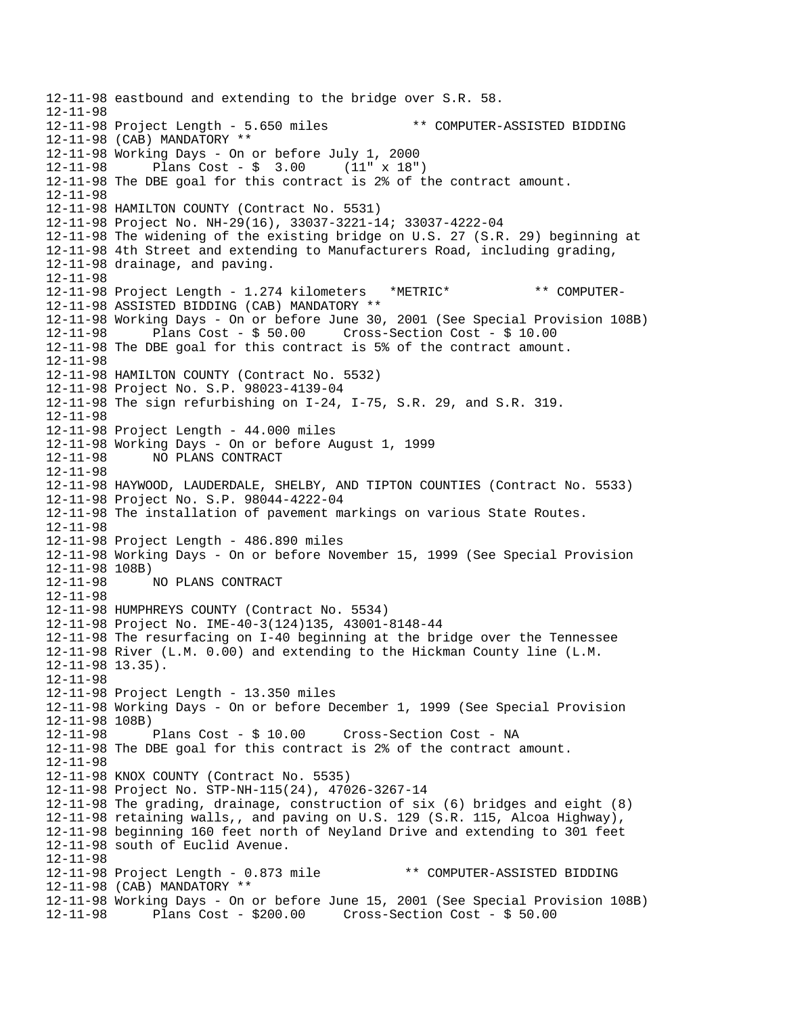12-11-98 eastbound and extending to the bridge over S.R. 58. 12-11-98 12-11-98 Project Length - 5.650 miles \*\* COMPUTER-ASSISTED BIDDING 12-11-98 (CAB) MANDATORY \*\* 12-11-98 Working Days - On or before July 1, 2000 12-11-98 Plans Cost - \$ 3.00 (11" x 18") 12-11-98 The DBE goal for this contract is 2% of the contract amount. 12-11-98 12-11-98 HAMILTON COUNTY (Contract No. 5531) 12-11-98 Project No. NH-29(16), 33037-3221-14; 33037-4222-04 12-11-98 The widening of the existing bridge on U.S. 27 (S.R. 29) beginning at 12-11-98 4th Street and extending to Manufacturers Road, including grading, 12-11-98 drainage, and paving. 12-11-98 12-11-98 Project Length - 1.274 kilometers \*METRIC\* \*\* COMPUTER-12-11-98 ASSISTED BIDDING (CAB) MANDATORY \*\* 12-11-98 Working Days - On or before June 30, 2001 (See Special Provision 108B) Plans  $Cost - $ 50.00$  Cross-Section Cost - \$ 10.00 12-11-98 The DBE goal for this contract is 5% of the contract amount. 12-11-98 12-11-98 HAMILTON COUNTY (Contract No. 5532) 12-11-98 Project No. S.P. 98023-4139-04 12-11-98 The sign refurbishing on I-24, I-75, S.R. 29, and S.R. 319. 12-11-98 12-11-98 Project Length - 44.000 miles 12-11-98 Working Days - On or before August 1, 1999 12-11-98 NO PLANS CONTRACT 12-11-98 12-11-98 HAYWOOD, LAUDERDALE, SHELBY, AND TIPTON COUNTIES (Contract No. 5533) 12-11-98 Project No. S.P. 98044-4222-04 12-11-98 The installation of pavement markings on various State Routes. 12-11-98 12-11-98 Project Length - 486.890 miles 12-11-98 Working Days - On or before November 15, 1999 (See Special Provision 12-11-98 108B) 12-11-98 NO PLANS CONTRACT 12-11-98 12-11-98 HUMPHREYS COUNTY (Contract No. 5534) 12-11-98 Project No. IME-40-3(124)135, 43001-8148-44 12-11-98 The resurfacing on I-40 beginning at the bridge over the Tennessee 12-11-98 River (L.M. 0.00) and extending to the Hickman County line (L.M. 12-11-98 13.35). 12-11-98 12-11-98 Project Length - 13.350 miles 12-11-98 Working Days - On or before December 1, 1999 (See Special Provision 12-11-98 108B) 12-11-98 Plans Cost - \$ 10.00 Cross-Section Cost - NA 12-11-98 The DBE goal for this contract is 2% of the contract amount. 12-11-98 12-11-98 KNOX COUNTY (Contract No. 5535) 12-11-98 Project No. STP-NH-115(24), 47026-3267-14 12-11-98 The grading, drainage, construction of six (6) bridges and eight (8) 12-11-98 retaining walls,, and paving on U.S. 129 (S.R. 115, Alcoa Highway), 12-11-98 beginning 160 feet north of Neyland Drive and extending to 301 feet 12-11-98 south of Euclid Avenue. 12-11-98 12-11-98 Project Length - 0.873 mile \*\* COMPUTER-ASSISTED BIDDING 12-11-98 (CAB) MANDATORY \*\* 12-11-98 Working Days - On or before June 15, 2001 (See Special Provision 108B) 12-11-98 Plans Cost - \$200.00 Cross-Section Cost - \$ 50.00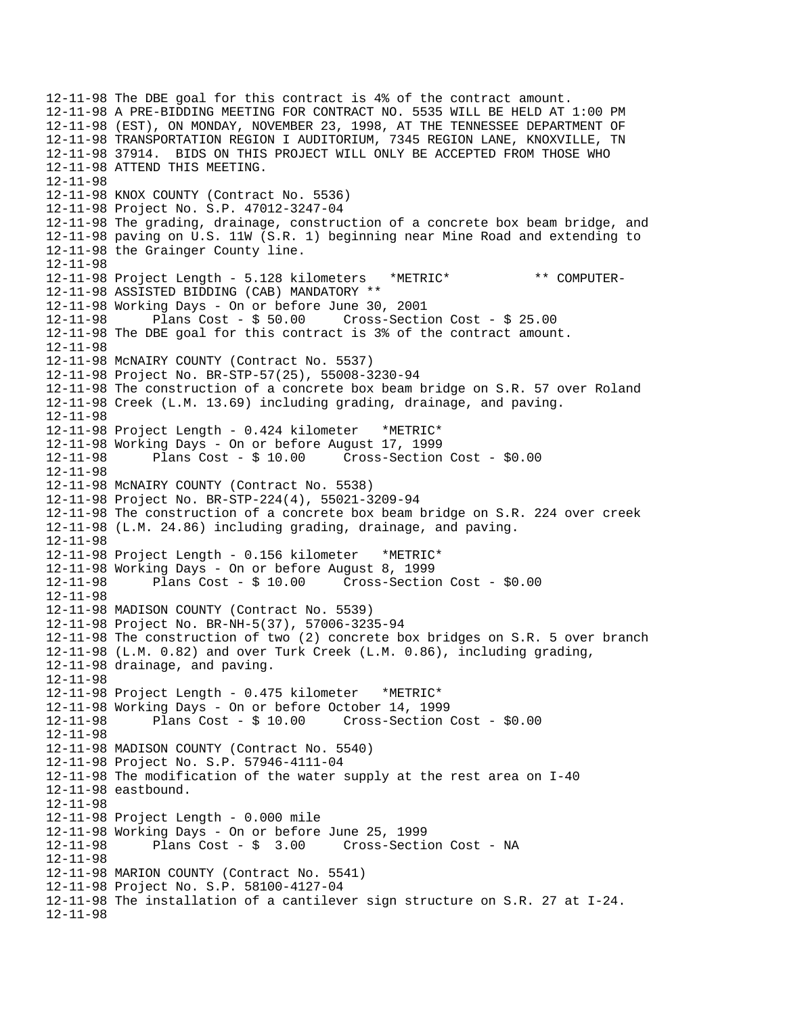12-11-98 The DBE goal for this contract is 4% of the contract amount. 12-11-98 A PRE-BIDDING MEETING FOR CONTRACT NO. 5535 WILL BE HELD AT 1:00 PM 12-11-98 (EST), ON MONDAY, NOVEMBER 23, 1998, AT THE TENNESSEE DEPARTMENT OF 12-11-98 TRANSPORTATION REGION I AUDITORIUM, 7345 REGION LANE, KNOXVILLE, TN 12-11-98 37914. BIDS ON THIS PROJECT WILL ONLY BE ACCEPTED FROM THOSE WHO 12-11-98 ATTEND THIS MEETING. 12-11-98 12-11-98 KNOX COUNTY (Contract No. 5536) 12-11-98 Project No. S.P. 47012-3247-04 12-11-98 The grading, drainage, construction of a concrete box beam bridge, and 12-11-98 paving on U.S. 11W (S.R. 1) beginning near Mine Road and extending to 12-11-98 the Grainger County line. 12-11-98 12-11-98 Project Length - 5.128 kilometers \*METRIC\* \*\* COMPUTER-12-11-98 ASSISTED BIDDING (CAB) MANDATORY \*\* 12-11-98 Working Days - On or before June 30, 2001  $Cross-Section Cost - $ 25.00$ 12-11-98 The DBE goal for this contract is 3% of the contract amount. 12-11-98 12-11-98 McNAIRY COUNTY (Contract No. 5537) 12-11-98 Project No. BR-STP-57(25), 55008-3230-94 12-11-98 The construction of a concrete box beam bridge on S.R. 57 over Roland 12-11-98 Creek (L.M. 13.69) including grading, drainage, and paving. 12-11-98 12-11-98 Project Length - 0.424 kilometer \*METRIC\* 12-11-98 Working Days - On or before August 17, 1999 12-11-98 Plans Cost - \$ 10.00 Cross-Section Cost - \$0.00 12-11-98 12-11-98 McNAIRY COUNTY (Contract No. 5538) 12-11-98 Project No. BR-STP-224(4), 55021-3209-94 12-11-98 The construction of a concrete box beam bridge on S.R. 224 over creek 12-11-98 (L.M. 24.86) including grading, drainage, and paving. 12-11-98 12-11-98 Project Length - 0.156 kilometer \*METRIC\* 12-11-98 Working Days - On or before August 8, 1999 12-11-98 Plans Cost - \$ 10.00 Cross-Section Cost - \$0.00 12-11-98 12-11-98 MADISON COUNTY (Contract No. 5539) 12-11-98 Project No. BR-NH-5(37), 57006-3235-94 12-11-98 The construction of two (2) concrete box bridges on S.R. 5 over branch 12-11-98 (L.M. 0.82) and over Turk Creek (L.M. 0.86), including grading, 12-11-98 drainage, and paving. 12-11-98 12-11-98 Project Length - 0.475 kilometer \*METRIC\* 12-11-98 Working Days - On or before October 14, 1999 12-11-98 Plans Cost - \$ 10.00 Cross-Section Cost - \$0.00 12-11-98 12-11-98 MADISON COUNTY (Contract No. 5540) 12-11-98 Project No. S.P. 57946-4111-04 12-11-98 The modification of the water supply at the rest area on I-40 12-11-98 eastbound. 12-11-98 12-11-98 Project Length - 0.000 mile 12-11-98 Working Days - On or before June 25, 1999 Plans Cost - \$ 3.00 Cross-Section Cost - NA 12-11-98 12-11-98 MARION COUNTY (Contract No. 5541) 12-11-98 Project No. S.P. 58100-4127-04 12-11-98 The installation of a cantilever sign structure on S.R. 27 at I-24. 12-11-98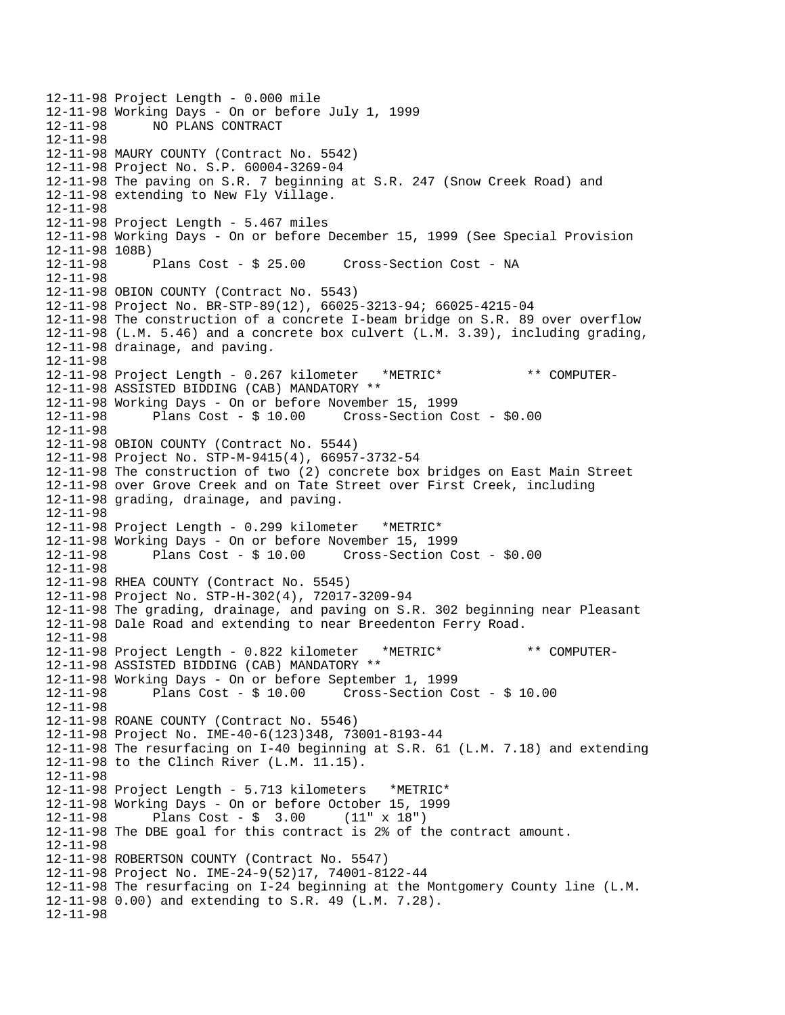```
12-11-98 Project Length - 0.000 mile 
12-11-98 Working Days - On or before July 1, 1999 
             NO PLANS CONTRACT
12-11-98 
12-11-98 MAURY COUNTY (Contract No. 5542) 
12-11-98 Project No. S.P. 60004-3269-04 
12-11-98 The paving on S.R. 7 beginning at S.R. 247 (Snow Creek Road) and 
12-11-98 extending to New Fly Village. 
12-11-98 
12-11-98 Project Length - 5.467 miles 
12-11-98 Working Days - On or before December 15, 1999 (See Special Provision 
12-11-98 108B)<br>12-11-98 Plans Cost - $ 25.00
12-11-98 Plans Cost - $ 25.00 Cross-Section Cost - NA 
12-11-98 
12-11-98 OBION COUNTY (Contract No. 5543) 
12-11-98 Project No. BR-STP-89(12), 66025-3213-94; 66025-4215-04 
12-11-98 The construction of a concrete I-beam bridge on S.R. 89 over overflow 
12-11-98 (L.M. 5.46) and a concrete box culvert (L.M. 3.39), including grading, 
12-11-98 drainage, and paving. 
12-11-98 
12-11-98 Project Length - 0.267 kilometer *METRIC* ** COMPUTER-
12-11-98 ASSISTED BIDDING (CAB) MANDATORY ** 
12-11-98 Working Days - On or before November 15, 1999 
12-11-98 Plans Cost - $ 10.00 Cross-Section Cost - $0.00 
12-11-98 
12-11-98 OBION COUNTY (Contract No. 5544) 
12-11-98 Project No. STP-M-9415(4), 66957-3732-54 
12-11-98 The construction of two (2) concrete box bridges on East Main Street 
12-11-98 over Grove Creek and on Tate Street over First Creek, including 
12-11-98 grading, drainage, and paving. 
12-11-98 
12-11-98 Project Length - 0.299 kilometer *METRIC* 
12-11-98 Working Days - On or before November 15, 1999 
12-11-98 Plans Cost - $ 10.00 Cross-Section Cost - $0.00 
12-11-98 
12-11-98 RHEA COUNTY (Contract No. 5545) 
12-11-98 Project No. STP-H-302(4), 72017-3209-94 
12-11-98 The grading, drainage, and paving on S.R. 302 beginning near Pleasant 
12-11-98 Dale Road and extending to near Breedenton Ferry Road. 
12-11-98 
12-11-98 Project Length - 0.822 kilometer *METRIC* ** COMPUTER-
12-11-98 ASSISTED BIDDING (CAB) MANDATORY ** 
12-11-98 Working Days - On or before September 1, 1999 
12-11-98 Plans Cost - $ 10.00 Cross-Section Cost - $ 10.00 
12-11-98 
12-11-98 ROANE COUNTY (Contract No. 5546) 
12-11-98 Project No. IME-40-6(123)348, 73001-8193-44 
12-11-98 The resurfacing on I-40 beginning at S.R. 61 (L.M. 7.18) and extending 
12-11-98 to the Clinch River (L.M. 11.15). 
12-11-98 
12-11-98 Project Length - 5.713 kilometers *METRIC* 
12-11-98 Working Days - On or before October 15, 1999 
12-11-98 Plans Cost - $ 3.00 (11" x 18") 
12-11-98 The DBE goal for this contract is 2% of the contract amount. 
12-11-98 
12-11-98 ROBERTSON COUNTY (Contract No. 5547) 
12-11-98 Project No. IME-24-9(52)17, 74001-8122-44 
12-11-98 The resurfacing on I-24 beginning at the Montgomery County line (L.M. 
12-11-98 0.00) and extending to S.R. 49 (L.M. 7.28). 
12-11-98
```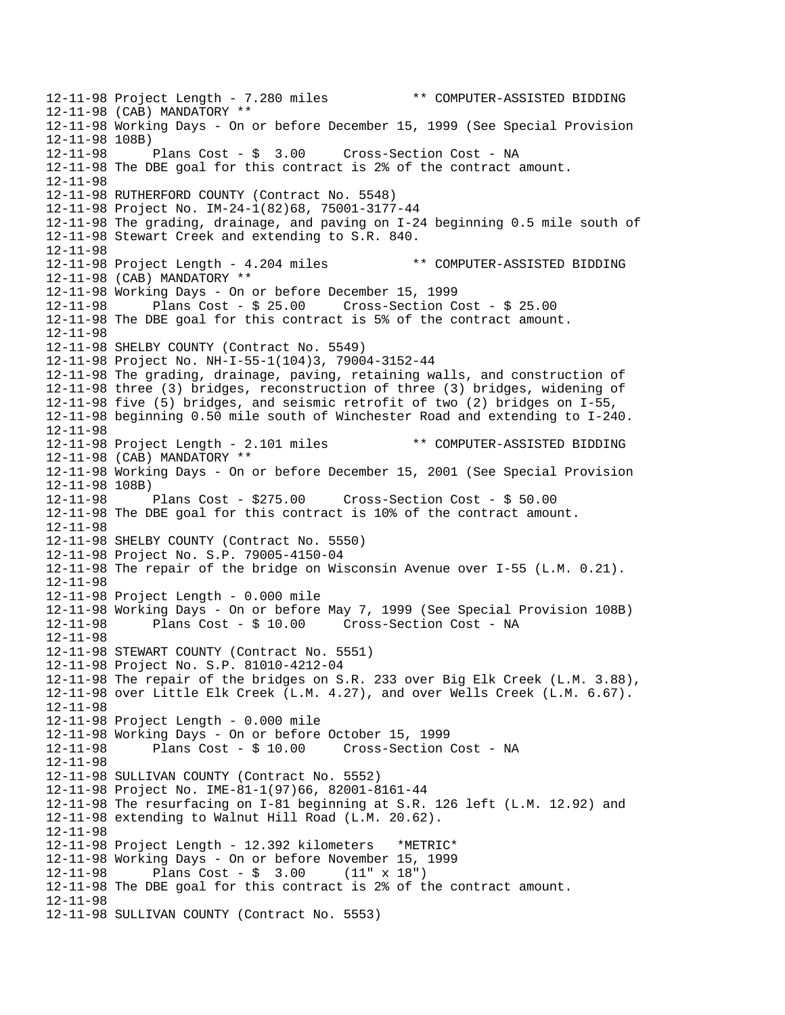12-11-98 Project Length - 7.280 miles \*\* COMPUTER-ASSISTED BIDDING 12-11-98 (CAB) MANDATORY \*\* 12-11-98 Working Days - On or before December 15, 1999 (See Special Provision 12-11-98 108B) Cross-Section Cost - NA 12-11-98 The DBE goal for this contract is 2% of the contract amount. 12-11-98 12-11-98 RUTHERFORD COUNTY (Contract No. 5548) 12-11-98 Project No. IM-24-1(82)68, 75001-3177-44 12-11-98 The grading, drainage, and paving on I-24 beginning 0.5 mile south of 12-11-98 Stewart Creek and extending to S.R. 840. 12-11-98 12-11-98 Project Length - 4.204 miles \*\* COMPUTER-ASSISTED BIDDING 12-11-98 (CAB) MANDATORY \*\* 12-11-98 Working Days - On or before December 15, 1999 Plans Cost -  $$25.00$  Cross-Section Cost -  $$25.00$ 12-11-98 The DBE goal for this contract is 5% of the contract amount. 12-11-98 12-11-98 SHELBY COUNTY (Contract No. 5549) 12-11-98 Project No. NH-I-55-1(104)3, 79004-3152-44 12-11-98 The grading, drainage, paving, retaining walls, and construction of 12-11-98 three (3) bridges, reconstruction of three (3) bridges, widening of 12-11-98 five (5) bridges, and seismic retrofit of two (2) bridges on I-55, 12-11-98 beginning 0.50 mile south of Winchester Road and extending to I-240. 12-11-98 12-11-98 Project Length - 2.101 miles \*\* COMPUTER-ASSISTED BIDDING 12-11-98 (CAB) MANDATORY \*\* 12-11-98 Working Days - On or before December 15, 2001 (See Special Provision 12-11-98 108B)<br>12-11-98 Plans Cost - \$275.00 12-11-98 Plans Cost - \$275.00 Cross-Section Cost - \$ 50.00 12-11-98 The DBE goal for this contract is 10% of the contract amount. 12-11-98 12-11-98 SHELBY COUNTY (Contract No. 5550) 12-11-98 Project No. S.P. 79005-4150-04 12-11-98 The repair of the bridge on Wisconsin Avenue over I-55 (L.M. 0.21). 12-11-98 12-11-98 Project Length - 0.000 mile 12-11-98 Working Days - On or before May 7, 1999 (See Special Provision 108B) 12-11-98 Plans Cost - \$ 10.00 Cross-Section Cost - NA 12-11-98 12-11-98 STEWART COUNTY (Contract No. 5551) 12-11-98 Project No. S.P. 81010-4212-04 12-11-98 The repair of the bridges on S.R. 233 over Big Elk Creek (L.M. 3.88), 12-11-98 over Little Elk Creek (L.M. 4.27), and over Wells Creek (L.M. 6.67). 12-11-98 12-11-98 Project Length - 0.000 mile 12-11-98 Working Days - On or before October 15, 1999 12-11-98 Plans Cost - \$ 10.00 Cross-Section Cost - NA 12-11-98 12-11-98 SULLIVAN COUNTY (Contract No. 5552) 12-11-98 Project No. IME-81-1(97)66, 82001-8161-44 12-11-98 The resurfacing on I-81 beginning at S.R. 126 left (L.M. 12.92) and 12-11-98 extending to Walnut Hill Road (L.M. 20.62). 12-11-98 12-11-98 Project Length - 12.392 kilometers \*METRIC\* 12-11-98 Working Days - On or before November 15, 1999 12-11-98 Plans Cost - \$ 3.00 (11" x 18") 12-11-98 The DBE goal for this contract is 2% of the contract amount. 12-11-98 12-11-98 SULLIVAN COUNTY (Contract No. 5553)